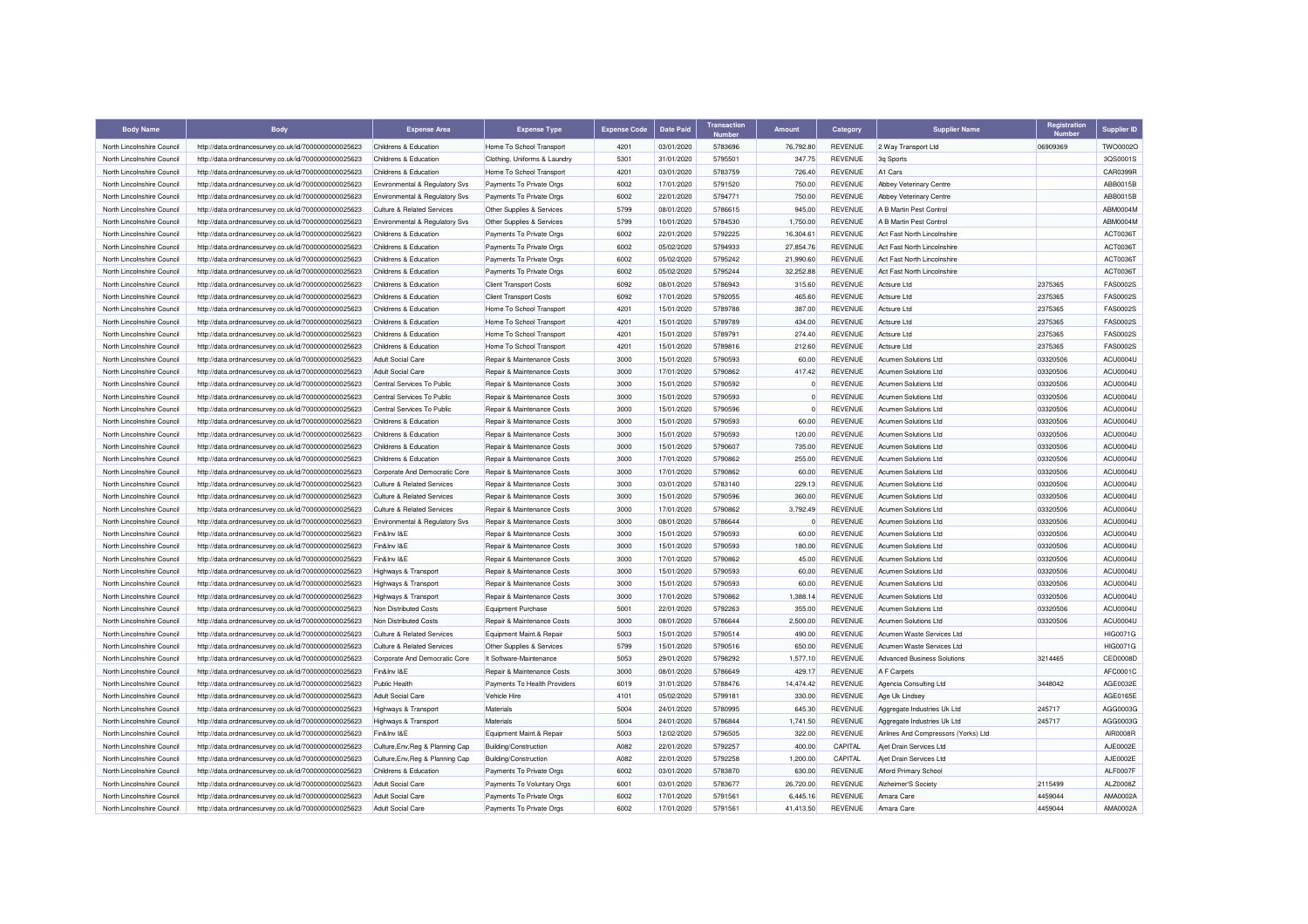| <b>Body Name</b>                                         | <b>Body</b>                                          | <b>Expense Area</b>                            | <b>Expense Type</b>           | <b>Expense Code</b> | <b>Date Paid</b>         | <b>Transaction</b><br>Number | Amount               | Category                         | <b>Supplier Name</b>                         | Registration<br><b>Number</b> | <b>Supplier ID</b>          |
|----------------------------------------------------------|------------------------------------------------------|------------------------------------------------|-------------------------------|---------------------|--------------------------|------------------------------|----------------------|----------------------------------|----------------------------------------------|-------------------------------|-----------------------------|
| North Lincolnshire Council                               | http://data.ordnancesurvey.co.uk/id/7000000000025623 | Childrens & Education                          | Home To School Transport      | 4201                | 03/01/2020               | 5783696                      | 76,792.80            | <b>REVENUE</b>                   | 2 Way Transport Ltd                          | 06909369                      | TWO0002O                    |
| North Lincolnshire Council                               | http://data.ordnancesurvey.co.uk/id/7000000000025623 | Childrens & Education                          | Clothing, Uniforms & Laundry  | 5301                | 31/01/2020               | 5795501                      | 347.75               | <b>REVENUE</b>                   | 3q Sports                                    |                               | 3QS0001S                    |
| North Lincolnshire Council                               | http://data.ordnancesurvey.co.uk/id/7000000000025623 | Childrens & Education                          | Home To School Transport      | 4201                | 03/01/2020               | 5783759                      | 726.40               | <b>REVENUE</b>                   | A1 Cars                                      |                               | CAR0399R                    |
| North Lincolnshire Council                               | http://data.ordnancesurvey.co.uk/id/7000000000025623 | Environmental & Regulatory Svs                 | Payments To Private Orgs      | 6002                | 17/01/2020               | 5791520                      | 750.00               | <b>REVENUE</b>                   | Abbey Veterinary Centre                      |                               | ABB0015B                    |
| North Lincolnshire Council                               | http://data.ordnancesurvey.co.uk/id/7000000000025623 | Environmental & Regulatory Svs                 | Payments To Private Orgs      | 6002                | 22/01/2020               | 5794771                      | 750.00               | <b>REVENUE</b>                   | Abbey Veterinary Centre                      |                               | ABB0015B                    |
| North Lincolnshire Council                               | http://data.ordnancesurvey.co.uk/id/7000000000025623 | Culture & Related Services                     | Other Supplies & Services     | 5799                | 08/01/2020               | 5786615                      | 945.00               | <b>REVENUE</b>                   | A B Martin Pest Control                      |                               | ABM0004N                    |
| North Lincolnshire Council                               | http://data.ordnancesurvey.co.uk/id/7000000000025623 | Environmental & Regulatory Svs                 | Other Supplies & Services     | 5799                | 10/01/2020               | 5784530                      | 1,750.00             | <b>REVENUE</b>                   | A B Martin Pest Control                      |                               | ABM0004M                    |
| North Lincolnshire Council                               | http://data.ordnancesurvey.co.uk/id/7000000000025623 | Childrens & Education                          | Payments To Private Orgs      | 6002                | 22/01/2020               | 5792225                      | 16.304.61            | <b>REVENUE</b>                   | Act Fast North Lincolnshire                  |                               | ACT0036T                    |
| North Lincolnshire Council                               | http://data.ordnancesurvey.co.uk/id/7000000000025623 | Childrens & Education                          | Payments To Private Orgs      | 6002                | 05/02/2020               | 5794933                      | 27,854.76            | <b>REVENUE</b>                   | Act Fast North Lincolnshire                  |                               | ACT00361                    |
| North Lincolnshire Council                               | http://data.ordnancesurvey.co.uk/id/7000000000025623 | Childrens & Education                          | Payments To Private Orgs      | 6002                | 05/02/2020               | 5795242                      | 21,990.60            | <b>REVENUE</b>                   | Act Fast North Lincolnshire                  |                               | ACT0036T                    |
| North Lincolnshire Council                               | http://data.ordnancesurvey.co.uk/id/7000000000025623 | Childrens & Education                          | Payments To Private Orgs      | 6002                | 05/02/2020               | 5795244                      | 32,252.88            | <b>REVENUE</b>                   | Act Fast North Lincolnshire                  |                               | ACT0036T                    |
| North Lincolnshire Council                               | http://data.ordnancesurvey.co.uk/id/7000000000025623 | Childrens & Education                          | <b>Client Transport Costs</b> | 6092                | 08/01/2020               | 5786943                      | 315.60               | <b>REVENUE</b>                   | Actsure Ltd                                  | 2375365                       | <b>FAS0002S</b>             |
| North Lincolnshire Council                               | http://data.ordnancesurvey.co.uk/id/7000000000025623 | Childrens & Education                          | <b>Client Transport Costs</b> | 6092                | 17/01/2020               | 5792055                      | 465.60               | <b>REVENUE</b>                   | <b>Actsure Ltd</b>                           | 2375365                       | <b>FAS0002S</b>             |
| North Lincolnshire Council                               | http://data.ordnancesurvey.co.uk/id/7000000000025623 | Childrens & Education                          | Home To School Transport      | 4201                | 15/01/2020               | 5789788                      | 387.00               | <b>REVENUE</b>                   | Actsure Ltd                                  | 2375365                       | <b>FAS0002S</b>             |
| North Lincolnshire Council                               | http://data.ordnancesurvey.co.uk/id/7000000000025623 | Childrens & Education                          | Home To School Transport      | 4201                | 15/01/2020               | 5789789                      | 434.00               | <b>REVENUE</b>                   | <b>Actsure Ltd</b>                           | 2375365                       | <b>FAS0002S</b>             |
| North Lincolnshire Council                               | http://data.ordnancesurvey.co.uk/id/7000000000025623 | Childrens & Education                          | Home To School Transport      | 4201                | 15/01/2020               | 5789791                      | 274.40               | <b>REVENUE</b>                   | <b>Actsure Ltd</b>                           | 2375365                       | <b>FAS0002S</b>             |
| North Lincolnshire Council                               | http://data.ordnancesurvey.co.uk/id/7000000000025623 | Childrens & Education                          | Home To School Transport      | 4201                | 15/01/2020               | 5789816                      | 212.60               | <b>REVENUE</b>                   | Actsure Ltd                                  | 2375365                       | <b>FAS0002S</b>             |
| North Lincolnshire Council                               | http://data.ordnancesurvey.co.uk/id/7000000000025623 | <b>Adult Social Care</b>                       | Repair & Maintenance Costs    | 3000                | 15/01/2020               | 5790593                      | 60.00                | <b>REVENUE</b>                   | Acumen Solutions Ltd                         | 03320506                      | ACU0004U                    |
| North Lincolnshire Council                               | http://data.ordnancesurvey.co.uk/id/7000000000025623 | <b>Adult Social Care</b>                       | Repair & Maintenance Costs    | 3000                | 17/01/2020               | 5790862                      | 417.42               | <b>REVENUE</b>                   | <b>Acumen Solutions Ltd</b>                  | 03320506                      | ACU0004U                    |
| North Lincolnshire Council                               | http://data.ordnancesurvey.co.uk/id/7000000000025623 | Central Services To Public                     | Repair & Maintenance Costs    | 3000                | 15/01/2020               | 5790592                      | 0                    | <b>REVENUE</b>                   | Acumen Solutions Ltd                         | 03320506                      | ACU0004U                    |
| North Lincolnshire Council                               | http://data.ordnancesurvey.co.uk/id/7000000000025623 | Central Services To Public                     | Repair & Maintenance Costs    | 3000                | 15/01/2020               | 5790593                      | $\Omega$             | <b>REVENUE</b>                   | Acumen Solutions Ltd                         | 03320506                      | ACU0004U                    |
| North Lincolnshire Council                               | http://data.ordnancesurvey.co.uk/id/7000000000025623 | Central Services To Public                     | Repair & Maintenance Costs    | 3000                | 15/01/2020               | 5790596                      | $\Omega$             | <b>REVENUE</b>                   | <b>Acumen Solutions Ltd</b>                  | 03320506                      | ACU0004U                    |
| North Lincolnshire Council                               | http://data.ordnancesurvey.co.uk/id/7000000000025623 | Childrens & Education                          | Repair & Maintenance Costs    | 3000                | 15/01/2020               | 5790593                      | 60.00                | <b>REVENUE</b>                   | Acumen Solutions Ltd                         | 03320506                      | <b>ACU0004U</b>             |
| North Lincolnshire Council                               | http://data.ordnancesurvey.co.uk/id/7000000000025623 | Childrens & Education                          | Repair & Maintenance Costs    | 3000                | 15/01/2020               | 5790593                      | 120.00               | <b>REVENUE</b>                   | Acumen Solutions Ltd                         | 03320506                      | ACU0004U                    |
|                                                          |                                                      |                                                |                               | 3000                |                          | 5790607                      |                      |                                  |                                              | 03320506                      | <b>ACU0004U</b>             |
| North Lincolnshire Council                               | http://data.ordnancesurvey.co.uk/id/7000000000025623 | Childrens & Education<br>Childrens & Education | Repair & Maintenance Costs    | 3000                | 15/01/2020<br>17/01/2020 | 5790862                      | 735.00<br>255.00     | REVENUE<br><b>REVENUE</b>        | Acumen Solutions Ltd<br>Acumen Solutions Ltd | 03320506                      | ACU0004U                    |
| North Lincolnshire Council<br>North Lincolnshire Council | http://data.ordnancesurvey.co.uk/id/7000000000025623 |                                                | Repair & Maintenance Costs    | 3000                | 17/01/2020               | 5790862                      | 60.00                | <b>REVENUE</b>                   | Acumen Solutions Ltd                         | 03320506                      | ACU0004U                    |
|                                                          | http://data.ordnancesurvey.co.uk/id/7000000000025623 | Corporate And Democratic Core                  | Repair & Maintenance Costs    |                     |                          |                              |                      |                                  |                                              |                               |                             |
| North Lincolnshire Council                               | http://data.ordnancesurvey.co.uk/id/7000000000025623 | Culture & Related Services                     | Repair & Maintenance Costs    | 3000<br>3000        | 03/01/2020               | 5783140<br>5790596           | 229.13               | <b>REVENUE</b><br><b>REVENUE</b> | Acumen Solutions Ltd                         | 03320506<br>03320506          | ACU0004U<br><b>ACU0004U</b> |
| North Lincolnshire Council                               | http://data.ordnancesurvey.co.uk/id/7000000000025623 | <b>Culture &amp; Related Services</b>          | Repair & Maintenance Costs    |                     | 15/01/2020               |                              | 360.00               |                                  | Acumen Solutions Ltd                         |                               |                             |
| North Lincolnshire Council                               | http://data.ordnancesurvey.co.uk/id/7000000000025623 | Culture & Related Services                     | Repair & Maintenance Costs    | 3000                | 17/01/2020               | 5790862                      | 3,792.49<br>$\Omega$ | <b>REVENUE</b>                   | Acumen Solutions Ltd                         | 03320506                      | <b>ACU0004U</b>             |
| North Lincolnshire Council                               | http://data.ordnancesurvey.co.uk/id/7000000000025623 | Environmental & Regulatory Svs                 | Repair & Maintenance Costs    | 3000                | 08/01/2020               | 5786644                      |                      | <b>REVENUE</b>                   | Acumen Solutions Ltd                         | 03320506                      | ACU0004U                    |
| North Lincolnshire Council                               | http://data.ordnancesurvey.co.uk/id/7000000000025623 | Fin&Inv I&E                                    | Repair & Maintenance Costs    | 3000                | 15/01/2020               | 5790593                      | 60.00                | <b>REVENUE</b>                   | <b>Acumen Solutions Ltd</b>                  | 03320506                      | <b>ACU0004U</b>             |
| North Lincolnshire Council                               | http://data.ordnancesurvey.co.uk/id/7000000000025623 | Fin&Inv I&E                                    | Repair & Maintenance Costs    | 3000                | 15/01/2020               | 5790593                      | 180.00               | <b>REVENUE</b>                   | Acumen Solutions Ltd                         | 03320506                      | <b>ACU0004U</b>             |
| North Lincolnshire Council                               | http://data.ordnancesurvey.co.uk/id/7000000000025623 | Fin&Inv I&E                                    | Repair & Maintenance Costs    | 3000                | 17/01/2020               | 5790862                      | 45.00                | <b>REVENUE</b>                   | Acumen Solutions Ltd                         | 03320506                      | ACU0004U                    |
| North Lincolnshire Council                               | http://data.ordnancesurvey.co.uk/id/7000000000025623 | Highways & Transport                           | Repair & Maintenance Costs    | 3000                | 15/01/2020               | 5790593                      | 60.00                | <b>REVENUE</b>                   | Acumen Solutions Ltd                         | 03320506                      | <b>ACU0004U</b>             |
| North Lincolnshire Council                               | http://data.ordnancesurvey.co.uk/id/7000000000025623 | Highways & Transport                           | Repair & Maintenance Costs    | 3000                | 15/01/2020               | 5790593                      | 60.00                | <b>REVENUE</b>                   | Acumen Solutions Ltd                         | 03320506                      | ACU0004U                    |
| North Lincolnshire Council                               | http://data.ordnancesurvey.co.uk/id/7000000000025623 | Highways & Transport                           | Repair & Maintenance Costs    | 3000                | 17/01/2020               | 5790862                      | 1,388.14             | <b>REVENUE</b>                   | Acumen Solutions Ltd                         | 03320506                      | <b>ACU0004U</b>             |
| North Lincolnshire Council                               | http://data.ordnancesurvey.co.uk/id/7000000000025623 | Non Distributed Costs                          | Equipment Purchase            | 5001                | 22/01/2020               | 5792263                      | 355.00               | <b>REVENUE</b>                   | Acumen Solutions Ltd                         | 03320506                      | ACU0004U                    |
| North Lincolnshire Council                               | http://data.ordnancesurvey.co.uk/id/7000000000025623 | Non Distributed Costs                          | Repair & Maintenance Costs    | 3000                | 08/01/2020               | 5786644                      | 2,500.00             | <b>REVENUE</b>                   | Acumen Solutions Ltd                         | 03320506                      | ACU0004U                    |
| North Lincolnshire Council                               | http://data.ordnancesurvey.co.uk/id/7000000000025623 | <b>Culture &amp; Related Services</b>          | Equipment Maint.& Repair      | 5003                | 15/01/2020               | 5790514                      | 490.00               | <b>REVENUE</b>                   | Acumen Waste Services Ltd                    |                               | HIG0071G                    |
| North Lincolnshire Council                               | http://data.ordnancesurvey.co.uk/id/7000000000025623 | <b>Culture &amp; Related Services</b>          | Other Supplies & Services     | 5799                | 15/01/2020               | 5790516                      | 650.00               | <b>REVENUE</b>                   | Acumen Waste Services Ltd                    |                               | HIG0071G                    |
| North Lincolnshire Council                               | http://data.ordnancesurvey.co.uk/id/7000000000025623 | Corporate And Democratic Core                  | It Software-Maintenance       | 5053                | 29/01/2020               | 5798292                      | 1,577.10             | <b>REVENUE</b>                   | <b>Advanced Business Solutions</b>           | 3214465                       | CED0008D                    |
| North Lincolnshire Council                               | http://data.ordnancesurvey.co.uk/id/7000000000025623 | Fin&Inv I&E                                    | Repair & Maintenance Costs    | 3000                | 08/01/2020               | 5786649                      | 429.17               | <b>REVENUE</b>                   | A F Carpets                                  |                               | AFC0001C                    |
| North Lincolnshire Council                               | http://data.ordnancesurvey.co.uk/id/7000000000025623 | Public Health                                  | Payments To Health Providers  | 6019                | 31/01/2020               | 5788476                      | 14,474.42            | REVENUE                          | <b>Agencia Consulting Ltd</b>                | 3448042                       | AGE0032E                    |
| North Lincolnshire Council                               | http://data.ordnancesurvey.co.uk/id/7000000000025623 | <b>Adult Social Care</b>                       | Vehicle Hire                  | 4101                | 05/02/2020               | 5799181                      | 330.00               | <b>REVENUE</b>                   | Age Uk Lindsey                               |                               | AGE0165E                    |
| North Lincolnshire Council                               | http://data.ordnancesurvey.co.uk/id/7000000000025623 | Highways & Transport                           | Materials                     | 5004                | 24/01/2020               | 5780995                      | 645.30               | <b>REVENUE</b>                   | Aggregate Industries Uk Ltd                  | 245717                        | AGG0003G                    |
| North Lincolnshire Council                               | http://data.ordnancesurvey.co.uk/id/7000000000025623 | Highways & Transport                           | Materials                     | 5004                | 24/01/2020               | 5786844                      | 1,741.50             | REVENUE                          | Aggregate Industries Uk Ltd                  | 245717                        | AGG0003G                    |
| North Lincolnshire Council                               | http://data.ordnancesurvey.co.uk/id/7000000000025623 | Fin&Inv I&E                                    | Equipment Maint.& Repair      | 5003                | 12/02/2020               | 5796505                      | 322.00               | <b>REVENUE</b>                   | Airlines And Compressors (Yorks) Ltd         |                               | <b>AIR0008R</b>             |
| North Lincolnshire Council                               | http://data.ordnancesurvey.co.uk/id/7000000000025623 | Culture, Env, Reg & Planning Cap               | Building/Construction         | A082                | 22/01/2020               | 5792257                      | 400.00               | CAPITAL                          | Ajet Drain Services Ltd                      |                               | AJE0002E                    |
| North Lincolnshire Council                               | http://data.ordnancesurvey.co.uk/id/7000000000025623 | Culture, Env, Reg & Planning Cap               | Building/Construction         | A082                | 22/01/2020               | 5792258                      | 1,200.00             | CAPITAL                          | Ajet Drain Services Ltd                      |                               | AJE0002E                    |
| North Lincolnshire Council                               | http://data.ordnancesurvey.co.uk/id/7000000000025623 | Childrens & Education                          | Payments To Private Orgs      | 6002                | 03/01/2020               | 5783870                      | 630.00               | <b>REVENUE</b>                   | <b>Alford Primary School</b>                 |                               | <b>ALF0007F</b>             |
| North Lincolnshire Council                               | http://data.ordnancesurvey.co.uk/id/7000000000025623 | Adult Social Care                              | Payments To Voluntary Orgs    | 6001                | 03/01/2020               | 5783677                      | 26,720.00            | <b>REVENUE</b>                   | Alzheimer'S Society                          | 2115499                       | ALZ0008Z                    |
| North Lincolnshire Council                               | http://data.ordnancesurvey.co.uk/id/7000000000025623 | Adult Social Care                              | Payments To Private Orgs      | 6002                | 17/01/2020               | 5791561                      | 6,445.16             | REVENUE                          | Amara Care                                   | 4459044                       | AMA0002A                    |
| North Lincolnshire Council                               | http://data.ordnancesurvey.co.uk/id/7000000000025623 | <b>Adult Social Care</b>                       | Payments To Private Orgs      | 6002                | 17/01/2020               | 5791561                      | 41,413.50            | <b>REVENUE</b>                   | Amara Care                                   | 4459044                       | AMA0002A                    |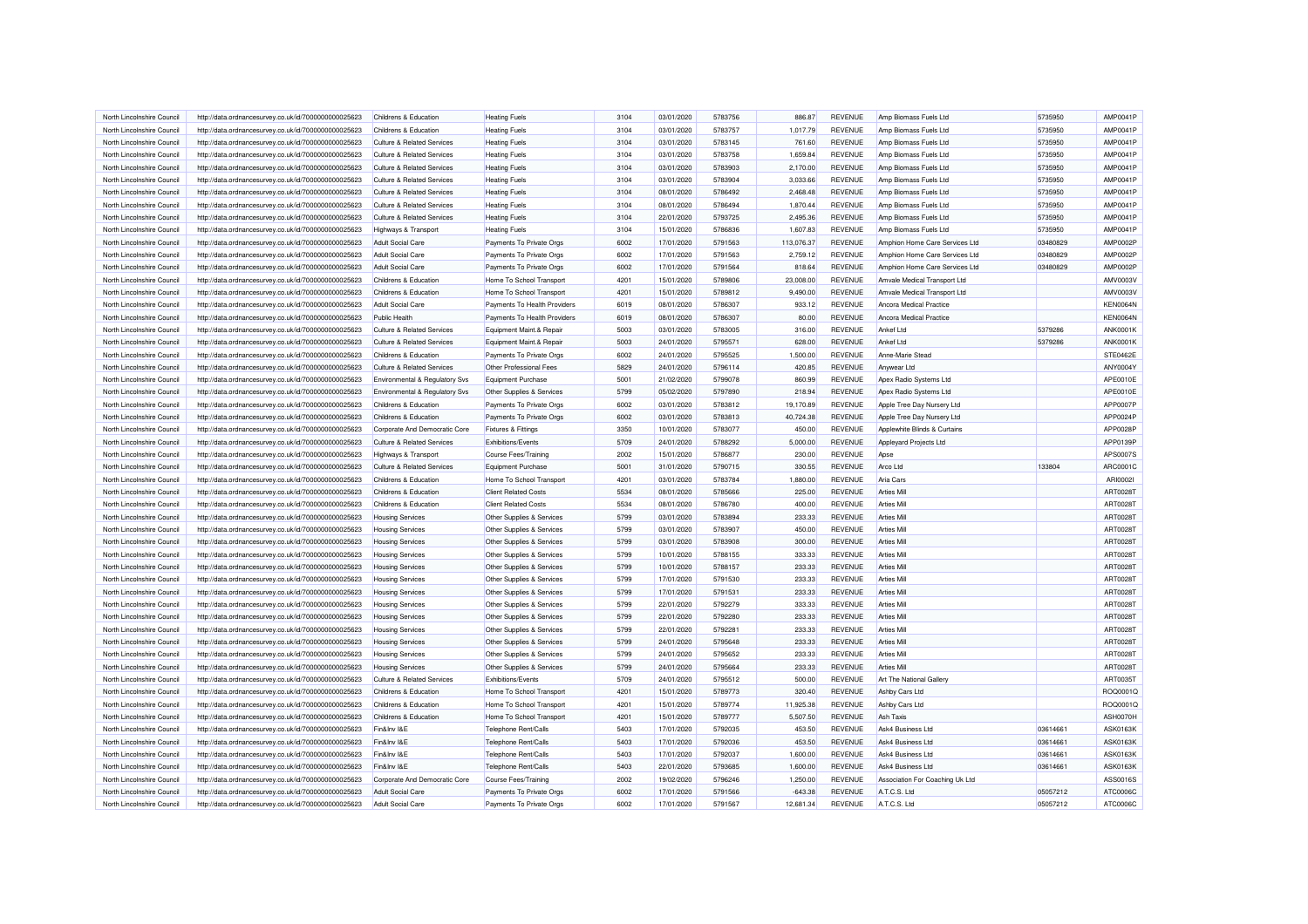| North Lincolnshire Council | http://data.ordnancesurvey.co.uk/id/7000000000025623 | Childrens & Education                 | <b>Heating Fuels</b>           | 3104 | 03/01/2020 | 5783756 | 886.87     | <b>REVENUE</b> | Amp Biomass Fuels Ltd           | 5735950  | AMP0041P        |
|----------------------------|------------------------------------------------------|---------------------------------------|--------------------------------|------|------------|---------|------------|----------------|---------------------------------|----------|-----------------|
| North Lincolnshire Council | http://data.ordnancesurvey.co.uk/id/7000000000025623 | Childrens & Education                 | <b>Heating Fuels</b>           | 3104 | 03/01/2020 | 5783757 | 1,017.79   | REVENUE        | Amp Biomass Fuels Ltd           | 5735950  | AMP0041P        |
| North Lincolnshire Council | http://data.ordnancesurvey.co.uk/id/7000000000025623 | <b>Culture &amp; Related Services</b> | <b>Heating Fuels</b>           | 3104 | 03/01/2020 | 5783145 | 761.60     | <b>REVENUE</b> | Amp Biomass Fuels Ltd           | 5735950  | AMP0041P        |
| North Lincolnshire Council | http://data.ordnancesurvey.co.uk/id/7000000000025623 | Culture & Related Services            | <b>Heating Fuels</b>           | 3104 | 03/01/2020 | 5783758 | 1,659.84   | <b>REVENUE</b> | Amp Biomass Fuels Ltd           | 5735950  | AMP0041P        |
| North Lincolnshire Council | http://data.ordnancesurvey.co.uk/id/7000000000025623 | Culture & Related Services            | <b>Heating Fuels</b>           | 3104 | 03/01/2020 | 5783903 | 2,170.00   | <b>REVENUE</b> | Amp Biomass Fuels Ltd           | 5735950  | AMP0041P        |
| North Lincolnshire Council | http://data.ordnancesurvey.co.uk/id/7000000000025623 | <b>Culture &amp; Related Services</b> | <b>Heating Fuels</b>           | 3104 | 03/01/2020 | 5783904 | 3,033.66   | <b>REVENUE</b> | Amp Biomass Fuels Ltd           | 5735950  | AMP0041F        |
| North Lincolnshire Council | http://data.ordnancesurvey.co.uk/id/7000000000025623 | Culture & Related Services            | <b>Heating Fuels</b>           | 3104 | 08/01/2020 | 5786492 | 2.468.48   | <b>REVENUE</b> | Amp Biomass Fuels Ltd           | 5735950  | AMP0041P        |
| North Lincolnshire Council | http://data.ordnancesurvey.co.uk/id/7000000000025623 | Culture & Related Services            | <b>Heating Fuels</b>           | 3104 | 08/01/2020 | 5786494 | 1,870.44   | <b>REVENUE</b> | Amp Biomass Fuels Ltd           | 5735950  | <b>AMP0041F</b> |
| North Lincolnshire Council | http://data.ordnancesurvey.co.uk/id/7000000000025623 | Culture & Related Services            | <b>Heating Fuels</b>           | 3104 | 22/01/2020 | 5793725 | 2,495.36   | <b>REVENUE</b> | Amp Biomass Fuels Ltd           | 5735950  | AMP0041F        |
| North Lincolnshire Council | http://data.ordnancesurvey.co.uk/id/7000000000025623 | Highways & Transport                  | <b>Heating Fuels</b>           | 3104 | 15/01/2020 | 5786836 | 1,607.83   | <b>REVENUE</b> | Amp Biomass Fuels Ltd           | 5735950  | AMP0041P        |
| North Lincolnshire Council | http://data.ordnancesurvey.co.uk/id/7000000000025623 | <b>Adult Social Care</b>              | Payments To Private Orgs       | 6002 | 17/01/2020 | 5791563 | 113,076.37 | <b>REVENUE</b> | Amphion Home Care Services Ltd  | 03480829 | AMP0002F        |
| North Lincolnshire Council | http://data.ordnancesurvey.co.uk/id/7000000000025623 | <b>Adult Social Care</b>              | Payments To Private Orgs       | 6002 | 17/01/2020 | 5791563 | 2,759.12   | <b>REVENUE</b> | Amphion Home Care Services Ltd  | 03480829 | AMP0002F        |
| North Lincolnshire Council | http://data.ordnancesurvey.co.uk/id/7000000000025623 | Adult Social Care                     | Payments To Private Orgs       | 6002 | 17/01/2020 | 5791564 | 818.64     | <b>REVENUE</b> | Amphion Home Care Services Ltd  | 03480829 | AMP0002F        |
| North Lincolnshire Council | http://data.ordnancesurvey.co.uk/id/7000000000025623 | Childrens & Education                 | Home To School Transport       | 4201 | 15/01/2020 | 5789806 | 23,008.00  | <b>REVENUE</b> | Amvale Medical Transport Ltd    |          | AMV0003\        |
| North Lincolnshire Council | http://data.ordnancesurvey.co.uk/id/7000000000025623 | Childrens & Education                 | Home To School Transport       | 4201 | 15/01/2020 | 5789812 | 9,490.00   | <b>REVENUE</b> | Amvale Medical Transport Ltd    |          | AMV0003\        |
| North Lincolnshire Council | http://data.ordnancesurvey.co.uk/id/7000000000025623 | Adult Social Care                     | Payments To Health Providers   | 6019 | 08/01/2020 | 5786307 | 933.12     | <b>REVENUE</b> | Ancora Medical Practice         |          | <b>KEN0064N</b> |
| North Lincolnshire Council | http://data.ordnancesurvey.co.uk/id/7000000000025623 | <b>Public Health</b>                  | Payments To Health Providers   | 6019 | 08/01/2020 | 5786307 | 80.00      | <b>REVENUE</b> | Ancora Medical Practice         |          | <b>KEN0064N</b> |
| North Lincolnshire Council | http://data.ordnancesurvey.co.uk/id/7000000000025623 | Culture & Related Services            | Equipment Maint.& Repair       | 5003 | 03/01/2020 | 5783005 | 316.00     | <b>REVENUE</b> | <b>Ankef Ltd</b>                | 5379286  | ANK0001k        |
| North Lincolnshire Council | http://data.ordnancesurvey.co.uk/id/7000000000025623 | <b>Culture &amp; Related Services</b> | Equipment Maint.& Repair       | 5003 | 24/01/2020 | 5795571 | 628.00     | <b>REVENUE</b> | <b>Ankef Ltd</b>                | 5379286  | <b>ANK0001K</b> |
| North Lincolnshire Council | http://data.ordnancesurvey.co.uk/id/7000000000025623 | Childrens & Education                 | Payments To Private Orgs       | 6002 | 24/01/2020 | 5795525 | 1,500.00   | <b>REVENUE</b> | Anne-Marie Stead                |          | STE0462E        |
| North Lincolnshire Council | http://data.ordnancesurvey.co.uk/id/7000000000025623 | <b>Culture &amp; Related Services</b> | Other Professional Fees        | 5829 | 24/01/2020 | 5796114 | 420.85     | <b>REVENUE</b> | Anywear Ltd                     |          | ANY0004Y        |
| North Lincolnshire Council | http://data.ordnancesurvey.co.uk/id/7000000000025623 | Environmental & Regulatory Svs        | <b>Equipment Purchase</b>      | 5001 | 21/02/2020 | 5799078 | 860.99     | <b>REVENUE</b> | Apex Radio Systems Ltd          |          | APE0010E        |
| North Lincolnshire Council | http://data.ordnancesurvey.co.uk/id/7000000000025623 | Environmental & Regulatory Svs        | Other Supplies & Services      | 5799 | 05/02/2020 | 5797890 | 218.94     | <b>REVENUE</b> | Apex Radio Systems Ltd          |          | APE0010E        |
| North Lincolnshire Council | http://data.ordnancesurvey.co.uk/id/7000000000025623 | Childrens & Education                 | Payments To Private Orgs       | 6002 | 03/01/2020 | 5783812 | 19,170.89  | <b>REVENUE</b> | Apple Tree Day Nursery Ltd      |          | APP0007F        |
| North Lincolnshire Council | http://data.ordnancesurvey.co.uk/id/7000000000025623 | Childrens & Education                 | Payments To Private Orgs       | 6002 | 03/01/2020 | 5783813 | 40,724.38  | <b>REVENUE</b> | Apple Tree Day Nursery Ltd      |          | APP0024P        |
| North Lincolnshire Council | http://data.ordnancesurvey.co.uk/id/7000000000025623 | Corporate And Democratic Core         | <b>Fixtures &amp; Fittings</b> | 3350 | 10/01/2020 | 5783077 | 450.00     | REVENUE        | Applewhite Blinds & Curtains    |          | APP0028P        |
| North Lincolnshire Council | http://data.ordnancesurvey.co.uk/id/7000000000025623 | <b>Culture &amp; Related Services</b> | Exhibitions/Events             | 5709 | 24/01/2020 | 5788292 | 5,000.00   | <b>REVENUE</b> | Appleyard Projects Ltd          |          | APP0139P        |
| North Lincolnshire Council | http://data.ordnancesurvey.co.uk/id/7000000000025623 | Highways & Transport                  | Course Fees/Training           | 2002 | 15/01/2020 | 5786877 | 230.00     | <b>REVENUE</b> | Apse                            |          | APS0007S        |
| North Lincolnshire Council | http://data.ordnancesurvey.co.uk/id/7000000000025623 | Culture & Related Services            | Equipment Purchase             | 5001 | 31/01/2020 | 5790715 | 330.55     | <b>REVENUE</b> | Arco Ltd                        | 133804   | ARC0001C        |
| North Lincolnshire Council | http://data.ordnancesurvey.co.uk/id/7000000000025623 | Childrens & Education                 | Home To School Transport       | 4201 | 03/01/2020 | 5783784 | 1,880.00   | <b>REVENUE</b> | Aria Cars                       |          | ARI00021        |
| North Lincolnshire Council | http://data.ordnancesurvey.co.uk/id/7000000000025623 | Childrens & Education                 | <b>Client Related Costs</b>    | 5534 | 08/01/2020 | 5785666 | 225.00     | <b>REVENUE</b> | <b>Arties Mill</b>              |          | ART0028T        |
| North Lincolnshire Council | http://data.ordnancesurvey.co.uk/id/7000000000025623 | Childrens & Education                 | <b>Client Related Costs</b>    | 5534 | 08/01/2020 | 5786780 | 400.00     | <b>REVENUE</b> | <b>Arties Mill</b>              |          | ART0028T        |
| North Lincolnshire Council | http://data.ordnancesurvey.co.uk/id/7000000000025623 | <b>Housing Services</b>               | Other Supplies & Services      | 5799 | 03/01/2020 | 5783894 | 233.33     | <b>REVENUE</b> | <b>Arties Mill</b>              |          | ART00281        |
| North Lincolnshire Council | http://data.ordnancesurvey.co.uk/id/7000000000025623 | <b>Housing Services</b>               | Other Supplies & Services      | 5799 | 03/01/2020 | 5783907 | 450.00     | <b>REVENUE</b> | <b>Arties Mil</b>               |          | ART00287        |
| North Lincolnshire Council | http://data.ordnancesurvey.co.uk/id/7000000000025623 | <b>Housing Services</b>               | Other Supplies & Services      | 5799 | 03/01/2020 | 5783908 | 300.00     | <b>REVENUE</b> | <b>Arties Mill</b>              |          | ART0028T        |
| North Lincolnshire Council | http://data.ordnancesurvey.co.uk/id/7000000000025623 | <b>Housing Services</b>               | Other Supplies & Services      | 5799 | 10/01/2020 | 5788155 | 333.33     | <b>REVENUE</b> | <b>Arties Mill</b>              |          | ART00287        |
| North Lincolnshire Council | http://data.ordnancesurvey.co.uk/id/7000000000025623 | <b>Housing Services</b>               | Other Supplies & Services      | 5799 | 10/01/2020 | 5788157 | 233.33     | <b>REVENUE</b> | <b>Arties Mil</b>               |          | ART0028T        |
| North Lincolnshire Council | http://data.ordnancesurvey.co.uk/id/7000000000025623 | <b>Housing Services</b>               | Other Supplies & Services      | 5799 | 17/01/2020 | 5791530 | 233.33     | REVENUE        | <b>Arties Mill</b>              |          | ART0028T        |
| North Lincolnshire Council | http://data.ordnancesurvey.co.uk/id/7000000000025623 | <b>Housing Services</b>               | Other Supplies & Services      | 5799 | 17/01/2020 | 5791531 | 233.33     | <b>REVENUE</b> | <b>Arties Mill</b>              |          | ART00287        |
| North Lincolnshire Council | http://data.ordnancesurvey.co.uk/id/7000000000025623 | <b>Housing Services</b>               | Other Supplies & Services      | 5799 | 22/01/2020 | 5792279 | 333.33     | <b>REVENUE</b> | <b>Arties Mill</b>              |          | ART00287        |
| North Lincolnshire Council | http://data.ordnancesurvey.co.uk/id/7000000000025623 | <b>Housing Services</b>               | Other Supplies & Services      | 5799 | 22/01/2020 | 5792280 | 233.33     | <b>REVENUE</b> | <b>Arties Mill</b>              |          | ART0028T        |
| North Lincolnshire Council | http://data.ordnancesurvey.co.uk/id/7000000000025623 | <b>Housing Services</b>               | Other Supplies & Services      | 5799 | 22/01/2020 | 5792281 | 233.33     | <b>REVENUE</b> | <b>Arties Mill</b>              |          | ART00281        |
| North Lincolnshire Council | http://data.ordnancesurvey.co.uk/id/7000000000025623 | <b>Housing Services</b>               | Other Supplies & Services      | 5799 | 24/01/2020 | 5795648 | 233.33     | <b>REVENUE</b> | <b>Arties Mil</b>               |          | ART0028T        |
| North Lincolnshire Council | http://data.ordnancesurvey.co.uk/id/7000000000025623 | <b>Housing Services</b>               | Other Supplies & Services      | 5799 | 24/01/2020 | 5795652 | 233.33     | <b>REVENUE</b> | <b>Arties Mill</b>              |          | ART0028T        |
| North Lincolnshire Council | http://data.ordnancesurvey.co.uk/id/7000000000025623 | <b>Housing Services</b>               | Other Supplies & Services      | 5799 | 24/01/2020 | 5795664 | 233.33     | <b>REVENUE</b> | <b>Arties Mill</b>              |          | ART00287        |
| North Lincolnshire Council | http://data.ordnancesurvey.co.uk/id/7000000000025623 | Culture & Related Services            | Exhibitions/Events             | 5709 | 24/01/2020 | 5795512 | 500.00     | <b>REVENUE</b> | Art The National Gallery        |          | ART0035T        |
| North Lincolnshire Council | http://data.ordnancesurvey.co.uk/id/7000000000025623 | Childrens & Education                 | Home To School Transport       | 4201 | 15/01/2020 | 5789773 | 320.40     | <b>REVENUE</b> | Ashby Cars Ltd                  |          | ROQ0001Q        |
| North Lincolnshire Council | http://data.ordnancesurvey.co.uk/id/7000000000025623 | Childrens & Education                 | Home To School Transport       | 4201 | 15/01/2020 | 5789774 | 11,925.38  | <b>REVENUE</b> | Ashby Cars Ltd                  |          | ROQ0001C        |
| North Lincolnshire Council | http://data.ordnancesurvey.co.uk/id/7000000000025623 | Childrens & Education                 | Home To School Transport       | 4201 | 15/01/2020 | 5789777 | 5,507.50   | <b>REVENUE</b> | <b>Ash Taxis</b>                |          | ASH0070H        |
| North Lincolnshire Council | http://data.ordnancesurvey.co.uk/id/7000000000025623 | Fin&Inv I&F                           | Telephone Rent/Calls           | 5403 | 17/01/2020 | 5792035 | 453.50     | <b>REVENUE</b> | Ask4 Business Ltd               | 03614661 | ASK0163K        |
| North Lincolnshire Council | http://data.ordnancesurvey.co.uk/id/7000000000025623 | Fin&Inv I&E                           | Telephone Rent/Calls           | 5403 | 17/01/2020 | 5792036 | 453.50     | <b>REVENUE</b> | Ask4 Business Ltd               | 03614661 | <b>ASK0163K</b> |
| North Lincolnshire Council | http://data.ordnancesurvey.co.uk/id/7000000000025623 | Fin&Inv I&E                           | Telephone Rent/Calls           | 5403 | 17/01/2020 | 5792037 | 1,600.00   | <b>REVENUE</b> | Ask4 Business Ltd               | 03614661 | <b>ASK0163K</b> |
| North Lincolnshire Council | http://data.ordnancesurvey.co.uk/id/7000000000025623 | Fin&Inv I&E                           | Telephone Rent/Calls           | 5403 | 22/01/2020 | 5793685 | 1,600.00   | <b>REVENUE</b> | Ask4 Business Ltd               | 03614661 | ASK0163K        |
| North Lincolnshire Council | http://data.ordnancesurvey.co.uk/id/7000000000025623 | Corporate And Democratic Core         | Course Fees/Training           | 2002 | 19/02/2020 | 5796246 | 1,250.00   | <b>REVENUE</b> | Association For Coaching Uk Ltd |          | ASS0016S        |
| North Lincolnshire Council | http://data.ordnancesurvey.co.uk/id/7000000000025623 | <b>Adult Social Care</b>              | Payments To Private Orgs       | 6002 | 17/01/2020 | 5791566 | $-643.38$  | <b>REVENUE</b> | A.T.C.S. Ltd                    | 05057212 | ATC0006C        |
| North Lincolnshire Council | http://data.ordnancesurvey.co.uk/id/7000000000025623 | <b>Adult Social Care</b>              | Payments To Private Orgs       | 6002 | 17/01/2020 | 5791567 | 12.681.34  | <b>REVENUE</b> | A.T.C.S. Ltd                    | 05057212 | ATC0006C        |
|                            |                                                      |                                       |                                |      |            |         |            |                |                                 |          |                 |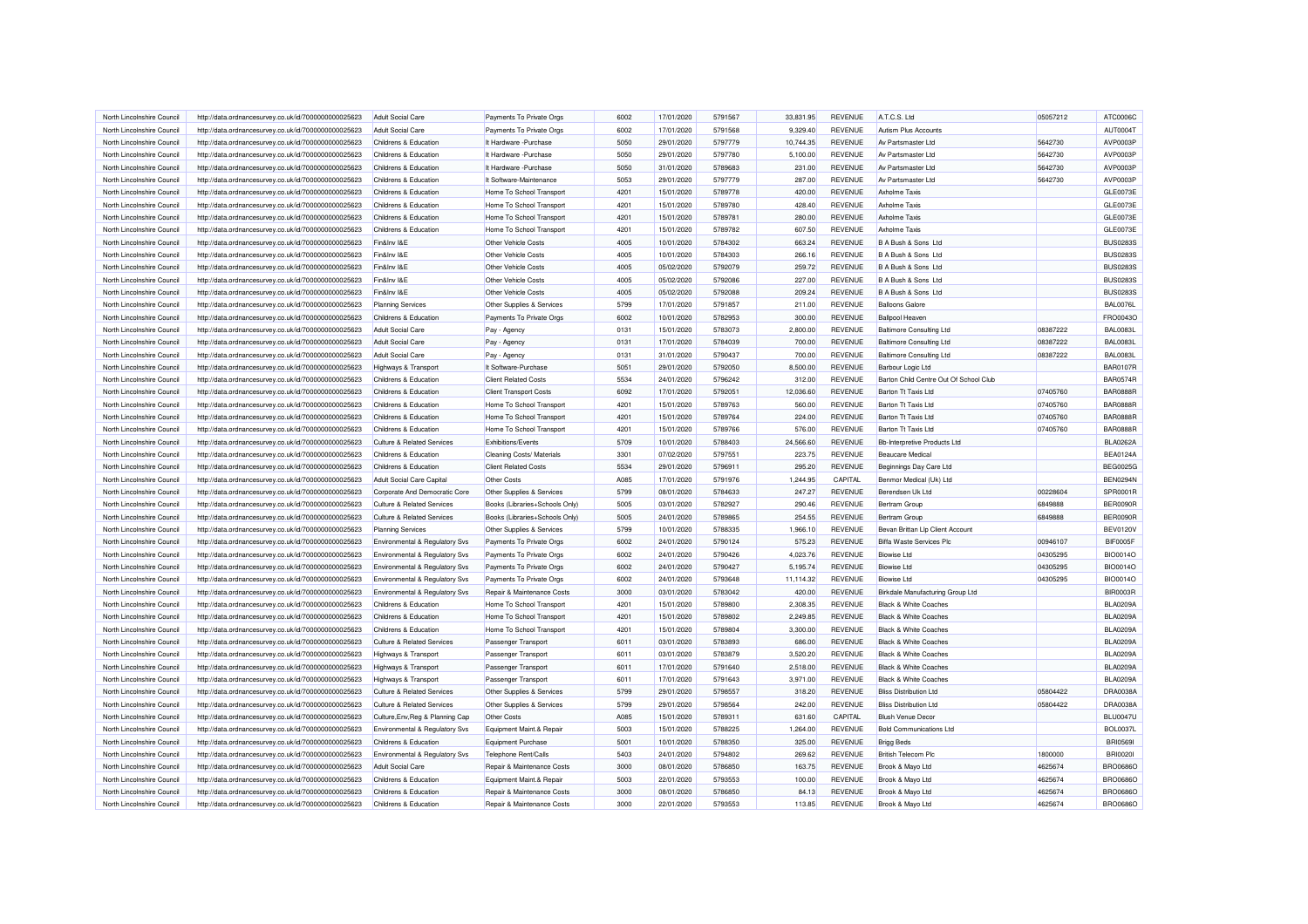| North Lincolnshire Council | http://data.ordnancesurvey.co.uk/id/7000000000025623 | Adult Social Care                     | Payments To Private Orgs       | 6002 | 17/01/2020 | 5791567 | 33,831.95 | <b>REVENUE</b> | A.T.C.S. Ltd                           | 05057212 | ATC0006C        |
|----------------------------|------------------------------------------------------|---------------------------------------|--------------------------------|------|------------|---------|-----------|----------------|----------------------------------------|----------|-----------------|
| North Lincolnshire Council | http://data.ordnancesurvey.co.uk/id/7000000000025623 | <b>Adult Social Care</b>              | Payments To Private Orgs       | 6002 | 17/01/2020 | 5791568 | 9,329.40  | <b>REVENUE</b> | Autism Plus Accounts                   |          | AUT0004T        |
| North Lincolnshire Council | http://data.ordnancesurvey.co.uk/id/7000000000025623 | Childrens & Education                 | It Hardware - Purchase         | 5050 | 29/01/2020 | 5797779 | 10,744.35 | <b>REVENUE</b> | Av Partsmaster Ltd                     | 5642730  | AVP0003P        |
| North Lincolnshire Council | http://data.ordnancesurvey.co.uk/id/7000000000025623 | Childrens & Education                 | It Hardware - Purchase         | 5050 | 29/01/2020 | 5797780 | 5,100.00  | <b>REVENUE</b> | Av Partsmaster Ltd                     | 5642730  | AVP0003P        |
| North Lincolnshire Council | http://data.ordnancesurvey.co.uk/id/7000000000025623 | Childrens & Education                 | It Hardware - Purchase         | 5050 | 31/01/2020 | 5789683 | 231.00    | <b>REVENUE</b> | Av Partsmaster Ltd                     | 5642730  | AVP0003P        |
| North Lincolnshire Council | http://data.ordnancesurvey.co.uk/id/7000000000025623 | Childrens & Education                 | It Software-Maintenance        | 5053 | 29/01/2020 | 5797779 | 287.00    | <b>REVENUE</b> | Av Partsmaster Ltd                     | 5642730  | AVP0003P        |
| North Lincolnshire Counci  | http://data.ordnancesurvey.co.uk/id/7000000000025623 | Childrens & Education                 | Home To School Transport       | 4201 | 15/01/2020 | 5789778 | 420.00    | <b>REVENUE</b> | Axholme Taxis                          |          | GLE0073E        |
| North Lincolnshire Council | http://data.ordnancesurvey.co.uk/id/7000000000025623 | Childrens & Education                 | Home To School Transport       | 4201 | 15/01/2020 | 5789780 | 428.40    | <b>REVENUE</b> | Axholme Taxis                          |          | GLE0073E        |
| North Lincolnshire Council | http://data.ordnancesurvey.co.uk/id/7000000000025623 | Childrens & Education                 | Home To School Transport       | 4201 | 15/01/2020 | 5789781 | 280.00    | <b>REVENUE</b> | <b>Axholme Taxis</b>                   |          | GLE0073E        |
| North Lincolnshire Council | http://data.ordnancesurvey.co.uk/id/7000000000025623 | Childrens & Education                 | Home To School Transport       | 4201 | 15/01/2020 | 5789782 | 607.50    | <b>REVENUE</b> | <b>Axholme Taxis</b>                   |          | GLE0073E        |
| North Lincolnshire Council | http://data.ordnancesurvey.co.uk/id/7000000000025623 | Fin&Inv I&E                           | Other Vehicle Costs            | 4005 | 10/01/2020 | 5784302 | 663.24    | <b>REVENUE</b> | B A Bush & Sons Ltd                    |          | <b>BUS0283S</b> |
| North Lincolnshire Council | http://data.ordnancesurvey.co.uk/id/7000000000025623 | Fin&Inv I&E                           | Other Vehicle Costs            | 4005 | 10/01/2020 | 5784303 | 266.16    | <b>REVENUE</b> | B A Bush & Sons Ltd                    |          | <b>BUS0283S</b> |
| North Lincolnshire Counci  | http://data.ordnancesurvey.co.uk/id/7000000000025623 | Fin&Inv I&F                           | Other Vehicle Costs            | 4005 | 05/02/2020 | 5792079 | 259.72    | <b>REVENUE</b> | B A Bush & Sons Ltd                    |          | <b>BUS0283S</b> |
| North Lincolnshire Council | http://data.ordnancesurvey.co.uk/id/7000000000025623 | Fin&Inv I&E                           | Other Vehicle Costs            | 4005 | 05/02/2020 | 5792086 | 227.00    | REVENUE        | B A Bush & Sons Ltd                    |          | <b>BUS0283S</b> |
| North Lincolnshire Council | http://data.ordnancesurvey.co.uk/id/7000000000025623 | Fin&Inv I&E                           | Other Vehicle Costs            | 4005 | 05/02/2020 | 5792088 | 209.24    | <b>REVENUE</b> | B A Bush & Sons Ltd                    |          | <b>BUS0283S</b> |
| North Lincolnshire Council | http://data.ordnancesurvey.co.uk/id/7000000000025623 | <b>Planning Services</b>              | Other Supplies & Services      | 5799 | 17/01/2020 | 5791857 | 211.00    | <b>REVENUE</b> | <b>Balloons Galore</b>                 |          | <b>BAL0076L</b> |
| North Lincolnshire Council | http://data.ordnancesurvey.co.uk/id/7000000000025623 | Childrens & Education                 | Payments To Private Orgs       | 6002 | 10/01/2020 | 5782953 | 300.00    | <b>REVENUE</b> | <b>Ballpool Heaven</b>                 |          | FRO0043O        |
| North Lincolnshire Council | http://data.ordnancesurvey.co.uk/id/7000000000025623 | <b>Adult Social Care</b>              | Pay - Agency                   | 0131 | 15/01/2020 | 5783073 | 2,800.00  | <b>REVENUE</b> | <b>Baltimore Consulting Ltd</b>        | 08387222 | <b>BAL0083L</b> |
| North Lincolnshire Council | http://data.ordnancesurvey.co.uk/id/7000000000025623 | Adult Social Care                     | Pay - Agency                   | 0131 | 17/01/2020 | 5784039 | 700.00    | <b>REVENUE</b> | <b>Baltimore Consulting Ltd</b>        | 08387222 | <b>BAL0083L</b> |
| North Lincolnshire Council | http://data.ordnancesurvey.co.uk/id/7000000000025623 | <b>Adult Social Care</b>              | Pay - Agency                   | 0131 | 31/01/2020 | 5790437 | 700.00    | <b>REVENUE</b> | <b>Baltimore Consulting Ltd</b>        | 08387222 | <b>BAL0083L</b> |
| North Lincolnshire Council | http://data.ordnancesurvey.co.uk/id/7000000000025623 | Highways & Transport                  | It Software-Purchase           | 5051 | 29/01/2020 | 5792050 | 8,500.00  | <b>REVENUE</b> | Barbour Logic Ltd                      |          | <b>BAR0107F</b> |
| North Lincolnshire Council | http://data.ordnancesurvey.co.uk/id/7000000000025623 | Childrens & Education                 | <b>Client Related Costs</b>    | 5534 | 24/01/2020 | 5796242 | 312.00    | <b>REVENUE</b> | Barton Child Centre Out Of School Club |          | <b>BAR0574F</b> |
| North Lincolnshire Council | http://data.ordnancesurvey.co.uk/id/7000000000025623 | Childrens & Education                 | <b>Client Transport Costs</b>  | 6092 | 17/01/2020 | 5792051 | 12,036.60 | <b>REVENUE</b> | <b>Barton Tt Taxis Ltd</b>             | 07405760 | <b>BAR0888F</b> |
| North Lincolnshire Council | http://data.ordnancesurvey.co.uk/id/7000000000025623 | Childrens & Education                 | Home To School Transport       | 4201 | 15/01/2020 | 5789763 | 560.00    | <b>REVENUE</b> | <b>Barton Tt Taxis Ltd</b>             | 07405760 | <b>BAR0888F</b> |
| North Lincolnshire Council | http://data.ordnancesurvey.co.uk/id/7000000000025623 | Childrens & Education                 | Home To School Transport       | 4201 | 15/01/2020 | 5789764 | 224.00    | <b>REVENUE</b> | Barton Tt Taxis Ltd                    | 07405760 | <b>BAR0888R</b> |
| North Lincolnshire Council | http://data.ordnancesurvey.co.uk/id/7000000000025623 | Childrens & Education                 | Home To School Transport       | 4201 | 15/01/2020 | 5789766 | 576.00    | <b>REVENUE</b> | <b>Barton Tt Taxis Ltd</b>             | 07405760 | <b>BAR0888F</b> |
| North Lincolnshire Council | http://data.ordnancesurvey.co.uk/id/7000000000025623 | <b>Culture &amp; Related Services</b> | Exhibitions/Events             | 5709 | 10/01/2020 | 5788403 | 24,566.60 | <b>REVENUE</b> | <b>Bb-Interpretive Products Ltd</b>    |          | <b>BLA0262A</b> |
| North Lincolnshire Council | http://data.ordnancesurvey.co.uk/id/7000000000025623 | Childrens & Education                 | Cleaning Costs/ Materials      | 3301 | 07/02/2020 | 5797551 | 223.75    | <b>REVENUE</b> | <b>Beaucare Medical</b>                |          | <b>BEA0124A</b> |
| North Lincolnshire Council | http://data.ordnancesurvey.co.uk/id/7000000000025623 | Childrens & Education                 | <b>Client Related Costs</b>    | 5534 | 29/01/2020 | 5796911 | 295.20    | <b>REVENUE</b> | Beginnings Day Care Ltd                |          | <b>BEG0025G</b> |
| North Lincolnshire Council | http://data.ordnancesurvey.co.uk/id/7000000000025623 | <b>Adult Social Care Capital</b>      | Other Costs                    | A085 | 17/01/2020 | 5791976 | 1,244.95  | CAPITAL        | Benmor Medical (Uk) Ltd                |          | <b>BEN0294N</b> |
| North Lincolnshire Council | http://data.ordnancesurvey.co.uk/id/7000000000025623 | Corporate And Democratic Core         | Other Supplies & Services      | 5799 | 08/01/2020 | 5784633 | 247.27    | <b>REVENUE</b> | Berendsen Uk Ltd                       | 00228604 | SPR0001F        |
| North Lincolnshire Council | http://data.ordnancesurvey.co.uk/id/7000000000025623 | Culture & Related Services            | Books (Libraries+Schools Only) | 5005 | 03/01/2020 | 5782927 | 290.46    | <b>REVENUE</b> | Bertram Group                          | 6849888  | BER0090F        |
| North Lincolnshire Council | http://data.ordnancesurvey.co.uk/id/7000000000025623 | <b>Culture &amp; Related Services</b> | Books (Libraries+Schools Only) | 5005 | 24/01/2020 | 5789865 | 254.55    | <b>REVENUE</b> | <b>Bertram Group</b>                   | 6849888  | BER0090F        |
| North Lincolnshire Council | http://data.ordnancesurvey.co.uk/id/7000000000025623 | <b>Planning Services</b>              | Other Supplies & Services      | 5799 | 10/01/2020 | 5788335 | 1.966.10  | <b>REVENUE</b> | Bevan Brittan Llo Client Account       |          | <b>BEV0120V</b> |
| North Lincolnshire Council | http://data.ordnancesurvey.co.uk/id/7000000000025623 | Environmental & Regulatory Svs        | Payments To Private Orgs       | 6002 | 24/01/2020 | 5790124 | 575.23    | <b>REVENUE</b> | <b>Biffa Waste Services Plc</b>        | 00946107 | BIF0005F        |
| North Lincolnshire Council | http://data.ordnancesurvey.co.uk/id/7000000000025623 | Environmental & Regulatory Svs        | Payments To Private Orgs       | 6002 | 24/01/2020 | 5790426 | 4,023.76  | <b>REVENUE</b> | <b>Biowise Ltd</b>                     | 04305295 | <b>BIO0014O</b> |
| North Lincolnshire Council | http://data.ordnancesurvey.co.uk/id/7000000000025623 | Environmental & Regulatory Svs        | Payments To Private Orgs       | 6002 | 24/01/2020 | 5790427 | 5,195.74  | <b>REVENUE</b> | <b>Biowise Ltd</b>                     | 04305295 | <b>BIO0014O</b> |
| North Lincolnshire Council | http://data.ordnancesurvey.co.uk/id/7000000000025623 | Environmental & Regulatory Svs        | Payments To Private Orgs       | 6002 | 24/01/2020 | 5793648 | 11,114.32 | <b>REVENUE</b> | <b>Biowise Ltd</b>                     | 04305295 | <b>BIO0014O</b> |
| North Lincolnshire Council | http://data.ordnancesurvey.co.uk/id/7000000000025623 | Environmental & Regulatory Svs        | Repair & Maintenance Costs     | 3000 | 03/01/2020 | 5783042 | 420.00    | <b>REVENUE</b> | Birkdale Manufacturing Group Ltd       |          | <b>BIR0003R</b> |
| North Lincolnshire Council | http://data.ordnancesurvey.co.uk/id/7000000000025623 | Childrens & Education                 | Home To School Transport       | 4201 | 15/01/2020 | 5789800 | 2.308.35  | <b>REVENUE</b> | <b>Black &amp; White Coaches</b>       |          | <b>BLA0209A</b> |
| North Lincolnshire Council | http://data.ordnancesurvey.co.uk/id/7000000000025623 | Childrens & Education                 | Home To School Transport       | 4201 | 15/01/2020 | 5789802 | 2,249.85  | REVENUE        | <b>Black &amp; White Coaches</b>       |          | <b>BLA0209A</b> |
| North Lincolnshire Council | http://data.ordnancesurvey.co.uk/id/7000000000025623 | Childrens & Education                 | Home To School Transport       | 4201 | 15/01/2020 | 5789804 | 3,300.00  | <b>REVENUE</b> | <b>Black &amp; White Coaches</b>       |          | <b>BLA0209A</b> |
| North Lincolnshire Council | http://data.ordnancesurvey.co.uk/id/7000000000025623 | Culture & Related Services            | Passenger Transport            | 6011 | 03/01/2020 | 5783893 | 686.00    | <b>REVENUE</b> | <b>Black &amp; White Coaches</b>       |          | <b>BLA0209A</b> |
| North Lincolnshire Council | http://data.ordnancesurvey.co.uk/id/7000000000025623 | Highways & Transport                  | Passenger Transport            | 6011 | 03/01/2020 | 5783879 | 3,520.20  | <b>REVENUE</b> | <b>Black &amp; White Coaches</b>       |          | <b>BLA0209A</b> |
| North Lincolnshire Council | http://data.ordnancesurvey.co.uk/id/7000000000025623 | Highways & Transport                  | Passenger Transport            | 6011 | 17/01/2020 | 5791640 | 2,518.00  | <b>REVENUE</b> | <b>Black &amp; White Coaches</b>       |          | <b>BLA0209A</b> |
| North Lincolnshire Council | http://data.ordnancesurvey.co.uk/id/7000000000025623 | <b>Highways &amp; Transport</b>       | Passenger Transport            | 6011 | 17/01/2020 | 5791643 | 3,971.00  | <b>REVENUE</b> | <b>Black &amp; White Coaches</b>       |          | <b>BLA0209A</b> |
| North Lincolnshire Council | http://data.ordnancesurvey.co.uk/id/7000000000025623 | Culture & Related Services            | Other Supplies & Services      | 5799 | 29/01/2020 | 5798557 | 318.20    | REVENUE        | <b>Bliss Distribution Ltd</b>          | 05804422 | DRA0038A        |
| North Lincolnshire Council | http://data.ordnancesurvey.co.uk/id/7000000000025623 | Culture & Related Services            | Other Supplies & Services      | 5799 | 29/01/2020 | 5798564 | 242.00    | <b>REVENUE</b> | <b>Bliss Distribution Ltd</b>          | 05804422 | DRA0038/        |
| North Lincolnshire Council | http://data.ordnancesurvey.co.uk/id/7000000000025623 | Culture, Env, Reg & Planning Cap      | Other Costs                    | A085 | 15/01/2020 | 5789311 | 631.60    | CAPITAL        | <b>Blush Venue Decor</b>               |          | <b>BLU0047U</b> |
| North Lincolnshire Council | http://data.ordnancesurvey.co.uk/id/7000000000025623 | Environmental & Regulatory Svs        | Equipment Maint.& Repair       | 5003 | 15/01/2020 | 5788225 | 1,264.00  | <b>REVENUE</b> | <b>Bold Communications Ltd</b>         |          | <b>BOL0037L</b> |
| North Lincolnshire Council | http://data.ordnancesurvey.co.uk/id/7000000000025623 | Childrens & Education                 | Equipment Purchase             | 5001 | 10/01/2020 | 5788350 | 325.00    | <b>REVENUE</b> | <b>Brigg Beds</b>                      |          | <b>BRI05691</b> |
| North Lincolnshire Council | http://data.ordnancesurvey.co.uk/id/7000000000025623 | Environmental & Regulatory Svs        | <b>Telephone Rent/Calls</b>    | 5403 | 24/01/2020 | 5794802 | 269.62    | <b>REVENUE</b> | <b>British Telecom Plc</b>             | 1800000  | <b>BRI00201</b> |
| North Lincolnshire Council | http://data.ordnancesurvey.co.uk/id/7000000000025623 | <b>Adult Social Care</b>              | Repair & Maintenance Costs     | 3000 | 08/01/2020 | 5786850 | 163.75    | <b>REVENUE</b> | Brook & Mayo Ltd                       | 4625674  | <b>BRO0686O</b> |
| North Lincolnshire Council | http://data.ordnancesurvey.co.uk/id/7000000000025623 | Childrens & Education                 | Equipment Maint.& Repair       | 5003 | 22/01/2020 | 5793553 | 100.00    | <b>REVENUE</b> | Brook & Mayo Ltd                       | 4625674  | <b>BRO06860</b> |
| North Lincolnshire Council | http://data.ordnancesurvey.co.uk/id/7000000000025623 | Childrens & Education                 | Repair & Maintenance Costs     | 3000 | 08/01/2020 | 5786850 | 84.13     | REVENUE        | Brook & Mayo Ltd                       | 4625674  | <b>BRO0686O</b> |
| North Lincolnshire Council | http://data.ordnancesurvey.co.uk/id/7000000000025623 | Childrens & Education                 | Repair & Maintenance Costs     | 3000 | 22/01/2020 | 5793553 | 113.85    | <b>REVENUE</b> | Brook & Mayo Ltd                       | 4625674  | BRO0686O        |
|                            |                                                      |                                       |                                |      |            |         |           |                |                                        |          |                 |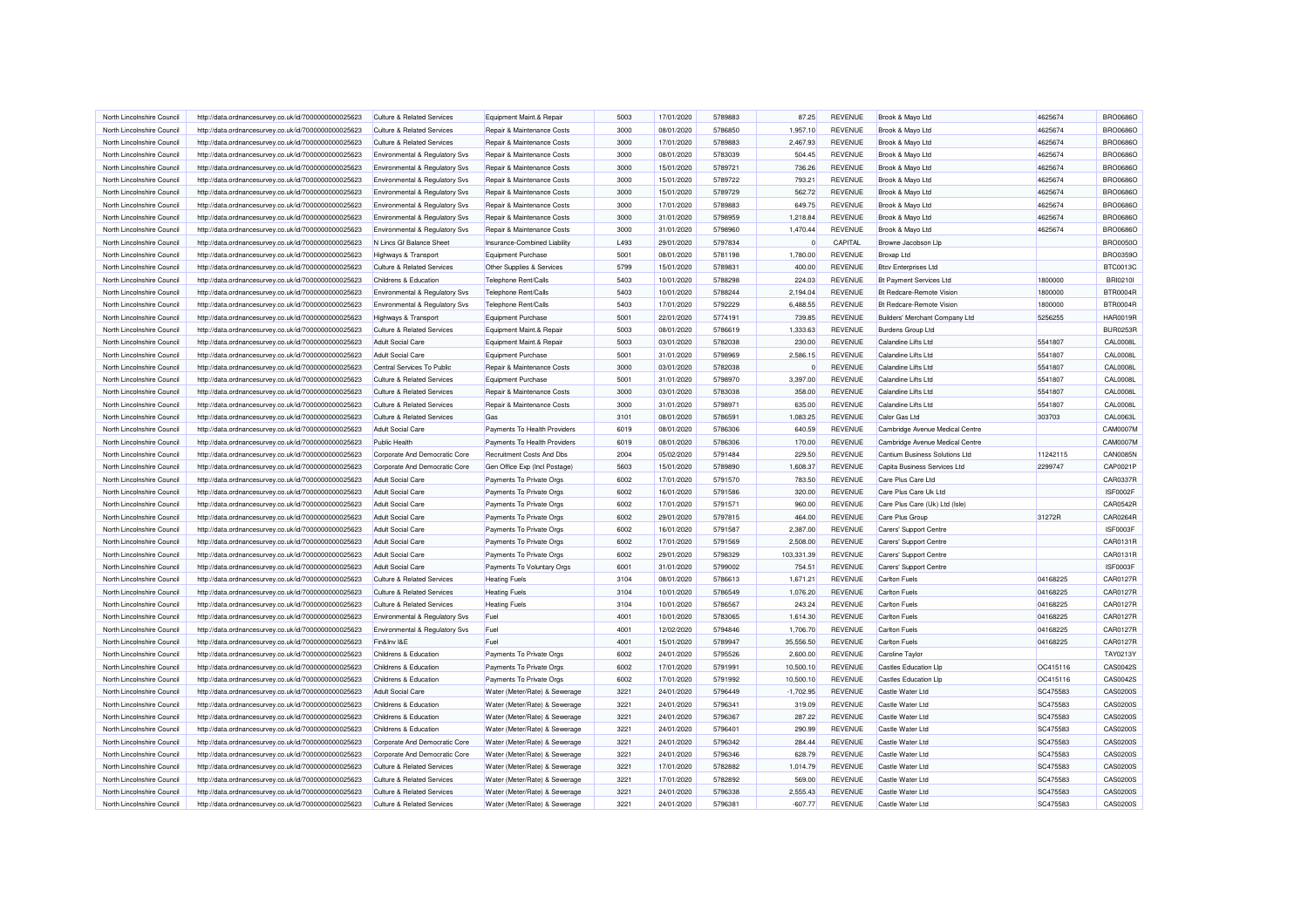| North Lincolnshire Council | http://data.ordnancesurvey.co.uk/id/7000000000025623 | Culture & Related Services            | Equipment Maint.& Repair      | 5003 | 17/01/2020 | 5789883 | 87.25          | <b>REVENUE</b> | Brook & Mayo Ltd                | 4625674  | <b>BRO0686O</b> |
|----------------------------|------------------------------------------------------|---------------------------------------|-------------------------------|------|------------|---------|----------------|----------------|---------------------------------|----------|-----------------|
| North Lincolnshire Council | http://data.ordnancesurvey.co.uk/id/7000000000025623 | Culture & Related Services            | Repair & Maintenance Costs    | 3000 | 08/01/2020 | 5786850 | 1,957.10       | <b>REVENUE</b> | Brook & Mayo Ltd                | 4625674  | <b>BRO0686O</b> |
| North Lincolnshire Counci  | http://data.ordnancesurvey.co.uk/id/7000000000025623 | Culture & Related Services            | Repair & Maintenance Costs    | 3000 | 17/01/2020 | 5789883 | 2,467.93       | <b>REVENUE</b> | Brook & Mayo Ltd                | 4625674  | <b>BRO0686O</b> |
| North Lincolnshire Council | http://data.ordnancesurvey.co.uk/id/7000000000025623 | Environmental & Regulatory Svs        | Repair & Maintenance Costs    | 3000 | 08/01/2020 | 5783039 | 504.45         | <b>REVENUE</b> | Brook & Mayo Ltd                | 4625674  | <b>BRO0686O</b> |
| North Lincolnshire Council | http://data.ordnancesurvey.co.uk/id/7000000000025623 | Environmental & Regulatory Svs        | Repair & Maintenance Costs    | 3000 | 15/01/2020 | 5789721 | 736.26         | <b>REVENUE</b> | Brook & Mayo Ltd                | 4625674  | <b>BRO0686O</b> |
| North Lincolnshire Council | http://data.ordnancesurvey.co.uk/id/7000000000025623 | Environmental & Regulatory Svs        | Repair & Maintenance Costs    | 3000 | 15/01/2020 | 5789722 | 793.21         | <b>REVENUE</b> | Brook & Mayo Ltd                | 4625674  | <b>BRO06860</b> |
| North Lincolnshire Council | http://data.ordnancesurvey.co.uk/id/7000000000025623 | Environmental & Regulatory Svs        | Repair & Maintenance Costs    | 3000 | 15/01/2020 | 5789729 | 562.72         | <b>REVENUE</b> | Brook & Mayo Ltd                | 4625674  | <b>BRO0686O</b> |
| North Lincolnshire Council | http://data.ordnancesurvey.co.uk/id/7000000000025623 | Environmental & Regulatory Sys        | Repair & Maintenance Costs    | 3000 | 17/01/2020 | 5789883 | 649.75         | <b>REVENUE</b> | Brook & Mayo Ltd                | 4625674  | <b>BRO0686O</b> |
| North Lincolnshire Council | http://data.ordnancesurvey.co.uk/id/7000000000025623 | Environmental & Regulatory Svs        | Repair & Maintenance Costs    | 3000 | 31/01/2020 | 5798959 | 1,218.84       | <b>REVENUE</b> | Brook & Mayo Ltd                | 4625674  | <b>BRO0686O</b> |
| North Lincolnshire Council | http://data.ordnancesurvey.co.uk/id/7000000000025623 | Environmental & Regulatory Svs        | Repair & Maintenance Costs    | 3000 | 31/01/2020 | 5798960 | 1,470.44       | <b>REVENUE</b> | Brook & Mayo Ltd                | 4625674  | <b>BRO0686O</b> |
| North Lincolnshire Counci  | http://data.ordnancesurvey.co.uk/id/7000000000025623 | N Lincs Gf Balance Sheet              | Insurance-Combined Liability  | L493 | 29/01/2020 | 5797834 | $\overline{0}$ | CAPITAL        | Browne Jacobson Llp             |          | <b>BRO0050O</b> |
| North Lincolnshire Counci  | http://data.ordnancesurvey.co.uk/id/7000000000025623 | Highways & Transport                  | <b>Equipment Purchase</b>     | 5001 | 08/01/2020 | 5781198 | 1,780.00       | REVENUE        | Broxap Ltd                      |          | <b>BRO0359C</b> |
| North Lincolnshire Council | http://data.ordnancesurvey.co.uk/id/7000000000025623 | Culture & Related Services            | Other Supplies & Services     | 5799 | 15/01/2020 | 5789831 | 400.00         | <b>REVENUE</b> | <b>Btcv Enterprises Ltd</b>     |          | <b>BTC0013C</b> |
| North Lincolnshire Council | http://data.ordnancesurvey.co.uk/id/7000000000025623 | Childrens & Education                 | Telephone Rent/Calls          | 5403 | 10/01/2020 | 5788298 | 224.03         | REVENUE        | <b>Bt Payment Services Ltd</b>  | 1800000  | BRI0210I        |
| North Lincolnshire Council | http://data.ordnancesurvey.co.uk/id/7000000000025623 | Environmental & Regulatory Svs        | <b>Telephone Rent/Calls</b>   | 5403 | 10/01/2020 | 5788244 | 2,194.04       | <b>REVENUE</b> | <b>Bt Redcare-Remote Vision</b> | 1800000  | BTR0004R        |
| North Lincolnshire Council | http://data.ordnancesurvey.co.uk/id/7000000000025623 | Environmental & Regulatory Svs        | <b>Telephone Rent/Calls</b>   | 5403 | 17/01/2020 | 5792229 | 6,488.55       | <b>REVENUE</b> | <b>Bt Redcare-Remote Vision</b> | 1800000  | BTR0004R        |
| North Lincolnshire Council | http://data.ordnancesurvey.co.uk/id/7000000000025623 | Highways & Transport                  | <b>Equipment Purchase</b>     | 5001 | 22/01/2020 | 5774191 | 739.85         | <b>REVENUE</b> | Builders' Merchant Company Ltd  | 5256255  | <b>HAR0019F</b> |
| North Lincolnshire Council | http://data.ordnancesurvey.co.uk/id/7000000000025623 | Culture & Related Services            | Equipment Maint.& Repair      | 5003 | 08/01/2020 | 5786619 | 1,333.63       | <b>REVENUE</b> | <b>Burdens Group Ltd</b>        |          | <b>BUR0253F</b> |
| North Lincolnshire Council | http://data.ordnancesurvey.co.uk/id/7000000000025623 | <b>Adult Social Care</b>              | Equipment Maint.& Repair      | 5003 | 03/01/2020 | 5782038 | 230.00         | <b>REVENUE</b> | Calandine Lifts Ltd             | 5541807  | <b>CAL0008L</b> |
|                            |                                                      |                                       |                               |      |            |         |                |                |                                 |          |                 |
| North Lincolnshire Council | http://data.ordnancesurvey.co.uk/id/7000000000025623 | Adult Social Care                     | <b>Equipment Purchase</b>     | 5001 | 31/01/2020 | 5798969 | 2,586.15       | <b>REVENUE</b> | Calandine Lifts Ltd             | 5541807  | <b>CAL0008L</b> |
| North Lincolnshire Counci  | http://data.ordnancesurvey.co.uk/id/7000000000025623 | Central Services To Public            | Repair & Maintenance Costs    | 3000 | 03/01/2020 | 5782038 |                | <b>REVENUE</b> | Calandine Lifts Ltd             | 5541807  | <b>CAL0008L</b> |
| North Lincolnshire Council | http://data.ordnancesurvey.co.uk/id/7000000000025623 | Culture & Related Services            | <b>Equipment Purchase</b>     | 5001 | 31/01/2020 | 5798970 | 3,397.00       | <b>REVENUE</b> | Calandine Lifts Ltd             | 5541807  | <b>CAL0008L</b> |
| North Lincolnshire Council | http://data.ordnancesurvey.co.uk/id/7000000000025623 | Culture & Related Services            | Repair & Maintenance Costs    | 3000 | 03/01/2020 | 5783038 | 358.00         | <b>REVENUE</b> | Calandine Lifts Ltd             | 5541807  | <b>CAL0008L</b> |
| North Lincolnshire Council | http://data.ordnancesurvey.co.uk/id/7000000000025623 | Culture & Related Services            | Repair & Maintenance Costs    | 3000 | 31/01/2020 | 5798971 | 635.00         | <b>REVENUE</b> | Calandine Lifts Ltd             | 5541807  | <b>CAL0008L</b> |
| North Lincolnshire Council | http://data.ordnancesurvey.co.uk/id/7000000000025623 | <b>Culture &amp; Related Services</b> | Gas                           | 3101 | 08/01/2020 | 5786591 | 1,083.25       | <b>REVENUE</b> | Calor Gas Ltd                   | 303703   | CAL0063L        |
| North Lincolnshire Council | http://data.ordnancesurvey.co.uk/id/7000000000025623 | <b>Adult Social Care</b>              | Payments To Health Providers  | 6019 | 08/01/2020 | 5786306 | 640.59         | REVENUE        | Cambridge Avenue Medical Centre |          | CAM0007M        |
| North Lincolnshire Council | http://data.ordnancesurvey.co.uk/id/7000000000025623 | <b>Public Health</b>                  | Payments To Health Providers  | 6019 | 08/01/2020 | 5786306 | 170.00         | <b>REVENUE</b> | Cambridge Avenue Medical Centre |          | CAM0007M        |
| North Lincolnshire Council | http://data.ordnancesurvey.co.uk/id/7000000000025623 | Corporate And Democratic Core         | Recruitment Costs And Dbs     | 2004 | 05/02/2020 | 5791484 | 229.50         | <b>REVENUE</b> | Cantium Business Solutions Ltd  | 11242115 | CAN0085N        |
| North Lincolnshire Council | http://data.ordnancesurvey.co.uk/id/7000000000025623 | Corporate And Democratic Core         | Gen Office Exp (Incl Postage) | 5603 | 15/01/2020 | 5789890 | 1,608.37       | <b>REVENUE</b> | Capita Business Services Ltd    | 2299747  | CAP0021F        |
| North Lincolnshire Counci  | http://data.ordnancesurvey.co.uk/id/7000000000025623 | Adult Social Care                     | Payments To Private Orgs      | 6002 | 17/01/2020 | 5791570 | 783.50         | <b>REVENUE</b> | Care Plus Care Ltd              |          | CAR0337R        |
| North Lincolnshire Council | http://data.ordnancesurvey.co.uk/id/7000000000025623 | <b>Adult Social Care</b>              | Payments To Private Orgs      | 6002 | 16/01/2020 | 5791586 | 320.00         | <b>REVENUE</b> | Care Plus Care Uk Ltd           |          | ISF0002F        |
| North Lincolnshire Council | http://data.ordnancesurvey.co.uk/id/7000000000025623 | <b>Adult Social Care</b>              | Payments To Private Orgs      | 6002 | 17/01/2020 | 5791571 | 960.00         | <b>REVENUE</b> | Care Plus Care (Uk) Ltd (Isle)  |          | CAR0542R        |
| North Lincolnshire Council | http://data.ordnancesurvey.co.uk/id/7000000000025623 | <b>Adult Social Care</b>              | Payments To Private Orgs      | 6002 | 29/01/2020 | 5797815 | 464.00         | <b>REVENUE</b> | Care Plus Group                 | 31272R   | CAR0264F        |
| North Lincolnshire Council | http://data.ordnancesurvey.co.uk/id/7000000000025623 | <b>Adult Social Care</b>              | Payments To Private Orgs      | 6002 | 16/01/2020 | 5791587 | 2,387.00       | <b>REVENUE</b> | Carers' Support Centre          |          | ISF0003F        |
| North Lincolnshire Council | http://data.ordnancesurvey.co.uk/id/7000000000025623 | <b>Adult Social Care</b>              | Payments To Private Orgs      | 6002 | 17/01/2020 | 5791569 | 2,508.00       | <b>REVENUE</b> | Carers' Support Centre          |          | CAR0131F        |
| North Lincolnshire Council | http://data.ordnancesurvey.co.uk/id/7000000000025623 | <b>Adult Social Care</b>              | Payments To Private Orgs      | 6002 | 29/01/2020 | 5798329 | 103,331.39     | <b>REVENUE</b> | Carers' Support Centre          |          | CAR0131F        |
| North Lincolnshire Council | http://data.ordnancesurvey.co.uk/id/7000000000025623 | <b>Adult Social Care</b>              | Payments To Voluntary Orgs    | 6001 | 31/01/2020 | 5799002 | 754.51         | <b>REVENUE</b> | Carers' Support Centre          |          | ISF0003F        |
| North Lincolnshire Council | http://data.ordnancesurvey.co.uk/id/7000000000025623 | Culture & Related Services            | <b>Heating Fuels</b>          | 3104 | 08/01/2020 | 5786613 | 1,671.21       | <b>REVENUE</b> | <b>Carlton Fuels</b>            | 04168225 | CAR0127F        |
| North Lincolnshire Council | http://data.ordnancesurvey.co.uk/id/7000000000025623 | Culture & Related Services            | <b>Heating Fuels</b>          | 3104 | 10/01/2020 | 5786549 | 1,076.20       | REVENUE        | <b>Carlton Fuels</b>            | 04168225 | CAR0127F        |
| North Lincolnshire Council | http://data.ordnancesurvey.co.uk/id/7000000000025623 | <b>Culture &amp; Related Services</b> | <b>Heating Fuels</b>          | 3104 | 10/01/2020 | 5786567 | 243.24         | <b>REVENUE</b> | <b>Carlton Fuels</b>            | 04168225 | CAR0127R        |
| North Lincolnshire Council | http://data.ordnancesurvey.co.uk/id/7000000000025623 | Environmental & Regulatory Svs        | Fuel                          | 4001 | 10/01/2020 | 5783065 | 1,614.30       | <b>REVENUE</b> | <b>Carlton Fuels</b>            | 04168225 | CAR0127R        |
| North Lincolnshire Council | http://data.ordnancesurvey.co.uk/id/7000000000025623 | Environmental & Regulatory Svs        | Fuel                          | 4001 | 12/02/2020 | 5794846 | 1,706.70       | <b>REVENUE</b> | <b>Carlton Fuels</b>            | 04168225 | <b>CAR0127F</b> |
| North Lincolnshire Council | http://data.ordnancesurvey.co.uk/id/7000000000025623 | Fin&Inv I&F                           | Fuel                          | 4001 | 15/01/2020 | 5789947 | 35,556.50      | <b>REVENUE</b> | <b>Carlton Fuels</b>            | 04168225 | <b>CAR0127R</b> |
| North Lincolnshire Council | http://data.ordnancesurvey.co.uk/id/7000000000025623 | Childrens & Education                 | Payments To Private Orgs      | 6002 | 24/01/2020 | 5795526 | 2,600.00       | REVENUE        | Caroline Taylor                 |          | TAY0213Y        |
| North Lincolnshire Council | http://data.ordnancesurvey.co.uk/id/7000000000025623 | Childrens & Education                 | Payments To Private Orgs      | 6002 | 17/01/2020 | 5791991 | 10,500.10      | <b>REVENUE</b> | Castles Education Llp           | OC415116 | CAS0042S        |
| North Lincolnshire Council | http://data.ordnancesurvey.co.uk/id/7000000000025623 | Childrens & Education                 | Payments To Private Orgs      | 6002 | 17/01/2020 | 5791992 | 10,500.10      | <b>REVENUE</b> | Castles Education Llp           | OC415116 | CAS0042S        |
| North Lincolnshire Council | http://data.ordnancesurvey.co.uk/id/7000000000025623 | Adult Social Care                     | Water (Meter/Rate) & Sewerage | 3221 | 24/01/2020 | 5796449 | $-1,702.95$    | REVENUE        | Castle Water Ltd                | SC475583 | CAS0200S        |
| North Lincolnshire Counci  | http://data.ordnancesurvey.co.uk/id/7000000000025623 | Childrens & Education                 | Water (Meter/Rate) & Sewerage | 3221 | 24/01/2020 | 5796341 | 319.09         | <b>REVENUE</b> | Castle Water Ltd                | SC475583 | CAS0200S        |
| North Lincolnshire Council | http://data.ordnancesurvey.co.uk/id/7000000000025623 | Childrens & Education                 | Water (Meter/Rate) & Sewerage | 3221 | 24/01/2020 | 5796367 | 287.22         | REVENUE        | Castle Water Ltd                | SC475583 | CAS0200S        |
| North Lincolnshire Council | http://data.ordnancesurvey.co.uk/id/7000000000025623 | Childrens & Education                 | Water (Meter/Rate) & Sewerage | 3221 | 24/01/2020 | 5796401 | 290.99         | <b>REVENUE</b> | Castle Water Ltd                | SC475583 | CAS0200S        |
| North Lincolnshire Council | http://data.ordnancesurvey.co.uk/id/7000000000025623 | Corporate And Democratic Core         | Water (Meter/Rate) & Sewerage | 3221 | 24/01/2020 | 5796342 | 284.44         | <b>REVENUE</b> | Castle Water Ltd                | SC475583 | <b>CAS0200S</b> |
| North Lincolnshire Council | http://data.ordnancesurvey.co.uk/id/7000000000025623 | Corporate And Democratic Core         | Water (Meter/Rate) & Sewerage | 3221 | 24/01/2020 | 5796346 | 628.79         | <b>REVENUE</b> | Castle Water Ltd                | SC475583 | CAS0200S        |
| North Lincolnshire Council | http://data.ordnancesurvey.co.uk/id/7000000000025623 | Culture & Related Services            | Water (Meter/Rate) & Sewerage | 3221 | 17/01/2020 | 5782882 | 1,014.79       | <b>REVENUE</b> | Castle Water Ltd                | SC475583 | CAS0200S        |
| North Lincolnshire Council | http://data.ordnancesurvey.co.uk/id/7000000000025623 | <b>Culture &amp; Related Services</b> | Water (Meter/Rate) & Sewerage | 3221 | 17/01/2020 | 5782892 | 569.00         | <b>REVENUE</b> | Castle Water Ltd                | SC475583 | <b>CAS0200S</b> |
| North Lincolnshire Council | http://data.ordnancesurvey.co.uk/id/7000000000025623 | Culture & Related Services            | Water (Meter/Rate) & Sewerage | 3221 | 24/01/2020 | 5796338 | 2.555.43       | <b>REVENUE</b> | Castle Water Ltd                | SC475583 | CAS0200S        |
| North Lincolnshire Council | http://data.ordnancesurvey.co.uk/id/7000000000025623 | Culture & Related Services            | Water (Meter/Rate) & Sewerage | 3221 | 24/01/2020 | 5796381 | $-607.77$      | <b>REVENUE</b> | Castle Water Ltd                | SC475583 | CAS0200S        |
|                            |                                                      |                                       |                               |      |            |         |                |                |                                 |          |                 |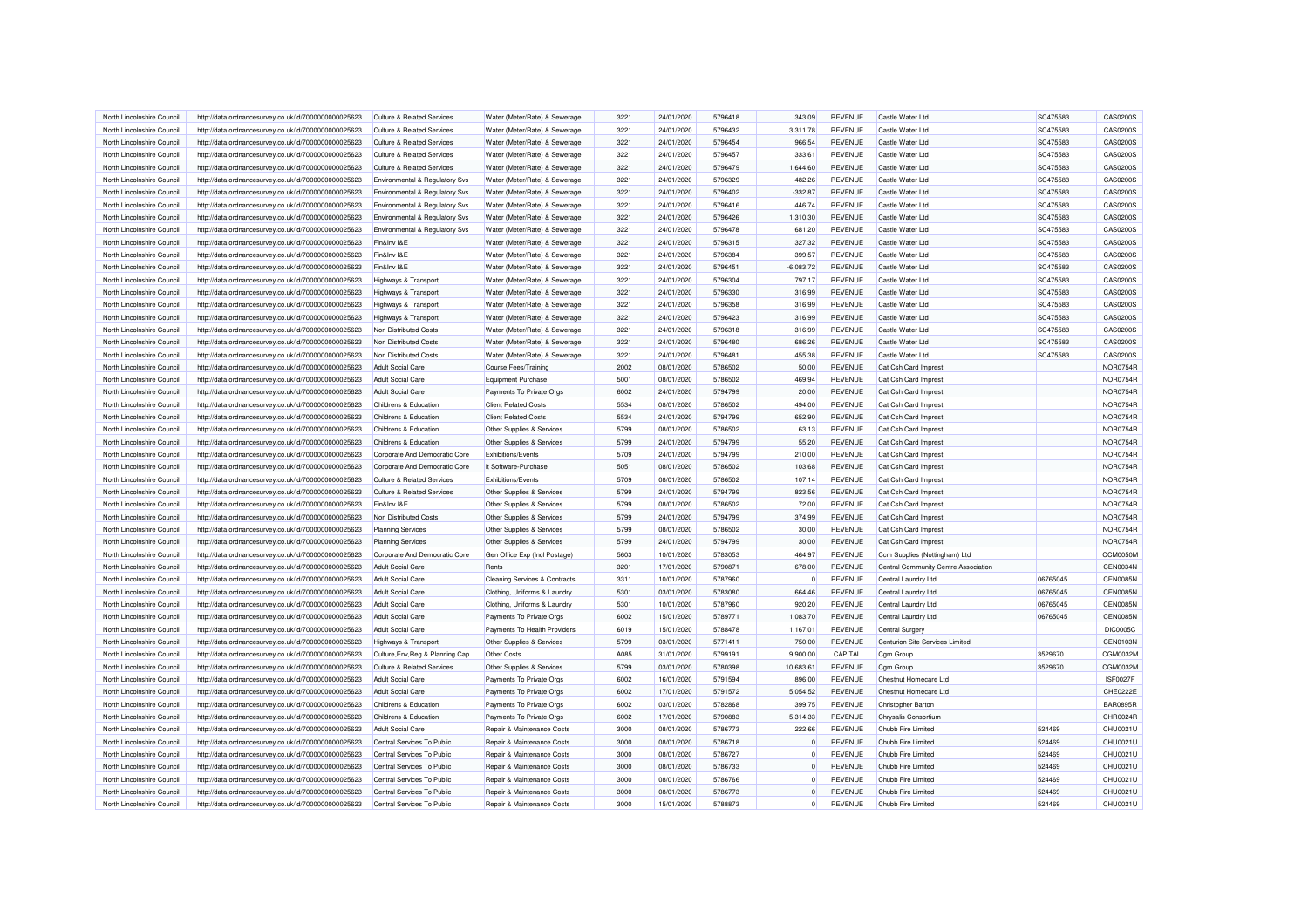| North Lincolnshire Council | http://data.ordnancesurvey.co.uk/id/7000000000025623                                                         | Culture & Related Services            | Water (Meter/Rate) & Sewerage            | 3221 | 24/01/2020 | 5796418 | 343.09         | <b>REVENUE</b> | Castle Water Ltd                     | SC475583 | CAS0200S        |
|----------------------------|--------------------------------------------------------------------------------------------------------------|---------------------------------------|------------------------------------------|------|------------|---------|----------------|----------------|--------------------------------------|----------|-----------------|
| North Lincolnshire Council | http://data.ordnancesurvey.co.uk/id/7000000000025623                                                         | Culture & Related Services            | Water (Meter/Rate) & Sewerage            | 3221 | 24/01/2020 | 5796432 | 3,311.78       | <b>REVENUE</b> | Castle Water Ltd                     | SC475583 | CAS0200S        |
| North Lincolnshire Counci  | http://data.ordnancesurvey.co.uk/id/7000000000025623                                                         | Culture & Related Services            | Water (Meter/Rate) & Sewerage            | 3221 | 24/01/2020 | 5796454 | 966.54         | <b>REVENUE</b> | Castle Water Ltd                     | SC475583 | CAS0200S        |
| North Lincolnshire Council | http://data.ordnancesurvey.co.uk/id/7000000000025623                                                         | Culture & Related Services            | Water (Meter/Rate) & Sewerage            | 3221 | 24/01/2020 | 5796457 | 333.61         | <b>REVENUE</b> | Castle Water Ltd                     | SC475583 | CAS0200S        |
| North Lincolnshire Council | http://data.ordnancesurvey.co.uk/id/7000000000025623                                                         | Culture & Related Services            | Water (Meter/Rate) & Sewerage            | 3221 | 24/01/2020 | 5796479 | 1,644.60       | <b>REVENUE</b> | Castle Water Ltd                     | SC475583 | CAS0200S        |
| North Lincolnshire Council | http://data.ordnancesurvey.co.uk/id/7000000000025623                                                         | Environmental & Regulatory Svs        | Water (Meter/Rate) & Sewerage            | 3221 | 24/01/2020 | 5796329 | 482.26         | <b>REVENUE</b> | Castle Water Ltd                     | SC475583 | CAS02005        |
| North Lincolnshire Council | http://data.ordnancesurvey.co.uk/id/7000000000025623                                                         | Environmental & Regulatory Svs        | Water (Meter/Rate) & Sewerage            | 3221 | 24/01/2020 | 5796402 | $-332.87$      | <b>REVENUE</b> | Castle Water Ltd                     | SC475583 | CAS0200S        |
| North Lincolnshire Council | http://data.ordnancesurvey.co.uk/id/7000000000025623                                                         | Environmental & Regulatory Svs        | Water (Meter/Rate) & Sewerage            | 3221 | 24/01/2020 | 5796416 | 446.74         | <b>REVENUE</b> | Castle Water Ltd                     | SC475583 | CAS0200S        |
| North Lincolnshire Council | http://data.ordnancesurvey.co.uk/id/7000000000025623                                                         | Environmental & Regulatory Svs        | Water (Meter/Rate) & Sewerage            | 3221 | 24/01/2020 | 5796426 | 1,310.30       | <b>REVENUE</b> | Castle Water Ltd                     | SC475583 | CAS02005        |
| North Lincolnshire Council | http://data.ordnancesurvey.co.uk/id/7000000000025623                                                         | Environmental & Regulatory Svs        | Water (Meter/Rate) & Sewerage            | 3221 | 24/01/2020 | 5796478 | 681.20         | <b>REVENUE</b> | Castle Water Ltd                     | SC475583 | CAS0200S        |
|                            |                                                                                                              |                                       |                                          |      |            |         |                |                | Castle Water Ltd                     |          |                 |
| North Lincolnshire Council | http://data.ordnancesurvey.co.uk/id/7000000000025623                                                         | Fin&Inv I&E                           | Water (Meter/Rate) & Sewerage            | 3221 | 24/01/2020 | 5796315 | 327.32         | <b>REVENUE</b> |                                      | SC475583 | CAS0200S        |
| North Lincolnshire Council | http://data.ordnancesurvey.co.uk/id/7000000000025623                                                         | Fin&Inv I&E                           | Water (Meter/Rate) & Sewerage            | 3221 | 24/01/2020 | 5796384 | 399.57         | <b>REVENUE</b> | Castle Water Ltd                     | SC475583 | CAS02005        |
| North Lincolnshire Council | http://data.ordnancesurvey.co.uk/id/7000000000025623                                                         | Fin&Inv I&F                           | Water (Meter/Rate) & Sewerage            | 3221 | 24/01/2020 | 5796451 | $-6.083.72$    | <b>REVENUE</b> | Castle Water I td                    | SC475583 | CAS0200S        |
| North Lincolnshire Council | http://data.ordnancesurvey.co.uk/id/7000000000025623                                                         | Highways & Transport                  | Water (Meter/Rate) & Sewerage            | 3221 | 24/01/2020 | 5796304 | 797.17         | <b>REVENUE</b> | Castle Water Ltd                     | SC475583 | CAS0200S        |
| North Lincolnshire Council | http://data.ordnancesurvey.co.uk/id/7000000000025623                                                         | <b>Highways &amp; Transport</b>       | Water (Meter/Rate) & Sewerage            | 3221 | 24/01/2020 | 5796330 | 316.99         | <b>REVENUE</b> | Castle Water Ltd                     | SC475583 | CAS02005        |
| North Lincolnshire Council | http://data.ordnancesurvey.co.uk/id/7000000000025623                                                         | Highways & Transport                  | Water (Meter/Rate) & Sewerage            | 3221 | 24/01/2020 | 5796358 | 316.99         | <b>REVENUE</b> | Castle Water Ltd                     | SC475583 | CAS0200S        |
| North Lincolnshire Council | http://data.ordnancesurvey.co.uk/id/7000000000025623                                                         | Highways & Transport                  | Water (Meter/Rate) & Sewerage            | 3221 | 24/01/2020 | 5796423 | 316.99         | <b>REVENUE</b> | Castle Water Ltd                     | SC475583 | CAS0200S        |
| North Lincolnshire Council | http://data.ordnancesurvey.co.uk/id/7000000000025623                                                         | Non Distributed Costs                 | Water (Meter/Rate) & Sewerage            | 3221 | 24/01/2020 | 5796318 | 316.99         | <b>REVENUE</b> | Castle Water Ltd                     | SC475583 | CAS02005        |
| North Lincolnshire Council | http://data.ordnancesurvey.co.uk/id/7000000000025623                                                         | Non Distributed Costs                 | Water (Meter/Rate) & Sewerage            | 3221 | 24/01/2020 | 5796480 | 686.26         | <b>REVENUE</b> | Castle Water Ltd                     | SC475583 | CAS0200S        |
| North Lincolnshire Council | http://data.ordnancesurvey.co.uk/id/7000000000025623                                                         | Non Distributed Costs                 | Water (Meter/Rate) & Sewerage            | 3221 | 24/01/2020 | 5796481 | 455.38         | <b>REVENUE</b> | Castle Water Ltd                     | SC475583 | CAS0200S        |
| North Lincolnshire Council | http://data.ordnancesurvey.co.uk/id/7000000000025623                                                         | <b>Adult Social Care</b>              | Course Fees/Training                     | 2002 | 08/01/2020 | 5786502 | 50.00          | <b>REVENUE</b> | Cat Csh Card Imprest                 |          | NOR0754F        |
| North Lincolnshire Council | http://data.ordnancesurvey.co.uk/id/7000000000025623                                                         | <b>Adult Social Care</b>              | <b>Equipment Purchase</b>                | 5001 | 08/01/2020 | 5786502 | 469.94         | <b>REVENUE</b> | Cat Csh Card Imprest                 |          | <b>NOR0754R</b> |
| North Lincolnshire Council | http://data.ordnancesurvey.co.uk/id/7000000000025623                                                         | <b>Adult Social Care</b>              | Payments To Private Orgs                 | 6002 | 24/01/2020 | 5794799 | 20.00          | <b>REVENUE</b> | Cat Csh Card Imprest                 |          | NOR0754F        |
| North Lincolnshire Council | http://data.ordnancesurvey.co.uk/id/7000000000025623                                                         | Childrens & Education                 | <b>Client Related Costs</b>              | 5534 | 08/01/2020 | 5786502 | 494.00         | <b>REVENUE</b> | Cat Csh Card Imprest                 |          | NOR0754F        |
| North Lincolnshire Council | http://data.ordnancesurvey.co.uk/id/7000000000025623                                                         | Childrens & Education                 | <b>Client Related Costs</b>              | 5534 | 24/01/2020 | 5794799 | 652.90         | <b>REVENUE</b> | Cat Csh Card Imprest                 |          | <b>NOR0754R</b> |
| North Lincolnshire Council | http://data.ordnancesurvey.co.uk/id/7000000000025623                                                         | Childrens & Education                 | Other Supplies & Services                | 5799 | 08/01/2020 | 5786502 | 63.13          | <b>REVENUE</b> | Cat Csh Card Imprest                 |          | NOR0754R        |
| North Lincolnshire Council | http://data.ordnancesurvey.co.uk/id/7000000000025623                                                         | Childrens & Education                 | Other Supplies & Services                | 5799 | 24/01/2020 | 5794799 | 55.20          | <b>REVENUE</b> | Cat Csh Card Imprest                 |          | NOR0754F        |
| North Lincolnshire Council | http://data.ordnancesurvey.co.uk/id/7000000000025623                                                         | Corporate And Democratic Core         | <b>Exhibitions/Events</b>                | 5709 | 24/01/2020 | 5794799 | 210.00         | <b>REVENUE</b> | Cat Csh Card Imprest                 |          | <b>NOR0754R</b> |
| North Lincolnshire Council | http://data.ordnancesurvey.co.uk/id/7000000000025623                                                         | Corporate And Democratic Core         | It Software-Purchase                     | 5051 | 08/01/2020 | 5786502 | 103.68         | <b>REVENUE</b> | Cat Csh Card Imprest                 |          | NOR0754F        |
| North Lincolnshire Council | http://data.ordnancesurvey.co.uk/id/7000000000025623                                                         | <b>Culture &amp; Related Services</b> | <b>Exhibitions/Events</b>                | 5709 | 08/01/2020 | 5786502 | 107.14         | <b>REVENUE</b> | Cat Csh Card Imprest                 |          | <b>NOR0754R</b> |
| North Lincolnshire Council | http://data.ordnancesurvey.co.uk/id/7000000000025623                                                         | Culture & Related Services            | Other Supplies & Services                | 5799 | 24/01/2020 | 5794799 | 823.56         | <b>REVENUE</b> | Cat Csh Card Imprest                 |          | <b>NOR0754R</b> |
| North Lincolnshire Council | http://data.ordnancesurvey.co.uk/id/7000000000025623                                                         | Fin&Inv I&E                           | Other Supplies & Services                | 5799 | 08/01/2020 | 5786502 | 72.00          | <b>REVENUE</b> | Cat Csh Card Imprest                 |          | NOR0754R        |
| North Lincolnshire Council |                                                                                                              |                                       |                                          | 5799 | 24/01/2020 | 5794799 | 374.99         | <b>REVENUE</b> |                                      |          | <b>NOR0754R</b> |
|                            | http://data.ordnancesurvey.co.uk/id/7000000000025623                                                         | Non Distributed Costs                 | Other Supplies & Services                |      |            |         |                |                | Cat Csh Card Imprest                 |          |                 |
| North Lincolnshire Council | http://data.ordnancesurvey.co.uk/id/7000000000025623                                                         | <b>Planning Services</b>              | Other Supplies & Services                | 5799 | 08/01/2020 | 5786502 | 30.00          | <b>REVENUE</b> | Cat Csh Card Imprest                 |          | <b>NOR0754R</b> |
| North Lincolnshire Council | http://data.ordnancesurvey.co.uk/id/7000000000025623                                                         | <b>Planning Services</b>              | Other Supplies & Services                | 5799 | 24/01/2020 | 5794799 | 30.00          | <b>REVENUE</b> | Cat Csh Card Imprest                 |          | <b>NOR0754R</b> |
| North Lincolnshire Council | http://data.ordnancesurvey.co.uk/id/7000000000025623                                                         | Corporate And Democratic Core         | Gen Office Exp (Incl Postage)            | 5603 | 10/01/2020 | 5783053 | 464.97         | <b>REVENUE</b> | Ccm Supplies (Nottingham) Ltd        |          | CCM0050M        |
| North Lincolnshire Counci  | http://data.ordnancesurvey.co.uk/id/7000000000025623                                                         | <b>Adult Social Care</b>              | Rents                                    | 3201 | 17/01/2020 | 5790871 | 678.00         | <b>REVENUE</b> | Central Community Centre Association |          | CEN0034N        |
| North Lincolnshire Council | http://data.ordnancesurvey.co.uk/id/7000000000025623                                                         | <b>Adult Social Care</b>              | <b>Cleaning Services &amp; Contracts</b> | 3311 | 10/01/2020 | 5787960 | $\overline{0}$ | <b>REVENUE</b> | Central Laundry Ltd                  | 06765045 | <b>CEN0085N</b> |
| North Lincolnshire Council | http://data.ordnancesurvey.co.uk/id/7000000000025623                                                         | <b>Adult Social Care</b>              | Clothing, Uniforms & Laundry             | 5301 | 03/01/2020 | 5783080 | 664.46         | <b>REVENUE</b> | Central Laundry Ltd                  | 06765045 | <b>CEN0085N</b> |
| North Lincolnshire Council | http://data.ordnancesurvey.co.uk/id/7000000000025623                                                         | <b>Adult Social Care</b>              | Clothing, Uniforms & Laundry             | 5301 | 10/01/2020 | 5787960 | 920.20         | <b>REVENUE</b> | Central Laundry Ltd                  | 06765045 | <b>CEN0085N</b> |
| North Lincolnshire Council | http://data.ordnancesurvey.co.uk/id/7000000000025623                                                         | Adult Social Care                     | Payments To Private Orgs                 | 6002 | 15/01/2020 | 5789771 | 1,083.70       | <b>REVENUE</b> | Central Laundry Ltd                  | 06765045 | <b>CEN0085N</b> |
| North Lincolnshire Council | http://data.ordnancesurvey.co.uk/id/7000000000025623                                                         | <b>Adult Social Care</b>              | Payments To Health Providers             | 6019 | 15/01/2020 | 5788478 | 1,167.01       | <b>REVENUE</b> | <b>Central Surgery</b>               |          | <b>DIC0005C</b> |
| North Lincolnshire Counci  | http://data.ordnancesurvey.co.uk/id/7000000000025623                                                         | Highways & Transport                  | Other Supplies & Services                | 5799 | 03/01/2020 | 5771411 | 750.00         | <b>REVENUE</b> | Centurion Site Services Limited      |          | <b>CEN0103N</b> |
| North Lincolnshire Council | http://data.ordnancesurvey.co.uk/id/7000000000025623                                                         | Culture, Env, Reg & Planning Cap      | Other Costs                              | A085 | 31/01/2020 | 5799191 | 9,900.00       | CAPITAL        | Cam Group                            | 3529670  | CGM0032M        |
| North Lincolnshire Council | http://data.ordnancesurvey.co.uk/id/7000000000025623                                                         | <b>Culture &amp; Related Services</b> | Other Supplies & Services                | 5799 | 03/01/2020 | 5780398 | 10,683.61      | <b>REVENUE</b> | Cgm Group                            | 3529670  | CGM0032M        |
| North Lincolnshire Counci  | http://data.ordnancesurvey.co.uk/id/7000000000025623                                                         | <b>Adult Social Care</b>              | Payments To Private Orgs                 | 6002 | 16/01/2020 | 5791594 | 896.00         | <b>REVENUE</b> | Chestnut Homecare Ltd                |          | ISF0027F        |
| North Lincolnshire Council | http://data.ordnancesurvey.co.uk/id/7000000000025623                                                         | <b>Adult Social Care</b>              | Payments To Private Orgs                 | 6002 | 17/01/2020 | 5791572 | 5,054.52       | <b>REVENUE</b> | Chestnut Homecare Ltd                |          | CHE0222E        |
| North Lincolnshire Council | http://data.ordnancesurvey.co.uk/id/7000000000025623                                                         | Childrens & Education                 | Payments To Private Orgs                 | 6002 | 03/01/2020 | 5782868 | 399.75         | <b>REVENUE</b> | Christopher Barton                   |          | <b>BAR0895R</b> |
| North Lincolnshire Council | http://data.ordnancesurvey.co.uk/id/7000000000025623                                                         | Childrens & Education                 | Payments To Private Orgs                 | 6002 | 17/01/2020 | 5790883 | 5,314.33       | <b>REVENUE</b> | Chrysalis Consortium                 |          | CHR0024R        |
| North Lincolnshire Council | http://data.ordnancesurvey.co.uk/id/7000000000025623                                                         | <b>Adult Social Care</b>              | Repair & Maintenance Costs               | 3000 | 08/01/2020 | 5786773 | 222.66         | <b>REVENUE</b> | Chubb Fire Limited                   | 524469   | CHU0021U        |
| North Lincolnshire Council | http://data.ordnancesurvey.co.uk/id/7000000000025623                                                         | Central Services To Public            | Repair & Maintenance Costs               | 3000 | 08/01/2020 | 5786718 | $\Omega$       | <b>REVENUE</b> | Chubb Fire Limited                   | 524469   | CHU0021U        |
| North Lincolnshire Council | http://data.ordnancesurvey.co.uk/id/7000000000025623                                                         | Central Services To Public            | Repair & Maintenance Costs               | 3000 | 08/01/2020 | 5786727 | $\circ$        | <b>REVENUE</b> | Chubb Fire Limited                   | 524469   | CHU0021U        |
| North Lincolnshire Council | http://data.ordnancesurvey.co.uk/id/7000000000025623                                                         | Central Services To Public            | Repair & Maintenance Costs               | 3000 | 08/01/2020 | 5786733 | $\sqrt{2}$     | <b>REVENUE</b> | Chubb Fire Limited                   | 524469   | CHU0021U        |
| North Lincolnshire Council |                                                                                                              | Central Services To Public            | Repair & Maintenance Costs               | 3000 | 08/01/2020 | 5786766 | $\Omega$       | <b>REVENUE</b> | Chubb Fire Limited                   | 524469   | CHU0021L        |
| North Lincolnshire Council | http://data.ordnancesurvey.co.uk/id/7000000000025623<br>http://data.ordnancesurvey.co.uk/id/7000000000025623 | Central Services To Public            | Repair & Maintenance Costs               | 3000 | 08/01/2020 | 5786773 | $\Omega$       | <b>REVENUE</b> | Chubb Fire Limited                   | 524469   | CHU0021U        |
|                            |                                                                                                              |                                       |                                          | 3000 | 15/01/2020 | 5788873 | $\sqrt{2}$     | <b>REVENUE</b> |                                      | 524469   | CHU0021U        |
| North Lincolnshire Council | http://data.ordnancesurvey.co.uk/id/7000000000025623                                                         | Central Services To Public            | Repair & Maintenance Costs               |      |            |         |                |                | Chubb Fire Limited                   |          |                 |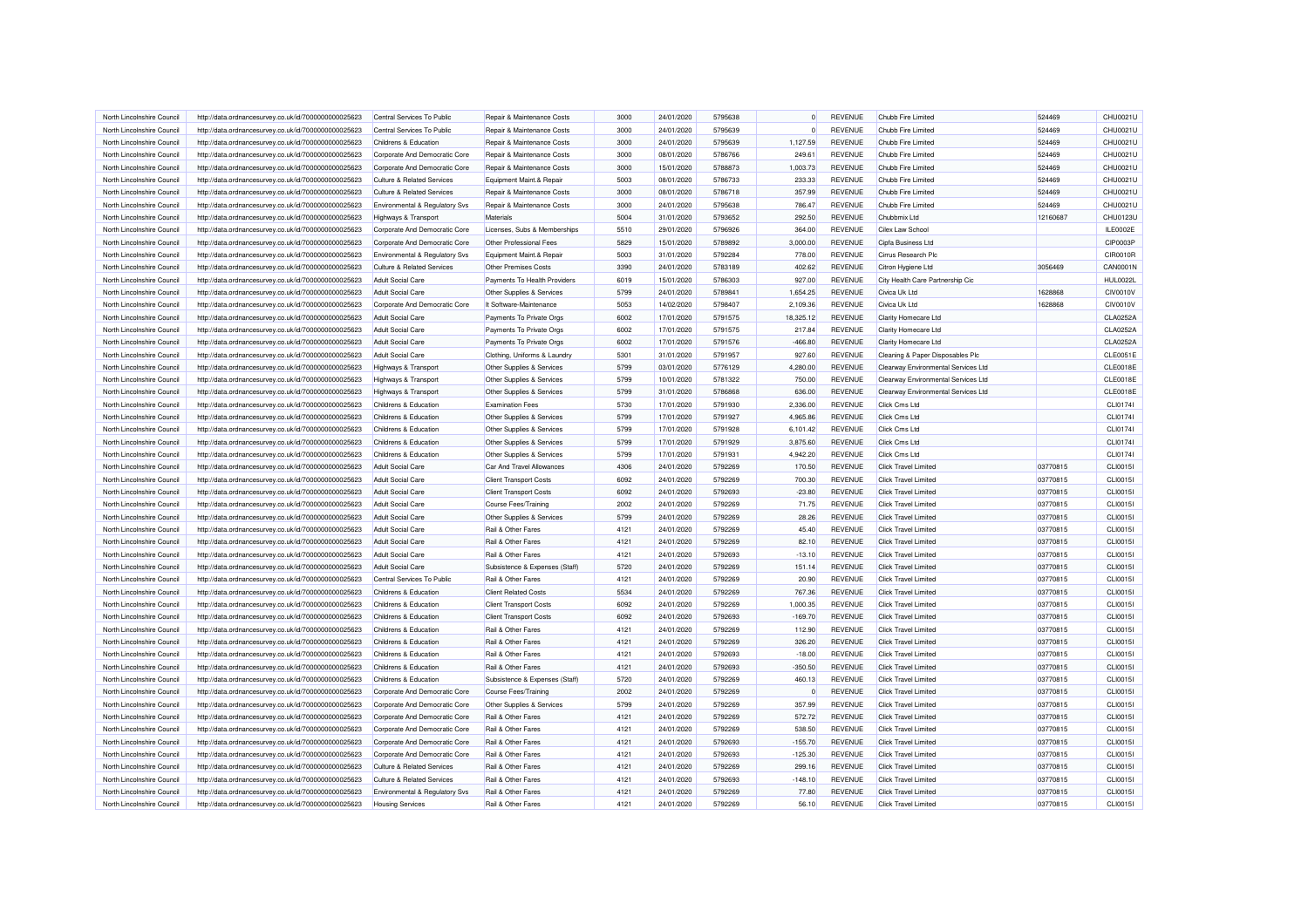| North Lincolnshire Council | http://data.ordnancesurvey.co.uk/id/7000000000025623                                                         | Central Services To Public                                     | Repair & Maintenance Costs     | 3000 | 24/01/2020               | 5795638            | $\Omega$       | <b>REVENUE</b>            | Chubb Fire Limited                  | 524469   | CHU0021U             |
|----------------------------|--------------------------------------------------------------------------------------------------------------|----------------------------------------------------------------|--------------------------------|------|--------------------------|--------------------|----------------|---------------------------|-------------------------------------|----------|----------------------|
| North Lincolnshire Council | http://data.ordnancesurvey.co.uk/id/7000000000025623                                                         | Central Services To Public                                     | Repair & Maintenance Costs     | 3000 | 24/01/2020               | 5795639            | $\overline{0}$ | REVENUE                   | Chubb Fire Limited                  | 524469   | CHU0021U             |
| North Lincolnshire Council | http://data.ordnancesurvey.co.uk/id/7000000000025623                                                         | Childrens & Education                                          | Repair & Maintenance Costs     | 3000 | 24/01/2020               | 5795639            | 1,127.59       | <b>REVENUE</b>            | Chubb Fire Limited                  | 524469   | CHU0021U             |
| North Lincolnshire Council | http://data.ordnancesurvey.co.uk/id/7000000000025623                                                         | Corporate And Democratic Core                                  | Repair & Maintenance Costs     | 3000 | 08/01/2020               | 5786766            | 249.61         | <b>REVENUE</b>            | Chubb Fire Limited                  | 524469   | CHU0021U             |
| North Lincolnshire Council | http://data.ordnancesurvey.co.uk/id/7000000000025623                                                         | Corporate And Democratic Core                                  | Repair & Maintenance Costs     | 3000 | 15/01/2020               | 5788873            | 1,003.73       | REVENUE                   | Chubb Fire Limited                  | 524469   | CHU0021U             |
| North Lincolnshire Council | http://data.ordnancesurvey.co.uk/id/7000000000025623                                                         | <b>Culture &amp; Related Services</b>                          | Equipment Maint.& Repair       | 5003 | 08/01/2020               | 5786733            | 233.33         | <b>REVENUE</b>            | Chubb Fire Limited                  | 524469   | CHU0021U             |
| North Lincolnshire Council | http://data.ordnancesurvey.co.uk/id/7000000000025623                                                         | Culture & Related Services                                     | Repair & Maintenance Costs     | 3000 | 08/01/2020               | 5786718            | 357.99         | <b>REVENUE</b>            | Chubb Fire Limited                  | 524469   | CHU0021U             |
| North Lincolnshire Council | http://data.ordnancesurvey.co.uk/id/7000000000025623                                                         | Environmental & Regulatory Svs                                 | Repair & Maintenance Costs     | 3000 | 24/01/2020               | 5795638            | 786.47         | <b>REVENUE</b>            | Chubb Fire Limited                  | 524469   | CHU0021U             |
| North Lincolnshire Council | http://data.ordnancesurvey.co.uk/id/7000000000025623                                                         | Highways & Transport                                           | Materials                      | 5004 | 31/01/2020               | 5793652            | 292.50         | <b>REVENUE</b>            | Chubbmix Ltd                        | 12160687 | CHU0123L             |
| North Lincolnshire Council | http://data.ordnancesurvey.co.uk/id/7000000000025623                                                         | Corporate And Democratic Core                                  | Licenses, Subs & Memberships   | 5510 | 29/01/2020               | 5796926            | 364.00         | <b>REVENUE</b>            | Cilex Law School                    |          | <b>ILE0002E</b>      |
| North Lincolnshire Council | http://data.ordnancesurvey.co.uk/id/7000000000025623                                                         | Corporate And Democratic Core                                  | Other Professional Fees        | 5829 | 15/01/2020               | 5789892            | 3,000.00       | <b>REVENUE</b>            | Cipfa Business Ltd                  |          | CIP0003P             |
| North Lincolnshire Council | http://data.ordnancesurvey.co.uk/id/7000000000025623                                                         | Environmental & Regulatory Svs                                 | Equipment Maint.& Repair       | 5003 | 31/01/2020               | 5792284            | 778.00         | <b>REVENUE</b>            | Cirrus Research Plc                 |          | CIR0010R             |
| North Lincolnshire Council | http://data.ordnancesurvey.co.uk/id/7000000000025623                                                         | Culture & Related Services                                     | Other Premises Costs           | 3390 | 24/01/2020               | 5783189            | 402.62         | <b>REVENUE</b>            | Citron Hygiene Ltd                  | 3056469  | CAN0001N             |
| North Lincolnshire Council | http://data.ordnancesurvey.co.uk/id/7000000000025623                                                         | Adult Social Care                                              | Payments To Health Providers   | 6019 | 15/01/2020               | 5786303            | 927.00         | REVENUE                   | City Health Care Partnership Cic    |          | <b>HUL0022L</b>      |
| North Lincolnshire Council | http://data.ordnancesurvey.co.uk/id/7000000000025623                                                         | <b>Adult Social Care</b>                                       | Other Supplies & Services      | 5799 | 24/01/2020               | 5789841            | 1,654.25       | <b>REVENUE</b>            | Civica Uk Ltd                       | 1628868  | <b>CIV0010V</b>      |
| North Lincolnshire Council | http://data.ordnancesurvey.co.uk/id/7000000000025623                                                         | Corporate And Democratic Core                                  | It Software-Maintenance        | 5053 | 14/02/2020               | 5798407            | 2,109.36       | <b>REVENUE</b>            | Civica Uk Ltd                       | 1628868  | <b>CIV0010V</b>      |
| North Lincolnshire Council | http://data.ordnancesurvey.co.uk/id/7000000000025623                                                         | <b>Adult Social Care</b>                                       | Payments To Private Orgs       | 6002 | 17/01/2020               | 5791575            | 18,325.12      | <b>REVENUE</b>            | Clarity Homecare Ltd                |          | CLA0252A             |
| North Lincolnshire Council | http://data.ordnancesurvey.co.uk/id/7000000000025623                                                         | <b>Adult Social Care</b>                                       | Payments To Private Orgs       | 6002 | 17/01/2020               | 5791575            | 217.84         | <b>REVENUE</b>            | Clarity Homecare Ltd                |          | CLA0252A             |
| North Lincolnshire Council | http://data.ordnancesurvey.co.uk/id/7000000000025623                                                         | Adult Social Care                                              | Payments To Private Orgs       | 6002 | 17/01/2020               | 5791576            | $-466.80$      | <b>REVENUE</b>            | Clarity Homecare Ltd                |          | CLA0252A             |
| North Lincolnshire Council | http://data.ordnancesurvey.co.uk/id/7000000000025623                                                         | <b>Adult Social Care</b>                                       | Clothing, Uniforms & Laundry   | 5301 | 31/01/2020               | 5791957            | 927.60         | <b>REVENUE</b>            | Cleaning & Paper Disposables Plc    |          | CLE0051E             |
| North Lincolnshire Council | http://data.ordnancesurvey.co.uk/id/7000000000025623                                                         | Highways & Transport                                           | Other Supplies & Services      | 5799 | 03/01/2020               | 5776129            | 4,280.00       | <b>REVENUE</b>            | Clearway Environmental Services Ltd |          | <b>CLE0018E</b>      |
| North Lincolnshire Council | http://data.ordnancesurvey.co.uk/id/7000000000025623                                                         | Highways & Transport                                           | Other Supplies & Services      | 5799 | 10/01/2020               | 5781322            | 750.00         | <b>REVENUE</b>            | Clearway Environmental Services Ltd |          | CLE0018E             |
| North Lincolnshire Council | http://data.ordnancesurvey.co.uk/id/7000000000025623                                                         | Highways & Transport                                           | Other Supplies & Services      | 5799 | 31/01/2020               | 5786868            | 636.00         | <b>REVENUE</b>            | Clearway Environmental Services Ltd |          | CLE0018E             |
| North Lincolnshire Council | http://data.ordnancesurvey.co.uk/id/7000000000025623                                                         | Childrens & Education                                          | <b>Examination Fees</b>        | 5730 | 17/01/2020               | 5791930            | 2,336.00       | <b>REVENUE</b>            | Click Cms Ltd                       |          | CLI01741             |
| North Lincolnshire Council | http://data.ordnancesurvey.co.uk/id/7000000000025623                                                         | Childrens & Education                                          | Other Supplies & Services      | 5799 | 17/01/2020               | 5791927            | 4,965.86       | <b>REVENUE</b>            | <b>Click Cms Ltd</b>                |          | CLI01741             |
| North Lincolnshire Council | http://data.ordnancesurvey.co.uk/id/7000000000025623                                                         | Childrens & Education                                          | Other Supplies & Services      | 5799 | 17/01/2020               | 5791928            | 6,101.42       | <b>REVENUE</b>            | Click Cms Ltd                       |          | CLI01741             |
| North Lincolnshire Council | http://data.ordnancesurvey.co.uk/id/7000000000025623                                                         | Childrens & Education                                          | Other Supplies & Services      | 5799 | 17/01/2020               | 5791929            | 3.875.60       | <b>REVENUE</b>            | Click Cms Ltd                       |          | CLI01741             |
| North Lincolnshire Council | http://data.ordnancesurvey.co.uk/id/7000000000025623                                                         | Childrens & Education                                          | Other Supplies & Services      | 5799 | 17/01/2020               | 5791931            | 4,942.20       | <b>REVENUE</b>            | Click Cms Ltd                       |          | CLI01741             |
| North Lincolnshire Council | http://data.ordnancesurvey.co.uk/id/7000000000025623                                                         | <b>Adult Social Care</b>                                       | Car And Travel Allowances      | 4306 | 24/01/2020               | 5792269            | 170.50         | <b>REVENUE</b>            | <b>Click Travel Limited</b>         | 03770815 | CLI0015I             |
| North Lincolnshire Council | http://data.ordnancesurvey.co.uk/id/7000000000025623                                                         | <b>Adult Social Care</b>                                       | <b>Client Transport Costs</b>  | 6092 | 24/01/2020               | 5792269            | 700.30         | <b>REVENUE</b>            | <b>Click Travel Limited</b>         | 03770815 | <b>CLI0015I</b>      |
| North Lincolnshire Council | http://data.ordnancesurvey.co.uk/id/7000000000025623                                                         | <b>Adult Social Care</b>                                       | <b>Client Transport Costs</b>  | 6092 | 24/01/2020               | 5792693            | $-23.80$       | <b>REVENUE</b>            | <b>Click Travel Limited</b>         | 03770815 | CLI0015I             |
| North Lincolnshire Council | http://data.ordnancesurvey.co.uk/id/7000000000025623                                                         | Adult Social Care                                              | Course Fees/Training           | 2002 | 24/01/2020               | 5792269            | 71.75          | <b>REVENUE</b>            | <b>Click Travel Limited</b>         | 03770815 | CLI0015I             |
| North Lincolnshire Council | http://data.ordnancesurvey.co.uk/id/7000000000025623                                                         | <b>Adult Social Care</b>                                       | Other Supplies & Services      | 5799 | 24/01/2020               | 5792269            | 28.26          | <b>REVENUE</b>            | <b>Click Travel Limited</b>         | 03770815 | CLI0015I             |
| North Lincolnshire Council | http://data.ordnancesurvey.co.uk/id/7000000000025623                                                         | <b>Adult Social Care</b>                                       | Rail & Other Fares             | 4121 | 24/01/2020               | 5792269            | 45.40          | <b>REVENUE</b>            | <b>Click Travel Limited</b>         | 03770815 | CLI0015I             |
| North Lincolnshire Council | http://data.ordnancesurvey.co.uk/id/7000000000025623                                                         | <b>Adult Social Care</b>                                       | Rail & Other Fares             | 4121 | 24/01/2020               | 5792269            | 82.10          | <b>REVENUE</b>            | <b>Click Travel Limited</b>         | 03770815 | CLI0015I             |
| North Lincolnshire Council | http://data.ordnancesurvey.co.uk/id/7000000000025623                                                         | <b>Adult Social Care</b>                                       | Rail & Other Fares             | 4121 | 24/01/2020               | 5792693            | $-13.10$       | <b>REVENUE</b>            | <b>Click Travel Limited</b>         | 03770815 | CLI0015I             |
| North Lincolnshire Council | http://data.ordnancesurvey.co.uk/id/7000000000025623                                                         | <b>Adult Social Care</b>                                       | Subsistence & Expenses (Staff) | 5720 | 24/01/2020               | 5792269            | 151.14         | <b>REVENUE</b>            | <b>Click Travel Limited</b>         | 03770815 | CLI0015I             |
| North Lincolnshire Council | http://data.ordnancesurvey.co.uk/id/7000000000025623                                                         | Central Services To Public                                     | Rail & Other Fares             | 4121 | 24/01/2020               | 5792269            | 20.90          | <b>REVENUE</b>            | <b>Click Travel Limited</b>         | 03770815 | CLI0015I             |
| North Lincolnshire Council | http://data.ordnancesurvey.co.uk/id/7000000000025623                                                         | Childrens & Education                                          | <b>Client Related Costs</b>    | 5534 | 24/01/2020               | 5792269            | 767.36         | <b>REVENUE</b>            | Click Travel Limited                | 03770815 | CLI0015I             |
| North Lincolnshire Council | http://data.ordnancesurvey.co.uk/id/7000000000025623                                                         | Childrens & Education                                          | <b>Client Transport Costs</b>  | 6092 | 24/01/2020               | 5792269            | 1,000.35       | <b>REVENUE</b>            | <b>Click Travel Limited</b>         | 03770815 | CLI0015I             |
| North Lincolnshire Council | http://data.ordnancesurvey.co.uk/id/7000000000025623                                                         | Childrens & Education                                          | <b>Client Transport Costs</b>  | 6092 | 24/01/2020               | 5792693            | $-169.70$      | <b>REVENUE</b>            | <b>Click Travel Limited</b>         | 03770815 | CLI0015I             |
| North Lincolnshire Council | http://data.ordnancesurvey.co.uk/id/7000000000025623                                                         | Childrens & Education                                          | Rail & Other Fares             | 4121 | 24/01/2020               | 5792269            | 112.90         | <b>REVENUE</b>            | <b>Click Travel Limited</b>         | 03770815 | CLI0015I             |
| North Lincolnshire Council | http://data.ordnancesurvey.co.uk/id/7000000000025623                                                         | Childrens & Education                                          | Rail & Other Fares             | 4121 | 24/01/2020               | 5792269            | 326.20         | <b>REVENUE</b>            | <b>Click Travel Limited</b>         | 03770815 | CLI0015I             |
| North Lincolnshire Council | http://data.ordnancesurvey.co.uk/id/7000000000025623                                                         | Childrens & Education                                          | Rail & Other Fares             | 4121 | 24/01/2020               | 5792693            | $-18.00$       | <b>REVENUE</b>            | <b>Click Travel Limited</b>         | 03770815 | <b>CLI0015I</b>      |
| North Lincolnshire Council | http://data.ordnancesurvey.co.uk/id/7000000000025623                                                         | Childrens & Education                                          | Rail & Other Fares             | 4121 | 24/01/2020               | 5792693            | $-350.50$      | <b>REVENUE</b>            | <b>Click Travel Limited</b>         | 03770815 | <b>CLI0015I</b>      |
| North Lincolnshire Council | http://data.ordnancesurvey.co.uk/id/7000000000025623                                                         | Childrens & Education                                          | Subsistence & Expenses (Staff) | 5720 | 24/01/2020               | 5792269            | 460.13         | REVENUE                   | <b>Click Travel Limited</b>         | 03770815 | CLI0015I             |
| North Lincolnshire Council | http://data.ordnancesurvey.co.uk/id/7000000000025623                                                         | Corporate And Democratic Core                                  | Course Fees/Training           | 2002 | 24/01/2020               | 5792269            | $\Omega$       | <b>REVENUE</b>            | <b>Click Travel Limited</b>         | 03770815 | CLI0015I             |
| North Lincolnshire Council | http://data.ordnancesurvey.co.uk/id/7000000000025623                                                         | Corporate And Democratic Core                                  | Other Supplies & Services      | 5799 | 24/01/2020               | 5792269            | 357.99         | <b>REVENUE</b>            | <b>Click Travel Limited</b>         | 03770815 | CLI0015I             |
| North Lincolnshire Council |                                                                                                              | Corporate And Democratic Core                                  | Rail & Other Fares             | 4121 | 24/01/2020               | 5792269            | 572.72         | <b>REVENUE</b>            | <b>Click Travel Limited</b>         | 03770815 | CLI0015I             |
| North Lincolnshire Council | http://data.ordnancesurvey.co.uk/id/7000000000025623<br>http://data.ordnancesurvey.co.uk/id/7000000000025623 | Corporate And Democratic Core                                  | Rail & Other Fares             | 4121 | 24/01/2020               | 5792269            | 538.50         | REVENUE                   | <b>Click Travel Limited</b>         | 03770815 | CLI0015I             |
| North Lincolnshire Council |                                                                                                              |                                                                | Rail & Other Fares             | 4121 | 24/01/2020               | 5792693            | $-155.70$      | REVENUE                   | <b>Click Travel Limited</b>         | 03770815 | CLI0015I             |
| North Lincolnshire Council | http://data.ordnancesurvey.co.uk/id/7000000000025623<br>http://data.ordnancesurvey.co.uk/id/7000000000025623 | Corporate And Democratic Core<br>Corporate And Democratic Core | Rail & Other Fares             | 4121 | 24/01/2020               | 5792693            | $-125.30$      | <b>REVENUE</b>            | <b>Click Travel Limited</b>         | 03770815 | CLI0015I             |
| North Lincolnshire Council |                                                                                                              | Culture & Related Services                                     | Rail & Other Fares             | 4121 | 24/01/2020               | 5792269            | 299.16         | <b>REVENUE</b>            | <b>Click Travel Limited</b>         | 03770815 | CLI0015I             |
| North Lincolnshire Council | http://data.ordnancesurvey.co.uk/id/7000000000025623                                                         |                                                                |                                | 4121 |                          | 5792693            | $-148.10$      | <b>REVENUE</b>            |                                     | 03770815 | CLI0015I             |
|                            | http://data.ordnancesurvey.co.uk/id/7000000000025623                                                         | Culture & Related Services                                     | Rail & Other Fares             | 4121 | 24/01/2020               |                    |                |                           | <b>Click Travel Limited</b>         |          |                      |
| North Lincolnshire Council | http://data.ordnancesurvey.co.uk/id/7000000000025623                                                         | Environmental & Regulatory Svs                                 | Rail & Other Fares             | 4121 | 24/01/2020<br>24/01/2020 | 5792269<br>5792269 | 77.80          | REVENUE<br><b>REVENUE</b> | <b>Click Travel Limited</b>         | 03770815 | CLI0015I<br>CLI0015I |
| North Lincolnshire Council | http://data.ordnancesurvey.co.uk/id/7000000000025623                                                         | <b>Housing Services</b>                                        | Rail & Other Fares             |      |                          |                    | 56.10          |                           | <b>Click Travel Limited</b>         | 03770815 |                      |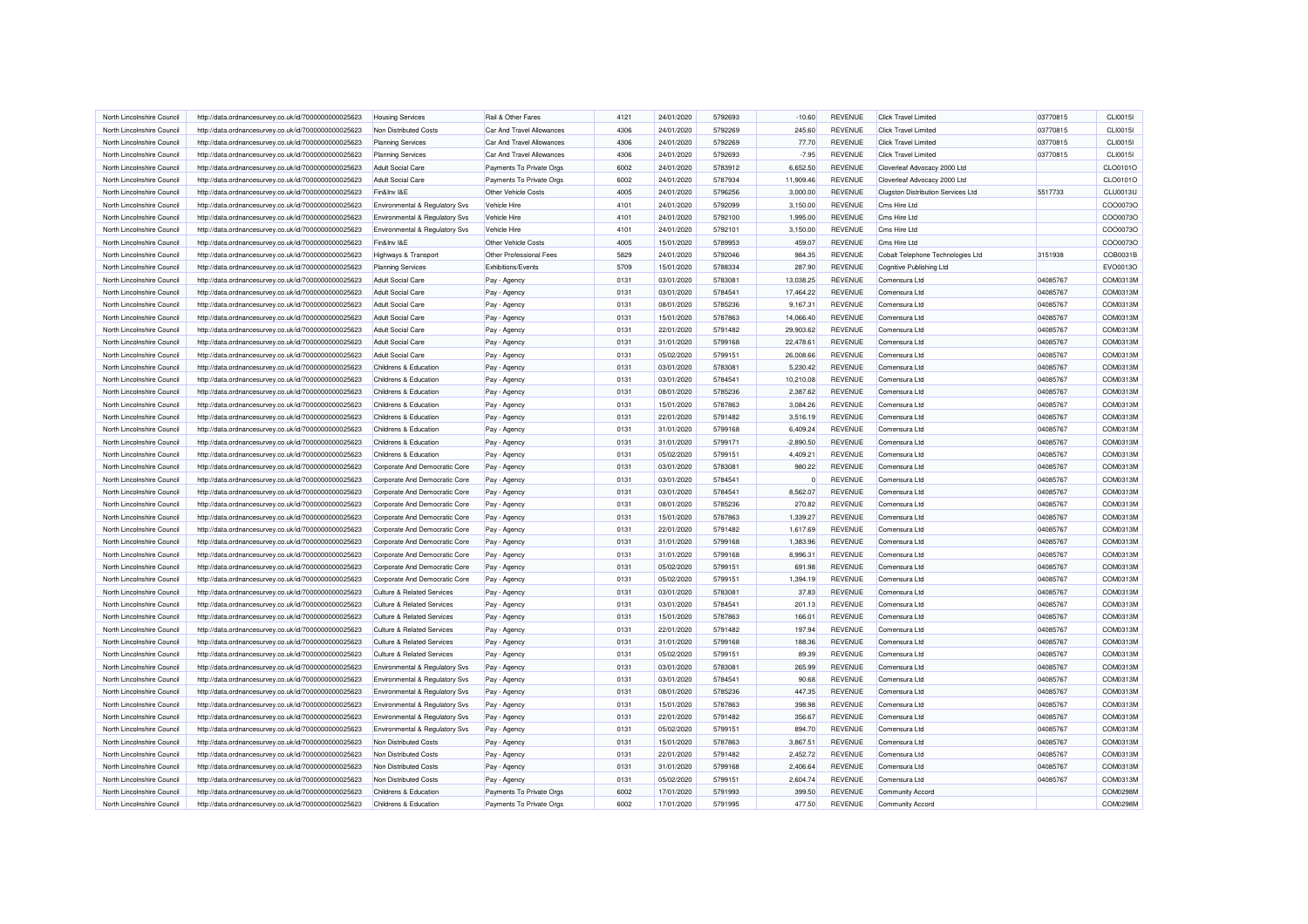| North Lincolnshire Council                               | http://data.ordnancesurvey.co.uk/id/7000000000025623 | <b>Housing Services</b>                              | Rail & Other Fares               | 4121 | 24/01/2020 | 5792693 | $-10.60$               | <b>REVENUE</b> | <b>Click Travel Limited</b>        | 03770815 | <b>CLI0015I</b> |
|----------------------------------------------------------|------------------------------------------------------|------------------------------------------------------|----------------------------------|------|------------|---------|------------------------|----------------|------------------------------------|----------|-----------------|
| North Lincolnshire Council                               | http://data.ordnancesurvey.co.uk/id/7000000000025623 | Non Distributed Costs                                | Car And Travel Allowances        | 4306 | 24/01/2020 | 5792269 | 245.60                 | <b>REVENUE</b> | <b>Click Travel Limited</b>        | 03770815 | CLI0015I        |
| North Lincolnshire Council                               | http://data.ordnancesurvey.co.uk/id/7000000000025623 | <b>Planning Services</b>                             | <b>Car And Travel Allowances</b> | 4306 | 24/01/2020 | 5792269 | 77.70                  | <b>REVENUE</b> | <b>Click Travel Limited</b>        | 03770815 | <b>CLI0015I</b> |
| North Lincolnshire Council                               | http://data.ordnancesurvey.co.uk/id/7000000000025623 | <b>Planning Services</b>                             | Car And Travel Allowances        | 4306 | 24/01/2020 | 5792693 | $-7.95$                | <b>REVENUE</b> | Click Travel Limited               | 03770815 | CLI0015I        |
| North Lincolnshire Council                               | http://data.ordnancesurvey.co.uk/id/7000000000025623 | <b>Adult Social Care</b>                             | Payments To Private Orgs         | 6002 | 24/01/2020 | 5783912 | 6,652.50               | REVENUE        | Cloverleaf Advocacy 2000 Ltd       |          | CLO0101O        |
| North Lincolnshire Council                               | http://data.ordnancesurvey.co.uk/id/7000000000025623 | <b>Adult Social Care</b>                             | Payments To Private Orgs         | 6002 | 24/01/2020 | 5787934 | 11,909.46              | <b>REVENUE</b> | Cloverleaf Advocacy 2000 Ltd       |          | CLO0101O        |
| North Lincolnshire Council                               | http://data.ordnancesurvey.co.uk/id/7000000000025623 | Fin&Inv I&E                                          | Other Vehicle Costs              | 4005 | 24/01/2020 | 5796256 | 3.000.00               | <b>REVENUE</b> | Clugston Distribution Services Ltd | 5517733  | CLU0013U        |
| North Lincolnshire Council                               | http://data.ordnancesurvey.co.uk/id/7000000000025623 | Environmental & Regulatory Svs                       | Vehicle Hire                     | 4101 | 24/01/2020 | 5792099 | 3,150.00               | REVENUE        | Cms Hire Ltd                       |          | COO0073C        |
| North Lincolnshire Council                               | http://data.ordnancesurvey.co.uk/id/7000000000025623 | Environmental & Regulatory Svs                       | Vehicle Hire                     | 4101 | 24/01/2020 | 5792100 | 1,995.00               | <b>REVENUE</b> | Cms Hire Ltd                       |          | COO0073C        |
| North Lincolnshire Council                               | http://data.ordnancesurvey.co.uk/id/7000000000025623 | Environmental & Regulatory Svs                       | Vehicle Hire                     | 4101 | 24/01/2020 | 5792101 | 3,150.00               | <b>REVENUE</b> | Cms Hire Ltd                       |          | COO0073C        |
| North Lincolnshire Council                               | http://data.ordnancesurvey.co.uk/id/7000000000025623 | Fin&Inv I&E                                          | Other Vehicle Costs              | 4005 | 15/01/2020 | 5789953 | 459.07                 | <b>REVENUE</b> | Cms Hire Ltd                       |          | COO0073C        |
| North Lincolnshire Council                               | http://data.ordnancesurvey.co.uk/id/7000000000025623 | Highways & Transport                                 | Other Professional Fees          | 5829 | 24/01/2020 | 5792046 | 984.35                 | <b>REVENUE</b> | Cobalt Telephone Technologies Ltd  | 3151938  | COB0031E        |
| North Lincolnshire Council                               | http://data.ordnancesurvey.co.uk/id/7000000000025623 | <b>Planning Services</b>                             | Exhibitions/Events               | 5709 | 15/01/2020 | 5788334 | 287.90                 | <b>REVENUE</b> | Cognitive Publishing Ltd           |          | EVO0013O        |
| North Lincolnshire Council                               | http://data.ordnancesurvey.co.uk/id/7000000000025623 | Adult Social Care                                    | Pay - Agency                     | 0131 | 03/01/2020 | 578308  | 13,038.25              | REVENUE        | Comensura Ltd                      | 04085767 | COM0313M        |
| North Lincolnshire Council                               | http://data.ordnancesurvey.co.uk/id/7000000000025623 | <b>Adult Social Care</b>                             | Pay - Agency                     | 0131 | 03/01/2020 | 5784541 | 17,464.22              | <b>REVENUE</b> | Comensura Ltd                      | 04085767 | COM0313M        |
| North Lincolnshire Council                               | http://data.ordnancesurvey.co.uk/id/7000000000025623 | Adult Social Care                                    | Pay - Agency                     | 0131 | 08/01/2020 | 5785236 | 9.167.31               | <b>REVENUE</b> | Comensura Ltd                      | 04085767 | COM0313M        |
|                                                          |                                                      |                                                      |                                  | 0131 |            | 5787863 |                        | <b>REVENUE</b> |                                    |          | COM0313M        |
| North Lincolnshire Council<br>North Lincolnshire Council | http://data.ordnancesurvey.co.uk/id/7000000000025623 | <b>Adult Social Care</b><br><b>Adult Social Care</b> | Pay - Agency                     | 0131 | 15/01/2020 | 5791482 | 14,066.40<br>29,903.62 | <b>REVENUE</b> | Comensura Ltd<br>Comensura Ltd     | 04085767 | COM0313M        |
|                                                          | http://data.ordnancesurvey.co.uk/id/7000000000025623 |                                                      | Pay - Agency                     |      | 22/01/2020 |         |                        |                |                                    | 04085767 | COM0313M        |
| North Lincolnshire Council                               | http://data.ordnancesurvey.co.uk/id/7000000000025623 | <b>Adult Social Care</b>                             | Pay - Agency                     | 0131 | 31/01/2020 | 5799168 | 22,478.61              | <b>REVENUE</b> | Comensura Ltd                      | 04085767 |                 |
| North Lincolnshire Council                               | http://data.ordnancesurvey.co.uk/id/7000000000025623 | Adult Social Care                                    | Pay - Agency                     | 0131 | 05/02/2020 | 5799151 | 26,008.66              | <b>REVENUE</b> | Comensura Ltd                      | 04085767 | COM0313M        |
| North Lincolnshire Council                               | http://data.ordnancesurvey.co.uk/id/7000000000025623 | Childrens & Education                                | Pay - Agency                     | 0131 | 03/01/2020 | 5783081 | 5,230.42               | <b>REVENUE</b> | Comensura Ltd                      | 04085767 | COM0313M        |
| North Lincolnshire Council                               | http://data.ordnancesurvey.co.uk/id/7000000000025623 | Childrens & Education                                | Pay - Agency                     | 0131 | 03/01/2020 | 5784541 | 10.210.08              | <b>REVENUE</b> | Comensura Ltd                      | 04085767 | COM0313M        |
| North Lincolnshire Council                               | http://data.ordnancesurvey.co.uk/id/7000000000025623 | Childrens & Education                                | Pay - Agency                     | 0131 | 08/01/2020 | 5785236 | 2,387.62               | <b>REVENUE</b> | Comensura Ltd                      | 04085767 | COM0313M        |
| North Lincolnshire Council                               | http://data.ordnancesurvey.co.uk/id/7000000000025623 | Childrens & Education                                | Pay - Agency                     | 0131 | 15/01/2020 | 5787863 | 3,084.26               | <b>REVENUE</b> | Comensura Ltd                      | 04085767 | COM0313M        |
| North Lincolnshire Council                               | http://data.ordnancesurvey.co.uk/id/7000000000025623 | Childrens & Education                                | Pay - Agency                     | 0131 | 22/01/2020 | 5791482 | 3,516.19               | <b>REVENUE</b> | Comensura Ltd                      | 04085767 | COM0313M        |
| North Lincolnshire Council                               | http://data.ordnancesurvey.co.uk/id/7000000000025623 | Childrens & Education                                | Pay - Agency                     | 0131 | 31/01/2020 | 5799168 | 6,409.24               | <b>REVENUE</b> | Comensura Ltd                      | 04085767 | COM0313M        |
| North Lincolnshire Council                               | http://data.ordnancesurvey.co.uk/id/7000000000025623 | Childrens & Education                                | Pay - Agency                     | 0131 | 31/01/2020 | 5799171 | $-2,890.50$            | <b>REVENUE</b> | Comensura Ltd                      | 04085767 | COM0313M        |
| North Lincolnshire Council                               | http://data.ordnancesurvey.co.uk/id/7000000000025623 | Childrens & Education                                | Pay - Agency                     | 0131 | 05/02/2020 | 5799151 | 4,409.21               | <b>REVENUE</b> | Comensura Ltd                      | 04085767 | COM0313M        |
| North Lincolnshire Council                               | http://data.ordnancesurvey.co.uk/id/7000000000025623 | Corporate And Democratic Core                        | Pay - Agency                     | 0131 | 03/01/2020 | 578308  | 980.22                 | <b>REVENUE</b> | Comensura Ltd                      | 04085767 | COM0313M        |
| North Lincolnshire Council                               | http://data.ordnancesurvey.co.uk/id/7000000000025623 | Corporate And Democratic Core                        | Pay - Agency                     | 0131 | 03/01/2020 | 5784541 |                        | <b>REVENUE</b> | Comensura Ltd                      | 04085767 | COM0313M        |
| North Lincolnshire Council                               | http://data.ordnancesurvey.co.uk/id/7000000000025623 | Corporate And Democratic Core                        | Pay - Agency                     | 0131 | 03/01/2020 | 5784541 | 8.562.07               | <b>REVENUE</b> | Comensura Ltd                      | 04085767 | COM0313M        |
| North Lincolnshire Council                               | http://data.ordnancesurvey.co.uk/id/7000000000025623 | Corporate And Democratic Core                        | Pay - Agency                     | 0131 | 08/01/2020 | 5785236 | 270.82                 | <b>REVENUE</b> | Comensura Ltd                      | 04085767 | COM0313M        |
| North Lincolnshire Council                               | http://data.ordnancesurvey.co.uk/id/7000000000025623 | Corporate And Democratic Core                        | Pay - Agency                     | 0131 | 15/01/2020 | 5787863 | 1,339.27               | <b>REVENUE</b> | Comensura Ltd                      | 04085767 | COM0313M        |
| North Lincolnshire Council                               | http://data.ordnancesurvey.co.uk/id/7000000000025623 | Corporate And Democratic Core                        | Pay - Agency                     | 0131 | 22/01/2020 | 5791482 | 1,617.69               | <b>REVENUE</b> | Comensura Ltd                      | 04085767 | COM0313M        |
| North Lincolnshire Council                               | http://data.ordnancesurvey.co.uk/id/7000000000025623 | Corporate And Democratic Core                        | Pay - Agency                     | 0131 | 31/01/2020 | 5799168 | 1,383.96               | <b>REVENUE</b> | Comensura Ltd                      | 04085767 | COM0313M        |
| North Lincolnshire Council                               | http://data.ordnancesurvey.co.uk/id/7000000000025623 | Corporate And Democratic Core                        | Pay - Agency                     | 0131 | 31/01/2020 | 5799168 | 8,996.31               | <b>REVENUE</b> | Comensura Ltd                      | 04085767 | COM0313M        |
| North Lincolnshire Council                               | http://data.ordnancesurvey.co.uk/id/7000000000025623 | Corporate And Democratic Core                        | Pay - Agency                     | 0131 | 05/02/2020 | 5799151 | 691.98                 | <b>REVENUE</b> | Comensura Ltd                      | 04085767 | COM0313M        |
| North Lincolnshire Council                               | http://data.ordnancesurvey.co.uk/id/7000000000025623 | Corporate And Democratic Core                        | Pay - Agency                     | 0131 | 05/02/2020 | 5799151 | 1,394.19               | <b>REVENUE</b> | Comensura Ltd                      | 04085767 | COM0313M        |
| North Lincolnshire Council                               | http://data.ordnancesurvey.co.uk/id/7000000000025623 | Culture & Related Services                           | Pay - Agency                     | 0131 | 03/01/2020 | 5783081 | 37.83                  | <b>REVENUE</b> | Comensura Ltd                      | 04085767 | COM0313M        |
| North Lincolnshire Council                               | http://data.ordnancesurvey.co.uk/id/7000000000025623 | Culture & Related Services                           | Pay - Agency                     | 0131 | 03/01/2020 | 5784541 | 201.13                 | <b>REVENUE</b> | Comensura Ltd                      | 04085767 | COM0313M        |
| North Lincolnshire Council                               | http://data.ordnancesurvey.co.uk/id/7000000000025623 | Culture & Related Services                           | Pay - Agency                     | 0131 | 15/01/2020 | 5787863 | 166.01                 | <b>REVENUE</b> | Comensura Ltd                      | 04085767 | COM0313M        |
| North Lincolnshire Council                               | http://data.ordnancesurvey.co.uk/id/7000000000025623 | <b>Culture &amp; Related Services</b>                | Pay - Agency                     | 0131 | 22/01/2020 | 5791482 | 197.94                 | <b>REVENUE</b> | Comensura Ltd                      | 04085767 | COM0313M        |
| North Lincolnshire Council                               | http://data.ordnancesurvey.co.uk/id/7000000000025623 | Culture & Related Services                           | Pay - Agency                     | 0131 | 31/01/2020 | 5799168 | 188.36                 | <b>REVENUE</b> | Comensura Ltd                      | 04085767 | COM0313M        |
| North Lincolnshire Council                               | http://data.ordnancesurvey.co.uk/id/7000000000025623 | Culture & Related Services                           | Pay - Agency                     | 0131 | 05/02/2020 | 5799151 | 89.39                  | <b>REVENUE</b> | Comensura Ltd                      | 04085767 | COM0313M        |
| North Lincolnshire Council                               | http://data.ordnancesurvey.co.uk/id/7000000000025623 | Environmental & Regulatory Svs                       | Pay - Agency                     | 0131 | 03/01/2020 | 5783081 | 265.99                 | <b>REVENUE</b> | Comensura Ltd                      | 04085767 | COM0313M        |
| North Lincolnshire Council                               | http://data.ordnancesurvey.co.uk/id/7000000000025623 | Environmental & Regulatory Svs                       | Pay - Agency                     | 0131 | 03/01/2020 | 5784541 | 90.68                  | <b>REVENUE</b> | Comensura Ltd                      | 04085767 | COM0313M        |
| North Lincolnshire Council                               | http://data.ordnancesurvey.co.uk/id/7000000000025623 | Environmental & Regulatory Svs                       | Pay - Agency                     | 0131 | 08/01/2020 | 5785236 | 447.35                 | REVENUE        | Comensura Ltd                      | 04085767 | COM0313M        |
| North Lincolnshire Council                               | http://data.ordnancesurvey.co.uk/id/7000000000025623 | Environmental & Regulatory Svs                       | Pay - Agency                     | 0131 | 15/01/2020 | 5787863 | 398.98                 | <b>REVENUE</b> | Comensura Ltd                      | 04085767 | COM0313M        |
| North Lincolnshire Council                               | http://data.ordnancesurvey.co.uk/id/7000000000025623 | Environmental & Regulatory Svs                       |                                  | 0131 | 22/01/2020 | 5791482 | 356.67                 | <b>REVENUE</b> | Comensura Ltd                      | 04085767 | COM0313M        |
| North Lincolnshire Council                               | http://data.ordnancesurvey.co.uk/id/7000000000025623 |                                                      | Pay - Agency                     | 0131 | 05/02/2020 | 5799151 | 894.70                 | <b>REVENUE</b> | Comensura Ltd                      | 04085767 | COM0313M        |
|                                                          |                                                      | Environmental & Regulatory Svs                       | Pay - Agency                     |      |            |         |                        |                |                                    |          |                 |
| North Lincolnshire Council                               | http://data.ordnancesurvey.co.uk/id/7000000000025623 | Non Distributed Costs                                | Pay - Agency                     | 0131 | 15/01/2020 | 5787863 | 3,867.51               | <b>REVENUE</b> | Comensura Ltd                      | 04085767 | COM0313M        |
| North Lincolnshire Council                               | http://data.ordnancesurvey.co.uk/id/7000000000025623 | Non Distributed Costs                                | Pay - Agency                     | 0131 | 22/01/2020 | 5791482 | 2,452.72               | <b>REVENUE</b> | Comensura Ltd                      | 04085767 | COM0313M        |
| North Lincolnshire Council                               | http://data.ordnancesurvey.co.uk/id/7000000000025623 | Non Distributed Costs                                | Pay - Agency                     | 0131 | 31/01/2020 | 5799168 | 2,406.64               | <b>REVENUE</b> | Comensura Ltd                      | 04085767 | COM0313M        |
| North Lincolnshire Council                               | http://data.ordnancesurvey.co.uk/id/7000000000025623 | Non Distributed Costs                                | Pay - Agency                     | 0131 | 05/02/2020 | 5799151 | 2,604.74               | <b>REVENUE</b> | Comensura Ltd                      | 04085767 | COM0313M        |
| North Lincolnshire Council                               | http://data.ordnancesurvey.co.uk/id/7000000000025623 | Childrens & Education                                | Payments To Private Orgs         | 6002 | 17/01/2020 | 5791993 | 399.50                 | REVENUE        | <b>Community Accord</b>            |          | COM0298M        |
| North Lincolnshire Council                               | http://data.ordnancesurvey.co.uk/id/7000000000025623 | Childrens & Education                                | Payments To Private Orgs         | 6002 | 17/01/2020 | 5791995 | 477.50                 | <b>REVENUE</b> | <b>Community Accord</b>            |          | COM0298M        |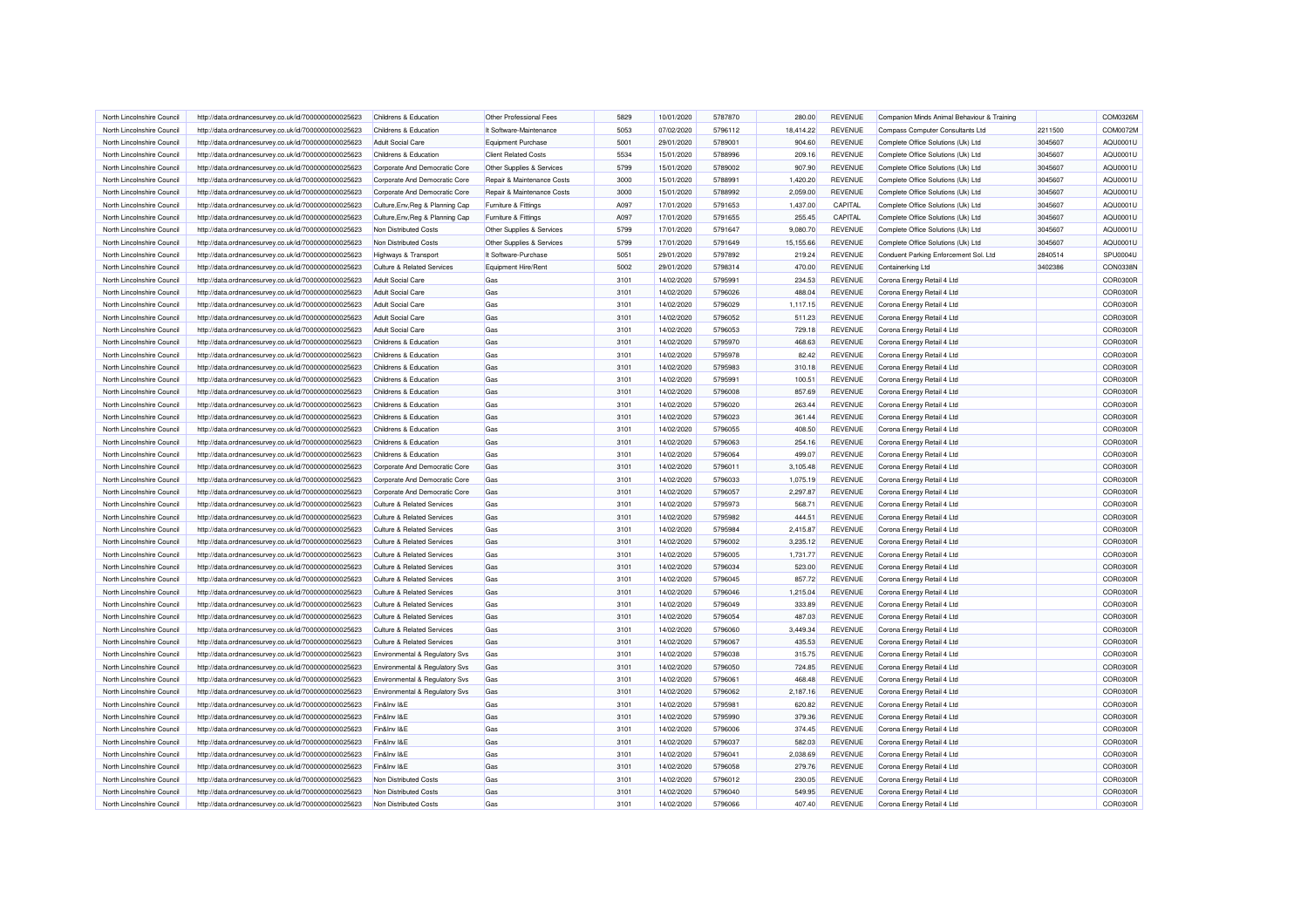| North Lincolnshire Council | http://data.ordnancesurvey.co.uk/id/7000000000025623 | Childrens & Education                 | Other Professional Fees     | 5829 | 10/01/2020 | 5787870 | 280.00    | REVENUE        | Companion Minds Animal Behaviour & Training |         | COM0326M        |
|----------------------------|------------------------------------------------------|---------------------------------------|-----------------------------|------|------------|---------|-----------|----------------|---------------------------------------------|---------|-----------------|
| North Lincolnshire Council | http://data.ordnancesurvey.co.uk/id/7000000000025623 | Childrens & Education                 | It Software-Maintenance     | 5053 | 07/02/2020 | 5796112 | 18,414.22 | <b>REVENUE</b> | Compass Computer Consultants Ltd            | 2211500 | COM0072M        |
| North Lincolnshire Counci  | http://data.ordnancesurvey.co.uk/id/7000000000025623 | Adult Social Care                     | <b>Equipment Purchase</b>   | 5001 | 29/01/2020 | 5789001 | 904.60    | <b>REVENUE</b> | Complete Office Solutions (Uk) Ltd          | 3045607 | AQU0001U        |
| North Lincolnshire Council | http://data.ordnancesurvey.co.uk/id/7000000000025623 | Childrens & Education                 | <b>Client Related Costs</b> | 5534 | 15/01/2020 | 5788996 | 209.16    | <b>REVENUE</b> | Complete Office Solutions (Uk) Ltd          | 3045607 | AQU0001U        |
| North Lincolnshire Council | http://data.ordnancesurvey.co.uk/id/7000000000025623 | Corporate And Democratic Core         | Other Supplies & Services   | 5799 | 15/01/2020 | 5789002 | 907.90    | <b>REVENUE</b> | Complete Office Solutions (Uk) Ltd          | 3045607 | AQU0001U        |
| North Lincolnshire Council | http://data.ordnancesurvey.co.uk/id/7000000000025623 | Corporate And Democratic Core         | Repair & Maintenance Costs  | 3000 | 15/01/2020 | 5788991 | 1,420.20  | <b>REVENUE</b> | Complete Office Solutions (Uk) Ltd          | 3045607 | AQU0001U        |
| North Lincolnshire Council | http://data.ordnancesurvey.co.uk/id/7000000000025623 | Corporate And Democratic Core         | Repair & Maintenance Costs  | 3000 | 15/01/2020 | 5788992 | 2,059.00  | <b>REVENUE</b> | Complete Office Solutions (Uk) Ltd          | 3045607 | AQU0001U        |
| North Lincolnshire Council | http://data.ordnancesurvey.co.uk/id/7000000000025623 | Culture, Env, Reg & Planning Cap      | Furniture & Fittings        | A097 | 17/01/2020 | 5791653 | 1,437.00  | CAPITAL        | Complete Office Solutions (Uk) Ltd          | 3045607 | AQU0001U        |
| North Lincolnshire Council | http://data.ordnancesurvey.co.uk/id/7000000000025623 | Culture, Env, Reg & Planning Cap      | Furniture & Fittings        | A097 | 17/01/2020 | 5791655 | 255.45    | CAPITAL        | Complete Office Solutions (Uk) Ltd          | 3045607 | AQU0001U        |
| North Lincolnshire Council | http://data.ordnancesurvey.co.uk/id/7000000000025623 | Non Distributed Costs                 | Other Supplies & Services   | 5799 | 17/01/2020 | 5791647 | 9,080.70  | REVENUE        | Complete Office Solutions (Uk) Ltd          | 3045607 | AQU0001U        |
| North Lincolnshire Council | http://data.ordnancesurvey.co.uk/id/7000000000025623 | Non Distributed Costs                 | Other Supplies & Services   | 5799 | 17/01/2020 | 5791649 | 15,155.66 | REVENUE        | Complete Office Solutions (Uk) Ltd          | 3045607 | AQU0001U        |
| North Lincolnshire Council | http://data.ordnancesurvey.co.uk/id/7000000000025623 | Highways & Transport                  | It Software-Purchase        | 5051 | 29/01/2020 | 5797892 | 219.24    | <b>REVENUE</b> | Conduent Parking Enforcement Sol. Ltd       | 2840514 | SPU0004U        |
| North Lincolnshire Council | http://data.ordnancesurvey.co.uk/id/7000000000025623 | <b>Culture &amp; Related Services</b> | Equipment Hire/Rent         | 5002 | 29/01/2020 | 5798314 | 470.00    | <b>REVENUE</b> | Containerking Ltd                           | 3402386 | CON0338N        |
| North Lincolnshire Council |                                                      | Adult Social Care                     | Gas                         | 3101 |            | 5795991 |           |                |                                             |         | COR0300R        |
|                            | http://data.ordnancesurvey.co.uk/id/7000000000025623 |                                       |                             |      | 14/02/2020 |         | 234.53    | <b>REVENUE</b> | Corona Energy Retail 4 Ltd                  |         |                 |
| North Lincolnshire Council | http://data.ordnancesurvey.co.uk/id/7000000000025623 | <b>Adult Social Care</b>              | Gas                         | 3101 | 14/02/2020 | 5796026 | 488.04    | <b>REVENUE</b> | Corona Energy Retail 4 Ltd                  |         | <b>COR0300R</b> |
| North Lincolnshire Council | http://data.ordnancesurvey.co.uk/id/7000000000025623 | <b>Adult Social Care</b>              | Gas                         | 3101 | 14/02/2020 | 5796029 | 1,117.15  | <b>REVENUE</b> | Corona Energy Retail 4 Ltd                  |         | COR0300R        |
| North Lincolnshire Council | http://data.ordnancesurvey.co.uk/id/7000000000025623 | Adult Social Care                     | Gas                         | 3101 | 14/02/2020 | 5796052 | 511.23    | <b>REVENUE</b> | Corona Energy Retail 4 Ltd                  |         | COR0300R        |
| North Lincolnshire Council | http://data.ordnancesurvey.co.uk/id/7000000000025623 | <b>Adult Social Care</b>              | Gas                         | 3101 | 14/02/2020 | 5796053 | 729.18    | <b>REVENUE</b> | Corona Energy Retail 4 Ltd                  |         | COR0300R        |
| North Lincolnshire Council | http://data.ordnancesurvey.co.uk/id/7000000000025623 | Childrens & Education                 | Gas                         | 3101 | 14/02/2020 | 5795970 | 468.63    | REVENUE        | Corona Energy Retail 4 Ltd                  |         | COR0300R        |
| North Lincolnshire Council | http://data.ordnancesurvey.co.uk/id/7000000000025623 | Childrens & Education                 | Gas                         | 3101 | 14/02/2020 | 5795978 | 82.42     | REVENUE        | Corona Energy Retail 4 Ltd                  |         | COR0300R        |
| North Lincolnshire Council | http://data.ordnancesurvey.co.uk/id/7000000000025623 | Childrens & Education                 | Gas                         | 3101 | 14/02/2020 | 5795983 | 310.18    | <b>REVENUE</b> | Corona Energy Retail 4 Ltd                  |         | COR0300R        |
| North Lincolnshire Council | http://data.ordnancesurvey.co.uk/id/7000000000025623 | Childrens & Education                 | Gas                         | 3101 | 14/02/2020 | 5795991 | 100.51    | <b>REVENUE</b> | Corona Energy Retail 4 Ltd                  |         | COR0300R        |
| North Lincolnshire Council | http://data.ordnancesurvey.co.uk/id/7000000000025623 | Childrens & Education                 | Gas                         | 3101 | 14/02/2020 | 5796008 | 857.69    | <b>REVENUE</b> | Corona Energy Retail 4 Ltd                  |         | COR0300R        |
| North Lincolnshire Council | http://data.ordnancesurvey.co.uk/id/7000000000025623 | Childrens & Education                 | Gas                         | 3101 | 14/02/2020 | 5796020 | 263.44    | <b>REVENUE</b> | Corona Energy Retail 4 Ltd                  |         | COR0300R        |
| North Lincolnshire Council | http://data.ordnancesurvey.co.uk/id/7000000000025623 | Childrens & Education                 | Gas                         | 3101 | 14/02/2020 | 5796023 | 361.44    | <b>REVENUE</b> | Corona Energy Retail 4 Ltd                  |         | COR0300R        |
| North Lincolnshire Council | http://data.ordnancesurvey.co.uk/id/7000000000025623 | Childrens & Education                 | Gas                         | 3101 | 14/02/2020 | 5796055 | 408.50    | <b>REVENUE</b> | Corona Energy Retail 4 Ltd                  |         | COR0300R        |
| North Lincolnshire Council | http://data.ordnancesurvey.co.uk/id/7000000000025623 | Childrens & Education                 | Gas                         | 3101 | 14/02/2020 | 5796063 | 254.16    | <b>REVENUE</b> | Corona Energy Retail 4 Ltd                  |         | COR0300R        |
| North Lincolnshire Council | http://data.ordnancesurvey.co.uk/id/7000000000025623 | Childrens & Education                 | Gas                         | 3101 | 14/02/2020 | 5796064 | 499.07    | <b>REVENUE</b> | Corona Energy Retail 4 Ltd                  |         | COR0300R        |
| North Lincolnshire Council | http://data.ordnancesurvey.co.uk/id/7000000000025623 | Corporate And Democratic Core         | Gas                         | 3101 | 14/02/2020 | 5796011 | 3,105.48  | <b>REVENUE</b> | Corona Energy Retail 4 Ltd                  |         | COR0300R        |
| North Lincolnshire Council | http://data.ordnancesurvey.co.uk/id/7000000000025623 | Corporate And Democratic Core         | Gas                         | 3101 | 14/02/2020 | 5796033 | 1,075.19  | REVENUE        | Corona Energy Retail 4 Ltd                  |         | COR0300R        |
| North Lincolnshire Council | http://data.ordnancesurvey.co.uk/id/7000000000025623 | Corporate And Democratic Core         | Gas                         | 3101 | 14/02/2020 | 5796057 | 2,297.87  | <b>REVENUE</b> | Corona Energy Retail 4 Ltd                  |         | COR0300R        |
| North Lincolnshire Council | http://data.ordnancesurvey.co.uk/id/7000000000025623 | Culture & Related Services            | Gas                         | 3101 | 14/02/2020 | 5795973 | 568.71    | <b>REVENUE</b> | Corona Energy Retail 4 Ltd                  |         | COR0300R        |
| North Lincolnshire Council | http://data.ordnancesurvey.co.uk/id/7000000000025623 | <b>Culture &amp; Related Services</b> | Gas                         | 3101 | 14/02/2020 | 5795982 | 444.51    | <b>REVENUE</b> | Corona Energy Retail 4 Ltd                  |         | <b>COR0300R</b> |
| North Lincolnshire Council | http://data.ordnancesurvey.co.uk/id/7000000000025623 | Culture & Related Services            | Gas                         | 3101 | 14/02/2020 | 5795984 | 2,415.87  | <b>REVENUE</b> | Corona Energy Retail 4 Ltd                  |         | COR0300R        |
| North Lincolnshire Council | http://data.ordnancesurvey.co.uk/id/7000000000025623 | Culture & Related Services            | Gas                         | 3101 | 14/02/2020 | 5796002 | 3,235.12  | <b>REVENUE</b> | Corona Energy Retail 4 Ltd                  |         | COR0300R        |
| North Lincolnshire Council | http://data.ordnancesurvey.co.uk/id/7000000000025623 | <b>Culture &amp; Related Services</b> | Gas                         | 3101 | 14/02/2020 | 5796005 | 1,731.77  | <b>REVENUE</b> | Corona Energy Retail 4 Ltd                  |         | COR0300R        |
| North Lincolnshire Council | http://data.ordnancesurvey.co.uk/id/7000000000025623 | <b>Culture &amp; Related Services</b> | Gas                         | 3101 | 14/02/2020 | 5796034 | 523.00    | <b>REVENUE</b> | Corona Energy Retail 4 Ltd                  |         | COR0300R        |
| North Lincolnshire Council | http://data.ordnancesurvey.co.uk/id/7000000000025623 | Culture & Related Services            | Gas                         | 3101 | 14/02/2020 | 5796045 | 857.72    | <b>REVENUE</b> | Corona Energy Retail 4 Ltd                  |         | COR0300R        |
| North Lincolnshire Council | http://data.ordnancesurvey.co.uk/id/7000000000025623 | <b>Culture &amp; Related Services</b> | Gas                         | 3101 | 14/02/2020 | 5796046 | 1,215.04  | <b>REVENUE</b> | Corona Energy Retail 4 Ltd                  |         | COR0300R        |
| North Lincolnshire Council | http://data.ordnancesurvey.co.uk/id/7000000000025623 | Culture & Related Services            | Gas                         | 3101 | 14/02/2020 | 5796049 | 333.89    | <b>REVENUE</b> | Corona Energy Retail 4 Ltd                  |         | COR0300R        |
| North Lincolnshire Council | http://data.ordnancesurvey.co.uk/id/7000000000025623 | Culture & Related Services            | Gas                         | 3101 | 14/02/2020 | 5796054 | 487.03    | <b>REVENUE</b> |                                             |         | COR0300R        |
|                            |                                                      |                                       |                             |      |            |         |           |                | Corona Energy Retail 4 Ltd                  |         |                 |
| North Lincolnshire Council | http://data.ordnancesurvey.co.uk/id/7000000000025623 | Culture & Related Services            | Gas                         | 3101 | 14/02/2020 | 5796060 | 3,449.34  | <b>REVENUE</b> | Corona Energy Retail 4 Ltd                  |         | COR0300R        |
| North Lincolnshire Council | http://data.ordnancesurvey.co.uk/id/7000000000025623 | <b>Culture &amp; Related Services</b> | Gas                         | 3101 | 14/02/2020 | 5796067 | 435.53    | <b>REVENUE</b> | Corona Energy Retail 4 Ltd                  |         | COR0300R        |
| North Lincolnshire Council | http://data.ordnancesurvey.co.uk/id/7000000000025623 | Environmental & Regulatory Svs        | Gas                         | 3101 | 14/02/2020 | 5796038 | 315.75    | <b>REVENUE</b> | Corona Energy Retail 4 Ltd                  |         | COR0300R        |
| North Lincolnshire Council | http://data.ordnancesurvey.co.uk/id/7000000000025623 | Environmental & Regulatory Svs        | Gas                         | 3101 | 14/02/2020 | 5796050 | 724.85    | <b>REVENUE</b> | Corona Energy Retail 4 Ltd                  |         | COR0300R        |
| North Lincolnshire Council | http://data.ordnancesurvey.co.uk/id/7000000000025623 | Environmental & Regulatory Svs        | Gas                         | 3101 | 14/02/2020 | 5796061 | 468.48    | <b>REVENUE</b> | Corona Energy Retail 4 Ltd                  |         | COR0300R        |
| North Lincolnshire Council | http://data.ordnancesurvey.co.uk/id/7000000000025623 | Environmental & Regulatory Svs        | Gas                         | 3101 | 14/02/2020 | 5796062 | 2,187.16  | <b>REVENUE</b> | Corona Energy Retail 4 Ltd                  |         | COR0300R        |
| North Lincolnshire Council | http://data.ordnancesurvey.co.uk/id/7000000000025623 | Fin&Inv I&E                           | Gas                         | 3101 | 14/02/2020 | 5795981 | 620.82    | <b>REVENUE</b> | Corona Energy Retail 4 Ltd                  |         | COR0300R        |
| North Lincolnshire Council | http://data.ordnancesurvey.co.uk/id/7000000000025623 | Fin&Inv I&E                           | Gas                         | 3101 | 14/02/2020 | 5795990 | 379.36    | <b>REVENUE</b> | Corona Energy Retail 4 Ltd                  |         | COR0300R        |
| North Lincolnshire Council | http://data.ordnancesurvey.co.uk/id/7000000000025623 | Fin&Inv I&E                           | Gas                         | 3101 | 14/02/2020 | 5796006 | 374.45    | <b>REVENUE</b> | Corona Energy Retail 4 Ltd                  |         | COR0300R        |
| North Lincolnshire Council | http://data.ordnancesurvey.co.uk/id/7000000000025623 | Fin&Inv I&E                           | Gas                         | 3101 | 14/02/2020 | 5796037 | 582.03    | <b>REVENUE</b> | Corona Energy Retail 4 Ltd                  |         | <b>COR0300R</b> |
| North Lincolnshire Council | http://data.ordnancesurvey.co.uk/id/7000000000025623 | Fin&Inv I&E                           | Gas                         | 3101 | 14/02/2020 | 5796041 | 2,038.69  | <b>REVENUE</b> | Corona Energy Retail 4 Ltd                  |         | COR0300R        |
| North Lincolnshire Council | http://data.ordnancesurvey.co.uk/id/7000000000025623 | Fin&Inv I&E                           | Gas                         | 3101 | 14/02/2020 | 5796058 | 279.76    | <b>REVENUE</b> | Corona Energy Retail 4 Ltd                  |         | COR0300R        |
| North Lincolnshire Council | http://data.ordnancesurvey.co.uk/id/7000000000025623 | Non Distributed Costs                 | Gas                         | 3101 | 14/02/2020 | 5796012 | 230.05    | <b>REVENUE</b> | Corona Energy Retail 4 Ltd                  |         | COR0300R        |
| North Lincolnshire Council | http://data.ordnancesurvey.co.uk/id/7000000000025623 | Non Distributed Costs                 | Gas                         | 3101 | 14/02/2020 | 5796040 | 549.95    | <b>REVENUE</b> | Corona Energy Retail 4 Ltd                  |         | COR0300R        |
| North Lincolnshire Council | http://data.ordnancesurvey.co.uk/id/7000000000025623 | Non Distributed Costs                 | Gas                         | 3101 | 14/02/2020 | 5796066 | 407.40    | <b>REVENUE</b> | Corona Energy Retail 4 Ltd                  |         | COR0300R        |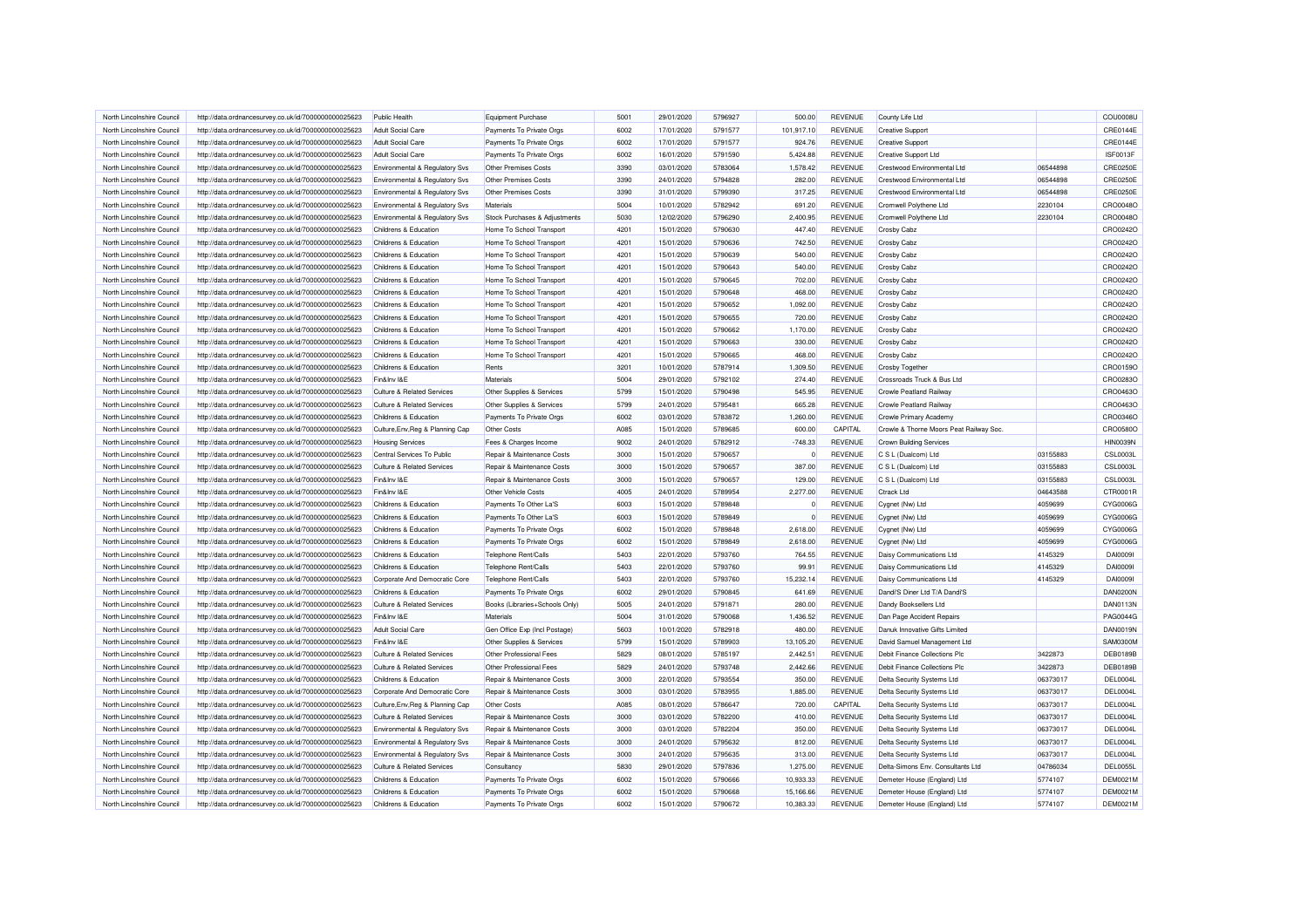| North Lincolnshire Council | http://data.ordnancesurvey.co.uk/id/7000000000025623 | <b>Public Health</b>                  | <b>Equipment Purchase</b>      | 5001 | 29/01/2020 | 5796927 | 500.00     | <b>REVENUE</b> | County Life Ltd                         |          | COU0008U        |
|----------------------------|------------------------------------------------------|---------------------------------------|--------------------------------|------|------------|---------|------------|----------------|-----------------------------------------|----------|-----------------|
| North Lincolnshire Council | http://data.ordnancesurvey.co.uk/id/7000000000025623 | Adult Social Care                     | Payments To Private Orgs       | 6002 | 17/01/2020 | 5791577 | 101,917.10 | REVENUE        | Creative Support                        |          | CRE0144E        |
| North Lincolnshire Council | http://data.ordnancesurvey.co.uk/id/7000000000025623 | <b>Adult Social Care</b>              | Payments To Private Orgs       | 6002 | 17/01/2020 | 5791577 | 924.76     | <b>REVENUE</b> | <b>Creative Support</b>                 |          | CRE0144E        |
| North Lincolnshire Council | http://data.ordnancesurvey.co.uk/id/7000000000025623 | <b>Adult Social Care</b>              | Payments To Private Orgs       | 6002 | 16/01/2020 | 5791590 | 5,424.88   | <b>REVENUE</b> | Creative Support Ltd                    |          | ISF0013F        |
| North Lincolnshire Council | http://data.ordnancesurvey.co.uk/id/7000000000025623 | Environmental & Regulatory Svs        | Other Premises Costs           | 3390 | 03/01/2020 | 5783064 | 1,578.42   | REVENUE        | Crestwood Environmental Ltd             | 06544898 | <b>CRE0250E</b> |
| North Lincolnshire Council | http://data.ordnancesurvey.co.uk/id/7000000000025623 | Environmental & Regulatory Svs        | Other Premises Costs           | 3390 | 24/01/2020 | 5794828 | 282.00     | <b>REVENUE</b> | Crestwood Environmental Ltd             | 06544898 | <b>CRE0250E</b> |
| North Lincolnshire Council | http://data.ordnancesurvey.co.uk/id/7000000000025623 | Environmental & Regulatory Svs        | Other Premises Costs           | 3390 | 31/01/2020 | 5799390 | 317.25     | <b>REVENUE</b> | Crestwood Environmental Ltd             | 06544898 | <b>CRE0250E</b> |
| North Lincolnshire Council | http://data.ordnancesurvey.co.uk/id/7000000000025623 | Environmental & Regulatory Svs        | Materials                      | 5004 | 10/01/2020 | 5782942 | 691.20     | <b>REVENUE</b> | Cromwell Polythene Ltd                  | 2230104  | CRO0048C        |
| North Lincolnshire Council | http://data.ordnancesurvey.co.uk/id/7000000000025623 | Environmental & Regulatory Svs        | Stock Purchases & Adjustments  | 5030 | 12/02/2020 | 5796290 | 2,400.95   | <b>REVENUE</b> | Cromwell Polythene Ltd                  | 2230104  | CRO0048C        |
| North Lincolnshire Council | http://data.ordnancesurvey.co.uk/id/7000000000025623 | Childrens & Education                 | Home To School Transport       | 4201 | 15/01/2020 | 5790630 | 447.40     | <b>REVENUE</b> | <b>Crosby Cabz</b>                      |          | CRO0242C        |
| North Lincolnshire Council | http://data.ordnancesurvey.co.uk/id/7000000000025623 | Childrens & Education                 | Home To School Transport       | 4201 | 15/01/2020 | 5790636 | 742.50     | <b>REVENUE</b> | Crosby Cabz                             |          | CRO0242C        |
| North Lincolnshire Council | http://data.ordnancesurvey.co.uk/id/7000000000025623 | Childrens & Education                 | Home To School Transport       | 4201 | 15/01/2020 | 5790639 | 540.00     | <b>REVENUE</b> | <b>Crosby Cabz</b>                      |          | CRO0242C        |
| North Lincolnshire Council | http://data.ordnancesurvey.co.uk/id/7000000000025623 | Childrens & Education                 | Home To School Transport       | 4201 | 15/01/2020 | 5790643 | 540.00     | <b>REVENUE</b> | Crosby Cabz                             |          | CRO0242C        |
| North Lincolnshire Council | http://data.ordnancesurvey.co.uk/id/7000000000025623 | Childrens & Education                 | Home To School Transport       | 4201 | 15/01/2020 | 5790645 | 702.00     | REVENUE        | Crosby Cabz                             |          | CRO0242C        |
| North Lincolnshire Council | http://data.ordnancesurvey.co.uk/id/7000000000025623 | Childrens & Education                 | Home To School Transport       | 4201 | 15/01/2020 | 5790648 | 468.00     | <b>REVENUE</b> | <b>Crosby Cabz</b>                      |          | CRO0242C        |
| North Lincolnshire Council | http://data.ordnancesurvey.co.uk/id/7000000000025623 | Childrens & Education                 | Home To School Transport       | 4201 | 15/01/2020 | 5790652 | 1,092.00   | <b>REVENUE</b> | Crosby Cabz                             |          | CRO0242C        |
| North Lincolnshire Council | http://data.ordnancesurvey.co.uk/id/7000000000025623 | Childrens & Education                 | Home To School Transport       | 4201 | 15/01/2020 | 5790655 | 720.00     | <b>REVENUE</b> | Crosby Cabz                             |          | CRO0242O        |
| North Lincolnshire Council | http://data.ordnancesurvey.co.uk/id/7000000000025623 | Childrens & Education                 | Home To School Transport       | 4201 | 15/01/2020 | 5790662 | 1,170.00   | <b>REVENUE</b> | Crosby Cabz                             |          | CRO0242C        |
| North Lincolnshire Council | http://data.ordnancesurvey.co.uk/id/7000000000025623 | Childrens & Education                 | Home To School Transport       | 4201 | 15/01/2020 | 5790663 | 330.00     | <b>REVENUE</b> | Crosby Cabz                             |          | CRO0242O        |
| North Lincolnshire Council | http://data.ordnancesurvey.co.uk/id/7000000000025623 | Childrens & Education                 | Home To School Transport       | 4201 | 15/01/2020 | 5790665 | 468.00     | <b>REVENUE</b> | Crosby Cabz                             |          | CRO0242C        |
| North Lincolnshire Council | http://data.ordnancesurvey.co.uk/id/7000000000025623 | Childrens & Education                 | Rents                          | 3201 | 10/01/2020 | 5787914 | 1,309.50   | REVENUE        | <b>Crosby Together</b>                  |          | CRO0159O        |
| North Lincolnshire Counci  | http://data.ordnancesurvey.co.uk/id/7000000000025623 | Fin&Inv I&F                           | Materials                      | 5004 | 29/01/2020 | 5792102 | 274.40     | <b>REVENUE</b> | Crossroads Truck & Bus Ltd              |          | CRO0283C        |
| North Lincolnshire Council | http://data.ordnancesurvey.co.uk/id/7000000000025623 | <b>Culture &amp; Related Services</b> | Other Supplies & Services      | 5799 | 15/01/2020 | 5790498 | 545.95     | <b>REVENUE</b> | Crowle Peatland Railway                 |          | CRO0463O        |
| North Lincolnshire Council | http://data.ordnancesurvey.co.uk/id/7000000000025623 | <b>Culture &amp; Related Services</b> | Other Supplies & Services      | 5799 | 24/01/2020 | 5795481 | 665.28     | <b>REVENUE</b> | <b>Crowle Peatland Railway</b>          |          | CRO0463C        |
| North Lincolnshire Council | http://data.ordnancesurvey.co.uk/id/7000000000025623 | Childrens & Education                 | Payments To Private Orgs       | 6002 | 03/01/2020 | 5783872 | 1,260.00   | <b>REVENUE</b> | <b>Crowle Primary Academy</b>           |          | CRO0346O        |
| North Lincolnshire Council | http://data.ordnancesurvey.co.uk/id/7000000000025623 | Culture, Env, Reg & Planning Cap      | Other Costs                    | A085 | 15/01/2020 | 5789685 | 600.00     | CAPITAL        | Crowle & Thorne Moors Peat Railway Soc. |          | CRO0580O        |
| North Lincolnshire Council | http://data.ordnancesurvey.co.uk/id/7000000000025623 | <b>Housing Services</b>               | Fees & Charges Income          | 9002 | 24/01/2020 | 5782912 | $-748.33$  | <b>REVENUE</b> | <b>Crown Building Services</b>          |          | <b>HIN0039N</b> |
| North Lincolnshire Council | http://data.ordnancesurvey.co.uk/id/7000000000025623 | Central Services To Public            | Repair & Maintenance Costs     | 3000 | 15/01/2020 | 5790657 | $\Omega$   | <b>REVENUE</b> | C S L (Dualcom) Ltd                     | 03155883 | <b>CSL0003L</b> |
| North Lincolnshire Council | http://data.ordnancesurvey.co.uk/id/7000000000025623 | <b>Culture &amp; Related Services</b> | Repair & Maintenance Costs     | 3000 | 15/01/2020 | 5790657 | 387.00     | <b>REVENUE</b> | C S L (Dualcom) Ltd                     | 03155883 | <b>CSL0003L</b> |
| North Lincolnshire Council | http://data.ordnancesurvey.co.uk/id/7000000000025623 | Fin&Inv I&E                           | Repair & Maintenance Costs     | 3000 | 15/01/2020 | 5790657 | 129.00     | <b>REVENUE</b> | C S L (Dualcom) Ltd                     | 03155883 | <b>CSL0003L</b> |
| North Lincolnshire Council | http://data.ordnancesurvey.co.uk/id/7000000000025623 | Fin&Inv I&E                           | Other Vehicle Costs            | 4005 | 24/01/2020 | 5789954 | 2,277.00   | <b>REVENUE</b> | <b>Ctrack Ltd</b>                       | 04643588 | CTR0001F        |
| North Lincolnshire Council | http://data.ordnancesurvey.co.uk/id/7000000000025623 | Childrens & Education                 | Payments To Other La'S         | 6003 | 15/01/2020 | 5789848 |            | <b>REVENUE</b> | Cygnet (Nw) Ltd                         | 4059699  | CYG0006G        |
| North Lincolnshire Council | http://data.ordnancesurvey.co.uk/id/7000000000025623 | Childrens & Education                 | Payments To Other La'S         | 6003 | 15/01/2020 | 5789849 | $\Omega$   | <b>REVENUE</b> | Cygnet (Nw) Ltd                         | 4059699  | CYG0006G        |
| North Lincolnshire Counci  | http://data.ordnancesurvey.co.uk/id/7000000000025623 | Childrens & Education                 | Payments To Private Orgs       | 6002 | 15/01/2020 | 5789848 | 2,618.00   | REVENUE        | Cygnet (Nw) Ltd                         | 4059699  | CYG0006G        |
| North Lincolnshire Council | http://data.ordnancesurvey.co.uk/id/7000000000025623 | Childrens & Education                 | Payments To Private Orgs       | 6002 | 15/01/2020 | 5789849 | 2,618.00   | REVENUE        | Cygnet (Nw) Ltd                         | 4059699  | CYG0006G        |
| North Lincolnshire Council | http://data.ordnancesurvey.co.uk/id/7000000000025623 | Childrens & Education                 | Telephone Rent/Calls           | 5403 | 22/01/2020 | 5793760 | 764.55     | <b>REVENUE</b> | Daisy Communications Ltd                | 4145329  | DAI00091        |
| North Lincolnshire Council | http://data.ordnancesurvey.co.uk/id/7000000000025623 | Childrens & Education                 | Telephone Rent/Calls           | 5403 | 22/01/2020 | 5793760 | 99.91      | <b>REVENUE</b> | Daisy Communications Ltd                | 4145329  | DAI00091        |
| North Lincolnshire Council | http://data.ordnancesurvey.co.uk/id/7000000000025623 | Corporate And Democratic Core         | Telephone Rent/Calls           | 5403 | 22/01/2020 | 5793760 | 15,232.14  | <b>REVENUE</b> | Daisy Communications Ltd                | 4145329  | DAI00091        |
| North Lincolnshire Council | http://data.ordnancesurvey.co.uk/id/7000000000025623 | Childrens & Education                 | Payments To Private Orgs       | 6002 | 29/01/2020 | 5790845 | 641.69     | <b>REVENUE</b> | Dandi'S Diner Ltd T/A Dandi'S           |          | <b>DAN0200N</b> |
| North Lincolnshire Counci  | http://data.ordnancesurvey.co.uk/id/7000000000025623 | Culture & Related Services            | Books (Libraries+Schools Only) | 5005 | 24/01/2020 | 579187  | 280.00     | <b>REVENUE</b> | Dandy Booksellers Ltd                   |          | DAN0113N        |
| North Lincolnshire Council | http://data.ordnancesurvey.co.uk/id/7000000000025623 | Fin&Inv I&E                           | <b>Materials</b>               | 5004 | 31/01/2020 | 5790068 | 1,436.52   | <b>REVENUE</b> | Dan Page Accident Repairs               |          | PAG0044G        |
| North Lincolnshire Council | http://data.ordnancesurvey.co.uk/id/7000000000025623 | Adult Social Care                     | Gen Office Exp (Incl Postage)  | 5603 | 10/01/2020 | 5782918 | 480.00     | <b>REVENUE</b> | Danuk Innovative Gifts Limited          |          | <b>DAN0019N</b> |
| North Lincolnshire Council | http://data.ordnancesurvey.co.uk/id/7000000000025623 | Fin&Inv I&E                           | Other Supplies & Services      | 5799 | 15/01/2020 | 5789903 | 13,105.20  | REVENUE        | David Samuel Management Ltd             |          | <b>SAM0300M</b> |
| North Lincolnshire Council | http://data.ordnancesurvey.co.uk/id/7000000000025623 | <b>Culture &amp; Related Services</b> | Other Professional Fees        | 5829 | 08/01/2020 | 5785197 | 2,442.51   | <b>REVENUE</b> | Debit Finance Collections Plc           | 3422873  | <b>DEB0189B</b> |
| North Lincolnshire Council | http://data.ordnancesurvey.co.uk/id/7000000000025623 | Culture & Related Services            | Other Professional Fees        | 5829 | 24/01/2020 | 5793748 | 2,442.66   | <b>REVENUE</b> | Debit Finance Collections Plc           | 3422873  | <b>DEB0189B</b> |
| North Lincolnshire Counci  |                                                      | Childrens & Education                 |                                | 3000 | 22/01/2020 | 5793554 | 350.00     | <b>REVENUE</b> |                                         | 06373017 | DEL0004L        |
|                            | http://data.ordnancesurvey.co.uk/id/7000000000025623 |                                       | Repair & Maintenance Costs     |      |            |         |            |                | Delta Security Systems Ltd              |          |                 |
| North Lincolnshire Council | http://data.ordnancesurvey.co.uk/id/7000000000025623 | Corporate And Democratic Core         | Repair & Maintenance Costs     | 3000 | 03/01/2020 | 5783955 | 1,885.00   | <b>REVENUE</b> | Delta Security Systems Ltd              | 06373017 | <b>DEL0004L</b> |
| North Lincolnshire Council | http://data.ordnancesurvey.co.uk/id/7000000000025623 | Culture, Env, Reg & Planning Cap      | Other Costs                    | A085 | 08/01/2020 | 5786647 | 720.00     | CAPITAL        | Delta Security Systems Ltd              | 06373017 | DEL0004L        |
| North Lincolnshire Council | http://data.ordnancesurvey.co.uk/id/7000000000025623 | Culture & Related Services            | Repair & Maintenance Costs     | 3000 | 03/01/2020 | 5782200 | 410.00     | <b>REVENUE</b> | Delta Security Systems Ltd              | 06373017 | DEL0004L        |
| North Lincolnshire Council | http://data.ordnancesurvey.co.uk/id/7000000000025623 | Environmental & Regulatory Svs        | Repair & Maintenance Costs     | 3000 | 03/01/2020 | 5782204 | 350.00     | <b>REVENUE</b> | Delta Security Systems Ltd              | 06373017 | DEL0004L        |
| North Lincolnshire Council | http://data.ordnancesurvey.co.uk/id/7000000000025623 | Environmental & Regulatory Svs        | Repair & Maintenance Costs     | 3000 | 24/01/2020 | 5795632 | 812.00     | <b>REVENUE</b> | Delta Security Systems Ltd              | 06373017 | DEL0004L        |
| North Lincolnshire Council | http://data.ordnancesurvey.co.uk/id/7000000000025623 | Environmental & Regulatory Svs        | Repair & Maintenance Costs     | 3000 | 24/01/2020 | 5795635 | 313.00     | <b>REVENUE</b> | Delta Security Systems Ltd              | 06373017 | DEL0004L        |
| North Lincolnshire Council | http://data.ordnancesurvey.co.uk/id/7000000000025623 | <b>Culture &amp; Related Services</b> | Consultancy                    | 5830 | 29/01/2020 | 5797836 | 1,275.00   | <b>REVENUE</b> | Delta-Simons Env. Consultants Ltd       | 04786034 | <b>DEL0055L</b> |
| North Lincolnshire Council | http://data.ordnancesurvey.co.uk/id/7000000000025623 | Childrens & Education                 | Payments To Private Orgs       | 6002 | 15/01/2020 | 5790666 | 10.933.33  | <b>REVENUE</b> | Demeter House (England) Ltd             | 5774107  | <b>DEM0021N</b> |
| North Lincolnshire Council | http://data.ordnancesurvey.co.uk/id/7000000000025623 | Childrens & Education                 | Payments To Private Orgs       | 6002 | 15/01/2020 | 5790668 | 15,166.66  | REVENUE        | Demeter House (England) Ltd             | 5774107  | <b>DEM0021M</b> |
| North Lincolnshire Council | http://data.ordnancesurvey.co.uk/id/7000000000025623 | Childrens & Education                 | Payments To Private Orgs       | 6002 | 15/01/2020 | 5790672 | 10.383.33  | <b>REVENUE</b> | Demeter House (England) Ltd             | 5774107  | <b>DEM0021M</b> |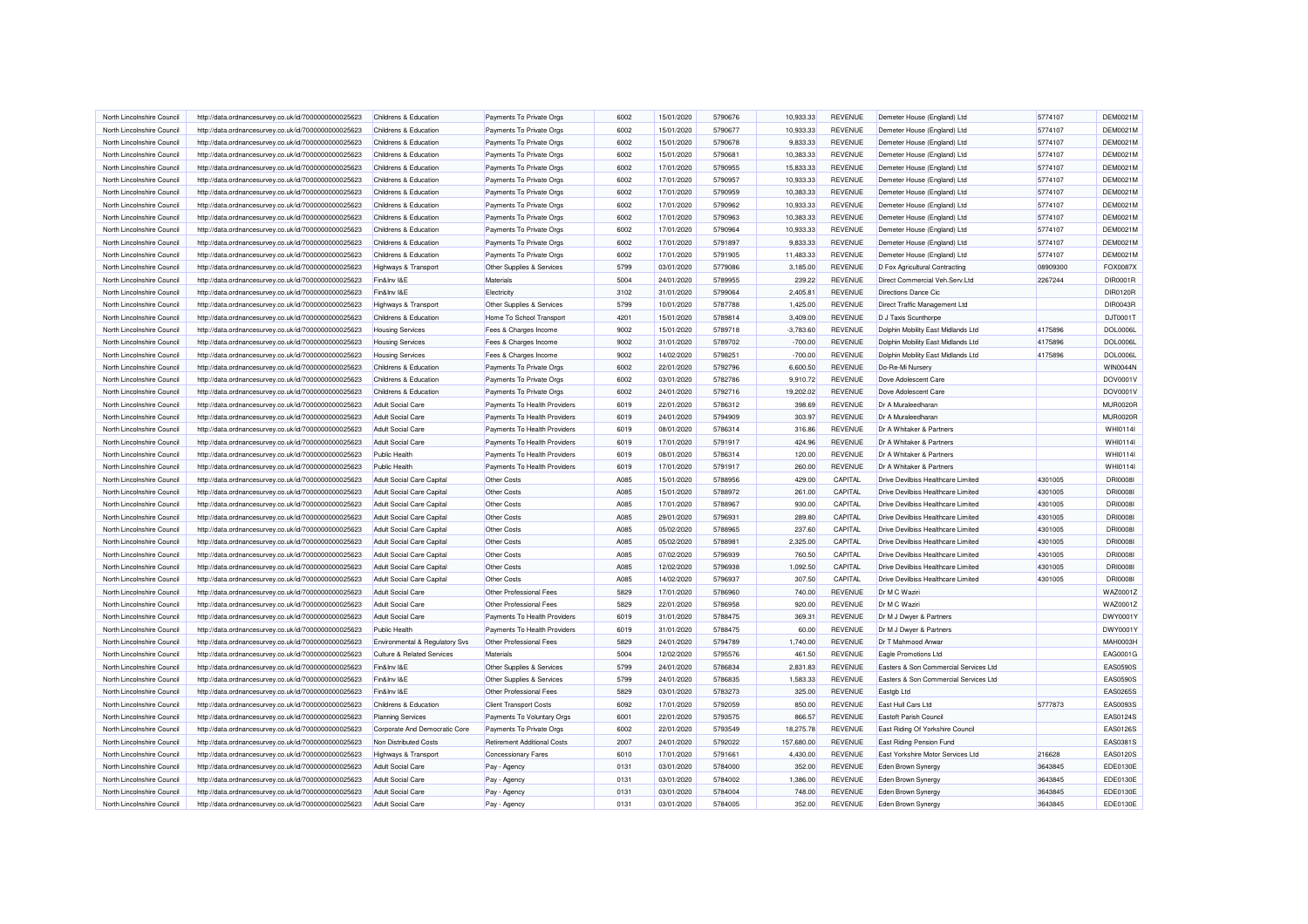| North Lincolnshire Council | http://data.ordnancesurvey.co.uk/id/7000000000025623 | Childrens & Education                 | Payments To Private Orgs           | 6002 | 15/01/2020 | 5790676 | 10,933.33   | <b>REVENUE</b> | Demeter House (England) Ltd           | 5774107  | <b>DEM0021M</b> |
|----------------------------|------------------------------------------------------|---------------------------------------|------------------------------------|------|------------|---------|-------------|----------------|---------------------------------------|----------|-----------------|
| North Lincolnshire Council | http://data.ordnancesurvey.co.uk/id/7000000000025623 | Childrens & Education                 | Payments To Private Orgs           | 6002 | 15/01/2020 | 5790677 | 10,933.33   | REVENUE        | Demeter House (England) Ltd           | 5774107  | DEM0021M        |
| North Lincolnshire Council | http://data.ordnancesurvey.co.uk/id/7000000000025623 | Childrens & Education                 | Payments To Private Orgs           | 6002 | 15/01/2020 | 5790678 | 9,833.33    | <b>REVENUE</b> | Demeter House (England) Ltd           | 5774107  | DEM0021M        |
| North Lincolnshire Council | http://data.ordnancesurvey.co.uk/id/7000000000025623 | Childrens & Education                 | Payments To Private Orgs           | 6002 | 15/01/2020 | 5790681 | 10,383.33   | <b>REVENUE</b> | Demeter House (England) Ltd           | 5774107  | <b>DEM0021M</b> |
| North Lincolnshire Council | http://data.ordnancesurvey.co.uk/id/7000000000025623 | Childrens & Education                 | Payments To Private Orgs           | 6002 | 17/01/2020 | 5790955 | 15,833.33   | REVENUE        | Demeter House (England) Ltd           | 5774107  | DEM0021M        |
| North Lincolnshire Council | http://data.ordnancesurvey.co.uk/id/7000000000025623 | Childrens & Education                 | Payments To Private Orgs           | 6002 | 17/01/2020 | 5790957 | 10,933.33   | <b>REVENUE</b> | Demeter House (England) Ltd           | 5774107  | <b>DEM0021M</b> |
| North Lincolnshire Council | http://data.ordnancesurvey.co.uk/id/7000000000025623 | Childrens & Education                 | Payments To Private Orgs           | 6002 | 17/01/2020 | 5790959 | 10,383.33   | <b>REVENUE</b> | Demeter House (England) Ltd           | 5774107  | <b>DEM0021M</b> |
| North Lincolnshire Council | http://data.ordnancesurvey.co.uk/id/7000000000025623 | Childrens & Education                 | Payments To Private Orgs           | 6002 | 17/01/2020 | 5790962 | 10,933.33   | <b>REVENUE</b> | Demeter House (England) Ltd           | 5774107  | <b>DEM0021M</b> |
| North Lincolnshire Council | http://data.ordnancesurvey.co.uk/id/7000000000025623 | Childrens & Education                 | Payments To Private Orgs           | 6002 | 17/01/2020 | 5790963 | 10,383.33   | <b>REVENUE</b> | Demeter House (England) Ltd           | 5774107  | <b>DEM0021M</b> |
| North Lincolnshire Council | http://data.ordnancesurvey.co.uk/id/7000000000025623 | Childrens & Education                 | Payments To Private Orgs           | 6002 | 17/01/2020 | 5790964 | 10,933.33   | <b>REVENUE</b> | Demeter House (England) Ltd           | 5774107  | <b>DEM0021M</b> |
| North Lincolnshire Council | http://data.ordnancesurvey.co.uk/id/7000000000025623 | Childrens & Education                 | Payments To Private Orgs           | 6002 | 17/01/2020 | 5791897 | 9,833.33    | <b>REVENUE</b> | Demeter House (England) Ltd           | 5774107  | <b>DEM0021M</b> |
| North Lincolnshire Council | http://data.ordnancesurvey.co.uk/id/7000000000025623 | Childrens & Education                 | Payments To Private Orgs           | 6002 | 17/01/2020 | 5791905 | 11,483.33   | <b>REVENUE</b> | Demeter House (England) Ltd           | 5774107  | <b>DEM0021M</b> |
| North Lincolnshire Counci  | http://data.ordnancesurvey.co.uk/id/7000000000025623 | Highways & Transport                  | Other Supplies & Services          | 5799 | 03/01/2020 | 5779086 | 3,185.00    | <b>REVENUE</b> | D Fox Agricultural Contracting        | 08909300 | FOX0087X        |
| North Lincolnshire Council | http://data.ordnancesurvey.co.uk/id/7000000000025623 | Fin&Inv I&E                           | Materials                          | 5004 | 24/01/2020 | 5789955 | 239.22      | REVENUE        | Direct Commercial Veh.Serv.Ltd        | 2267244  | DIR0001R        |
| North Lincolnshire Council | http://data.ordnancesurvey.co.uk/id/7000000000025623 | Fin&Inv I&E                           | Electricity                        | 3102 | 31/01/2020 | 5799064 | 2,405.81    | <b>REVENUE</b> | <b>Directions Dance Cic</b>           |          | <b>DIR0120R</b> |
| North Lincolnshire Counci  | http://data.ordnancesurvey.co.uk/id/7000000000025623 | Highways & Transport                  | Other Supplies & Services          | 5799 | 10/01/2020 | 5787788 | 1,425.00    | <b>REVENUE</b> | Direct Traffic Management Ltd         |          | DIR0043R        |
| North Lincolnshire Council | http://data.ordnancesurvey.co.uk/id/7000000000025623 | Childrens & Education                 | Home To School Transport           | 4201 | 15/01/2020 | 5789814 | 3,409.00    | REVENUE        | D J Taxis Scunthorpe                  |          | DJT0001T        |
| North Lincolnshire Council | http://data.ordnancesurvey.co.uk/id/7000000000025623 | <b>Housing Services</b>               | Fees & Charges Income              | 9002 | 15/01/2020 | 5789718 | $-3,783.60$ | <b>REVENUE</b> | Dolphin Mobility East Midlands Ltd    | 4175896  | <b>DOL0006L</b> |
| North Lincolnshire Council | http://data.ordnancesurvey.co.uk/id/7000000000025623 | <b>Housing Services</b>               | Fees & Charges Income              | 9002 | 31/01/2020 | 5789702 | $-700.00$   | REVENUE        | Dolphin Mobility East Midlands Ltd    | 4175896  | <b>DOL0006L</b> |
| North Lincolnshire Council | http://data.ordnancesurvey.co.uk/id/7000000000025623 | <b>Housing Services</b>               | Fees & Charges Income              | 9002 | 14/02/2020 | 5798251 | $-700.00$   | <b>REVENUE</b> | Dolphin Mobility East Midlands Ltd    | 4175896  | <b>DOL0006L</b> |
| North Lincolnshire Council | http://data.ordnancesurvey.co.uk/id/7000000000025623 | Childrens & Education                 | Payments To Private Orgs           | 6002 | 22/01/2020 | 5792796 | 6,600.50    | <b>REVENUE</b> | Do-Re-Mi Nursery                      |          | <b>WIN0044N</b> |
| North Lincolnshire Council | http://data.ordnancesurvey.co.uk/id/7000000000025623 | Childrens & Education                 | Payments To Private Orgs           | 6002 | 03/01/2020 | 5782786 | 9,910.72    | <b>REVENUE</b> | Dove Adolescent Care                  |          | DOV0001\        |
| North Lincolnshire Council | http://data.ordnancesurvey.co.uk/id/7000000000025623 | Childrens & Education                 | Payments To Private Orgs           | 6002 | 24/01/2020 | 5792716 | 19,202.02   | <b>REVENUE</b> | Dove Adolescent Care                  |          | DOV0001V        |
| North Lincolnshire Council | http://data.ordnancesurvey.co.uk/id/7000000000025623 | Adult Social Care                     | Payments To Health Providers       | 6019 | 22/01/2020 | 5786312 | 398.69      | <b>REVENUE</b> | Dr A Muraleedharan                    |          | <b>MUR0020R</b> |
| North Lincolnshire Council | http://data.ordnancesurvey.co.uk/id/7000000000025623 | <b>Adult Social Care</b>              | Payments To Health Providers       | 6019 | 24/01/2020 | 5794909 | 303.97      | <b>REVENUE</b> | Dr A Muraleedharan                    |          | <b>MUR0020R</b> |
| North Lincolnshire Council | http://data.ordnancesurvey.co.uk/id/7000000000025623 | <b>Adult Social Care</b>              | Payments To Health Providers       | 6019 | 08/01/2020 | 5786314 | 316.86      | <b>REVENUE</b> | Dr A Whitaker & Partners              |          | WHI0114I        |
| North Lincolnshire Council | http://data.ordnancesurvey.co.uk/id/7000000000025623 | Adult Social Care                     | Payments To Health Providers       | 6019 | 17/01/2020 | 5791917 | 424.96      | <b>REVENUE</b> | Dr A Whitaker & Partners              |          | WHI0114I        |
| North Lincolnshire Council | http://data.ordnancesurvey.co.uk/id/7000000000025623 | Public Health                         | Payments To Health Providers       | 6019 | 08/01/2020 | 5786314 | 120.00      | <b>REVENUE</b> | Dr A Whitaker & Partners              |          | WHI0114I        |
| North Lincolnshire Council | http://data.ordnancesurvey.co.uk/id/7000000000025623 | <b>Public Health</b>                  | Payments To Health Providers       | 6019 | 17/01/2020 | 5791917 | 260.00      | <b>REVENUE</b> | Dr A Whitaker & Partners              |          | WHI0114I        |
| North Lincolnshire Council | http://data.ordnancesurvey.co.uk/id/7000000000025623 | Adult Social Care Capital             | Other Costs                        | A085 | 15/01/2020 | 5788956 | 429.00      | CAPITAL        | Drive Devilbiss Healthcare Limited    | 4301005  | <b>DRI0008I</b> |
| North Lincolnshire Council | http://data.ordnancesurvey.co.uk/id/7000000000025623 | Adult Social Care Capital             | Other Costs                        | A085 | 15/01/2020 | 5788972 | 261.00      | CAPITAL        | Drive Devilbiss Healthcare Limited    | 4301005  | <b>DRI0008I</b> |
| North Lincolnshire Council | http://data.ordnancesurvey.co.uk/id/7000000000025623 | Adult Social Care Capital             | Other Costs                        | A085 | 17/01/2020 | 5788967 | 930.00      | CAPITAL        | Drive Devilbiss Healthcare Limited    | 4301005  | <b>DRI0008I</b> |
| North Lincolnshire Council | http://data.ordnancesurvey.co.uk/id/7000000000025623 | Adult Social Care Capital             | Other Costs                        | A085 | 29/01/2020 | 5796931 | 289.80      | CAPITAL        | Drive Devilbiss Healthcare Limited    | 4301005  | <b>DRI0008I</b> |
| North Lincolnshire Counci  | http://data.ordnancesurvey.co.uk/id/7000000000025623 | Adult Social Care Capital             | Other Costs                        | A085 | 05/02/2020 | 5788965 | 237.60      | CAPITAL        | Drive Devilbiss Healthcare Limited    | 4301005  | <b>DRI0008I</b> |
| North Lincolnshire Council | http://data.ordnancesurvey.co.uk/id/7000000000025623 | <b>Adult Social Care Capital</b>      | Other Costs                        | A085 | 05/02/2020 | 578898  | 2,325.00    | CAPITAL        | Drive Devilbiss Healthcare Limited    | 4301005  | <b>DRI0008I</b> |
| North Lincolnshire Council | http://data.ordnancesurvey.co.uk/id/7000000000025623 | Adult Social Care Capital             | Other Costs                        | A085 | 07/02/2020 | 5796939 | 760.50      | CAPITAL        | Drive Devilbiss Healthcare Limited    | 4301005  | <b>DRI0008I</b> |
| North Lincolnshire Council | http://data.ordnancesurvey.co.uk/id/7000000000025623 | Adult Social Care Capital             | Other Costs                        | A085 | 12/02/2020 | 5796938 | 1,092.50    | CAPITAL        | Drive Devilbiss Healthcare Limited    | 4301005  | <b>DRI0008I</b> |
| North Lincolnshire Council | http://data.ordnancesurvey.co.uk/id/7000000000025623 | <b>Adult Social Care Capital</b>      | Other Costs                        | A085 | 14/02/2020 | 5796937 | 307.50      | CAPITAL        | Drive Devilbiss Healthcare Limited    | 4301005  | <b>DRI0008I</b> |
| North Lincolnshire Council | http://data.ordnancesurvey.co.uk/id/7000000000025623 | Adult Social Care                     | Other Professional Fees            | 5829 | 17/01/2020 | 5786960 | 740.00      | <b>REVENUE</b> | Dr M C Waziri                         |          | WAZ0001Z        |
| North Lincolnshire Council | http://data.ordnancesurvey.co.uk/id/7000000000025623 | <b>Adult Social Care</b>              | Other Professional Fees            | 5829 | 22/01/2020 | 5786958 | 920.00      | <b>REVENUE</b> | Dr M C Waziri                         |          | WAZ0001Z        |
| North Lincolnshire Council | http://data.ordnancesurvey.co.uk/id/7000000000025623 | <b>Adult Social Care</b>              | Payments To Health Providers       | 6019 | 31/01/2020 | 5788475 | 369.31      | <b>REVENUE</b> | Dr M J Dwyer & Partners               |          | DWY0001Y        |
| North Lincolnshire Council | http://data.ordnancesurvey.co.uk/id/7000000000025623 | Public Health                         | Payments To Health Providers       | 6019 | 31/01/2020 | 5788475 | 60.00       | <b>REVENUE</b> | Dr M J Dwyer & Partners               |          | DWY0001\        |
| North Lincolnshire Council | http://data.ordnancesurvey.co.uk/id/7000000000025623 | Environmental & Regulatory Svs        | Other Professional Fees            | 5829 | 24/01/2020 | 5794789 | 1,740.00    | <b>REVENUE</b> | Dr T Mahmood Anwar                    |          | <b>MAH0003H</b> |
| North Lincolnshire Council | http://data.ordnancesurvey.co.uk/id/7000000000025623 | <b>Culture &amp; Related Services</b> | Materials                          | 5004 | 12/02/2020 | 5795576 | 461.50      | <b>REVENUE</b> | Eagle Promotions Ltd                  |          | EAG0001G        |
| North Lincolnshire Council | http://data.ordnancesurvey.co.uk/id/7000000000025623 | Fin&Inv I&E                           | Other Supplies & Services          | 5799 | 24/01/2020 | 5786834 | 2,831.83    | REVENUE        | Easters & Son Commercial Services Ltd |          | <b>EAS0590S</b> |
| North Lincolnshire Council | http://data.ordnancesurvey.co.uk/id/7000000000025623 | Fin&Inv I&E                           | Other Supplies & Services          | 5799 | 24/01/2020 | 5786835 | 1,583.33    | REVENUE        | Easters & Son Commercial Services Ltd |          | <b>EAS0590S</b> |
| North Lincolnshire Council | http://data.ordnancesurvey.co.uk/id/7000000000025623 | Fin&Inv I&E                           | Other Professional Fees            | 5829 | 03/01/2020 | 5783273 | 325.00      | <b>REVENUE</b> | Eastgb Ltd                            |          | <b>EAS0265S</b> |
| North Lincolnshire Council | http://data.ordnancesurvey.co.uk/id/7000000000025623 | Childrens & Education                 | <b>Client Transport Costs</b>      | 6092 | 17/01/2020 | 5792059 | 850.00      | <b>REVENUE</b> | East Hull Cars Ltd                    | 5777873  | EAS0093S        |
| North Lincolnshire Council | http://data.ordnancesurvey.co.uk/id/7000000000025623 | <b>Planning Services</b>              | Payments To Voluntary Orgs         | 6001 | 22/01/2020 | 5793575 | 866.57      | <b>REVENUE</b> | <b>Eastoft Parish Council</b>         |          | EAS0124S        |
| North Lincolnshire Council | http://data.ordnancesurvey.co.uk/id/7000000000025623 | Corporate And Democratic Core         | Payments To Private Orgs           | 6002 | 22/01/2020 | 5793549 | 18,275.78   | <b>REVENUE</b> | East Riding Of Yorkshire Council      |          | <b>EAS0126S</b> |
| North Lincolnshire Council | http://data.ordnancesurvey.co.uk/id/7000000000025623 | Non Distributed Costs                 | <b>Retirement Additional Costs</b> | 2007 | 24/01/2020 | 5792022 | 157,680.00  | REVENUE        | East Riding Pension Fund              |          | EAS0381S        |
| North Lincolnshire Council | http://data.ordnancesurvey.co.uk/id/7000000000025623 | Highways & Transport                  | <b>Concessionary Fares</b>         | 6010 | 17/01/2020 | 5791661 | 4,430.00    | <b>REVENUE</b> | East Yorkshire Motor Services Ltd     | 216628   | EAS0120S        |
| North Lincolnshire Council | http://data.ordnancesurvey.co.uk/id/7000000000025623 | <b>Adult Social Care</b>              | Pay - Agency                       | 0131 | 03/01/2020 | 5784000 | 352.00      | <b>REVENUE</b> | Eden Brown Synergy                    | 3643845  | <b>EDE0130E</b> |
| North Lincolnshire Council | http://data.ordnancesurvey.co.uk/id/7000000000025623 | <b>Adult Social Care</b>              | Pay - Agency                       | 0131 | 03/01/2020 | 5784002 | 1,386.00    | REVENUE        | Eden Brown Synergy                    | 3643845  | EDE0130E        |
| North Lincolnshire Council | http://data.ordnancesurvey.co.uk/id/7000000000025623 | <b>Adult Social Care</b>              | Pay - Agency                       | 0131 | 03/01/2020 | 5784004 | 748.00      | REVENUE        | Eden Brown Synergy                    | 3643845  | EDE0130E        |
| North Lincolnshire Council | http://data.ordnancesurvey.co.uk/id/7000000000025623 | Adult Social Care                     | Pay - Agency                       | 0131 | 03/01/2020 | 5784005 | 352.00      | <b>REVENUE</b> | Eden Brown Syneray                    | 3643845  | <b>EDE0130E</b> |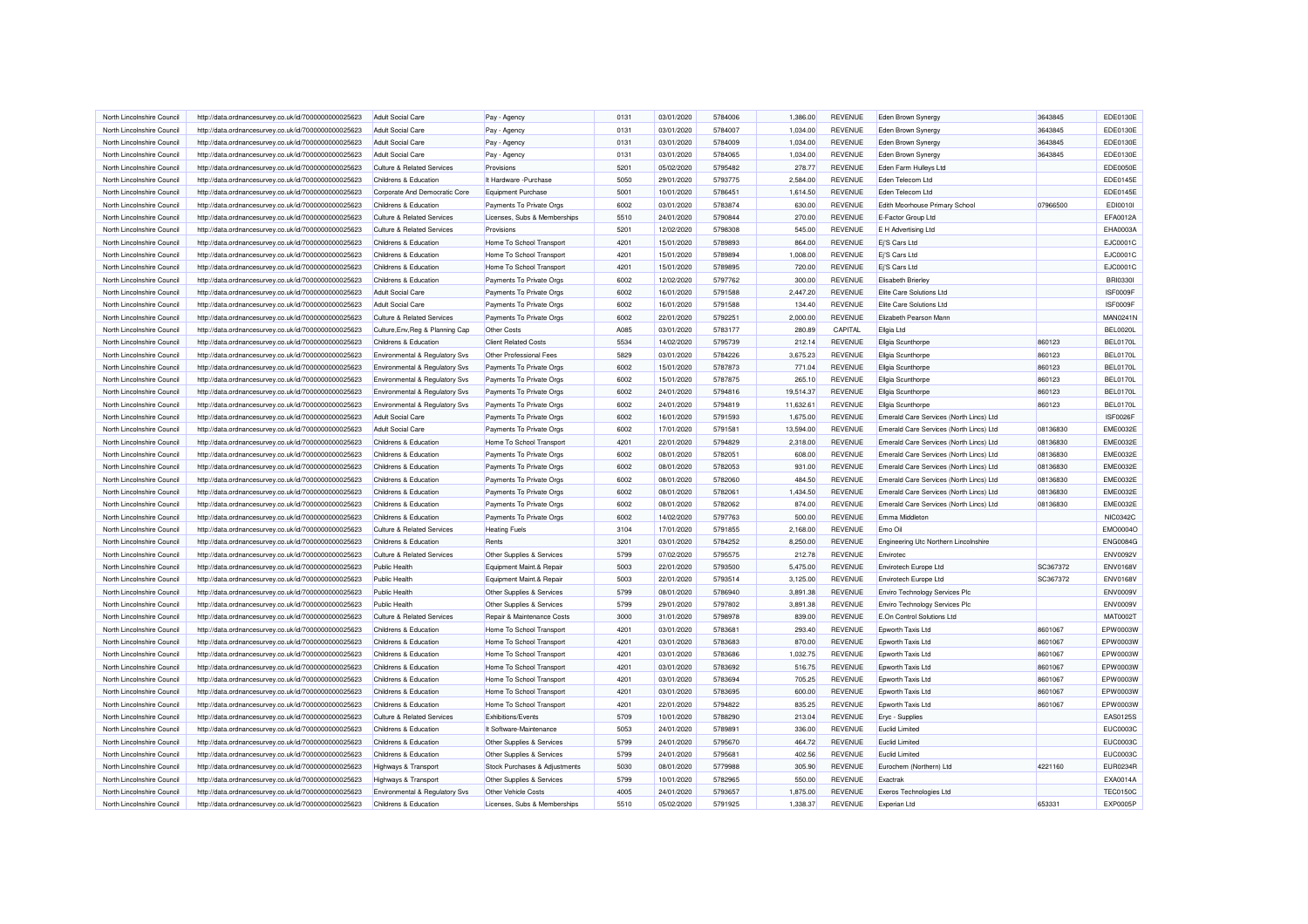| North Lincolnshire Council | http://data.ordnancesurvey.co.uk/id/7000000000025623 | <b>Adult Social Care</b>              | Pay - Agency                  | 0131 | 03/01/2020 | 5784006 | 1,386.00  | REVENUE        | Eden Brown Synergy                      | 3643845  | EDE0130E        |
|----------------------------|------------------------------------------------------|---------------------------------------|-------------------------------|------|------------|---------|-----------|----------------|-----------------------------------------|----------|-----------------|
| North Lincolnshire Council | http://data.ordnancesurvey.co.uk/id/7000000000025623 | <b>Adult Social Care</b>              | Pay - Agency                  | 0131 | 03/01/2020 | 5784007 | 1,034.00  | <b>REVENUE</b> | Eden Brown Synergy                      | 3643845  | EDE0130E        |
| North Lincolnshire Council | http://data.ordnancesurvey.co.uk/id/7000000000025623 | <b>Adult Social Care</b>              | Pay - Agency                  | 0131 | 03/01/2020 | 5784009 | 1,034.00  | <b>REVENUE</b> | Eden Brown Synergy                      | 3643845  | EDE0130E        |
| North Lincolnshire Council | http://data.ordnancesurvey.co.uk/id/7000000000025623 | <b>Adult Social Care</b>              | Pay - Agency                  | 0131 | 03/01/2020 | 5784065 | 1,034.00  | <b>REVENUE</b> | Eden Brown Synergy                      | 3643845  | <b>EDE0130E</b> |
| North Lincolnshire Council | http://data.ordnancesurvey.co.uk/id/7000000000025623 | <b>Culture &amp; Related Services</b> | Provisions                    | 5201 | 05/02/2020 | 5795482 | 278.77    | <b>REVENUE</b> | Eden Farm Hulleys Ltd                   |          | <b>EDE0050E</b> |
| North Lincolnshire Council | http://data.ordnancesurvey.co.uk/id/7000000000025623 | Childrens & Education                 | It Hardware - Purchase        | 5050 | 29/01/2020 | 5793775 | 2.584.00  | <b>REVENUE</b> | <b>Eden Telecom Ltd</b>                 |          | <b>EDE0145E</b> |
| North Lincolnshire Council | http://data.ordnancesurvey.co.uk/id/7000000000025623 | Corporate And Democratic Core         | Equipment Purchase            | 5001 | 10/01/2020 | 5786451 | 1,614.50  | <b>REVENUE</b> | Eden Telecom Ltd                        |          | EDE0145E        |
| North Lincolnshire Council | http://data.ordnancesurvey.co.uk/id/7000000000025623 | Childrens & Education                 | Payments To Private Orgs      | 6002 | 03/01/2020 | 5783874 | 630.00    | <b>REVENUE</b> | Edith Moorhouse Primary School          | 07966500 | EDI0010I        |
| North Lincolnshire Council | http://data.ordnancesurvey.co.uk/id/7000000000025623 | <b>Culture &amp; Related Services</b> | Licenses, Subs & Memberships  | 5510 | 24/01/2020 | 5790844 | 270.00    | <b>REVENUE</b> | E-Factor Group Ltd                      |          | EFA0012A        |
| North Lincolnshire Council | http://data.ordnancesurvey.co.uk/id/7000000000025623 | Culture & Related Services            | Provisions                    | 5201 | 12/02/2020 | 5798308 | 545.00    | <b>REVENUE</b> | <b>E</b> H Advertising Ltd              |          | EHA0003A        |
| North Lincolnshire Council | http://data.ordnancesurvey.co.uk/id/7000000000025623 | Childrens & Education                 | Home To School Transport      | 4201 | 15/01/2020 | 5789893 | 864.00    | <b>REVENUE</b> | Ej'S Cars Ltd                           |          | EJC0001C        |
| North Lincolnshire Council | http://data.ordnancesurvey.co.uk/id/7000000000025623 | Childrens & Education                 | Home To School Transport      | 4201 | 15/01/2020 | 5789894 | 1,008.00  | REVENUE        | Ej'S Cars Ltd                           |          | EJC0001C        |
| North Lincolnshire Council | http://data.ordnancesurvey.co.uk/id/7000000000025623 | Childrens & Education                 | Home To School Transport      | 4201 | 15/01/2020 | 5789895 | 720.00    | <b>REVENUE</b> | Ej'S Cars Ltd                           |          | EJC0001C        |
| North Lincolnshire Council | http://data.ordnancesurvey.co.uk/id/7000000000025623 | Childrens & Education                 | Payments To Private Orgs      | 6002 | 12/02/2020 | 5797762 | 300.00    | <b>REVENUE</b> | <b>Elisabeth Brierley</b>               |          | <b>BRI03301</b> |
| North Lincolnshire Council | http://data.ordnancesurvey.co.uk/id/7000000000025623 | <b>Adult Social Care</b>              | Payments To Private Orgs      | 6002 | 16/01/2020 | 5791588 | 2,447.20  | <b>REVENUE</b> | Elite Care Solutions Ltd                |          | ISF0009F        |
| North Lincolnshire Council | http://data.ordnancesurvey.co.uk/id/7000000000025623 | <b>Adult Social Care</b>              | Payments To Private Orgs      | 6002 | 16/01/2020 | 5791588 | 134.40    | <b>REVENUE</b> | <b>Elite Care Solutions Ltd</b>         |          | ISF0009F        |
| North Lincolnshire Council | http://data.ordnancesurvey.co.uk/id/7000000000025623 | <b>Culture &amp; Related Services</b> | Payments To Private Orgs      | 6002 | 22/01/2020 | 5792251 | 2,000.00  | <b>REVENUE</b> | Elizabeth Pearson Mann                  |          | <b>MAN0241N</b> |
| North Lincolnshire Council | http://data.ordnancesurvey.co.uk/id/7000000000025623 | Culture, Env, Reg & Planning Cap      | Other Costs                   | A085 | 03/01/2020 | 5783177 | 280.89    | CAPITAL        | <b>Ellgia Ltd</b>                       |          | <b>BEL0020L</b> |
| North Lincolnshire Council | http://data.ordnancesurvey.co.uk/id/7000000000025623 | Childrens & Education                 | <b>Client Related Costs</b>   | 5534 | 14/02/2020 | 5795739 | 212.14    | <b>REVENUE</b> | Ellgia Scunthorpe                       | 860123   | <b>BEL0170L</b> |
| North Lincolnshire Council | http://data.ordnancesurvey.co.uk/id/7000000000025623 | Environmental & Regulatory Svs        | Other Professional Fees       | 5829 | 03/01/2020 | 5784226 | 3,675.23  | <b>REVENUE</b> | Ellgia Scunthorpe                       | 860123   | <b>BEL0170L</b> |
| North Lincolnshire Council | http://data.ordnancesurvey.co.uk/id/7000000000025623 | Environmental & Regulatory Svs        | Payments To Private Orgs      | 6002 | 15/01/2020 | 5787873 | 771.04    | <b>REVENUE</b> | Ellgia Scunthorpe                       | 860123   | <b>BEL0170L</b> |
| North Lincolnshire Council | http://data.ordnancesurvey.co.uk/id/7000000000025623 | Environmental & Regulatory Svs        | Payments To Private Orgs      | 6002 | 15/01/2020 | 5787875 | 265.10    | <b>REVENUE</b> | Ellgia Scunthorpe                       | 860123   | <b>BEL0170L</b> |
| North Lincolnshire Council | http://data.ordnancesurvey.co.uk/id/7000000000025623 | Environmental & Regulatory Svs        | Payments To Private Orgs      | 6002 | 24/01/2020 | 5794816 | 19,514.37 | <b>REVENUE</b> | Ellgia Scunthorpe                       | 860123   | <b>BEL0170L</b> |
| North Lincolnshire Council | http://data.ordnancesurvey.co.uk/id/7000000000025623 | Environmental & Regulatory Svs        | Payments To Private Orgs      | 6002 | 24/01/2020 | 5794819 | 11,632.61 | <b>REVENUE</b> | Ellgia Scunthorpe                       | 860123   | BEL0170L        |
| North Lincolnshire Council | http://data.ordnancesurvey.co.uk/id/7000000000025623 | <b>Adult Social Care</b>              | Payments To Private Orgs      | 6002 | 16/01/2020 | 5791593 | 1,675.00  | <b>REVENUE</b> | Emerald Care Services (North Lincs) Ltd |          | ISF0026F        |
| North Lincolnshire Council | http://data.ordnancesurvey.co.uk/id/7000000000025623 | <b>Adult Social Care</b>              | Payments To Private Orgs      | 6002 | 17/01/2020 | 5791581 | 13,594.00 | <b>REVENUE</b> | Emerald Care Services (North Lincs) Ltd | 08136830 | <b>EME0032E</b> |
| North Lincolnshire Council | http://data.ordnancesurvey.co.uk/id/7000000000025623 | Childrens & Education                 | Home To School Transport      | 4201 | 22/01/2020 | 5794829 | 2,318.00  | <b>REVENUE</b> | Emerald Care Services (North Lincs) Ltd | 08136830 | <b>EME0032E</b> |
| North Lincolnshire Council | http://data.ordnancesurvey.co.uk/id/7000000000025623 | Childrens & Education                 | Payments To Private Orgs      | 6002 | 08/01/2020 | 5782051 | 608.00    | <b>REVENUE</b> | Emerald Care Services (North Lincs) Ltd | 08136830 | <b>EME0032E</b> |
| North Lincolnshire Council | http://data.ordnancesurvey.co.uk/id/7000000000025623 | Childrens & Education                 | Payments To Private Orgs      | 6002 | 08/01/2020 | 5782053 | 931.00    | <b>REVENUE</b> | Emerald Care Services (North Lincs) Ltd | 08136830 | <b>EME0032E</b> |
| North Lincolnshire Council | http://data.ordnancesurvey.co.uk/id/7000000000025623 | Childrens & Education                 | Payments To Private Orgs      | 6002 | 08/01/2020 | 5782060 | 484.50    | <b>REVENUE</b> | Emerald Care Services (North Lincs) Ltd | 08136830 | <b>EME0032E</b> |
| North Lincolnshire Council | http://data.ordnancesurvey.co.uk/id/7000000000025623 | Childrens & Education                 | Payments To Private Orgs      | 6002 | 08/01/2020 | 5782061 | 1,434.50  | <b>REVENUE</b> | Emerald Care Services (North Lincs) Ltd | 08136830 | <b>EME0032E</b> |
| North Lincolnshire Council | http://data.ordnancesurvey.co.uk/id/7000000000025623 | Childrens & Education                 | Payments To Private Orgs      | 6002 | 08/01/2020 | 5782062 | 874.00    | <b>REVENUE</b> | Emerald Care Services (North Lincs) Ltd | 08136830 | <b>EME0032E</b> |
| North Lincolnshire Council | http://data.ordnancesurvey.co.uk/id/7000000000025623 | Childrens & Education                 | Payments To Private Orgs      | 6002 | 14/02/2020 | 5797763 | 500.00    | <b>REVENUE</b> | <b>Emma Middleton</b>                   |          | <b>NIC0342C</b> |
| North Lincolnshire Council | http://data.ordnancesurvey.co.uk/id/7000000000025623 | Culture & Related Services            | <b>Heating Fuels</b>          | 3104 | 17/01/2020 | 5791855 | 2,168.00  | <b>REVENUE</b> | <b>Emo Oil</b>                          |          | EMO0004O        |
| North Lincolnshire Council | http://data.ordnancesurvey.co.uk/id/7000000000025623 | Childrens & Education                 | Rents                         | 3201 | 03/01/2020 | 5784252 | 8,250.00  | <b>REVENUE</b> | Engineering Utc Northern Lincolnshire   |          | <b>ENG0084G</b> |
| North Lincolnshire Council | http://data.ordnancesurvey.co.uk/id/7000000000025623 | Culture & Related Services            | Other Supplies & Services     | 5799 | 07/02/2020 | 5795575 | 212.78    | <b>REVENUE</b> | Enviroted                               |          | ENV0092V        |
| North Lincolnshire Council | http://data.ordnancesurvey.co.uk/id/7000000000025623 | Public Health                         | Equipment Maint.& Repair      | 5003 | 22/01/2020 | 5793500 | 5,475.00  | <b>REVENUE</b> | Envirotech Europe Ltd                   | SC367372 | <b>ENV0168V</b> |
| North Lincolnshire Council | http://data.ordnancesurvey.co.uk/id/7000000000025623 | Public Health                         | Equipment Maint.& Repair      | 5003 | 22/01/2020 | 5793514 | 3,125.00  | <b>REVENUE</b> | Envirotech Europe Ltd                   | SC367372 | <b>ENV0168V</b> |
| North Lincolnshire Council | http://data.ordnancesurvey.co.uk/id/7000000000025623 | <b>Public Health</b>                  | Other Supplies & Services     | 5799 | 08/01/2020 | 5786940 | 3,891.38  | <b>REVENUE</b> | Enviro Technology Services Plc          |          | <b>ENV0009V</b> |
| North Lincolnshire Council | http://data.ordnancesurvey.co.uk/id/7000000000025623 | Public Health                         | Other Supplies & Services     | 5799 | 29/01/2020 | 5797802 | 3,891.38  | <b>REVENUE</b> | Enviro Technology Services Plc          |          | <b>ENV0009V</b> |
| North Lincolnshire Council | http://data.ordnancesurvey.co.uk/id/7000000000025623 | Culture & Related Services            | Repair & Maintenance Costs    | 3000 | 31/01/2020 | 5798978 | 839.00    | <b>REVENUE</b> | E.On Control Solutions Ltd              |          | <b>MAT0002T</b> |
| North Lincolnshire Council | http://data.ordnancesurvey.co.uk/id/7000000000025623 | Childrens & Education                 | Home To School Transport      | 4201 | 03/01/2020 | 5783681 | 293.40    | <b>REVENUE</b> | Epworth Taxis Ltd                       | 8601067  | EPW0003W        |
| North Lincolnshire Council | http://data.ordnancesurvey.co.uk/id/7000000000025623 | Childrens & Education                 | Home To School Transport      | 4201 | 03/01/2020 | 5783683 | 870.00    | <b>REVENUE</b> | Epworth Taxis Ltd                       | 8601067  | EPW0003W        |
| North Lincolnshire Council | http://data.ordnancesurvey.co.uk/id/7000000000025623 | Childrens & Education                 | Home To School Transport      | 4201 | 03/01/2020 | 5783686 | 1,032.75  | <b>REVENUE</b> | Epworth Taxis Ltd                       | 8601067  | EPW0003W        |
| North Lincolnshire Council | http://data.ordnancesurvey.co.uk/id/7000000000025623 | Childrens & Education                 | Home To School Transport      | 4201 | 03/01/2020 | 5783692 | 516.75    | <b>REVENUE</b> | Epworth Taxis Ltd                       | 8601067  | EPW0003W        |
| North Lincolnshire Council | http://data.ordnancesurvey.co.uk/id/7000000000025623 | Childrens & Education                 | Home To School Transport      | 4201 | 03/01/2020 | 5783694 | 705.25    | <b>REVENUE</b> | Epworth Taxis Ltd                       | 8601067  | EPW0003W        |
| North Lincolnshire Council | http://data.ordnancesurvey.co.uk/id/7000000000025623 | Childrens & Education                 | Home To School Transport      | 4201 | 03/01/2020 | 5783695 | 600.00    | <b>REVENUE</b> | Epworth Taxis Ltd                       | 8601067  | EPW0003W        |
| North Lincolnshire Council | http://data.ordnancesurvey.co.uk/id/7000000000025623 | Childrens & Education                 | Home To School Transport      | 4201 | 22/01/2020 | 5794822 | 835.25    | <b>REVENUE</b> | Epworth Taxis Ltd                       | 8601067  | EPW0003W        |
| North Lincolnshire Council | http://data.ordnancesurvey.co.uk/id/7000000000025623 | Culture & Related Services            | Exhibitions/Events            | 5709 | 10/01/2020 | 5788290 | 213.04    | <b>REVENUE</b> | Eryc - Supplies                         |          | EAS0125S        |
| North Lincolnshire Council | http://data.ordnancesurvey.co.uk/id/7000000000025623 | Childrens & Education                 | It Software-Maintenance       | 5053 | 24/01/2020 | 5789891 | 336.00    | <b>REVENUE</b> | <b>Euclid Limited</b>                   |          | EUC0003C        |
| North Lincolnshire Council | http://data.ordnancesurvey.co.uk/id/7000000000025623 | Childrens & Education                 | Other Supplies & Services     | 5799 | 24/01/2020 | 5795670 | 464.72    | <b>REVENUE</b> | <b>Euclid Limited</b>                   |          | <b>EUC0003C</b> |
| North Lincolnshire Council | http://data.ordnancesurvey.co.uk/id/7000000000025623 | Childrens & Education                 | Other Supplies & Services     | 5799 | 24/01/2020 | 5795681 | 402.56    | <b>REVENUE</b> | <b>Euclid Limited</b>                   |          | <b>EUC0003C</b> |
| North Lincolnshire Council | http://data.ordnancesurvey.co.uk/id/7000000000025623 | Highways & Transport                  | Stock Purchases & Adjustments | 5030 | 08/01/2020 | 5779988 | 305.90    | <b>REVENUE</b> | Eurochem (Northern) Ltd                 | 4221160  | <b>EUR0234R</b> |
| North Lincolnshire Council | http://data.ordnancesurvey.co.uk/id/7000000000025623 | Highways & Transport                  | Other Supplies & Services     | 5799 | 10/01/2020 | 5782965 | 550.00    | <b>REVENUE</b> | Exactrak                                |          | EXA0014A        |
| North Lincolnshire Council | http://data.ordnancesurvey.co.uk/id/7000000000025623 | Environmental & Regulatory Svs        | Other Vehicle Costs           | 4005 | 24/01/2020 | 5793657 | 1,875.00  | <b>REVENUE</b> | Exeros Technologies Ltd                 |          | <b>TEC0150C</b> |
| North Lincolnshire Council | http://data.ordnancesurvey.co.uk/id/7000000000025623 | Childrens & Education                 | Licenses, Subs & Memberships  | 5510 | 05/02/2020 | 5791925 | 1.338.37  | <b>REVENUE</b> | Experian Ltd                            | 653331   | EXP0005P        |
|                            |                                                      |                                       |                               |      |            |         |           |                |                                         |          |                 |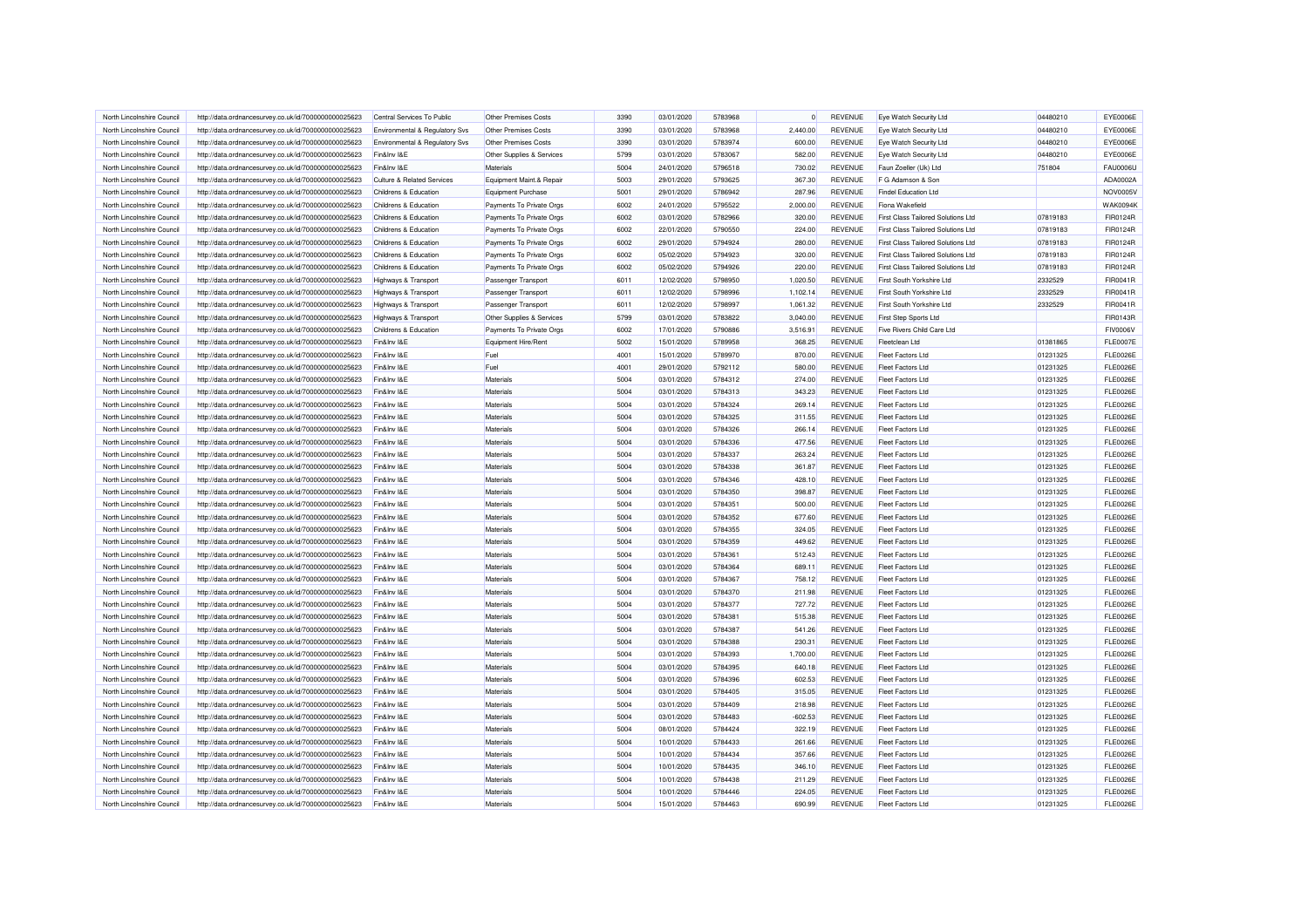| North Lincolnshire Council | http://data.ordnancesurvey.co.uk/id/7000000000025623 | Central Services To Public      | <b>Other Premises Costs</b> | 3390 | 03/01/2020 | 5783968 | $\mathbf{0}$ | <b>REVENUE</b> | Eye Watch Security Ltd                    | 04480210 | EYE0006E        |
|----------------------------|------------------------------------------------------|---------------------------------|-----------------------------|------|------------|---------|--------------|----------------|-------------------------------------------|----------|-----------------|
| North Lincolnshire Council | http://data.ordnancesurvey.co.uk/id/7000000000025623 | Environmental & Regulatory Svs  | <b>Other Premises Costs</b> | 3390 | 03/01/2020 | 5783968 | 2,440.00     | REVENUE        | Eye Watch Security Ltd                    | 04480210 | EYE0006E        |
| North Lincolnshire Council | http://data.ordnancesurvey.co.uk/id/7000000000025623 | Environmental & Regulatory Svs  | Other Premises Costs        | 3390 | 03/01/2020 | 5783974 | 600.00       | <b>REVENUE</b> | Eye Watch Security Ltd                    | 04480210 | EYE0006E        |
| North Lincolnshire Council | http://data.ordnancesurvey.co.uk/id/7000000000025623 | Fin&Inv I&F                     | Other Supplies & Services   | 5799 | 03/01/2020 | 5783067 | 582.00       | <b>REVENUE</b> | Eye Watch Security Ltd                    | 04480210 | EYE0006E        |
| North Lincolnshire Council | http://data.ordnancesurvey.co.uk/id/7000000000025623 | Fin&Inv I&E                     | Materials                   | 5004 | 24/01/2020 | 5796518 | 730.02       | REVENUE        | Faun Zoeller (Uk) Ltd                     | 751804   | <b>FAU0006U</b> |
| North Lincolnshire Council | http://data.ordnancesurvey.co.uk/id/7000000000025623 | Culture & Related Services      | Equipment Maint.& Repair    | 5003 | 29/01/2020 | 5793625 | 367.30       | <b>REVENUE</b> | F G Adamson & Son                         |          | ADA0002A        |
| North Lincolnshire Council | http://data.ordnancesurvey.co.uk/id/7000000000025623 | Childrens & Education           | <b>Equipment Purchase</b>   | 5001 | 29/01/2020 | 5786942 | 287.96       | <b>REVENUE</b> | <b>Findel Education Ltd</b>               |          | NOV0005\        |
| North Lincolnshire Council | http://data.ordnancesurvey.co.uk/id/7000000000025623 | Childrens & Education           | Payments To Private Orgs    | 6002 | 24/01/2020 | 5795522 | 2,000.00     | REVENUE        | Fiona Wakefield                           |          | <b>WAK0094K</b> |
| North Lincolnshire Council | http://data.ordnancesurvey.co.uk/id/7000000000025623 | Childrens & Education           | Payments To Private Orgs    | 6002 | 03/01/2020 | 5782966 | 320.00       | <b>REVENUE</b> | <b>First Class Tailored Solutions Ltd</b> | 07819183 | FIR0124R        |
| North Lincolnshire Council | http://data.ordnancesurvey.co.uk/id/7000000000025623 | Childrens & Education           | Payments To Private Orgs    | 6002 | 22/01/2020 | 5790550 | 224.00       | <b>REVENUE</b> | <b>First Class Tailored Solutions Ltd</b> | 07819183 | FIR0124R        |
| North Lincolnshire Council | http://data.ordnancesurvey.co.uk/id/7000000000025623 | Childrens & Education           | Payments To Private Orgs    | 6002 | 29/01/2020 | 5794924 | 280.00       | <b>REVENUE</b> | <b>First Class Tailored Solutions Ltd</b> | 07819183 | FIR0124R        |
| North Lincolnshire Council | http://data.ordnancesurvey.co.uk/id/7000000000025623 | Childrens & Education           | Payments To Private Orgs    | 6002 | 05/02/2020 | 5794923 | 320.00       | <b>REVENUE</b> | <b>First Class Tailored Solutions Ltd</b> | 07819183 | FIR0124R        |
| North Lincolnshire Council | http://data.ordnancesurvey.co.uk/id/7000000000025623 | Childrens & Education           | Payments To Private Orgs    | 6002 | 05/02/2020 | 5794926 | 220.00       | <b>REVENUE</b> | First Class Tailored Solutions Ltd        | 07819183 | FIR0124R        |
| North Lincolnshire Council | http://data.ordnancesurvey.co.uk/id/7000000000025623 | Highways & Transport            | Passenger Transport         | 6011 | 12/02/2020 | 5798950 | 1,020.50     | REVENUE        | First South Yorkshire Ltd                 | 2332529  | FIR0041R        |
| North Lincolnshire Council | http://data.ordnancesurvey.co.uk/id/7000000000025623 | <b>Highways &amp; Transport</b> | Passenger Transport         | 6011 | 12/02/2020 | 5798996 | 1,102.14     | <b>REVENUE</b> | First South Yorkshire Ltd                 | 2332529  | FIR0041R        |
| North Lincolnshire Council | http://data.ordnancesurvey.co.uk/id/7000000000025623 | Highways & Transport            | Passenger Transport         | 6011 | 12/02/2020 | 5798997 | 1.061.32     | <b>REVENUE</b> | First South Yorkshire Ltd                 | 2332529  | FIR0041R        |
| North Lincolnshire Council | http://data.ordnancesurvey.co.uk/id/7000000000025623 | Highways & Transport            | Other Supplies & Services   | 5799 | 03/01/2020 | 5783822 | 3,040.00     | <b>REVENUE</b> | First Step Sports Ltd                     |          | FIR0143R        |
| North Lincolnshire Council | http://data.ordnancesurvey.co.uk/id/7000000000025623 | Childrens & Education           | Payments To Private Orgs    | 6002 | 17/01/2020 | 5790886 | 3,516.91     | <b>REVENUE</b> | Five Rivers Child Care Ltd                |          | <b>FIV0006V</b> |
| North Lincolnshire Council | http://data.ordnancesurvey.co.uk/id/7000000000025623 | Fin&Inv I&E                     | Equipment Hire/Rent         | 5002 | 15/01/2020 | 5789958 | 368.25       | <b>REVENUE</b> | Fleetclean Ltd                            | 01381865 | <b>FLE0007E</b> |
| North Lincolnshire Council | http://data.ordnancesurvey.co.uk/id/7000000000025623 | Fin&Inv I&E                     | Fuel                        | 4001 | 15/01/2020 | 5789970 | 870.00       | <b>REVENUE</b> | <b>Fleet Factors Ltd</b>                  | 01231325 | <b>FLE0026E</b> |
| North Lincolnshire Council | http://data.ordnancesurvey.co.uk/id/7000000000025623 | Fin&Inv I&E                     | Fuel                        | 4001 | 29/01/2020 | 5792112 | 580.00       | <b>REVENUE</b> | <b>Fleet Factors Ltd</b>                  | 01231325 | <b>FLE0026E</b> |
| North Lincolnshire Council | http://data.ordnancesurvey.co.uk/id/7000000000025623 | Fin&Inv I&E                     | Materials                   | 5004 | 03/01/2020 | 5784312 | 274.00       | <b>REVENUE</b> | <b>Fleet Factors Ltd</b>                  | 01231325 | <b>FLE0026E</b> |
| North Lincolnshire Council | http://data.ordnancesurvey.co.uk/id/7000000000025623 | Fin&Inv I&E                     | Materials                   | 5004 | 03/01/2020 | 5784313 | 343.23       | REVENUE        | <b>Fleet Factors Ltd</b>                  | 01231325 | <b>FLE0026E</b> |
| North Lincolnshire Council | http://data.ordnancesurvey.co.uk/id/7000000000025623 | Fin&Inv I&E                     | Materials                   | 5004 | 03/01/2020 | 5784324 | 269.14       | <b>REVENUE</b> | Fleet Factors Ltd                         | 01231325 | <b>FLE0026E</b> |
| North Lincolnshire Council | http://data.ordnancesurvey.co.uk/id/7000000000025623 | Fin&Inv I&E                     | Materials                   | 5004 | 03/01/2020 | 5784325 | 311.55       | <b>REVENUE</b> | <b>Fleet Factors Ltd</b>                  | 01231325 | <b>FLE0026E</b> |
| North Lincolnshire Council | http://data.ordnancesurvey.co.uk/id/7000000000025623 | Fin&Inv I&E                     | Materials                   | 5004 | 03/01/2020 | 5784326 | 266.14       | <b>REVENUE</b> | Fleet Factors Ltd                         | 01231325 | <b>FLE0026E</b> |
| North Lincolnshire Council | http://data.ordnancesurvey.co.uk/id/7000000000025623 | Fin&Inv I&E                     | Materials                   | 5004 | 03/01/2020 | 5784336 | 477.56       | <b>REVENUE</b> | <b>Fleet Factors Ltd</b>                  | 01231325 | <b>FLE0026E</b> |
| North Lincolnshire Council | http://data.ordnancesurvey.co.uk/id/7000000000025623 | Fin&Inv I&E                     | Materials                   | 5004 | 03/01/2020 | 5784337 | 263.24       | <b>REVENUE</b> | <b>Fleet Factors Ltd</b>                  | 01231325 | <b>FLE0026E</b> |
| North Lincolnshire Council | http://data.ordnancesurvey.co.uk/id/7000000000025623 | Fin&Inv I&E                     | Materials                   | 5004 | 03/01/2020 | 5784338 | 361.87       | REVENUE        | <b>Fleet Factors Ltd</b>                  | 01231325 | <b>FLE0026E</b> |
| North Lincolnshire Council | http://data.ordnancesurvey.co.uk/id/7000000000025623 | Fin&Inv I&E                     | Materials                   | 5004 | 03/01/2020 | 5784346 | 428.10       | <b>REVENUE</b> | <b>Fleet Factors Ltd</b>                  | 01231325 | <b>FLE0026E</b> |
| North Lincolnshire Council | http://data.ordnancesurvey.co.uk/id/7000000000025623 | Fin&Inv I&E                     | Materials                   | 5004 | 03/01/2020 | 5784350 | 398.87       | <b>REVENUE</b> | <b>Fleet Factors Ltd</b>                  | 01231325 | <b>FLE0026E</b> |
| North Lincolnshire Council | http://data.ordnancesurvey.co.uk/id/7000000000025623 | Fin&Inv I&F                     | Materials                   | 5004 | 03/01/2020 | 5784351 | 500.00       | REVENUE        | <b>Fleet Factors Ltd</b>                  | 01231325 | <b>FLE0026E</b> |
| North Lincolnshire Council | http://data.ordnancesurvey.co.uk/id/7000000000025623 | Fin&Inv I&E                     | Materials                   | 5004 | 03/01/2020 | 5784352 | 677.60       | <b>REVENUE</b> | <b>Fleet Factors Ltd</b>                  | 01231325 | <b>FLE0026E</b> |
| North Lincolnshire Council | http://data.ordnancesurvey.co.uk/id/7000000000025623 | Fin&Inv I&E                     | Materials                   | 5004 | 03/01/2020 | 5784355 | 324.05       | <b>REVENUE</b> | <b>Fleet Factors Ltd</b>                  | 01231325 | <b>FLE0026E</b> |
| North Lincolnshire Council | http://data.ordnancesurvey.co.uk/id/7000000000025623 | Fin&Inv I&E                     | Materials                   | 5004 | 03/01/2020 | 5784359 | 449.62       | <b>REVENUE</b> | <b>Fleet Factors Ltd</b>                  | 01231325 | <b>FLE0026E</b> |
| North Lincolnshire Council | http://data.ordnancesurvey.co.uk/id/7000000000025623 | Fin&Inv I&E                     | Materials                   | 5004 | 03/01/2020 | 5784361 | 512.43       | <b>REVENUE</b> | <b>Fleet Factors Ltd</b>                  | 01231325 | <b>FLE0026E</b> |
| North Lincolnshire Council | http://data.ordnancesurvey.co.uk/id/7000000000025623 | Fin&Inv I&E                     | Materials                   | 5004 | 03/01/2020 | 5784364 | 689.11       | <b>REVENUE</b> | <b>Fleet Factors Ltd</b>                  | 01231325 | <b>FLE0026E</b> |
| North Lincolnshire Council | http://data.ordnancesurvey.co.uk/id/7000000000025623 | Fin&Inv I&E                     | Materials                   | 5004 | 03/01/2020 | 5784367 | 758.12       | REVENUE        | <b>Fleet Factors Ltd</b>                  | 01231325 | <b>FLE0026E</b> |
| North Lincolnshire Council | http://data.ordnancesurvey.co.uk/id/7000000000025623 | Fin&Inv I&E                     | Materials                   | 5004 | 03/01/2020 | 5784370 | 211.98       | <b>REVENUE</b> | <b>Fleet Factors Ltd</b>                  | 01231325 | <b>FLE0026E</b> |
| North Lincolnshire Council | http://data.ordnancesurvey.co.uk/id/7000000000025623 | Fin&Inv I&E                     | Materials                   | 5004 | 03/01/2020 | 5784377 | 727.72       | <b>REVENUE</b> | Fleet Factors Ltd                         | 01231325 | <b>FLE0026E</b> |
| North Lincolnshire Council | http://data.ordnancesurvey.co.uk/id/7000000000025623 | Fin&Inv I&E                     | Materials                   | 5004 | 03/01/2020 | 5784381 | 515.38       | <b>REVENUE</b> | Fleet Factors Ltd                         | 01231325 | <b>FLE0026E</b> |
| North Lincolnshire Council | http://data.ordnancesurvey.co.uk/id/7000000000025623 | Fin&Inv I&E                     | Materials                   | 5004 | 03/01/2020 | 5784387 | 541.26       | <b>REVENUE</b> | <b>Fleet Factors Ltd</b>                  | 01231325 | <b>FLE0026E</b> |
| North Lincolnshire Council | http://data.ordnancesurvey.co.uk/id/7000000000025623 | Fin&Inv I&E                     | Materials                   | 5004 | 03/01/2020 | 5784388 | 230.31       | <b>REVENUE</b> | <b>Fleet Factors Ltd</b>                  | 01231325 | <b>FLE0026E</b> |
| North Lincolnshire Council | http://data.ordnancesurvey.co.uk/id/7000000000025623 | Fin&Inv I&E                     | Materials                   | 5004 | 03/01/2020 | 5784393 | 1,700.00     | <b>REVENUE</b> | <b>Fleet Factors Ltd</b>                  | 01231325 | <b>FLE0026E</b> |
| North Lincolnshire Council | http://data.ordnancesurvey.co.uk/id/7000000000025623 | Fin&Inv I&E                     | Materials                   | 5004 | 03/01/2020 | 5784395 | 640.18       | <b>REVENUE</b> | <b>Fleet Factors Ltd</b>                  | 01231325 | <b>FLE0026E</b> |
| North Lincolnshire Council | http://data.ordnancesurvey.co.uk/id/7000000000025623 | Fin&Inv I&E                     | Materials                   | 5004 | 03/01/2020 | 5784396 | 602.53       | REVENUE        | <b>Fleet Factors Ltd</b>                  | 01231325 | <b>FLE0026E</b> |
| North Lincolnshire Council | http://data.ordnancesurvey.co.uk/id/7000000000025623 | Fin&Inv I&E                     | Materials                   | 5004 | 03/01/2020 | 5784405 | 315.05       | <b>REVENUE</b> | <b>Fleet Factors Ltd</b>                  | 01231325 | <b>FLE0026E</b> |
| North Lincolnshire Council | http://data.ordnancesurvey.co.uk/id/7000000000025623 | Fin&Inv I&E                     | Materials                   | 5004 | 03/01/2020 | 5784409 | 218.98       | <b>REVENUE</b> | <b>Fleet Factors Ltd</b>                  | 01231325 | <b>FLE0026E</b> |
| North Lincolnshire Council | http://data.ordnancesurvey.co.uk/id/7000000000025623 | Fin&Inv I&E                     | Materials                   | 5004 | 03/01/2020 | 5784483 | $-602.53$    | <b>REVENUE</b> | <b>Fleet Factors Ltd</b>                  | 01231325 | <b>FLE0026E</b> |
| North Lincolnshire Council | http://data.ordnancesurvey.co.uk/id/7000000000025623 | Fin&Inv I&E                     | Materials                   | 5004 | 08/01/2020 | 5784424 | 322.19       | <b>REVENUE</b> | <b>Fleet Factors Ltd</b>                  | 01231325 | <b>FLE0026E</b> |
| North Lincolnshire Council | http://data.ordnancesurvey.co.uk/id/7000000000025623 | Fin&Inv I&E                     | Materials                   | 5004 | 10/01/2020 | 5784433 | 261.66       | <b>REVENUE</b> | <b>Fleet Factors Ltd</b>                  | 01231325 | <b>FLE0026E</b> |
| North Lincolnshire Council | http://data.ordnancesurvey.co.uk/id/7000000000025623 | Fin&Inv I&E                     | Materials                   | 5004 | 10/01/2020 | 5784434 | 357.66       | <b>REVENUE</b> | <b>Fleet Factors Ltd</b>                  | 01231325 | <b>FLE0026E</b> |
| North Lincolnshire Council | http://data.ordnancesurvey.co.uk/id/7000000000025623 | Fin&Inv I&E                     | Materials                   | 5004 | 10/01/2020 | 5784435 | 346.10       | <b>REVENUE</b> | <b>Fleet Factors Ltd</b>                  | 01231325 | <b>FLE0026E</b> |
| North Lincolnshire Council | http://data.ordnancesurvey.co.uk/id/7000000000025623 | Fin&Inv I&E                     | Materials                   | 5004 | 10/01/2020 | 5784438 | 211.29       | <b>REVENUE</b> | <b>Fleet Factors Ltd</b>                  | 01231325 | <b>FLE0026E</b> |
| North Lincolnshire Council | http://data.ordnancesurvey.co.uk/id/7000000000025623 | Fin&Inv I&E                     | Materials                   | 5004 | 10/01/2020 | 5784446 | 224.05       | <b>REVENUE</b> | <b>Fleet Factors Ltd</b>                  | 01231325 | <b>FLE0026E</b> |
| North Lincolnshire Council | http://data.ordnancesurvey.co.uk/id/7000000000025623 | Fin&Inv I&E                     | Materials                   | 5004 | 15/01/2020 | 5784463 | 690.99       | <b>REVENUE</b> | <b>Fleet Factors Ltd</b>                  | 01231325 | FLE0026E        |
|                            |                                                      |                                 |                             |      |            |         |              |                |                                           |          |                 |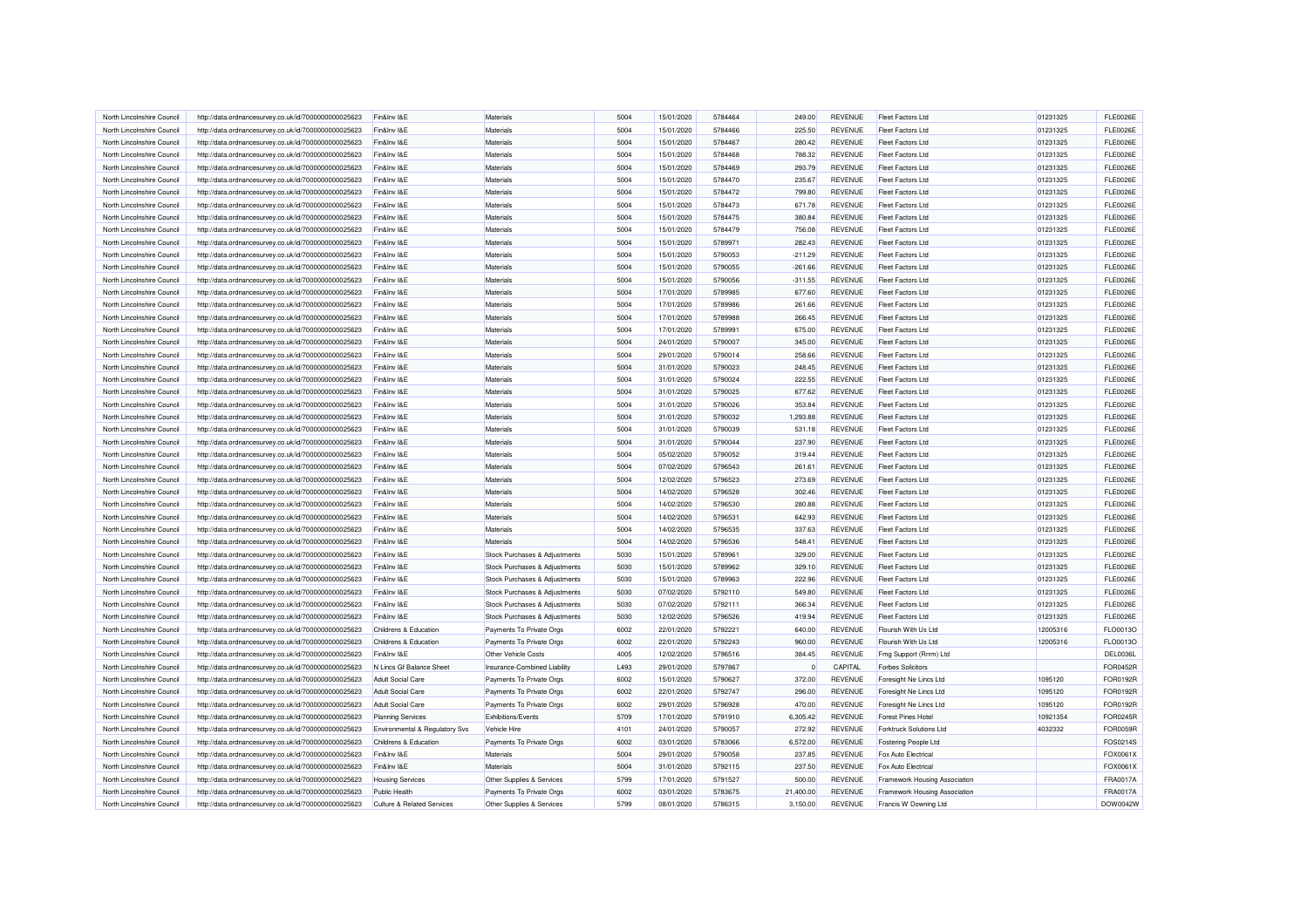| North Lincolnshire Council | http://data.ordnancesurvey.co.uk/id/7000000000025623 | Fin&Inv I&E                    | Materials                     | 5004         | 15/01/2020 | 5784464 | 249.00    | <b>REVENUE</b> | Fleet Factors Ltd              | 01231325 | <b>FLE0026E</b> |
|----------------------------|------------------------------------------------------|--------------------------------|-------------------------------|--------------|------------|---------|-----------|----------------|--------------------------------|----------|-----------------|
| North Lincolnshire Council | http://data.ordnancesurvey.co.uk/id/7000000000025623 | Fin&Inv I&E                    | Materials                     | 5004         | 15/01/2020 | 5784466 | 225.50    | <b>REVENUE</b> | <b>Fleet Factors Ltd</b>       | 01231325 | <b>FLE0026E</b> |
| North Lincolnshire Council | http://data.ordnancesurvey.co.uk/id/7000000000025623 | Fin&Inv I&E                    | Materials                     | 5004         | 15/01/2020 | 5784467 | 280.42    | <b>REVENUE</b> | <b>Fleet Factors Ltd</b>       | 01231325 | <b>FLE0026E</b> |
| North Lincolnshire Council | http://data.ordnancesurvey.co.uk/id/7000000000025623 | Fin&Inv I&E                    | Materials                     | 5004         | 15/01/2020 | 5784468 | 788.32    | <b>REVENUE</b> | <b>Fleet Factors Ltd</b>       | 01231325 | <b>FLE0026E</b> |
| North Lincolnshire Council | http://data.ordnancesurvey.co.uk/id/7000000000025623 | Fin&Inv I&E                    | Materials                     | 5004         | 15/01/2020 | 5784469 | 293.79    | <b>REVENUE</b> | <b>Fleet Factors Ltd</b>       | 01231325 | <b>FLE0026E</b> |
| North Lincolnshire Council | http://data.ordnancesurvey.co.uk/id/7000000000025623 | Fin&Inv I&E                    | Materials                     | 5004         | 15/01/2020 | 5784470 | 235.67    | <b>REVENUE</b> | <b>Fleet Factors Ltd</b>       | 01231325 | <b>FLE0026E</b> |
| North Lincolnshire Council | http://data.ordnancesurvey.co.uk/id/7000000000025623 | Fin&Inv I&E                    | Materials                     | 5004         | 15/01/2020 | 5784472 | 799.80    | <b>REVENUE</b> | <b>Fleet Factors Ltd</b>       | 01231325 | <b>FLE0026E</b> |
| North Lincolnshire Council | http://data.ordnancesurvey.co.uk/id/7000000000025623 | Fin&Inv I&F                    | Materials                     | 5004         | 15/01/2020 | 5784473 | 671.78    | <b>REVENUE</b> | <b>Fleet Factors Ltd</b>       | 01231325 | <b>FLE0026E</b> |
| North Lincolnshire Council | http://data.ordnancesurvey.co.uk/id/7000000000025623 | Fin&Inv I&E                    | Materials                     | 5004         | 15/01/2020 | 5784475 | 380.84    | <b>REVENUE</b> | <b>Fleet Factors Ltd</b>       | 01231325 | <b>FLE0026E</b> |
| North Lincolnshire Council | http://data.ordnancesurvey.co.uk/id/7000000000025623 | Fin&Inv I&E                    | Materials                     | 5004         | 15/01/2020 | 5784479 | 756.08    | <b>REVENUE</b> | <b>Fleet Factors Ltd</b>       | 01231325 | <b>FLE0026E</b> |
| North Lincolnshire Council | http://data.ordnancesurvey.co.uk/id/7000000000025623 | Fin&Inv I&E                    | Materials                     | 5004         | 15/01/2020 | 5789971 | 282.43    | <b>REVENUE</b> | <b>Fleet Factors Ltd</b>       | 01231325 | <b>FLE0026E</b> |
| North Lincolnshire Council | http://data.ordnancesurvey.co.uk/id/7000000000025623 | Fin&Inv I&E                    | Materials                     | 5004         | 15/01/2020 | 5790053 | $-211.29$ | <b>REVENUE</b> | Fleet Factors Ltd              | 01231325 | <b>FLE0026E</b> |
| North Lincolnshire Council | http://data.ordnancesurvey.co.uk/id/7000000000025623 | Fin&Inv I&E                    | Materials                     | 5004         | 15/01/2020 | 5790055 | $-261.66$ | <b>REVENUE</b> | <b>Fleet Factors Ltd</b>       | 01231325 | <b>FLE0026E</b> |
| North Lincolnshire Council |                                                      | Fin&Inv I&E                    | Materials                     | 5004         | 15/01/2020 | 5790056 |           | <b>REVENUE</b> | <b>Fleet Factors Ltd</b>       |          | <b>FLE0026E</b> |
|                            | http://data.ordnancesurvey.co.uk/id/7000000000025623 |                                |                               |              |            |         | $-311.55$ |                |                                | 01231325 |                 |
| North Lincolnshire Council | http://data.ordnancesurvey.co.uk/id/7000000000025623 | Fin&Inv I&E                    | Materials                     | 5004         | 17/01/2020 | 5789985 | 677.60    | <b>REVENUE</b> | <b>Fleet Factors Ltd</b>       | 01231325 | <b>FLE0026E</b> |
| North Lincolnshire Council | http://data.ordnancesurvey.co.uk/id/7000000000025623 | Fin&Inv I&E                    | Materials                     | 5004         | 17/01/2020 | 5789986 | 261.66    | <b>REVENUE</b> | <b>Fleet Factors Ltd</b>       | 01231325 | <b>FLE0026E</b> |
| North Lincolnshire Council | http://data.ordnancesurvey.co.uk/id/7000000000025623 | Fin&Inv I&E                    | Materials                     | 5004         | 17/01/2020 | 5789988 | 266.45    | <b>REVENUE</b> | <b>Fleet Factors Ltd</b>       | 01231325 | <b>FLE0026E</b> |
| North Lincolnshire Council | http://data.ordnancesurvey.co.uk/id/7000000000025623 | Fin&Inv I&E                    | Materials                     | 5004         | 17/01/2020 | 5789991 | 675.00    | <b>REVENUE</b> | <b>Fleet Factors Ltd</b>       | 01231325 | <b>FLE0026E</b> |
| North Lincolnshire Council | http://data.ordnancesurvey.co.uk/id/7000000000025623 | Fin&Inv I&E                    | Materials                     | 5004         | 24/01/2020 | 5790007 | 345.00    | <b>REVENUE</b> | Fleet Factors Ltd              | 01231325 | <b>FLE0026E</b> |
| North Lincolnshire Council | http://data.ordnancesurvey.co.uk/id/7000000000025623 | Fin&Inv I&E                    | Materials                     | 5004         | 29/01/2020 | 5790014 | 258.66    | <b>REVENUE</b> | <b>Fleet Factors Ltd</b>       | 01231325 | <b>FLE0026E</b> |
| North Lincolnshire Council | http://data.ordnancesurvey.co.uk/id/7000000000025623 | Fin&Inv I&E                    | Materials                     | 5004         | 31/01/2020 | 5790023 | 248.45    | <b>REVENUE</b> | Fleet Factors Ltd              | 01231325 | <b>FLE0026E</b> |
| North Lincolnshire Council | http://data.ordnancesurvey.co.uk/id/7000000000025623 | Fin&Inv I&E                    | Materials                     | 5004         | 31/01/2020 | 5790024 | 222.55    | <b>REVENUE</b> | <b>Fleet Factors Ltd</b>       | 01231325 | <b>FLE0026E</b> |
| North Lincolnshire Council | http://data.ordnancesurvey.co.uk/id/7000000000025623 | Fin&Inv I&F                    | Materials                     | 5004         | 31/01/2020 | 5790025 | 677.62    | <b>REVENUE</b> | <b>Fleet Factors Ltd</b>       | 01231325 | <b>FLE0026E</b> |
| North Lincolnshire Council | http://data.ordnancesurvey.co.uk/id/7000000000025623 | Fin&Inv I&E                    | Materials                     | 5004         | 31/01/2020 | 5790026 | 353.84    | <b>REVENUE</b> | <b>Fleet Factors Ltd</b>       | 01231325 | <b>FLE0026E</b> |
| North Lincolnshire Council | http://data.ordnancesurvey.co.uk/id/7000000000025623 | Fin&Inv I&E                    | Materials                     | 5004         | 31/01/2020 | 5790032 | 1,293.88  | <b>REVENUE</b> | <b>Fleet Factors Ltd</b>       | 01231325 | <b>FLE0026E</b> |
| North Lincolnshire Council | http://data.ordnancesurvey.co.uk/id/7000000000025623 | Fin&Inv I&E                    | Materials                     | 5004         | 31/01/2020 | 5790039 | 531.18    | REVENUE        | <b>Fleet Factors Ltd</b>       | 01231325 | <b>FLE0026E</b> |
| North Lincolnshire Council | http://data.ordnancesurvey.co.uk/id/7000000000025623 | Fin&Inv I&E                    | Materials                     | 5004         | 31/01/2020 | 5790044 | 237.90    | <b>REVENUE</b> | <b>Fleet Factors Ltd</b>       | 01231325 | <b>FLE0026E</b> |
| North Lincolnshire Council | http://data.ordnancesurvey.co.uk/id/7000000000025623 | Fin&Inv I&F                    | Materials                     | 5004         | 05/02/2020 | 5790052 | 319.44    | <b>REVENUE</b> | <b>Fleet Factors Ltd</b>       | 01231325 | <b>FLE0026E</b> |
| North Lincolnshire Council | http://data.ordnancesurvey.co.uk/id/7000000000025623 | Fin&Inv I&E                    | Materials                     | 5004         | 07/02/2020 | 5796543 | 261.61    | <b>REVENUE</b> | <b>Fleet Factors Ltd</b>       | 01231325 | <b>FLE0026E</b> |
| North Lincolnshire Council | http://data.ordnancesurvey.co.uk/id/7000000000025623 | Fin&Inv I&E                    | Materials                     | 5004         | 12/02/2020 | 5796523 | 273.69    | <b>REVENUE</b> | Fleet Factors Ltd              | 01231325 | <b>FLE0026E</b> |
| North Lincolnshire Council | http://data.ordnancesurvey.co.uk/id/7000000000025623 | Fin&Inv I&E                    | Materials                     | 5004         | 14/02/2020 | 5796528 | 302.46    | <b>REVENUE</b> | <b>Fleet Factors Ltd</b>       | 01231325 | <b>FLE0026E</b> |
| North Lincolnshire Council | http://data.ordnancesurvey.co.uk/id/7000000000025623 | Fin&Inv I&E                    | Materials                     | 5004         | 14/02/2020 | 5796530 | 280.88    | <b>REVENUE</b> | <b>Fleet Factors Ltd</b>       | 01231325 | <b>FLE0026E</b> |
| North Lincolnshire Council | http://data.ordnancesurvey.co.uk/id/7000000000025623 | Fin&Inv I&E                    | Materials                     | 5004         | 14/02/2020 | 5796531 | 642.93    | <b>REVENUE</b> | <b>Fleet Factors Ltd</b>       | 01231325 | <b>FLE0026E</b> |
| North Lincolnshire Council | http://data.ordnancesurvey.co.uk/id/7000000000025623 | Fin&Inv I&E                    | Materials                     | 5004         | 14/02/2020 | 5796535 | 337.63    | <b>REVENUE</b> | <b>Fleet Factors Ltd</b>       | 01231325 | <b>FLE0026E</b> |
| North Lincolnshire Council | http://data.ordnancesurvey.co.uk/id/7000000000025623 | Fin&Inv I&E                    | Materials                     | 5004         | 14/02/2020 | 5796536 | 548.41    | <b>REVENUE</b> | <b>Fleet Factors Ltd</b>       | 01231325 | <b>FLE0026E</b> |
| North Lincolnshire Council | http://data.ordnancesurvey.co.uk/id/7000000000025623 | Fin&Inv I&E                    | Stock Purchases & Adjustments | 5030         | 15/01/2020 | 5789961 | 329.00    | <b>REVENUE</b> | <b>Fleet Factors Ltd</b>       | 01231325 | <b>FLE0026E</b> |
| North Lincolnshire Council | http://data.ordnancesurvey.co.uk/id/7000000000025623 | Fin&Inv I&F                    | Stock Purchases & Adjustments | 5030         | 15/01/2020 | 5789962 | 329.10    | <b>REVENUE</b> | <b>Fleet Factors Ltd</b>       | 01231325 | <b>FLE0026E</b> |
| North Lincolnshire Council | http://data.ordnancesurvey.co.uk/id/7000000000025623 | Fin&Inv I&E                    | Stock Purchases & Adjustments | 5030         | 15/01/2020 | 5789963 | 222.96    | <b>REVENUE</b> | Fleet Factors Ltd              | 01231325 | FLE0026E        |
| North Lincolnshire Council | http://data.ordnancesurvey.co.uk/id/7000000000025623 | Fin&Inv I&E                    | Stock Purchases & Adjustments | 5030         | 07/02/2020 | 5792110 | 549.80    | REVENUE        | Fleet Factors Ltd              | 01231325 | <b>FLE0026E</b> |
| North Lincolnshire Council | http://data.ordnancesurvey.co.uk/id/7000000000025623 | Fin&Inv I&E                    | Stock Purchases & Adjustments | 5030         | 07/02/2020 | 5792111 | 366.34    | <b>REVENUE</b> | <b>Fleet Factors Ltd</b>       | 01231325 | <b>FLE0026E</b> |
| North Lincolnshire Council | http://data.ordnancesurvey.co.uk/id/7000000000025623 | Fin&Inv I&E                    | Stock Purchases & Adjustments | 5030         | 12/02/2020 | 5796526 | 419.94    | <b>REVENUE</b> | <b>Fleet Factors Ltd</b>       | 01231325 | <b>FLE0026E</b> |
|                            |                                                      |                                |                               |              |            |         |           |                |                                |          |                 |
| North Lincolnshire Council | http://data.ordnancesurvey.co.uk/id/7000000000025623 | Childrens & Education          | Payments To Private Orgs      | 6002<br>6002 | 22/01/2020 | 5792221 | 640.00    | <b>REVENUE</b> | Flourish With Us Ltd           | 12005316 | FLO0013C        |
| North Lincolnshire Council | http://data.ordnancesurvey.co.uk/id/7000000000025623 | Childrens & Education          | Payments To Private Orgs      |              | 22/01/2020 | 5792243 | 960.00    | <b>REVENUE</b> | Flourish With Us Ltd           | 12005316 | FLO0013O        |
| North Lincolnshire Council | http://data.ordnancesurvey.co.uk/id/7000000000025623 | Fin&Inv I&F                    | Other Vehicle Costs           | 4005         | 12/02/2020 | 5796516 | 384.45    | <b>REVENUE</b> | Fmg Support (Rrrm) Ltd         |          | <b>DEL0036L</b> |
| North Lincolnshire Council | http://data.ordnancesurvey.co.uk/id/7000000000025623 | N Lincs Gf Balance Sheet       | Insurance-Combined Liability  | L493         | 29/01/2020 | 5797867 |           | CAPITAL        | <b>Forbes Solicitors</b>       |          | <b>FOR0452F</b> |
| North Lincolnshire Council | http://data.ordnancesurvey.co.uk/id/7000000000025623 | <b>Adult Social Care</b>       | Payments To Private Orgs      | 6002         | 15/01/2020 | 5790627 | 372.00    | <b>REVENUE</b> | Foresight Ne Lincs Ltd         | 1095120  | FOR0192R        |
| North Lincolnshire Council | http://data.ordnancesurvey.co.uk/id/7000000000025623 | <b>Adult Social Care</b>       | Payments To Private Orgs      | 6002         | 22/01/2020 | 5792747 | 296.00    | <b>REVENUE</b> | Foresight Ne Lincs Ltd         | 1095120  | FOR0192R        |
| North Lincolnshire Council | http://data.ordnancesurvey.co.uk/id/7000000000025623 | Adult Social Care              | Payments To Private Orgs      | 6002         | 29/01/2020 | 5796928 | 470.00    | <b>REVENUE</b> | Foresight Ne Lincs Ltd         | 1095120  | FOR0192F        |
| North Lincolnshire Council | http://data.ordnancesurvey.co.uk/id/7000000000025623 | <b>Planning Services</b>       | Exhibitions/Events            | 5709         | 17/01/2020 | 5791910 | 6,305.42  | <b>REVENUE</b> | <b>Forest Pines Hotel</b>      | 10921354 | FOR0245R        |
| North Lincolnshire Council | http://data.ordnancesurvey.co.uk/id/7000000000025623 | Environmental & Regulatory Svs | Vehicle Hire                  | 4101         | 24/01/2020 | 5790057 | 272.92    | <b>REVENUE</b> | <b>Forktruck Solutions Ltd</b> | 4032332  | FOR0059R        |
| North Lincolnshire Council | http://data.ordnancesurvey.co.uk/id/7000000000025623 | Childrens & Education          | Payments To Private Orgs      | 6002         | 03/01/2020 | 5783066 | 6,572.00  | <b>REVENUE</b> | Fostering People Ltd           |          | FOS0214S        |
| North Lincolnshire Council | http://data.ordnancesurvey.co.uk/id/7000000000025623 | Fin&Inv I&E                    | Materials                     | 5004         | 29/01/2020 | 5790058 | 237.85    | <b>REVENUE</b> | Fox Auto Electrical            |          | FOX0061X        |
| North Lincolnshire Council | http://data.ordnancesurvey.co.uk/id/7000000000025623 | Fin&Inv I&E                    | Materials                     | 5004         | 31/01/2020 | 5792115 | 237.50    | <b>REVENUE</b> | Fox Auto Electrica             |          | FOX0061X        |
| North Lincolnshire Council | http://data.ordnancesurvey.co.uk/id/7000000000025623 | <b>Housing Services</b>        | Other Supplies & Services     | 5799         | 17/01/2020 | 5791527 | 500.00    | <b>REVENUE</b> | Framework Housing Association  |          | FRA0017A        |
| North Lincolnshire Council | http://data.ordnancesurvey.co.uk/id/7000000000025623 | Public Health                  | Payments To Private Orgs      | 6002         | 03/01/2020 | 5783675 | 21,400.00 | <b>REVENUE</b> | Framework Housing Association  |          | <b>FRA0017A</b> |
| North Lincolnshire Council | http://data.ordnancesurvey.co.uk/id/7000000000025623 | Culture & Related Services     | Other Supplies & Services     | 5799         | 08/01/2020 | 5786315 | 3.150.00  | <b>REVENUE</b> | Francis W Downing Ltd          |          | DOW0042W        |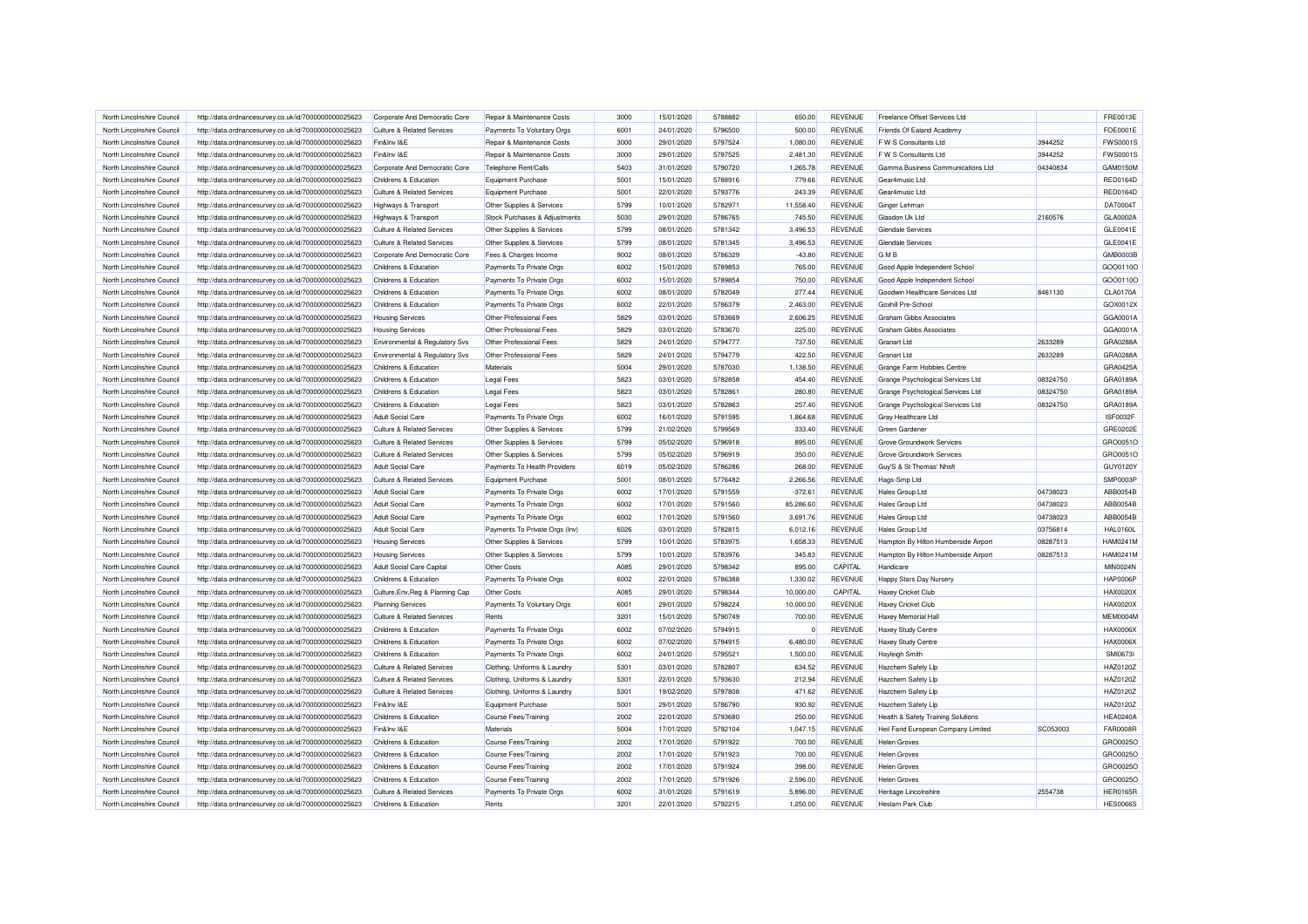| North Lincolnshire Council | http://data.ordnancesurvey.co.uk/id/7000000000025623 | Corporate And Democratic Core         | Repair & Maintenance Costs     | 3000 | 15/01/2020 | 5788882 | 650.00    | <b>REVENUE</b> | Freelance Offset Services Ltd        |          | FRE0013E        |
|----------------------------|------------------------------------------------------|---------------------------------------|--------------------------------|------|------------|---------|-----------|----------------|--------------------------------------|----------|-----------------|
| North Lincolnshire Council | http://data.ordnancesurvey.co.uk/id/7000000000025623 | Culture & Related Services            | Payments To Voluntary Orgs     | 6001 | 24/01/2020 | 5796500 | 500.00    | <b>REVENUE</b> | Friends Of Ealand Academy            |          | FOE0001E        |
| North Lincolnshire Council | http://data.ordnancesurvey.co.uk/id/7000000000025623 | Fin&Inv I&E                           | Repair & Maintenance Costs     | 3000 | 29/01/2020 | 5797524 | 1,080.00  | <b>REVENUE</b> | F W S Consultants Ltd                | 3944252  | <b>FWS0001S</b> |
| North Lincolnshire Council | http://data.ordnancesurvey.co.uk/id/7000000000025623 | Fin&Inv I&F                           | Repair & Maintenance Costs     | 3000 | 29/01/2020 | 5797525 | 2,481.30  | <b>REVENUE</b> | F W S Consultants Ltd                | 3944252  | FWS0001S        |
| North Lincolnshire Council | http://data.ordnancesurvey.co.uk/id/7000000000025623 | Corporate And Democratic Core         | Telephone Rent/Calls           | 5403 | 31/01/2020 | 5790720 | 1,265.78  | <b>REVENUE</b> | Gamma Business Communications Ltd    | 04340834 | GAM0150M        |
| North Lincolnshire Council | http://data.ordnancesurvey.co.uk/id/7000000000025623 | Childrens & Education                 | Equipment Purchase             | 5001 | 15/01/2020 | 5788916 | 779.66    | <b>REVENUE</b> | Gear4music Ltd                       |          | <b>RED0164D</b> |
| North Lincolnshire Council | http://data.ordnancesurvey.co.uk/id/7000000000025623 | Culture & Related Services            | Equipment Purchase             | 5001 | 22/01/2020 | 5793776 | 243.39    | <b>REVENUE</b> | Gear4music Ltd                       |          | <b>RED0164D</b> |
| North Lincolnshire Council | http://data.ordnancesurvey.co.uk/id/7000000000025623 | Highways & Transport                  | Other Supplies & Services      | 5799 | 10/01/2020 | 5782971 | 11,558.40 | <b>REVENUE</b> | Ginger Lehman                        |          | DAT0004T        |
| North Lincolnshire Council | http://data.ordnancesurvey.co.uk/id/7000000000025623 | Highways & Transport                  | Stock Purchases & Adjustments  | 5030 | 29/01/2020 | 5786765 | 745.50    | <b>REVENUE</b> | Glasdon Uk Ltd                       | 2160576  | GLA0002A        |
| North Lincolnshire Council | http://data.ordnancesurvey.co.uk/id/7000000000025623 | Culture & Related Services            | Other Supplies & Services      | 5799 | 08/01/2020 | 5781342 | 3,496.53  | <b>REVENUE</b> | Glendale Services                    |          | GLE0041E        |
| North Lincolnshire Council | http://data.ordnancesurvey.co.uk/id/7000000000025623 | <b>Culture &amp; Related Services</b> | Other Supplies & Services      | 5799 | 08/01/2020 | 5781345 | 3,496.53  | <b>REVENUE</b> | Glendale Services                    |          | GLE0041E        |
| North Lincolnshire Council | http://data.ordnancesurvey.co.uk/id/7000000000025623 | Corporate And Democratic Core         | Fees & Charges Income          | 9002 | 08/01/2020 | 5786329 | $-43.80$  | <b>REVENUE</b> | <b>GMB</b>                           |          | GMB0003E        |
| North Lincolnshire Council | http://data.ordnancesurvey.co.uk/id/7000000000025623 | Childrens & Education                 | Payments To Private Orgs       | 6002 | 15/01/2020 | 5789853 | 765.00    | <b>REVENUE</b> | Good Apple Independent School        |          | GOO0110O        |
| North Lincolnshire Council | http://data.ordnancesurvey.co.uk/id/7000000000025623 | Childrens & Education                 | Payments To Private Orgs       | 6002 | 15/01/2020 | 5789854 | 750.00    | <b>REVENUE</b> | Good Apple Independent School        |          | GOO0110O        |
| North Lincolnshire Council | http://data.ordnancesurvey.co.uk/id/7000000000025623 | Childrens & Education                 | Payments To Private Orgs       | 6002 | 08/01/2020 | 5782049 | 277.44    | <b>REVENUE</b> | Goodwin Healthcare Services Ltd      | 8461130  | CLA0170A        |
| North Lincolnshire Council |                                                      | <b>Childrens &amp; Education</b>      |                                | 6002 | 22/01/2020 | 5786379 | 2,463.00  | <b>REVENUE</b> | Goxhill Pre-School                   |          | GOX0012X        |
|                            | http://data.ordnancesurvey.co.uk/id/7000000000025623 |                                       | Payments To Private Orgs       |      |            |         |           |                |                                      |          |                 |
| North Lincolnshire Council | http://data.ordnancesurvey.co.uk/id/7000000000025623 | <b>Housing Services</b>               | Other Professional Fees        | 5829 | 03/01/2020 | 5783669 | 2,606.25  | <b>REVENUE</b> | <b>Graham Gibbs Associates</b>       |          | GGA0001A        |
| North Lincolnshire Council | http://data.ordnancesurvey.co.uk/id/7000000000025623 | <b>Housing Services</b>               | Other Professional Fees        | 5829 | 03/01/2020 | 5783670 | 225.00    | <b>REVENUE</b> | Graham Gibbs Associates              |          | GGA0001A        |
| North Lincolnshire Council | http://data.ordnancesurvey.co.uk/id/7000000000025623 | Environmental & Regulatory Svs        | Other Professional Fees        | 5829 | 24/01/2020 | 5794777 | 737.50    | <b>REVENUE</b> | Granart I to                         | 2633289  | GRA0288A        |
| North Lincolnshire Council | http://data.ordnancesurvey.co.uk/id/7000000000025623 | Environmental & Regulatory Svs        | Other Professional Fees        | 5829 | 24/01/2020 | 5794779 | 422.50    | <b>REVENUE</b> | <b>Granart Ltd</b>                   | 2633289  | GRA0288A        |
| North Lincolnshire Council | http://data.ordnancesurvey.co.uk/id/7000000000025623 | Childrens & Education                 | Materials                      | 5004 | 29/01/2020 | 5787030 | 1,138.50  | <b>REVENUE</b> | Grange Farm Hobbies Centre           |          | GRA0425A        |
| North Lincolnshire Council | http://data.ordnancesurvey.co.uk/id/7000000000025623 | Childrens & Education                 | <b>Legal Fees</b>              | 5823 | 03/01/2020 | 5782858 | 454.40    | <b>REVENUE</b> | Grange Psychological Services Ltd    | 08324750 | GRA0189A        |
| North Lincolnshire Council | http://data.ordnancesurvey.co.uk/id/7000000000025623 | Childrens & Education                 | <b>Legal Fees</b>              | 5823 | 03/01/2020 | 5782861 | 280.80    | <b>REVENUE</b> | Grange Psychological Services Ltd    | 08324750 | GRA0189A        |
| North Lincolnshire Council | http://data.ordnancesurvey.co.uk/id/7000000000025623 | Childrens & Education                 | <b>Legal Fees</b>              | 5823 | 03/01/2020 | 5782863 | 257.40    | <b>REVENUE</b> | Grange Psychological Services Ltd    | 08324750 | GRA0189A        |
| North Lincolnshire Council | http://data.ordnancesurvey.co.uk/id/7000000000025623 | <b>Adult Social Care</b>              | Payments To Private Orgs       | 6002 | 16/01/2020 | 5791595 | 1.864.68  | <b>REVENUE</b> | Gray Healthcare Ltd                  |          | <b>ISF0032F</b> |
| North Lincolnshire Council | http://data.ordnancesurvey.co.uk/id/7000000000025623 | Culture & Related Services            | Other Supplies & Services      | 5799 | 21/02/2020 | 5799569 | 333.40    | <b>REVENUE</b> | <b>Green Gardener</b>                |          | GRE0202E        |
| North Lincolnshire Council | http://data.ordnancesurvey.co.uk/id/7000000000025623 | Culture & Related Services            | Other Supplies & Services      | 5799 | 05/02/2020 | 5796918 | 895.00    | <b>REVENUE</b> | <b>Grove Groundwork Services</b>     |          | GRO0051O        |
| North Lincolnshire Council | http://data.ordnancesurvey.co.uk/id/7000000000025623 | Culture & Related Services            | Other Supplies & Services      | 5799 | 05/02/2020 | 5796919 | 350.00    | <b>REVENUE</b> | <b>Grove Groundwork Services</b>     |          | GRO0051O        |
| North Lincolnshire Council | http://data.ordnancesurvey.co.uk/id/7000000000025623 | <b>Adult Social Care</b>              | Payments To Health Providers   | 6019 | 05/02/2020 | 5786286 | 268.00    | <b>REVENUE</b> | Guy'S & St Thomas' Nhsft             |          | GUY0120Y        |
| North Lincolnshire Council | http://data.ordnancesurvey.co.uk/id/7000000000025623 | Culture & Related Services            | <b>Equipment Purchase</b>      | 5001 | 08/01/2020 | 5776482 | 2,266.56  | <b>REVENUE</b> | Hags-Smp Ltd                         |          | SMP0003P        |
| North Lincolnshire Council | http://data.ordnancesurvey.co.uk/id/7000000000025623 | <b>Adult Social Care</b>              | Payments To Private Orgs       | 6002 | 17/01/2020 | 5791559 | $-372.61$ | <b>REVENUE</b> | <b>Hales Group Ltd</b>               | 04738023 | ABB0054B        |
| North Lincolnshire Council | http://data.ordnancesurvey.co.uk/id/7000000000025623 | <b>Adult Social Care</b>              | Payments To Private Orgs       | 6002 | 17/01/2020 | 5791560 | 85,286.60 | <b>REVENUE</b> | Hales Group Ltd                      | 04738023 | ABB0054B        |
| North Lincolnshire Council | http://data.ordnancesurvey.co.uk/id/7000000000025623 | <b>Adult Social Care</b>              | Payments To Private Orgs       | 6002 | 17/01/2020 | 5791560 | 3,691.76  | <b>REVENUE</b> | Hales Group Ltd                      | 04738023 | ABB0054B        |
| North Lincolnshire Council | http://data.ordnancesurvey.co.uk/id/7000000000025623 | Adult Social Care                     | Payments To Private Orgs (Inv) | 6026 | 03/01/2020 | 5782815 | 6.012.16  | <b>REVENUE</b> | Hales Group Ltd                      | 03756814 | <b>HAL0160L</b> |
| North Lincolnshire Council | http://data.ordnancesurvey.co.uk/id/7000000000025623 | <b>Housing Services</b>               | Other Supplies & Services      | 5799 | 10/01/2020 | 5783975 | 1,658.33  | <b>REVENUE</b> | Hampton By Hilton Humberside Airport | 08287513 | <b>HAM0241M</b> |
| North Lincolnshire Council | http://data.ordnancesurvey.co.uk/id/7000000000025623 | <b>Housing Services</b>               | Other Supplies & Services      | 5799 | 10/01/2020 | 5783976 | 345.83    | <b>REVENUE</b> | Hampton By Hilton Humberside Airport | 08287513 | <b>HAM0241M</b> |
| North Lincolnshire Council | http://data.ordnancesurvey.co.uk/id/7000000000025623 | <b>Adult Social Care Capital</b>      | Other Costs                    | A085 | 29/01/2020 | 5798342 | 895.00    | CAPITAL        | Handicare                            |          | MIN0024N        |
| North Lincolnshire Council | http://data.ordnancesurvey.co.uk/id/7000000000025623 | Childrens & Education                 | Payments To Private Orgs       | 6002 | 22/01/2020 | 5786388 | 1,330.02  | <b>REVENUE</b> | <b>Happy Stars Day Nursery</b>       |          | <b>HAP0006P</b> |
| North Lincolnshire Council | http://data.ordnancesurvey.co.uk/id/7000000000025623 | Culture, Env, Reg & Planning Cap      | Other Costs                    | A085 | 29/01/2020 | 5798344 | 10,000.00 | CAPITAL        | Haxey Cricket Club                   |          | HAX0020>        |
| North Lincolnshire Council | http://data.ordnancesurvey.co.uk/id/7000000000025623 | <b>Planning Services</b>              | Payments To Voluntary Orgs     | 6001 | 29/01/2020 | 5798224 | 10.000.00 | <b>REVENUE</b> | <b>Haxey Cricket Club</b>            |          | <b>HAX0020X</b> |
| North Lincolnshire Council | http://data.ordnancesurvey.co.uk/id/7000000000025623 | Culture & Related Services            | Rents                          | 3201 | 15/01/2020 | 5790749 | 700.00    | <b>REVENUE</b> | Haxey Memorial Hall                  |          | MEM0004M        |
| North Lincolnshire Council | http://data.ordnancesurvey.co.uk/id/7000000000025623 | Childrens & Education                 | Payments To Private Orgs       | 6002 | 07/02/2020 | 5794915 | $\Omega$  | <b>REVENUE</b> | Haxey Study Centre                   |          | HAX0006X        |
| North Lincolnshire Council | http://data.ordnancesurvey.co.uk/id/7000000000025623 | Childrens & Education                 | Payments To Private Orgs       | 6002 | 07/02/2020 | 5794915 | 6,480.00  | <b>REVENUE</b> | <b>Haxey Study Centre</b>            |          | HAX0006X        |
| North Lincolnshire Council | http://data.ordnancesurvey.co.uk/id/7000000000025623 | <b>Childrens &amp; Education</b>      | Payments To Private Orgs       | 6002 | 24/01/2020 | 5795521 | 1,500.00  | <b>REVENUE</b> | Hayleigh Smith                       |          | <b>SMI0673I</b> |
| North Lincolnshire Council | http://data.ordnancesurvey.co.uk/id/7000000000025623 | <b>Culture &amp; Related Services</b> | Clothing, Uniforms & Laundry   | 5301 | 03/01/2020 | 5782807 | 634.52    | <b>REVENUE</b> | Hazchem Safety Lip                   |          | HAZ01202        |
| North Lincolnshire Council | http://data.ordnancesurvey.co.uk/id/7000000000025623 | <b>Culture &amp; Related Services</b> | Clothing, Uniforms & Laundry   | 5301 | 22/01/2020 | 5793630 | 212.94    | <b>REVENUE</b> | Hazchem Safety Lip                   |          | HAZ0120Z        |
|                            |                                                      |                                       |                                | 5301 |            | 5797808 |           |                |                                      |          | HAZ0120Z        |
| North Lincolnshire Council | http://data.ordnancesurvey.co.uk/id/7000000000025623 | Culture & Related Services            | Clothing, Uniforms & Laundry   | 5001 | 19/02/2020 |         | 471.62    | <b>REVENUE</b> | Hazchem Safety Llp                   |          | HAZ0120Z        |
| North Lincolnshire Council | http://data.ordnancesurvey.co.uk/id/7000000000025623 | Fin&Inv I&E                           | Equipment Purchase             |      | 29/01/2020 | 5786790 | 930.92    | <b>REVENUE</b> | Hazchem Safety Lip                   |          |                 |
| North Lincolnshire Council | http://data.ordnancesurvey.co.uk/id/7000000000025623 | Childrens & Education                 | Course Fees/Training           | 2002 | 22/01/2020 | 5793680 | 250.00    | <b>REVENUE</b> | Health & Safety Training Solutions   |          | <b>HEA0240A</b> |
| North Lincolnshire Council | http://data.ordnancesurvey.co.uk/id/7000000000025623 | Fin&Inv I&E                           | Materials                      | 5004 | 17/01/2020 | 5792104 | 1,047.15  | <b>REVENUE</b> | Heil Farid European Company Limited  | SC053003 | <b>FAR0008R</b> |
| North Lincolnshire Council | http://data.ordnancesurvey.co.uk/id/7000000000025623 | Childrens & Education                 | Course Fees/Training           | 2002 | 17/01/2020 | 5791922 | 700.00    | <b>REVENUE</b> | <b>Helen Groves</b>                  |          | GRO0025C        |
| North Lincolnshire Council | http://data.ordnancesurvey.co.uk/id/7000000000025623 | Childrens & Education                 | Course Fees/Training           | 2002 | 17/01/2020 | 5791923 | 700.00    | <b>REVENUE</b> | <b>Helen Groves</b>                  |          | GRO0025O        |
| North Lincolnshire Council | http://data.ordnancesurvey.co.uk/id/7000000000025623 | Childrens & Education                 | Course Fees/Training           | 2002 | 17/01/2020 | 5791924 | 398.00    | <b>REVENUE</b> | <b>Helen Groves</b>                  |          | GRO0025O        |
| North Lincolnshire Council | http://data.ordnancesurvey.co.uk/id/7000000000025623 | Childrens & Education                 | Course Fees/Training           | 2002 | 17/01/2020 | 5791926 | 2,596.00  | <b>REVENUE</b> | <b>Helen Groves</b>                  |          | GRO0025C        |
| North Lincolnshire Council | http://data.ordnancesurvey.co.uk/id/7000000000025623 | <b>Culture &amp; Related Services</b> | Payments To Private Orgs       | 6002 | 31/01/2020 | 5791619 | 5,896.00  | <b>REVENUE</b> | Heritage Lincolnshire                | 2554738  | <b>HER0165R</b> |
| North Lincolnshire Council | http://data.ordnancesurvey.co.uk/id/7000000000025623 | Childrens & Education                 | Rents                          | 3201 | 22/01/2020 | 5792215 | 1.250.00  | <b>REVENUE</b> | Heslam Park Club                     |          | <b>HES0066S</b> |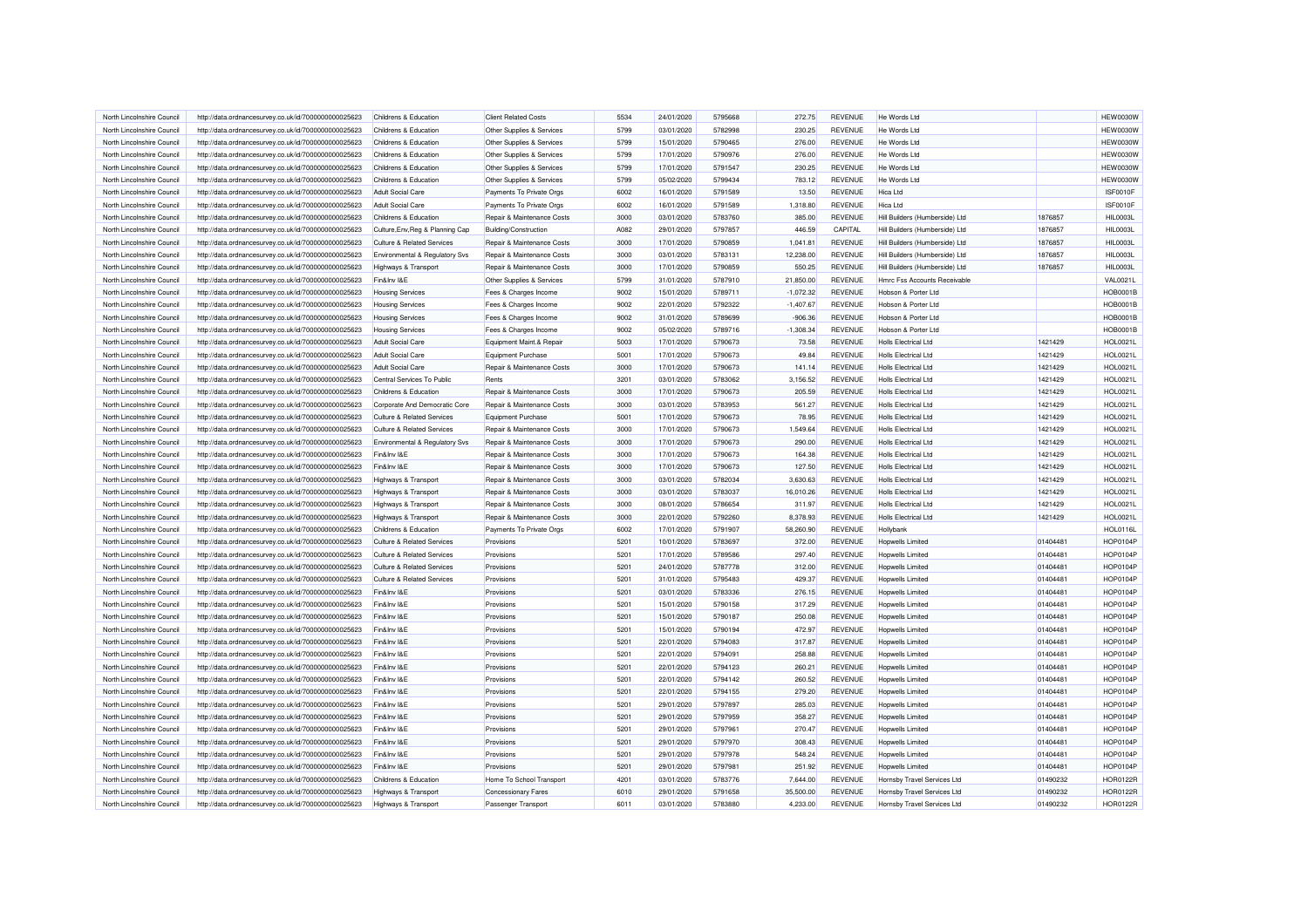| North Lincolnshire Council | http://data.ordnancesurvey.co.uk/id/7000000000025623 | Childrens & Education                 | <b>Client Related Costs</b> | 5534         | 24/01/2020               | 5795668            | 272.75                | <b>REVENUE</b>                   | He Words Ltd                       |                    | <b>HEW0030W</b>             |
|----------------------------|------------------------------------------------------|---------------------------------------|-----------------------------|--------------|--------------------------|--------------------|-----------------------|----------------------------------|------------------------------------|--------------------|-----------------------------|
| North Lincolnshire Council | http://data.ordnancesurvey.co.uk/id/7000000000025623 | Childrens & Education                 | Other Supplies & Services   | 5799         | 03/01/2020               | 5782998            | 230.25                | REVENUE                          | He Words Ltd                       |                    | HEW0030W                    |
| North Lincolnshire Council | http://data.ordnancesurvey.co.uk/id/7000000000025623 | Childrens & Education                 | Other Supplies & Services   | 5799         | 15/01/2020               | 5790465            | 276.00                | <b>REVENUE</b>                   | He Words Ltd                       |                    | HEW0030W                    |
| North Lincolnshire Council | http://data.ordnancesurvey.co.uk/id/7000000000025623 | Childrens & Education                 | Other Supplies & Services   | 5799         | 17/01/2020               | 5790976            | 276.00                | <b>REVENUE</b>                   | He Words I to                      |                    | <b>HEW0030W</b>             |
| North Lincolnshire Council | http://data.ordnancesurvey.co.uk/id/7000000000025623 | Childrens & Education                 | Other Supplies & Services   | 5799         | 17/01/2020               | 5791547            | 230.25                | <b>REVENUE</b>                   | He Words Ltd                       |                    | <b>HEW0030W</b>             |
| North Lincolnshire Council | http://data.ordnancesurvey.co.uk/id/7000000000025623 | Childrens & Education                 | Other Supplies & Services   | 5799         | 05/02/2020               | 5799434            | 783.12                | <b>REVENUE</b>                   | He Words Ltd                       |                    | <b>HEW0030W</b>             |
| North Lincolnshire Council | http://data.ordnancesurvey.co.uk/id/7000000000025623 | <b>Adult Social Care</b>              | Payments To Private Orgs    | 6002         | 16/01/2020               | 5791589            | 13.50                 | <b>REVENUE</b>                   | Hica I td                          |                    | ISF0010F                    |
| North Lincolnshire Council | http://data.ordnancesurvey.co.uk/id/7000000000025623 | <b>Adult Social Care</b>              | Payments To Private Orgs    | 6002         | 16/01/2020               | 5791589            | 1,318.80              | <b>REVENUE</b>                   | <b>Hica Ltd</b>                    |                    | ISF0010F                    |
| North Lincolnshire Council | http://data.ordnancesurvey.co.uk/id/7000000000025623 | Childrens & Education                 | Repair & Maintenance Costs  | 3000         | 03/01/2020               | 5783760            | 385.00                | <b>REVENUE</b>                   | Hill Builders (Humberside) Ltd     | 1876857            | <b>HIL0003L</b>             |
| North Lincolnshire Council | http://data.ordnancesurvey.co.uk/id/7000000000025623 | Culture, Env, Reg & Planning Cap      | Building/Construction       | A082         | 29/01/2020               | 5797857            | 446.59                | CAPITAL                          | Hill Builders (Humberside) Ltd     | 1876857            | <b>HIL0003L</b>             |
|                            |                                                      |                                       |                             |              |                          |                    |                       |                                  |                                    |                    |                             |
| North Lincolnshire Council | http://data.ordnancesurvey.co.uk/id/7000000000025623 | <b>Culture &amp; Related Services</b> | Repair & Maintenance Costs  | 3000<br>3000 | 17/01/2020<br>03/01/2020 | 5790859<br>5783131 | 1,041.81<br>12,238.00 | <b>REVENUE</b><br><b>REVENUE</b> | Hill Builders (Humberside) Ltd     | 1876857<br>1876857 | HIL0003L<br><b>HIL0003L</b> |
| North Lincolnshire Council | http://data.ordnancesurvey.co.uk/id/7000000000025623 | Environmental & Regulatory Svs        | Repair & Maintenance Costs  |              |                          |                    |                       |                                  | Hill Builders (Humberside) Ltd     |                    |                             |
| North Lincolnshire Counci  | http://data.ordnancesurvey.co.uk/id/7000000000025623 | Highways & Transport                  | Repair & Maintenance Costs  | 3000         | 17/01/2020               | 5790859            | 550.25                | <b>REVENUE</b>                   | Hill Builders (Humberside) Ltd     | 1876857            | <b>HIL0003L</b>             |
| North Lincolnshire Council | http://data.ordnancesurvey.co.uk/id/7000000000025623 | Fin&Inv I&E                           | Other Supplies & Services   | 5799         | 31/01/2020               | 5787910            | 21,850.00             | REVENUE                          | Hmrc Fss Accounts Receivable       |                    | <b>VAL0021L</b>             |
| North Lincolnshire Council | http://data.ordnancesurvey.co.uk/id/7000000000025623 | <b>Housing Services</b>               | Fees & Charges Income       | 9002         | 15/01/2020               | 5789711            | $-1,072.32$           | <b>REVENUE</b>                   | Hobson & Porter Ltd                |                    | <b>HOB0001B</b>             |
| North Lincolnshire Council | http://data.ordnancesurvey.co.uk/id/7000000000025623 | <b>Housing Services</b>               | Fees & Charges Income       | 9002         | 22/01/2020               | 5792322            | $-1,407.67$           | <b>REVENUE</b>                   | Hobson & Porter Ltd                |                    | <b>HOB0001B</b>             |
| North Lincolnshire Council | http://data.ordnancesurvey.co.uk/id/7000000000025623 | <b>Housing Services</b>               | Fees & Charges Income       | 9002         | 31/01/2020               | 5789699            | $-906.36$             | <b>REVENUE</b>                   | Hobson & Porter Ltd                |                    | <b>HOB0001B</b>             |
| North Lincolnshire Council | http://data.ordnancesurvey.co.uk/id/7000000000025623 | <b>Housing Services</b>               | Fees & Charges Income       | 9002         | 05/02/2020               | 5789716            | $-1,308.34$           | <b>REVENUE</b>                   | Hobson & Porter Ltd                |                    | <b>HOB0001B</b>             |
| North Lincolnshire Council | http://data.ordnancesurvey.co.uk/id/7000000000025623 | Adult Social Care                     | Equipment Maint.& Repair    | 5003         | 17/01/2020               | 5790673            | 73.58                 | REVENUE                          | <b>Holls Electrical Ltd</b>        | 1421429            | HOL0021L                    |
| North Lincolnshire Council | http://data.ordnancesurvey.co.uk/id/7000000000025623 | <b>Adult Social Care</b>              | Equipment Purchase          | 5001         | 17/01/2020               | 5790673            | 49.84                 | <b>REVENUE</b>                   | <b>Holls Electrical Ltd</b>        | 1421429            | <b>HOL0021L</b>             |
| North Lincolnshire Council | http://data.ordnancesurvey.co.uk/id/7000000000025623 | <b>Adult Social Care</b>              | Repair & Maintenance Costs  | 3000         | 17/01/2020               | 5790673            | 141.14                | REVENUE                          | <b>Holls Electrical Ltd</b>        | 1421429            | <b>HOL0021L</b>             |
| North Lincolnshire Council | http://data.ordnancesurvey.co.uk/id/7000000000025623 | Central Services To Public            | Rents                       | 3201         | 03/01/2020               | 5783062            | 3,156.52              | <b>REVENUE</b>                   | <b>Holls Electrical Ltd</b>        | 1421429            | HOL0021L                    |
| North Lincolnshire Council | http://data.ordnancesurvey.co.uk/id/7000000000025623 | Childrens & Education                 | Repair & Maintenance Costs  | 3000         | 17/01/2020               | 5790673            | 205.59                | <b>REVENUE</b>                   | <b>Holls Electrical Ltd</b>        | 1421429            | HOL0021L                    |
| North Lincolnshire Council | http://data.ordnancesurvey.co.uk/id/7000000000025623 | Corporate And Democratic Core         | Repair & Maintenance Costs  | 3000         | 03/01/2020               | 5783953            | 561.27                | <b>REVENUE</b>                   | <b>Holls Electrical Ltd</b>        | 1421429            | HOL0021L                    |
| North Lincolnshire Council | http://data.ordnancesurvey.co.uk/id/7000000000025623 | <b>Culture &amp; Related Services</b> | <b>Equipment Purchase</b>   | 5001         | 17/01/2020               | 5790673            | 78.95                 | <b>REVENUE</b>                   | <b>Holls Electrical Ltd</b>        | 1421429            | HOL0021L                    |
| North Lincolnshire Council | http://data.ordnancesurvey.co.uk/id/7000000000025623 | <b>Culture &amp; Related Services</b> | Repair & Maintenance Costs  | 3000         | 17/01/2020               | 5790673            | 1,549.64              | <b>REVENUE</b>                   | <b>Holls Electrical Ltd</b>        | 1421429            | <b>HOL0021L</b>             |
| North Lincolnshire Council | http://data.ordnancesurvey.co.uk/id/7000000000025623 | Environmental & Regulatory Svs        | Repair & Maintenance Costs  | 3000         | 17/01/2020               | 5790673            | 290.00                | <b>REVENUE</b>                   | <b>Holls Electrical Ltd</b>        | 1421429            | HOL0021L                    |
| North Lincolnshire Counci  | http://data.ordnancesurvey.co.uk/id/7000000000025623 | Fin&Inv I&E                           | Repair & Maintenance Costs  | 3000         | 17/01/2020               | 5790673            | 164.38                | <b>REVENUE</b>                   | Holls Flectrical Ltd               | 1421429            | HOL0021L                    |
| North Lincolnshire Council | http://data.ordnancesurvey.co.uk/id/7000000000025623 | Fin&Inv I&E                           | Repair & Maintenance Costs  | 3000         | 17/01/2020               | 5790673            | 127.50                | <b>REVENUE</b>                   | <b>Holls Electrical Ltd</b>        | 1421429            | <b>HOL0021L</b>             |
| North Lincolnshire Council | http://data.ordnancesurvey.co.uk/id/7000000000025623 | Highways & Transport                  | Repair & Maintenance Costs  | 3000         | 03/01/2020               | 5782034            | 3,630.63              | <b>REVENUE</b>                   | <b>Holls Electrical Ltd</b>        | 1421429            | <b>HOL0021L</b>             |
| North Lincolnshire Council | http://data.ordnancesurvey.co.uk/id/7000000000025623 | Highways & Transport                  | Repair & Maintenance Costs  | 3000         | 03/01/2020               | 5783037            | 16,010.26             | <b>REVENUE</b>                   | <b>Holls Electrical Ltd</b>        | 1421429            | HOL0021L                    |
| North Lincolnshire Council | http://data.ordnancesurvey.co.uk/id/7000000000025623 | Highways & Transport                  | Repair & Maintenance Costs  | 3000         | 08/01/2020               | 5786654            | 311.97                | <b>REVENUE</b>                   | <b>Holls Electrical Ltd</b>        | 1421429            | HOL0021L                    |
| North Lincolnshire Council | http://data.ordnancesurvey.co.uk/id/7000000000025623 | Highways & Transport                  | Repair & Maintenance Costs  | 3000         | 22/01/2020               | 5792260            | 8,378.93              | <b>REVENUE</b>                   | <b>Holls Electrical Ltd</b>        | 1421429            | HOL0021L                    |
| North Lincolnshire Council | http://data.ordnancesurvey.co.uk/id/7000000000025623 | Childrens & Education                 | Payments To Private Orgs    | 6002         | 17/01/2020               | 5791907            | 58,260.90             | REVENUE                          | Hollybank                          |                    | <b>HOL0116L</b>             |
| North Lincolnshire Council | http://data.ordnancesurvey.co.uk/id/7000000000025623 | <b>Culture &amp; Related Services</b> | Provisions                  | 5201         | 10/01/2020               | 5783697            | 372.00                | <b>REVENUE</b>                   | <b>Hopwells Limited</b>            | 01404481           | HOP0104F                    |
| North Lincolnshire Council |                                                      | Culture & Related Services            | Provisions                  | 5201         | 17/01/2020               | 5789586            | 297.40                | <b>REVENUE</b>                   | Honwells I imited                  | 01404481           | <b>HOP0104F</b>             |
|                            | http://data.ordnancesurvey.co.uk/id/7000000000025623 |                                       |                             |              |                          |                    |                       |                                  |                                    |                    |                             |
| North Lincolnshire Council | http://data.ordnancesurvey.co.uk/id/7000000000025623 | Culture & Related Services            | Provisions                  | 5201         | 24/01/2020               | 5787778            | 312.00                | <b>REVENUE</b>                   | <b>Hopwells Limited</b>            | 01404481           | HOP0104P                    |
| North Lincolnshire Council | http://data.ordnancesurvey.co.uk/id/7000000000025623 | <b>Culture &amp; Related Services</b> | Provisions                  | 5201         | 31/01/2020               | 5795483            | 429.37                | <b>REVENUE</b>                   | <b>Hopwells Limited</b>            | 01404481           | HOP0104F                    |
| North Lincolnshire Council | http://data.ordnancesurvey.co.uk/id/7000000000025623 | Fin&Inv I&E                           | Provisions                  | 5201         | 03/01/2020               | 5783336            | 276.15                | <b>REVENUE</b>                   | Honwells I imited                  | 01404481           | <b>HOP0104F</b>             |
| North Lincolnshire Council | http://data.ordnancesurvey.co.uk/id/7000000000025623 | Fin&Inv I&E                           | Provisions                  | 5201         | 15/01/2020               | 5790158            | 317.29                | <b>REVENUE</b>                   | <b>Hopwells Limited</b>            | 01404481           | HOP0104P                    |
| North Lincolnshire Council | http://data.ordnancesurvey.co.uk/id/7000000000025623 | Fin&Inv I&E                           | Provisions                  | 5201         | 15/01/2020               | 5790187            | 250.08                | REVENUE                          | <b>Hopwells Limited</b>            | 01404481           | HOP0104P                    |
| North Lincolnshire Council | http://data.ordnancesurvey.co.uk/id/7000000000025623 | Fin&Inv I&E                           | Provisions                  | 5201         | 15/01/2020               | 5790194            | 472.97                | <b>REVENUE</b>                   | <b>Hopwells Limited</b>            | 01404481           | <b>HOP0104F</b>             |
| North Lincolnshire Council | http://data.ordnancesurvey.co.uk/id/7000000000025623 | Fin&Inv I&E                           | Provisions                  | 5201         | 22/01/2020               | 5794083            | 317.87                | REVENUE                          | <b>Hopwells Limited</b>            | 01404481           | HOP0104P                    |
| North Lincolnshire Council | http://data.ordnancesurvey.co.uk/id/7000000000025623 | Fin&Inv I&E                           | Provisions                  | 5201         | 22/01/2020               | 5794091            | 258.88                | <b>REVENUE</b>                   | <b>Hopwells Limited</b>            | 01404481           | HOP0104P                    |
| North Lincolnshire Council | http://data.ordnancesurvey.co.uk/id/7000000000025623 | Fin&Inv I&E                           | Provisions                  | 5201         | 22/01/2020               | 5794123            | 260.21                | <b>REVENUE</b>                   | <b>Hopwells Limited</b>            | 01404481           | HOP0104F                    |
| North Lincolnshire Council | http://data.ordnancesurvey.co.uk/id/7000000000025623 | Fin&Inv I&E                           | Provisions                  | 5201         | 22/01/2020               | 5794142            | 260.52                | <b>REVENUE</b>                   | <b>Hopwells Limited</b>            | 01404481           | HOP0104P                    |
| North Lincolnshire Council | http://data.ordnancesurvey.co.uk/id/7000000000025623 | Fin&Inv I&E                           | Provisions                  | 5201         | 22/01/2020               | 5794155            | 279.20                | <b>REVENUE</b>                   | <b>Hopwells Limited</b>            | 01404481           | HOP0104P                    |
| North Lincolnshire Council | http://data.ordnancesurvey.co.uk/id/7000000000025623 | Fin&Inv I&E                           | Provisions                  | 5201         | 29/01/2020               | 5797897            | 285.03                | REVENUE                          | <b>Hopwells Limited</b>            | 01404481           | HOP0104F                    |
| North Lincolnshire Council | http://data.ordnancesurvey.co.uk/id/7000000000025623 | Fin&Inv I&E                           | Provisions                  | 5201         | 29/01/2020               | 5797959            | 358.27                | <b>REVENUE</b>                   | <b>Hopwells Limited</b>            | 01404481           | HOP0104P                    |
| North Lincolnshire Council | http://data.ordnancesurvey.co.uk/id/7000000000025623 | Fin&Inv I&E                           | Provisions                  | 5201         | 29/01/2020               | 5797961            | 270.47                | <b>REVENUE</b>                   | <b>Hopwells Limited</b>            | 01404481           | HOP0104P                    |
| North Lincolnshire Council | http://data.ordnancesurvey.co.uk/id/7000000000025623 | Fin&Inv I&E                           | Provisions                  | 5201         | 29/01/2020               | 5797970            | 308.43                | <b>REVENUE</b>                   | <b>Hopwells Limited</b>            | 01404481           | HOP0104F                    |
| North Lincolnshire Council | http://data.ordnancesurvey.co.uk/id/7000000000025623 | Fin&Inv I&E                           | Provisions                  | 5201         | 29/01/2020               | 5797978            | 548.24                | <b>REVENUE</b>                   | <b>Hopwells Limited</b>            | 01404481           | HOP0104P                    |
| North Lincolnshire Council | http://data.ordnancesurvey.co.uk/id/7000000000025623 | Fin&Inv I&E                           | Provisions                  | 5201         | 29/01/2020               | 5797981            | 251.92                | <b>REVENUE</b>                   | <b>Hopwells Limited</b>            | 01404481           | HOP0104P                    |
| North Lincolnshire Council | http://data.ordnancesurvey.co.uk/id/7000000000025623 | Childrens & Education                 | Home To School Transport    | 4201         | 03/01/2020               | 5783776            | 7.644.00              | REVENUE                          | <b>Hornsby Travel Services Ltd</b> | 01490232           | <b>HOR0122R</b>             |
| North Lincolnshire Council | http://data.ordnancesurvey.co.uk/id/7000000000025623 | Highways & Transport                  | <b>Concessionary Fares</b>  | 6010         | 29/01/2020               | 5791658            | 35,500.00             | <b>REVENUE</b>                   | <b>Hornsby Travel Services Ltd</b> | 01490232           | <b>HOR0122R</b>             |
| North Lincolnshire Council | http://data.ordnancesurvey.co.uk/id/7000000000025623 | Highways & Transport                  | Passenger Transport         | 6011         | 03/01/2020               | 5783880            | 4.233.00              | <b>REVENUE</b>                   | Homsby Travel Services Ltd         | 01490232           | <b>HOR0122R</b>             |
|                            |                                                      |                                       |                             |              |                          |                    |                       |                                  |                                    |                    |                             |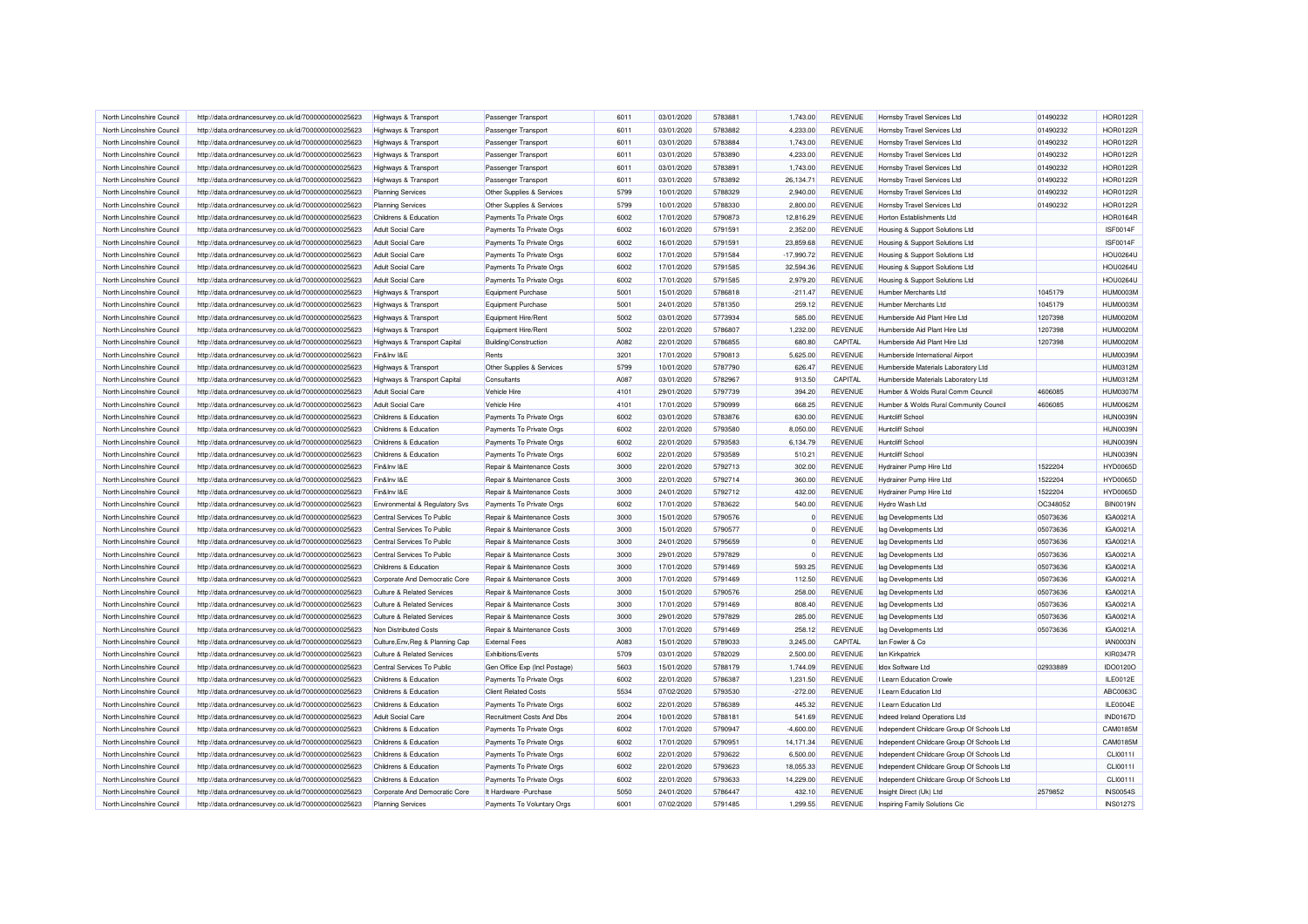| North Lincolnshire Council | http://data.ordnancesurvey.co.uk/id/7000000000025623 | Highways & Transport                  | Passenger Transport           | 6011 | 03/01/2020 | 5783881 | 1,743.00     | <b>REVENUE</b> | Hornsby Travel Services Ltd                | 01490232 | <b>HOR0122R</b> |
|----------------------------|------------------------------------------------------|---------------------------------------|-------------------------------|------|------------|---------|--------------|----------------|--------------------------------------------|----------|-----------------|
| North Lincolnshire Council | http://data.ordnancesurvey.co.uk/id/7000000000025623 | Highways & Transport                  | Passenger Transport           | 6011 | 03/01/2020 | 5783882 | 4,233.00     | <b>REVENUE</b> | Hornsby Travel Services Ltd                | 01490232 | HOR0122R        |
| North Lincolnshire Council | http://data.ordnancesurvey.co.uk/id/7000000000025623 | Highways & Transport                  | Passenger Transport           | 6011 | 03/01/2020 | 5783884 | 1,743.00     | <b>REVENUE</b> | Hornsby Travel Services Ltd                | 01490232 | <b>HOR0122F</b> |
| North Lincolnshire Council | http://data.ordnancesurvey.co.uk/id/7000000000025623 | Highways & Transport                  | Passenger Transport           | 6011 | 03/01/2020 | 5783890 | 4,233.00     | <b>REVENUE</b> | Hornsby Travel Services Ltd                | 01490232 | <b>HOR0122R</b> |
| North Lincolnshire Council | http://data.ordnancesurvey.co.uk/id/7000000000025623 | Highways & Transport                  | Passenger Transport           | 6011 | 03/01/2020 | 5783891 | 1,743.00     | <b>REVENUE</b> | Hornsby Travel Services Ltd                | 01490232 | <b>HOR0122R</b> |
| North Lincolnshire Council | http://data.ordnancesurvey.co.uk/id/7000000000025623 | Highways & Transport                  | Passenger Transport           | 6011 | 03/01/2020 | 5783892 | 26,134.71    | <b>REVENUE</b> | Hornsby Travel Services Ltd                | 01490232 | <b>HOR0122F</b> |
| North Lincolnshire Council | http://data.ordnancesurvey.co.uk/id/7000000000025623 | <b>Planning Services</b>              | Other Supplies & Services     | 5799 | 10/01/2020 | 5788329 | 2,940.00     | <b>REVENUE</b> | Hornsby Travel Services Ltd                | 01490232 | <b>HOR0122R</b> |
| North Lincolnshire Council | http://data.ordnancesurvey.co.uk/id/7000000000025623 | <b>Planning Services</b>              | Other Supplies & Services     | 5799 | 10/01/2020 | 5788330 | 2,800.00     | <b>REVENUE</b> | Hornsby Travel Services Ltd                | 01490232 | <b>HOR0122F</b> |
| North Lincolnshire Council | http://data.ordnancesurvey.co.uk/id/7000000000025623 | Childrens & Education                 | Payments To Private Orgs      | 6002 | 17/01/2020 | 5790873 | 12,816.29    | <b>REVENUE</b> | Horton Establishments Ltd                  |          | <b>HOR0164F</b> |
| North Lincolnshire Council | http://data.ordnancesurvey.co.uk/id/7000000000025623 | Adult Social Care                     | Payments To Private Orgs      | 6002 | 16/01/2020 | 5791591 | 2,352.00     | <b>REVENUE</b> | Housing & Support Solutions Ltd            |          | ISF0014F        |
| North Lincolnshire Council | http://data.ordnancesurvey.co.uk/id/7000000000025623 | <b>Adult Social Care</b>              | Payments To Private Orgs      | 6002 | 16/01/2020 | 5791591 | 23,859.68    | <b>REVENUE</b> | Housing & Support Solutions Ltd            |          | <b>ISF0014F</b> |
| North Lincolnshire Council |                                                      |                                       |                               | 6002 |            | 5791584 |              | <b>REVENUE</b> |                                            |          | <b>HOU0264L</b> |
|                            | http://data.ordnancesurvey.co.uk/id/7000000000025623 | Adult Social Care                     | Payments To Private Orgs      |      | 17/01/2020 |         | $-17,990.72$ |                | Housing & Support Solutions Ltd            |          |                 |
| North Lincolnshire Council | http://data.ordnancesurvey.co.uk/id/7000000000025623 | <b>Adult Social Care</b>              | Payments To Private Orgs      | 6002 | 17/01/2020 | 5791585 | 32,594.36    | <b>REVENUE</b> | Housing & Support Solutions Ltd            |          | <b>HOU0264L</b> |
| North Lincolnshire Council | http://data.ordnancesurvey.co.uk/id/7000000000025623 | Adult Social Care                     | Payments To Private Orgs      | 6002 | 17/01/2020 | 5791585 | 2,979.20     | REVENUE        | Housing & Support Solutions Ltd            |          | <b>HOU0264L</b> |
| North Lincolnshire Council | http://data.ordnancesurvey.co.uk/id/7000000000025623 | Highways & Transport                  | Equipment Purchase            | 5001 | 15/01/2020 | 5786818 | $-211.47$    | <b>REVENUE</b> | Humber Merchants Ltd                       | 1045179  | HUM0003N        |
| North Lincolnshire Council | http://data.ordnancesurvey.co.uk/id/7000000000025623 | Highways & Transport                  | Equipment Purchase            | 5001 | 24/01/2020 | 5781350 | 259.12       | <b>REVENUE</b> | Humber Merchants Ltd                       | 1045179  | HUM0003M        |
| North Lincolnshire Council | http://data.ordnancesurvey.co.uk/id/7000000000025623 | Highways & Transport                  | Equipment Hire/Rent           | 5002 | 03/01/2020 | 5773934 | 585.00       | <b>REVENUE</b> | Humberside Aid Plant Hire Ltd              | 1207398  | <b>HUM0020N</b> |
| North Lincolnshire Council | http://data.ordnancesurvey.co.uk/id/7000000000025623 | Highways & Transport                  | Equipment Hire/Rent           | 5002 | 22/01/2020 | 5786807 | 1,232.00     | <b>REVENUE</b> | Humberside Aid Plant Hire Ltd              | 1207398  | <b>HUM0020N</b> |
| North Lincolnshire Council | http://data.ordnancesurvey.co.uk/id/7000000000025623 | Highways & Transport Capital          | <b>Building/Construction</b>  | A082 | 22/01/2020 | 5786855 | 680.80       | CAPITAL        | Humberside Aid Plant Hire Ltd              | 1207398  | <b>HUM0020M</b> |
| North Lincolnshire Council | http://data.ordnancesurvey.co.uk/id/7000000000025623 | Fin&Inv I&E                           | Rents                         | 3201 | 17/01/2020 | 5790813 | 5,625.00     | <b>REVENUE</b> | Humberside International Airport           |          | <b>HUM0039N</b> |
| North Lincolnshire Council | http://data.ordnancesurvey.co.uk/id/7000000000025623 | Highways & Transport                  | Other Supplies & Services     | 5799 | 10/01/2020 | 5787790 | 626.47       | <b>REVENUE</b> | Humberside Materials Laboratory Ltd        |          | <b>HUM0312M</b> |
| North Lincolnshire Council | http://data.ordnancesurvey.co.uk/id/7000000000025623 | Highways & Transport Capital          | Consultants                   | A087 | 03/01/2020 | 5782967 | 913.50       | CAPITAL        | Humberside Materials Laboratory Ltd        |          | <b>HUM0312N</b> |
| North Lincolnshire Council | http://data.ordnancesurvey.co.uk/id/7000000000025623 | <b>Adult Social Care</b>              | Vehicle Hire                  | 4101 | 29/01/2020 | 5797739 | 394.20       | <b>REVENUE</b> | Humber & Wolds Rural Comm Counci           | 4606085  | <b>HUM0307N</b> |
| North Lincolnshire Council | http://data.ordnancesurvey.co.uk/id/7000000000025623 | <b>Adult Social Care</b>              | Vehicle Hire                  | 4101 | 17/01/2020 | 5790999 | 668.25       | <b>REVENUE</b> | Humber & Wolds Rural Community Council     | 4606085  | <b>HUM0062M</b> |
| North Lincolnshire Council | http://data.ordnancesurvey.co.uk/id/7000000000025623 | Childrens & Education                 | Payments To Private Orgs      | 6002 | 03/01/2020 | 5783876 | 630.00       | REVENUE        | <b>Huntcliff School</b>                    |          | <b>HUN0039N</b> |
| North Lincolnshire Council | http://data.ordnancesurvey.co.uk/id/7000000000025623 | Childrens & Education                 | Payments To Private Orgs      | 6002 | 22/01/2020 | 5793580 | 8,050.00     | REVENUE        | Huntcliff School                           |          | HUN0039N        |
| North Lincolnshire Council | http://data.ordnancesurvey.co.uk/id/7000000000025623 | Childrens & Education                 | Payments To Private Orgs      | 6002 | 22/01/2020 | 5793583 | 6,134.79     | <b>REVENUE</b> | <b>Huntcliff School</b>                    |          | HUN0039N        |
| North Lincolnshire Council | http://data.ordnancesurvey.co.uk/id/7000000000025623 | Childrens & Education                 | Payments To Private Orgs      | 6002 | 22/01/2020 | 5793589 | 510.21       | <b>REVENUE</b> | Huntcliff School                           |          | <b>HUN0039N</b> |
| North Lincolnshire Council | http://data.ordnancesurvey.co.uk/id/7000000000025623 | Fin&Inv I&E                           | Repair & Maintenance Costs    | 3000 | 22/01/2020 | 5792713 | 302.00       | <b>REVENUE</b> | Hydrainer Pump Hire Ltd                    | 1522204  | HYD0065D        |
| North Lincolnshire Council | http://data.ordnancesurvey.co.uk/id/7000000000025623 | Fin&Inv I&E                           | Repair & Maintenance Costs    | 3000 | 22/01/2020 | 5792714 | 360.00       | <b>REVENUE</b> | Hydrainer Pump Hire Ltd                    | 1522204  | <b>HYD0065D</b> |
| North Lincolnshire Council | http://data.ordnancesurvey.co.uk/id/7000000000025623 | Fin&Inv I&E                           | Repair & Maintenance Costs    | 3000 | 24/01/2020 | 5792712 | 432.00       | <b>REVENUE</b> | Hydrainer Pump Hire Ltd                    | 1522204  | <b>HYD0065D</b> |
| North Lincolnshire Council | http://data.ordnancesurvey.co.uk/id/7000000000025623 | Environmental & Regulatory Svs        | Payments To Private Orgs      | 6002 | 17/01/2020 | 5783622 | 540.00       | <b>REVENUE</b> | Hydro Wash Ltd                             | OC348052 | <b>BIN0019N</b> |
| North Lincolnshire Council | http://data.ordnancesurvey.co.uk/id/7000000000025623 | Central Services To Public            | Repair & Maintenance Costs    | 3000 | 15/01/2020 | 5790576 | $\Omega$     | <b>REVENUE</b> | lag Developments Ltd                       | 05073636 | IGA0021A        |
| North Lincolnshire Council | http://data.ordnancesurvey.co.uk/id/7000000000025623 | Central Services To Public            | Repair & Maintenance Costs    | 3000 | 15/01/2020 | 5790577 |              | <b>REVENUE</b> | lag Developments Ltd                       | 05073636 | IGA0021A        |
|                            |                                                      |                                       |                               |      |            |         | $\Omega$     |                |                                            |          |                 |
| North Lincolnshire Council | http://data.ordnancesurvey.co.uk/id/7000000000025623 | Central Services To Public            | Repair & Maintenance Costs    | 3000 | 24/01/2020 | 5795659 |              | <b>REVENUE</b> | lag Developments Ltd                       | 05073636 | IGA0021A        |
| North Lincolnshire Council | http://data.ordnancesurvey.co.uk/id/7000000000025623 | Central Services To Public            | Repair & Maintenance Costs    | 3000 | 29/01/2020 | 5797829 | $\Omega$     | <b>REVENUE</b> | lag Developments Ltd                       | 05073636 | IGA0021A        |
| North Lincolnshire Council | http://data.ordnancesurvey.co.uk/id/7000000000025623 | Childrens & Education                 | Repair & Maintenance Costs    | 3000 | 17/01/2020 | 5791469 | 593.25       | <b>REVENUE</b> | lag Developments Ltd                       | 05073636 | IGA0021A        |
| North Lincolnshire Council | http://data.ordnancesurvey.co.uk/id/7000000000025623 | Corporate And Democratic Core         | Repair & Maintenance Costs    | 3000 | 17/01/2020 | 5791469 | 112.50       | REVENUE        | lag Developments Ltd                       | 05073636 | IGA0021A        |
| North Lincolnshire Council | http://data.ordnancesurvey.co.uk/id/7000000000025623 | <b>Culture &amp; Related Services</b> | Repair & Maintenance Costs    | 3000 | 15/01/2020 | 5790576 | 258.00       | REVENUE        | lag Developments Ltd                       | 05073636 | IGA0021A        |
| North Lincolnshire Council | http://data.ordnancesurvey.co.uk/id/7000000000025623 | <b>Culture &amp; Related Services</b> | Repair & Maintenance Costs    | 3000 | 17/01/2020 | 5791469 | 808.40       | <b>REVENUE</b> | lag Developments Ltd                       | 05073636 | IGA0021A        |
| North Lincolnshire Council | http://data.ordnancesurvey.co.uk/id/7000000000025623 | Culture & Related Services            | Repair & Maintenance Costs    | 3000 | 29/01/2020 | 5797829 | 285.00       | <b>REVENUE</b> | lag Developments Ltd                       | 05073636 | IGA0021A        |
| North Lincolnshire Council | http://data.ordnancesurvey.co.uk/id/7000000000025623 | Non Distributed Costs                 | Repair & Maintenance Costs    | 3000 | 17/01/2020 | 5791469 | 258.12       | <b>REVENUE</b> | lag Developments Ltd                       | 05073636 | IGA0021A        |
| North Lincolnshire Council | http://data.ordnancesurvey.co.uk/id/7000000000025623 | Culture, Env, Reg & Planning Cap      | <b>External Fees</b>          | A083 | 15/01/2020 | 5789033 | 3,245.00     | CAPITAL        | lan Fowler & Co                            |          | <b>IAN0003N</b> |
| North Lincolnshire Council | http://data.ordnancesurvey.co.uk/id/7000000000025623 | <b>Culture &amp; Related Services</b> | Exhibitions/Events            | 5709 | 03/01/2020 | 5782029 | 2,500.00     | REVENUE        | lan Kirkpatrick                            |          | <b>KIR0347R</b> |
| North Lincolnshire Council | http://data.ordnancesurvey.co.uk/id/7000000000025623 | Central Services To Public            | Gen Office Exp (Incl Postage) | 5603 | 15/01/2020 | 5788179 | 1,744.09     | <b>REVENUE</b> | Idox Software Ltd                          | 02933889 | IDO0120O        |
| North Lincolnshire Council | http://data.ordnancesurvey.co.uk/id/7000000000025623 | Childrens & Education                 | Payments To Private Orgs      | 6002 | 22/01/2020 | 5786387 | 1,231.50     | <b>REVENUE</b> | I Learn Education Crowle                   |          | ILE0012E        |
| North Lincolnshire Council | http://data.ordnancesurvey.co.uk/id/7000000000025623 | Childrens & Education                 | <b>Client Related Costs</b>   | 5534 | 07/02/2020 | 5793530 | $-272.00$    | <b>REVENUE</b> | I Learn Education Ltd                      |          | ABC0063C        |
| North Lincolnshire Council | http://data.ordnancesurvey.co.uk/id/7000000000025623 | Childrens & Education                 | Payments To Private Orgs      | 6002 | 22/01/2020 | 5786389 | 445.32       | <b>REVENUE</b> | I Learn Education Ltd                      |          | ILE0004E        |
| North Lincolnshire Council | http://data.ordnancesurvey.co.uk/id/7000000000025623 | <b>Adult Social Care</b>              | Recruitment Costs And Dbs     | 2004 | 10/01/2020 | 5788181 | 541.69       | <b>REVENUE</b> | Indeed Ireland Operations Ltd              |          | <b>IND0167D</b> |
| North Lincolnshire Council | http://data.ordnancesurvey.co.uk/id/7000000000025623 | Childrens & Education                 | Payments To Private Orgs      | 6002 | 17/01/2020 | 5790947 | $-4,600.00$  | <b>REVENUE</b> | Independent Childcare Group Of Schools Ltd |          | CAM0185M        |
| North Lincolnshire Council | http://data.ordnancesurvey.co.uk/id/7000000000025623 | Childrens & Education                 | Payments To Private Orgs      | 6002 | 17/01/2020 | 5790951 | 14, 171.34   | <b>REVENUE</b> | Independent Childcare Group Of Schools Ltd |          | CAM0185M        |
| North Lincolnshire Council | http://data.ordnancesurvey.co.uk/id/7000000000025623 | Childrens & Education                 | Payments To Private Orgs      | 6002 | 22/01/2020 | 5793622 | 6,500.00     | <b>REVENUE</b> | Independent Childcare Group Of Schools Ltd |          | CLI0011I        |
| North Lincolnshire Council | http://data.ordnancesurvey.co.uk/id/7000000000025623 | Childrens & Education                 | Payments To Private Orgs      | 6002 | 22/01/2020 | 5793623 | 18,055.33    | <b>REVENUE</b> | Independent Childcare Group Of Schools Ltd |          | CLI0011I        |
| North Lincolnshire Council | http://data.ordnancesurvey.co.uk/id/7000000000025623 | Childrens & Education                 | Payments To Private Orgs      | 6002 | 22/01/2020 | 5793633 | 14,229.00    | <b>REVENUE</b> | Independent Childcare Group Of Schools Ltd |          | CLI0011I        |
| North Lincolnshire Council | http://data.ordnancesurvey.co.uk/id/7000000000025623 | Corporate And Democratic Core         | It Hardware - Purchase        | 5050 | 24/01/2020 | 5786447 | 432.10       | REVENUE        | Insight Direct (Uk) Ltd                    | 2579852  | <b>INS0054S</b> |
| North Lincolnshire Council | http://data.ordnancesurvey.co.uk/id/7000000000025623 | <b>Planning Services</b>              | Payments To Voluntary Orgs    | 6001 | 07/02/2020 | 5791485 | 1.299.55     | <b>REVENUE</b> | Inspiring Family Solutions Cic             |          | <b>INS0127S</b> |
|                            |                                                      |                                       |                               |      |            |         |              |                |                                            |          |                 |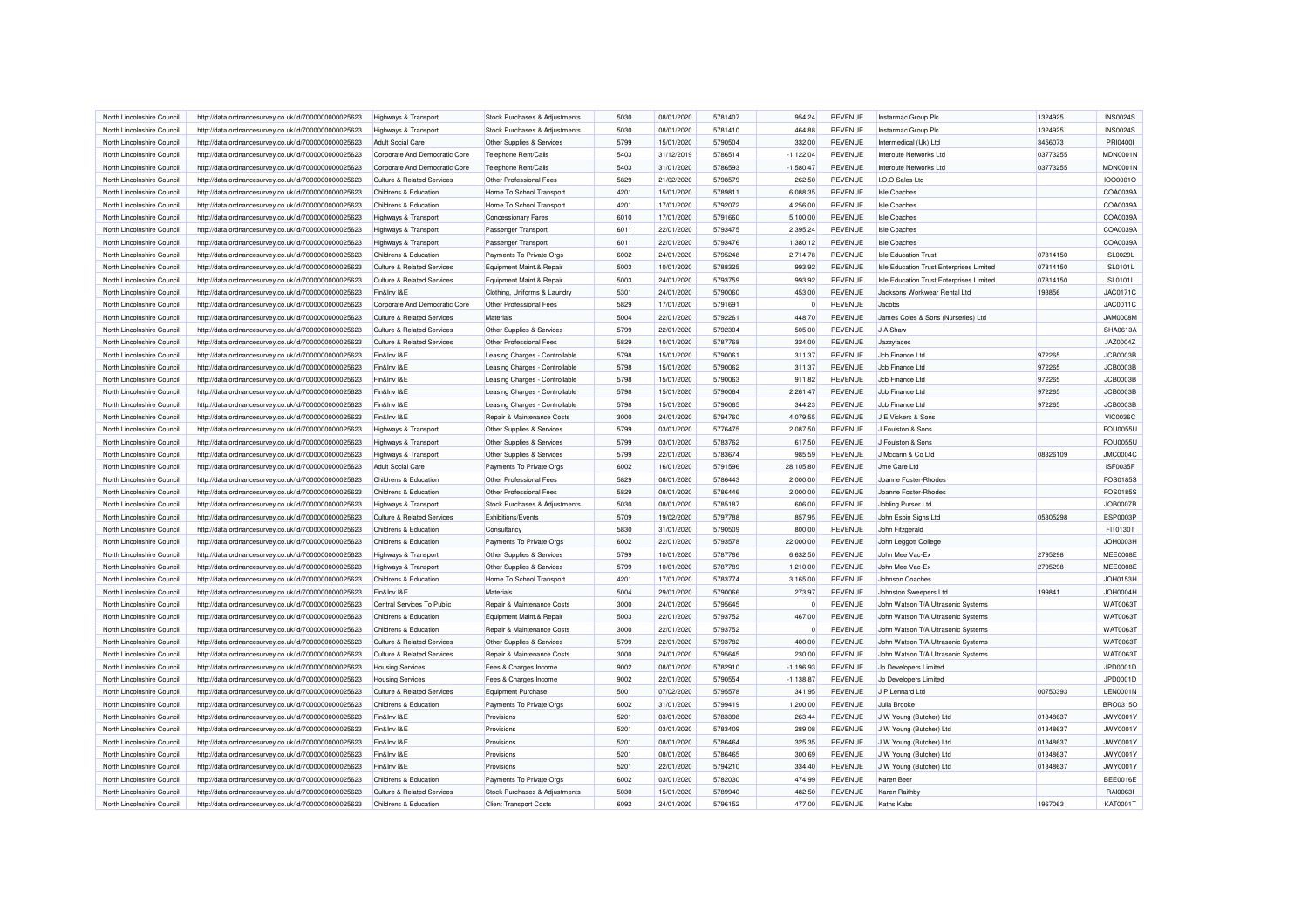| North Lincolnshire Council | http://data.ordnancesurvey.co.uk/id/7000000000025623 | Highways & Transport                  | Stock Purchases & Adjustments  | 5030 | 08/01/2020 | 5781407 | 954.24      | <b>REVENUE</b> | Instarmac Group Plc                      | 1324925  | <b>INS0024S</b> |
|----------------------------|------------------------------------------------------|---------------------------------------|--------------------------------|------|------------|---------|-------------|----------------|------------------------------------------|----------|-----------------|
| North Lincolnshire Council | http://data.ordnancesurvey.co.uk/id/7000000000025623 | Highways & Transport                  | Stock Purchases & Adjustments  | 5030 | 08/01/2020 | 5781410 | 464.88      | REVENUE        | Instarmac Group Plc                      | 1324925  | <b>INS0024S</b> |
| North Lincolnshire Council | http://data.ordnancesurvey.co.uk/id/7000000000025623 | <b>Adult Social Care</b>              | Other Supplies & Services      | 5799 | 15/01/2020 | 5790504 | 332.00      | <b>REVENUE</b> | Intermedical (Uk) Ltd                    | 3456073  | PRI04001        |
| North Lincolnshire Council | http://data.ordnancesurvey.co.uk/id/7000000000025623 | Corporate And Democratic Core         | <b>Telephone Rent/Calls</b>    | 5403 | 31/12/2019 | 5786514 | $-1,122.04$ | <b>REVENUE</b> | Interoute Networks Ltd                   | 03773255 | <b>MDN0001N</b> |
| North Lincolnshire Council | http://data.ordnancesurvey.co.uk/id/7000000000025623 | Corporate And Democratic Core         | Telephone Rent/Calls           | 5403 | 31/01/2020 | 5786593 | $-1,580.47$ | <b>REVENUE</b> | Interoute Networks Ltd                   | 03773255 | <b>MDN0001N</b> |
| North Lincolnshire Council | http://data.ordnancesurvey.co.uk/id/7000000000025623 | Culture & Related Services            | Other Professional Fees        | 5829 | 21/02/2020 | 5798579 | 262.50      | <b>REVENUE</b> | I.O.O Sales Ltd                          |          | IOO0001O        |
| North Lincolnshire Council | http://data.ordnancesurvey.co.uk/id/7000000000025623 | Childrens & Education                 | Home To School Transport       | 4201 | 15/01/2020 | 5789811 | 6.088.35    | <b>REVENUE</b> | <b>Isle Coaches</b>                      |          | COA0039A        |
| North Lincolnshire Council | http://data.ordnancesurvey.co.uk/id/7000000000025623 | Childrens & Education                 | Home To School Transport       | 4201 | 17/01/2020 | 5792072 | 4,256.00    | REVENUE        | <b>Isle Coaches</b>                      |          | COA0039A        |
| North Lincolnshire Council | http://data.ordnancesurvey.co.uk/id/7000000000025623 | Highways & Transport                  | <b>Concessionary Fares</b>     | 6010 | 17/01/2020 | 5791660 | 5,100.00    | <b>REVENUE</b> | <b>Isle Coaches</b>                      |          | COA0039A        |
| North Lincolnshire Council | http://data.ordnancesurvey.co.uk/id/7000000000025623 | Highways & Transport                  | Passenger Transport            | 6011 | 22/01/2020 | 5793475 | 2,395.24    | <b>REVENUE</b> | <b>Isle Coaches</b>                      |          | COA0039A        |
| North Lincolnshire Council | http://data.ordnancesurvey.co.uk/id/7000000000025623 | Highways & Transport                  | Passenger Transport            | 6011 | 22/01/2020 | 5793476 | 1,380.12    | <b>REVENUE</b> | <b>Isle Coaches</b>                      |          | COA0039A        |
| North Lincolnshire Council | http://data.ordnancesurvey.co.uk/id/7000000000025623 | Childrens & Education                 | Payments To Private Orgs       | 6002 | 24/01/2020 | 5795248 | 2,714.78    | <b>REVENUE</b> | <b>Isle Education Trust</b>              | 07814150 | <b>ISL0029L</b> |
| North Lincolnshire Council | http://data.ordnancesurvey.co.uk/id/7000000000025623 | Culture & Related Services            | Equipment Maint.& Repair       | 5003 | 10/01/2020 | 5788325 | 993.92      | <b>REVENUE</b> | Isle Education Trust Enterprises Limited | 07814150 | <b>ISL0101L</b> |
| North Lincolnshire Council | http://data.ordnancesurvey.co.uk/id/7000000000025623 | Culture & Related Services            | Equipment Maint.& Repair       | 5003 | 24/01/2020 | 5793759 | 993.92      | <b>REVENUE</b> | Isle Education Trust Enterprises Limited | 07814150 | <b>ISL0101L</b> |
| North Lincolnshire Council | http://data.ordnancesurvey.co.uk/id/7000000000025623 | Fin&Inv I&E                           | Clothing, Uniforms & Laundry   | 5301 | 24/01/2020 | 5790060 | 453.00      | <b>REVENUE</b> | Jacksons Workwear Rental Ltd             | 193856   | <b>JAC0171C</b> |
| North Lincolnshire Council | http://data.ordnancesurvey.co.uk/id/7000000000025623 | Corporate And Democratic Core         | Other Professional Fees        | 5829 | 17/01/2020 | 5791691 |             | <b>REVENUE</b> | Jacobs                                   |          | <b>JAC0011C</b> |
| North Lincolnshire Council | http://data.ordnancesurvey.co.uk/id/7000000000025623 | <b>Culture &amp; Related Services</b> | Materials                      | 5004 | 22/01/2020 | 5792261 | 448.70      | <b>REVENUE</b> | James Coles & Sons (Nurseries) Ltd       |          | <b>JAM0008M</b> |
| North Lincolnshire Council | http://data.ordnancesurvey.co.uk/id/7000000000025623 | Culture & Related Services            | Other Supplies & Services      | 5799 | 22/01/2020 | 5792304 | 505.00      | <b>REVENUE</b> | J A Shaw                                 |          | SHA0613A        |
| North Lincolnshire Council | http://data.ordnancesurvey.co.uk/id/7000000000025623 | <b>Culture &amp; Related Services</b> | Other Professional Fees        | 5829 | 10/01/2020 | 5787768 | 324.00      | <b>REVENUE</b> | Jazzyfaces                               |          | JAZ0004Z        |
| North Lincolnshire Council | http://data.ordnancesurvey.co.uk/id/7000000000025623 | Fin&Inv I&E                           | Leasing Charges - Controllable | 5798 | 15/01/2020 | 5790061 | 311.37      | REVENUE        | Jcb Finance Ltd                          | 972265   | JCB0003B        |
| North Lincolnshire Council | http://data.ordnancesurvey.co.uk/id/7000000000025623 | Fin&Inv I&E                           | Leasing Charges - Controllable | 5798 | 15/01/2020 | 5790062 | 311.37      | <b>REVENUE</b> | Jcb Finance Ltd                          | 972265   | <b>JCB0003B</b> |
| North Lincolnshire Council | http://data.ordnancesurvey.co.uk/id/7000000000025623 | Fin&Inv I&E                           | Leasing Charges - Controllable | 5798 | 15/01/2020 | 5790063 | 911.82      | <b>REVENUE</b> | Job Finance Ltd                          | 972265   | <b>JCB0003B</b> |
| North Lincolnshire Council | http://data.ordnancesurvey.co.uk/id/7000000000025623 | Fin&Inv I&E                           | Leasing Charges - Controllable | 5798 | 15/01/2020 | 5790064 | 2,261.47    | REVENUE        | Jcb Finance Ltd                          | 972265   | JCB0003B        |
| North Lincolnshire Council | http://data.ordnancesurvey.co.uk/id/7000000000025623 | Fin&Inv I&E                           | Leasing Charges - Controllable | 5798 | 15/01/2020 | 5790065 | 344.23      | <b>REVENUE</b> | Job Finance Ltd                          | 972265   | JCB0003B        |
| North Lincolnshire Council | http://data.ordnancesurvey.co.uk/id/7000000000025623 | Fin&Inv I&E                           | Repair & Maintenance Costs     | 3000 | 24/01/2020 | 5794760 | 4,079.55    | <b>REVENUE</b> | J E Vickers & Sons                       |          | <b>VIC0036C</b> |
| North Lincolnshire Council | http://data.ordnancesurvey.co.uk/id/7000000000025623 | Highways & Transport                  | Other Supplies & Services      | 5799 | 03/01/2020 | 5776475 | 2,087.50    | <b>REVENUE</b> | J Foulston & Sons                        |          | <b>FOU0055L</b> |
| North Lincolnshire Council | http://data.ordnancesurvey.co.uk/id/7000000000025623 | Highways & Transport                  | Other Supplies & Services      | 5799 | 03/01/2020 | 5783762 | 617.50      | <b>REVENUE</b> | J Foulston & Sons                        |          | <b>FOU0055L</b> |
| North Lincolnshire Council | http://data.ordnancesurvey.co.uk/id/7000000000025623 | Highways & Transport                  | Other Supplies & Services      | 5799 | 22/01/2020 | 5783674 | 985.59      | <b>REVENUE</b> | J Mccann & Co Ltd                        | 08326109 | <b>JMC0004C</b> |
| North Lincolnshire Council | http://data.ordnancesurvey.co.uk/id/7000000000025623 | Adult Social Care                     | Payments To Private Orgs       | 6002 | 16/01/2020 | 5791596 | 28,105.80   | REVENUE        | Jme Care Ltd                             |          | ISF0035F        |
| North Lincolnshire Council | http://data.ordnancesurvey.co.uk/id/7000000000025623 | Childrens & Education                 | Other Professional Fees        | 5829 | 08/01/2020 | 5786443 | 2,000.00    | <b>REVENUE</b> | Joanne Foster-Rhodes                     |          | FOS0185S        |
| North Lincolnshire Council | http://data.ordnancesurvey.co.uk/id/7000000000025623 | Childrens & Education                 | Other Professional Fees        | 5829 | 08/01/2020 | 5786446 | 2.000.00    | <b>REVENUE</b> | Joanne Foster-Rhodes                     |          | FOS0185S        |
| North Lincolnshire Council | http://data.ordnancesurvey.co.uk/id/7000000000025623 | Highways & Transport                  | Stock Purchases & Adjustments  | 5030 | 08/01/2020 | 5785187 | 606.00      | REVENUE        | Jobling Purser Ltd                       |          | <b>JOB0007B</b> |
| North Lincolnshire Council | http://data.ordnancesurvey.co.uk/id/7000000000025623 | Culture & Related Services            | Exhibitions/Events             | 5709 | 19/02/2020 | 5797788 | 857.95      | <b>REVENUE</b> | John Espin Signs Ltd                     | 05305298 | ESP0003P        |
| North Lincolnshire Council | http://data.ordnancesurvey.co.uk/id/7000000000025623 | Childrens & Education                 | Consultancy                    | 5830 | 31/01/2020 | 5790509 | 800.00      | <b>REVENUE</b> | John Fitzgerald                          |          | FIT0130T        |
| North Lincolnshire Council | http://data.ordnancesurvey.co.uk/id/7000000000025623 | Childrens & Education                 | Payments To Private Orgs       | 6002 | 22/01/2020 | 5793578 | 22,000.00   | <b>REVENUE</b> | John Leggott College                     |          | <b>JOH0003H</b> |
| North Lincolnshire Council | http://data.ordnancesurvey.co.uk/id/7000000000025623 | Highways & Transport                  | Other Supplies & Services      | 5799 | 10/01/2020 | 5787786 | 6,632.50    | <b>REVENUE</b> | John Mee Vac-Ex                          | 2795298  | MEE0008E        |
| North Lincolnshire Council | http://data.ordnancesurvey.co.uk/id/7000000000025623 | <b>Highways &amp; Transport</b>       | Other Supplies & Services      | 5799 | 10/01/2020 | 5787789 | 1,210.00    | <b>REVENUE</b> | John Mee Vac-Ex                          | 2795298  | MEE0008E        |
| North Lincolnshire Council | http://data.ordnancesurvey.co.uk/id/7000000000025623 | Childrens & Education                 | Home To School Transport       | 4201 | 17/01/2020 | 5783774 | 3,165.00    | REVENUE        | Johnson Coaches                          |          | JOH0153H        |
| North Lincolnshire Council | http://data.ordnancesurvey.co.uk/id/7000000000025623 | Fin&Inv I&E                           | <b>Materials</b>               | 5004 | 29/01/2020 | 5790066 | 273.97      | <b>REVENUE</b> | Johnston Sweepers Ltd                    | 199841   | JOH0004H        |
| North Lincolnshire Council | http://data.ordnancesurvey.co.uk/id/7000000000025623 | Central Services To Public            | Repair & Maintenance Costs     | 3000 | 24/01/2020 | 5795645 |             | <b>REVENUE</b> | John Watson T/A Ultrasonic Systems       |          | WAT00631        |
| North Lincolnshire Council | http://data.ordnancesurvey.co.uk/id/7000000000025623 | Childrens & Education                 | Equipment Maint.& Repair       | 5003 | 22/01/2020 | 5793752 | 467.00      | <b>REVENUE</b> | John Watson T/A Ultrasonic Systems       |          | <b>WAT0063T</b> |
| North Lincolnshire Council | http://data.ordnancesurvey.co.uk/id/7000000000025623 | Childrens & Education                 | Repair & Maintenance Costs     | 3000 | 22/01/2020 | 5793752 |             | <b>REVENUE</b> | John Watson T/A Ultrasonic Systems       |          | WAT00631        |
| North Lincolnshire Council | http://data.ordnancesurvey.co.uk/id/7000000000025623 | <b>Culture &amp; Related Services</b> | Other Supplies & Services      | 5799 | 22/01/2020 | 5793782 | 400.00      | <b>REVENUE</b> | John Watson T/A Ultrasonic Systems       |          | <b>WAT0063T</b> |
| North Lincolnshire Council | http://data.ordnancesurvey.co.uk/id/7000000000025623 | Culture & Related Services            | Repair & Maintenance Costs     | 3000 | 24/01/2020 | 5795645 | 230.00      | <b>REVENUE</b> | John Watson T/A Ultrasonic Systems       |          | WAT00631        |
| North Lincolnshire Council | http://data.ordnancesurvey.co.uk/id/7000000000025623 | <b>Housing Services</b>               | Fees & Charges Income          | 9002 | 08/01/2020 | 5782910 | $-1,196.93$ | <b>REVENUE</b> | Jp Developers Limited                    |          | JPD0001D        |
| North Lincolnshire Council | http://data.ordnancesurvey.co.uk/id/7000000000025623 | <b>Housing Services</b>               | Fees & Charges Income          | 9002 | 22/01/2020 | 5790554 | $-1,138.87$ | <b>REVENUE</b> | Jp Developers Limited                    |          | JPD0001D        |
| North Lincolnshire Council | http://data.ordnancesurvey.co.uk/id/7000000000025623 | Culture & Related Services            | Equipment Purchase             | 5001 | 07/02/2020 | 5795578 | 341.95      | <b>REVENUE</b> | J P Lennard Ltd                          | 00750393 | <b>LEN0001N</b> |
| North Lincolnshire Council | http://data.ordnancesurvey.co.uk/id/7000000000025623 | Childrens & Education                 | Payments To Private Orgs       | 6002 | 31/01/2020 | 5799419 | 1,200.00    | <b>REVENUE</b> | Julia Brooke                             |          | BRO0315O        |
| North Lincolnshire Council | http://data.ordnancesurvey.co.uk/id/7000000000025623 | Fin&Inv I&E                           | Provisions                     | 5201 | 03/01/2020 | 5783398 | 263.44      | <b>REVENUE</b> | J W Young (Butcher) Ltd                  | 01348637 | <b>JWY0001Y</b> |
| North Lincolnshire Council | http://data.ordnancesurvey.co.uk/id/7000000000025623 | Fin&Inv I&E                           | Provisions                     | 5201 | 03/01/2020 | 5783409 | 289.08      | REVENUE        | J W Young (Butcher) Ltd                  | 01348637 | <b>JWY0001Y</b> |
| North Lincolnshire Council | http://data.ordnancesurvey.co.uk/id/7000000000025623 | Fin&Inv I&E                           | Provisions                     | 5201 | 08/01/2020 | 5786464 | 325.35      | <b>REVENUE</b> | J W Young (Butcher) Ltd                  | 01348637 | <b>JWY0001Y</b> |
| North Lincolnshire Council | http://data.ordnancesurvey.co.uk/id/7000000000025623 | Fin&Inv I&E                           | Provisions                     | 5201 | 08/01/2020 | 5786465 | 300.69      | <b>REVENUE</b> | J W Young (Butcher) Ltd                  | 01348637 | <b>JWY0001Y</b> |
| North Lincolnshire Council | http://data.ordnancesurvey.co.uk/id/7000000000025623 | Fin&Inv I&E                           | Provisions                     | 5201 | 22/01/2020 | 5794210 | 334.40      | <b>REVENUE</b> | J W Young (Butcher) Ltd                  | 01348637 | <b>JWY0001Y</b> |
| North Lincolnshire Council | http://data.ordnancesurvey.co.uk/id/7000000000025623 | Childrens & Education                 | Payments To Private Orgs       | 6002 | 03/01/2020 | 5782030 | 474.99      | <b>REVENUE</b> | Karen Beer                               |          | <b>BEE0016E</b> |
| North Lincolnshire Council | http://data.ordnancesurvey.co.uk/id/7000000000025623 | Culture & Related Services            | Stock Purchases & Adjustments  | 5030 | 15/01/2020 | 5789940 | 482.50      | REVENUE        | Karen Raithby                            |          | RAI0063I        |
| North Lincolnshire Council | http://data.ordnancesurvey.co.uk/id/7000000000025623 | Childrens & Education                 | <b>Client Transport Costs</b>  | 6092 | 24/01/2020 | 5796152 | 477.00      | <b>REVENUE</b> | Kaths Kabs                               | 1967063  | KAT0001T        |
|                            |                                                      |                                       |                                |      |            |         |             |                |                                          |          |                 |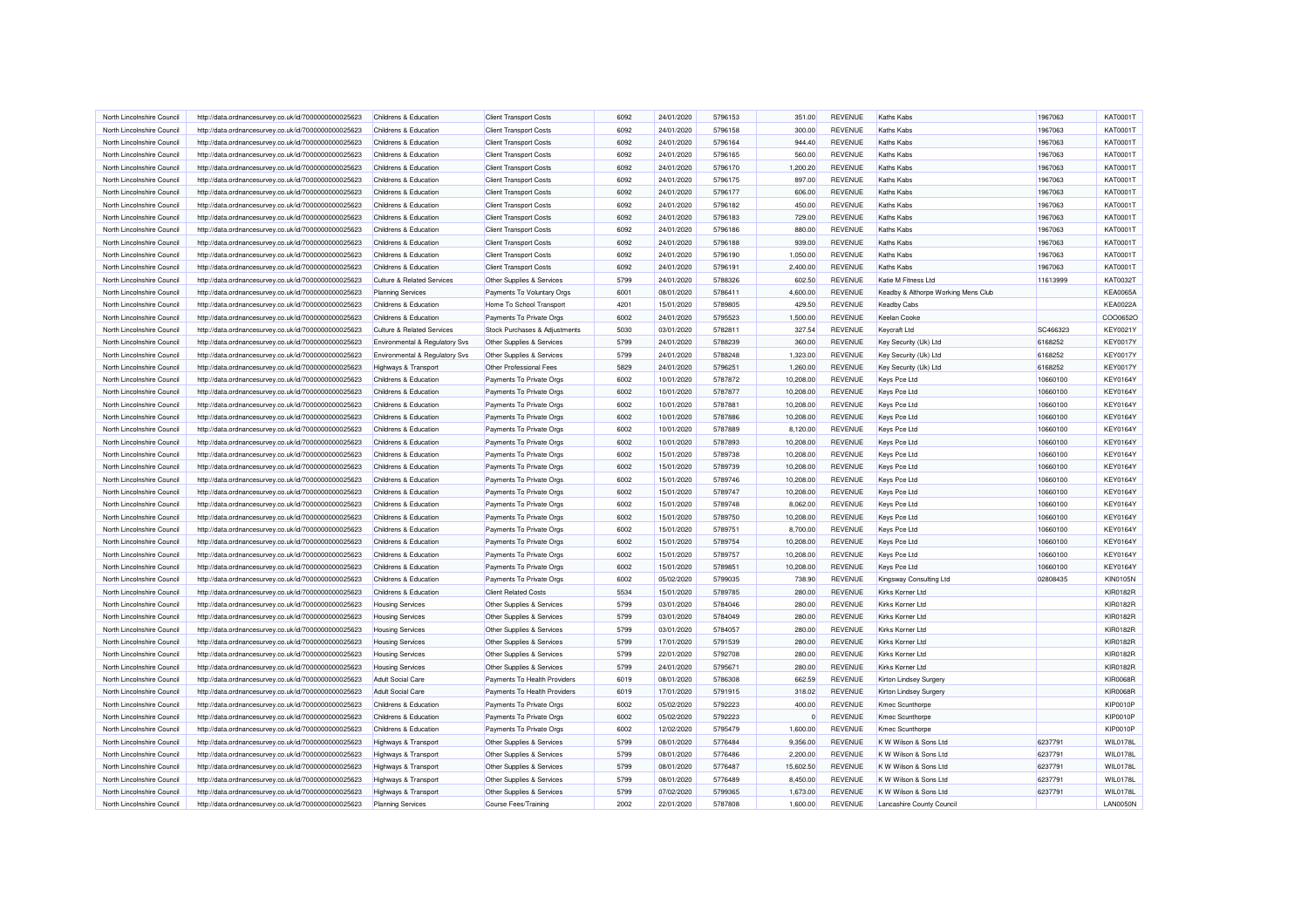| North Lincolnshire Council | http://data.ordnancesurvey.co.uk/id/7000000000025623 | Childrens & Education          | <b>Client Transport Costs</b> | 6092 | 24/01/2020 | 5796153 | 351.00    | <b>REVENUE</b> | Kaths Kabs                          | 1967063  | <b>KAT0001T</b> |
|----------------------------|------------------------------------------------------|--------------------------------|-------------------------------|------|------------|---------|-----------|----------------|-------------------------------------|----------|-----------------|
| North Lincolnshire Council | http://data.ordnancesurvey.co.uk/id/7000000000025623 | Childrens & Education          | <b>Client Transport Costs</b> | 6092 | 24/01/2020 | 5796158 | 300.00    | REVENUE        | <b>Kaths Kabs</b>                   | 1967063  | <b>KAT0001T</b> |
| North Lincolnshire Council | http://data.ordnancesurvey.co.uk/id/7000000000025623 | Childrens & Education          | <b>Client Transport Costs</b> | 6092 | 24/01/2020 | 5796164 | 944.40    | <b>REVENUE</b> | Kaths Kabs                          | 1967063  | <b>KAT0001T</b> |
| North Lincolnshire Council | http://data.ordnancesurvey.co.uk/id/7000000000025623 | Childrens & Education          | <b>Client Transport Costs</b> | 6092 | 24/01/2020 | 5796165 | 560.00    | <b>REVENUE</b> | Kaths Kabs                          | 1967063  | <b>KAT0001T</b> |
| North Lincolnshire Council | http://data.ordnancesurvey.co.uk/id/7000000000025623 | Childrens & Education          | <b>Client Transport Costs</b> | 6092 | 24/01/2020 | 5796170 | 1,200.20  | <b>REVENUE</b> | <b>Kaths Kabs</b>                   | 1967063  | <b>KAT0001T</b> |
| North Lincolnshire Council | http://data.ordnancesurvey.co.uk/id/7000000000025623 | Childrens & Education          | <b>Client Transport Costs</b> | 6092 | 24/01/2020 | 5796175 | 897.00    | <b>REVENUE</b> | Kaths Kabs                          | 1967063  | <b>KAT0001T</b> |
| North Lincolnshire Council | http://data.ordnancesurvey.co.uk/id/7000000000025623 | Childrens & Education          | <b>Client Transport Costs</b> | 6092 | 24/01/2020 | 5796177 | 606.00    | <b>REVENUE</b> | Kaths Kabs                          | 1967063  | <b>KAT0001T</b> |
| North Lincolnshire Council | http://data.ordnancesurvey.co.uk/id/7000000000025623 | Childrens & Education          | <b>Client Transport Costs</b> | 6092 | 24/01/2020 | 5796182 | 450.00    | REVENUE        | Kaths Kabs                          | 1967063  | <b>KAT0001T</b> |
| North Lincolnshire Council | http://data.ordnancesurvey.co.uk/id/7000000000025623 | Childrens & Education          | <b>Client Transport Costs</b> | 6092 | 24/01/2020 | 5796183 | 729.00    | <b>REVENUE</b> | Kaths Kabs                          | 1967063  | KAT0001T        |
| North Lincolnshire Council | http://data.ordnancesurvey.co.uk/id/7000000000025623 | Childrens & Education          | <b>Client Transport Costs</b> | 6092 | 24/01/2020 | 5796186 | 880.00    | <b>REVENUE</b> | Kaths Kabs                          | 1967063  | <b>KAT0001T</b> |
| North Lincolnshire Council | http://data.ordnancesurvey.co.uk/id/7000000000025623 | Childrens & Education          | <b>Client Transport Costs</b> | 6092 | 24/01/2020 | 5796188 | 939.00    | <b>REVENUE</b> | <b>Kaths Kabs</b>                   | 1967063  | <b>KAT0001T</b> |
| North Lincolnshire Council | http://data.ordnancesurvey.co.uk/id/7000000000025623 | Childrens & Education          | <b>Client Transport Costs</b> | 6092 | 24/01/2020 | 5796190 | 1,050.00  | <b>REVENUE</b> | Kaths Kabs                          | 1967063  | <b>KAT0001T</b> |
| North Lincolnshire Council | http://data.ordnancesurvey.co.uk/id/7000000000025623 | Childrens & Education          | <b>Client Transport Costs</b> | 6092 | 24/01/2020 | 5796191 | 2,400.00  | <b>REVENUE</b> | Kaths Kabs                          | 1967063  | <b>KAT0001T</b> |
| North Lincolnshire Council | http://data.ordnancesurvey.co.uk/id/7000000000025623 | Culture & Related Services     | Other Supplies & Services     | 5799 | 24/01/2020 | 5788326 | 602.50    | <b>REVENUE</b> | Katie M Fitness Ltd                 | 11613999 | <b>KAT0032T</b> |
| North Lincolnshire Council | http://data.ordnancesurvey.co.uk/id/7000000000025623 | <b>Planning Services</b>       | Payments To Voluntary Orgs    | 6001 | 08/01/2020 | 5786411 | 4,600.00  | <b>REVENUE</b> | Keadby & Althorpe Working Mens Club |          | <b>KEA0065A</b> |
| North Lincolnshire Council | http://data.ordnancesurvey.co.uk/id/7000000000025623 | Childrens & Education          | Home To School Transport      | 4201 | 15/01/2020 | 5789805 | 429.50    | <b>REVENUE</b> | <b>Keadby Cabs</b>                  |          | <b>KEA0022A</b> |
| North Lincolnshire Council | http://data.ordnancesurvey.co.uk/id/7000000000025623 | Childrens & Education          | Payments To Private Orgs      | 6002 | 24/01/2020 | 5795523 | 1,500.00  | <b>REVENUE</b> | Keelan Cooke                        |          | COO0652C        |
| North Lincolnshire Council | http://data.ordnancesurvey.co.uk/id/7000000000025623 | Culture & Related Services     | Stock Purchases & Adjustments | 5030 | 03/01/2020 | 5782811 | 327.54    | <b>REVENUE</b> | Keycraft Ltd                        | SC466323 | <b>KEY0021Y</b> |
| North Lincolnshire Council | http://data.ordnancesurvey.co.uk/id/7000000000025623 | Environmental & Regulatory Svs | Other Supplies & Services     | 5799 | 24/01/2020 | 5788239 | 360.00    | <b>REVENUE</b> | Key Security (Uk) Ltd               | 6168252  | <b>KEY0017Y</b> |
| North Lincolnshire Council | http://data.ordnancesurvey.co.uk/id/7000000000025623 | Environmental & Regulatory Svs | Other Supplies & Services     | 5799 | 24/01/2020 | 5788248 | 1,323.00  | <b>REVENUE</b> | Key Security (Uk) Ltd               | 6168252  | <b>KEY0017Y</b> |
| North Lincolnshire Council | http://data.ordnancesurvey.co.uk/id/7000000000025623 | Highways & Transport           | Other Professional Fees       | 5829 | 24/01/2020 | 5796251 | 1,260.00  | <b>REVENUE</b> | Key Security (Uk) Ltd               | 6168252  | <b>KEY0017Y</b> |
| North Lincolnshire Council |                                                      |                                |                               | 6002 | 10/01/2020 | 5787872 | 10,208.00 | <b>REVENUE</b> |                                     | 10660100 | <b>KEY0164Y</b> |
|                            | http://data.ordnancesurvey.co.uk/id/7000000000025623 | Childrens & Education          | Payments To Private Orgs      | 6002 |            | 5787877 |           | <b>REVENUE</b> | Keys Pce Ltd                        |          |                 |
| North Lincolnshire Council | http://data.ordnancesurvey.co.uk/id/7000000000025623 | Childrens & Education          | Payments To Private Orgs      |      | 10/01/2020 |         | 10,208.00 |                | Keys Pce Ltd                        | 10660100 | <b>KEY0164Y</b> |
| North Lincolnshire Council | http://data.ordnancesurvey.co.uk/id/7000000000025623 | Childrens & Education          | Payments To Private Orgs      | 6002 | 10/01/2020 | 578788  | 10,208.00 | <b>REVENUE</b> | Keys Pce Ltd                        | 10660100 | <b>KEY0164Y</b> |
| North Lincolnshire Council | http://data.ordnancesurvey.co.uk/id/7000000000025623 | Childrens & Education          | Payments To Private Orgs      | 6002 | 10/01/2020 | 5787886 | 10,208.00 | <b>REVENUE</b> | Keys Pce Ltd                        | 10660100 | <b>KEY0164Y</b> |
| North Lincolnshire Council | http://data.ordnancesurvey.co.uk/id/7000000000025623 | Childrens & Education          | Payments To Private Orgs      | 6002 | 10/01/2020 | 5787889 | 8,120.00  | REVENUE        | Keys Pce Ltd                        | 10660100 | <b>KEY0164Y</b> |
| North Lincolnshire Council | http://data.ordnancesurvey.co.uk/id/7000000000025623 | Childrens & Education          | Payments To Private Orgs      | 6002 | 10/01/2020 | 5787893 | 10,208.00 | <b>REVENUE</b> | Keys Pce Ltd                        | 10660100 | KEY0164Y        |
| North Lincolnshire Council | http://data.ordnancesurvey.co.uk/id/7000000000025623 | Childrens & Education          | Payments To Private Orgs      | 6002 | 15/01/2020 | 5789738 | 10,208.00 | <b>REVENUE</b> | Keys Pce Ltd                        | 10660100 | <b>KEY0164Y</b> |
| North Lincolnshire Council | http://data.ordnancesurvey.co.uk/id/7000000000025623 | Childrens & Education          | Payments To Private Orgs      | 6002 | 15/01/2020 | 5789739 | 10,208.00 | <b>REVENUE</b> | Keys Pce Ltd                        | 10660100 | <b>KEY0164Y</b> |
| North Lincolnshire Council | http://data.ordnancesurvey.co.uk/id/7000000000025623 | Childrens & Education          | Payments To Private Orgs      | 6002 | 15/01/2020 | 5789746 | 10,208.00 | <b>REVENUE</b> | Keys Pce Ltd                        | 10660100 | <b>KEY0164Y</b> |
| North Lincolnshire Council | http://data.ordnancesurvey.co.uk/id/7000000000025623 | Childrens & Education          | Payments To Private Orgs      | 6002 | 15/01/2020 | 5789747 | 10.208.00 | <b>REVENUE</b> | Keys Pce Ltd                        | 10660100 | <b>KEY0164Y</b> |
| North Lincolnshire Council | http://data.ordnancesurvey.co.uk/id/7000000000025623 | Childrens & Education          | Payments To Private Orgs      | 6002 | 15/01/2020 | 5789748 | 8,062.00  | REVENUE        | Keys Pce Ltd                        | 10660100 | <b>KEY0164Y</b> |
| North Lincolnshire Council | http://data.ordnancesurvey.co.uk/id/7000000000025623 | Childrens & Education          | Payments To Private Orgs      | 6002 | 15/01/2020 | 5789750 | 10,208.00 | <b>REVENUE</b> | Keys Pce Ltd                        | 10660100 | KEY0164Y        |
| North Lincolnshire Council | http://data.ordnancesurvey.co.uk/id/7000000000025623 | Childrens & Education          | Payments To Private Orgs      | 6002 | 15/01/2020 | 5789751 | 8,700.00  | <b>REVENUE</b> | Keys Pce Ltd                        | 10660100 | <b>KEY0164Y</b> |
| North Lincolnshire Council | http://data.ordnancesurvey.co.uk/id/7000000000025623 | Childrens & Education          | Payments To Private Orgs      | 6002 | 15/01/2020 | 5789754 | 10,208.00 | <b>REVENUE</b> | Keys Pce Ltd                        | 10660100 | <b>KEY0164Y</b> |
| North Lincolnshire Council | http://data.ordnancesurvey.co.uk/id/7000000000025623 | Childrens & Education          | Payments To Private Orgs      | 6002 | 15/01/2020 | 5789757 | 10,208.00 | <b>REVENUE</b> | Keys Pce Ltd                        | 10660100 | KEY0164Y        |
| North Lincolnshire Council | http://data.ordnancesurvey.co.uk/id/7000000000025623 | Childrens & Education          | Payments To Private Orgs      | 6002 | 15/01/2020 | 5789851 | 10,208.00 | <b>REVENUE</b> | Keys Pce Ltd                        | 10660100 | <b>KEY0164Y</b> |
| North Lincolnshire Council | http://data.ordnancesurvey.co.uk/id/7000000000025623 | Childrens & Education          | Payments To Private Orgs      | 6002 | 05/02/2020 | 5799035 | 738.90    | <b>REVENUE</b> | Kingsway Consulting Ltd             | 02808435 | KIN0105N        |
| North Lincolnshire Council | http://data.ordnancesurvey.co.uk/id/7000000000025623 | Childrens & Education          | <b>Client Related Costs</b>   | 5534 | 15/01/2020 | 5789785 | 280.00    | <b>REVENUE</b> | Kirks Korner Ltd                    |          | <b>KIR0182R</b> |
| North Lincolnshire Council | http://data.ordnancesurvey.co.uk/id/7000000000025623 | <b>Housing Services</b>        | Other Supplies & Services     | 5799 | 03/01/2020 | 5784046 | 280.00    | <b>REVENUE</b> | Kirks Korner Ltd                    |          | <b>KIR0182R</b> |
| North Lincolnshire Council | http://data.ordnancesurvey.co.uk/id/7000000000025623 | <b>Housing Services</b>        | Other Supplies & Services     | 5799 | 03/01/2020 | 5784049 | 280.00    | <b>REVENUE</b> | Kirks Korner Ltd                    |          | <b>KIR0182R</b> |
| North Lincolnshire Council | http://data.ordnancesurvey.co.uk/id/7000000000025623 | <b>Housing Services</b>        | Other Supplies & Services     | 5799 | 03/01/2020 | 5784057 | 280.00    | <b>REVENUE</b> | Kirks Korner Ltd                    |          | <b>KIR0182R</b> |
| North Lincolnshire Council | http://data.ordnancesurvey.co.uk/id/7000000000025623 | <b>Housing Services</b>        | Other Supplies & Services     | 5799 | 17/01/2020 | 5791539 | 280.00    | <b>REVENUE</b> | Kirks Korner Ltd                    |          | <b>KIR0182R</b> |
| North Lincolnshire Council | http://data.ordnancesurvey.co.uk/id/7000000000025623 | <b>Housing Services</b>        | Other Supplies & Services     | 5799 | 22/01/2020 | 5792708 | 280.00    | <b>REVENUE</b> | Kirks Komer Ltd                     |          | KIR0182R        |
| North Lincolnshire Council | http://data.ordnancesurvey.co.uk/id/7000000000025623 | <b>Housing Services</b>        | Other Supplies & Services     | 5799 | 24/01/2020 | 5795671 | 280.00    | <b>REVENUE</b> | Kirks Korner Ltd                    |          | <b>KIR0182R</b> |
| North Lincolnshire Council | http://data.ordnancesurvey.co.uk/id/7000000000025623 | Adult Social Care              | Payments To Health Providers  | 6019 | 08/01/2020 | 5786308 | 662.59    | <b>REVENUE</b> | Kirton Lindsey Surgery              |          | <b>KIR0068R</b> |
| North Lincolnshire Council | http://data.ordnancesurvey.co.uk/id/7000000000025623 | <b>Adult Social Care</b>       | Payments To Health Providers  | 6019 | 17/01/2020 | 5791915 | 318.02    | <b>REVENUE</b> | Kirton Lindsey Surgery              |          | <b>KIR0068R</b> |
| North Lincolnshire Council | http://data.ordnancesurvey.co.uk/id/7000000000025623 | Childrens & Education          | Payments To Private Orgs      | 6002 | 05/02/2020 | 5792223 | 400.00    | <b>REVENUE</b> | <b>Kmec Scunthorpe</b>              |          | <b>KIP0010P</b> |
| North Lincolnshire Council | http://data.ordnancesurvey.co.uk/id/7000000000025623 | Childrens & Education          | Payments To Private Orgs      | 6002 | 05/02/2020 | 5792223 | $\Omega$  | <b>REVENUE</b> | Kmec Scunthorpe                     |          | KIP0010P        |
| North Lincolnshire Council | http://data.ordnancesurvey.co.uk/id/7000000000025623 | Childrens & Education          | Payments To Private Orgs      | 6002 | 12/02/2020 | 5795479 | 1,600.00  | <b>REVENUE</b> | Kmec Scunthorpe                     |          | <b>KIP0010P</b> |
| North Lincolnshire Council | http://data.ordnancesurvey.co.uk/id/7000000000025623 | Highways & Transport           | Other Supplies & Services     | 5799 | 08/01/2020 | 5776484 | 9,356.00  | <b>REVENUE</b> | K W Wilson & Sons Ltd               | 6237791  | <b>WIL0178L</b> |
| North Lincolnshire Council | http://data.ordnancesurvey.co.uk/id/7000000000025623 | Highways & Transport           | Other Supplies & Services     | 5799 | 08/01/2020 | 5776486 | 2,200.00  | <b>REVENUE</b> | K W Wilson & Sons Ltd               | 6237791  | WIL0178L        |
| North Lincolnshire Council | http://data.ordnancesurvey.co.uk/id/7000000000025623 | Highways & Transport           | Other Supplies & Services     | 5799 | 08/01/2020 | 5776487 | 15,602.50 | <b>REVENUE</b> | K W Wilson & Sons Ltd               | 6237791  | <b>WIL0178L</b> |
| North Lincolnshire Council | http://data.ordnancesurvey.co.uk/id/7000000000025623 | Highways & Transport           | Other Supplies & Services     | 5799 | 08/01/2020 | 5776489 | 8,450.00  | <b>REVENUE</b> | K W Wilson & Sons Ltd               | 6237791  | <b>WIL0178I</b> |
| North Lincolnshire Council | http://data.ordnancesurvey.co.uk/id/7000000000025623 | Highways & Transport           | Other Supplies & Services     | 5799 | 07/02/2020 | 5799365 | 1,673.00  | <b>REVENUE</b> | K W Wilson & Sons Ltd               | 6237791  | WIL0178L        |
| North Lincolnshire Council | http://data.ordnancesurvey.co.uk/id/7000000000025623 | <b>Planning Services</b>       | Course Fees/Training          | 2002 | 22/01/2020 | 5787808 | 1.600.00  | <b>REVENUE</b> | Lancashire County Council           |          | LAN0050N        |
|                            |                                                      |                                |                               |      |            |         |           |                |                                     |          |                 |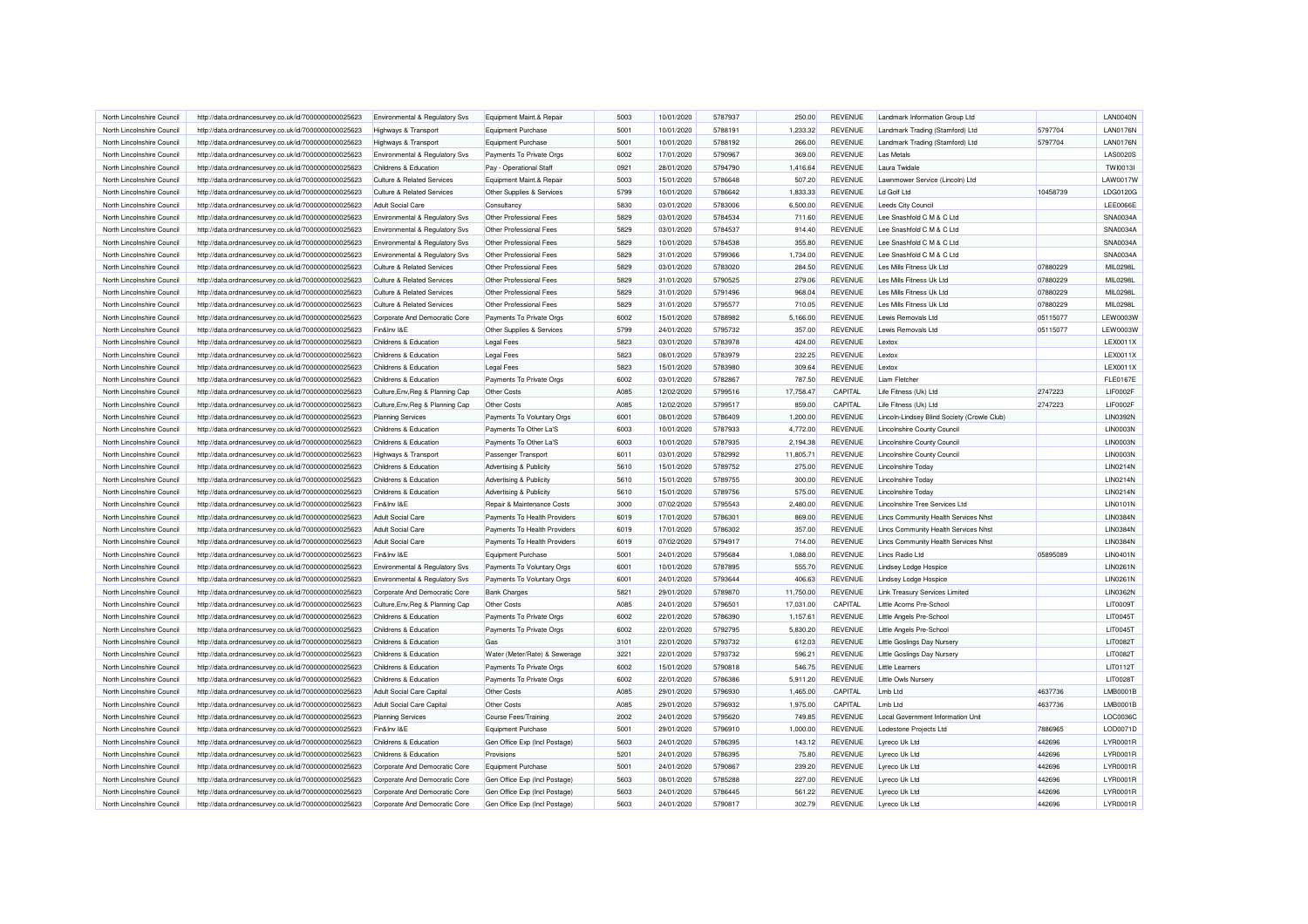| North Lincolnshire Council                               | http://data.ordnancesurvey.co.uk/id/7000000000025623 | Environmental & Regulatory Svs   | Equipment Maint.& Repair       | 5003 | 10/01/2020               | 5787937 | 250.00    | <b>REVENUE</b> | Landmark Information Group Ltd              |                      | LAN0040N        |
|----------------------------------------------------------|------------------------------------------------------|----------------------------------|--------------------------------|------|--------------------------|---------|-----------|----------------|---------------------------------------------|----------------------|-----------------|
| North Lincolnshire Council                               | http://data.ordnancesurvey.co.uk/id/7000000000025623 | Highways & Transport             | Equipment Purchase             | 5001 | 10/01/2020               | 5788191 | 1,233.32  | <b>REVENUE</b> | Landmark Trading (Stamford) Ltd             | 5797704              | <b>LAN0176N</b> |
| North Lincolnshire Council                               | http://data.ordnancesurvey.co.uk/id/7000000000025623 | Highways & Transport             | <b>Equipment Purchase</b>      | 5001 | 10/01/2020               | 5788192 | 266.00    | <b>REVENUE</b> | Landmark Trading (Stamford) Ltd             | 5797704              | <b>LAN0176N</b> |
| North Lincolnshire Council                               | http://data.ordnancesurvey.co.uk/id/7000000000025623 | Environmental & Regulatory Svs   | Payments To Private Orgs       | 6002 | 17/01/2020               | 5790967 | 369.00    | <b>REVENUE</b> | Las Metals                                  |                      | <b>LAS0020S</b> |
| North Lincolnshire Council                               | http://data.ordnancesurvey.co.uk/id/7000000000025623 | Childrens & Education            | Pay - Operational Staff        | 0921 | 28/01/2020               | 5794790 | 1,416.64  | <b>REVENUE</b> | Laura Twidale                               |                      | TW100131        |
| North Lincolnshire Council                               | http://data.ordnancesurvey.co.uk/id/7000000000025623 | Culture & Related Services       | Equipment Maint.& Repair       | 5003 | 15/01/2020               | 5786648 | 507.20    | <b>REVENUE</b> | Lawnmower Service (Lincoln) Ltd             |                      | LAW0017V        |
| North Lincolnshire Council                               | http://data.ordnancesurvey.co.uk/id/7000000000025623 | Culture & Related Services       | Other Supplies & Services      | 5799 | 10/01/2020               | 5786642 | 1.833.33  | <b>REVENUE</b> | I d Golf I td                               | 10458739             | LDG0120G        |
| North Lincolnshire Council                               | http://data.ordnancesurvey.co.uk/id/7000000000025623 | Adult Social Care                | Consultancy                    | 5830 | 03/01/2020               | 5783006 | 6,500.00  | <b>REVENUE</b> | Leeds City Council                          |                      | LEE0066E        |
| North Lincolnshire Council                               | http://data.ordnancesurvey.co.uk/id/7000000000025623 | Environmental & Regulatory Svs   | Other Professional Fees        | 5829 | 03/01/2020               | 5784534 | 711.60    | <b>REVENUE</b> | Lee Snashfold C M & C Ltd                   |                      | SNA0034A        |
| North Lincolnshire Council                               | http://data.ordnancesurvey.co.uk/id/7000000000025623 | Environmental & Regulatory Svs   | <b>Other Professional Fees</b> | 5829 | 03/01/2020               | 5784537 | 914.40    | <b>REVENUE</b> | Lee Snashfold C M & C Ltd                   |                      | SNA0034A        |
| North Lincolnshire Council                               | http://data.ordnancesurvey.co.uk/id/7000000000025623 | Environmental & Regulatory Svs   | Other Professional Fees        | 5829 | 10/01/2020               | 5784538 | 355.80    | <b>REVENUE</b> | Lee Snashfold C M & C Ltd                   |                      | SNA0034A        |
| North Lincolnshire Council                               | http://data.ordnancesurvey.co.uk/id/7000000000025623 | Environmental & Regulatory Svs   | Other Professional Fees        | 5829 | 31/01/2020               | 5799366 | 1,734.00  | <b>REVENUE</b> | Lee Snashfold C M & C Ltd                   |                      | SNA0034A        |
| North Lincolnshire Council                               | http://data.ordnancesurvey.co.uk/id/7000000000025623 | Culture & Related Services       | Other Professional Fees        | 5829 | 03/01/2020               | 5783020 | 284.50    | <b>REVENUE</b> | Les Mills Fitness Uk Ltd                    | 07880229             | <b>MIL0298L</b> |
| North Lincolnshire Council                               | http://data.ordnancesurvey.co.uk/id/7000000000025623 | Culture & Related Services       | Other Professional Fees        | 5829 | 31/01/2020               | 5790525 | 279.06    | <b>REVENUE</b> | Les Mills Fitness Uk Ltd                    | 07880229             | MIL0298L        |
|                                                          |                                                      | Culture & Related Services       | Other Professional Fees        | 5829 |                          | 5791496 | 968.04    | <b>REVENUE</b> | Les Mills Fitness Uk Ltd                    |                      | MIL0298L        |
| North Lincolnshire Council<br>North Lincolnshire Council | http://data.ordnancesurvey.co.uk/id/7000000000025623 | Culture & Related Services       | Other Professional Fees        | 5829 | 31/01/2020<br>31/01/2020 | 5795577 | 710.05    | <b>REVENUE</b> | Les Mills Fitness Uk Ltd                    | 07880229<br>07880229 | <b>MIL0298L</b> |
|                                                          | http://data.ordnancesurvey.co.uk/id/7000000000025623 |                                  |                                |      |                          |         |           |                |                                             |                      |                 |
| North Lincolnshire Council                               | http://data.ordnancesurvey.co.uk/id/7000000000025623 | Corporate And Democratic Core    | Payments To Private Orgs       | 6002 | 15/01/2020               | 5788982 | 5,166.00  | REVENUE        | Lewis Removals Ltd                          | 05115077             | <b>LEW0003W</b> |
| North Lincolnshire Council                               | http://data.ordnancesurvey.co.uk/id/7000000000025623 | Fin&Inv I&E                      | Other Supplies & Services      | 5799 | 24/01/2020               | 5795732 | 357.00    | <b>REVENUE</b> | Lewis Removals Ltd                          | 05115077             | <b>LEW0003W</b> |
| North Lincolnshire Council                               | http://data.ordnancesurvey.co.uk/id/7000000000025623 | Childrens & Education            | <b>Legal Fees</b>              | 5823 | 03/01/2020               | 5783978 | 424.00    | <b>REVENUE</b> | Lextox                                      |                      | LEX0011X        |
| North Lincolnshire Council                               | http://data.ordnancesurvey.co.uk/id/7000000000025623 | Childrens & Education            | Legal Fees                     | 5823 | 08/01/2020               | 5783979 | 232.25    | <b>REVENUE</b> | Lextox                                      |                      | LEX0011X        |
| North Lincolnshire Council                               | http://data.ordnancesurvey.co.uk/id/7000000000025623 | Childrens & Education            | <b>Legal Fees</b>              | 5823 | 15/01/2020               | 5783980 | 309.64    | <b>REVENUE</b> | Lextox                                      |                      | LEX0011X        |
| North Lincolnshire Council                               | http://data.ordnancesurvey.co.uk/id/7000000000025623 | Childrens & Education            | Payments To Private Orgs       | 6002 | 03/01/2020               | 5782867 | 787.50    | <b>REVENUE</b> | I iam Fletcher                              |                      | <b>FLE0167E</b> |
| North Lincolnshire Council                               | http://data.ordnancesurvey.co.uk/id/7000000000025623 | Culture, Env, Reg & Planning Cap | Other Costs                    | A085 | 12/02/2020               | 5799516 | 17,758.47 | CAPITAL        | Life Fitness (Uk) Ltd                       | 2747223              | LIF0002F        |
| North Lincolnshire Council                               | http://data.ordnancesurvey.co.uk/id/7000000000025623 | Culture, Env, Reg & Planning Cap | Other Costs                    | A085 | 12/02/2020               | 5799517 | 859.00    | CAPITAL        | Life Fitness (Uk) Ltd                       | 2747223              | <b>LIF0002F</b> |
| North Lincolnshire Council                               | http://data.ordnancesurvey.co.uk/id/7000000000025623 | <b>Planning Services</b>         | Payments To Voluntary Orgs     | 6001 | 08/01/2020               | 5786409 | 1,200.00  | <b>REVENUE</b> | Lincoln-Lindsey Blind Society (Crowle Club) |                      | <b>LIN0392N</b> |
| North Lincolnshire Council                               | http://data.ordnancesurvey.co.uk/id/7000000000025623 | Childrens & Education            | Payments To Other La'S         | 6003 | 10/01/2020               | 5787933 | 4,772.00  | <b>REVENUE</b> | Lincolnshire County Council                 |                      | <b>LIN0003N</b> |
| North Lincolnshire Council                               | http://data.ordnancesurvey.co.uk/id/7000000000025623 | Childrens & Education            | Payments To Other La'S         | 6003 | 10/01/2020               | 5787935 | 2,194.38  | <b>REVENUE</b> | Lincolnshire County Council                 |                      | <b>LIN0003N</b> |
| North Lincolnshire Council                               | http://data.ordnancesurvey.co.uk/id/7000000000025623 | Highways & Transport             | Passenger Transport            | 6011 | 03/01/2020               | 5782992 | 11,805.71 | <b>REVENUE</b> | Lincolnshire County Council                 |                      | <b>LIN0003N</b> |
| North Lincolnshire Council                               | http://data.ordnancesurvey.co.uk/id/7000000000025623 | Childrens & Education            | Advertising & Publicity        | 5610 | 15/01/2020               | 5789752 | 275.00    | REVENUE        | Lincolnshire Today                          |                      | LIN0214N        |
| North Lincolnshire Council                               | http://data.ordnancesurvey.co.uk/id/7000000000025623 | Childrens & Education            | Advertising & Publicity        | 5610 | 15/01/2020               | 5789755 | 300.00    | <b>REVENUE</b> | <b>Lincolnshire Today</b>                   |                      | LIN0214N        |
| North Lincolnshire Council                               | http://data.ordnancesurvey.co.uk/id/7000000000025623 | Childrens & Education            | Advertising & Publicity        | 5610 | 15/01/2020               | 5789756 | 575.00    | <b>REVENUE</b> | Lincolnshire Today                          |                      | <b>LIN0214N</b> |
| North Lincolnshire Council                               | http://data.ordnancesurvey.co.uk/id/7000000000025623 | Fin&Inv I&E                      | Repair & Maintenance Costs     | 3000 | 07/02/2020               | 5795543 | 2,480.00  | <b>REVENUE</b> | Lincolnshire Tree Services Ltd.             |                      | LIN0101N        |
| North Lincolnshire Council                               | http://data.ordnancesurvey.co.uk/id/7000000000025623 | <b>Adult Social Care</b>         | Payments To Health Providers   | 6019 | 17/01/2020               | 5786301 | 869.00    | <b>REVENUE</b> | Lincs Community Health Services Nhst        |                      | <b>LIN0384N</b> |
| North Lincolnshire Council                               | http://data.ordnancesurvey.co.uk/id/7000000000025623 | <b>Adult Social Care</b>         | Payments To Health Providers   | 6019 | 17/01/2020               | 5786302 | 357.00    | <b>REVENUE</b> | Lincs Community Health Services Nhst        |                      | <b>LIN0384N</b> |
| North Lincolnshire Council                               | http://data.ordnancesurvey.co.uk/id/7000000000025623 | Adult Social Care                | Payments To Health Providers   | 6019 | 07/02/2020               | 5794917 | 714.00    | <b>REVENUE</b> | Lincs Community Health Services Nhst        |                      | <b>LIN0384N</b> |
| North Lincolnshire Council                               | http://data.ordnancesurvey.co.uk/id/7000000000025623 | Fin&Inv I&E                      | <b>Equipment Purchase</b>      | 5001 | 24/01/2020               | 5795684 | 1,088.00  | <b>REVENUE</b> | Lincs Radio Ltd                             | 05895089             | LIN0401N        |
| North Lincolnshire Council                               | http://data.ordnancesurvey.co.uk/id/7000000000025623 | Environmental & Regulatory Svs   | Payments To Voluntary Orgs     | 6001 | 10/01/2020               | 5787895 | 555.70    | <b>REVENUE</b> | <b>Lindsey Lodge Hospice</b>                |                      | LIN0261N        |
| North Lincolnshire Council                               | http://data.ordnancesurvey.co.uk/id/7000000000025623 | Environmental & Regulatory Svs   | Payments To Voluntary Orgs     | 6001 | 24/01/2020               | 5793644 | 406.63    | <b>REVENUE</b> | <b>Lindsey Lodge Hospice</b>                |                      | LIN0261N        |
| North Lincolnshire Council                               | http://data.ordnancesurvey.co.uk/id/7000000000025623 | Corporate And Democratic Core    | <b>Bank Charges</b>            | 5821 | 29/01/2020               | 5789870 | 11,750.00 | <b>REVENUE</b> | Link Treasury Services Limited              |                      | <b>LIN0362N</b> |
| North Lincolnshire Council                               | http://data.ordnancesurvey.co.uk/id/7000000000025623 | Culture, Env, Reg & Planning Cap | Other Costs                    | A085 | 24/01/2020               | 5796501 | 17.031.00 | CAPITAL        | Little Acorns Pre-School                    |                      | <b>LIT0009T</b> |
| North Lincolnshire Council                               | http://data.ordnancesurvey.co.uk/id/7000000000025623 | Childrens & Education            | Payments To Private Orgs       | 6002 | 22/01/2020               | 5786390 | 1,157.61  | <b>REVENUE</b> | Little Angels Pre-School                    |                      | LIT0045T        |
| North Lincolnshire Council                               | http://data.ordnancesurvey.co.uk/id/7000000000025623 | Childrens & Education            | Payments To Private Orgs       | 6002 | 22/01/2020               | 5792795 | 5,830.20  | <b>REVENUE</b> | Little Angels Pre-School                    |                      | LIT0045T        |
| North Lincolnshire Council                               | http://data.ordnancesurvey.co.uk/id/7000000000025623 | Childrens & Education            | Gas                            | 3101 | 22/01/2020               | 5793732 | 612.03    | <b>REVENUE</b> | Little Goslings Day Nursery                 |                      | LIT0082T        |
| North Lincolnshire Council                               | http://data.ordnancesurvey.co.uk/id/7000000000025623 | Childrens & Education            | Water (Meter/Rate) & Sewerage  | 3221 | 22/01/2020               | 5793732 | 596.21    | <b>REVENUE</b> | <b>Little Goslings Day Nursery</b>          |                      | LIT0082T        |
| North Lincolnshire Council                               | http://data.ordnancesurvey.co.uk/id/7000000000025623 | Childrens & Education            | Payments To Private Orgs       | 6002 | 15/01/2020               | 5790818 | 546.75    | <b>REVENUE</b> | <b>Little Learners</b>                      |                      | LIT0112T        |
| North Lincolnshire Council                               | http://data.ordnancesurvey.co.uk/id/7000000000025623 | Childrens & Education            | Payments To Private Orgs       | 6002 | 22/01/2020               | 5786386 | 5,911.20  | <b>REVENUE</b> | Little Owls Nursery                         |                      | LIT0028T        |
|                                                          |                                                      |                                  |                                | A085 |                          | 5796930 |           | CAPITAL        | $l$ mb $l$ td                               |                      | LMB0001B        |
| North Lincolnshire Council                               | http://data.ordnancesurvey.co.uk/id/7000000000025623 | Adult Social Care Capital        | Other Costs                    |      | 29/01/2020               |         | 1,465.00  |                |                                             | 4637736              |                 |
| North Lincolnshire Council                               | http://data.ordnancesurvey.co.uk/id/7000000000025623 | Adult Social Care Capital        | <b>Other Costs</b>             | A085 | 29/01/2020               | 5796932 | 1,975.00  | <b>CAPITAL</b> | $l$ mb $l$ td                               | 4637736              | LMB0001B        |
| North Lincolnshire Council                               | http://data.ordnancesurvey.co.uk/id/7000000000025623 | <b>Planning Services</b>         | <b>Course Fees/Training</b>    | 2002 | 24/01/2020               | 5795620 | 749.85    | <b>REVENUE</b> | Local Government Information Unit           |                      | LOC0036C        |
| North Lincolnshire Council                               | http://data.ordnancesurvey.co.uk/id/7000000000025623 | Fin&Inv I&E                      | <b>Equipment Purchase</b>      | 5001 | 29/01/2020               | 5796910 | 1,000.00  | <b>REVENUE</b> | Lodestone Projects Ltd                      | 7886965              | LOD0071D        |
| North Lincolnshire Council                               | http://data.ordnancesurvey.co.uk/id/7000000000025623 | Childrens & Education            | Gen Office Exp (Incl Postage)  | 5603 | 24/01/2020               | 5786395 | 143.12    | <b>REVENUE</b> | Lyreco Uk Ltd                               | 442696               | <b>LYR0001F</b> |
| North Lincolnshire Council                               | http://data.ordnancesurvey.co.uk/id/7000000000025623 | Childrens & Education            | Provisions                     | 5201 | 24/01/2020               | 5786395 | 75.80     | <b>REVENUE</b> | Lyreco Uk Ltd                               | 442696               | LYR0001R        |
| North Lincolnshire Council                               | http://data.ordnancesurvey.co.uk/id/7000000000025623 | Corporate And Democratic Core    | <b>Equipment Purchase</b>      | 5001 | 24/01/2020               | 5790867 | 239.20    | REVENUE        | Lyreco Uk Ltd                               | 442696               | LYR0001R        |
| North Lincolnshire Council                               | http://data.ordnancesurvey.co.uk/id/7000000000025623 | Corporate And Democratic Core    | Gen Office Exp (Incl Postage)  | 5603 | 08/01/2020               | 5785288 | 227.00    | <b>REVENUE</b> | Lyreco Uk Ltd                               | 442696               | LYR0001R        |
| North Lincolnshire Council                               | http://data.ordnancesurvey.co.uk/id/7000000000025623 | Corporate And Democratic Core    | Gen Office Exp (Incl Postage)  | 5603 | 24/01/2020               | 5786445 | 561.22    | <b>REVENUE</b> | Lyreco Uk Ltd                               | 442696               | LYR0001R        |
| North Lincolnshire Council                               | http://data.ordnancesurvey.co.uk/id/7000000000025623 | Corporate And Democratic Core    | Gen Office Exp (Incl Postage)  | 5603 | 24/01/2020               | 5790817 | 302.79    | <b>REVENUE</b> | Lyreco Uk Ltd                               | 442696               | LYR0001R        |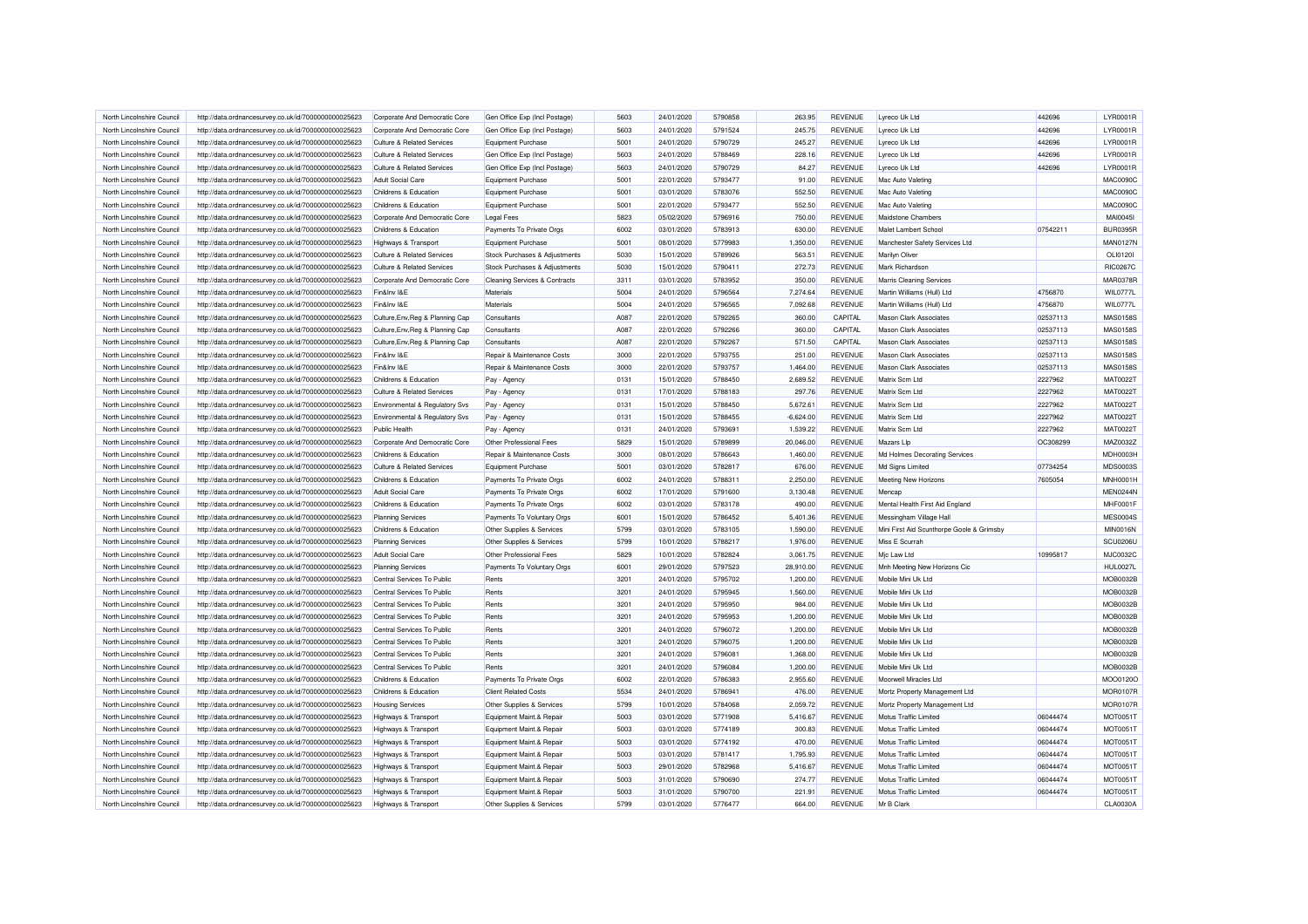| North Lincolnshire Council | http://data.ordnancesurvey.co.uk/id/7000000000025623 | Corporate And Democratic Core         | Gen Office Exp (Incl Postage) | 5603 | 24/01/2020 | 5790858 | 263.95      | <b>REVENUE</b> | Lyreco Uk Ltd                             | 442696   | LYR0001R        |
|----------------------------|------------------------------------------------------|---------------------------------------|-------------------------------|------|------------|---------|-------------|----------------|-------------------------------------------|----------|-----------------|
| North Lincolnshire Council | http://data.ordnancesurvey.co.uk/id/7000000000025623 | Corporate And Democratic Core         | Gen Office Exp (Incl Postage) | 5603 | 24/01/2020 | 5791524 | 245.75      | <b>REVENUE</b> | Lyreco Uk Ltd                             | 442696   | LYR0001R        |
| North Lincolnshire Council | http://data.ordnancesurvey.co.uk/id/7000000000025623 | <b>Culture &amp; Related Services</b> | <b>Equipment Purchase</b>     | 5001 | 24/01/2020 | 5790729 | 245.27      | <b>REVENUE</b> | Lyreco Uk Ltd                             | 442696   | LYR0001R        |
| North Lincolnshire Counci  | http://data.ordnancesurvey.co.uk/id/7000000000025623 | Culture & Related Services            | Gen Office Exp (Incl Postage) | 5603 | 24/01/2020 | 5788469 | 228.16      | <b>REVENUE</b> | Lyreco Uk Ltd                             | 442696   | LYR0001R        |
| North Lincolnshire Council | http://data.ordnancesurvey.co.uk/id/7000000000025623 | Culture & Related Services            | Gen Office Exp (Incl Postage) | 5603 | 24/01/2020 | 5790729 | 84.27       | <b>REVENUE</b> | Lyreco Uk Ltd                             | 442696   | LYR0001R        |
| North Lincolnshire Council | http://data.ordnancesurvey.co.uk/id/7000000000025623 | Adult Social Care                     | Equipment Purchase            | 5001 | 22/01/2020 | 5793477 | 91.00       | <b>REVENUE</b> | Mac Auto Valeting                         |          | <b>MAC0090C</b> |
| North Lincolnshire Counci  | http://data.ordnancesurvey.co.uk/id/7000000000025623 | Childrens & Education                 | Equipment Purchase            | 5001 | 03/01/2020 | 5783076 | 552.50      | REVENUE        | Mac Auto Valeting                         |          | <b>MAC0090C</b> |
| North Lincolnshire Council | http://data.ordnancesurvey.co.uk/id/7000000000025623 | Childrens & Education                 | Equipment Purchase            | 5001 | 22/01/2020 | 5793477 | 552.50      | <b>REVENUE</b> | Mac Auto Valeting                         |          | MAC0090C        |
| North Lincolnshire Council | http://data.ordnancesurvey.co.uk/id/7000000000025623 | Corporate And Democratic Core         | <b>Legal Fees</b>             | 5823 | 05/02/2020 | 5796916 | 750.00      | <b>REVENUE</b> | <b>Maidstone Chambers</b>                 |          | MAI0045I        |
| North Lincolnshire Council | http://data.ordnancesurvey.co.uk/id/7000000000025623 | Childrens & Education                 | Payments To Private Orgs      | 6002 | 03/01/2020 | 5783913 | 630.00      | <b>REVENUE</b> | Malet Lambert School                      | 07542211 | <b>BUR0395R</b> |
| North Lincolnshire Council | http://data.ordnancesurvey.co.uk/id/7000000000025623 | Highways & Transport                  | <b>Equipment Purchase</b>     | 5001 | 08/01/2020 | 5779983 | 1,350.00    | <b>REVENUE</b> | Manchester Safety Services Ltd            |          | <b>MAN0127N</b> |
| North Lincolnshire Council | http://data.ordnancesurvey.co.uk/id/7000000000025623 | <b>Culture &amp; Related Services</b> | Stock Purchases & Adjustments | 5030 | 15/01/2020 | 5789926 | 563.51      | <b>REVENUE</b> | Marilyn Oliver                            |          | OLI01201        |
| North Lincolnshire Counci  | http://data.ordnancesurvey.co.uk/id/7000000000025623 | Culture & Related Services            | Stock Purchases & Adjustments | 5030 | 15/01/2020 | 5790411 | 272.73      | <b>REVENUE</b> | Mark Richardson                           |          | <b>RIC0267C</b> |
| North Lincolnshire Council | http://data.ordnancesurvey.co.uk/id/7000000000025623 | Corporate And Democratic Core         | Cleaning Services & Contracts | 3311 | 03/01/2020 | 5783952 | 350.00      | REVENUE        | <b>Marris Cleaning Services</b>           |          | <b>MAR0378F</b> |
| North Lincolnshire Council | http://data.ordnancesurvey.co.uk/id/7000000000025623 | Fin&Inv I&E                           | Materials                     | 5004 | 24/01/2020 | 5796564 | 7,274.64    | <b>REVENUE</b> | Martin Williams (Hull) Ltd                | 4756870  | WIL0777L        |
| North Lincolnshire Council | http://data.ordnancesurvey.co.uk/id/7000000000025623 | Fin&Inv I&F                           | Materials                     | 5004 | 24/01/2020 | 5796565 | 7,092.68    | <b>REVENUE</b> | Martin Williams (Hull) Ltd                | 4756870  | WIL0777L        |
| North Lincolnshire Council | http://data.ordnancesurvey.co.uk/id/7000000000025623 | Culture, Env, Reg & Planning Cap      | Consultants                   | A087 | 22/01/2020 | 5792265 | 360.00      | CAPITAL        | <b>Mason Clark Associates</b>             | 02537113 | <b>MAS0158S</b> |
| North Lincolnshire Council | http://data.ordnancesurvey.co.uk/id/7000000000025623 | Culture, Env, Reg & Planning Cap      | Consultants                   | A087 | 22/01/2020 | 5792266 | 360.00      | CAPITAL        | <b>Mason Clark Associates</b>             | 02537113 | MAS0158S        |
| North Lincolnshire Council | http://data.ordnancesurvey.co.uk/id/7000000000025623 | Culture, Env, Reg & Planning Cap      | Consultants                   | A087 | 22/01/2020 | 5792267 | 571.50      | CAPITAL        | <b>Mason Clark Associates</b>             | 02537113 | <b>MAS0158S</b> |
| North Lincolnshire Council | http://data.ordnancesurvey.co.uk/id/7000000000025623 | Fin&Inv I&E                           | Repair & Maintenance Costs    | 3000 | 22/01/2020 | 5793755 | 251.00      | <b>REVENUE</b> | <b>Mason Clark Associates</b>             | 02537113 | MAS0158S        |
| North Lincolnshire Council | http://data.ordnancesurvey.co.uk/id/7000000000025623 | Fin&Inv I&E                           | Repair & Maintenance Costs    | 3000 | 22/01/2020 | 5793757 | 1,464.00    | <b>REVENUE</b> | <b>Mason Clark Associates</b>             | 02537113 | MAS0158S        |
| North Lincolnshire Council | http://data.ordnancesurvey.co.uk/id/7000000000025623 | Childrens & Education                 | Pay - Agency                  | 0131 | 15/01/2020 | 5788450 | 2,689.52    | <b>REVENUE</b> | Matrix Scm Ltd                            | 2227962  | <b>MAT0022T</b> |
| North Lincolnshire Council | http://data.ordnancesurvey.co.uk/id/7000000000025623 | Culture & Related Services            | Pay - Agency                  | 0131 | 17/01/2020 | 5788183 | 297.76      | <b>REVENUE</b> | Matrix Scm Ltd                            | 2227962  | <b>MAT0022T</b> |
| North Lincolnshire Council | http://data.ordnancesurvey.co.uk/id/7000000000025623 | Environmental & Regulatory Svs        | Pay - Agency                  | 0131 | 15/01/2020 | 5788450 | 5,672.61    | <b>REVENUE</b> | Matrix Scm Ltd                            | 2227962  | <b>MAT0022T</b> |
| North Lincolnshire Council | http://data.ordnancesurvey.co.uk/id/7000000000025623 | Environmental & Regulatory Svs        | Pay - Agency                  | 0131 | 15/01/2020 | 5788455 | $-6.624.00$ | <b>REVENUE</b> | Matrix Scm Ltd                            | 2227962  | <b>MAT0022T</b> |
| North Lincolnshire Council | http://data.ordnancesurvey.co.uk/id/7000000000025623 | <b>Public Health</b>                  | Pay - Agency                  | 0131 | 24/01/2020 | 579369  | 1,539.22    | <b>REVENUE</b> | Matrix Scm Ltd                            | 2227962  | <b>MAT0022T</b> |
| North Lincolnshire Council | http://data.ordnancesurvey.co.uk/id/7000000000025623 | Corporate And Democratic Core         | Other Professional Fees       | 5829 | 15/01/2020 | 5789899 | 20,046.00   | <b>REVENUE</b> | Mazars Llp                                | OC308299 | MAZ0032Z        |
| North Lincolnshire Council | http://data.ordnancesurvey.co.uk/id/7000000000025623 | Childrens & Education                 | Repair & Maintenance Costs    | 3000 | 08/01/2020 | 5786643 | 1.460.00    | <b>REVENUE</b> | Md Holmes Decorating Services             |          | <b>MDH0003H</b> |
| North Lincolnshire Council | http://data.ordnancesurvey.co.uk/id/7000000000025623 | Culture & Related Services            | <b>Equipment Purchase</b>     | 5001 | 03/01/2020 | 5782817 | 676.00      | <b>REVENUE</b> | Md Signs Limited                          | 07734254 | MDS0003S        |
| North Lincolnshire Council | http://data.ordnancesurvey.co.uk/id/7000000000025623 | Childrens & Education                 | Payments To Private Orgs      | 6002 | 24/01/2020 | 5788311 | 2,250.00    | <b>REVENUE</b> | Meeting New Horizons                      | 7605054  | <b>MNH0001H</b> |
| North Lincolnshire Council | http://data.ordnancesurvey.co.uk/id/7000000000025623 | Adult Social Care                     | Payments To Private Orgs      | 6002 | 17/01/2020 | 5791600 | 3,130.48    | <b>REVENUE</b> | Mencan                                    |          | <b>MEN0244N</b> |
| North Lincolnshire Council | http://data.ordnancesurvey.co.uk/id/7000000000025623 | Childrens & Education                 | Payments To Private Orgs      | 6002 | 03/01/2020 | 5783178 | 490.00      | <b>REVENUE</b> | Mental Health First Aid England           |          | MHF0001F        |
| North Lincolnshire Council | http://data.ordnancesurvey.co.uk/id/7000000000025623 | <b>Planning Services</b>              | Payments To Voluntary Orgs    | 6001 | 15/01/2020 | 5786452 | 5,401.36    | <b>REVENUE</b> | Messingham Village Hall                   |          | <b>MES0004S</b> |
| North Lincolnshire Council | http://data.ordnancesurvey.co.uk/id/7000000000025623 | Childrens & Education                 | Other Supplies & Services     | 5799 | 03/01/2020 | 5783105 | 1.590.00    | <b>REVENUE</b> | Mini First Aid Scunthorpe Goole & Grimsby |          | <b>MIN0016N</b> |
| North Lincolnshire Council | http://data.ordnancesurvey.co.uk/id/7000000000025623 | <b>Planning Services</b>              | Other Supplies & Services     | 5799 | 10/01/2020 | 5788217 | 1,976.00    | <b>REVENUE</b> | Miss E Scurrah                            |          | SCU0206L        |
| North Lincolnshire Council | http://data.ordnancesurvey.co.uk/id/7000000000025623 | Adult Social Care                     | Other Professional Fees       | 5829 | 10/01/2020 | 5782824 | 3,061.75    | <b>REVENUE</b> | Mjc Law Ltd                               | 10995817 | MJC0032C        |
| North Lincolnshire Council | http://data.ordnancesurvey.co.uk/id/7000000000025623 | <b>Planning Services</b>              | Payments To Voluntary Orgs    | 6001 | 29/01/2020 | 5797523 | 28,910.00   | <b>REVENUE</b> | Mnh Meeting New Horizons Cic              |          | <b>HUL0027L</b> |
| North Lincolnshire Council | http://data.ordnancesurvey.co.uk/id/7000000000025623 | Central Services To Public            | Rents                         | 3201 | 24/01/2020 | 5795702 | 1,200.00    | <b>REVENUE</b> | Mobile Mini Uk Ltd                        |          | <b>MOB0032B</b> |
| North Lincolnshire Council | http://data.ordnancesurvey.co.uk/id/7000000000025623 | Central Services To Public            | Rents                         | 3201 | 24/01/2020 | 5795945 | 1,560.00    | <b>REVENUE</b> | Mobile Mini Uk Ltd                        |          | <b>MOB0032B</b> |
| North Lincolnshire Council | http://data.ordnancesurvey.co.uk/id/7000000000025623 | Central Services To Public            | Rents                         | 3201 | 24/01/2020 | 5795950 | 984.00      | <b>REVENUE</b> | Mobile Mini Uk Ltd                        |          | MOB0032B        |
| North Lincolnshire Council | http://data.ordnancesurvey.co.uk/id/7000000000025623 | Central Services To Public            | Rents                         | 3201 | 24/01/2020 | 5795953 | 1,200.00    | REVENUE        | Mobile Mini Uk I td                       |          | MOB0032B        |
| North Lincolnshire Council | http://data.ordnancesurvey.co.uk/id/7000000000025623 | Central Services To Public            | Rents                         | 3201 | 24/01/2020 | 5796072 | 1,200.00    | <b>REVENUE</b> | Mobile Mini Uk Ltd                        |          | <b>MOB0032E</b> |
| North Lincolnshire Council | http://data.ordnancesurvey.co.uk/id/7000000000025623 | Central Services To Public            | Rents                         | 3201 | 24/01/2020 | 5796075 | 1,200.00    | <b>REVENUE</b> | Mobile Mini Uk Ltd                        |          | MOB0032B        |
| North Lincolnshire Council | http://data.ordnancesurvey.co.uk/id/7000000000025623 | Central Services To Public            | Rents                         | 3201 | 24/01/2020 | 579608  | 1,368.00    | <b>REVENUE</b> | Mobile Mini Uk Ltd                        |          | MOB0032B        |
| North Lincolnshire Council | http://data.ordnancesurvey.co.uk/id/7000000000025623 | Central Services To Public            | Rents                         | 3201 | 24/01/2020 | 5796084 | 1,200.00    | <b>REVENUE</b> | Mobile Mini Uk Ltd                        |          | <b>MOB0032B</b> |
| North Lincolnshire Council | http://data.ordnancesurvey.co.uk/id/7000000000025623 | Childrens & Education                 | Payments To Private Orgs      | 6002 | 22/01/2020 | 5786383 | 2,955.60    | <b>REVENUE</b> | Moorwell Miracles Ltd                     |          | MOO0120O        |
| North Lincolnshire Council | http://data.ordnancesurvey.co.uk/id/7000000000025623 | Childrens & Education                 | <b>Client Related Costs</b>   | 5534 | 24/01/2020 | 5786941 | 476.00      | <b>REVENUE</b> | Mortz Property Management Ltd             |          | <b>MOR0107R</b> |
| North Lincolnshire Council | http://data.ordnancesurvey.co.uk/id/7000000000025623 | <b>Housing Services</b>               | Other Supplies & Services     | 5799 | 10/01/2020 | 5784068 | 2,059.72    | <b>REVENUE</b> | Mortz Property Management Ltd             |          | <b>MOR0107R</b> |
| North Lincolnshire Council | http://data.ordnancesurvey.co.uk/id/7000000000025623 | <b>Highways &amp; Transport</b>       | Equipment Maint.& Repair      | 5003 | 03/01/2020 | 5771908 | 5.416.67    | <b>REVENUE</b> | Motus Traffic Limited                     | 06044474 | MOT0051T        |
| North Lincolnshire Council | http://data.ordnancesurvey.co.uk/id/7000000000025623 | Highways & Transport                  | Equipment Maint.& Repair      | 5003 | 03/01/2020 | 5774189 | 300.83      | <b>REVENUE</b> | <b>Motus Traffic Limited</b>              | 06044474 | MOT0051T        |
| North Lincolnshire Council | http://data.ordnancesurvey.co.uk/id/7000000000025623 | Highways & Transport                  | Equipment Maint.& Repair      | 5003 | 03/01/2020 | 5774192 | 470.00      | <b>REVENUE</b> | <b>Motus Traffic Limited</b>              | 06044474 | MOT0051T        |
| North Lincolnshire Council | http://data.ordnancesurvey.co.uk/id/7000000000025623 | Highways & Transport                  | Equipment Maint.& Repair      | 5003 | 03/01/2020 | 5781417 | 1,795.93    | <b>REVENUE</b> | <b>Motus Traffic Limited</b>              | 06044474 | MOT0051T        |
| North Lincolnshire Council | http://data.ordnancesurvey.co.uk/id/7000000000025623 | Highways & Transport                  | Equipment Maint.& Repair      | 5003 | 29/01/2020 | 5782968 | 5,416.67    | <b>REVENUE</b> | <b>Motus Traffic Limited</b>              | 06044474 | MOT0051T        |
| North Lincolnshire Council | http://data.ordnancesurvey.co.uk/id/7000000000025623 | Highways & Transport                  | Equipment Maint.& Repair      | 5003 | 31/01/2020 | 5790690 | 274.77      | <b>REVENUE</b> | Motus Traffic Limited                     | 06044474 | MOT0051T        |
| North Lincolnshire Council | http://data.ordnancesurvey.co.uk/id/7000000000025623 | Highways & Transport                  | Equipment Maint.& Repair      | 5003 | 31/01/2020 | 5790700 | 221.91      | <b>REVENUE</b> | <b>Motus Traffic Limited</b>              | 06044474 | MOT0051T        |
| North Lincolnshire Council | http://data.ordnancesurvey.co.uk/id/7000000000025623 | Highways & Transport                  | Other Supplies & Services     | 5799 | 03/01/2020 | 5776477 | 664.00      | <b>REVENUE</b> | Mr B Clark                                |          | <b>CLA0030A</b> |
|                            |                                                      |                                       |                               |      |            |         |             |                |                                           |          |                 |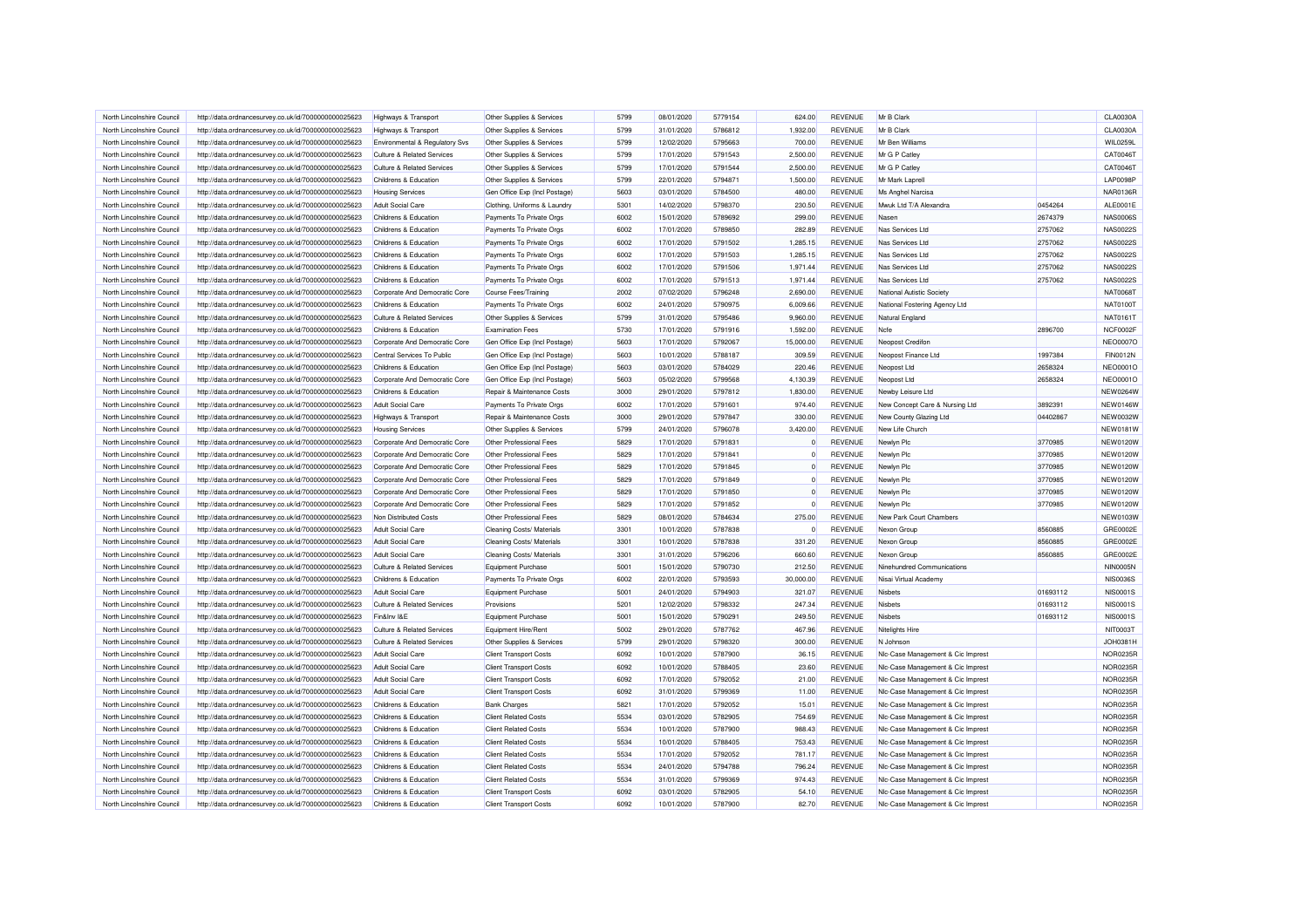| North Lincolnshire Council | http://data.ordnancesurvey.co.uk/id/7000000000025623 | Highways & Transport                  | Other Supplies & Services     | 5799 | 08/01/2020 | 5779154 | 624.00    | <b>REVENUE</b> | Mr B Clark                        |          | <b>CLA0030A</b> |
|----------------------------|------------------------------------------------------|---------------------------------------|-------------------------------|------|------------|---------|-----------|----------------|-----------------------------------|----------|-----------------|
| North Lincolnshire Council | http://data.ordnancesurvey.co.uk/id/7000000000025623 | Highways & Transport                  | Other Supplies & Services     | 5799 | 31/01/2020 | 5786812 | 1,932.00  | <b>REVENUE</b> | Mr B Clark                        |          | CLA0030A        |
| North Lincolnshire Council | http://data.ordnancesurvey.co.uk/id/7000000000025623 | Environmental & Regulatory Svs        | Other Supplies & Services     | 5799 | 12/02/2020 | 5795663 | 700.00    | <b>REVENUE</b> | Mr Ben Williams                   |          | WIL0259L        |
| North Lincolnshire Council | http://data.ordnancesurvey.co.uk/id/7000000000025623 | <b>Culture &amp; Related Services</b> | Other Supplies & Services     | 5799 | 17/01/2020 | 5791543 | 2,500.00  | <b>REVENUE</b> | Mr G P Catley                     |          | CAT0046T        |
| North Lincolnshire Council | http://data.ordnancesurvey.co.uk/id/7000000000025623 | Culture & Related Services            | Other Supplies & Services     | 5799 | 17/01/2020 | 5791544 | 2,500.00  | <b>REVENUE</b> | Mr G P Catley                     |          | CAT0046T        |
| North Lincolnshire Council | http://data.ordnancesurvey.co.uk/id/7000000000025623 | Childrens & Education                 | Other Supplies & Services     | 5799 | 22/01/2020 | 5794871 | 1,500.00  | <b>REVENUE</b> | Mr Mark Laprell                   |          | LAP0098F        |
| North Lincolnshire Council | http://data.ordnancesurvey.co.uk/id/7000000000025623 | <b>Housing Services</b>               | Gen Office Exp (Incl Postage) | 5603 | 03/01/2020 | 5784500 | 480.00    | <b>REVENUE</b> | Ms Anghel Narcisa                 |          | <b>NAR0136R</b> |
| North Lincolnshire Council | http://data.ordnancesurvey.co.uk/id/7000000000025623 | <b>Adult Social Care</b>              | Clothing, Uniforms & Laundry  | 5301 | 14/02/2020 | 5798370 | 230.50    | REVENUE        | Mwuk Ltd T/A Alexandra            | 0454264  | ALE0001E        |
| North Lincolnshire Council | http://data.ordnancesurvey.co.uk/id/7000000000025623 | Childrens & Education                 | Payments To Private Orgs      | 6002 | 15/01/2020 | 5789692 | 299.00    | <b>REVENUE</b> | Nasen                             | 2674379  | <b>NAS0006S</b> |
| North Lincolnshire Council | http://data.ordnancesurvey.co.uk/id/7000000000025623 | Childrens & Education                 | Payments To Private Orgs      | 6002 | 17/01/2020 | 5789850 | 282.89    | <b>REVENUE</b> | Nas Services Ltd                  | 2757062  | <b>NAS0022S</b> |
|                            |                                                      |                                       |                               |      |            |         |           |                |                                   |          |                 |
| North Lincolnshire Council | http://data.ordnancesurvey.co.uk/id/7000000000025623 | Childrens & Education                 | Payments To Private Orgs      | 6002 | 17/01/2020 | 5791502 | 1,285.15  | <b>REVENUE</b> | Nas Services Ltd                  | 2757062  | <b>NAS0022S</b> |
| North Lincolnshire Council | http://data.ordnancesurvey.co.uk/id/7000000000025623 | Childrens & Education                 | Payments To Private Orgs      | 6002 | 17/01/2020 | 5791503 | 1,285.15  | <b>REVENUE</b> | Nas Services Ltd                  | 2757062  | <b>NAS0022S</b> |
| North Lincolnshire Council | http://data.ordnancesurvey.co.uk/id/7000000000025623 | Childrens & Education                 | Payments To Private Orgs      | 6002 | 17/01/2020 | 5791506 | 1.971.44  | <b>REVENUE</b> | Nas Services Ltd                  | 2757062  | <b>NAS0022S</b> |
| North Lincolnshire Council | http://data.ordnancesurvey.co.uk/id/7000000000025623 | Childrens & Education                 | Payments To Private Orgs      | 6002 | 17/01/2020 | 5791513 | 1,971.44  | REVENUE        | Nas Services Ltd                  | 2757062  | <b>NAS0022S</b> |
| North Lincolnshire Council | http://data.ordnancesurvey.co.uk/id/7000000000025623 | Corporate And Democratic Core         | Course Fees/Training          | 2002 | 07/02/2020 | 5796248 | 2,690.00  | <b>REVENUE</b> | National Autistic Society         |          | <b>NAT0068T</b> |
| North Lincolnshire Council | http://data.ordnancesurvey.co.uk/id/7000000000025623 | Childrens & Education                 | Payments To Private Orgs      | 6002 | 24/01/2020 | 5790975 | 6,009.66  | <b>REVENUE</b> | National Fostering Agency Ltd     |          | <b>NAT0100T</b> |
| North Lincolnshire Council | http://data.ordnancesurvey.co.uk/id/7000000000025623 | Culture & Related Services            | Other Supplies & Services     | 5799 | 31/01/2020 | 5795486 | 9,960.00  | <b>REVENUE</b> | Natural England                   |          | NAT0161T        |
| North Lincolnshire Council | http://data.ordnancesurvey.co.uk/id/7000000000025623 | Childrens & Education                 | <b>Examination Fees</b>       | 5730 | 17/01/2020 | 5791916 | 1,592.00  | <b>REVENUE</b> | Ncfe                              | 2896700  | NCF0002F        |
| North Lincolnshire Council | http://data.ordnancesurvey.co.uk/id/7000000000025623 | Corporate And Democratic Core         | Gen Office Exp (Incl Postage) | 5603 | 17/01/2020 | 5792067 | 15,000.00 | <b>REVENUE</b> | Neopost Credifon                  |          | <b>NEO0007O</b> |
| North Lincolnshire Council | http://data.ordnancesurvey.co.uk/id/7000000000025623 | Central Services To Public            | Gen Office Exp (Incl Postage) | 5603 | 10/01/2020 | 5788187 | 309.59    | <b>REVENUE</b> | Neopost Finance Ltd               | 1997384  | <b>FIN0012N</b> |
| North Lincolnshire Council | http://data.ordnancesurvey.co.uk/id/7000000000025623 | Childrens & Education                 | Gen Office Exp (Incl Postage) | 5603 | 03/01/2020 | 5784029 | 220.46    | <b>REVENUE</b> | Neopost Ltd                       | 2658324  | <b>NEO0001C</b> |
| North Lincolnshire Council | http://data.ordnancesurvey.co.uk/id/7000000000025623 | Corporate And Democratic Core         | Gen Office Exp (Incl Postage) | 5603 | 05/02/2020 | 5799568 | 4.130.39  | <b>REVENUE</b> | Neopost Ltd                       | 2658324  | <b>NEO0001C</b> |
| North Lincolnshire Council | http://data.ordnancesurvey.co.uk/id/7000000000025623 | Childrens & Education                 | Repair & Maintenance Costs    | 3000 | 29/01/2020 | 5797812 | 1,830.00  | <b>REVENUE</b> | Newby Leisure Ltd                 |          | <b>NEW0264W</b> |
| North Lincolnshire Council | http://data.ordnancesurvey.co.uk/id/7000000000025623 | Adult Social Care                     | Payments To Private Orgs      | 6002 | 17/01/2020 | 5791601 | 974.40    | <b>REVENUE</b> | New Concept Care & Nursing Ltd    | 3892391  | <b>NEW0146W</b> |
| North Lincolnshire Council | http://data.ordnancesurvey.co.uk/id/7000000000025623 | Highways & Transport                  | Repair & Maintenance Costs    | 3000 | 29/01/2020 | 5797847 | 330.00    | <b>REVENUE</b> | New County Glazing Ltd            | 04402867 | <b>NEW0032W</b> |
| North Lincolnshire Council | http://data.ordnancesurvey.co.uk/id/7000000000025623 | <b>Housing Services</b>               | Other Supplies & Services     | 5799 | 24/01/2020 | 5796078 | 3,420.00  | <b>REVENUE</b> | New Life Church                   |          | <b>NEW0181W</b> |
| North Lincolnshire Council | http://data.ordnancesurvey.co.uk/id/7000000000025623 | Corporate And Democratic Core         | Other Professional Fees       | 5829 | 17/01/2020 | 5791831 |           | <b>REVENUE</b> | Newlyn Plc                        | 3770985  | <b>NEW0120W</b> |
| North Lincolnshire Council | http://data.ordnancesurvey.co.uk/id/7000000000025623 | Corporate And Democratic Core         | Other Professional Fees       | 5829 | 17/01/2020 | 5791841 |           | <b>REVENUE</b> | Newlyn Plc                        | 3770985  | <b>NEW0120W</b> |
| North Lincolnshire Council | http://data.ordnancesurvey.co.uk/id/7000000000025623 | Corporate And Democratic Core         | Other Professional Fees       | 5829 | 17/01/2020 | 5791845 | $\Omega$  | <b>REVENUE</b> | Newlyn Plc                        | 3770985  | <b>NEW0120W</b> |
| North Lincolnshire Council | http://data.ordnancesurvey.co.uk/id/7000000000025623 | Corporate And Democratic Core         | Other Professional Fees       | 5829 | 17/01/2020 | 5791849 |           | <b>REVENUE</b> | Newlyn Plc                        | 3770985  | <b>NEW0120W</b> |
|                            |                                                      |                                       |                               | 5829 |            |         |           |                |                                   |          | <b>NEW0120W</b> |
| North Lincolnshire Council | http://data.ordnancesurvey.co.uk/id/7000000000025623 | Corporate And Democratic Core         | Other Professional Fees       |      | 17/01/2020 | 5791850 |           | <b>REVENUE</b> | Newlyn Plc                        | 3770985  |                 |
| North Lincolnshire Council | http://data.ordnancesurvey.co.uk/id/7000000000025623 | Corporate And Democratic Core         | Other Professional Fees       | 5829 | 17/01/2020 | 5791852 | $\Omega$  | REVENUE        | Newlyn Plc                        | 3770985  | <b>NEW0120W</b> |
| North Lincolnshire Council | http://data.ordnancesurvey.co.uk/id/7000000000025623 | Non Distributed Costs                 | Other Professional Fees       | 5829 | 08/01/2020 | 5784634 | 275.00    | <b>REVENUE</b> | New Park Court Chambers           |          | <b>NEW0103W</b> |
| North Lincolnshire Council | http://data.ordnancesurvey.co.uk/id/7000000000025623 | <b>Adult Social Care</b>              | Cleaning Costs/ Materials     | 3301 | 10/01/2020 | 5787838 | $\Omega$  | <b>REVENUE</b> | Nexon Group                       | 8560885  | GRE0002E        |
| North Lincolnshire Council | http://data.ordnancesurvey.co.uk/id/7000000000025623 | <b>Adult Social Care</b>              | Cleaning Costs/ Materials     | 3301 | 10/01/2020 | 5787838 | 331.20    | <b>REVENUE</b> | Nexon Group                       | 8560885  | GRE0002E        |
| North Lincolnshire Council | http://data.ordnancesurvey.co.uk/id/7000000000025623 | <b>Adult Social Care</b>              | Cleaning Costs/ Materials     | 3301 | 31/01/2020 | 5796206 | 660.60    | <b>REVENUE</b> | Nexon Group                       | 8560885  | GRE0002E        |
| North Lincolnshire Council | http://data.ordnancesurvey.co.uk/id/7000000000025623 | Culture & Related Services            | Equipment Purchase            | 5001 | 15/01/2020 | 5790730 | 212.50    | <b>REVENUE</b> | Ninehundred Communications        |          | <b>NIN0005N</b> |
| North Lincolnshire Council | http://data.ordnancesurvey.co.uk/id/7000000000025623 | Childrens & Education                 | Payments To Private Orgs      | 6002 | 22/01/2020 | 5793593 | 30,000.00 | <b>REVENUE</b> | Nisai Virtual Academy             |          | <b>NIS0036S</b> |
| North Lincolnshire Council | http://data.ordnancesurvey.co.uk/id/7000000000025623 | <b>Adult Social Care</b>              | <b>Equipment Purchase</b>     | 5001 | 24/01/2020 | 5794903 | 321.07    | <b>REVENUE</b> | <b>Nishets</b>                    | 01693112 | <b>NIS0001S</b> |
| North Lincolnshire Counci  | http://data.ordnancesurvey.co.uk/id/7000000000025623 | Culture & Related Services            | Provisions                    | 5201 | 12/02/2020 | 5798332 | 247.34    | <b>REVENUE</b> | <b>Nishets</b>                    | 01693112 | <b>NIS0001S</b> |
| North Lincolnshire Council | http://data.ordnancesurvey.co.uk/id/7000000000025623 | Fin&Inv I&E                           | <b>Equipment Purchase</b>     | 5001 | 15/01/2020 | 5790291 | 249.50    | <b>REVENUE</b> | <b>Nisbets</b>                    | 01693112 | <b>NIS0001S</b> |
| North Lincolnshire Council | http://data.ordnancesurvey.co.uk/id/7000000000025623 | Culture & Related Services            | Equipment Hire/Rent           | 5002 | 29/01/2020 | 5787762 | 467.96    | <b>REVENUE</b> | Niteliahts Hire                   |          | NIT0003T        |
| North Lincolnshire Council | http://data.ordnancesurvey.co.uk/id/7000000000025623 | Culture & Related Services            | Other Supplies & Services     | 5799 | 29/01/2020 | 5798320 | 300.00    | <b>REVENUE</b> | N Johnson                         |          | JOH0381H        |
| North Lincolnshire Council | http://data.ordnancesurvey.co.uk/id/7000000000025623 | <b>Adult Social Care</b>              | <b>Client Transport Costs</b> | 6092 | 10/01/2020 | 5787900 | 36.15     | <b>REVENUE</b> | NIc-Case Management & Cic Imprest |          | NOR0235R        |
| North Lincolnshire Council | http://data.ordnancesurvey.co.uk/id/7000000000025623 | <b>Adult Social Care</b>              | <b>Client Transport Costs</b> | 6092 | 10/01/2020 | 5788405 | 23.60     | <b>REVENUE</b> | NIc-Case Management & Cic Imprest |          | NOR0235R        |
| North Lincolnshire Council | http://data.ordnancesurvey.co.uk/id/7000000000025623 | <b>Adult Social Care</b>              | <b>Client Transport Costs</b> | 6092 | 17/01/2020 | 5792052 | 21.00     | <b>REVENUE</b> | NIc-Case Management & Cic Imprest |          | NOR0235R        |
| North Lincolnshire Council | http://data.ordnancesurvey.co.uk/id/7000000000025623 | <b>Adult Social Care</b>              | <b>Client Transport Costs</b> | 6092 | 31/01/2020 | 5799369 | 11.00     | <b>REVENUE</b> | NIc-Case Management & Cic Imprest |          | NOR0235R        |
| North Lincolnshire Council | http://data.ordnancesurvey.co.uk/id/7000000000025623 | Childrens & Education                 | <b>Bank Charges</b>           | 5821 | 17/01/2020 | 5792052 | 15.01     | <b>REVENUE</b> | NIc-Case Management & Cic Imprest |          | NOR0235R        |
| North Lincolnshire Council | http://data.ordnancesurvey.co.uk/id/7000000000025623 | Childrens & Education                 | <b>Client Related Costs</b>   | 5534 | 03/01/2020 | 5782905 | 754.69    | <b>REVENUE</b> | NIc-Case Management & Cic Imprest |          | NOR0235R        |
| North Lincolnshire Council | http://data.ordnancesurvey.co.uk/id/7000000000025623 | Childrens & Education                 | <b>Client Related Costs</b>   | 5534 | 10/01/2020 | 5787900 | 988.43    | <b>REVENUE</b> | NIc-Case Management & Cic Imprest |          | NOR0235R        |
| North Lincolnshire Council | http://data.ordnancesurvey.co.uk/id/7000000000025623 | Childrens & Education                 | <b>Client Related Costs</b>   | 5534 | 10/01/2020 | 5788405 | 753.43    | <b>REVENUE</b> | NIc-Case Management & Cic Imprest |          | <b>NOR0235R</b> |
| North Lincolnshire Council |                                                      | Childrens & Education                 | <b>Client Related Costs</b>   | 5534 | 17/01/2020 | 5792052 | 781.17    | <b>REVENUE</b> |                                   |          | NOR0235R        |
|                            | http://data.ordnancesurvey.co.uk/id/7000000000025623 |                                       |                               |      |            |         |           |                | NIc-Case Management & Cic Imprest |          |                 |
| North Lincolnshire Council | http://data.ordnancesurvey.co.uk/id/7000000000025623 | Childrens & Education                 | <b>Client Related Costs</b>   | 5534 | 24/01/2020 | 5794788 | 796.24    | <b>REVENUE</b> | NIc-Case Management & Cic Imprest |          | NOR0235R        |
| North Lincolnshire Council | http://data.ordnancesurvey.co.uk/id/7000000000025623 | Childrens & Education                 | <b>Client Related Costs</b>   | 5534 | 31/01/2020 | 5799369 | 974.43    | <b>REVENUE</b> | Nic-Case Management & Cic Imprest |          | NOR0235R        |
| North Lincolnshire Council | http://data.ordnancesurvey.co.uk/id/7000000000025623 | Childrens & Education                 | <b>Client Transport Costs</b> | 6092 | 03/01/2020 | 5782905 | 54.10     | <b>REVENUE</b> | Nic-Case Management & Cic Imprest |          | <b>NOR0235R</b> |
| North Lincolnshire Council | http://data.ordnancesurvey.co.uk/id/7000000000025623 | Childrens & Education                 | <b>Client Transport Costs</b> | 6092 | 10/01/2020 | 5787900 | 82.70     | <b>REVENUE</b> | Nic-Case Management & Cic Imprest |          | <b>NOR0235R</b> |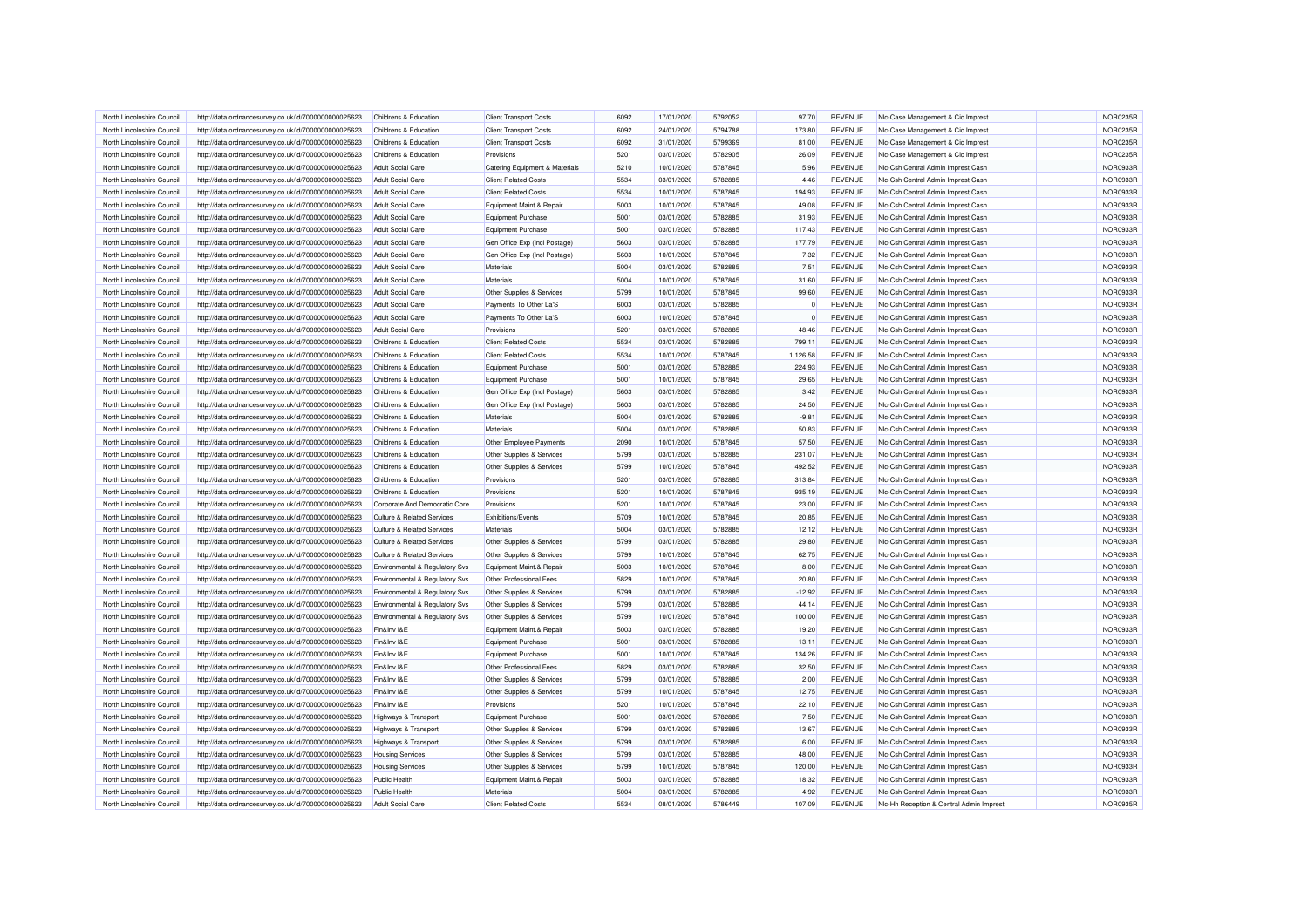| North Lincolnshire Council | http://data.ordnancesurvey.co.uk/id/7000000000025623                                                         | Childrens & Education                 | <b>Client Transport Costs</b>                | 6092 | 17/01/2020 | 5792052 | 97.70    | REVENUE        | NIc-Case Management & Cic Imprest                                        | NOR0235R        |
|----------------------------|--------------------------------------------------------------------------------------------------------------|---------------------------------------|----------------------------------------------|------|------------|---------|----------|----------------|--------------------------------------------------------------------------|-----------------|
| North Lincolnshire Council | http://data.ordnancesurvey.co.uk/id/7000000000025623                                                         | Childrens & Education                 | <b>Client Transport Costs</b>                | 6092 | 24/01/2020 | 5794788 | 173.80   | <b>REVENUE</b> | NIc-Case Management & Cic Imprest                                        | NOR0235R        |
| North Lincolnshire Council | http://data.ordnancesurvey.co.uk/id/7000000000025623                                                         | Childrens & Education                 | <b>Client Transport Costs</b>                | 6092 | 31/01/2020 | 5799369 | 81.00    | <b>REVENUE</b> | Nic-Case Management & Cic Imprest                                        | NOR0235R        |
| North Lincolnshire Council | http://data.ordnancesurvey.co.uk/id/7000000000025623                                                         | Childrens & Education                 | Provisions                                   | 5201 | 03/01/2020 | 5782905 | 26.09    | <b>REVENUE</b> | NIc-Case Management & Cic Imprest                                        | NOR0235R        |
| North Lincolnshire Council | http://data.ordnancesurvey.co.uk/id/7000000000025623                                                         | <b>Adult Social Care</b>              | Catering Equipment & Materials               | 5210 | 10/01/2020 | 5787845 | 5.96     | <b>REVENUE</b> | Nic-Csh Central Admin Imprest Cash                                       | NOR0933R        |
| North Lincolnshire Council | http://data.ordnancesurvey.co.uk/id/7000000000025623                                                         | <b>Adult Social Care</b>              | <b>Client Related Costs</b>                  | 5534 | 03/01/2020 | 5782885 | 4.46     | <b>REVENUE</b> | Nic-Csh Central Admin Imprest Cash                                       | NOR0933R        |
| North Lincolnshire Council | http://data.ordnancesurvey.co.uk/id/7000000000025623                                                         | <b>Adult Social Care</b>              | <b>Client Related Costs</b>                  | 5534 | 10/01/2020 | 5787845 | 194.93   | <b>REVENUE</b> | Nic-Csh Central Admin Imprest Cash                                       | NOR0933R        |
| North Lincolnshire Council | http://data.ordnancesurvey.co.uk/id/7000000000025623                                                         | <b>Adult Social Care</b>              | Equipment Maint.& Repair                     | 5003 | 10/01/2020 | 5787845 | 49.08    | REVENUE        | Nic-Csh Central Admin Imprest Cash                                       | NOR0933R        |
| North Lincolnshire Council | http://data.ordnancesurvey.co.uk/id/7000000000025623                                                         | <b>Adult Social Care</b>              | Equipment Purchase                           | 5001 | 03/01/2020 | 5782885 | 31.93    | <b>REVENUE</b> | Nic-Csh Central Admin Imprest Cash                                       | NOR0933F        |
| North Lincolnshire Council | http://data.ordnancesurvey.co.uk/id/7000000000025623                                                         | <b>Adult Social Care</b>              | <b>Equipment Purchase</b>                    | 5001 | 03/01/2020 | 5782885 | 117.43   | REVENUE        | Nic-Csh Central Admin Imprest Cash                                       | NOR0933R        |
| North Lincolnshire Council | http://data.ordnancesurvey.co.uk/id/7000000000025623                                                         | <b>Adult Social Care</b>              | Gen Office Exp (Incl Postage)                | 5603 | 03/01/2020 | 5782885 | 177.79   | <b>REVENUE</b> | Nic-Csh Central Admin Imprest Cash                                       | NOR0933R        |
| North Lincolnshire Council | http://data.ordnancesurvey.co.uk/id/7000000000025623                                                         | <b>Adult Social Care</b>              | Gen Office Exp (Incl Postage)                | 5603 | 10/01/2020 | 5787845 | 7.32     | <b>REVENUE</b> | Nic-Csh Central Admin Imprest Cash                                       | <b>NOR0933F</b> |
| North Lincolnshire Council | http://data.ordnancesurvey.co.uk/id/7000000000025623                                                         | <b>Adult Social Care</b>              | Materials                                    | 5004 | 03/01/2020 | 5782885 | 7.51     | <b>REVENUE</b> | Nic-Csh Central Admin Imprest Cash                                       | NOR0933R        |
| North Lincolnshire Council | http://data.ordnancesurvey.co.uk/id/7000000000025623                                                         | Adult Social Care                     | Materials                                    | 5004 | 10/01/2020 | 5787845 | 31.60    | <b>REVENUE</b> | Nic-Csh Central Admin Imprest Cash                                       | NOR0933R        |
| North Lincolnshire Council | http://data.ordnancesurvey.co.uk/id/7000000000025623                                                         | <b>Adult Social Care</b>              | Other Supplies & Services                    | 5799 | 10/01/2020 | 5787845 | 99.60    | <b>REVENUE</b> | Nic-Csh Central Admin Imprest Cash                                       | NOR0933R        |
| North Lincolnshire Council | http://data.ordnancesurvey.co.uk/id/7000000000025623                                                         | Adult Social Care                     | Payments To Other La'S                       | 6003 | 03/01/2020 | 5782885 |          | <b>REVENUE</b> | Nic-Csh Central Admin Imprest Cash                                       | NOR0933R        |
| North Lincolnshire Council |                                                                                                              | <b>Adult Social Care</b>              | Payments To Other La'S                       | 6003 | 10/01/2020 | 5787845 | $\Omega$ | <b>REVENUE</b> | Nic-Csh Central Admin Imprest Cash                                       | NOR0933R        |
| North Lincolnshire Council | http://data.ordnancesurvey.co.uk/id/7000000000025623<br>http://data.ordnancesurvey.co.uk/id/7000000000025623 | Adult Social Care                     | Provisions                                   | 5201 | 03/01/2020 | 5782885 | 48.46    | <b>REVENUE</b> | Nic-Csh Central Admin Imprest Cash                                       | NOR0933R        |
| North Lincolnshire Council |                                                                                                              | Childrens & Education                 | <b>Client Related Costs</b>                  | 5534 | 03/01/2020 | 5782885 | 799.11   | REVENUE        | Nic-Csh Central Admin Imprest Cash                                       | NOR0933R        |
|                            | http://data.ordnancesurvey.co.uk/id/7000000000025623                                                         |                                       |                                              |      |            |         |          |                |                                                                          |                 |
| North Lincolnshire Council | http://data.ordnancesurvey.co.uk/id/7000000000025623                                                         | Childrens & Education                 | <b>Client Related Costs</b>                  | 5534 | 10/01/2020 | 5787845 | 1,126.58 | REVENUE        | Nic-Csh Central Admin Imprest Cash                                       | NOR0933R        |
| North Lincolnshire Council | http://data.ordnancesurvey.co.uk/id/7000000000025623                                                         | Childrens & Education                 | Equipment Purchase                           | 5001 | 03/01/2020 | 5782885 | 224.93   | <b>REVENUE</b> | Nic-Csh Central Admin Imprest Cash                                       | NOR0933R        |
| North Lincolnshire Council | http://data.ordnancesurvey.co.uk/id/7000000000025623                                                         | Childrens & Education                 | Equipment Purchase                           | 5001 | 10/01/2020 | 5787845 | 29.65    | <b>REVENUE</b> | NIc-Csh Central Admin Imprest Cash                                       | NOR0933R        |
| North Lincolnshire Council | http://data.ordnancesurvey.co.uk/id/7000000000025623                                                         | Childrens & Education                 | Gen Office Exp (Incl Postage)                | 5603 | 03/01/2020 | 5782885 | 3.42     | REVENUE        | Nic-Csh Central Admin Imprest Cash                                       | NOR0933R        |
| North Lincolnshire Council | http://data.ordnancesurvey.co.uk/id/7000000000025623                                                         | Childrens & Education                 | Gen Office Exp (Incl Postage)                | 5603 | 03/01/2020 | 5782885 | 24.50    | <b>REVENUE</b> | Nic-Csh Central Admin Imprest Cash                                       | NOR0933R        |
| North Lincolnshire Council | http://data.ordnancesurvey.co.uk/id/7000000000025623                                                         | Childrens & Education                 | Materials                                    | 5004 | 03/01/2020 | 5782885 | $-9.81$  | REVENUE        | Nic-Csh Central Admin Imprest Cash                                       | NOR0933R        |
| North Lincolnshire Council | http://data.ordnancesurvey.co.uk/id/7000000000025623                                                         | Childrens & Education                 | Materials                                    | 5004 | 03/01/2020 | 5782885 | 50.83    | <b>REVENUE</b> | Nic-Csh Central Admin Imprest Cash                                       | NOR0933R        |
| North Lincolnshire Council | http://data.ordnancesurvey.co.uk/id/7000000000025623                                                         | Childrens & Education                 | Other Employee Payments                      | 2090 | 10/01/2020 | 5787845 | 57.50    | REVENUE        | Nic-Csh Central Admin Imprest Cash                                       | NOR0933R        |
| North Lincolnshire Council | http://data.ordnancesurvey.co.uk/id/7000000000025623                                                         | Childrens & Education                 | Other Supplies & Services                    | 5799 | 03/01/2020 | 5782885 | 231.07   | <b>REVENUE</b> | Nic-Csh Central Admin Imprest Cash                                       | NOR0933R        |
| North Lincolnshire Council | http://data.ordnancesurvey.co.uk/id/7000000000025623                                                         | Childrens & Education                 | Other Supplies & Services                    | 5799 | 10/01/2020 | 5787845 | 492.52   | <b>REVENUE</b> | Nic-Csh Central Admin Imprest Cash                                       | NOR0933R        |
| North Lincolnshire Council | http://data.ordnancesurvey.co.uk/id/7000000000025623                                                         | Childrens & Education                 | Provisions                                   | 5201 | 03/01/2020 | 5782885 | 313.84   | REVENUE        | Nic-Csh Central Admin Imprest Cash                                       | NOR0933R        |
| North Lincolnshire Council | http://data.ordnancesurvey.co.uk/id/7000000000025623                                                         | Childrens & Education                 | Provisions                                   | 5201 | 10/01/2020 | 5787845 | 935.19   | <b>REVENUE</b> | Nic-Csh Central Admin Imprest Cash                                       | NOR0933R        |
| North Lincolnshire Council | http://data.ordnancesurvey.co.uk/id/7000000000025623                                                         | Corporate And Democratic Core         | Provisions                                   | 5201 | 10/01/2020 | 5787845 | 23.00    | <b>REVENUE</b> | Nic-Csh Central Admin Imprest Cash                                       | NOR0933R        |
| North Lincolnshire Council | http://data.ordnancesurvey.co.uk/id/7000000000025623                                                         | Culture & Related Services            | Exhibitions/Events                           | 5709 | 10/01/2020 | 5787845 | 20.85    | <b>REVENUE</b> | Nic-Csh Central Admin Imprest Cash                                       | NOR0933R        |
| North Lincolnshire Council | http://data.ordnancesurvey.co.uk/id/7000000000025623                                                         | Culture & Related Services            | Materials                                    | 5004 | 03/01/2020 | 5782885 | 12.12    | <b>REVENUE</b> | Nic-Csh Central Admin Imprest Cash                                       | NOR0933R        |
| North Lincolnshire Council | http://data.ordnancesurvey.co.uk/id/7000000000025623                                                         | <b>Culture &amp; Related Services</b> | Other Supplies & Services                    | 5799 | 03/01/2020 | 5782885 | 29.80    | <b>REVENUE</b> | Nic-Csh Central Admin Imprest Cash                                       | NOR0933R        |
| North Lincolnshire Council | http://data.ordnancesurvey.co.uk/id/7000000000025623                                                         | Culture & Related Services            | Other Supplies & Services                    | 5799 | 10/01/2020 | 5787845 | 62.75    | <b>REVENUE</b> | Nic-Csh Central Admin Imprest Cash                                       | NOR0933R        |
| North Lincolnshire Council | http://data.ordnancesurvey.co.uk/id/7000000000025623                                                         | Environmental & Regulatory Svs        | Equipment Maint.& Repair                     | 5003 | 10/01/2020 | 5787845 | 8.00     | <b>REVENUE</b> | Nic-Csh Central Admin Imprest Cash                                       | NOR0933R        |
| North Lincolnshire Council | http://data.ordnancesurvey.co.uk/id/7000000000025623                                                         | Environmental & Regulatory Svs        | Other Professional Fees                      | 5829 | 10/01/2020 | 5787845 | 20.80    | <b>REVENUE</b> | Nic-Csh Central Admin Imprest Cash                                       | NOR0933R        |
| North Lincolnshire Council | http://data.ordnancesurvey.co.uk/id/7000000000025623                                                         | Environmental & Regulatory Svs        | Other Supplies & Services                    | 5799 | 03/01/2020 | 5782885 | $-12.92$ | <b>REVENUE</b> | Nic-Csh Central Admin Imprest Cash                                       | NOR0933R        |
| North Lincolnshire Council | http://data.ordnancesurvey.co.uk/id/7000000000025623                                                         | Environmental & Regulatory Svs        | Other Supplies & Services                    | 5799 | 03/01/2020 | 5782885 | 44.14    | <b>REVENUE</b> | Nic-Csh Central Admin Imprest Cash                                       | NOR0933R        |
| North Lincolnshire Council | http://data.ordnancesurvey.co.uk/id/7000000000025623                                                         | Environmental & Regulatory Svs        | Other Supplies & Services                    | 5799 | 10/01/2020 | 5787845 | 100.00   | <b>REVENUE</b> | NIc-Csh Central Admin Imprest Cash                                       | NOR0933R        |
| North Lincolnshire Council | http://data.ordnancesurvey.co.uk/id/7000000000025623                                                         | Fin&Inv I&E                           | Equipment Maint.& Repair                     | 5003 | 03/01/2020 | 5782885 | 19.20    | <b>REVENUE</b> | Nic-Csh Central Admin Imprest Cash                                       | NOR0933R        |
| North Lincolnshire Counci  | http://data.ordnancesurvey.co.uk/id/7000000000025623                                                         | Fin&Inv I&E                           | <b>Equipment Purchase</b>                    | 5001 | 03/01/2020 | 5782885 | 13.11    | REVENUE        | Nic-Csh Central Admin Imprest Cash                                       | NOR0933R        |
| North Lincolnshire Council | http://data.ordnancesurvey.co.uk/id/7000000000025623                                                         | Fin&Inv I&E                           | <b>Equipment Purchase</b>                    | 5001 | 10/01/2020 | 5787845 | 134.26   | <b>REVENUE</b> | Nic-Csh Central Admin Imprest Cash                                       | NOR0933R        |
| North Lincolnshire Council | http://data.ordnancesurvey.co.uk/id/7000000000025623                                                         | Fin&Inv I&E                           | Other Professional Fees                      | 5829 | 03/01/2020 | 5782885 | 32.50    | <b>REVENUE</b> | Nic-Csh Central Admin Imprest Cash                                       | NOR0933R        |
| North Lincolnshire Council | http://data.ordnancesurvey.co.uk/id/7000000000025623                                                         | Fin&Inv I&E                           | Other Supplies & Services                    | 5799 | 03/01/2020 | 5782885 | 2.00     | REVENUE        | Nic-Csh Central Admin Imprest Cash                                       | NOR0933R        |
| North Lincolnshire Council | http://data.ordnancesurvey.co.uk/id/7000000000025623                                                         | Fin&Inv I&E                           | Other Supplies & Services                    | 5799 | 10/01/2020 | 5787845 | 12.75    | <b>REVENUE</b> | Nic-Csh Central Admin Imprest Cash                                       | NOR0933R        |
| North Lincolnshire Council | http://data.ordnancesurvey.co.uk/id/7000000000025623                                                         | Fin&Inv I&E                           | Provisions                                   | 5201 | 10/01/2020 | 5787845 | 22.10    | <b>REVENUE</b> | Nic-Csh Central Admin Imprest Cash                                       | NOR0933R        |
| North Lincolnshire Council | http://data.ordnancesurvey.co.uk/id/7000000000025623                                                         | Highways & Transport                  | Equipment Purchase                           | 5001 | 03/01/2020 | 5782885 | 7.50     | <b>REVENUE</b> | Nic-Csh Central Admin Imprest Cash                                       | NOR0933R        |
| North Lincolnshire Council | http://data.ordnancesurvey.co.uk/id/7000000000025623                                                         | Highways & Transport                  | Other Supplies & Services                    | 5799 | 03/01/2020 | 5782885 | 13.67    | REVENUE        | Nic-Csh Central Admin Imprest Cash                                       | NOR0933R        |
| North Lincolnshire Council | http://data.ordnancesurvey.co.uk/id/7000000000025623                                                         | Highways & Transport                  | Other Supplies & Services                    | 5799 | 03/01/2020 | 5782885 | 6.00     | <b>REVENUE</b> | Nic-Csh Central Admin Imprest Cash                                       | NOR0933R        |
| North Lincolnshire Council | http://data.ordnancesurvey.co.uk/id/7000000000025623                                                         | <b>Housing Services</b>               | Other Supplies & Services                    | 5799 | 03/01/2020 | 5782885 | 48.00    | <b>REVENUE</b> | Nic-Csh Central Admin Imprest Cash                                       | NOR0933R        |
| North Lincolnshire Council | http://data.ordnancesurvey.co.uk/id/7000000000025623                                                         | <b>Housing Services</b>               | Other Supplies & Services                    | 5799 | 10/01/2020 | 5787845 | 120.00   | <b>REVENUE</b> | Nic-Csh Central Admin Imprest Cash                                       | NOR0933R        |
| North Lincolnshire Council |                                                                                                              | Public Health                         |                                              | 5003 | 03/01/2020 | 5782885 | 18.32    | <b>REVENUE</b> |                                                                          | NOR0933R        |
| North Lincolnshire Council | http://data.ordnancesurvey.co.uk/id/7000000000025623                                                         | <b>Public Health</b>                  | Equipment Maint.& Repair<br><b>Materials</b> | 5004 | 03/01/2020 | 5782885 | 4.92     | <b>REVENUE</b> | Nic-Csh Central Admin Imprest Cash<br>Nic-Csh Central Admin Imprest Cash | NOR0933R        |
|                            | http://data.ordnancesurvey.co.uk/id/7000000000025623                                                         |                                       |                                              | 5534 | 08/01/2020 | 5786449 | 107.09   | <b>REVENUE</b> |                                                                          | NOR0935R        |
| North Lincolnshire Council | http://data.ordnancesurvey.co.uk/id/7000000000025623                                                         | Adult Social Care                     | <b>Client Related Costs</b>                  |      |            |         |          |                | Nic-Hh Reception & Central Admin Imprest                                 |                 |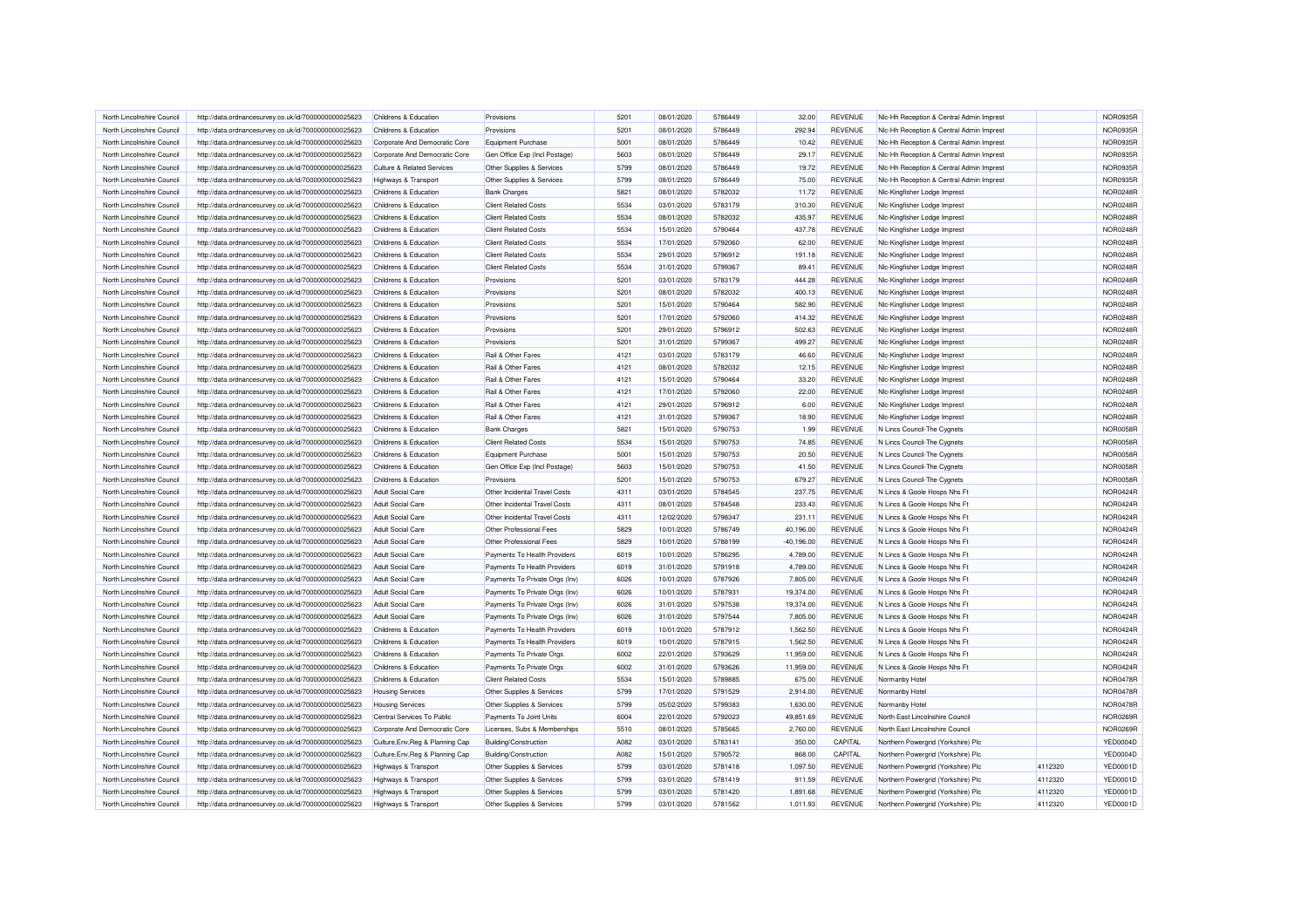| North Lincolnshire Council                               | http://data.ordnancesurvey.co.uk/id/7000000000025623                                                         | Childrens & Education                                       | Provisions                                              | 5201 | 08/01/2020               | 5786449            | 32.00              | <b>REVENUE</b>                   | NIc-Hh Reception & Central Admin Imprest |                    | NOR0935R        |
|----------------------------------------------------------|--------------------------------------------------------------------------------------------------------------|-------------------------------------------------------------|---------------------------------------------------------|------|--------------------------|--------------------|--------------------|----------------------------------|------------------------------------------|--------------------|-----------------|
| North Lincolnshire Council                               | http://data.ordnancesurvey.co.uk/id/7000000000025623                                                         | Childrens & Education                                       | Provisions                                              | 5201 | 08/01/2020               | 5786449            | 292.94             | <b>REVENUE</b>                   | NIc-Hh Reception & Central Admin Imprest |                    | <b>NOR0935R</b> |
| North Lincolnshire Council                               | http://data.ordnancesurvey.co.uk/id/7000000000025623                                                         | Corporate And Democratic Core                               | <b>Equipment Purchase</b>                               | 5001 | 08/01/2020               | 5786449            | 10.42              | <b>REVENUE</b>                   | NIc-Hh Reception & Central Admin Imprest |                    | <b>NOR0935R</b> |
| North Lincolnshire Council                               | http://data.ordnancesurvey.co.uk/id/7000000000025623                                                         | Corporate And Democratic Core                               | Gen Office Exp (Incl Postage)                           | 5603 | 08/01/2020               | 5786449            | 29.17              | <b>REVENUE</b>                   | NIc-Hh Reception & Central Admin Imprest |                    | <b>NOR0935R</b> |
| North Lincolnshire Council                               | http://data.ordnancesurvey.co.uk/id/7000000000025623                                                         | Culture & Related Services                                  | Other Supplies & Services                               | 5799 | 08/01/2020               | 5786449            | 19.72              | <b>REVENUE</b>                   | NIc-Hh Reception & Central Admin Imprest |                    | <b>NOR0935R</b> |
| North Lincolnshire Council                               | http://data.ordnancesurvey.co.uk/id/7000000000025623                                                         | Highways & Transport                                        | Other Supplies & Services                               | 5799 | 08/01/2020               | 5786449            | 75.00              | <b>REVENUE</b>                   | NIc-Hh Reception & Central Admin Imprest |                    | NOR0935R        |
| North Lincolnshire Council                               | http://data.ordnancesurvey.co.uk/id/7000000000025623                                                         | Childrens & Education                                       | <b>Bank Charges</b>                                     | 5821 | 08/01/2020               | 5782032            | 11.72              | <b>REVENUE</b>                   | Nic-Kingfisher Lodge Imprest             |                    | <b>NOR0248R</b> |
| North Lincolnshire Council                               | http://data.ordnancesurvey.co.uk/id/7000000000025623                                                         | Childrens & Education                                       | <b>Client Related Costs</b>                             | 5534 | 03/01/2020               | 5783179            | 310.30             | <b>REVENUE</b>                   | Nic-Kingfisher Lodge Imprest             |                    | NOR0248R        |
| North Lincolnshire Council                               | http://data.ordnancesurvey.co.uk/id/7000000000025623                                                         | Childrens & Education                                       | <b>Client Related Costs</b>                             | 5534 | 08/01/2020               | 5782032            | 435.97             | <b>REVENUE</b>                   | Nic-Kingfisher Lodge Imprest             |                    | NOR0248R        |
| North Lincolnshire Council                               | http://data.ordnancesurvey.co.uk/id/7000000000025623                                                         | Childrens & Education                                       | <b>Client Related Costs</b>                             | 5534 | 15/01/2020               | 5790464            | 437.78             | <b>REVENUE</b>                   | Nic-Kingfisher Lodge Imprest             |                    | <b>NOR0248R</b> |
| North Lincolnshire Council                               | http://data.ordnancesurvey.co.uk/id/7000000000025623                                                         | Childrens & Education                                       | <b>Client Related Costs</b>                             | 5534 | 17/01/2020               | 5792060            | 62.00              | <b>REVENUE</b>                   | Nic-Kingfisher Lodge Imprest             |                    | <b>NOR0248R</b> |
| North Lincolnshire Council                               | http://data.ordnancesurvey.co.uk/id/7000000000025623                                                         | Childrens & Education                                       | <b>Client Related Costs</b>                             | 5534 | 29/01/2020               | 5796912            | 191.18             | <b>REVENUE</b>                   | Nic-Kingfisher Lodge Imprest             |                    | <b>NOR0248R</b> |
| North Lincolnshire Council                               | http://data.ordnancesurvey.co.uk/id/7000000000025623                                                         | Childrens & Education                                       | <b>Client Related Costs</b>                             | 5534 | 31/01/2020               | 5799367            | 89.41              | <b>REVENUE</b>                   | Nic-Kingfisher Lodge Imprest             |                    | <b>NOR0248R</b> |
| North Lincolnshire Council                               | http://data.ordnancesurvey.co.uk/id/7000000000025623                                                         | Childrens & Education                                       | Provisions                                              | 5201 | 03/01/2020               | 5783179            | 444.28             | <b>REVENUE</b>                   | NIc-Kingfisher Lodge Imprest             |                    | NOR0248R        |
| North Lincolnshire Council                               | http://data.ordnancesurvey.co.uk/id/7000000000025623                                                         | Childrens & Education                                       | Provisions                                              | 5201 | 08/01/2020               | 5782032            | 400.13             | <b>REVENUE</b>                   | Nic-Kingfisher Lodge Imprest             |                    | NOR0248R        |
| North Lincolnshire Council                               | http://data.ordnancesurvey.co.uk/id/7000000000025623                                                         | Childrens & Education                                       | Provisions                                              | 5201 | 15/01/2020               | 5790464            | 582.90             | <b>REVENUE</b>                   | Nic-Kingfisher Lodge Imprest             |                    | <b>NOR0248R</b> |
| North Lincolnshire Council                               | http://data.ordnancesurvey.co.uk/id/7000000000025623                                                         | Childrens & Education                                       | Provisions                                              | 5201 | 17/01/2020               | 5792060            | 414.32             | <b>REVENUE</b>                   | Nic-Kingfisher Lodge Imprest             |                    | NOR0248F        |
| North Lincolnshire Council                               | http://data.ordnancesurvey.co.uk/id/7000000000025623                                                         | Childrens & Education                                       | Provisions                                              | 5201 | 29/01/2020               | 5796912            | 502.63             | <b>REVENUE</b>                   | Nic-Kingfisher Lodge Imprest             |                    | NOR0248R        |
| North Lincolnshire Council                               | http://data.ordnancesurvey.co.uk/id/7000000000025623                                                         | Childrens & Education                                       | Provisions                                              | 5201 | 31/01/2020               | 5799367            | 499.27             | <b>REVENUE</b>                   | Nic-Kingfisher Lodge Imprest             |                    | <b>NOR0248R</b> |
| North Lincolnshire Council                               | http://data.ordnancesurvey.co.uk/id/7000000000025623                                                         | Childrens & Education                                       | Rail & Other Fares                                      | 4121 | 03/01/2020               | 5783179            | 46.60              | <b>REVENUE</b>                   | Nic-Kingfisher Lodge Imprest             |                    | NOR0248R        |
| North Lincolnshire Council                               | http://data.ordnancesurvey.co.uk/id/7000000000025623                                                         | Childrens & Education                                       | Rail & Other Fares                                      | 4121 | 08/01/2020               | 5782032            | 12.15              | <b>REVENUE</b>                   | Nic-Kingfisher Lodge Imprest             |                    | NOR0248R        |
| North Lincolnshire Council                               | http://data.ordnancesurvey.co.uk/id/7000000000025623                                                         | Childrens & Education                                       | Rail & Other Fares                                      | 4121 | 15/01/2020               | 5790464            | 33.20              | <b>REVENUE</b>                   | Nic-Kingfisher Lodge Imprest             |                    | <b>NOR0248R</b> |
| North Lincolnshire Council                               | http://data.ordnancesurvey.co.uk/id/7000000000025623                                                         | Childrens & Education                                       | Rail & Other Fares                                      | 4121 | 17/01/2020               | 5792060            | 22.00              | <b>REVENUE</b>                   | Nic-Kingfisher Lodge Imprest             |                    | NOR0248R        |
| North Lincolnshire Council                               | http://data.ordnancesurvey.co.uk/id/7000000000025623                                                         | Childrens & Education                                       | Rail & Other Fares                                      | 4121 | 29/01/2020               | 5796912            | 6.00               | <b>REVENUE</b>                   | Nic-Kingfisher Lodge Imprest             |                    | NOR0248R        |
| North Lincolnshire Council                               | http://data.ordnancesurvey.co.uk/id/7000000000025623                                                         | Childrens & Education                                       | Rail & Other Fares                                      | 4121 | 31/01/2020               | 5799367            | 18.90              | <b>REVENUE</b>                   | Nic-Kingfisher Lodge Imprest             |                    | <b>NOR0248R</b> |
| North Lincolnshire Council                               | http://data.ordnancesurvey.co.uk/id/7000000000025623                                                         | Childrens & Education                                       | <b>Bank Charges</b>                                     | 5821 | 15/01/2020               | 5790753            | 1.99               | <b>REVENUE</b>                   | N Lincs Council-The Cygnets              |                    | NOR0058F        |
| North Lincolnshire Council                               | http://data.ordnancesurvey.co.uk/id/7000000000025623                                                         | Childrens & Education                                       | <b>Client Related Costs</b>                             | 5534 | 15/01/2020               | 5790753            | 74.85              | <b>REVENUE</b>                   | N Lincs Council-The Cygnets              |                    | NOR0058F        |
| North Lincolnshire Council                               | http://data.ordnancesurvey.co.uk/id/7000000000025623                                                         | Childrens & Education                                       | <b>Equipment Purchase</b>                               | 5001 | 15/01/2020               | 5790753            | 20.50              | <b>REVENUE</b>                   | N Lincs Council-The Cygnets              |                    | <b>NOR0058R</b> |
| North Lincolnshire Council                               | http://data.ordnancesurvey.co.uk/id/7000000000025623                                                         | Childrens & Education                                       | Gen Office Exp (Incl Postage)                           | 5603 | 15/01/2020               | 5790753            | 41.50              | <b>REVENUE</b>                   | N Lincs Council-The Cygnets              |                    | NOR0058F        |
| North Lincolnshire Council                               | http://data.ordnancesurvey.co.uk/id/7000000000025623                                                         | Childrens & Education                                       | Provisions                                              | 5201 | 15/01/2020               | 5790753            | 679.27             | <b>REVENUE</b>                   | N Lincs Council-The Cygnets              |                    | NOR0058R        |
| North Lincolnshire Council                               | http://data.ordnancesurvey.co.uk/id/7000000000025623                                                         | Adult Social Care                                           | Other Incidental Travel Costs                           | 4311 | 03/01/2020               | 5784545            | 237.75             | <b>REVENUE</b>                   | N Lincs & Goole Hosps Nhs Ft             |                    | NOR0424R        |
| North Lincolnshire Council                               | http://data.ordnancesurvey.co.uk/id/7000000000025623                                                         | <b>Adult Social Care</b>                                    | Other Incidental Travel Costs                           | 4311 | 08/01/2020               | 5784548            | 233.43             | <b>REVENUE</b>                   | N Lincs & Goole Hosps Nhs Ft             |                    | NOR0424R        |
| North Lincolnshire Council                               | http://data.ordnancesurvey.co.uk/id/7000000000025623                                                         | <b>Adult Social Care</b>                                    | Other Incidental Travel Costs                           | 4311 | 12/02/2020               | 5798347            | 231.11             | <b>REVENUE</b>                   | N Lincs & Goole Hosps Nhs Ft             |                    | NOR0424R        |
| North Lincolnshire Council                               | http://data.ordnancesurvey.co.uk/id/7000000000025623                                                         | <b>Adult Social Care</b>                                    | Other Professional Fees                                 | 5829 | 10/01/2020               | 5786749            | 40,196.00          | <b>REVENUE</b>                   | N Lincs & Goole Hosps Nhs Ft             |                    | NOR0424R        |
| North Lincolnshire Council                               | http://data.ordnancesurvey.co.uk/id/7000000000025623                                                         | <b>Adult Social Care</b>                                    | Other Professional Fees                                 | 5829 | 10/01/2020               | 5788199            | $-40,196.00$       | <b>REVENUE</b>                   | N Lincs & Goole Hosps Nhs Ft             |                    | NOR0424R        |
| North Lincolnshire Council                               | http://data.ordnancesurvey.co.uk/id/7000000000025623                                                         | <b>Adult Social Care</b>                                    | Payments To Health Providers                            | 6019 | 10/01/2020               | 5786295            | 4,789.00           | <b>REVENUE</b>                   | N Lincs & Goole Hosps Nhs Ft             |                    | NOR0424R        |
| North Lincolnshire Council                               | http://data.ordnancesurvey.co.uk/id/7000000000025623                                                         | <b>Adult Social Care</b>                                    | Payments To Health Providers                            | 6019 | 31/01/2020               | 5791918            | 4,789.00           | <b>REVENUE</b>                   | N Lincs & Goole Hosps Nhs Ft             |                    | <b>NOR0424R</b> |
| North Lincolnshire Council                               | http://data.ordnancesurvey.co.uk/id/7000000000025623                                                         | <b>Adult Social Care</b>                                    | Payments To Private Orgs (Inv)                          | 6026 | 10/01/2020               | 5787926            | 7,805.00           | <b>REVENUE</b>                   | N Lincs & Goole Hosps Nhs Ft             |                    | NOR0424R        |
| North Lincolnshire Council                               | http://data.ordnancesurvey.co.uk/id/7000000000025623                                                         | <b>Adult Social Care</b>                                    | Payments To Private Orgs (Inv)                          | 6026 | 10/01/2020               | 5787931            | 19,374.00          | REVENUE                          | N Lincs & Goole Hosps Nhs Ft             |                    | <b>NOR0424R</b> |
| North Lincolnshire Council                               | http://data.ordnancesurvey.co.uk/id/7000000000025623                                                         | <b>Adult Social Care</b>                                    | Payments To Private Orgs (Inv)                          | 6026 | 31/01/2020               | 5797538            | 19,374.00          | <b>REVENUE</b>                   | N Lincs & Goole Hosps Nhs Ft             |                    | <b>NOR0424R</b> |
| North Lincolnshire Council                               | http://data.ordnancesurvey.co.uk/id/7000000000025623                                                         | <b>Adult Social Care</b>                                    | Payments To Private Orgs (Inv)                          | 6026 | 31/01/2020               | 5797544            | 7,805.00           | REVENUE                          | N Lincs & Goole Hosps Nhs Ft             |                    | NOR0424R        |
| North Lincolnshire Council                               | http://data.ordnancesurvey.co.uk/id/7000000000025623                                                         | Childrens & Education                                       | Payments To Health Providers                            | 6019 | 10/01/2020               | 5787912            | 1.562.50           | <b>REVENUE</b>                   | N Lincs & Goole Hosps Nhs Ft             |                    | <b>NOR0424R</b> |
| North Lincolnshire Council                               | http://data.ordnancesurvey.co.uk/id/7000000000025623                                                         | Childrens & Education                                       | Payments To Health Providers                            | 6019 | 10/01/2020               | 5787915            | 1,562.50           | <b>REVENUE</b>                   | N Lincs & Goole Hosps Nhs Ft             |                    | NOR0424R        |
| North Lincolnshire Council                               | http://data.ordnancesurvey.co.uk/id/7000000000025623                                                         | Childrens & Education                                       | Payments To Private Orgs                                | 6002 | 22/01/2020               | 5793629            | 11,959.00          | <b>REVENUE</b>                   | N Lincs & Goole Hosps Nhs Ft             |                    | NOR0424R        |
| North Lincolnshire Council                               | http://data.ordnancesurvey.co.uk/id/7000000000025623                                                         | Childrens & Education                                       | Payments To Private Orgs                                | 6002 | 31/01/2020               | 5793626            | 11,959.00          | <b>REVENUE</b>                   | N Lincs & Goole Hosps Nhs Ft             |                    | NOR0424R        |
| North Lincolnshire Council                               | http://data.ordnancesurvey.co.uk/id/7000000000025623                                                         | Childrens & Education                                       | <b>Client Related Costs</b>                             | 5534 | 15/01/2020               | 5789885            | 675.00             | <b>REVENUE</b>                   | Normanby Hote                            |                    | NOR0478R        |
| North Lincolnshire Council                               | http://data.ordnancesurvey.co.uk/id/7000000000025623                                                         | <b>Housing Services</b>                                     | Other Supplies & Services                               | 5799 | 17/01/2020               | 5791529            | 2,914.00           | <b>REVENUE</b>                   | Normanby Hotel                           |                    | NOR0478R        |
| North Lincolnshire Council                               | http://data.ordnancesurvey.co.uk/id/7000000000025623                                                         | <b>Housing Services</b>                                     | Other Supplies & Services                               | 5799 | 05/02/2020               | 5799383            | 1,630.00           | <b>REVENUE</b>                   | Normanby Hotel                           |                    | NOR0478R        |
| North Lincolnshire Counci                                |                                                                                                              |                                                             |                                                         | 6004 |                          | 5792023            | 49,851.69          | <b>REVENUE</b>                   | North East Lincolnshire Council          |                    | NOR0269R        |
| North Lincolnshire Council                               | http://data.ordnancesurvey.co.uk/id/7000000000025623<br>http://data.ordnancesurvey.co.uk/id/7000000000025623 | Central Services To Public<br>Corporate And Democratic Core | Payments To Joint Units<br>Licenses, Subs & Memberships | 5510 | 22/01/2020<br>08/01/2020 | 5785665            | 2,760.00           | <b>REVENUE</b>                   | North East Lincolnshire Council          |                    | NOR0269R        |
| North Lincolnshire Council                               |                                                                                                              |                                                             |                                                         | A082 | 03/01/2020               | 5783141            | 350.00             | CAPITAL                          |                                          |                    | YED0004D        |
| North Lincolnshire Council                               | http://data.ordnancesurvey.co.uk/id/7000000000025623                                                         | Culture, Env, Reg & Planning Cap                            | Building/Construction                                   | A082 | 15/01/2020               | 5790572            | 868.00             | CAPITAL                          | Northern Powergrid (Yorkshire) Plc       |                    | YED0004D        |
|                                                          | http://data.ordnancesurvey.co.uk/id/7000000000025623                                                         | Culture, Env, Reg & Planning Cap                            | Building/Construction                                   | 5799 |                          |                    |                    |                                  | Northern Powergrid (Yorkshire) Plc       |                    | <b>YED0001D</b> |
| North Lincolnshire Council<br>North Lincolnshire Council | http://data.ordnancesurvey.co.uk/id/7000000000025623                                                         | <b>Highways &amp; Transport</b>                             | Other Supplies & Services                               | 5799 | 03/01/2020<br>03/01/2020 | 5781418<br>5781419 | 1,097.50<br>911.59 | <b>REVENUE</b><br><b>REVENUE</b> | Northern Powergrid (Yorkshire) Plc       | 4112320<br>4112320 | <b>YED0001D</b> |
| North Lincolnshire Council                               | http://data.ordnancesurvey.co.uk/id/7000000000025623                                                         | Highways & Transport                                        | Other Supplies & Services                               | 5799 | 03/01/2020               | 5781420            | 1,891.68           | <b>REVENUE</b>                   | Northern Powergrid (Yorkshire) Plc       | 4112320            | <b>YED0001D</b> |
|                                                          | http://data.ordnancesurvey.co.uk/id/7000000000025623                                                         | Highways & Transport                                        | Other Supplies & Services                               |      |                          |                    |                    |                                  | Northern Powergrid (Yorkshire) Plc       |                    |                 |
| North Lincolnshire Council                               | http://data.ordnancesurvey.co.uk/id/7000000000025623                                                         | <b>Highways &amp; Transport</b>                             | Other Supplies & Services                               | 5799 | 03/01/2020               | 5781562            | 1.011.93           | <b>REVENUE</b>                   | Northern Powergrid (Yorkshire) Plc       | 4112320            | <b>YED0001D</b> |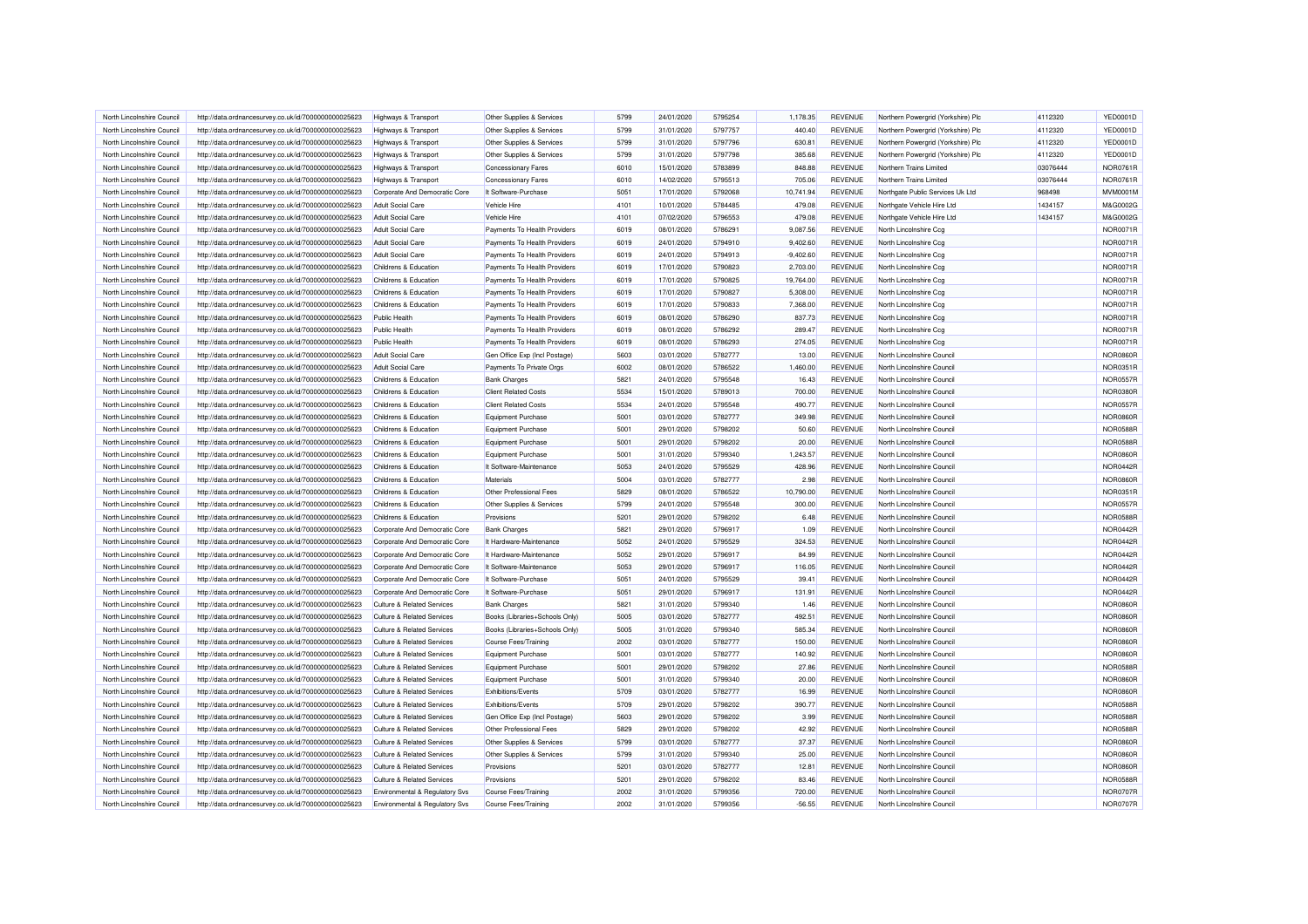| North Lincolnshire Council | http://data.ordnancesurvey.co.uk/id/7000000000025623                                                         | Highways & Transport                  | Other Supplies & Services      | 5799 | 24/01/2020 | 5795254 | 1,178.35    | REVENUE        | Northern Powergrid (Yorkshire) Plc | 4112320  | <b>YED0001D</b> |
|----------------------------|--------------------------------------------------------------------------------------------------------------|---------------------------------------|--------------------------------|------|------------|---------|-------------|----------------|------------------------------------|----------|-----------------|
| North Lincolnshire Council | http://data.ordnancesurvey.co.uk/id/7000000000025623                                                         | Highways & Transport                  | Other Supplies & Services      | 5799 | 31/01/2020 | 5797757 | 440.40      | REVENUE        | Northern Powergrid (Yorkshire) Plc | 4112320  | YED0001D        |
| North Lincolnshire Council | http://data.ordnancesurvey.co.uk/id/7000000000025623                                                         | Highways & Transport                  | Other Supplies & Services      | 5799 | 31/01/2020 | 5797796 | 630.81      | REVENUE        | Northern Powergrid (Yorkshire) Plc | 4112320  | <b>YED0001D</b> |
| North Lincolnshire Council | http://data.ordnancesurvey.co.uk/id/7000000000025623                                                         | Highways & Transport                  | Other Supplies & Services      | 5799 | 31/01/2020 | 5797798 | 385.68      | <b>REVENUE</b> | Northern Powergrid (Yorkshire) Plc | 4112320  | <b>YED0001D</b> |
| North Lincolnshire Council | http://data.ordnancesurvey.co.uk/id/7000000000025623                                                         | Highways & Transport                  | <b>Concessionary Fares</b>     | 6010 | 15/01/2020 | 5783899 | 848.88      | <b>REVENUE</b> | Northern Trains Limited            | 03076444 | <b>NOR0761R</b> |
| North Lincolnshire Council | http://data.ordnancesurvey.co.uk/id/7000000000025623                                                         | Highways & Transport                  | <b>Concessionary Fares</b>     | 6010 | 14/02/2020 | 5795513 | 705.06      | <b>REVENUE</b> | Northern Trains Limited            | 03076444 | NOR0761R        |
| North Lincolnshire Council | http://data.ordnancesurvey.co.uk/id/7000000000025623                                                         | Corporate And Democratic Core         | It Software-Purchase           | 5051 | 17/01/2020 | 5792068 | 10,741.94   | <b>REVENUE</b> | Northgate Public Services Uk Ltd   | 968498   | MVM0001M        |
| North Lincolnshire Council | http://data.ordnancesurvey.co.uk/id/7000000000025623                                                         | Adult Social Care                     | Vehicle Hire                   | 4101 | 10/01/2020 | 5784485 | 479.08      | <b>REVENUE</b> | Northgate Vehicle Hire Ltd         | 1434157  | M&G0002G        |
| North Lincolnshire Council | http://data.ordnancesurvey.co.uk/id/7000000000025623                                                         | <b>Adult Social Care</b>              | Vehicle Hire                   | 4101 | 07/02/2020 | 5796553 | 479.08      | <b>REVENUE</b> | Northgate Vehicle Hire Ltd         | 1434157  | M&G0002G        |
| North Lincolnshire Council | http://data.ordnancesurvey.co.uk/id/7000000000025623                                                         | <b>Adult Social Care</b>              | Payments To Health Providers   | 6019 | 08/01/2020 | 5786291 | 9,087.56    | <b>REVENUE</b> | North Lincolnshire Ccg             |          | <b>NOR0071R</b> |
| North Lincolnshire Council | http://data.ordnancesurvey.co.uk/id/7000000000025623                                                         | Adult Social Care                     | Payments To Health Providers   | 6019 | 24/01/2020 | 5794910 | 9,402.60    | <b>REVENUE</b> | North Lincolnshire Cog             |          | <b>NOR0071R</b> |
| North Lincolnshire Council | http://data.ordnancesurvey.co.uk/id/7000000000025623                                                         | <b>Adult Social Care</b>              | Payments To Health Providers   | 6019 | 24/01/2020 | 5794913 | $-9,402.60$ | <b>REVENUE</b> | North Lincolnshire Ccg             |          | <b>NOR0071R</b> |
| North Lincolnshire Council |                                                                                                              | Childrens & Education                 | Payments To Health Providers   | 6019 | 17/01/2020 | 5790823 | 2.703.00    | <b>REVENUE</b> |                                    |          | <b>NOR0071R</b> |
|                            | http://data.ordnancesurvey.co.uk/id/7000000000025623                                                         |                                       |                                |      |            |         |             |                | North Lincolnshire Ccg             |          |                 |
| North Lincolnshire Council | http://data.ordnancesurvey.co.uk/id/7000000000025623                                                         | Childrens & Education                 | Payments To Health Providers   | 6019 | 17/01/2020 | 5790825 | 19,764.00   | <b>REVENUE</b> | North Lincolnshire Ccg             |          | NOR0071R        |
| North Lincolnshire Council | http://data.ordnancesurvey.co.uk/id/7000000000025623                                                         | Childrens & Education                 | Payments To Health Providers   | 6019 | 17/01/2020 | 5790827 | 5,308.00    | <b>REVENUE</b> | North Lincolnshire Cog             |          | <b>NOR0071R</b> |
| North Lincolnshire Council | http://data.ordnancesurvey.co.uk/id/7000000000025623                                                         | Childrens & Education                 | Payments To Health Providers   | 6019 | 17/01/2020 | 5790833 | 7,368.00    | <b>REVENUE</b> | North Lincolnshire Ccg             |          | <b>NOR0071R</b> |
| North Lincolnshire Council | http://data.ordnancesurvey.co.uk/id/7000000000025623                                                         | Public Health                         | Payments To Health Providers   | 6019 | 08/01/2020 | 5786290 | 837.73      | <b>REVENUE</b> | North Lincolnshire Cog             |          | <b>NOR0071R</b> |
| North Lincolnshire Council | http://data.ordnancesurvey.co.uk/id/7000000000025623                                                         | <b>Public Health</b>                  | Payments To Health Providers   | 6019 | 08/01/2020 | 5786292 | 289.47      | <b>REVENUE</b> | North Lincolnshire Cog             |          | <b>NOR0071R</b> |
| North Lincolnshire Council | http://data.ordnancesurvey.co.uk/id/7000000000025623                                                         | Public Health                         | Payments To Health Providers   | 6019 | 08/01/2020 | 5786293 | 274.05      | <b>REVENUE</b> | North Lincolnshire Cca             |          | <b>NOR0071R</b> |
| North Lincolnshire Council | http://data.ordnancesurvey.co.uk/id/7000000000025623                                                         | Adult Social Care                     | Gen Office Exp (Incl Postage)  | 5603 | 03/01/2020 | 5782777 | 13.00       | REVENUE        | North Lincolnshire Council         |          | <b>NOR0860R</b> |
| North Lincolnshire Council | http://data.ordnancesurvey.co.uk/id/7000000000025623                                                         | <b>Adult Social Care</b>              | Payments To Private Orgs       | 6002 | 08/01/2020 | 5786522 | 1,460.00    | <b>REVENUE</b> | North Lincolnshire Council         |          | <b>NOR0351F</b> |
| North Lincolnshire Council | http://data.ordnancesurvey.co.uk/id/7000000000025623                                                         | Childrens & Education                 | <b>Bank Charges</b>            | 5821 | 24/01/2020 | 5795548 | 16.43       | <b>REVENUE</b> | North Lincolnshire Council         |          | <b>NOR0557R</b> |
| North Lincolnshire Council | http://data.ordnancesurvey.co.uk/id/7000000000025623                                                         | Childrens & Education                 | <b>Client Related Costs</b>    | 5534 | 15/01/2020 | 5789013 | 700.00      | REVENUE        | North Lincolnshire Council         |          | <b>NOR0380R</b> |
| North Lincolnshire Council | http://data.ordnancesurvey.co.uk/id/7000000000025623                                                         | Childrens & Education                 | <b>Client Related Costs</b>    | 5534 | 24/01/2020 | 5795548 | 490.77      | <b>REVENUE</b> | North Lincolnshire Council         |          | <b>NOR0557R</b> |
| North Lincolnshire Council | http://data.ordnancesurvey.co.uk/id/7000000000025623                                                         | Childrens & Education                 | Equipment Purchase             | 5001 | 03/01/2020 | 5782777 | 349.98      | <b>REVENUE</b> | North Lincolnshire Council         |          | <b>NOR0860R</b> |
| North Lincolnshire Council | http://data.ordnancesurvey.co.uk/id/7000000000025623                                                         | Childrens & Education                 | Equipment Purchase             | 5001 | 29/01/2020 | 5798202 | 50.60       | <b>REVENUE</b> | North Lincolnshire Council         |          | NOR0588F        |
| North Lincolnshire Council | http://data.ordnancesurvey.co.uk/id/7000000000025623                                                         | Childrens & Education                 | Equipment Purchase             | 5001 | 29/01/2020 | 5798202 | 20.00       | <b>REVENUE</b> | North Lincolnshire Council         |          | <b>NOR0588R</b> |
| North Lincolnshire Council | http://data.ordnancesurvey.co.uk/id/7000000000025623                                                         | Childrens & Education                 | <b>Equipment Purchase</b>      | 5001 | 31/01/2020 | 5799340 | 1.243.57    | <b>REVENUE</b> | North Lincolnshire Council         |          | <b>NOR0860R</b> |
| North Lincolnshire Council | http://data.ordnancesurvey.co.uk/id/7000000000025623                                                         | Childrens & Education                 | It Software-Maintenance        | 5053 | 24/01/2020 | 5795529 | 428.96      | REVENUE        | North Lincolnshire Council         |          | NOR0442R        |
| North Lincolnshire Council | http://data.ordnancesurvey.co.uk/id/7000000000025623                                                         | Childrens & Education                 | Materials                      | 5004 | 03/01/2020 | 5782777 | 2.98        | <b>REVENUE</b> | North Lincolnshire Council         |          | <b>NOR0860R</b> |
| North Lincolnshire Council | http://data.ordnancesurvey.co.uk/id/7000000000025623                                                         | Childrens & Education                 | Other Professional Fees        | 5829 | 08/01/2020 | 5786522 | 10,790.00   | <b>REVENUE</b> | North Lincolnshire Council         |          | <b>NOR0351R</b> |
| North Lincolnshire Council | http://data.ordnancesurvey.co.uk/id/7000000000025623                                                         | Childrens & Education                 | Other Supplies & Services      | 5799 | 24/01/2020 | 5795548 | 300.00      | REVENUE        | North Lincolnshire Council         |          | <b>NOR0557R</b> |
| North Lincolnshire Council | http://data.ordnancesurvey.co.uk/id/7000000000025623                                                         | Childrens & Education                 | Provisions                     | 5201 | 29/01/2020 | 5798202 | 6.48        | <b>REVENUE</b> | North Lincolnshire Council         |          | <b>NOR0588R</b> |
| North Lincolnshire Council | http://data.ordnancesurvey.co.uk/id/7000000000025623                                                         | Corporate And Democratic Core         | <b>Bank Charges</b>            | 5821 | 29/01/2020 | 5796917 | 1.09        | <b>REVENUE</b> | North Lincolnshire Council         |          | <b>NOR0442R</b> |
| North Lincolnshire Council | http://data.ordnancesurvey.co.uk/id/7000000000025623                                                         | Corporate And Democratic Core         | It Hardware-Maintenance        | 5052 | 24/01/2020 | 5795529 | 324.53      | <b>REVENUE</b> | North Lincolnshire Council         |          | <b>NOR0442R</b> |
| North Lincolnshire Council | http://data.ordnancesurvey.co.uk/id/7000000000025623                                                         | Corporate And Democratic Core         | It Hardware-Maintenance        | 5052 | 29/01/2020 | 5796917 | 84.99       | REVENUE        | North Lincolnshire Council         |          | <b>NOR0442R</b> |
| North Lincolnshire Council | http://data.ordnancesurvey.co.uk/id/7000000000025623                                                         | Corporate And Democratic Core         | It Software-Maintenance        | 5053 | 29/01/2020 | 5796917 | 116.05      | <b>REVENUE</b> | North Lincolnshire Council         |          | <b>NOR0442R</b> |
| North Lincolnshire Council |                                                                                                              | Corporate And Democratic Core         | It Software-Purchase           | 5051 | 24/01/2020 | 5795529 | 39.41       | <b>REVENUE</b> | North Lincolnshire Council         |          | <b>NOR0442R</b> |
| North Lincolnshire Council | http://data.ordnancesurvey.co.uk/id/7000000000025623<br>http://data.ordnancesurvey.co.uk/id/7000000000025623 | Corporate And Democratic Core         | It Software-Purchase           | 5051 | 29/01/2020 | 5796917 | 131.91      | REVENUE        | North Lincolnshire Council         |          | <b>NOR0442R</b> |
|                            |                                                                                                              |                                       |                                |      |            | 5799340 |             |                |                                    |          |                 |
| North Lincolnshire Council | http://data.ordnancesurvey.co.uk/id/7000000000025623                                                         | <b>Culture &amp; Related Services</b> | <b>Bank Charges</b>            | 5821 | 31/01/2020 |         | 1.46        | <b>REVENUE</b> | North Lincolnshire Council         |          | <b>NOR0860R</b> |
| North Lincolnshire Council | http://data.ordnancesurvey.co.uk/id/7000000000025623                                                         | <b>Culture &amp; Related Services</b> | Books (Libraries+Schools Only) | 5005 | 03/01/2020 | 5782777 | 492.51      | <b>REVENUE</b> | North Lincolnshire Council         |          | <b>NOR0860R</b> |
| North Lincolnshire Council | http://data.ordnancesurvey.co.uk/id/7000000000025623                                                         | Culture & Related Services            | Books (Libraries+Schools Only) | 5005 | 31/01/2020 | 5799340 | 585.34      | <b>REVENUE</b> | North Lincolnshire Council         |          | <b>NOR0860R</b> |
| North Lincolnshire Council | http://data.ordnancesurvey.co.uk/id/7000000000025623                                                         | <b>Culture &amp; Related Services</b> | Course Fees/Training           | 2002 | 03/01/2020 | 5782777 | 150.00      | <b>REVENUE</b> | North Lincolnshire Council         |          | <b>NOR0860R</b> |
| North Lincolnshire Council | http://data.ordnancesurvey.co.uk/id/7000000000025623                                                         | Culture & Related Services            | Equipment Purchase             | 5001 | 03/01/2020 | 5782777 | 140.92      | REVENUE        | North Lincolnshire Council         |          | <b>NOR0860R</b> |
| North Lincolnshire Council | http://data.ordnancesurvey.co.uk/id/7000000000025623                                                         | <b>Culture &amp; Related Services</b> | Equipment Purchase             | 5001 | 29/01/2020 | 5798202 | 27.86       | REVENUE        | North Lincolnshire Council         |          | <b>NOR0588R</b> |
| North Lincolnshire Council | http://data.ordnancesurvey.co.uk/id/7000000000025623                                                         | Culture & Related Services            | <b>Equipment Purchase</b>      | 5001 | 31/01/2020 | 5799340 | 20.00       | REVENUE        | North Lincolnshire Council         |          | <b>NOR0860R</b> |
| North Lincolnshire Council | http://data.ordnancesurvey.co.uk/id/7000000000025623                                                         | Culture & Related Services            | Exhibitions/Events             | 5709 | 03/01/2020 | 5782777 | 16.99       | REVENUE        | North Lincolnshire Council         |          | <b>NOR0860R</b> |
| North Lincolnshire Council | http://data.ordnancesurvey.co.uk/id/7000000000025623                                                         | <b>Culture &amp; Related Services</b> | Exhibitions/Events             | 5709 | 29/01/2020 | 5798202 | 390.77      | REVENUE        | North Lincolnshire Council         |          | <b>NOR0588R</b> |
| North Lincolnshire Counci  | http://data.ordnancesurvey.co.uk/id/7000000000025623                                                         | <b>Culture &amp; Related Services</b> | Gen Office Exp (Incl Postage)  | 5603 | 29/01/2020 | 5798202 | 3.99        | <b>REVENUE</b> | North Lincolnshire Council         |          | <b>NOR0588R</b> |
| North Lincolnshire Council | http://data.ordnancesurvey.co.uk/id/7000000000025623                                                         | <b>Culture &amp; Related Services</b> | Other Professional Fees        | 5829 | 29/01/2020 | 5798202 | 42.92       | <b>REVENUE</b> | North Lincolnshire Council         |          | NOR0588R        |
| North Lincolnshire Council | http://data.ordnancesurvey.co.uk/id/7000000000025623                                                         | <b>Culture &amp; Related Services</b> | Other Supplies & Services      | 5799 | 03/01/2020 | 5782777 | 37.37       | <b>REVENUE</b> | North Lincolnshire Council         |          | <b>NOR0860R</b> |
| North Lincolnshire Counci  | http://data.ordnancesurvey.co.uk/id/7000000000025623                                                         | Culture & Related Services            | Other Supplies & Services      | 5799 | 31/01/2020 | 5799340 | 25.00       | REVENUE        | North Lincolnshire Council         |          | <b>NOR0860R</b> |
| North Lincolnshire Council | http://data.ordnancesurvey.co.uk/id/7000000000025623                                                         | <b>Culture &amp; Related Services</b> | Provisions                     | 5201 | 03/01/2020 | 5782777 | 12.81       | REVENUE        | North Lincolnshire Council         |          | <b>NOR0860R</b> |
| North Lincolnshire Council | http://data.ordnancesurvey.co.uk/id/7000000000025623                                                         | <b>Culture &amp; Related Services</b> | Provisions                     | 5201 | 29/01/2020 | 5798202 | 83.46       | <b>REVENUE</b> | North Lincolnshire Council         |          | <b>NOR0588F</b> |
| North Lincolnshire Council | http://data.ordnancesurvey.co.uk/id/7000000000025623                                                         | Environmental & Regulatory Svs        | Course Fees/Training           | 2002 | 31/01/2020 | 5799356 | 720.00      | REVENUE        | North Lincolnshire Council         |          | <b>NOR0707R</b> |
| North Lincolnshire Council | http://data.ordnancesurvey.co.uk/id/7000000000025623                                                         | Environmental & Regulatory Svs        | Course Fees/Training           | 2002 | 31/01/2020 | 5799356 | $-56.55$    | <b>REVENUE</b> | North Lincolnshire Council         |          | <b>NOR0707R</b> |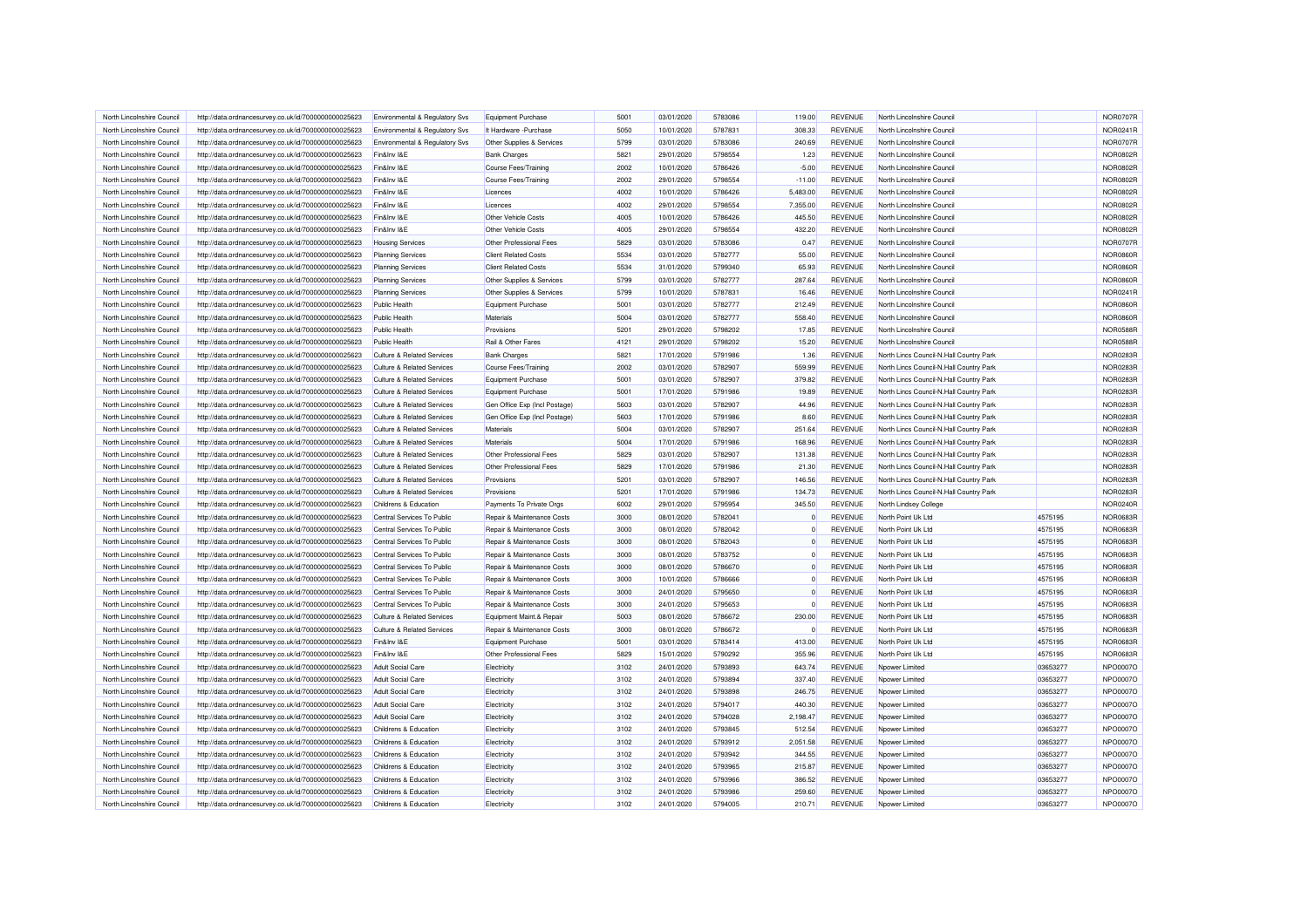| North Lincolnshire Council                               | http://data.ordnancesurvey.co.uk/id/7000000000025623                                                         | Environmental & Regulatory Svs                           | Equipment Purchase                                       | 5001         | 03/01/2020               | 5783086            | 119.00                 | REVENUE        | North Lincolnshire Council               |                    | NOR0707R                    |
|----------------------------------------------------------|--------------------------------------------------------------------------------------------------------------|----------------------------------------------------------|----------------------------------------------------------|--------------|--------------------------|--------------------|------------------------|----------------|------------------------------------------|--------------------|-----------------------------|
| North Lincolnshire Council                               | http://data.ordnancesurvey.co.uk/id/7000000000025623                                                         | Environmental & Regulatory Svs                           | It Hardware - Purchase                                   | 5050         | 10/01/2020               | 5787831            | 308.33                 | REVENUE        | North Lincolnshire Council               |                    | <b>NOR0241R</b>             |
| North Lincolnshire Council                               | http://data.ordnancesurvey.co.uk/id/7000000000025623                                                         | Environmental & Regulatory Svs                           | Other Supplies & Services                                | 5799         | 03/01/2020               | 5783086            | 240.69                 | <b>REVENUE</b> | North Lincolnshire Council               |                    | NOR0707R                    |
| North Lincolnshire Council                               | http://data.ordnancesurvey.co.uk/id/7000000000025623                                                         | Fin&Inv I&E                                              | <b>Bank Charges</b>                                      | 5821         | 29/01/2020               | 5798554            | 1.23                   | <b>REVENUE</b> | North Lincolnshire Council               |                    | <b>NOR0802R</b>             |
| North Lincolnshire Council                               | http://data.ordnancesurvey.co.uk/id/7000000000025623                                                         | Fin&Inv I&E                                              | Course Fees/Training                                     | 2002         | 10/01/2020               | 5786426            | $-5.00$                | <b>REVENUE</b> | North Lincolnshire Council               |                    | <b>NOR0802R</b>             |
| North Lincolnshire Council                               | http://data.ordnancesurvey.co.uk/id/7000000000025623                                                         | Fin&Inv I&E                                              | Course Fees/Training                                     | 2002         | 29/01/2020               | 5798554            | $-11.00$               | <b>REVENUE</b> | North Lincolnshire Council               |                    | <b>NOR0802R</b>             |
| North Lincolnshire Council                               | http://data.ordnancesurvey.co.uk/id/7000000000025623                                                         | Fin&Inv I&E                                              | I icences                                                | 4002         | 10/01/2020               | 5786426            | 5.483.00               | <b>REVENUE</b> | North Lincolnshire Council               |                    | <b>NOR0802R</b>             |
| North Lincolnshire Council                               | http://data.ordnancesurvey.co.uk/id/7000000000025623                                                         | Fin&Inv I&E                                              | Licences                                                 | 4002         | 29/01/2020               | 5798554            | 7,355.00               | <b>REVENUE</b> | North Lincolnshire Council               |                    | <b>NOR0802R</b>             |
| North Lincolnshire Council                               | http://data.ordnancesurvey.co.uk/id/7000000000025623                                                         | Fin&Inv I&E                                              | Other Vehicle Costs                                      | 4005         | 10/01/2020               | 5786426            | 445.50                 | <b>REVENUE</b> | North Lincolnshire Council               |                    | <b>NOR0802R</b>             |
| North Lincolnshire Council                               | http://data.ordnancesurvey.co.uk/id/7000000000025623                                                         | Fin&Inv I&E                                              | Other Vehicle Costs                                      | 4005         | 29/01/2020               | 5798554            | 432.20                 | <b>REVENUE</b> | North Lincolnshire Council               |                    | <b>NOR0802R</b>             |
|                                                          |                                                                                                              |                                                          |                                                          | 5829         |                          | 5783086            |                        | <b>REVENUE</b> |                                          |                    |                             |
| North Lincolnshire Council                               | http://data.ordnancesurvey.co.uk/id/7000000000025623                                                         | <b>Housing Services</b>                                  | Other Professional Fees                                  |              | 03/01/2020               |                    | 0.47                   |                | North Lincolnshire Council               |                    | NOR0707R                    |
| North Lincolnshire Council                               | http://data.ordnancesurvey.co.uk/id/7000000000025623                                                         | <b>Planning Services</b>                                 | <b>Client Related Costs</b>                              | 5534         | 03/01/2020               | 5782777            | 55.00                  | <b>REVENUE</b> | North Lincolnshire Council               |                    | <b>NOR0860R</b>             |
| North Lincolnshire Council                               | http://data.ordnancesurvey.co.uk/id/7000000000025623                                                         | <b>Planning Services</b>                                 | <b>Client Related Costs</b>                              | 5534         | 31/01/2020               | 5799340            | 65.93                  | <b>REVENUE</b> | North Lincolnshire Council               |                    | <b>NOR0860R</b>             |
| North Lincolnshire Council                               | http://data.ordnancesurvey.co.uk/id/7000000000025623                                                         | <b>Planning Services</b>                                 | Other Supplies & Services                                | 5799         | 03/01/2020               | 5782777            | 287.64                 | <b>REVENUE</b> | North Lincolnshire Council               |                    | <b>NOR0860R</b>             |
| North Lincolnshire Council                               | http://data.ordnancesurvey.co.uk/id/7000000000025623                                                         | <b>Planning Services</b>                                 | Other Supplies & Services                                | 5799         | 10/01/2020               | 5787831            | 16.46                  | <b>REVENUE</b> | North Lincolnshire Council               |                    | <b>NOR0241R</b>             |
| North Lincolnshire Council                               | http://data.ordnancesurvey.co.uk/id/7000000000025623                                                         | Public Health                                            | Equipment Purchase                                       | 5001         | 03/01/2020               | 5782777            | 212.49                 | <b>REVENUE</b> | North Lincolnshire Council               |                    | <b>NOR0860R</b>             |
| North Lincolnshire Council                               | http://data.ordnancesurvey.co.uk/id/7000000000025623                                                         | <b>Public Health</b>                                     | Materials                                                | 5004         | 03/01/2020               | 5782777            | 558.40                 | <b>REVENUE</b> | North Lincolnshire Council               |                    | <b>NOR0860R</b>             |
| North Lincolnshire Council                               | http://data.ordnancesurvey.co.uk/id/7000000000025623                                                         | <b>Public Health</b>                                     | Provisions                                               | 5201         | 29/01/2020               | 5798202            | 17.85                  | <b>REVENUE</b> | North Lincolnshire Council               |                    | NOR0588R                    |
| North Lincolnshire Council                               | http://data.ordnancesurvey.co.uk/id/7000000000025623                                                         | Public Health                                            | Rail & Other Fares                                       | 4121         | 29/01/2020               | 5798202            | 15.20                  | <b>REVENUE</b> | North Lincolnshire Council               |                    | <b>NOR0588R</b>             |
| North Lincolnshire Council                               | http://data.ordnancesurvey.co.uk/id/7000000000025623                                                         | Culture & Related Services                               | <b>Bank Charges</b>                                      | 5821         | 17/01/2020               | 5791986            | 1.36                   | <b>REVENUE</b> | North Lincs Council-N.Hall Country Park  |                    | NOR0283R                    |
| North Lincolnshire Council                               | http://data.ordnancesurvey.co.uk/id/7000000000025623                                                         | <b>Culture &amp; Related Services</b>                    | Course Fees/Training                                     | 2002         | 03/01/2020               | 5782907            | 559.99                 | <b>REVENUE</b> | North Lincs Council-N.Hall Country Park  |                    | NOR0283F                    |
| North Lincolnshire Council                               | http://data.ordnancesurvey.co.uk/id/7000000000025623                                                         | Culture & Related Services                               | Equipment Purchase                                       | 5001         | 03/01/2020               | 5782907            | 379.82                 | <b>REVENUE</b> | North Lincs Council-N.Hall Country Park  |                    | <b>NOR0283R</b>             |
| North Lincolnshire Council                               | http://data.ordnancesurvey.co.uk/id/7000000000025623                                                         | Culture & Related Services                               | Equipment Purchase                                       | 5001         | 17/01/2020               | 5791986            | 19.89                  | <b>REVENUE</b> | North Lincs Council-N.Hall Country Park  |                    | <b>NOR0283R</b>             |
| North Lincolnshire Council                               | http://data.ordnancesurvey.co.uk/id/7000000000025623                                                         | Culture & Related Services                               | Gen Office Exp (Incl Postage)                            | 5603         | 03/01/2020               | 5782907            | 44.96                  | <b>REVENUE</b> | North Lincs Council-N.Hall Country Park  |                    | NOR0283F                    |
| North Lincolnshire Council                               | http://data.ordnancesurvey.co.uk/id/7000000000025623                                                         | <b>Culture &amp; Related Services</b>                    | Gen Office Exp (Incl Postage)                            | 5603         | 17/01/2020               | 5791986            | 8.60                   | <b>REVENUE</b> | North Lincs Council-N.Hall Country Park  |                    | <b>NOR0283R</b>             |
| North Lincolnshire Council                               | http://data.ordnancesurvey.co.uk/id/7000000000025623                                                         | Culture & Related Services                               | Materials                                                | 5004         | 03/01/2020               | 5782907            | 251.64                 | <b>REVENUE</b> | North Lincs Council-N.Hall Country Park  |                    | <b>NOR0283F</b>             |
| North Lincolnshire Council                               | http://data.ordnancesurvey.co.uk/id/7000000000025623                                                         | <b>Culture &amp; Related Services</b>                    | Materials                                                | 5004         | 17/01/2020               | 5791986            | 168.96                 | <b>REVENUE</b> | North Lincs Council-N.Hall Country Park  |                    | NOR0283F                    |
| North Lincolnshire Council                               | http://data.ordnancesurvey.co.uk/id/7000000000025623                                                         | Culture & Related Services                               | Other Professional Fees                                  | 5829         | 03/01/2020               | 5782907            | 131.38                 | <b>REVENUE</b> | North Lincs Council-N.Hall Country Park  |                    | <b>NOR0283R</b>             |
| North Lincolnshire Council                               | http://data.ordnancesurvey.co.uk/id/7000000000025623                                                         | Culture & Related Services                               | Other Professional Fees                                  | 5829         | 17/01/2020               | 5791986            | 21.30                  | REVENUE        | North Lincs Council-N.Hall Country Park  |                    | <b>NOR0283R</b>             |
| North Lincolnshire Council                               | http://data.ordnancesurvey.co.uk/id/7000000000025623                                                         | <b>Culture &amp; Related Services</b>                    | Provisions                                               | 5201         | 03/01/2020               | 5782907            | 146.56                 | <b>REVENUE</b> | North Lincs Council-N.Hall Country Park  |                    | NOR0283F                    |
| North Lincolnshire Council                               | http://data.ordnancesurvey.co.uk/id/7000000000025623                                                         | Culture & Related Services                               | Provisions                                               | 5201         | 17/01/2020               | 5791986            | 134.73                 | <b>REVENUE</b> | North Lincs Council-N.Hall Country Park  |                    | <b>NOR0283R</b>             |
| North Lincolnshire Council                               | http://data.ordnancesurvey.co.uk/id/7000000000025623                                                         | Childrens & Education                                    | Payments To Private Orgs                                 | 6002         | 29/01/2020               | 5795954            | 345.50                 | <b>REVENUE</b> | North Lindsey College                    |                    | <b>NOR0240R</b>             |
| North Lincolnshire Council                               | http://data.ordnancesurvey.co.uk/id/7000000000025623                                                         | Central Services To Public                               | Repair & Maintenance Costs                               | 3000         | 08/01/2020               | 5782041            | 0                      | <b>REVENUE</b> | North Point Uk Ltd                       | 4575195            | <b>NOR0683R</b>             |
| North Lincolnshire Council                               | http://data.ordnancesurvey.co.uk/id/7000000000025623                                                         | Central Services To Public                               | Repair & Maintenance Costs                               | 3000         | 08/01/2020               | 5782042            | $\Omega$               | <b>REVENUE</b> | North Point Uk Ltd                       | 4575195            | NOR0683R                    |
|                                                          |                                                                                                              |                                                          |                                                          |              |                          |                    | $\Omega$               | <b>REVENUE</b> |                                          |                    |                             |
| North Lincolnshire Council<br>North Lincolnshire Council | http://data.ordnancesurvey.co.uk/id/7000000000025623                                                         | Central Services To Public<br>Central Services To Public | Repair & Maintenance Costs<br>Repair & Maintenance Costs | 3000<br>3000 | 08/01/2020<br>08/01/2020 | 5782043<br>5783752 | $\mathbf 0$            | <b>REVENUE</b> | North Point Uk Ltd<br>North Point Uk Ltd | 4575195<br>4575195 | <b>NOR0683R</b><br>NOR0683F |
| North Lincolnshire Council                               | http://data.ordnancesurvey.co.uk/id/7000000000025623<br>http://data.ordnancesurvey.co.uk/id/7000000000025623 | Central Services To Public                               | Repair & Maintenance Costs                               | 3000         | 08/01/2020               | 5786670            | $\Omega$               | <b>REVENUE</b> | North Point Uk Ltd                       | 4575195            | <b>NOR0683R</b>             |
|                                                          |                                                                                                              |                                                          |                                                          |              |                          |                    | $\Omega$               |                |                                          |                    |                             |
| North Lincolnshire Council                               | http://data.ordnancesurvey.co.uk/id/7000000000025623                                                         | Central Services To Public                               | Repair & Maintenance Costs                               | 3000         | 10/01/2020               | 5786666            |                        | <b>REVENUE</b> | North Point Uk Ltd                       | 4575195            | <b>NOR0683R</b>             |
| North Lincolnshire Council                               | http://data.ordnancesurvey.co.uk/id/7000000000025623                                                         | Central Services To Public                               | Repair & Maintenance Costs                               | 3000         | 24/01/2020               | 5795650            | $\Omega$<br>$\sqrt{2}$ | REVENUE        | North Point Uk Ltd                       | 4575195            | NOR0683F                    |
| North Lincolnshire Council                               | http://data.ordnancesurvey.co.uk/id/7000000000025623                                                         | Central Services To Public                               | Repair & Maintenance Costs                               | 3000         | 24/01/2020               | 5795653            |                        | <b>REVENUE</b> | North Point Uk Ltd                       | 4575195            | <b>NOR0683R</b>             |
| North Lincolnshire Council                               | http://data.ordnancesurvey.co.uk/id/7000000000025623                                                         | <b>Culture &amp; Related Services</b>                    | Equipment Maint.& Repair                                 | 5003         | 08/01/2020               | 5786672            | 230.00                 | <b>REVENUE</b> | North Point Uk Ltd                       | 4575195            | <b>NOR0683R</b>             |
| North Lincolnshire Council                               | http://data.ordnancesurvey.co.uk/id/7000000000025623                                                         | Culture & Related Services                               | Repair & Maintenance Costs                               | 3000         | 08/01/2020               | 5786672            | 0                      | <b>REVENUE</b> | North Point Uk Ltd                       | 4575195            | NOR0683F                    |
| North Lincolnshire Council                               | http://data.ordnancesurvey.co.uk/id/7000000000025623                                                         | Fin&Inv I&E                                              | Equipment Purchase                                       | 5001         | 03/01/2020               | 5783414            | 413.00                 | REVENUE        | North Point Uk Ltd                       | 4575195            | <b>NOR0683R</b>             |
| North Lincolnshire Council                               | http://data.ordnancesurvey.co.uk/id/7000000000025623                                                         | Fin&Inv I&E                                              | Other Professional Fees                                  | 5829         | 15/01/2020               | 5790292            | 355.96                 | <b>REVENUE</b> | North Point Uk Ltd                       | 4575195            | NOR0683R                    |
| North Lincolnshire Council                               | http://data.ordnancesurvey.co.uk/id/7000000000025623                                                         | <b>Adult Social Care</b>                                 | Electricity                                              | 3102         | 24/01/2020               | 5793893            | 643.74                 | <b>REVENUE</b> | Npower Limited                           | 03653277           | NPO0007O                    |
| North Lincolnshire Council                               | http://data.ordnancesurvey.co.uk/id/7000000000025623                                                         | <b>Adult Social Care</b>                                 | Electricity                                              | 3102         | 24/01/2020               | 5793894            | 337.40                 | <b>REVENUE</b> | Npower Limited                           | 03653277           | NPO0007O                    |
| North Lincolnshire Council                               | http://data.ordnancesurvey.co.uk/id/7000000000025623                                                         | Adult Social Care                                        | Electricity                                              | 3102         | 24/01/2020               | 5793898            | 246.75                 | REVENUE        | Npower Limited                           | 03653277           | NPO0007O                    |
| North Lincolnshire Council                               | http://data.ordnancesurvey.co.uk/id/7000000000025623                                                         | <b>Adult Social Care</b>                                 | Electricity                                              | 3102         | 24/01/2020               | 5794017            | 440.30                 | <b>REVENUE</b> | Npower Limited                           | 03653277           | NPO0007O                    |
| North Lincolnshire Council                               | http://data.ordnancesurvey.co.uk/id/7000000000025623                                                         | <b>Adult Social Care</b>                                 | Electricity                                              | 3102         | 24/01/2020               | 5794028            | 2,198.47               | <b>REVENUE</b> | Noower Limited                           | 03653277           | NPO0007O                    |
| North Lincolnshire Council                               | http://data.ordnancesurvey.co.uk/id/7000000000025623                                                         | Childrens & Education                                    | Electricity                                              | 3102         | 24/01/2020               | 5793845            | 512.54                 | <b>REVENUE</b> | Npower Limited                           | 03653277           | NPO0007O                    |
| North Lincolnshire Council                               | http://data.ordnancesurvey.co.uk/id/7000000000025623                                                         | Childrens & Education                                    | Electricity                                              | 3102         | 24/01/2020               | 5793912            | 2,051.58               | <b>REVENUE</b> | Npower Limited                           | 03653277           | NPO0007O                    |
| North Lincolnshire Council                               | http://data.ordnancesurvey.co.uk/id/7000000000025623                                                         | Childrens & Education                                    | Electricity                                              | 3102         | 24/01/2020               | 5793942            | 344.55                 | <b>REVENUE</b> | Npower Limited                           | 03653277           | NPO0007O                    |
| North Lincolnshire Council                               | http://data.ordnancesurvey.co.uk/id/7000000000025623                                                         | Childrens & Education                                    | Electricity                                              | 3102         | 24/01/2020               | 5793965            | 215.87                 | <b>REVENUE</b> | Npower Limited                           | 03653277           | NPO0007O                    |
| North Lincolnshire Council                               | http://data.ordnancesurvey.co.uk/id/7000000000025623                                                         | Childrens & Education                                    | <b>Electricity</b>                                       | 3102         | 24/01/2020               | 5793966            | 386.52                 | <b>REVENUE</b> | Npower Limited                           | 03653277           | NPO0007O                    |
| North Lincolnshire Council                               | http://data.ordnancesurvey.co.uk/id/7000000000025623                                                         | Childrens & Education                                    | Electricity                                              | 3102         | 24/01/2020               | 5793986            | 259.60                 | <b>REVENUE</b> | Npower Limited                           | 03653277           | NPO0007O                    |
| North Lincolnshire Council                               | http://data.ordnancesurvey.co.uk/id/7000000000025623                                                         | Childrens & Education                                    | Electricity                                              | 3102         | 24/01/2020               | 5794005            | 210.71                 | <b>REVENUE</b> | Npower Limited                           | 03653277           | NPO0007O                    |
|                                                          |                                                                                                              |                                                          |                                                          |              |                          |                    |                        |                |                                          |                    |                             |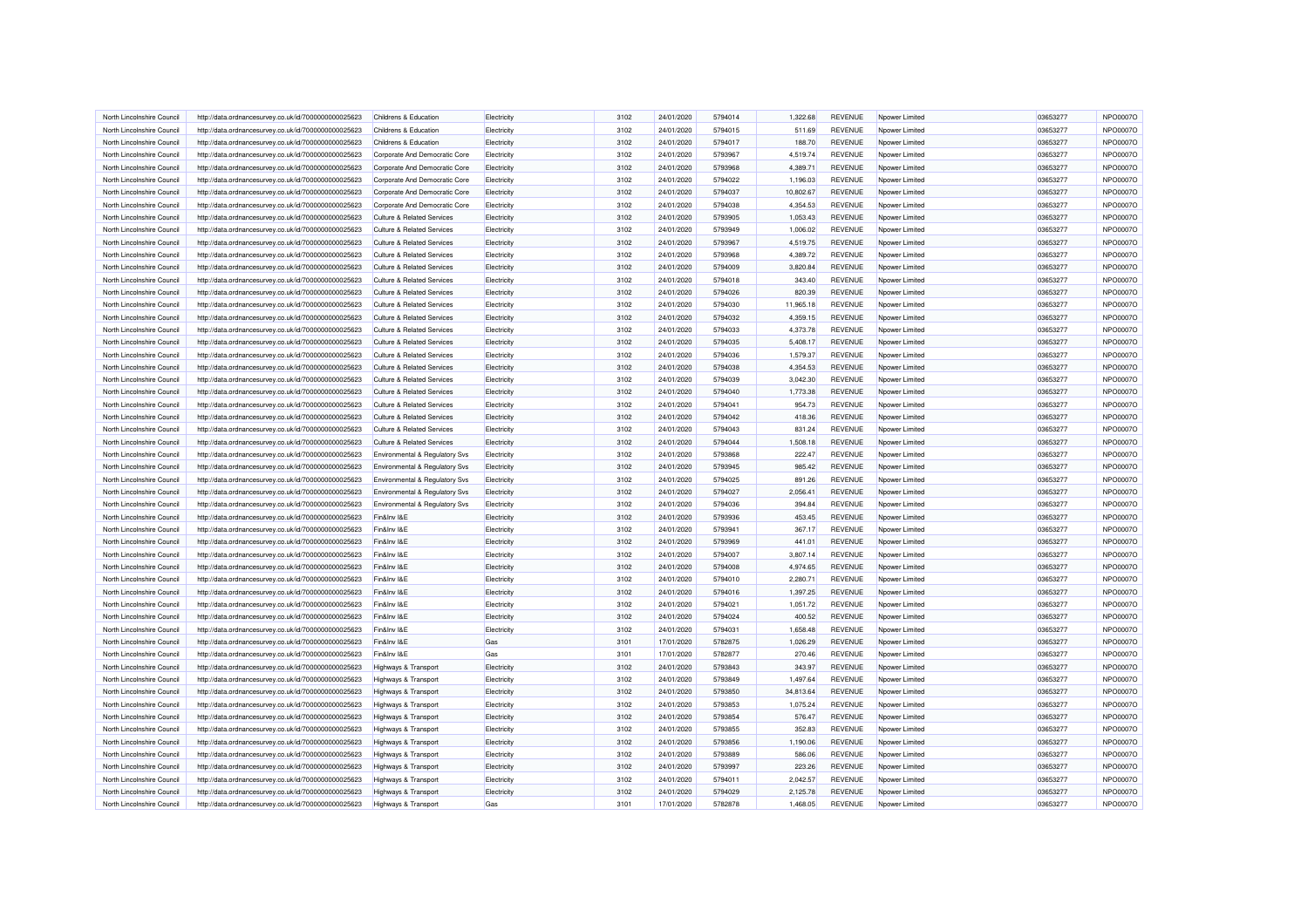| North Lincolnshire Council | http://data.ordnancesurvey.co.uk/id/7000000000025623 | Childrens & Education                 | Electricity        | 3102 | 24/01/2020 | 5794014 | 1,322.68  | <b>REVENUE</b> | Noower Limited  | 03653277 | NPO0007O        |
|----------------------------|------------------------------------------------------|---------------------------------------|--------------------|------|------------|---------|-----------|----------------|-----------------|----------|-----------------|
| North Lincolnshire Council | http://data.ordnancesurvey.co.uk/id/7000000000025623 | Childrens & Education                 | Electricity        | 3102 | 24/01/2020 | 5794015 | 511.69    | REVENUE        | Npower Limited  | 03653277 | NPO0007O        |
| North Lincolnshire Council | http://data.ordnancesurvey.co.uk/id/7000000000025623 | Childrens & Education                 | Electricity        | 3102 | 24/01/2020 | 5794017 | 188.70    | <b>REVENUE</b> | Noower Limited  | 03653277 | <b>NPO0007C</b> |
| North Lincolnshire Council | http://data.ordnancesurvey.co.uk/id/7000000000025623 | Corporate And Democratic Core         | Electricity        | 3102 | 24/01/2020 | 5793967 | 4,519.74  | <b>REVENUE</b> | Noower Limited  | 03653277 | NPO0007O        |
| North Lincolnshire Council | http://data.ordnancesurvey.co.uk/id/7000000000025623 | Corporate And Democratic Core         | Electricity        | 3102 | 24/01/2020 | 5793968 | 4,389.71  | REVENUE        | Npower Limited  | 03653277 | <b>NPO0007C</b> |
| North Lincolnshire Council | http://data.ordnancesurvey.co.uk/id/7000000000025623 | Corporate And Democratic Core         | Electricity        | 3102 | 24/01/2020 | 5794022 | 1,196.03  | REVENUE        | Npower Limited  | 03653277 | <b>NPO0007C</b> |
| North Lincolnshire Council | http://data.ordnancesurvey.co.uk/id/7000000000025623 | Corporate And Democratic Core         | Flectricity        | 3102 | 24/01/2020 | 5794037 | 10.802.67 | <b>REVENUE</b> | Nnower Limited  | 03653277 | NPO0007O        |
| North Lincolnshire Council | http://data.ordnancesurvey.co.uk/id/7000000000025623 | Corporate And Democratic Core         | Electricity        | 3102 | 24/01/2020 | 5794038 | 4,354.53  | <b>REVENUE</b> | Npower Limited  | 03653277 | <b>NPO0007C</b> |
| North Lincolnshire Council | http://data.ordnancesurvey.co.uk/id/7000000000025623 | Culture & Related Services            | Electricity        | 3102 | 24/01/2020 | 5793905 | 1,053.43  | <b>REVENUE</b> | Npower Limited  | 03653277 | <b>NPO0007C</b> |
| North Lincolnshire Council | http://data.ordnancesurvey.co.uk/id/7000000000025623 | Culture & Related Services            | Electricity        | 3102 | 24/01/2020 | 5793949 | 1,006.02  | <b>REVENUE</b> | Noower Limited  | 03653277 | <b>NPO0007C</b> |
| North Lincolnshire Council | http://data.ordnancesurvey.co.uk/id/7000000000025623 | <b>Culture &amp; Related Services</b> | Electricity        | 3102 | 24/01/2020 | 5793967 | 4,519.75  | <b>REVENUE</b> | Npower Limited  | 03653277 | <b>NPO0007C</b> |
| North Lincolnshire Council | http://data.ordnancesurvey.co.uk/id/7000000000025623 | Culture & Related Services            | Electricity        | 3102 | 24/01/2020 | 5793968 | 4,389.72  | <b>REVENUE</b> | Npower Limited  | 03653277 | <b>NPO0007C</b> |
| North Lincolnshire Council | http://data.ordnancesurvey.co.uk/id/7000000000025623 | Culture & Related Services            | Electricity        | 3102 | 24/01/2020 | 5794009 | 3.820.84  | <b>REVENUE</b> | Noower Limited  | 03653277 | NPO0007O        |
| North Lincolnshire Council | http://data.ordnancesurvey.co.uk/id/7000000000025623 | Culture & Related Services            | Electricity        | 3102 | 24/01/2020 | 5794018 | 343.40    | <b>REVENUE</b> | Noower Limited  | 03653277 | <b>NPO0007C</b> |
| North Lincolnshire Council | http://data.ordnancesurvey.co.uk/id/7000000000025623 | <b>Culture &amp; Related Services</b> | Electricity        | 3102 | 24/01/2020 | 5794026 | 820.39    | <b>REVENUE</b> | Npower Limited  | 03653277 | <b>NPO0007C</b> |
| North Lincolnshire Council | http://data.ordnancesurvey.co.uk/id/7000000000025623 | Culture & Related Services            | Flectricity        | 3102 | 24/01/2020 | 5794030 | 11.965.18 | <b>REVENUE</b> | Nnower Limited  | 03653277 | NPO0007O        |
| North Lincolnshire Council | http://data.ordnancesurvey.co.uk/id/7000000000025623 | <b>Culture &amp; Related Services</b> | Electricity        | 3102 | 24/01/2020 | 5794032 | 4,359.15  | <b>REVENUE</b> | Npower Limited  | 03653277 | <b>NPO0007C</b> |
| North Lincolnshire Council | http://data.ordnancesurvey.co.uk/id/7000000000025623 | Culture & Related Services            | Electricity        | 3102 | 24/01/2020 | 5794033 | 4,373.78  | <b>REVENUE</b> | Noower Limited  | 03653277 | <b>NPO0007C</b> |
| North Lincolnshire Council | http://data.ordnancesurvey.co.uk/id/7000000000025623 | <b>Culture &amp; Related Services</b> | Electricity        | 3102 | 24/01/2020 | 5794035 | 5,408.17  | <b>REVENUE</b> | Noower Limited  | 03653277 | <b>NPO0007C</b> |
| North Lincolnshire Council | http://data.ordnancesurvey.co.uk/id/7000000000025623 | Culture & Related Services            | Electricity        | 3102 | 24/01/2020 | 5794036 | 1,579.37  | <b>REVENUE</b> | Npower Limited  | 03653277 | <b>NPO0007C</b> |
| North Lincolnshire Council | http://data.ordnancesurvey.co.uk/id/7000000000025623 | <b>Culture &amp; Related Services</b> | Electricity        | 3102 | 24/01/2020 | 5794038 | 4,354.53  | <b>REVENUE</b> | Npower Limited  | 03653277 | <b>NPO0007C</b> |
| North Lincolnshire Council | http://data.ordnancesurvey.co.uk/id/7000000000025623 | Culture & Related Services            | Electricity        | 3102 | 24/01/2020 | 5794039 | 3.042.30  | <b>REVENUE</b> | Noower Limited  | 03653277 | NPO0007O        |
| North Lincolnshire Council | http://data.ordnancesurvey.co.uk/id/7000000000025623 | Culture & Related Services            | Electricity        | 3102 | 24/01/2020 | 5794040 | 1,773.38  | <b>REVENUE</b> | Noower Limited  | 03653277 | <b>NPO0007C</b> |
| North Lincolnshire Council | http://data.ordnancesurvey.co.uk/id/7000000000025623 | Culture & Related Services            | Electricity        | 3102 | 24/01/2020 | 5794041 | 954.73    | <b>REVENUE</b> | Npower Limited  | 03653277 | <b>NPO0007C</b> |
| North Lincolnshire Council | http://data.ordnancesurvey.co.uk/id/7000000000025623 | <b>Culture &amp; Related Services</b> | Electricity        | 3102 | 24/01/2020 | 5794042 | 418.36    | <b>REVENUE</b> | Noower Limited  | 03653277 | NPO0007O        |
| North Lincolnshire Council | http://data.ordnancesurvey.co.uk/id/7000000000025623 | Culture & Related Services            | Electricity        | 3102 | 24/01/2020 | 5794043 | 831.24    | <b>REVENUE</b> | Npower Limited  | 03653277 | <b>NPO0007C</b> |
| North Lincolnshire Council | http://data.ordnancesurvey.co.uk/id/7000000000025623 | Culture & Related Services            | Electricity        | 3102 | 24/01/2020 | 5794044 | 1,508.18  | <b>REVENUE</b> | Noower Limited  | 03653277 | <b>NPO0007C</b> |
| North Lincolnshire Council | http://data.ordnancesurvey.co.uk/id/7000000000025623 | Environmental & Regulatory Svs        | Electricity        | 3102 | 24/01/2020 | 5793868 | 222.47    | <b>REVENUE</b> | Noower Limited  | 03653277 | <b>NPO0007C</b> |
| North Lincolnshire Council | http://data.ordnancesurvey.co.uk/id/7000000000025623 | Environmental & Regulatory Svs        | Electricity        | 3102 | 24/01/2020 | 5793945 | 985.42    | <b>REVENUE</b> | Npower Limited  | 03653277 | NPO0007O        |
| North Lincolnshire Council | http://data.ordnancesurvey.co.uk/id/7000000000025623 | Environmental & Regulatory Svs        | Electricity        | 3102 | 24/01/2020 | 5794025 | 891.26    | <b>REVENUE</b> | Npower Limited  | 03653277 | <b>NPO0007C</b> |
| North Lincolnshire Council | http://data.ordnancesurvey.co.uk/id/7000000000025623 | Environmental & Regulatory Svs        | Flectricity        | 3102 | 24/01/2020 | 5794027 | 2.056.41  | <b>REVENUE</b> | Nnower Limited  | 03653277 | NPO0007O        |
| North Lincolnshire Council | http://data.ordnancesurvey.co.uk/id/7000000000025623 | Environmental & Regulatory Svs        | Electricity        | 3102 | 24/01/2020 | 5794036 | 394.84    | REVENUE        | Noower Limited  | 03653277 | <b>NPO0007C</b> |
| North Lincolnshire Council | http://data.ordnancesurvey.co.uk/id/7000000000025623 | Fin&Inv I&E                           | Electricity        | 3102 | 24/01/2020 | 5793936 | 453.45    | <b>REVENUE</b> | Npower Limited  | 03653277 | <b>NPO0007C</b> |
| North Lincolnshire Council | http://data.ordnancesurvey.co.uk/id/7000000000025623 | Fin&Inv I&E                           | Electricity        | 3102 | 24/01/2020 | 5793941 | 367.17    | <b>REVENUE</b> | Noower Limited  | 03653277 | NPO0007O        |
| North Lincolnshire Council | http://data.ordnancesurvey.co.uk/id/7000000000025623 | Fin&Inv I&E                           | Electricity        | 3102 | 24/01/2020 | 5793969 | 441.01    | <b>REVENUE</b> | Npower Limited  | 03653277 | <b>NPO0007C</b> |
| North Lincolnshire Council | http://data.ordnancesurvey.co.uk/id/7000000000025623 | Fin&Inv I&E                           | Electricity        | 3102 | 24/01/2020 | 5794007 | 3,807.14  | <b>REVENUE</b> | Noower Limited  | 03653277 | <b>NPO0007C</b> |
| North Lincolnshire Council | http://data.ordnancesurvey.co.uk/id/7000000000025623 | Fin&Inv I&E                           | Electricity        | 3102 | 24/01/2020 | 5794008 | 4,974.65  | <b>REVENUE</b> | Npower Limited  | 03653277 | <b>NPO0007C</b> |
| North Lincolnshire Council | http://data.ordnancesurvey.co.uk/id/7000000000025623 | Fin&Inv I&E                           | Electricity        | 3102 | 24/01/2020 | 5794010 | 2,280.71  | <b>REVENUE</b> | Noower Limited  | 03653277 | <b>NPO0007C</b> |
| North Lincolnshire Council | http://data.ordnancesurvey.co.uk/id/7000000000025623 | Fin&Inv I&E                           | Electricity        | 3102 | 24/01/2020 | 5794016 | 1,397.25  | <b>REVENUE</b> | Npower Limited  | 03653277 | <b>NPO0007C</b> |
| North Lincolnshire Council | http://data.ordnancesurvey.co.uk/id/7000000000025623 | Fin&Inv I&E                           | Electricity        | 3102 | 24/01/2020 | 5794021 | 1.051.72  | <b>REVENUE</b> | Nnower Limited  | 03653277 | NPO0007O        |
| North Lincolnshire Council | http://data.ordnancesurvey.co.uk/id/7000000000025623 | Fin&Inv I&E                           | Electricity        | 3102 | 24/01/2020 | 5794024 | 400.52    | <b>REVENUE</b> | Npower Limited  | 03653277 | NPO0007O        |
| North Lincolnshire Council | http://data.ordnancesurvey.co.uk/id/7000000000025623 | Fin&Inv I&E                           | Electricity        | 3102 | 24/01/2020 | 5794031 | 1,658.48  | <b>REVENUE</b> | Noower Limited  | 03653277 | <b>NPO0007C</b> |
| North Lincolnshire Council | http://data.ordnancesurvey.co.uk/id/7000000000025623 | Fin&Inv I&E                           | Gas                | 3101 | 17/01/2020 | 5782875 | 1,026.29  | <b>REVENUE</b> | Noower Limited  | 03653277 | NPO0007O        |
| North Lincolnshire Council | http://data.ordnancesurvey.co.uk/id/7000000000025623 | Fin&Inv I&E                           | Gas                | 3101 | 17/01/2020 | 5782877 | 270.46    | <b>REVENUE</b> | Npower Limited  | 03653277 | <b>NPO0007C</b> |
| North Lincolnshire Council | http://data.ordnancesurvey.co.uk/id/7000000000025623 | Highways & Transport                  | Electricity        | 3102 | 24/01/2020 | 5793843 | 343.97    | <b>REVENUE</b> | Npower Limited  | 03653277 | <b>NPO0007C</b> |
| North Lincolnshire Council | http://data.ordnancesurvey.co.uk/id/7000000000025623 | Highways & Transport                  | Electricity        | 3102 | 24/01/2020 | 5793849 | 1,497.64  | <b>REVENUE</b> | Npower Limited  | 03653277 | NPO0007O        |
| North Lincolnshire Council | http://data.ordnancesurvey.co.uk/id/7000000000025623 | Highways & Transport                  | Electricity        | 3102 | 24/01/2020 | 5793850 | 34,813.64 | <b>REVENUE</b> | Noower Limited  | 03653277 | <b>NPO0007C</b> |
| North Lincolnshire Council | http://data.ordnancesurvey.co.uk/id/7000000000025623 | Highways & Transport                  | Electricity        | 3102 | 24/01/2020 | 5793853 | 1,075.24  | <b>REVENUE</b> | Npower Limited  | 03653277 | <b>NPO0007C</b> |
| North Lincolnshire Council | http://data.ordnancesurvey.co.uk/id/7000000000025623 | Highways & Transport                  | Electricity        | 3102 | 24/01/2020 | 5793854 | 576.47    | <b>REVENUE</b> | Noower Limited  | 03653277 | NPO0007O        |
| North Lincolnshire Council | http://data.ordnancesurvey.co.uk/id/7000000000025623 | Highways & Transport                  | Electricity        | 3102 | 24/01/2020 | 5793855 | 352.83    | <b>REVENUE</b> | Noower Limited  | 03653277 | NPO0007O        |
| North Lincolnshire Council | http://data.ordnancesurvey.co.uk/id/7000000000025623 | Highways & Transport                  | Electricity        | 3102 | 24/01/2020 | 5793856 | 1,190.06  | <b>REVENUE</b> | Noower Limited  | 03653277 | <b>NPO0007C</b> |
| North Lincolnshire Council | http://data.ordnancesurvey.co.uk/id/7000000000025623 | Highways & Transport                  | Electricity        | 3102 | 24/01/2020 | 5793889 | 586.06    | <b>REVENUE</b> | Noower Limited  | 03653277 | <b>NPO0007C</b> |
| North Lincolnshire Council | http://data.ordnancesurvey.co.uk/id/7000000000025623 | Highways & Transport                  | Electricity        | 3102 | 24/01/2020 | 5793997 | 223.26    | <b>REVENUE</b> | Noower Limited  | 03653277 | <b>NPO0007C</b> |
| North Lincolnshire Council | http://data.ordnancesurvey.co.uk/id/7000000000025623 | Highways & Transport                  | <b>Electricity</b> | 3102 | 24/01/2020 | 5794011 | 2,042.57  | <b>REVENUE</b> | Npower Limited  | 03653277 | <b>NPO0007C</b> |
| North Lincolnshire Council | http://data.ordnancesurvey.co.uk/id/7000000000025623 | Highways & Transport                  | Electricity        | 3102 | 24/01/2020 | 5794029 | 2,125.78  | <b>REVENUE</b> | Npower Limited  | 03653277 | NPO0007O        |
| North Lincolnshire Council | http://data.ordnancesurvey.co.uk/id/7000000000025623 | Highways & Transport                  | Gas                | 3101 | 17/01/2020 | 5782878 | 1.468.05  | <b>REVENUE</b> | Nnower I imited | 03653277 | NPO0007O        |
|                            |                                                      |                                       |                    |      |            |         |           |                |                 |          |                 |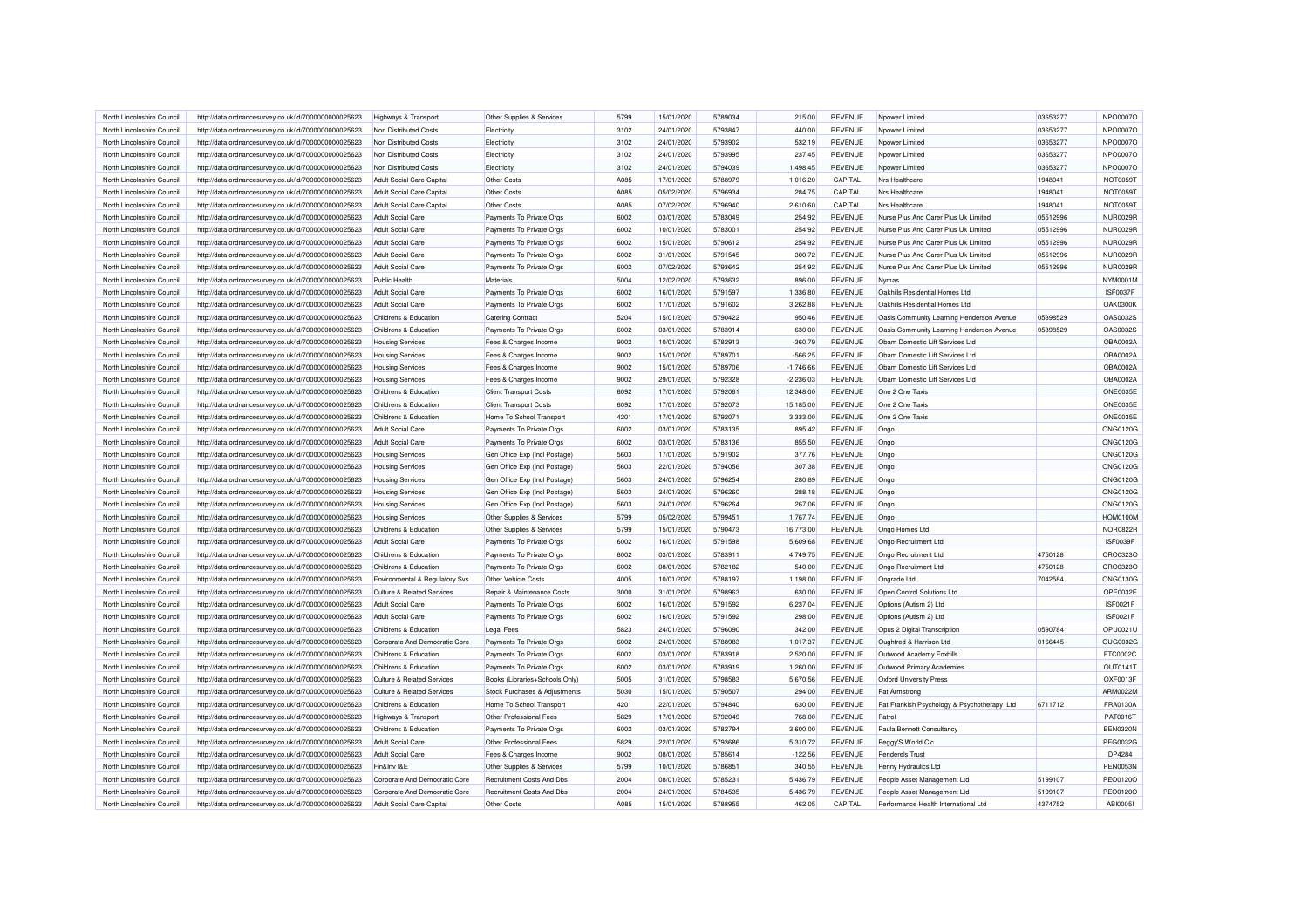| North Lincolnshire Council | http://data.ordnancesurvey.co.uk/id/7000000000025623 | Highways & Transport                  | Other Supplies & Services        | 5799 | 15/01/2020 | 5789034 | 215.00      | <b>REVENUE</b> | Npower Limited                              | 03653277 | NPO0007O        |
|----------------------------|------------------------------------------------------|---------------------------------------|----------------------------------|------|------------|---------|-------------|----------------|---------------------------------------------|----------|-----------------|
| North Lincolnshire Council | http://data.ordnancesurvey.co.uk/id/7000000000025623 | Non Distributed Costs                 | Electricity                      | 3102 | 24/01/2020 | 5793847 | 440.00      | <b>REVENUE</b> | Noower Limited                              | 03653277 | NPO0007O        |
| North Lincolnshire Counci  | http://data.ordnancesurvey.co.uk/id/7000000000025623 | Non Distributed Costs                 | Electricity                      | 3102 | 24/01/2020 | 5793902 | 532.19      | <b>REVENUE</b> | Npower Limited                              | 03653277 | NPO0007O        |
| North Lincolnshire Council | http://data.ordnancesurvey.co.uk/id/7000000000025623 | Non Distributed Costs                 | Electricity                      | 3102 | 24/01/2020 | 5793995 | 237.45      | <b>REVENUE</b> | Npower Limited                              | 03653277 | NPO0007O        |
| North Lincolnshire Council | http://data.ordnancesurvey.co.uk/id/7000000000025623 | Non Distributed Costs                 | Electricity                      | 3102 | 24/01/2020 | 5794039 | 1,498.45    | <b>REVENUE</b> | Noower Limited                              | 03653277 | NPO0007O        |
| North Lincolnshire Council | http://data.ordnancesurvey.co.uk/id/7000000000025623 | <b>Adult Social Care Capital</b>      | Other Costs                      | A085 | 17/01/2020 | 5788979 | 1,016.20    | CAPITAL        | Nrs Healthcare                              | 1948041  | NOT00591        |
| North Lincolnshire Council | http://data.ordnancesurvey.co.uk/id/7000000000025623 | <b>Adult Social Care Capital</b>      | Other Costs                      | A085 | 05/02/2020 | 5796934 | 284.75      | CAPITAL        | Nrs Healthcare                              | 1948041  | <b>NOT0059T</b> |
| North Lincolnshire Council | http://data.ordnancesurvey.co.uk/id/7000000000025623 | Adult Social Care Capital             | Other Costs                      | A085 | 07/02/2020 | 5796940 | 2,610.60    | CAPITAL        | Nrs Healthcare                              | 1948041  | <b>NOT0059T</b> |
| North Lincolnshire Council | http://data.ordnancesurvey.co.uk/id/7000000000025623 | <b>Adult Social Care</b>              | Payments To Private Orgs         | 6002 | 03/01/2020 | 5783049 | 254.92      | <b>REVENUE</b> | Nurse Plus And Carer Plus Uk Limited        | 05512996 | NUR0029F        |
| North Lincolnshire Council | http://data.ordnancesurvey.co.uk/id/7000000000025623 | <b>Adult Social Care</b>              | Payments To Private Orgs         | 6002 | 10/01/2020 | 5783001 | 254.92      | <b>REVENUE</b> | Nurse Plus And Carer Plus Uk Limited        | 05512996 | NUR0029R        |
| North Lincolnshire Council | http://data.ordnancesurvey.co.uk/id/7000000000025623 | Adult Social Care                     | Payments To Private Orgs         | 6002 | 15/01/2020 | 5790612 | 254.92      | REVENUE        | Nurse Plus And Carer Plus Uk Limited        | 05512996 | NUR0029R        |
| North Lincolnshire Council |                                                      | <b>Adult Social Care</b>              |                                  | 6002 | 31/01/2020 | 5791545 | 300.72      | <b>REVENUE</b> | Nurse Plus And Carer Plus Uk Limited        | 05512996 | NUR0029F        |
| North Lincolnshire Council | http://data.ordnancesurvey.co.uk/id/7000000000025623 | Adult Social Care                     | Payments To Private Orgs         | 6002 | 07/02/2020 | 5793642 | 254.92      | <b>REVENUE</b> | Nurse Plus And Carer Plus Uk Limited        |          | <b>NUR0029R</b> |
|                            | http://data.ordnancesurvey.co.uk/id/7000000000025623 |                                       | Payments To Private Orgs         |      |            |         |             |                |                                             | 05512996 |                 |
| North Lincolnshire Council | http://data.ordnancesurvey.co.uk/id/7000000000025623 | Public Health                         | Materials                        | 5004 | 12/02/2020 | 5793632 | 896.00      | <b>REVENUE</b> | Nymas                                       |          | NYM0001M        |
| North Lincolnshire Council | http://data.ordnancesurvey.co.uk/id/7000000000025623 | <b>Adult Social Care</b>              | Payments To Private Orgs         | 6002 | 16/01/2020 | 5791597 | 1,336.80    | <b>REVENUE</b> | Oakhills Residential Homes Ltd              |          | ISF0037F        |
| North Lincolnshire Council | http://data.ordnancesurvey.co.uk/id/7000000000025623 | <b>Adult Social Care</b>              | Payments To Private Orgs         | 6002 | 17/01/2020 | 5791602 | 3.262.88    | <b>REVENUE</b> | Oakhills Residential Homes Ltd              |          | <b>OAK0300K</b> |
| North Lincolnshire Council | http://data.ordnancesurvey.co.uk/id/7000000000025623 | Childrens & Education                 | <b>Catering Contract</b>         | 5204 | 15/01/2020 | 5790422 | 950.46      | <b>REVENUE</b> | Oasis Community Learning Henderson Avenue   | 05398529 | OAS0032S        |
| North Lincolnshire Council | http://data.ordnancesurvey.co.uk/id/7000000000025623 | Childrens & Education                 | Payments To Private Orgs         | 6002 | 03/01/2020 | 5783914 | 630.00      | <b>REVENUE</b> | Oasis Community Learning Henderson Avenue   | 05398529 | OAS0032S        |
| North Lincolnshire Council | http://data.ordnancesurvey.co.uk/id/7000000000025623 | <b>Housing Services</b>               | Fees & Charges Income            | 9002 | 10/01/2020 | 5782913 | $-360.79$   | <b>REVENUE</b> | Obam Domestic Lift Services Ltd             |          | OBA0002A        |
| North Lincolnshire Council | http://data.ordnancesurvey.co.uk/id/7000000000025623 | <b>Housing Services</b>               | Fees & Charges Income            | 9002 | 15/01/2020 | 5789701 | $-566.25$   | <b>REVENUE</b> | Obam Domestic Lift Services Ltd             |          | OBA0002A        |
| North Lincolnshire Council | http://data.ordnancesurvey.co.uk/id/7000000000025623 | <b>Housing Services</b>               | Fees & Charges Income            | 9002 | 15/01/2020 | 5789706 | $-1,746.66$ | <b>REVENUE</b> | Obam Domestic Lift Services Ltd             |          | OBA0002A        |
| North Lincolnshire Council | http://data.ordnancesurvey.co.uk/id/7000000000025623 | <b>Housing Services</b>               | Fees & Charges Income            | 9002 | 29/01/2020 | 5792328 | $-2,236.03$ | <b>REVENUE</b> | Obam Domestic Lift Services Ltd             |          | OBA0002A        |
| North Lincolnshire Council | http://data.ordnancesurvey.co.uk/id/7000000000025623 | Childrens & Education                 | <b>Client Transport Costs</b>    | 6092 | 17/01/2020 | 5792061 | 12,348.00   | <b>REVENUE</b> | One 2 One Taxis                             |          | ONE0035E        |
| North Lincolnshire Council | http://data.ordnancesurvey.co.uk/id/7000000000025623 | Childrens & Education                 | <b>Client Transport Costs</b>    | 6092 | 17/01/2020 | 5792073 | 15,185.00   | <b>REVENUE</b> | One 2 One Taxis                             |          | ONE0035E        |
| North Lincolnshire Council | http://data.ordnancesurvey.co.uk/id/7000000000025623 | Childrens & Education                 | Home To School Transport         | 4201 | 17/01/2020 | 5792071 | 3,333.00    | <b>REVENUE</b> | One 2 One Taxis                             |          | ONE0035E        |
| North Lincolnshire Council | http://data.ordnancesurvey.co.uk/id/7000000000025623 | <b>Adult Social Care</b>              | Payments To Private Orgs         | 6002 | 03/01/2020 | 5783135 | 895.42      | <b>REVENUE</b> | Ongo                                        |          | ONG0120G        |
| North Lincolnshire Council | http://data.ordnancesurvey.co.uk/id/7000000000025623 | <b>Adult Social Care</b>              | Payments To Private Orgs         | 6002 | 03/01/2020 | 5783136 | 855.50      | <b>REVENUE</b> | Ongo                                        |          | <b>ONG0120G</b> |
| North Lincolnshire Council | http://data.ordnancesurvey.co.uk/id/7000000000025623 | <b>Housing Services</b>               | Gen Office Exp (Incl Postage)    | 5603 | 17/01/2020 | 5791902 | 377.76      | <b>REVENUE</b> | Ongo                                        |          | ONG0120G        |
| North Lincolnshire Council | http://data.ordnancesurvey.co.uk/id/7000000000025623 | <b>Housing Services</b>               | Gen Office Exp (Incl Postage)    | 5603 | 22/01/2020 | 5794056 | 307.38      | <b>REVENUE</b> | Ongo                                        |          | <b>ONG0120G</b> |
| North Lincolnshire Council | http://data.ordnancesurvey.co.uk/id/7000000000025623 | <b>Housing Services</b>               | Gen Office Exp (Incl Postage)    | 5603 | 24/01/2020 | 5796254 | 280.89      | REVENUE        | Ongo                                        |          | <b>ONG0120G</b> |
| North Lincolnshire Council | http://data.ordnancesurvey.co.uk/id/7000000000025623 | <b>Housing Services</b>               | Gen Office Exp (Incl Postage)    | 5603 | 24/01/2020 | 5796260 | 288.18      | <b>REVENUE</b> | Ongo                                        |          | <b>ONG0120G</b> |
| North Lincolnshire Council | http://data.ordnancesurvey.co.uk/id/7000000000025623 | <b>Housing Services</b>               | Gen Office Exp (Incl Postage)    | 5603 | 24/01/2020 | 5796264 | 267.06      | <b>REVENUE</b> | Ongo                                        |          | ONG0120G        |
| North Lincolnshire Council | http://data.ordnancesurvey.co.uk/id/7000000000025623 |                                       |                                  | 5799 | 05/02/2020 | 5799451 | 1,767.74    | <b>REVENUE</b> | Ongo                                        |          | <b>HOM0100M</b> |
|                            |                                                      | <b>Housing Services</b>               | Other Supplies & Services        | 5799 |            | 5790473 | 16,773.00   | <b>REVENUE</b> |                                             |          | <b>NOR0822R</b> |
| North Lincolnshire Council | http://data.ordnancesurvey.co.uk/id/7000000000025623 | Childrens & Education                 | Other Supplies & Services        |      | 15/01/2020 |         |             |                | Ongo Homes Ltd                              |          |                 |
| North Lincolnshire Council | http://data.ordnancesurvey.co.uk/id/7000000000025623 | <b>Adult Social Care</b>              | Payments To Private Orgs         | 6002 | 16/01/2020 | 5791598 | 5,609.68    | <b>REVENUE</b> | Ongo Recruitment Ltd                        |          | ISF0039F        |
| North Lincolnshire Council | http://data.ordnancesurvey.co.uk/id/7000000000025623 | Childrens & Education                 | Payments To Private Orgs         | 6002 | 03/01/2020 | 5783911 | 4.749.75    | <b>REVENUE</b> | Ongo Recruitment Ltd                        | 4750128  | CRO0323C        |
| North Lincolnshire Counci  | http://data.ordnancesurvey.co.uk/id/7000000000025623 | Childrens & Education                 | Payments To Private Orgs         | 6002 | 08/01/2020 | 5782182 | 540.00      | <b>REVENUE</b> | Ongo Recruitment Ltd                        | 4750128  | CRO0323C        |
| North Lincolnshire Council | http://data.ordnancesurvey.co.uk/id/7000000000025623 | Environmental & Regulatory Svs        | Other Vehicle Costs              | 4005 | 10/01/2020 | 5788197 | 1,198.00    | <b>REVENUE</b> | Ongrade Ltd                                 | 7042584  | ONG0130G        |
| North Lincolnshire Council | http://data.ordnancesurvey.co.uk/id/7000000000025623 | <b>Culture &amp; Related Services</b> | Repair & Maintenance Costs       | 3000 | 31/01/2020 | 5798963 | 630.00      | <b>REVENUE</b> | Open Control Solutions Ltd                  |          | OPE0032E        |
| North Lincolnshire Council | http://data.ordnancesurvey.co.uk/id/7000000000025623 | Adult Social Care                     | Payments To Private Orgs         | 6002 | 16/01/2020 | 5791592 | 6,237.04    | <b>REVENUE</b> | Options (Autism 2) Ltd                      |          | <b>ISF0021F</b> |
| North Lincolnshire Council | http://data.ordnancesurvey.co.uk/id/7000000000025623 | <b>Adult Social Care</b>              | Payments To Private Orgs         | 6002 | 16/01/2020 | 5791592 | 298.00      | <b>REVENUE</b> | Options (Autism 2) Ltd                      |          | <b>ISF0021F</b> |
| North Lincolnshire Council | http://data.ordnancesurvey.co.uk/id/7000000000025623 | Childrens & Education                 | <b>Legal Fees</b>                | 5823 | 24/01/2020 | 5796090 | 342.00      | REVENUE        | Opus 2 Digital Transcription                | 05907841 | OPU0021L        |
| North Lincolnshire Counci  | http://data.ordnancesurvey.co.uk/id/7000000000025623 | Corporate And Democratic Core         | Payments To Private Orgs         | 6002 | 24/01/2020 | 5788983 | 1,017.37    | <b>REVENUE</b> | Oughtred & Harrison Ltd                     | 0166445  | OUG0032G        |
| North Lincolnshire Council | http://data.ordnancesurvey.co.uk/id/7000000000025623 | Childrens & Education                 | Payments To Private Orgs         | 6002 | 03/01/2020 | 5783918 | 2,520.00    | <b>REVENUE</b> | Outwood Academy Foxhills                    |          | FTC0002C        |
| North Lincolnshire Council | http://data.ordnancesurvey.co.uk/id/7000000000025623 | Childrens & Education                 | Payments To Private Orgs         | 6002 | 03/01/2020 | 5783919 | 1,260.00    | REVENUE        | Outwood Primary Academies                   |          | <b>OUT0141T</b> |
| North Lincolnshire Counci  | http://data.ordnancesurvey.co.uk/id/7000000000025623 | Culture & Related Services            | Books (Libraries+Schools Only)   | 5005 | 31/01/2020 | 5798583 | 5,670.56    | <b>REVENUE</b> | <b>Oxford University Press</b>              |          | OXF0013F        |
| North Lincolnshire Council | http://data.ordnancesurvey.co.uk/id/7000000000025623 | <b>Culture &amp; Related Services</b> | Stock Purchases & Adjustments    | 5030 | 15/01/2020 | 5790507 | 294.00      | <b>REVENUE</b> | <b>Pat Armstrong</b>                        |          | <b>ARM0022M</b> |
| North Lincolnshire Council | http://data.ordnancesurvey.co.uk/id/7000000000025623 | Childrens & Education                 | Home To School Transport         | 4201 | 22/01/2020 | 5794840 | 630.00      | REVENUE        | Pat Frankish Psychology & Psychotherapy Ltd | 6711712  | FRA0130A        |
| North Lincolnshire Council | http://data.ordnancesurvey.co.uk/id/7000000000025623 | <b>Highways &amp; Transport</b>       | Other Professional Fees          | 5829 | 17/01/2020 | 5792049 | 768.00      | <b>REVENUE</b> | Patrol                                      |          | PAT0016T        |
| North Lincolnshire Council | http://data.ordnancesurvey.co.uk/id/7000000000025623 | Childrens & Education                 | Payments To Private Orgs         | 6002 | 03/01/2020 | 5782794 | 3,600.00    | REVENUE        | Paula Bennett Consultancy                   |          | BEN0320N        |
| North Lincolnshire Council | http://data.ordnancesurvey.co.uk/id/7000000000025623 | <b>Adult Social Care</b>              | Other Professional Fees          | 5829 | 22/01/2020 | 5793686 | 5,310.72    | REVENUE        | Peggy'S World Cic                           |          | PEG0032G        |
| North Lincolnshire Council | http://data.ordnancesurvey.co.uk/id/7000000000025623 | <b>Adult Social Care</b>              | Fees & Charges Income            | 9002 | 08/01/2020 | 5785614 | $-122.56$   | <b>REVENUE</b> | <b>Penderels Trust</b>                      |          | DP4284          |
| North Lincolnshire Council | http://data.ordnancesurvey.co.uk/id/7000000000025623 | Fin&Inv I&E                           | Other Supplies & Services        | 5799 | 10/01/2020 | 5786851 | 340.55      | <b>REVENUE</b> | Penny Hydraulics Ltd                        |          | <b>PEN0053N</b> |
| North Lincolnshire Council | http://data.ordnancesurvey.co.uk/id/7000000000025623 | Corporate And Democratic Core         | <b>Becruitment Costs And Dhs</b> | 2004 | 08/01/2020 | 5785231 | 5,436.79    | REVENUE        | People Asset Management Ltd                 | 5199107  | PEO0120C        |
| North Lincolnshire Council | http://data.ordnancesurvey.co.uk/id/7000000000025623 | Corporate And Democratic Core         | Recruitment Costs And Dbs        | 2004 | 24/01/2020 | 5784535 | 5,436.79    | REVENUE        | People Asset Management Ltd                 | 5199107  | PEO0120O        |
| North Lincolnshire Council | http://data.ordnancesurvey.co.uk/id/7000000000025623 | Adult Social Care Capital             | Other Costs                      | A085 | 15/01/2020 | 5788955 | 462.05      | CAPITAL        | Performance Health International Ltd        | 4374752  | ABI00051        |
|                            |                                                      |                                       |                                  |      |            |         |             |                |                                             |          |                 |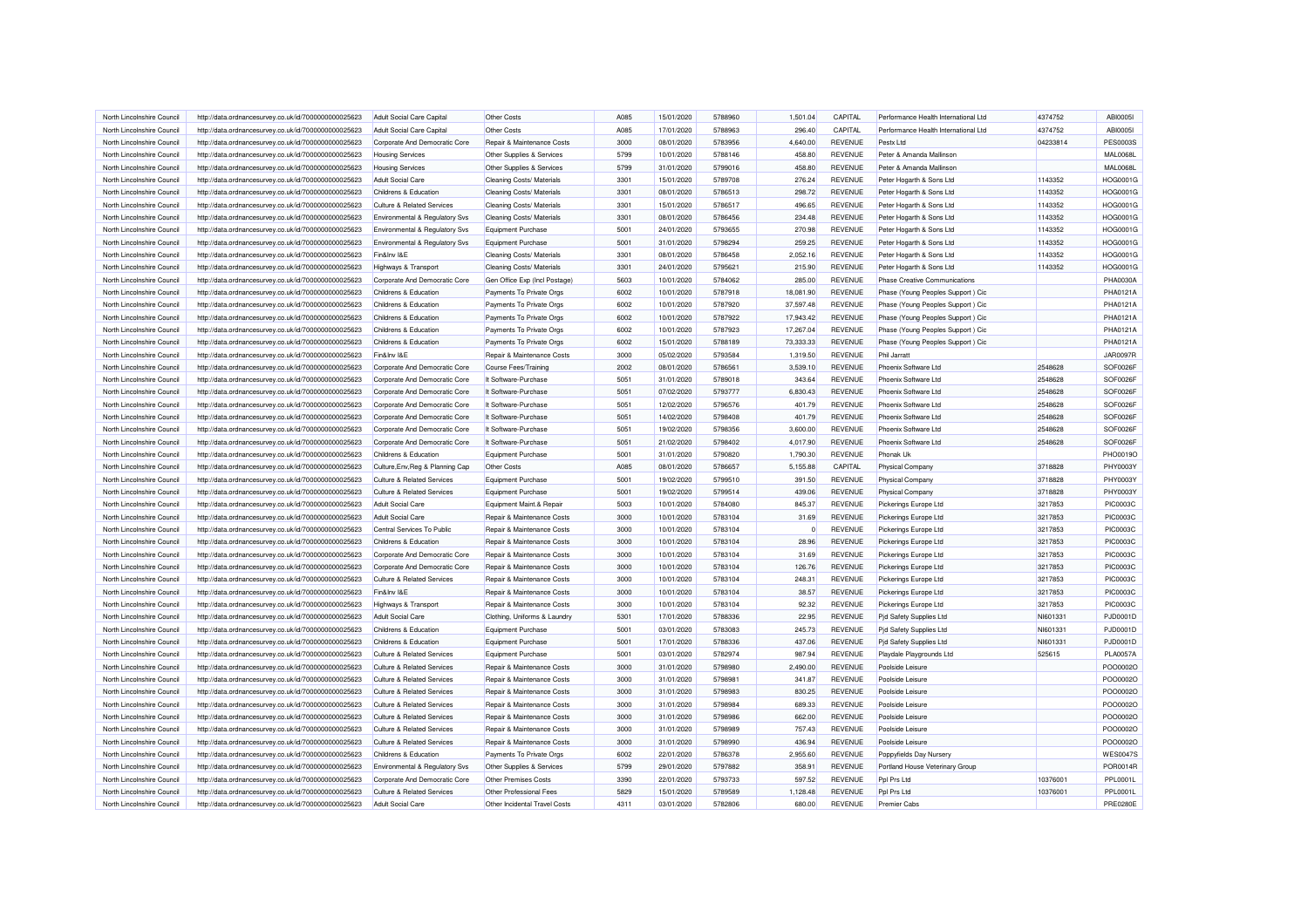| North Lincolnshire Council | http://data.ordnancesurvey.co.uk/id/7000000000025623 | Adult Social Care Capital             | Other Costs                   | A085 | 15/01/2020 | 5788960 | 1,501.04  | CAPITAL        | Performance Health International Ltd | 4374752  | <b>ABI00051</b> |
|----------------------------|------------------------------------------------------|---------------------------------------|-------------------------------|------|------------|---------|-----------|----------------|--------------------------------------|----------|-----------------|
| North Lincolnshire Council | http://data.ordnancesurvey.co.uk/id/7000000000025623 | Adult Social Care Capital             | Other Costs                   | A085 | 17/01/2020 | 5788963 | 296.40    | CAPITAL        | Performance Health International Ltd | 4374752  | <b>ABI00051</b> |
| North Lincolnshire Council | http://data.ordnancesurvey.co.uk/id/7000000000025623 | Corporate And Democratic Core         | Repair & Maintenance Costs    | 3000 | 08/01/2020 | 5783956 | 4,640.00  | <b>REVENUE</b> | Pestx Ltd                            | 04233814 | <b>PES0003S</b> |
| North Lincolnshire Council | http://data.ordnancesurvey.co.uk/id/7000000000025623 | <b>Housing Services</b>               | Other Supplies & Services     | 5799 | 10/01/2020 | 5788146 | 458.80    | <b>REVENUE</b> | Peter & Amanda Mallinson             |          | <b>MAL0068L</b> |
| North Lincolnshire Council | http://data.ordnancesurvey.co.uk/id/7000000000025623 | <b>Housing Services</b>               | Other Supplies & Services     | 5799 | 31/01/2020 | 5799016 | 458.80    | <b>REVENUE</b> | Peter & Amanda Mallinson             |          | <b>MAL0068L</b> |
| North Lincolnshire Council | http://data.ordnancesurvey.co.uk/id/7000000000025623 | Adult Social Care                     | Cleaning Costs/ Materials     | 3301 | 15/01/2020 | 5789708 | 276.24    | <b>REVENUE</b> | Peter Hogarth & Sons Ltd             | 1143352  | HOG0001G        |
| North Lincolnshire Council | http://data.ordnancesurvey.co.uk/id/7000000000025623 | Childrens & Education                 | Cleaning Costs/ Materials     | 3301 | 08/01/2020 | 5786513 | 298.72    | <b>REVENUE</b> | Peter Hogarth & Sons Ltd             | 1143352  | HOG0001G        |
| North Lincolnshire Council | http://data.ordnancesurvey.co.uk/id/7000000000025623 | Culture & Related Services            | Cleaning Costs/ Materials     | 3301 | 15/01/2020 | 5786517 | 496.65    | REVENUE        | Peter Hogarth & Sons Ltd             | 1143352  | HOG0001G        |
| North Lincolnshire Council | http://data.ordnancesurvey.co.uk/id/7000000000025623 | Environmental & Regulatory Svs        | Cleaning Costs/ Materials     | 3301 | 08/01/2020 | 5786456 | 234.48    | <b>REVENUE</b> | Peter Hogarth & Sons Ltd             | 1143352  | HOG0001G        |
| North Lincolnshire Council | http://data.ordnancesurvey.co.uk/id/7000000000025623 | Environmental & Regulatory Svs        | Equipment Purchase            | 5001 | 24/01/2020 | 5793655 | 270.98    | <b>REVENUE</b> | Peter Hogarth & Sons Ltd             | 1143352  | HOG0001G        |
| North Lincolnshire Council | http://data.ordnancesurvey.co.uk/id/7000000000025623 | Environmental & Regulatory Svs        | <b>Equipment Purchase</b>     | 5001 | 31/01/2020 | 5798294 | 259.25    | <b>REVENUE</b> | Peter Hogarth & Sons Ltd             | 1143352  | HOG0001G        |
| North Lincolnshire Council | http://data.ordnancesurvey.co.uk/id/7000000000025623 | Fin&Inv I&E                           | Cleaning Costs/ Materials     | 3301 | 08/01/2020 | 5786458 | 2,052.16  | <b>REVENUE</b> | Peter Hogarth & Sons Ltd             | 1143352  | HOG0001G        |
| North Lincolnshire Council | http://data.ordnancesurvey.co.uk/id/7000000000025623 | Highways & Transport                  | Cleaning Costs/ Materials     | 3301 | 24/01/2020 | 5795621 | 215.90    | <b>REVENUE</b> | Peter Hogarth & Sons Ltd             | 1143352  | HOG0001G        |
| North Lincolnshire Council | http://data.ordnancesurvey.co.uk/id/7000000000025623 | Corporate And Democratic Core         | Gen Office Exp (Incl Postage) | 5603 | 10/01/2020 | 5784062 | 285.00    | <b>REVENUE</b> | <b>Phase Creative Communications</b> |          | PHA0030A        |
| North Lincolnshire Council | http://data.ordnancesurvey.co.uk/id/7000000000025623 | Childrens & Education                 | Payments To Private Orgs      | 6002 | 10/01/2020 | 5787918 | 18,081.90 | <b>REVENUE</b> | Phase (Young Peoples Support) Cic    |          | PHA0121A        |
| North Lincolnshire Council | http://data.ordnancesurvey.co.uk/id/7000000000025623 | Childrens & Education                 | Payments To Private Orgs      | 6002 | 10/01/2020 | 5787920 | 37.597.48 | <b>REVENUE</b> | Phase (Young Peoples Support) Cic    |          | PHA0121A        |
| North Lincolnshire Council | http://data.ordnancesurvey.co.uk/id/7000000000025623 | Childrens & Education                 | Payments To Private Orgs      | 6002 | 10/01/2020 | 5787922 | 17,943.42 | <b>REVENUE</b> | Phase (Young Peoples Support) Cic    |          | PHA0121A        |
| North Lincolnshire Council | http://data.ordnancesurvey.co.uk/id/7000000000025623 | Childrens & Education                 | Payments To Private Orgs      | 6002 | 10/01/2020 | 5787923 | 17,267.04 | <b>REVENUE</b> | Phase (Young Peoples Support) Cic    |          | PHA0121A        |
| North Lincolnshire Council | http://data.ordnancesurvey.co.uk/id/7000000000025623 | Childrens & Education                 | Payments To Private Orgs      | 6002 | 15/01/2020 | 5788189 | 73,333.33 | <b>REVENUE</b> | Phase (Young Peoples Support) Cic    |          | PHA0121A        |
| North Lincolnshire Council | http://data.ordnancesurvey.co.uk/id/7000000000025623 | Fin&Inv I&E                           | Repair & Maintenance Costs    | 3000 | 05/02/2020 | 5793584 | 1,319.50  | REVENUE        | Phil Jarratt                         |          | <b>JAR0097R</b> |
| North Lincolnshire Council | http://data.ordnancesurvey.co.uk/id/7000000000025623 | Corporate And Democratic Core         | Course Fees/Training          | 2002 | 08/01/2020 | 5786561 | 3,539.10  | <b>REVENUE</b> | Phoenix Software Ltd                 | 2548628  | SOF0026F        |
| North Lincolnshire Council | http://data.ordnancesurvey.co.uk/id/7000000000025623 | Corporate And Democratic Core         | It Software-Purchase          | 5051 | 31/01/2020 | 5789018 | 343.64    | <b>REVENUE</b> | Phoenix Software Ltd                 | 2548628  | SOF0026F        |
| North Lincolnshire Council | http://data.ordnancesurvey.co.uk/id/7000000000025623 | Corporate And Democratic Core         | It Software-Purchase          | 5051 | 07/02/2020 | 5793777 | 6,830.43  | <b>REVENUE</b> | Phoenix Software Ltd                 | 2548628  | SOF0026F        |
| North Lincolnshire Council | http://data.ordnancesurvey.co.uk/id/7000000000025623 | Corporate And Democratic Core         | It Software-Purchase          | 5051 | 12/02/2020 | 5796576 | 401.79    | <b>REVENUE</b> | Phoenix Software Ltd                 | 2548628  | SOF0026F        |
| North Lincolnshire Council | http://data.ordnancesurvey.co.uk/id/7000000000025623 | Corporate And Democratic Core         | It Software-Purchase          | 5051 | 14/02/2020 | 5798408 | 401.79    | <b>REVENUE</b> | Phoenix Software Ltd                 | 2548628  | SOF0026F        |
| North Lincolnshire Council | http://data.ordnancesurvey.co.uk/id/7000000000025623 | Corporate And Democratic Core         | It Software-Purchase          | 5051 | 19/02/2020 | 5798356 | 3,600.00  | <b>REVENUE</b> | Phoenix Software Ltd                 | 2548628  | SOF0026F        |
| North Lincolnshire Council | http://data.ordnancesurvey.co.uk/id/7000000000025623 | Corporate And Democratic Core         | It Software-Purchase          | 5051 | 21/02/2020 | 5798402 | 4,017.90  | <b>REVENUE</b> | Phoenix Software Ltd                 | 2548628  | SOF0026F        |
| North Lincolnshire Council | http://data.ordnancesurvey.co.uk/id/7000000000025623 | Childrens & Education                 | <b>Equipment Purchase</b>     | 5001 | 31/01/2020 | 5790820 | 1,790.30  | <b>REVENUE</b> | Phonak Uk                            |          | PHO0019O        |
| North Lincolnshire Council | http://data.ordnancesurvey.co.uk/id/7000000000025623 | Culture, Env, Reg & Planning Cap      | Other Costs                   | A085 | 08/01/2020 | 5786657 | 5,155.88  | CAPITAL        | Physical Company                     | 3718828  | PHY0003Y        |
| North Lincolnshire Council | http://data.ordnancesurvey.co.uk/id/7000000000025623 | Culture & Related Services            | <b>Equipment Purchase</b>     | 5001 | 19/02/2020 | 5799510 | 391.50    | <b>REVENUE</b> | <b>Physical Company</b>              | 3718828  | PHY0003Y        |
| North Lincolnshire Council | http://data.ordnancesurvey.co.uk/id/7000000000025623 | Culture & Related Services            | Equipment Purchase            | 5001 | 19/02/2020 | 5799514 | 439.06    | <b>REVENUE</b> | <b>Physical Company</b>              | 3718828  | PHY0003Y        |
| North Lincolnshire Council | http://data.ordnancesurvey.co.uk/id/7000000000025623 | <b>Adult Social Care</b>              | Equipment Maint.& Repair      | 5003 | 10/01/2020 | 5784080 | 845.37    | <b>REVENUE</b> | Pickerings Europe Ltd                | 3217853  | <b>PIC0003C</b> |
| North Lincolnshire Council | http://data.ordnancesurvey.co.uk/id/7000000000025623 | <b>Adult Social Care</b>              | Repair & Maintenance Costs    | 3000 | 10/01/2020 | 5783104 | 31.69     | <b>REVENUE</b> | Pickerings Europe Ltd                | 3217853  | <b>PIC0003C</b> |
| North Lincolnshire Council | http://data.ordnancesurvey.co.uk/id/7000000000025623 | Central Services To Public            | Repair & Maintenance Costs    | 3000 | 10/01/2020 | 5783104 |           | <b>REVENUE</b> | Pickerings Europe Ltd                | 3217853  | <b>PIC0003C</b> |
| North Lincolnshire Council | http://data.ordnancesurvey.co.uk/id/7000000000025623 | Childrens & Education                 | Repair & Maintenance Costs    | 3000 | 10/01/2020 | 5783104 | 28.96     | <b>REVENUE</b> | Pickerings Europe Ltd                | 3217853  | <b>PIC0003C</b> |
| North Lincolnshire Council | http://data.ordnancesurvey.co.uk/id/7000000000025623 | Corporate And Democratic Core         | Repair & Maintenance Costs    | 3000 | 10/01/2020 | 5783104 | 31.69     | <b>REVENUE</b> | Pickerings Europe Ltd                | 3217853  | <b>PIC0003C</b> |
| North Lincolnshire Council | http://data.ordnancesurvey.co.uk/id/7000000000025623 | Corporate And Democratic Core         | Repair & Maintenance Costs    | 3000 | 10/01/2020 | 5783104 | 126.76    | <b>REVENUE</b> | Pickerings Europe Ltd                | 3217853  | <b>PIC0003C</b> |
| North Lincolnshire Council | http://data.ordnancesurvey.co.uk/id/7000000000025623 | Culture & Related Services            | Repair & Maintenance Costs    | 3000 | 10/01/2020 | 5783104 | 248.31    | REVENUE        | Pickerings Europe Ltd                | 3217853  | <b>PIC0003C</b> |
| North Lincolnshire Council | http://data.ordnancesurvey.co.uk/id/7000000000025623 | Fin&Inv I&E                           | Repair & Maintenance Costs    | 3000 | 10/01/2020 | 5783104 | 38.57     | <b>REVENUE</b> | Pickerings Europe Ltd                | 3217853  | <b>PIC0003C</b> |
| North Lincolnshire Council | http://data.ordnancesurvey.co.uk/id/7000000000025623 | <b>Highways &amp; Transport</b>       | Repair & Maintenance Costs    | 3000 | 10/01/2020 | 5783104 | 92.32     | <b>REVENUE</b> | Pickerings Europe Ltd                | 3217853  | <b>PIC0003C</b> |
| North Lincolnshire Council | http://data.ordnancesurvey.co.uk/id/7000000000025623 | Adult Social Care                     | Clothing, Uniforms & Laundry  | 5301 | 17/01/2020 | 5788336 | 22.95     | <b>REVENUE</b> | Pjd Safety Supplies Ltd              | NI601331 | PJD0001D        |
| North Lincolnshire Council | http://data.ordnancesurvey.co.uk/id/7000000000025623 | Childrens & Education                 | Equipment Purchase            | 5001 | 03/01/2020 | 5783083 | 245.73    | <b>REVENUE</b> | Pjd Safety Supplies Ltd              | NI601331 | PJD0001D        |
| North Lincolnshire Council | http://data.ordnancesurvey.co.uk/id/7000000000025623 | Childrens & Education                 | <b>Equipment Purchase</b>     | 5001 | 17/01/2020 | 5788336 | 437.06    | <b>REVENUE</b> | Pjd Safety Supplies Ltd              | NI601331 | PJD0001D        |
| North Lincolnshire Council | http://data.ordnancesurvey.co.uk/id/7000000000025623 | Culture & Related Services            | Equipment Purchase            | 5001 | 03/01/2020 | 5782974 | 987.94    | <b>REVENUE</b> | Playdale Playgrounds Ltd             | 525615   | <b>PLA0057A</b> |
| North Lincolnshire Council | http://data.ordnancesurvey.co.uk/id/7000000000025623 | Culture & Related Services            | Repair & Maintenance Costs    | 3000 | 31/01/2020 | 5798980 | 2,490.00  | <b>REVENUE</b> | Poolside Leisure                     |          | POO0002C        |
| North Lincolnshire Council | http://data.ordnancesurvey.co.uk/id/7000000000025623 | Culture & Related Services            | Repair & Maintenance Costs    | 3000 | 31/01/2020 | 5798981 | 341.87    | <b>REVENUE</b> | Poolside Leisure                     |          | POO0002C        |
| North Lincolnshire Council | http://data.ordnancesurvey.co.uk/id/7000000000025623 | Culture & Related Services            | Repair & Maintenance Costs    | 3000 | 31/01/2020 | 5798983 | 830.25    | <b>REVENUE</b> | Poolside Leisure                     |          | POO0002C        |
| North Lincolnshire Council | http://data.ordnancesurvey.co.uk/id/7000000000025623 | Culture & Related Services            | Repair & Maintenance Costs    | 3000 | 31/01/2020 | 5798984 | 689.33    | <b>REVENUE</b> | Poolside Leisure                     |          | POO0002C        |
| North Lincolnshire Council | http://data.ordnancesurvey.co.uk/id/7000000000025623 | Culture & Related Services            | Repair & Maintenance Costs    | 3000 | 31/01/2020 | 5798986 | 662.00    | <b>REVENUE</b> | Poolside Leisure                     |          | POO0002O        |
| North Lincolnshire Council | http://data.ordnancesurvey.co.uk/id/7000000000025623 | Culture & Related Services            | Repair & Maintenance Costs    | 3000 | 31/01/2020 | 5798989 | 757.43    | <b>REVENUE</b> | Poolside Leisure                     |          | POO0002O        |
| North Lincolnshire Council | http://data.ordnancesurvey.co.uk/id/7000000000025623 | <b>Culture &amp; Related Services</b> | Repair & Maintenance Costs    | 3000 | 31/01/2020 | 5798990 | 436.94    | <b>REVENUE</b> | Poolside Leisure                     |          | POO0002C        |
| North Lincolnshire Council | http://data.ordnancesurvey.co.uk/id/7000000000025623 | Childrens & Education                 | Payments To Private Orgs      | 6002 | 22/01/2020 | 5786378 | 2,955.60  | <b>REVENUE</b> | Poppyfields Day Nursery              |          | <b>WES0047S</b> |
| North Lincolnshire Council | http://data.ordnancesurvey.co.uk/id/7000000000025623 | Environmental & Regulatory Svs        | Other Supplies & Services     | 5799 | 29/01/2020 | 5797882 | 358.91    | <b>REVENUE</b> | Portland House Veterinary Group      |          | POR0014R        |
| North Lincolnshire Council | http://data.ordnancesurvey.co.uk/id/7000000000025623 | Corporate And Democratic Core         | <b>Other Premises Costs</b>   | 3390 | 22/01/2020 | 5793733 | 597.52    | <b>REVENUE</b> | Ppl Prs Ltd                          | 10376001 | PPL0001L        |
| North Lincolnshire Council | http://data.ordnancesurvey.co.uk/id/7000000000025623 | <b>Culture &amp; Related Services</b> | Other Professional Fees       | 5829 | 15/01/2020 | 5789589 | 1,128.48  | <b>REVENUE</b> | Ppl Prs Ltd                          | 10376001 | PPL0001L        |
| North Lincolnshire Council | http://data.ordnancesurvey.co.uk/id/7000000000025623 | Adult Social Care                     | Other Incidental Travel Costs | 4311 | 03/01/2020 | 5782806 | 680.00    | <b>REVENUE</b> | <b>Premier Cabs</b>                  |          | PRF0280F        |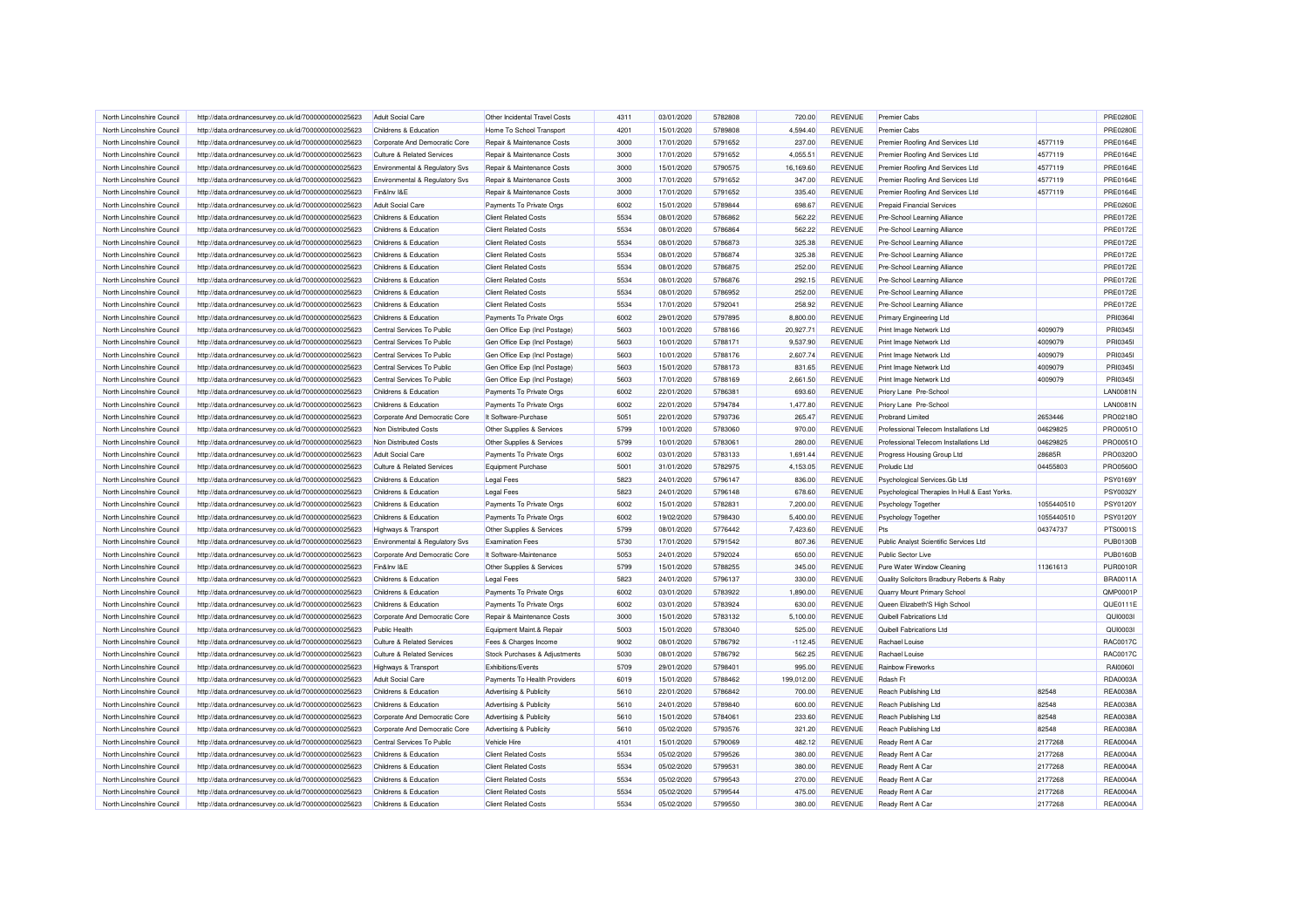| North Lincolnshire Council                               | http://data.ordnancesurvey.co.uk/id/7000000000025623 | <b>Adult Social Care</b>              | Other Incidental Travel Costs | 4311         | 03/01/2020               | 5782808            | 720.00     | <b>REVENUE</b>                   | <b>Premier Cabs</b>                           |            | <b>PRE0280E</b>      |
|----------------------------------------------------------|------------------------------------------------------|---------------------------------------|-------------------------------|--------------|--------------------------|--------------------|------------|----------------------------------|-----------------------------------------------|------------|----------------------|
| North Lincolnshire Council                               | http://data.ordnancesurvey.co.uk/id/7000000000025623 | Childrens & Education                 | Home To School Transport      | 4201         | 15/01/2020               | 5789808            | 4,594.40   | REVENUE                          | <b>Premier Cabs</b>                           |            | <b>PRE0280E</b>      |
| North Lincolnshire Council                               | http://data.ordnancesurvey.co.uk/id/7000000000025623 | Corporate And Democratic Core         | Repair & Maintenance Costs    | 3000         | 17/01/2020               | 5791652            | 237.00     | <b>REVENUE</b>                   | Premier Roofing And Services Ltd              | 4577119    | PRE0164E             |
| North Lincolnshire Council                               | http://data.ordnancesurvey.co.uk/id/7000000000025623 | Culture & Related Services            | Repair & Maintenance Costs    | 3000         | 17/01/2020               | 5791652            | 4,055.51   | <b>REVENUE</b>                   | Premier Roofing And Services Ltd              | 4577119    | <b>PRE0164E</b>      |
| North Lincolnshire Council                               | http://data.ordnancesurvey.co.uk/id/7000000000025623 | Environmental & Regulatory Svs        | Repair & Maintenance Costs    | 3000         | 15/01/2020               | 5790575            | 16,169.60  | <b>REVENUE</b>                   | Premier Roofing And Services Ltd              | 4577119    | PRE0164E             |
| North Lincolnshire Council                               | http://data.ordnancesurvey.co.uk/id/7000000000025623 | Environmental & Regulatory Svs        | Repair & Maintenance Costs    | 3000         | 17/01/2020               | 5791652            | 347.00     | <b>REVENUE</b>                   | Premier Roofing And Services Ltd              | 4577119    | PRE0164E             |
| North Lincolnshire Council                               | http://data.ordnancesurvey.co.uk/id/7000000000025623 | Fin&Inv I&F                           | Repair & Maintenance Costs    | 3000         | 17/01/2020               | 5791652            | 335.40     | <b>REVENUE</b>                   | Premier Roofing And Services Ltd              | 4577119    | <b>PRE0164E</b>      |
| North Lincolnshire Council                               | http://data.ordnancesurvey.co.uk/id/7000000000025623 | <b>Adult Social Care</b>              | Payments To Private Orgs      | 6002         | 15/01/2020               | 5789844            | 698.67     | <b>REVENUE</b>                   | <b>Prepaid Financial Services</b>             |            | <b>PRE0260E</b>      |
| North Lincolnshire Council                               | http://data.ordnancesurvey.co.uk/id/7000000000025623 | Childrens & Education                 | <b>Client Related Costs</b>   | 5534         | 08/01/2020               | 5786862            | 562.22     | <b>REVENUE</b>                   | Pre-School Learning Alliance                  |            | PRE0172E             |
| North Lincolnshire Council                               | http://data.ordnancesurvey.co.uk/id/7000000000025623 | Childrens & Education                 | <b>Client Related Costs</b>   | 5534         | 08/01/2020               | 5786864            | 562.22     | <b>REVENUE</b>                   | Pre-School Learning Alliance                  |            | <b>PRE0172E</b>      |
| North Lincolnshire Council                               | http://data.ordnancesurvey.co.uk/id/7000000000025623 | Childrens & Education                 | <b>Client Related Costs</b>   | 5534         | 08/01/2020               | 5786873            | 325.38     | <b>REVENUE</b>                   | Pre-School Learning Alliance                  |            | <b>PRE0172E</b>      |
| North Lincolnshire Council                               | http://data.ordnancesurvey.co.uk/id/7000000000025623 | Childrens & Education                 | <b>Client Related Costs</b>   | 5534         | 08/01/2020               | 5786874            | 325.38     | <b>REVENUE</b>                   | Pre-School Learning Alliance                  |            | PRE0172E             |
| North Lincolnshire Council                               | http://data.ordnancesurvey.co.uk/id/7000000000025623 | Childrens & Education                 | <b>Client Related Costs</b>   | 5534         | 08/01/2020               | 5786875            | 252.00     | <b>REVENUE</b>                   | Pre-School Learning Alliance                  |            | PRE0172E             |
| North Lincolnshire Council                               | http://data.ordnancesurvey.co.uk/id/7000000000025623 | Childrens & Education                 | <b>Client Related Costs</b>   | 5534         | 08/01/2020               | 5786876            | 292.15     | <b>REVENUE</b>                   | Pre-School Learning Alliance                  |            | PRE0172E             |
| North Lincolnshire Council                               | http://data.ordnancesurvey.co.uk/id/7000000000025623 | Childrens & Education                 | <b>Client Related Costs</b>   | 5534         | 08/01/2020               | 5786952            | 252.00     | <b>REVENUE</b>                   | Pre-School Learning Alliance                  |            | PRE0172E             |
| North Lincolnshire Council                               | http://data.ordnancesurvey.co.uk/id/7000000000025623 | Childrens & Education                 | Client Related Costs          | 5534         | 17/01/2020               | 5792041            | 258.92     | <b>REVENUE</b>                   | Pre-School Learning Alliance                  |            | <b>PRE0172E</b>      |
|                                                          |                                                      |                                       |                               |              |                          |                    |            |                                  |                                               |            |                      |
| North Lincolnshire Council                               | http://data.ordnancesurvey.co.uk/id/7000000000025623 | Childrens & Education                 | Payments To Private Orgs      | 6002         | 29/01/2020               | 5797895            | 8,800.00   | <b>REVENUE</b>                   | <b>Primary Engineering Ltd</b>                | 4009079    | PRI03641             |
| North Lincolnshire Council<br>North Lincolnshire Council | http://data.ordnancesurvey.co.uk/id/7000000000025623 | Central Services To Public            | Gen Office Exp (Incl Postage) | 5603<br>5603 | 10/01/2020<br>10/01/2020 | 5788166<br>5788171 | 20,927.71  | <b>REVENUE</b><br><b>REVENUE</b> | Print Image Network Ltd                       |            | PRI03451<br>PRI03451 |
|                                                          | http://data.ordnancesurvey.co.uk/id/7000000000025623 | Central Services To Public            | Gen Office Exp (Incl Postage) |              |                          |                    | 9,537.90   |                                  | Print Image Network Ltd                       | 4009079    |                      |
| North Lincolnshire Council                               | http://data.ordnancesurvey.co.uk/id/7000000000025623 | Central Services To Public            | Gen Office Exp (Incl Postage) | 5603         | 10/01/2020               | 5788176            | 2,607.74   | <b>REVENUE</b>                   | Print Image Network Ltd                       | 4009079    | PRI0345I             |
| North Lincolnshire Council                               | http://data.ordnancesurvey.co.uk/id/7000000000025623 | Central Services To Public            | Gen Office Exp (Incl Postage) | 5603         | 15/01/2020               | 5788173            | 831.65     | <b>REVENUE</b>                   | Print Image Network Ltd                       | 4009079    | PRI0345I             |
| North Lincolnshire Council                               | http://data.ordnancesurvey.co.uk/id/7000000000025623 | Central Services To Public            | Gen Office Exp (Incl Postage) | 5603         | 17/01/2020               | 5788169            | 2,661.50   | <b>REVENUE</b>                   | Print Image Network Ltd                       | 4009079    | PRI03451             |
| North Lincolnshire Council                               | http://data.ordnancesurvey.co.uk/id/7000000000025623 | Childrens & Education                 | Payments To Private Orgs      | 6002         | 22/01/2020               | 5786381            | 693.60     | <b>REVENUE</b>                   | Priory Lane Pre-School                        |            | <b>LAN0081N</b>      |
| North Lincolnshire Council                               | http://data.ordnancesurvey.co.uk/id/7000000000025623 | Childrens & Education                 | Payments To Private Orgs      | 6002         | 22/01/2020               | 5794784            | 1,477.80   | <b>REVENUE</b>                   | Priory Lane Pre-School                        |            | <b>LAN0081N</b>      |
| North Lincolnshire Council                               | http://data.ordnancesurvey.co.uk/id/7000000000025623 | Corporate And Democratic Core         | It Software-Purchase          | 5051         | 22/01/2020               | 5793736            | 265.47     | <b>REVENUE</b>                   | <b>Probrand Limited</b>                       | 2653446    | PRO0218O             |
| North Lincolnshire Council                               | http://data.ordnancesurvey.co.uk/id/7000000000025623 | Non Distributed Costs                 | Other Supplies & Services     | 5799         | 10/01/2020               | 5783060            | 970.00     | <b>REVENUE</b>                   | Professional Telecom Installations Ltd        | 04629825   | PRO0051O             |
| North Lincolnshire Council                               | http://data.ordnancesurvey.co.uk/id/7000000000025623 | Non Distributed Costs                 | Other Supplies & Services     | 5799         | 10/01/2020               | 5783061            | 280.00     | <b>REVENUE</b>                   | Professional Telecom Installations Ltd        | 04629825   | PRO0051C             |
| North Lincolnshire Council                               | http://data.ordnancesurvey.co.uk/id/7000000000025623 | <b>Adult Social Care</b>              | Payments To Private Orgs      | 6002         | 03/01/2020               | 5783133            | 1,691.44   | <b>REVENUE</b>                   | Progress Housing Group Ltd                    | 28685R     | PRO0320O             |
| North Lincolnshire Council                               | http://data.ordnancesurvey.co.uk/id/7000000000025623 | Culture & Related Services            | Equipment Purchase            | 5001         | 31/01/2020               | 5782975            | 4,153.05   | <b>REVENUE</b>                   | Proludic Ltd                                  | 04455803   | PRO0560O             |
| North Lincolnshire Council                               | http://data.ordnancesurvey.co.uk/id/7000000000025623 | Childrens & Education                 | <b>Legal Fees</b>             | 5823         | 24/01/2020               | 5796147            | 836.00     | <b>REVENUE</b>                   | Psychological Services.Gb Ltd                 |            | PSY0169Y             |
| North Lincolnshire Council                               | http://data.ordnancesurvey.co.uk/id/7000000000025623 | Childrens & Education                 | <b>Legal Fees</b>             | 5823         | 24/01/2020               | 5796148            | 678.60     | <b>REVENUE</b>                   | Psychological Therapies In Hull & East Yorks. |            | PSY0032Y             |
| North Lincolnshire Council                               | http://data.ordnancesurvey.co.uk/id/7000000000025623 | Childrens & Education                 | Payments To Private Orgs      | 6002         | 15/01/2020               | 5782831            | 7,200.00   | <b>REVENUE</b>                   | Psychology Together                           | 1055440510 | <b>PSY0120Y</b>      |
| North Lincolnshire Council                               | http://data.ordnancesurvey.co.uk/id/7000000000025623 | Childrens & Education                 | Payments To Private Orgs      | 6002         | 19/02/2020               | 5798430            | 5.400.00   | <b>REVENUE</b>                   | <b>Psychology Together</b>                    | 1055440510 | <b>PSY0120Y</b>      |
| North Lincolnshire Counci                                | http://data.ordnancesurvey.co.uk/id/7000000000025623 | Highways & Transport                  | Other Supplies & Services     | 5799         | 08/01/2020               | 5776442            | 7,423.60   | <b>REVENUE</b>                   | Pts                                           | 04374737   | PTS0001S             |
| North Lincolnshire Council                               | http://data.ordnancesurvey.co.uk/id/7000000000025623 | Environmental & Regulatory Svs        | <b>Examination Fees</b>       | 5730         | 17/01/2020               | 5791542            | 807.36     | <b>REVENUE</b>                   | Public Analyst Scientific Services Ltd        |            | <b>PUB0130B</b>      |
| North Lincolnshire Council                               | http://data.ordnancesurvey.co.uk/id/7000000000025623 | Corporate And Democratic Core         | It Software-Maintenance       | 5053         | 24/01/2020               | 5792024            | 650.00     | <b>REVENUE</b>                   | Public Sector Live                            |            | <b>PUB0160B</b>      |
| North Lincolnshire Council                               | http://data.ordnancesurvey.co.uk/id/7000000000025623 | Fin&Inv I&E                           | Other Supplies & Services     | 5799         | 15/01/2020               | 5788255            | 345.00     | <b>REVENUE</b>                   | Pure Water Window Cleaning                    | 11361613   | <b>PUR0010R</b>      |
| North Lincolnshire Council                               | http://data.ordnancesurvey.co.uk/id/7000000000025623 | Childrens & Education                 | <b>Legal Fees</b>             | 5823         | 24/01/2020               | 5796137            | 330.00     | <b>REVENUE</b>                   | Quality Solicitors Bradbury Roberts & Raby    |            | <b>BRA0011A</b>      |
| North Lincolnshire Council                               | http://data.ordnancesurvey.co.uk/id/7000000000025623 | Childrens & Education                 | Payments To Private Orgs      | 6002         | 03/01/2020               | 5783922            | 1,890.00   | <b>REVENUE</b>                   | Quarry Mount Primary School                   |            | QMP0001F             |
| North Lincolnshire Counci                                | http://data.ordnancesurvey.co.uk/id/7000000000025623 | Childrens & Education                 | Payments To Private Orgs      | 6002         | 03/01/2020               | 5783924            | 630.00     | <b>REVENUE</b>                   | Queen Elizabeth'S High School                 |            | QUE0111E             |
| North Lincolnshire Council                               | http://data.ordnancesurvey.co.uk/id/7000000000025623 | Corporate And Democratic Core         | Repair & Maintenance Costs    | 3000         | 15/01/2020               | 5783132            | 5,100.00   | <b>REVENUE</b>                   | Quibell Fabrications Ltd                      |            | <b>QUI0003I</b>      |
| North Lincolnshire Council                               | http://data.ordnancesurvey.co.uk/id/7000000000025623 | Public Health                         | Equipment Maint.& Repair      | 5003         | 15/01/2020               | 5783040            | 525.00     | <b>REVENUE</b>                   | <b>Quibell Fabrications Ltd</b>               |            | QUI0003I             |
| North Lincolnshire Council                               | http://data.ordnancesurvey.co.uk/id/7000000000025623 | <b>Culture &amp; Related Services</b> | Fees & Charges Income         | 9002         | 08/01/2020               | 5786792            | $-112.45$  | <b>REVENUE</b>                   | <b>Bachael Louise</b>                         |            | RAC0017C             |
| North Lincolnshire Council                               | http://data.ordnancesurvey.co.uk/id/7000000000025623 | <b>Culture &amp; Related Services</b> | Stock Purchases & Adjustments | 5030         | 08/01/2020               | 5786792            | 562.25     | <b>REVENUE</b>                   | Rachael Louise                                |            | RAC0017C             |
| North Lincolnshire Council                               | http://data.ordnancesurvey.co.uk/id/7000000000025623 | Highways & Transport                  | Exhibitions/Events            | 5709         | 29/01/2020               | 5798401            | 995.00     | <b>REVENUE</b>                   | Rainbow Fireworks                             |            | RAI00601             |
| North Lincolnshire Counci                                | http://data.ordnancesurvey.co.uk/id/7000000000025623 | <b>Adult Social Care</b>              | Payments To Health Providers  | 6019         | 15/01/2020               | 5788462            | 199,012.00 | <b>REVENUE</b>                   | Rdash Ft                                      |            | RDA0003A             |
| North Lincolnshire Council                               |                                                      | <b>Childrens &amp; Education</b>      | Advertising & Publicity       | 5610         | 22/01/2020               | 5786842            | 700.00     | <b>REVENUE</b>                   | Reach Publishing Ltd                          | 82548      | <b>REA0038A</b>      |
| North Lincolnshire Council                               | http://data.ordnancesurvey.co.uk/id/7000000000025623 | Childrens & Education                 |                               | 5610         | 24/01/2020               | 5789840            | 600.00     | <b>REVENUE</b>                   |                                               | 82548      | <b>REA0038A</b>      |
|                                                          | http://data.ordnancesurvey.co.uk/id/7000000000025623 |                                       | Advertising & Publicity       |              |                          |                    |            |                                  | Reach Publishing Ltd                          |            |                      |
| North Lincolnshire Council                               | http://data.ordnancesurvey.co.uk/id/7000000000025623 | Corporate And Democratic Core         | Advertising & Publicity       | 5610         | 15/01/2020               | 5784061            | 233.60     | <b>REVENUE</b>                   | <b>Reach Publishing Ltd</b>                   | 82548      | <b>REA0038A</b>      |
| North Lincolnshire Council                               | http://data.ordnancesurvey.co.uk/id/7000000000025623 | Corporate And Democratic Core         | Advertising & Publicity       | 5610         | 05/02/2020               | 5793576            | 321.20     | <b>REVENUE</b>                   | Reach Publishing Ltd                          | 82548      | <b>REA0038A</b>      |
| North Lincolnshire Council                               | http://data.ordnancesurvey.co.uk/id/7000000000025623 | Central Services To Public            | <b>Vehicle Hire</b>           | 4101         | 15/01/2020               | 5790069            | 482.12     | <b>REVENUE</b>                   | Ready Rent A Car                              | 2177268    | <b>REA0004A</b>      |
| North Lincolnshire Council                               | http://data.ordnancesurvey.co.uk/id/7000000000025623 | Childrens & Education                 | <b>Client Related Costs</b>   | 5534         | 05/02/2020               | 5799526            | 380.00     | <b>REVENUE</b>                   | Ready Rent A Car                              | 2177268    | <b>REA0004A</b>      |
| North Lincolnshire Council                               | http://data.ordnancesurvey.co.uk/id/7000000000025623 | Childrens & Education                 | <b>Client Related Costs</b>   | 5534         | 05/02/2020               | 5799531            | 380.00     | <b>REVENUE</b>                   | Ready Rent A Car                              | 2177268    | <b>REA0004A</b>      |
| North Lincolnshire Council                               | http://data.ordnancesurvey.co.uk/id/7000000000025623 | Childrens & Education                 | <b>Client Related Costs</b>   | 5534         | 05/02/2020               | 5799543            | 270.00     | <b>REVENUE</b>                   | Ready Rent A Car                              | 2177268    | REA0004/             |
| North Lincolnshire Council                               | http://data.ordnancesurvey.co.uk/id/7000000000025623 | Childrens & Education                 | <b>Client Related Costs</b>   | 5534         | 05/02/2020               | 5799544            | 475.00     | REVENUE                          | Ready Rent A Car                              | 2177268    | <b>REA0004A</b>      |
| North Lincolnshire Council                               | http://data.ordnancesurvey.co.uk/id/7000000000025623 | Childrens & Education                 | <b>Client Related Costs</b>   | 5534         | 05/02/2020               | 5799550            | 380.00     | <b>REVENUE</b>                   | Ready Rent A Car                              | 2177268    | <b>REA0004A</b>      |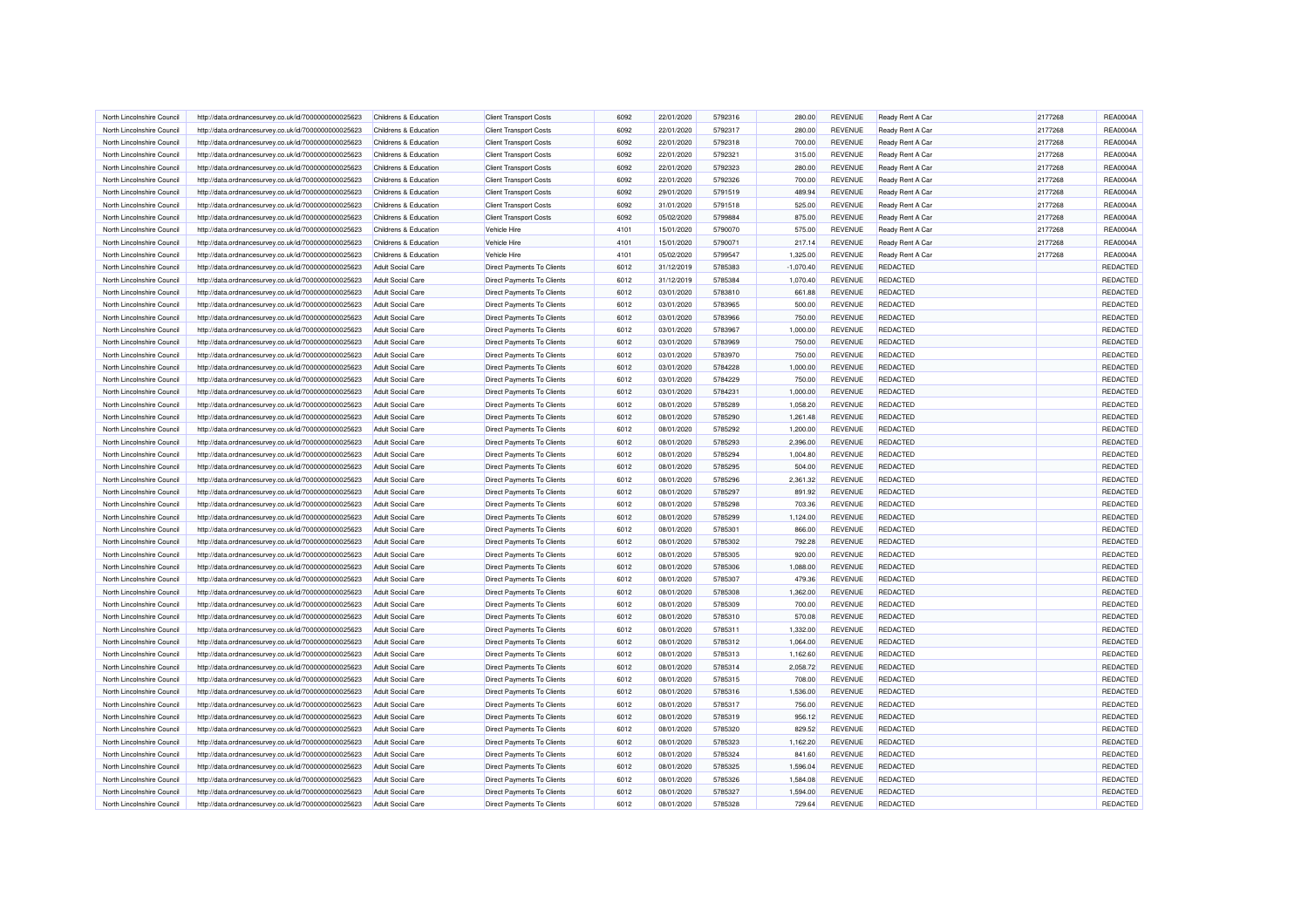| North Lincolnshire Council                               | http://data.ordnancesurvey.co.uk/id/7000000000025623 | Childrens & Education                         | <b>Client Transport Costs</b>     | 6092         | 22/01/2020 | 5792316            | 280.00      | REVENUE        | Ready Rent A Car        | 2177268 | <b>REA0004A</b> |
|----------------------------------------------------------|------------------------------------------------------|-----------------------------------------------|-----------------------------------|--------------|------------|--------------------|-------------|----------------|-------------------------|---------|-----------------|
| North Lincolnshire Council                               | http://data.ordnancesurvey.co.uk/id/7000000000025623 | Childrens & Education                         | <b>Client Transport Costs</b>     | 6092         | 22/01/2020 | 5792317            | 280.00      | <b>REVENUE</b> | Ready Rent A Car        | 2177268 | <b>REA0004A</b> |
| North Lincolnshire Council                               | http://data.ordnancesurvey.co.uk/id/7000000000025623 | Childrens & Education                         | <b>Client Transport Costs</b>     | 6092         | 22/01/2020 | 5792318            | 700.00      | <b>REVENUE</b> | Ready Rent A Car        | 2177268 | <b>REA0004A</b> |
| North Lincolnshire Council                               | http://data.ordnancesurvey.co.uk/id/7000000000025623 | Childrens & Education                         | <b>Client Transport Costs</b>     | 6092         | 22/01/2020 | 5792321            | 315.00      | <b>REVENUE</b> | <b>Ready Rent A Car</b> | 2177268 | <b>REA0004A</b> |
| North Lincolnshire Council                               | http://data.ordnancesurvey.co.uk/id/7000000000025623 | Childrens & Education                         | <b>Client Transport Costs</b>     | 6092         | 22/01/2020 | 5792323            | 280.00      | <b>REVENUE</b> | Ready Rent A Car        | 2177268 | <b>REA0004A</b> |
| North Lincolnshire Council                               | http://data.ordnancesurvey.co.uk/id/7000000000025623 | Childrens & Education                         | <b>Client Transport Costs</b>     | 6092         | 22/01/2020 | 5792326            | 700.00      | <b>REVENUE</b> | <b>Ready Rent A Car</b> | 2177268 | <b>REA0004A</b> |
| North Lincolnshire Council                               | http://data.ordnancesurvey.co.uk/id/7000000000025623 | Childrens & Education                         | <b>Client Transport Costs</b>     | 6092         | 29/01/2020 | 5791519            | 489.94      | <b>REVENUE</b> | Ready Rent A Car        | 2177268 | <b>REA0004A</b> |
| North Lincolnshire Council                               | http://data.ordnancesurvey.co.uk/id/7000000000025623 | Childrens & Education                         | <b>Client Transport Costs</b>     | 6092         | 31/01/2020 | 5791518            | 525.00      | <b>REVENUE</b> | Ready Rent A Car        | 2177268 | <b>REA0004A</b> |
| North Lincolnshire Council                               | http://data.ordnancesurvey.co.uk/id/7000000000025623 | Childrens & Education                         | <b>Client Transport Costs</b>     | 6092         | 05/02/2020 | 5799884            | 875.00      | <b>REVENUE</b> | Ready Rent A Car        | 2177268 | <b>REA0004A</b> |
| North Lincolnshire Council                               | http://data.ordnancesurvey.co.uk/id/7000000000025623 | Childrens & Education                         | Vehicle Hire                      | 4101         | 15/01/2020 | 5790070            | 575.00      | <b>REVENUE</b> | Ready Rent A Car        | 2177268 | <b>REA0004A</b> |
| North Lincolnshire Council                               | http://data.ordnancesurvey.co.uk/id/7000000000025623 | Childrens & Education                         | Vehicle Hire                      | 4101         | 15/01/2020 | 5790071            | 217.14      | <b>REVENUE</b> | Ready Rent A Car        | 2177268 | <b>REA0004A</b> |
| North Lincolnshire Council                               | http://data.ordnancesurvey.co.uk/id/7000000000025623 | Childrens & Education                         | Vehicle Hire                      | 4101         | 05/02/2020 | 5799547            | 1,325.00    | <b>REVENUE</b> | Ready Rent A Car        | 2177268 | <b>REA0004A</b> |
|                                                          |                                                      |                                               | <b>Direct Payments To Clients</b> | 6012         | 31/12/2019 | 5785383            | $-1,070.40$ | <b>REVENUE</b> | <b>REDACTED</b>         |         | REDACTED        |
| North Lincolnshire Council<br>North Lincolnshire Council | http://data.ordnancesurvey.co.uk/id/7000000000025623 | <b>Adult Social Care</b><br>Adult Social Care |                                   | 6012         |            | 5785384            | 1.070.40    | <b>REVENUE</b> | <b>REDACTED</b>         |         | REDACTED        |
|                                                          | http://data.ordnancesurvey.co.uk/id/7000000000025623 |                                               | <b>Direct Payments To Clients</b> |              | 31/12/2019 |                    |             |                |                         |         |                 |
| North Lincolnshire Council                               | http://data.ordnancesurvey.co.uk/id/7000000000025623 | <b>Adult Social Care</b>                      | Direct Payments To Clients        | 6012         | 03/01/2020 | 5783810            | 661.88      | REVENUE        | REDACTED                |         | REDACTED        |
| North Lincolnshire Council                               | http://data.ordnancesurvey.co.uk/id/7000000000025623 | <b>Adult Social Care</b>                      | Direct Payments To Clients        | 6012         | 03/01/2020 | 5783965            | 500.00      | <b>REVENUE</b> | <b>REDACTED</b>         |         | <b>REDACTED</b> |
| North Lincolnshire Council                               | http://data.ordnancesurvey.co.uk/id/7000000000025623 | <b>Adult Social Care</b>                      | <b>Direct Payments To Clients</b> | 6012         | 03/01/2020 | 5783966            | 750.00      | <b>REVENUE</b> | <b>REDACTED</b>         |         | REDACTED        |
| North Lincolnshire Council                               | http://data.ordnancesurvey.co.uk/id/7000000000025623 | <b>Adult Social Care</b>                      | Direct Payments To Clients        | 6012         | 03/01/2020 | 5783967            | 1,000.00    | <b>REVENUE</b> | REDACTED                |         | <b>REDACTED</b> |
| North Lincolnshire Council                               | http://data.ordnancesurvey.co.uk/id/7000000000025623 | <b>Adult Social Care</b>                      | Direct Payments To Clients        | 6012         | 03/01/2020 | 5783969            | 750.00      | <b>REVENUE</b> | <b>REDACTED</b>         |         | <b>REDACTED</b> |
| North Lincolnshire Council                               | http://data.ordnancesurvey.co.uk/id/7000000000025623 | Adult Social Care                             | <b>Direct Payments To Clients</b> | 6012         | 03/01/2020 | 5783970            | 750.00      | <b>REVENUE</b> | <b>REDACTED</b>         |         | REDACTED        |
| North Lincolnshire Council                               | http://data.ordnancesurvey.co.uk/id/7000000000025623 | <b>Adult Social Care</b>                      | <b>Direct Payments To Clients</b> | 6012         | 03/01/2020 | 5784228            | 1,000.00    | <b>REVENUE</b> | REDACTED                |         | REDACTED        |
| North Lincolnshire Council                               | http://data.ordnancesurvey.co.uk/id/7000000000025623 | <b>Adult Social Care</b>                      | Direct Payments To Clients        | 6012         | 03/01/2020 | 5784229            | 750.00      | <b>REVENUE</b> | <b>REDACTED</b>         |         | REDACTED        |
| North Lincolnshire Council                               | http://data.ordnancesurvey.co.uk/id/7000000000025623 | <b>Adult Social Care</b>                      | <b>Direct Payments To Clients</b> | 6012         | 03/01/2020 | 5784231            | 1,000.00    | <b>REVENUE</b> | <b>REDACTED</b>         |         | REDACTED        |
| North Lincolnshire Council                               | http://data.ordnancesurvey.co.uk/id/7000000000025623 | <b>Adult Social Care</b>                      | Direct Payments To Clients        | 6012         | 08/01/2020 | 5785289            | 1,058.20    | <b>REVENUE</b> | REDACTED                |         | <b>REDACTED</b> |
| North Lincolnshire Council                               | http://data.ordnancesurvey.co.uk/id/7000000000025623 | <b>Adult Social Care</b>                      | Direct Payments To Clients        | 6012         | 08/01/2020 | 5785290            | 1,261.48    | <b>REVENUE</b> | <b>REDACTED</b>         |         | REDACTED        |
| North Lincolnshire Council                               | http://data.ordnancesurvey.co.uk/id/7000000000025623 | Adult Social Care                             | <b>Direct Payments To Clients</b> | 6012         | 08/01/2020 | 5785292            | 1,200.00    | <b>REVENUE</b> | <b>REDACTED</b>         |         | REDACTED        |
| North Lincolnshire Council                               | http://data.ordnancesurvey.co.uk/id/7000000000025623 | <b>Adult Social Care</b>                      | <b>Direct Payments To Clients</b> | 6012         | 08/01/2020 | 5785293            | 2,396.00    | <b>REVENUE</b> | REDACTED                |         | REDACTED        |
| North Lincolnshire Council                               | http://data.ordnancesurvey.co.uk/id/7000000000025623 | <b>Adult Social Care</b>                      | Direct Payments To Clients        | 6012         | 08/01/2020 | 5785294            | 1,004.80    | <b>REVENUE</b> | <b>REDACTED</b>         |         | REDACTED        |
| North Lincolnshire Council                               | http://data.ordnancesurvey.co.uk/id/7000000000025623 | <b>Adult Social Care</b>                      | <b>Direct Payments To Clients</b> | 6012         | 08/01/2020 | 5785295            | 504.00      | <b>REVENUE</b> | <b>REDACTED</b>         |         | REDACTED        |
| North Lincolnshire Council                               | http://data.ordnancesurvey.co.uk/id/7000000000025623 | Adult Social Care                             | Direct Payments To Clients        | 6012         | 08/01/2020 | 5785296            | 2,361.32    | <b>REVENUE</b> | REDACTED                |         | <b>REDACTED</b> |
| North Lincolnshire Council                               | http://data.ordnancesurvey.co.uk/id/7000000000025623 | <b>Adult Social Care</b>                      | Direct Payments To Clients        | 6012         | 08/01/2020 | 5785297            | 891.92      | <b>REVENUE</b> | <b>REDACTED</b>         |         | <b>REDACTED</b> |
| North Lincolnshire Council                               | http://data.ordnancesurvey.co.uk/id/7000000000025623 | <b>Adult Social Care</b>                      | <b>Direct Payments To Clients</b> | 6012         | 08/01/2020 | 5785298            | 703.36      | <b>REVENUE</b> | <b>REDACTED</b>         |         | REDACTED        |
| North Lincolnshire Council                               | http://data.ordnancesurvey.co.uk/id/7000000000025623 | <b>Adult Social Care</b>                      | Direct Payments To Clients        | 6012         | 08/01/2020 | 5785299            | 1,124.00    | <b>REVENUE</b> | REDACTED                |         | REDACTED        |
| North Lincolnshire Council                               | http://data.ordnancesurvey.co.uk/id/7000000000025623 | <b>Adult Social Care</b>                      | Direct Payments To Clients        | 6012         | 08/01/2020 | 5785301            | 866.00      | <b>REVENUE</b> | <b>REDACTED</b>         |         | <b>REDACTED</b> |
| North Lincolnshire Council                               | http://data.ordnancesurvey.co.uk/id/7000000000025623 | Adult Social Care                             | <b>Direct Payments To Clients</b> | 6012         | 08/01/2020 | 5785302            | 792.28      | <b>REVENUE</b> | <b>REDACTED</b>         |         | REDACTED        |
| North Lincolnshire Council                               | http://data.ordnancesurvey.co.uk/id/7000000000025623 | Adult Social Care                             | Direct Payments To Clients        | 6012         | 08/01/2020 | 5785305            | 920.00      | <b>REVENUE</b> | REDACTED                |         | <b>REDACTED</b> |
|                                                          |                                                      |                                               | Direct Payments To Clients        | 6012         | 08/01/2020 | 5785306            | 1,088.00    | <b>REVENUE</b> | <b>REDACTED</b>         |         | REDACTED        |
| North Lincolnshire Council                               | http://data.ordnancesurvey.co.uk/id/7000000000025623 | <b>Adult Social Care</b>                      |                                   |              |            |                    |             |                |                         |         |                 |
| North Lincolnshire Council<br>North Lincolnshire Council | http://data.ordnancesurvey.co.uk/id/7000000000025623 | <b>Adult Social Care</b>                      | <b>Direct Payments To Clients</b> | 6012<br>6012 | 08/01/2020 | 5785307<br>5785308 | 479.36      | <b>REVENUE</b> | <b>REDACTED</b>         |         | REDACTED        |
|                                                          | http://data.ordnancesurvey.co.uk/id/7000000000025623 | <b>Adult Social Care</b>                      | <b>Direct Payments To Clients</b> |              | 08/01/2020 |                    | 1,362.00    | <b>REVENUE</b> | REDACTED                |         | REDACTED        |
| North Lincolnshire Council                               | http://data.ordnancesurvey.co.uk/id/7000000000025623 | <b>Adult Social Care</b>                      | <b>Direct Payments To Clients</b> | 6012         | 08/01/2020 | 5785309            | 700.00      | <b>REVENUE</b> | <b>REDACTED</b>         |         | <b>REDACTED</b> |
| North Lincolnshire Council                               | http://data.ordnancesurvey.co.uk/id/7000000000025623 | <b>Adult Social Care</b>                      | <b>Direct Payments To Clients</b> | 6012         | 08/01/2020 | 5785310            | 570.08      | <b>REVENUE</b> | <b>REDACTED</b>         |         | REDACTED        |
| North Lincolnshire Council                               | http://data.ordnancesurvey.co.uk/id/7000000000025623 | <b>Adult Social Care</b>                      | <b>Direct Payments To Clients</b> | 6012         | 08/01/2020 | 5785311            | 1,332.00    | <b>REVENUE</b> | REDACTED                |         | <b>REDACTED</b> |
| North Lincolnshire Council                               | http://data.ordnancesurvey.co.uk/id/7000000000025623 | <b>Adult Social Care</b>                      | Direct Payments To Clients        | 6012         | 08/01/2020 | 5785312            | 1,064.00    | REVENUE        | REDACTED                |         | REDACTED        |
| North Lincolnshire Council                               | http://data.ordnancesurvey.co.uk/id/7000000000025623 | <b>Adult Social Care</b>                      | <b>Direct Payments To Clients</b> | 6012         | 08/01/2020 | 5785313            | 1,162.60    | <b>REVENUE</b> | <b>REDACTED</b>         |         | REDACTED        |
| North Lincolnshire Council                               | http://data.ordnancesurvey.co.uk/id/7000000000025623 | <b>Adult Social Care</b>                      | Direct Payments To Clients        | 6012         | 08/01/2020 | 5785314            | 2,058.72    | <b>REVENUE</b> | REDACTED                |         | <b>REDACTED</b> |
| North Lincolnshire Council                               | http://data.ordnancesurvey.co.uk/id/7000000000025623 | <b>Adult Social Care</b>                      | Direct Payments To Clients        | 6012         | 08/01/2020 | 5785315            | 708.00      | <b>REVENUE</b> | REDACTED                |         | REDACTED        |
| North Lincolnshire Council                               | http://data.ordnancesurvey.co.uk/id/7000000000025623 | <b>Adult Social Care</b>                      | <b>Direct Payments To Clients</b> | 6012         | 08/01/2020 | 5785316            | 1,536.00    | <b>REVENUE</b> | <b>REDACTED</b>         |         | <b>REDACTED</b> |
| North Lincolnshire Council                               | http://data.ordnancesurvey.co.uk/id/7000000000025623 | <b>Adult Social Care</b>                      | <b>Direct Payments To Clients</b> | 6012         | 08/01/2020 | 5785317            | 756.00      | <b>REVENUE</b> | REDACTED                |         | <b>REDACTED</b> |
| North Lincolnshire Council                               | http://data.ordnancesurvey.co.uk/id/7000000000025623 | <b>Adult Social Care</b>                      | <b>Direct Payments To Clients</b> | 6012         | 08/01/2020 | 5785319            | 956.12      | <b>REVENUE</b> | REDACTED                |         | REDACTED        |
| North Lincolnshire Council                               | http://data.ordnancesurvey.co.uk/id/7000000000025623 | <b>Adult Social Care</b>                      | Direct Payments To Clients        | 6012         | 08/01/2020 | 5785320            | 829.52      | <b>REVENUE</b> | <b>REDACTED</b>         |         | REDACTED        |
| North Lincolnshire Council                               | http://data.ordnancesurvey.co.uk/id/7000000000025623 | <b>Adult Social Care</b>                      | Direct Payments To Clients        | 6012         | 08/01/2020 | 5785323            | 1,162.20    | <b>REVENUE</b> | <b>REDACTED</b>         |         | <b>REDACTED</b> |
| North Lincolnshire Council                               | http://data.ordnancesurvey.co.uk/id/7000000000025623 | <b>Adult Social Care</b>                      | Direct Payments To Clients        | 6012         | 08/01/2020 | 5785324            | 841.60      | <b>REVENUE</b> | REDACTED                |         | REDACTED        |
| North Lincolnshire Council                               | http://data.ordnancesurvey.co.uk/id/7000000000025623 | <b>Adult Social Care</b>                      | <b>Direct Payments To Clients</b> | 6012         | 08/01/2020 | 5785325            | 1,596.04    | <b>REVENUE</b> | <b>REDACTED</b>         |         | REDACTED        |
| North Lincolnshire Council                               | http://data.ordnancesurvey.co.uk/id/7000000000025623 | Adult Social Care                             | <b>Direct Payments To Clients</b> | 6012         | 08/01/2020 | 5785326            | 1.584.08    | <b>REVENUE</b> | <b>REDACTED</b>         |         | REDACTED        |
| North Lincolnshire Council                               | http://data.ordnancesurvey.co.uk/id/7000000000025623 | <b>Adult Social Care</b>                      | <b>Direct Payments To Clients</b> | 6012         | 08/01/2020 | 5785327            | 1,594.00    | <b>REVENUE</b> | <b>REDACTED</b>         |         | REDACTED        |
| North Lincolnshire Council                               | http://data.ordnancesurvey.co.uk/id/7000000000025623 | Adult Social Care                             | <b>Direct Payments To Clients</b> | 6012         | 08/01/2020 | 5785328            | 729.64      | <b>REVENUE</b> | <b>REDACTED</b>         |         | REDACTED        |
|                                                          |                                                      |                                               |                                   |              |            |                    |             |                |                         |         |                 |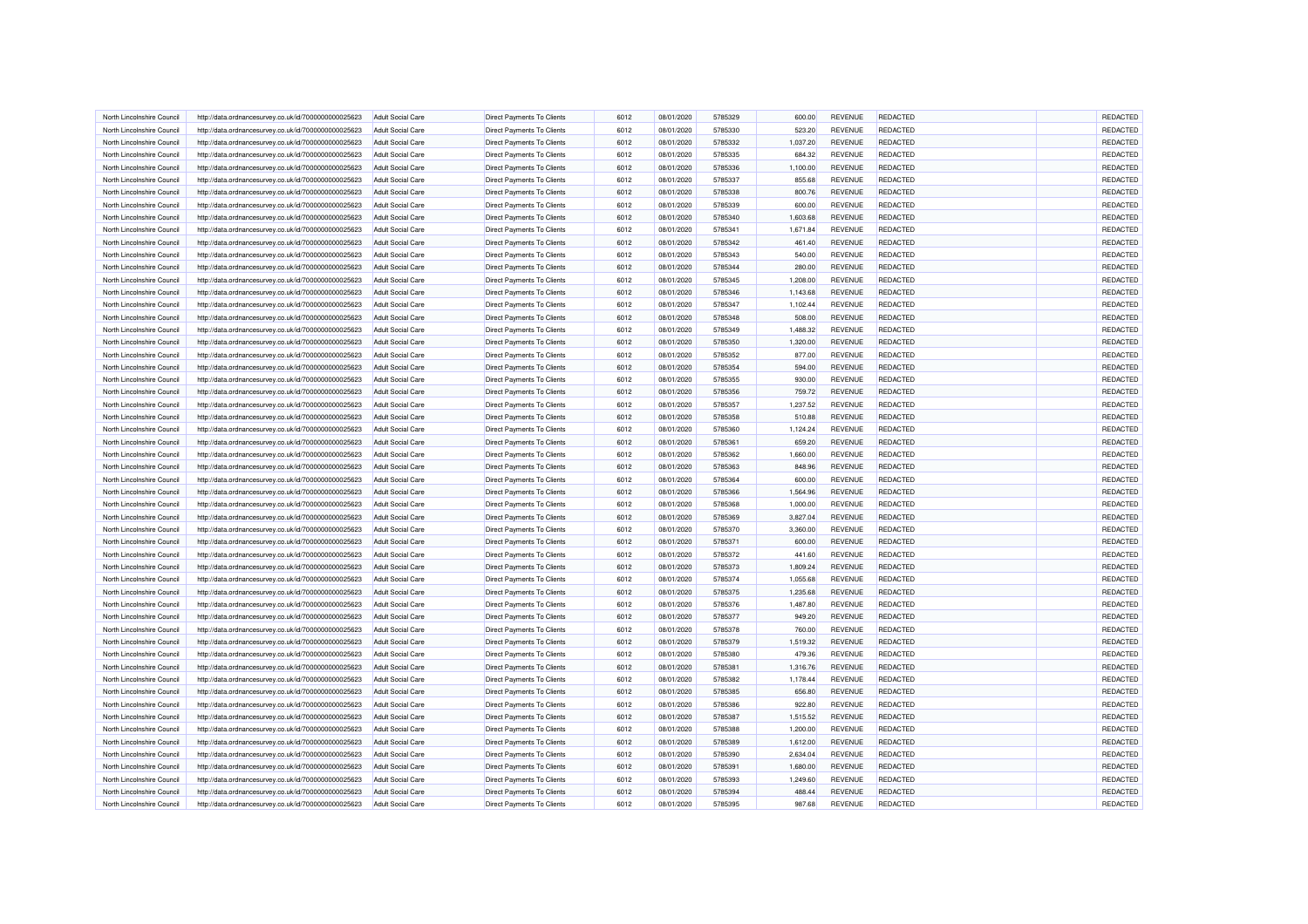| North Lincolnshire Council                               | http://data.ordnancesurvey.co.uk/id/7000000000025623 | <b>Adult Social Care</b>                      | Direct Payments To Clients        | 6012         | 08/01/2020               | 5785329 | 600.00             | REVENUE                   | <b>REDACTED</b>                    | REDACTED             |
|----------------------------------------------------------|------------------------------------------------------|-----------------------------------------------|-----------------------------------|--------------|--------------------------|---------|--------------------|---------------------------|------------------------------------|----------------------|
| North Lincolnshire Council                               | http://data.ordnancesurvey.co.uk/id/7000000000025623 | <b>Adult Social Care</b>                      | <b>Direct Payments To Clients</b> | 6012         | 08/01/2020               | 5785330 | 523.20             | <b>REVENUE</b>            | <b>REDACTED</b>                    | REDACTED             |
| North Lincolnshire Council                               | http://data.ordnancesurvey.co.uk/id/7000000000025623 | Adult Social Care                             | Direct Payments To Clients        | 6012         | 08/01/2020               | 5785332 | 1,037.20           | <b>REVENUE</b>            | REDACTED                           | REDACTED             |
| North Lincolnshire Council                               | http://data.ordnancesurvey.co.uk/id/7000000000025623 | <b>Adult Social Care</b>                      | <b>Direct Payments To Clients</b> | 6012         | 08/01/2020               | 5785335 | 684.32             | <b>REVENUE</b>            | <b>REDACTED</b>                    | <b>REDACTED</b>      |
| North Lincolnshire Council                               | http://data.ordnancesurvey.co.uk/id/7000000000025623 | <b>Adult Social Care</b>                      | <b>Direct Payments To Clients</b> | 6012         | 08/01/2020               | 5785336 | 1,100.00           | <b>REVENUE</b>            | <b>REDACTED</b>                    | REDACTED             |
| North Lincolnshire Council                               | http://data.ordnancesurvey.co.uk/id/7000000000025623 | <b>Adult Social Care</b>                      | <b>Direct Payments To Clients</b> | 6012         | 08/01/2020               | 5785337 | 855.68             | <b>REVENUE</b>            | REDACTED                           | <b>REDACTED</b>      |
| North Lincolnshire Council                               | http://data.ordnancesurvey.co.uk/id/7000000000025623 | <b>Adult Social Care</b>                      | Direct Payments To Clients        | 6012         | 08/01/2020               | 5785338 | 800.76             | <b>REVENUE</b>            | <b>REDACTED</b>                    | <b>REDACTED</b>      |
| North Lincolnshire Council                               | http://data.ordnancesurvey.co.uk/id/7000000000025623 | <b>Adult Social Care</b>                      | Direct Payments To Clients        | 6012         | 08/01/2020               | 5785339 | 600.00             | <b>REVENUE</b>            | <b>REDACTED</b>                    | REDACTED             |
| North Lincolnshire Council                               | http://data.ordnancesurvey.co.uk/id/7000000000025623 | <b>Adult Social Care</b>                      | Direct Payments To Clients        | 6012         | 08/01/2020               | 5785340 | 1,603.68           | <b>REVENUE</b>            | REDACTED                           | REDACTED             |
| North Lincolnshire Council                               | http://data.ordnancesurvey.co.uk/id/7000000000025623 | <b>Adult Social Care</b>                      | Direct Payments To Clients        | 6012         | 08/01/2020               | 5785341 | 1,671.84           | <b>REVENUE</b>            | <b>REDACTED</b>                    | REDACTED             |
| North Lincolnshire Council                               | http://data.ordnancesurvey.co.uk/id/7000000000025623 | <b>Adult Social Care</b>                      | <b>Direct Payments To Clients</b> | 6012         | 08/01/2020               | 5785342 | 461.40             | <b>REVENUE</b>            | <b>REDACTED</b>                    | REDACTED             |
| North Lincolnshire Council                               | http://data.ordnancesurvey.co.uk/id/7000000000025623 | <b>Adult Social Care</b>                      | Direct Payments To Clients        | 6012         | 08/01/2020               | 5785343 | 540.00             | <b>REVENUE</b>            | REDACTED                           | <b>REDACTED</b>      |
|                                                          |                                                      |                                               |                                   |              |                          | 5785344 |                    |                           |                                    |                      |
| North Lincolnshire Council<br>North Lincolnshire Council | http://data.ordnancesurvey.co.uk/id/7000000000025623 | <b>Adult Social Care</b><br>Adult Social Care | <b>Direct Payments To Clients</b> | 6012<br>6012 | 08/01/2020<br>08/01/2020 | 5785345 | 280.00<br>1.208.00 | REVENUE<br><b>REVENUE</b> | <b>REDACTED</b><br><b>REDACTED</b> | REDACTED<br>REDACTED |
|                                                          | http://data.ordnancesurvey.co.uk/id/7000000000025623 |                                               | <b>Direct Payments To Clients</b> |              |                          |         |                    |                           |                                    |                      |
| North Lincolnshire Council                               | http://data.ordnancesurvey.co.uk/id/7000000000025623 | <b>Adult Social Care</b>                      | Direct Payments To Clients        | 6012         | 08/01/2020               | 5785346 | 1,143.68           | REVENUE                   | REDACTED                           | REDACTED             |
| North Lincolnshire Council                               | http://data.ordnancesurvey.co.uk/id/7000000000025623 | <b>Adult Social Care</b>                      | Direct Payments To Clients        | 6012         | 08/01/2020               | 5785347 | 1,102.44           | <b>REVENUE</b>            | <b>REDACTED</b>                    | REDACTED             |
| North Lincolnshire Council                               | http://data.ordnancesurvey.co.uk/id/7000000000025623 | <b>Adult Social Care</b>                      | <b>Direct Payments To Clients</b> | 6012         | 08/01/2020               | 5785348 | 508.00             | <b>REVENUE</b>            | <b>REDACTED</b>                    | REDACTED             |
| North Lincolnshire Council                               | http://data.ordnancesurvey.co.uk/id/7000000000025623 | <b>Adult Social Care</b>                      | Direct Payments To Clients        | 6012         | 08/01/2020               | 5785349 | 1,488.32           | <b>REVENUE</b>            | REDACTED                           | <b>REDACTED</b>      |
| North Lincolnshire Council                               | http://data.ordnancesurvey.co.uk/id/7000000000025623 | <b>Adult Social Care</b>                      | Direct Payments To Clients        | 6012         | 08/01/2020               | 5785350 | 1,320.00           | <b>REVENUE</b>            | <b>REDACTED</b>                    | <b>REDACTED</b>      |
| North Lincolnshire Council                               | http://data.ordnancesurvey.co.uk/id/7000000000025623 | Adult Social Care                             | <b>Direct Payments To Clients</b> | 6012         | 08/01/2020               | 5785352 | 877.00             | <b>REVENUE</b>            | <b>REDACTED</b>                    | REDACTED             |
| North Lincolnshire Council                               | http://data.ordnancesurvey.co.uk/id/7000000000025623 | <b>Adult Social Care</b>                      | <b>Direct Payments To Clients</b> | 6012         | 08/01/2020               | 5785354 | 594.00             | <b>REVENUE</b>            | REDACTED                           | REDACTED             |
| North Lincolnshire Council                               | http://data.ordnancesurvey.co.uk/id/7000000000025623 | <b>Adult Social Care</b>                      | Direct Payments To Clients        | 6012         | 08/01/2020               | 5785355 | 930.00             | <b>REVENUE</b>            | <b>REDACTED</b>                    | REDACTED             |
| North Lincolnshire Council                               | http://data.ordnancesurvey.co.uk/id/7000000000025623 | <b>Adult Social Care</b>                      | <b>Direct Payments To Clients</b> | 6012         | 08/01/2020               | 5785356 | 759.72             | <b>REVENUE</b>            | <b>REDACTED</b>                    | REDACTED             |
| North Lincolnshire Council                               | http://data.ordnancesurvey.co.uk/id/7000000000025623 | <b>Adult Social Care</b>                      | Direct Payments To Clients        | 6012         | 08/01/2020               | 5785357 | 1,237.52           | <b>REVENUE</b>            | REDACTED                           | REDACTED             |
| North Lincolnshire Council                               | http://data.ordnancesurvey.co.uk/id/7000000000025623 | <b>Adult Social Care</b>                      | Direct Payments To Clients        | 6012         | 08/01/2020               | 5785358 | 510.88             | <b>REVENUE</b>            | <b>REDACTED</b>                    | REDACTED             |
| North Lincolnshire Council                               | http://data.ordnancesurvey.co.uk/id/7000000000025623 | Adult Social Care                             | <b>Direct Payments To Clients</b> | 6012         | 08/01/2020               | 5785360 | 1,124.24           | <b>REVENUE</b>            | <b>REDACTED</b>                    | REDACTED             |
| North Lincolnshire Council                               | http://data.ordnancesurvey.co.uk/id/7000000000025623 | <b>Adult Social Care</b>                      | <b>Direct Payments To Clients</b> | 6012         | 08/01/2020               | 5785361 | 659.20             | <b>REVENUE</b>            | REDACTED                           | REDACTED             |
| North Lincolnshire Council                               | http://data.ordnancesurvey.co.uk/id/7000000000025623 | <b>Adult Social Care</b>                      | <b>Direct Payments To Clients</b> | 6012         | 08/01/2020               | 5785362 | 1,660.00           | <b>REVENUE</b>            | <b>REDACTED</b>                    | REDACTED             |
| North Lincolnshire Council                               | http://data.ordnancesurvey.co.uk/id/7000000000025623 | <b>Adult Social Care</b>                      | <b>Direct Payments To Clients</b> | 6012         | 08/01/2020               | 5785363 | 848.96             | <b>REVENUE</b>            | <b>REDACTED</b>                    | REDACTED             |
| North Lincolnshire Council                               | http://data.ordnancesurvey.co.uk/id/7000000000025623 | <b>Adult Social Care</b>                      | Direct Payments To Clients        | 6012         | 08/01/2020               | 5785364 | 600.00             | <b>REVENUE</b>            | REDACTED                           | <b>REDACTED</b>      |
| North Lincolnshire Council                               | http://data.ordnancesurvey.co.uk/id/7000000000025623 | <b>Adult Social Care</b>                      | Direct Payments To Clients        | 6012         | 08/01/2020               | 5785366 | 1,564.96           | <b>REVENUE</b>            | <b>REDACTED</b>                    | <b>REDACTED</b>      |
| North Lincolnshire Council                               | http://data.ordnancesurvey.co.uk/id/7000000000025623 | <b>Adult Social Care</b>                      | <b>Direct Payments To Clients</b> | 6012         | 08/01/2020               | 5785368 | 1,000.00           | <b>REVENUE</b>            | <b>REDACTED</b>                    | REDACTED             |
| North Lincolnshire Council                               | http://data.ordnancesurvey.co.uk/id/7000000000025623 | <b>Adult Social Care</b>                      | Direct Payments To Clients        | 6012         | 08/01/2020               | 5785369 | 3,827.04           | <b>REVENUE</b>            | REDACTED                           | REDACTED             |
| North Lincolnshire Council                               | http://data.ordnancesurvey.co.uk/id/7000000000025623 | <b>Adult Social Care</b>                      | <b>Direct Payments To Clients</b> | 6012         | 08/01/2020               | 5785370 | 3,360.00           | <b>REVENUE</b>            | <b>REDACTED</b>                    | REDACTED             |
| North Lincolnshire Council                               | http://data.ordnancesurvey.co.uk/id/7000000000025623 | Adult Social Care                             | <b>Direct Payments To Clients</b> | 6012         | 08/01/2020               | 5785371 | 600.00             | <b>REVENUE</b>            | <b>REDACTED</b>                    | REDACTED             |
| North Lincolnshire Council                               | http://data.ordnancesurvey.co.uk/id/7000000000025623 | Adult Social Care                             | Direct Payments To Clients        | 6012         | 08/01/2020               | 5785372 | 441.60             | <b>REVENUE</b>            | REDACTED                           | <b>REDACTED</b>      |
|                                                          |                                                      |                                               | Direct Payments To Clients        | 6012         | 08/01/2020               | 5785373 | 1,809.24           | <b>REVENUE</b>            | <b>REDACTED</b>                    | REDACTED             |
| North Lincolnshire Council                               | http://data.ordnancesurvey.co.uk/id/7000000000025623 | <b>Adult Social Care</b>                      |                                   |              |                          |         |                    |                           |                                    |                      |
| North Lincolnshire Council<br>North Lincolnshire Council | http://data.ordnancesurvey.co.uk/id/7000000000025623 | <b>Adult Social Care</b>                      | <b>Direct Payments To Clients</b> | 6012<br>6012 | 08/01/2020               | 5785374 | 1,055.68           | <b>REVENUE</b>            | <b>REDACTED</b>                    | REDACTED             |
|                                                          | http://data.ordnancesurvey.co.uk/id/7000000000025623 | <b>Adult Social Care</b>                      | <b>Direct Payments To Clients</b> |              | 08/01/2020               | 5785375 | 1,235.68           | <b>REVENUE</b>            | REDACTED                           | REDACTED             |
| North Lincolnshire Council                               | http://data.ordnancesurvey.co.uk/id/7000000000025623 | <b>Adult Social Care</b>                      | <b>Direct Payments To Clients</b> | 6012         | 08/01/2020               | 5785376 | 1,487.80           | <b>REVENUE</b>            | <b>REDACTED</b>                    | <b>REDACTED</b>      |
| North Lincolnshire Council                               | http://data.ordnancesurvey.co.uk/id/7000000000025623 | <b>Adult Social Care</b>                      | <b>Direct Payments To Clients</b> | 6012         | 08/01/2020               | 5785377 | 949.20             | <b>REVENUE</b>            | <b>REDACTED</b>                    | REDACTED             |
| North Lincolnshire Council                               | http://data.ordnancesurvey.co.uk/id/7000000000025623 | <b>Adult Social Care</b>                      | <b>Direct Payments To Clients</b> | 6012         | 08/01/2020               | 5785378 | 760.00             | <b>REVENUE</b>            | <b>REDACTED</b>                    | <b>REDACTED</b>      |
| North Lincolnshire Council                               | http://data.ordnancesurvey.co.uk/id/7000000000025623 | <b>Adult Social Care</b>                      | Direct Payments To Clients        | 6012         | 08/01/2020               | 5785379 | 1,519.32           | REVENUE                   | REDACTED                           | REDACTED             |
| North Lincolnshire Council                               | http://data.ordnancesurvey.co.uk/id/7000000000025623 | <b>Adult Social Care</b>                      | <b>Direct Payments To Clients</b> | 6012         | 08/01/2020               | 5785380 | 479.36             | <b>REVENUE</b>            | <b>REDACTED</b>                    | REDACTED             |
| North Lincolnshire Council                               | http://data.ordnancesurvey.co.uk/id/7000000000025623 | <b>Adult Social Care</b>                      | Direct Payments To Clients        | 6012         | 08/01/2020               | 5785381 | 1,316.76           | <b>REVENUE</b>            | REDACTED                           | REDACTED             |
| North Lincolnshire Council                               | http://data.ordnancesurvey.co.uk/id/7000000000025623 | <b>Adult Social Care</b>                      | Direct Payments To Clients        | 6012         | 08/01/2020               | 5785382 | 1,178.44           | <b>REVENUE</b>            | REDACTED                           | REDACTED             |
| North Lincolnshire Council                               | http://data.ordnancesurvey.co.uk/id/7000000000025623 | <b>Adult Social Care</b>                      | <b>Direct Payments To Clients</b> | 6012         | 08/01/2020               | 5785385 | 656.80             | <b>REVENUE</b>            | <b>REDACTED</b>                    | <b>REDACTED</b>      |
| North Lincolnshire Council                               | http://data.ordnancesurvey.co.uk/id/7000000000025623 | <b>Adult Social Care</b>                      | <b>Direct Payments To Clients</b> | 6012         | 08/01/2020               | 5785386 | 922.80             | <b>REVENUE</b>            | <b>REDACTED</b>                    | REDACTED             |
| North Lincolnshire Council                               | http://data.ordnancesurvey.co.uk/id/7000000000025623 | <b>Adult Social Care</b>                      | <b>Direct Payments To Clients</b> | 6012         | 08/01/2020               | 5785387 | 1,515.52           | <b>REVENUE</b>            | <b>REDACTED</b>                    | REDACTED             |
| North Lincolnshire Council                               | http://data.ordnancesurvey.co.uk/id/7000000000025623 | <b>Adult Social Care</b>                      | Direct Payments To Clients        | 6012         | 08/01/2020               | 5785388 | 1,200.00           | <b>REVENUE</b>            | <b>REDACTED</b>                    | REDACTED             |
| North Lincolnshire Council                               | http://data.ordnancesurvey.co.uk/id/7000000000025623 | <b>Adult Social Care</b>                      | Direct Payments To Clients        | 6012         | 08/01/2020               | 5785389 | 1,612.00           | <b>REVENUE</b>            | <b>REDACTED</b>                    | <b>REDACTED</b>      |
| North Lincolnshire Council                               | http://data.ordnancesurvey.co.uk/id/7000000000025623 | <b>Adult Social Care</b>                      | Direct Payments To Clients        | 6012         | 08/01/2020               | 5785390 | 2,634.04           | <b>REVENUE</b>            | REDACTED                           | REDACTED             |
| North Lincolnshire Council                               | http://data.ordnancesurvey.co.uk/id/7000000000025623 | <b>Adult Social Care</b>                      | <b>Direct Payments To Clients</b> | 6012         | 08/01/2020               | 5785391 | 1,680.00           | <b>REVENUE</b>            | <b>REDACTED</b>                    | REDACTED             |
| North Lincolnshire Council                               | http://data.ordnancesurvey.co.uk/id/7000000000025623 | Adult Social Care                             | <b>Direct Payments To Clients</b> | 6012         | 08/01/2020               | 5785393 | 1.249.60           | <b>REVENUE</b>            | <b>REDACTED</b>                    | REDACTED             |
| North Lincolnshire Council                               | http://data.ordnancesurvey.co.uk/id/7000000000025623 | <b>Adult Social Care</b>                      | <b>Direct Payments To Clients</b> | 6012         | 08/01/2020               | 5785394 | 488.44             | <b>REVENUE</b>            | <b>REDACTED</b>                    | REDACTED             |
| North Lincolnshire Council                               | http://data.ordnancesurvey.co.uk/id/7000000000025623 | <b>Adult Social Care</b>                      | <b>Direct Payments To Clients</b> | 6012         | 08/01/2020               | 5785395 | 987.68             | <b>REVENUE</b>            | <b>REDACTED</b>                    | REDACTED             |
|                                                          |                                                      |                                               |                                   |              |                          |         |                    |                           |                                    |                      |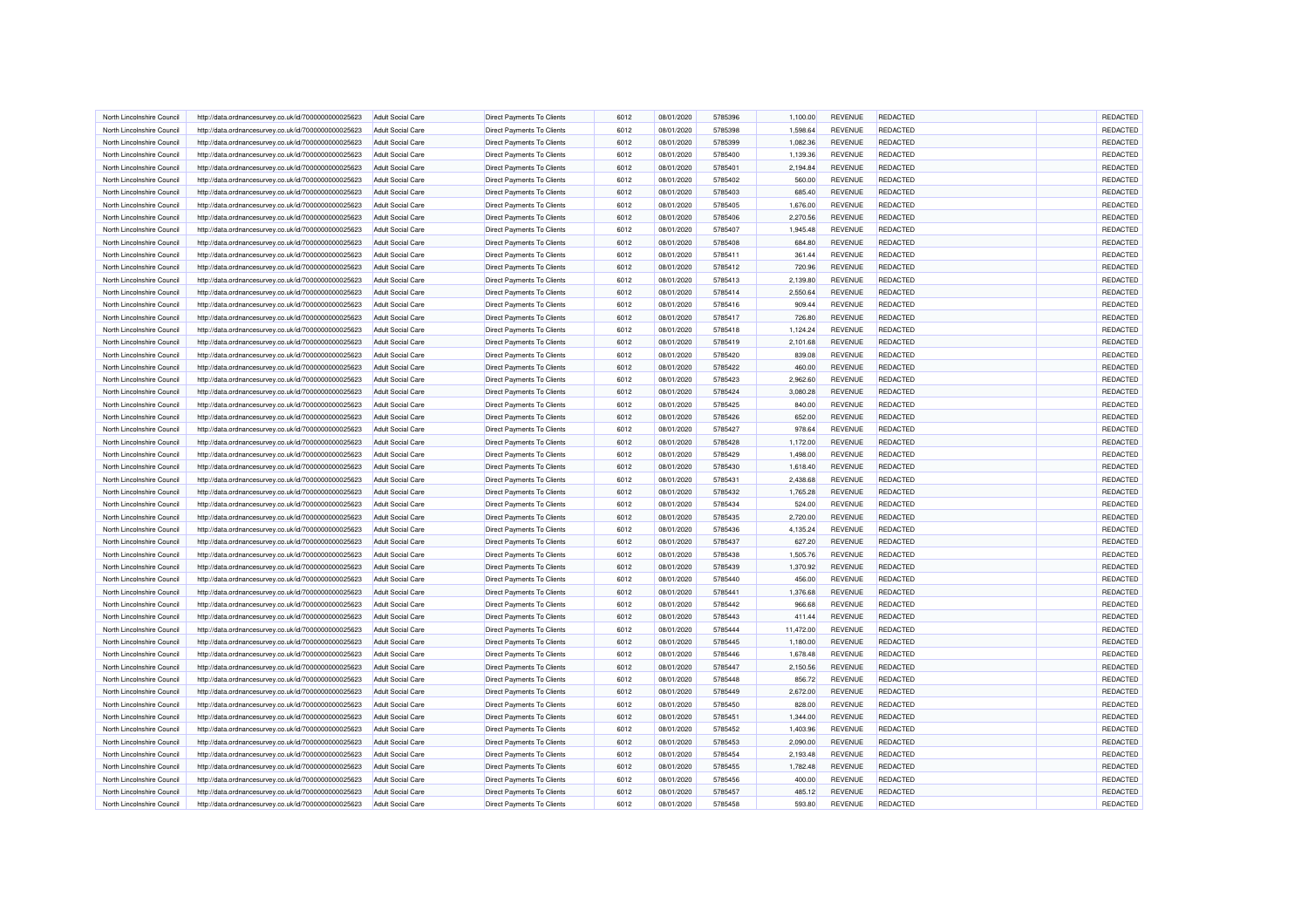| North Lincolnshire Council                               | http://data.ordnancesurvey.co.uk/id/7000000000025623 | <b>Adult Social Care</b> | Direct Payments To Clients        | 6012 | 08/01/2020 | 5785396            | 1,100.00  | REVENUE        | <b>REDACTED</b> | REDACTED        |
|----------------------------------------------------------|------------------------------------------------------|--------------------------|-----------------------------------|------|------------|--------------------|-----------|----------------|-----------------|-----------------|
| North Lincolnshire Council                               | http://data.ordnancesurvey.co.uk/id/7000000000025623 | <b>Adult Social Care</b> | <b>Direct Payments To Clients</b> | 6012 | 08/01/2020 | 5785398            | 1,598.64  | <b>REVENUE</b> | <b>REDACTED</b> | REDACTED        |
| North Lincolnshire Council                               | http://data.ordnancesurvey.co.uk/id/7000000000025623 | Adult Social Care        | Direct Payments To Clients        | 6012 | 08/01/2020 | 5785399            | 1,082.36  | <b>REVENUE</b> | REDACTED        | REDACTED        |
| North Lincolnshire Council                               | http://data.ordnancesurvey.co.uk/id/7000000000025623 | <b>Adult Social Care</b> | <b>Direct Payments To Clients</b> | 6012 | 08/01/2020 | 5785400            | 1,139.36  | <b>REVENUE</b> | <b>REDACTED</b> | <b>REDACTED</b> |
| North Lincolnshire Council                               | http://data.ordnancesurvey.co.uk/id/7000000000025623 | <b>Adult Social Care</b> | <b>Direct Payments To Clients</b> | 6012 | 08/01/2020 | 5785401            | 2,194.84  | <b>REVENUE</b> | <b>REDACTED</b> | REDACTED        |
| North Lincolnshire Council                               | http://data.ordnancesurvey.co.uk/id/7000000000025623 | <b>Adult Social Care</b> | <b>Direct Payments To Clients</b> | 6012 | 08/01/2020 | 5785402            | 560.00    | <b>REVENUE</b> | REDACTED        | <b>REDACTED</b> |
| North Lincolnshire Council                               | http://data.ordnancesurvey.co.uk/id/7000000000025623 | <b>Adult Social Care</b> | Direct Payments To Clients        | 6012 | 08/01/2020 | 5785403            | 685.40    | <b>REVENUE</b> | <b>REDACTED</b> | REDACTED        |
| North Lincolnshire Council                               | http://data.ordnancesurvey.co.uk/id/7000000000025623 | <b>Adult Social Care</b> | Direct Payments To Clients        | 6012 | 08/01/2020 | 5785405            | 1,676.00  | <b>REVENUE</b> | <b>REDACTED</b> | REDACTED        |
| North Lincolnshire Council                               | http://data.ordnancesurvey.co.uk/id/7000000000025623 | <b>Adult Social Care</b> | Direct Payments To Clients        | 6012 | 08/01/2020 | 5785406            | 2,270.56  | <b>REVENUE</b> | REDACTED        | REDACTED        |
| North Lincolnshire Council                               | http://data.ordnancesurvey.co.uk/id/7000000000025623 | <b>Adult Social Care</b> | Direct Payments To Clients        | 6012 | 08/01/2020 | 5785407            | 1,945.48  | <b>REVENUE</b> | <b>REDACTED</b> | REDACTED        |
|                                                          |                                                      |                          |                                   |      |            |                    |           |                |                 |                 |
| North Lincolnshire Council                               | http://data.ordnancesurvey.co.uk/id/7000000000025623 | <b>Adult Social Care</b> | <b>Direct Payments To Clients</b> | 6012 | 08/01/2020 | 5785408            | 684.80    | <b>REVENUE</b> | <b>REDACTED</b> | REDACTED        |
| North Lincolnshire Council                               | http://data.ordnancesurvey.co.uk/id/7000000000025623 | <b>Adult Social Care</b> | Direct Payments To Clients        | 6012 | 08/01/2020 | 5785411            | 361.44    | <b>REVENUE</b> | REDACTED        | <b>REDACTED</b> |
| North Lincolnshire Council                               | http://data.ordnancesurvey.co.uk/id/7000000000025623 | <b>Adult Social Care</b> | <b>Direct Payments To Clients</b> | 6012 | 08/01/2020 | 5785412            | 720.96    | <b>REVENUE</b> | <b>REDACTED</b> | REDACTED        |
| North Lincolnshire Council                               | http://data.ordnancesurvey.co.uk/id/7000000000025623 | Adult Social Care        | <b>Direct Payments To Clients</b> | 6012 | 08/01/2020 | 5785413            | 2,139.80  | <b>REVENUE</b> | <b>REDACTED</b> | REDACTED        |
| North Lincolnshire Council                               | http://data.ordnancesurvey.co.uk/id/7000000000025623 | <b>Adult Social Care</b> | Direct Payments To Clients        | 6012 | 08/01/2020 | 5785414            | 2,550.64  | REVENUE        | REDACTED        | REDACTED        |
| North Lincolnshire Council                               | http://data.ordnancesurvey.co.uk/id/7000000000025623 | <b>Adult Social Care</b> | Direct Payments To Clients        | 6012 | 08/01/2020 | 5785416            | 909.44    | <b>REVENUE</b> | <b>REDACTED</b> | REDACTED        |
| North Lincolnshire Council                               | http://data.ordnancesurvey.co.uk/id/7000000000025623 | <b>Adult Social Care</b> | <b>Direct Payments To Clients</b> | 6012 | 08/01/2020 | 5785417            | 726.80    | <b>REVENUE</b> | <b>REDACTED</b> | REDACTED        |
| North Lincolnshire Council                               | http://data.ordnancesurvey.co.uk/id/7000000000025623 | <b>Adult Social Care</b> | Direct Payments To Clients        | 6012 | 08/01/2020 | 5785418            | 1,124.24  | <b>REVENUE</b> | REDACTED        | <b>REDACTED</b> |
| North Lincolnshire Council                               | http://data.ordnancesurvey.co.uk/id/7000000000025623 | <b>Adult Social Care</b> | Direct Payments To Clients        | 6012 | 08/01/2020 | 5785419            | 2,101.68  | <b>REVENUE</b> | <b>REDACTED</b> | REDACTED        |
| North Lincolnshire Council                               | http://data.ordnancesurvey.co.uk/id/7000000000025623 | Adult Social Care        | <b>Direct Payments To Clients</b> | 6012 | 08/01/2020 | 5785420            | 839.08    | <b>REVENUE</b> | <b>REDACTED</b> | REDACTED        |
| North Lincolnshire Council                               | http://data.ordnancesurvey.co.uk/id/7000000000025623 | <b>Adult Social Care</b> | <b>Direct Payments To Clients</b> | 6012 | 08/01/2020 | 5785422            | 460.00    | <b>REVENUE</b> | REDACTED        | REDACTED        |
| North Lincolnshire Council                               | http://data.ordnancesurvey.co.uk/id/7000000000025623 | <b>Adult Social Care</b> | Direct Payments To Clients        | 6012 | 08/01/2020 | 5785423            | 2,962.60  | <b>REVENUE</b> | <b>REDACTED</b> | REDACTED        |
| North Lincolnshire Council                               | http://data.ordnancesurvey.co.uk/id/7000000000025623 | <b>Adult Social Care</b> | <b>Direct Payments To Clients</b> | 6012 | 08/01/2020 | 5785424            | 3,080.28  | <b>REVENUE</b> | <b>REDACTED</b> | REDACTED        |
| North Lincolnshire Council                               | http://data.ordnancesurvey.co.uk/id/7000000000025623 | <b>Adult Social Care</b> | Direct Payments To Clients        | 6012 | 08/01/2020 | 5785425            | 840.00    | <b>REVENUE</b> | REDACTED        | REDACTED        |
| North Lincolnshire Council                               | http://data.ordnancesurvey.co.uk/id/7000000000025623 | <b>Adult Social Care</b> | Direct Payments To Clients        | 6012 | 08/01/2020 | 5785426            | 652.00    | <b>REVENUE</b> | <b>REDACTED</b> | REDACTED        |
| North Lincolnshire Council                               | http://data.ordnancesurvey.co.uk/id/7000000000025623 | Adult Social Care        | <b>Direct Payments To Clients</b> | 6012 | 08/01/2020 | 5785427            | 978.64    | <b>REVENUE</b> | <b>REDACTED</b> | REDACTED        |
| North Lincolnshire Council                               |                                                      | <b>Adult Social Care</b> | <b>Direct Payments To Clients</b> | 6012 | 08/01/2020 | 5785428            | 1,172.00  | <b>REVENUE</b> | REDACTED        | REDACTED        |
|                                                          | http://data.ordnancesurvey.co.uk/id/7000000000025623 |                          | <b>Direct Payments To Clients</b> | 6012 |            |                    |           |                |                 | REDACTED        |
| North Lincolnshire Council                               | http://data.ordnancesurvey.co.uk/id/7000000000025623 | <b>Adult Social Care</b> |                                   |      | 08/01/2020 | 5785429            | 1,498.00  | <b>REVENUE</b> | <b>REDACTED</b> |                 |
| North Lincolnshire Council                               | http://data.ordnancesurvey.co.uk/id/7000000000025623 | <b>Adult Social Care</b> | <b>Direct Payments To Clients</b> | 6012 | 08/01/2020 | 5785430            | 1,618.40  | <b>REVENUE</b> | <b>REDACTED</b> | REDACTED        |
| North Lincolnshire Council                               | http://data.ordnancesurvey.co.uk/id/7000000000025623 | <b>Adult Social Care</b> | Direct Payments To Clients        | 6012 | 08/01/2020 | 5785431            | 2,438.68  | <b>REVENUE</b> | REDACTED        | <b>REDACTED</b> |
| North Lincolnshire Council                               | http://data.ordnancesurvey.co.uk/id/7000000000025623 | <b>Adult Social Care</b> | Direct Payments To Clients        | 6012 | 08/01/2020 | 5785432            | 1,765.28  | <b>REVENUE</b> | <b>REDACTED</b> | <b>REDACTED</b> |
| North Lincolnshire Council                               | http://data.ordnancesurvey.co.uk/id/7000000000025623 | <b>Adult Social Care</b> | <b>Direct Payments To Clients</b> | 6012 | 08/01/2020 | 5785434            | 524.00    | <b>REVENUE</b> | <b>REDACTED</b> | REDACTED        |
| North Lincolnshire Council                               | http://data.ordnancesurvey.co.uk/id/7000000000025623 | <b>Adult Social Care</b> | Direct Payments To Clients        | 6012 | 08/01/2020 | 5785435            | 2,720.00  | <b>REVENUE</b> | REDACTED        | REDACTED        |
| North Lincolnshire Council                               | http://data.ordnancesurvey.co.uk/id/7000000000025623 | <b>Adult Social Care</b> | <b>Direct Payments To Clients</b> | 6012 | 08/01/2020 | 5785436            | 4,135.24  | <b>REVENUE</b> | <b>REDACTED</b> | REDACTED        |
| North Lincolnshire Council                               | http://data.ordnancesurvey.co.uk/id/7000000000025623 | Adult Social Care        | <b>Direct Payments To Clients</b> | 6012 | 08/01/2020 | 5785437            | 627.20    | <b>REVENUE</b> | <b>REDACTED</b> | REDACTED        |
| North Lincolnshire Council                               | http://data.ordnancesurvey.co.uk/id/7000000000025623 | Adult Social Care        | Direct Payments To Clients        | 6012 | 08/01/2020 | 5785438            | 1,505.76  | <b>REVENUE</b> | REDACTED        | <b>REDACTED</b> |
| North Lincolnshire Council                               | http://data.ordnancesurvey.co.uk/id/7000000000025623 | <b>Adult Social Care</b> | Direct Payments To Clients        | 6012 | 08/01/2020 | 5785439            | 1,370.92  | REVENUE        | <b>REDACTED</b> | REDACTED        |
| North Lincolnshire Council                               | http://data.ordnancesurvey.co.uk/id/7000000000025623 | <b>Adult Social Care</b> | <b>Direct Payments To Clients</b> | 6012 | 08/01/2020 | 5785440            | 456.00    | <b>REVENUE</b> | <b>REDACTED</b> | REDACTED        |
| North Lincolnshire Council                               | http://data.ordnancesurvey.co.uk/id/7000000000025623 | <b>Adult Social Care</b> | <b>Direct Payments To Clients</b> | 6012 | 08/01/2020 | 5785441            | 1,376.68  | <b>REVENUE</b> | REDACTED        | REDACTED        |
| North Lincolnshire Council                               | http://data.ordnancesurvey.co.uk/id/7000000000025623 | <b>Adult Social Care</b> | <b>Direct Payments To Clients</b> | 6012 | 08/01/2020 | 5785442            | 966.68    | <b>REVENUE</b> | <b>REDACTED</b> | <b>REDACTED</b> |
| North Lincolnshire Council                               | http://data.ordnancesurvey.co.uk/id/7000000000025623 | <b>Adult Social Care</b> | <b>Direct Payments To Clients</b> | 6012 | 08/01/2020 | 5785443            | 411.44    | <b>REVENUE</b> | <b>REDACTED</b> | REDACTED        |
| North Lincolnshire Council                               | http://data.ordnancesurvey.co.uk/id/7000000000025623 | <b>Adult Social Care</b> | <b>Direct Payments To Clients</b> | 6012 | 08/01/2020 | 5785444            | 11,472.00 | <b>REVENUE</b> | <b>REDACTED</b> | <b>REDACTED</b> |
| North Lincolnshire Council                               | http://data.ordnancesurvey.co.uk/id/7000000000025623 | <b>Adult Social Care</b> | Direct Payments To Clients        | 6012 | 08/01/2020 | 5785445            | 1,180.00  | REVENUE        | REDACTED        | REDACTED        |
|                                                          |                                                      |                          |                                   |      |            |                    |           |                |                 | REDACTED        |
| North Lincolnshire Council<br>North Lincolnshire Council | http://data.ordnancesurvey.co.uk/id/7000000000025623 | <b>Adult Social Care</b> | <b>Direct Payments To Clients</b> | 6012 | 08/01/2020 | 5785446<br>5785447 | 1,678.48  | <b>REVENUE</b> | <b>REDACTED</b> |                 |
|                                                          | http://data.ordnancesurvey.co.uk/id/7000000000025623 | <b>Adult Social Care</b> | Direct Payments To Clients        | 6012 | 08/01/2020 |                    | 2,150.56  | <b>REVENUE</b> | REDACTED        | REDACTED        |
| North Lincolnshire Council                               | http://data.ordnancesurvey.co.uk/id/7000000000025623 | <b>Adult Social Care</b> | Direct Payments To Clients        | 6012 | 08/01/2020 | 5785448            | 856.72    | <b>REVENUE</b> | REDACTED        | REDACTED        |
| North Lincolnshire Council                               | http://data.ordnancesurvey.co.uk/id/7000000000025623 | <b>Adult Social Care</b> | <b>Direct Payments To Clients</b> | 6012 | 08/01/2020 | 5785449            | 2,672.00  | <b>REVENUE</b> | <b>REDACTED</b> | <b>REDACTED</b> |
| North Lincolnshire Council                               | http://data.ordnancesurvey.co.uk/id/7000000000025623 | <b>Adult Social Care</b> | <b>Direct Payments To Clients</b> | 6012 | 08/01/2020 | 5785450            | 828.00    | <b>REVENUE</b> | REDACTED        | REDACTED        |
| North Lincolnshire Council                               | http://data.ordnancesurvey.co.uk/id/7000000000025623 | <b>Adult Social Care</b> | <b>Direct Payments To Clients</b> | 6012 | 08/01/2020 | 5785451            | 1,344.00  | <b>REVENUE</b> | REDACTED        | REDACTED        |
| North Lincolnshire Council                               | http://data.ordnancesurvey.co.uk/id/7000000000025623 | <b>Adult Social Care</b> | Direct Payments To Clients        | 6012 | 08/01/2020 | 5785452            | 1,403.96  | <b>REVENUE</b> | <b>REDACTED</b> | REDACTED        |
| North Lincolnshire Council                               | http://data.ordnancesurvey.co.uk/id/7000000000025623 | <b>Adult Social Care</b> | Direct Payments To Clients        | 6012 | 08/01/2020 | 5785453            | 2,090.00  | <b>REVENUE</b> | <b>REDACTED</b> | <b>REDACTED</b> |
| North Lincolnshire Council                               | http://data.ordnancesurvey.co.uk/id/7000000000025623 | <b>Adult Social Care</b> | Direct Payments To Clients        | 6012 | 08/01/2020 | 5785454            | 2,193.48  | <b>REVENUE</b> | REDACTED        | REDACTED        |
| North Lincolnshire Council                               | http://data.ordnancesurvey.co.uk/id/7000000000025623 | <b>Adult Social Care</b> | <b>Direct Payments To Clients</b> | 6012 | 08/01/2020 | 5785455            | 1,782.48  | <b>REVENUE</b> | <b>REDACTED</b> | REDACTED        |
| North Lincolnshire Council                               | http://data.ordnancesurvey.co.uk/id/7000000000025623 | Adult Social Care        | <b>Direct Payments To Clients</b> | 6012 | 08/01/2020 | 5785456            | 400.00    | <b>REVENUE</b> | <b>REDACTED</b> | REDACTED        |
| North Lincolnshire Council                               | http://data.ordnancesurvey.co.uk/id/7000000000025623 | <b>Adult Social Care</b> | <b>Direct Payments To Clients</b> | 6012 | 08/01/2020 | 5785457            | 485.12    | <b>REVENUE</b> | <b>REDACTED</b> | REDACTED        |
| North Lincolnshire Council                               | http://data.ordnancesurvey.co.uk/id/7000000000025623 | <b>Adult Social Care</b> | <b>Direct Payments To Clients</b> | 6012 | 08/01/2020 | 5785458            | 593.80    | <b>REVENUE</b> | <b>REDACTED</b> | REDACTED        |
|                                                          |                                                      |                          |                                   |      |            |                    |           |                |                 |                 |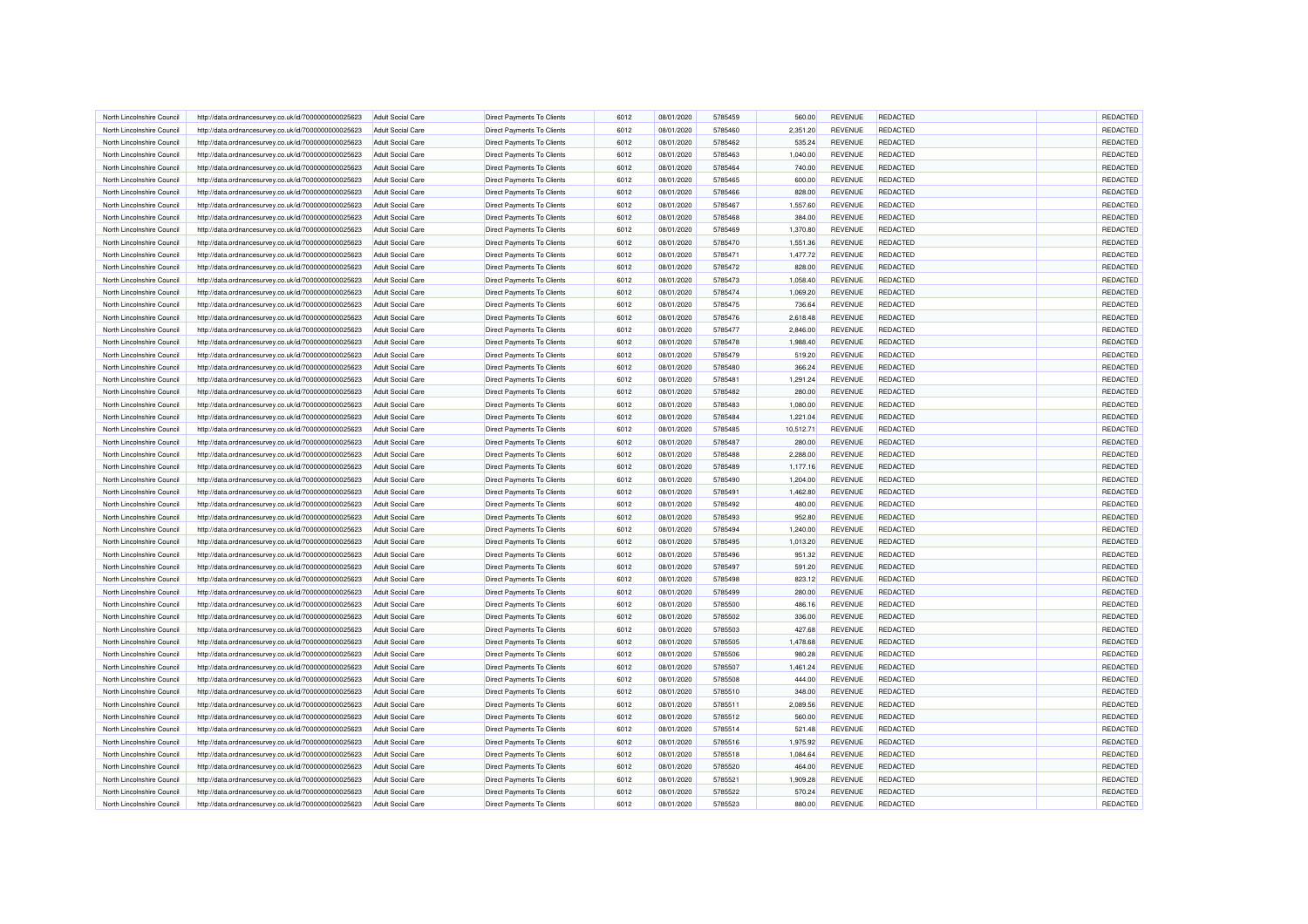| North Lincolnshire Council                               | http://data.ordnancesurvey.co.uk/id/7000000000025623 | <b>Adult Social Care</b>                      | Direct Payments To Clients        | 6012         | 08/01/2020 | 5785459            | 560.00             | REVENUE                          | <b>REDACTED</b> | REDACTED        |
|----------------------------------------------------------|------------------------------------------------------|-----------------------------------------------|-----------------------------------|--------------|------------|--------------------|--------------------|----------------------------------|-----------------|-----------------|
| North Lincolnshire Council                               | http://data.ordnancesurvey.co.uk/id/7000000000025623 | <b>Adult Social Care</b>                      | <b>Direct Payments To Clients</b> | 6012         | 08/01/2020 | 5785460            | 2,351.20           | <b>REVENUE</b>                   | <b>REDACTED</b> | REDACTED        |
| North Lincolnshire Council                               | http://data.ordnancesurvey.co.uk/id/7000000000025623 | Adult Social Care                             | Direct Payments To Clients        | 6012         | 08/01/2020 | 5785462            | 535.24             | <b>REVENUE</b>                   | REDACTED        | REDACTED        |
| North Lincolnshire Council                               | http://data.ordnancesurvey.co.uk/id/7000000000025623 | <b>Adult Social Care</b>                      | <b>Direct Payments To Clients</b> | 6012         | 08/01/2020 | 5785463            | 1,040.00           | <b>REVENUE</b>                   | <b>REDACTED</b> | <b>REDACTED</b> |
| North Lincolnshire Council                               | http://data.ordnancesurvey.co.uk/id/7000000000025623 | <b>Adult Social Care</b>                      | <b>Direct Payments To Clients</b> | 6012         | 08/01/2020 | 5785464            | 740.00             | <b>REVENUE</b>                   | <b>REDACTED</b> | REDACTED        |
| North Lincolnshire Council                               | http://data.ordnancesurvey.co.uk/id/7000000000025623 | <b>Adult Social Care</b>                      | <b>Direct Payments To Clients</b> | 6012         | 08/01/2020 | 5785465            | 600.00             | <b>REVENUE</b>                   | REDACTED        | <b>REDACTED</b> |
| North Lincolnshire Council                               | http://data.ordnancesurvey.co.uk/id/7000000000025623 | <b>Adult Social Care</b>                      | Direct Payments To Clients        | 6012         | 08/01/2020 | 5785466            | 828.00             | <b>REVENUE</b>                   | <b>REDACTED</b> | <b>REDACTED</b> |
| North Lincolnshire Council                               | http://data.ordnancesurvey.co.uk/id/7000000000025623 | <b>Adult Social Care</b>                      | Direct Payments To Clients        | 6012         | 08/01/2020 | 5785467            | 1,557.60           | <b>REVENUE</b>                   | <b>REDACTED</b> | REDACTED        |
| North Lincolnshire Council                               | http://data.ordnancesurvey.co.uk/id/7000000000025623 | <b>Adult Social Care</b>                      | Direct Payments To Clients        | 6012         | 08/01/2020 | 5785468            | 384.00             | <b>REVENUE</b>                   | REDACTED        | REDACTED        |
| North Lincolnshire Council                               | http://data.ordnancesurvey.co.uk/id/7000000000025623 | <b>Adult Social Care</b>                      | Direct Payments To Clients        | 6012         | 08/01/2020 | 5785469            | 1,370.80           | <b>REVENUE</b>                   | <b>REDACTED</b> | REDACTED        |
| North Lincolnshire Council                               | http://data.ordnancesurvey.co.uk/id/7000000000025623 | <b>Adult Social Care</b>                      | <b>Direct Payments To Clients</b> | 6012         | 08/01/2020 | 5785470            | 1,551.36           | <b>REVENUE</b>                   | <b>REDACTED</b> | REDACTED        |
| North Lincolnshire Council                               | http://data.ordnancesurvey.co.uk/id/7000000000025623 | <b>Adult Social Care</b>                      | Direct Payments To Clients        | 6012         | 08/01/2020 | 5785471            | 1,477.72           | <b>REVENUE</b>                   | REDACTED        | <b>REDACTED</b> |
|                                                          |                                                      |                                               | <b>Direct Payments To Clients</b> | 6012         | 08/01/2020 | 5785472            |                    |                                  | <b>REDACTED</b> | REDACTED        |
| North Lincolnshire Council<br>North Lincolnshire Council | http://data.ordnancesurvey.co.uk/id/7000000000025623 | <b>Adult Social Care</b><br>Adult Social Care |                                   | 6012         | 08/01/2020 | 5785473            | 828.00<br>1.058.40 | <b>REVENUE</b><br><b>REVENUE</b> | <b>REDACTED</b> | REDACTED        |
|                                                          | http://data.ordnancesurvey.co.uk/id/7000000000025623 |                                               | <b>Direct Payments To Clients</b> |              |            |                    |                    |                                  |                 |                 |
| North Lincolnshire Council                               | http://data.ordnancesurvey.co.uk/id/7000000000025623 | <b>Adult Social Care</b>                      | Direct Payments To Clients        | 6012         | 08/01/2020 | 5785474            | 1,069.20           | REVENUE                          | REDACTED        | REDACTED        |
| North Lincolnshire Council                               | http://data.ordnancesurvey.co.uk/id/7000000000025623 | <b>Adult Social Care</b>                      | Direct Payments To Clients        | 6012         | 08/01/2020 | 5785475            | 736.64             | <b>REVENUE</b>                   | <b>REDACTED</b> | REDACTED        |
| North Lincolnshire Council                               | http://data.ordnancesurvey.co.uk/id/7000000000025623 | <b>Adult Social Care</b>                      | <b>Direct Payments To Clients</b> | 6012         | 08/01/2020 | 5785476            | 2,618.48           | <b>REVENUE</b>                   | <b>REDACTED</b> | REDACTED        |
| North Lincolnshire Council                               | http://data.ordnancesurvey.co.uk/id/7000000000025623 | <b>Adult Social Care</b>                      | Direct Payments To Clients        | 6012         | 08/01/2020 | 5785477            | 2,846.00           | <b>REVENUE</b>                   | REDACTED        | <b>REDACTED</b> |
| North Lincolnshire Council                               | http://data.ordnancesurvey.co.uk/id/7000000000025623 | <b>Adult Social Care</b>                      | Direct Payments To Clients        | 6012         | 08/01/2020 | 5785478            | 1,988.40           | <b>REVENUE</b>                   | <b>REDACTED</b> | <b>REDACTED</b> |
| North Lincolnshire Council                               | http://data.ordnancesurvey.co.uk/id/7000000000025623 | Adult Social Care                             | <b>Direct Payments To Clients</b> | 6012         | 08/01/2020 | 5785479            | 519.20             | <b>REVENUE</b>                   | <b>REDACTED</b> | REDACTED        |
| North Lincolnshire Council                               | http://data.ordnancesurvey.co.uk/id/7000000000025623 | <b>Adult Social Care</b>                      | <b>Direct Payments To Clients</b> | 6012         | 08/01/2020 | 5785480            | 366.24             | <b>REVENUE</b>                   | REDACTED        | REDACTED        |
| North Lincolnshire Council                               | http://data.ordnancesurvey.co.uk/id/7000000000025623 | <b>Adult Social Care</b>                      | Direct Payments To Clients        | 6012         | 08/01/2020 | 578548             | 1,291.24           | <b>REVENUE</b>                   | <b>REDACTED</b> | REDACTED        |
| North Lincolnshire Council                               | http://data.ordnancesurvey.co.uk/id/7000000000025623 | <b>Adult Social Care</b>                      | <b>Direct Payments To Clients</b> | 6012         | 08/01/2020 | 5785482            | 280.00             | <b>REVENUE</b>                   | <b>REDACTED</b> | REDACTED        |
| North Lincolnshire Council                               | http://data.ordnancesurvey.co.uk/id/7000000000025623 | <b>Adult Social Care</b>                      | Direct Payments To Clients        | 6012         | 08/01/2020 | 5785483            | 1,080.00           | <b>REVENUE</b>                   | REDACTED        | REDACTED        |
| North Lincolnshire Council                               | http://data.ordnancesurvey.co.uk/id/7000000000025623 | <b>Adult Social Care</b>                      | Direct Payments To Clients        | 6012         | 08/01/2020 | 5785484            | 1,221.04           | <b>REVENUE</b>                   | <b>REDACTED</b> | REDACTED        |
| North Lincolnshire Council                               | http://data.ordnancesurvey.co.uk/id/7000000000025623 | Adult Social Care                             | <b>Direct Payments To Clients</b> | 6012         | 08/01/2020 | 5785485            | 10,512.71          | <b>REVENUE</b>                   | <b>REDACTED</b> | REDACTED        |
| North Lincolnshire Council                               | http://data.ordnancesurvey.co.uk/id/7000000000025623 | <b>Adult Social Care</b>                      | <b>Direct Payments To Clients</b> | 6012         | 08/01/2020 | 5785487            | 280.00             | <b>REVENUE</b>                   | REDACTED        | REDACTED        |
| North Lincolnshire Council                               | http://data.ordnancesurvey.co.uk/id/7000000000025623 | <b>Adult Social Care</b>                      | <b>Direct Payments To Clients</b> | 6012         | 08/01/2020 | 5785488            | 2,288.00           | <b>REVENUE</b>                   | <b>REDACTED</b> | REDACTED        |
| North Lincolnshire Council                               | http://data.ordnancesurvey.co.uk/id/7000000000025623 | <b>Adult Social Care</b>                      | <b>Direct Payments To Clients</b> | 6012         | 08/01/2020 | 5785489            | 1,177.16           | <b>REVENUE</b>                   | <b>REDACTED</b> | REDACTED        |
| North Lincolnshire Council                               | http://data.ordnancesurvey.co.uk/id/7000000000025623 | <b>Adult Social Care</b>                      | Direct Payments To Clients        | 6012         | 08/01/2020 | 5785490            | 1,204.00           | <b>REVENUE</b>                   | REDACTED        | <b>REDACTED</b> |
| North Lincolnshire Council                               | http://data.ordnancesurvey.co.uk/id/7000000000025623 | <b>Adult Social Care</b>                      | Direct Payments To Clients        | 6012         | 08/01/2020 | 5785491            | 1,462.80           | <b>REVENUE</b>                   | <b>REDACTED</b> | <b>REDACTED</b> |
| North Lincolnshire Council                               | http://data.ordnancesurvey.co.uk/id/7000000000025623 | <b>Adult Social Care</b>                      | <b>Direct Payments To Clients</b> | 6012         | 08/01/2020 | 5785492            | 480.00             | <b>REVENUE</b>                   | <b>REDACTED</b> | REDACTED        |
| North Lincolnshire Council                               | http://data.ordnancesurvey.co.uk/id/7000000000025623 | <b>Adult Social Care</b>                      | Direct Payments To Clients        | 6012         | 08/01/2020 | 5785493            | 952.80             | <b>REVENUE</b>                   | REDACTED        | REDACTED        |
| North Lincolnshire Council                               | http://data.ordnancesurvey.co.uk/id/7000000000025623 | <b>Adult Social Care</b>                      | <b>Direct Payments To Clients</b> | 6012         | 08/01/2020 | 5785494            | 1,240.00           | <b>REVENUE</b>                   | <b>REDACTED</b> | REDACTED        |
| North Lincolnshire Council                               | http://data.ordnancesurvey.co.uk/id/7000000000025623 | Adult Social Care                             | <b>Direct Payments To Clients</b> | 6012         | 08/01/2020 | 5785495            | 1,013.20           | <b>REVENUE</b>                   | <b>REDACTED</b> | REDACTED        |
| North Lincolnshire Council                               | http://data.ordnancesurvey.co.uk/id/7000000000025623 | Adult Social Care                             | Direct Payments To Clients        | 6012         | 08/01/2020 | 5785496            | 951.32             | <b>REVENUE</b>                   | REDACTED        | <b>REDACTED</b> |
|                                                          |                                                      |                                               | Direct Payments To Clients        | 6012         | 08/01/2020 | 5785497            |                    | REVENUE                          | <b>REDACTED</b> | REDACTED        |
| North Lincolnshire Council                               | http://data.ordnancesurvey.co.uk/id/7000000000025623 | <b>Adult Social Care</b>                      |                                   |              |            |                    | 591.20             |                                  |                 |                 |
| North Lincolnshire Council<br>North Lincolnshire Council | http://data.ordnancesurvey.co.uk/id/7000000000025623 | <b>Adult Social Care</b>                      | <b>Direct Payments To Clients</b> | 6012<br>6012 | 08/01/2020 | 5785498<br>5785499 | 823.12             | <b>REVENUE</b>                   | <b>REDACTED</b> | REDACTED        |
|                                                          | http://data.ordnancesurvey.co.uk/id/7000000000025623 | <b>Adult Social Care</b>                      | <b>Direct Payments To Clients</b> |              | 08/01/2020 |                    | 280.00             | <b>REVENUE</b>                   | REDACTED        | REDACTED        |
| North Lincolnshire Council                               | http://data.ordnancesurvey.co.uk/id/7000000000025623 | <b>Adult Social Care</b>                      | <b>Direct Payments To Clients</b> | 6012         | 08/01/2020 | 5785500            | 486.16             | <b>REVENUE</b>                   | <b>REDACTED</b> | <b>REDACTED</b> |
| North Lincolnshire Council                               | http://data.ordnancesurvey.co.uk/id/7000000000025623 | <b>Adult Social Care</b>                      | <b>Direct Payments To Clients</b> | 6012         | 08/01/2020 | 5785502            | 336.00             | <b>REVENUE</b>                   | <b>REDACTED</b> | REDACTED        |
| North Lincolnshire Council                               | http://data.ordnancesurvey.co.uk/id/7000000000025623 | <b>Adult Social Care</b>                      | <b>Direct Payments To Clients</b> | 6012         | 08/01/2020 | 5785503            | 427.68             | <b>REVENUE</b>                   | REDACTED        | <b>REDACTED</b> |
| North Lincolnshire Council                               | http://data.ordnancesurvey.co.uk/id/7000000000025623 | <b>Adult Social Care</b>                      | Direct Payments To Clients        | 6012         | 08/01/2020 | 5785505            | 1,478.68           | REVENUE                          | REDACTED        | REDACTED        |
| North Lincolnshire Council                               | http://data.ordnancesurvey.co.uk/id/7000000000025623 | <b>Adult Social Care</b>                      | <b>Direct Payments To Clients</b> | 6012         | 08/01/2020 | 5785506            | 980.28             | <b>REVENUE</b>                   | <b>REDACTED</b> | REDACTED        |
| North Lincolnshire Council                               | http://data.ordnancesurvey.co.uk/id/7000000000025623 | <b>Adult Social Care</b>                      | Direct Payments To Clients        | 6012         | 08/01/2020 | 5785507            | 1,461.24           | <b>REVENUE</b>                   | REDACTED        | REDACTED        |
| North Lincolnshire Council                               | http://data.ordnancesurvey.co.uk/id/7000000000025623 | <b>Adult Social Care</b>                      | Direct Payments To Clients        | 6012         | 08/01/2020 | 5785508            | 444.00             | <b>REVENUE</b>                   | REDACTED        | REDACTED        |
| North Lincolnshire Council                               | http://data.ordnancesurvey.co.uk/id/7000000000025623 | <b>Adult Social Care</b>                      | <b>Direct Payments To Clients</b> | 6012         | 08/01/2020 | 5785510            | 348.00             | <b>REVENUE</b>                   | <b>REDACTED</b> | <b>REDACTED</b> |
| North Lincolnshire Council                               | http://data.ordnancesurvey.co.uk/id/7000000000025623 | <b>Adult Social Care</b>                      | <b>Direct Payments To Clients</b> | 6012         | 08/01/2020 | 5785511            | 2.089.56           | <b>REVENUE</b>                   | <b>REDACTED</b> | REDACTED        |
| North Lincolnshire Council                               | http://data.ordnancesurvey.co.uk/id/7000000000025623 | <b>Adult Social Care</b>                      | <b>Direct Payments To Clients</b> | 6012         | 08/01/2020 | 5785512            | 560.00             | <b>REVENUE</b>                   | <b>REDACTED</b> | REDACTED        |
| North Lincolnshire Council                               | http://data.ordnancesurvey.co.uk/id/7000000000025623 | <b>Adult Social Care</b>                      | Direct Payments To Clients        | 6012         | 08/01/2020 | 5785514            | 521.48             | <b>REVENUE</b>                   | <b>REDACTED</b> | REDACTED        |
| North Lincolnshire Council                               | http://data.ordnancesurvey.co.uk/id/7000000000025623 | <b>Adult Social Care</b>                      | Direct Payments To Clients        | 6012         | 08/01/2020 | 5785516            | 1,975.92           | <b>REVENUE</b>                   | <b>REDACTED</b> | <b>REDACTED</b> |
| North Lincolnshire Council                               | http://data.ordnancesurvey.co.uk/id/7000000000025623 | <b>Adult Social Care</b>                      | Direct Payments To Clients        | 6012         | 08/01/2020 | 5785518            | 1,084.64           | <b>REVENUE</b>                   | REDACTED        | REDACTED        |
| North Lincolnshire Council                               | http://data.ordnancesurvey.co.uk/id/7000000000025623 | <b>Adult Social Care</b>                      | <b>Direct Payments To Clients</b> | 6012         | 08/01/2020 | 5785520            | 464.00             | <b>REVENUE</b>                   | <b>REDACTED</b> | REDACTED        |
| North Lincolnshire Council                               | http://data.ordnancesurvey.co.uk/id/7000000000025623 | Adult Social Care                             | <b>Direct Payments To Clients</b> | 6012         | 08/01/2020 | 5785521            | 1.909.28           | <b>REVENUE</b>                   | <b>REDACTED</b> | REDACTED        |
| North Lincolnshire Council                               | http://data.ordnancesurvey.co.uk/id/7000000000025623 | <b>Adult Social Care</b>                      | <b>Direct Payments To Clients</b> | 6012         | 08/01/2020 | 5785522            | 570.24             | <b>REVENUE</b>                   | <b>REDACTED</b> | REDACTED        |
| North Lincolnshire Council                               | http://data.ordnancesurvey.co.uk/id/7000000000025623 | <b>Adult Social Care</b>                      | <b>Direct Payments To Clients</b> | 6012         | 08/01/2020 | 5785523            | 880.00             | <b>REVENUE</b>                   | <b>REDACTED</b> | REDACTED        |
|                                                          |                                                      |                                               |                                   |              |            |                    |                    |                                  |                 |                 |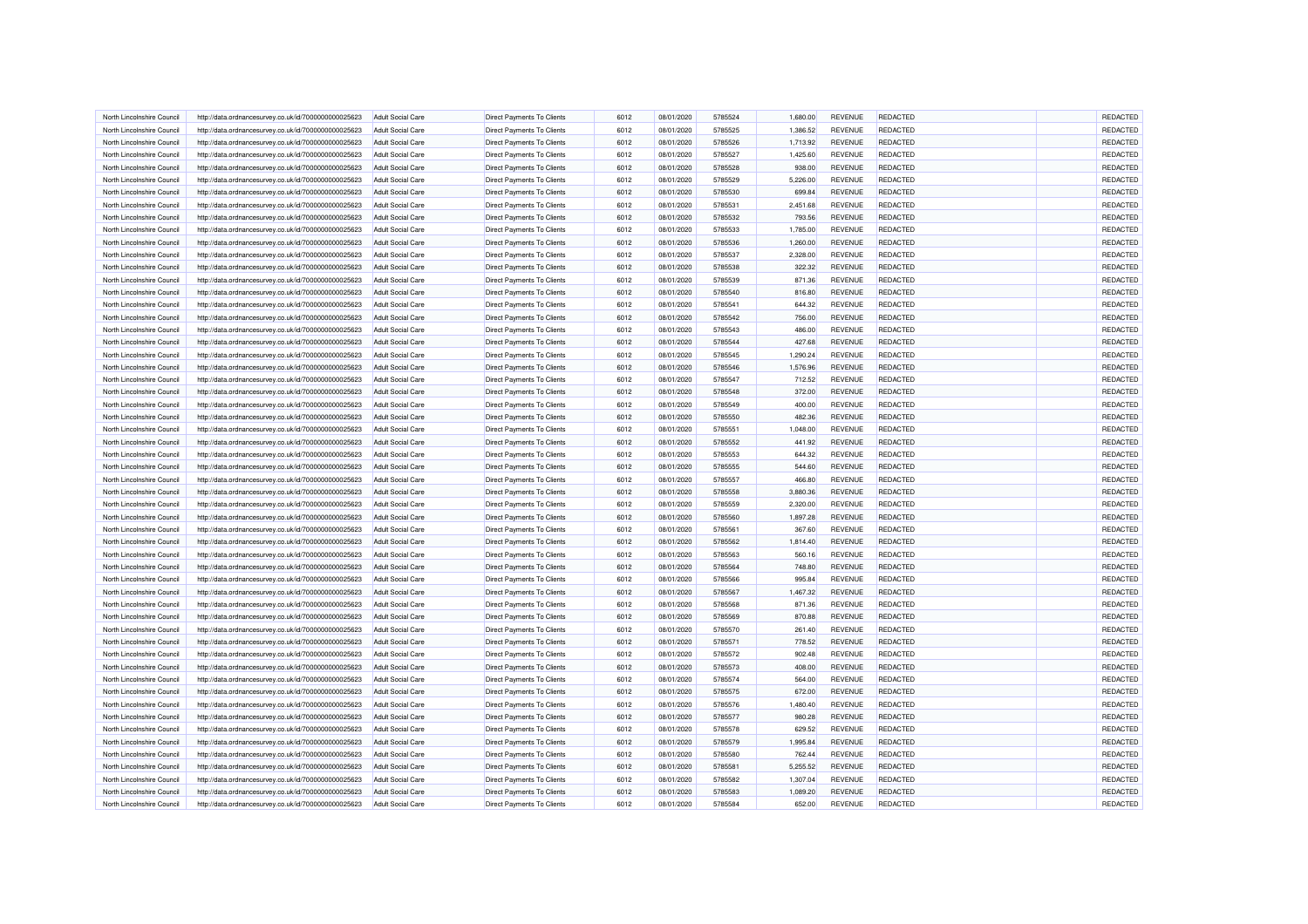| North Lincolnshire Council                               | http://data.ordnancesurvey.co.uk/id/7000000000025623 | <b>Adult Social Care</b> | Direct Payments To Clients        | 6012 | 08/01/2020 | 5785524 | 1,680.00 | REVENUE        | <b>REDACTED</b> | REDACTED        |
|----------------------------------------------------------|------------------------------------------------------|--------------------------|-----------------------------------|------|------------|---------|----------|----------------|-----------------|-----------------|
| North Lincolnshire Council                               | http://data.ordnancesurvey.co.uk/id/7000000000025623 | <b>Adult Social Care</b> | <b>Direct Payments To Clients</b> | 6012 | 08/01/2020 | 5785525 | 1,386.52 | <b>REVENUE</b> | <b>REDACTED</b> | REDACTED        |
| North Lincolnshire Council                               | http://data.ordnancesurvey.co.uk/id/7000000000025623 | Adult Social Care        | Direct Payments To Clients        | 6012 | 08/01/2020 | 5785526 | 1,713.92 | <b>REVENUE</b> | REDACTED        | REDACTED        |
| North Lincolnshire Council                               | http://data.ordnancesurvey.co.uk/id/7000000000025623 | <b>Adult Social Care</b> | <b>Direct Payments To Clients</b> | 6012 | 08/01/2020 | 5785527 | 1,425.60 | <b>REVENUE</b> | <b>REDACTED</b> | <b>REDACTED</b> |
| North Lincolnshire Council                               | http://data.ordnancesurvey.co.uk/id/7000000000025623 | <b>Adult Social Care</b> | <b>Direct Payments To Clients</b> | 6012 | 08/01/2020 | 5785528 | 938.00   | <b>REVENUE</b> | <b>REDACTED</b> | REDACTED        |
| North Lincolnshire Council                               | http://data.ordnancesurvey.co.uk/id/7000000000025623 | <b>Adult Social Care</b> | <b>Direct Payments To Clients</b> | 6012 | 08/01/2020 | 5785529 | 5,226.00 | <b>REVENUE</b> | REDACTED        | <b>REDACTED</b> |
| North Lincolnshire Council                               | http://data.ordnancesurvey.co.uk/id/7000000000025623 | <b>Adult Social Care</b> | Direct Payments To Clients        | 6012 | 08/01/2020 | 5785530 | 699.84   | <b>REVENUE</b> | <b>REDACTED</b> | REDACTED        |
| North Lincolnshire Council                               | http://data.ordnancesurvey.co.uk/id/7000000000025623 | <b>Adult Social Care</b> | Direct Payments To Clients        | 6012 | 08/01/2020 | 5785531 | 2,451.68 | <b>REVENUE</b> | <b>REDACTED</b> | REDACTED        |
| North Lincolnshire Council                               | http://data.ordnancesurvey.co.uk/id/7000000000025623 | <b>Adult Social Care</b> | Direct Payments To Clients        | 6012 | 08/01/2020 | 5785532 | 793.56   | <b>REVENUE</b> | REDACTED        | REDACTED        |
| North Lincolnshire Council                               | http://data.ordnancesurvey.co.uk/id/7000000000025623 | <b>Adult Social Care</b> | Direct Payments To Clients        | 6012 | 08/01/2020 | 5785533 | 1,785.00 | <b>REVENUE</b> | <b>REDACTED</b> | REDACTED        |
|                                                          |                                                      |                          |                                   |      |            |         |          | <b>REVENUE</b> |                 |                 |
| North Lincolnshire Council                               | http://data.ordnancesurvey.co.uk/id/7000000000025623 | <b>Adult Social Care</b> | <b>Direct Payments To Clients</b> | 6012 | 08/01/2020 | 5785536 | 1,260.00 |                | <b>REDACTED</b> | REDACTED        |
| North Lincolnshire Council                               | http://data.ordnancesurvey.co.uk/id/7000000000025623 | <b>Adult Social Care</b> | Direct Payments To Clients        | 6012 | 08/01/2020 | 5785537 | 2,328.00 | <b>REVENUE</b> | REDACTED        | <b>REDACTED</b> |
| North Lincolnshire Council                               | http://data.ordnancesurvey.co.uk/id/7000000000025623 | <b>Adult Social Care</b> | <b>Direct Payments To Clients</b> | 6012 | 08/01/2020 | 5785538 | 322.32   | <b>REVENUE</b> | <b>REDACTED</b> | REDACTED        |
| North Lincolnshire Council                               | http://data.ordnancesurvey.co.uk/id/7000000000025623 | Adult Social Care        | <b>Direct Payments To Clients</b> | 6012 | 08/01/2020 | 5785539 | 871.36   | <b>REVENUE</b> | <b>REDACTED</b> | REDACTED        |
| North Lincolnshire Council                               | http://data.ordnancesurvey.co.uk/id/7000000000025623 | <b>Adult Social Care</b> | Direct Payments To Clients        | 6012 | 08/01/2020 | 5785540 | 816.80   | REVENUE        | REDACTED        | REDACTED        |
| North Lincolnshire Council                               | http://data.ordnancesurvey.co.uk/id/7000000000025623 | <b>Adult Social Care</b> | Direct Payments To Clients        | 6012 | 08/01/2020 | 5785541 | 644.32   | <b>REVENUE</b> | <b>REDACTED</b> | REDACTED        |
| North Lincolnshire Council                               | http://data.ordnancesurvey.co.uk/id/7000000000025623 | <b>Adult Social Care</b> | <b>Direct Payments To Clients</b> | 6012 | 08/01/2020 | 5785542 | 756.00   | <b>REVENUE</b> | <b>REDACTED</b> | REDACTED        |
| North Lincolnshire Council                               | http://data.ordnancesurvey.co.uk/id/7000000000025623 | <b>Adult Social Care</b> | Direct Payments To Clients        | 6012 | 08/01/2020 | 5785543 | 486.00   | <b>REVENUE</b> | REDACTED        | <b>REDACTED</b> |
| North Lincolnshire Council                               | http://data.ordnancesurvey.co.uk/id/7000000000025623 | <b>Adult Social Care</b> | Direct Payments To Clients        | 6012 | 08/01/2020 | 5785544 | 427.68   | <b>REVENUE</b> | <b>REDACTED</b> | <b>REDACTED</b> |
| North Lincolnshire Council                               | http://data.ordnancesurvey.co.uk/id/7000000000025623 | Adult Social Care        | <b>Direct Payments To Clients</b> | 6012 | 08/01/2020 | 5785545 | 1.290.24 | <b>REVENUE</b> | <b>REDACTED</b> | REDACTED        |
| North Lincolnshire Council                               | http://data.ordnancesurvey.co.uk/id/7000000000025623 | <b>Adult Social Care</b> | <b>Direct Payments To Clients</b> | 6012 | 08/01/2020 | 5785546 | 1,576.96 | <b>REVENUE</b> | REDACTED        | REDACTED        |
| North Lincolnshire Council                               | http://data.ordnancesurvey.co.uk/id/7000000000025623 | <b>Adult Social Care</b> | Direct Payments To Clients        | 6012 | 08/01/2020 | 5785547 | 712.52   | <b>REVENUE</b> | <b>REDACTED</b> | REDACTED        |
| North Lincolnshire Council                               | http://data.ordnancesurvey.co.uk/id/7000000000025623 | <b>Adult Social Care</b> | <b>Direct Payments To Clients</b> | 6012 | 08/01/2020 | 5785548 | 372.00   | <b>REVENUE</b> | <b>REDACTED</b> | REDACTED        |
| North Lincolnshire Council                               | http://data.ordnancesurvey.co.uk/id/7000000000025623 | <b>Adult Social Care</b> | Direct Payments To Clients        | 6012 | 08/01/2020 | 5785549 | 400.00   | <b>REVENUE</b> | REDACTED        | REDACTED        |
| North Lincolnshire Council                               | http://data.ordnancesurvey.co.uk/id/7000000000025623 | <b>Adult Social Care</b> | Direct Payments To Clients        | 6012 | 08/01/2020 | 5785550 | 482.36   | <b>REVENUE</b> | <b>REDACTED</b> | REDACTED        |
| North Lincolnshire Council                               | http://data.ordnancesurvey.co.uk/id/7000000000025623 | Adult Social Care        | <b>Direct Payments To Clients</b> | 6012 | 08/01/2020 | 5785551 | 1.048.00 | <b>REVENUE</b> | <b>REDACTED</b> | REDACTED        |
| North Lincolnshire Council                               |                                                      | <b>Adult Social Care</b> | <b>Direct Payments To Clients</b> | 6012 | 08/01/2020 | 5785552 | 441.92   | <b>REVENUE</b> | REDACTED        | REDACTED        |
|                                                          | http://data.ordnancesurvey.co.uk/id/7000000000025623 |                          | <b>Direct Payments To Clients</b> | 6012 |            |         |          |                |                 | REDACTED        |
| North Lincolnshire Council                               | http://data.ordnancesurvey.co.uk/id/7000000000025623 | <b>Adult Social Care</b> |                                   |      | 08/01/2020 | 5785553 | 644.32   | <b>REVENUE</b> | <b>REDACTED</b> |                 |
| North Lincolnshire Council                               | http://data.ordnancesurvey.co.uk/id/7000000000025623 | <b>Adult Social Care</b> | <b>Direct Payments To Clients</b> | 6012 | 08/01/2020 | 5785555 | 544.60   | <b>REVENUE</b> | <b>REDACTED</b> | REDACTED        |
| North Lincolnshire Council                               | http://data.ordnancesurvey.co.uk/id/7000000000025623 | <b>Adult Social Care</b> | Direct Payments To Clients        | 6012 | 08/01/2020 | 5785557 | 466.80   | <b>REVENUE</b> | REDACTED        | <b>REDACTED</b> |
| North Lincolnshire Council                               | http://data.ordnancesurvey.co.uk/id/7000000000025623 | <b>Adult Social Care</b> | Direct Payments To Clients        | 6012 | 08/01/2020 | 5785558 | 3,880.36 | <b>REVENUE</b> | <b>REDACTED</b> | <b>REDACTED</b> |
| North Lincolnshire Council                               | http://data.ordnancesurvey.co.uk/id/7000000000025623 | <b>Adult Social Care</b> | <b>Direct Payments To Clients</b> | 6012 | 08/01/2020 | 5785559 | 2,320.00 | <b>REVENUE</b> | <b>REDACTED</b> | REDACTED        |
| North Lincolnshire Council                               | http://data.ordnancesurvey.co.uk/id/7000000000025623 | <b>Adult Social Care</b> | Direct Payments To Clients        | 6012 | 08/01/2020 | 5785560 | 1,897.28 | <b>REVENUE</b> | REDACTED        | REDACTED        |
| North Lincolnshire Council                               | http://data.ordnancesurvey.co.uk/id/7000000000025623 | <b>Adult Social Care</b> | Direct Payments To Clients        | 6012 | 08/01/2020 | 5785561 | 367.60   | <b>REVENUE</b> | <b>REDACTED</b> | <b>REDACTED</b> |
| North Lincolnshire Council                               | http://data.ordnancesurvey.co.uk/id/7000000000025623 | Adult Social Care        | <b>Direct Payments To Clients</b> | 6012 | 08/01/2020 | 5785562 | 1.814.40 | <b>REVENUE</b> | <b>REDACTED</b> | REDACTED        |
| North Lincolnshire Council                               | http://data.ordnancesurvey.co.uk/id/7000000000025623 | Adult Social Care        | Direct Payments To Clients        | 6012 | 08/01/2020 | 5785563 | 560.16   | <b>REVENUE</b> | REDACTED        | <b>REDACTED</b> |
| North Lincolnshire Council                               | http://data.ordnancesurvey.co.uk/id/7000000000025623 | <b>Adult Social Care</b> | Direct Payments To Clients        | 6012 | 08/01/2020 | 5785564 | 748.80   | REVENUE        | <b>REDACTED</b> | REDACTED        |
| North Lincolnshire Council                               | http://data.ordnancesurvey.co.uk/id/7000000000025623 | <b>Adult Social Care</b> | <b>Direct Payments To Clients</b> | 6012 | 08/01/2020 | 5785566 | 995.84   | <b>REVENUE</b> | <b>REDACTED</b> | REDACTED        |
| North Lincolnshire Council                               | http://data.ordnancesurvey.co.uk/id/7000000000025623 | <b>Adult Social Care</b> | <b>Direct Payments To Clients</b> | 6012 | 08/01/2020 | 5785567 | 1,467.32 | <b>REVENUE</b> | REDACTED        | REDACTED        |
| North Lincolnshire Council                               | http://data.ordnancesurvey.co.uk/id/7000000000025623 | <b>Adult Social Care</b> | <b>Direct Payments To Clients</b> | 6012 | 08/01/2020 | 5785568 | 871.36   | <b>REVENUE</b> | <b>REDACTED</b> | <b>REDACTED</b> |
| North Lincolnshire Council                               | http://data.ordnancesurvey.co.uk/id/7000000000025623 | <b>Adult Social Care</b> | <b>Direct Payments To Clients</b> | 6012 | 08/01/2020 | 5785569 | 870.88   | <b>REVENUE</b> | <b>REDACTED</b> | REDACTED        |
| North Lincolnshire Council                               | http://data.ordnancesurvey.co.uk/id/7000000000025623 | <b>Adult Social Care</b> | <b>Direct Payments To Clients</b> | 6012 | 08/01/2020 | 5785570 | 261.40   | <b>REVENUE</b> | REDACTED        | <b>REDACTED</b> |
| North Lincolnshire Council                               | http://data.ordnancesurvey.co.uk/id/7000000000025623 | <b>Adult Social Care</b> | Direct Payments To Clients        | 6012 | 08/01/2020 | 5785571 | 778.52   | REVENUE        | REDACTED        | REDACTED        |
|                                                          |                                                      |                          |                                   |      |            |         |          |                |                 | REDACTED        |
| North Lincolnshire Council<br>North Lincolnshire Council | http://data.ordnancesurvey.co.uk/id/7000000000025623 | <b>Adult Social Care</b> | <b>Direct Payments To Clients</b> | 6012 | 08/01/2020 | 5785572 | 902.48   | <b>REVENUE</b> | <b>REDACTED</b> |                 |
|                                                          | http://data.ordnancesurvey.co.uk/id/7000000000025623 | <b>Adult Social Care</b> | Direct Payments To Clients        | 6012 | 08/01/2020 | 5785573 | 408.00   | <b>REVENUE</b> | REDACTED        | REDACTED        |
| North Lincolnshire Council                               | http://data.ordnancesurvey.co.uk/id/7000000000025623 | <b>Adult Social Care</b> | Direct Payments To Clients        | 6012 | 08/01/2020 | 5785574 | 564.00   | <b>REVENUE</b> | REDACTED        | REDACTED        |
| North Lincolnshire Council                               | http://data.ordnancesurvey.co.uk/id/7000000000025623 | <b>Adult Social Care</b> | <b>Direct Payments To Clients</b> | 6012 | 08/01/2020 | 5785575 | 672.00   | <b>REVENUE</b> | <b>REDACTED</b> | <b>REDACTED</b> |
| North Lincolnshire Council                               | http://data.ordnancesurvey.co.uk/id/7000000000025623 | <b>Adult Social Care</b> | <b>Direct Payments To Clients</b> | 6012 | 08/01/2020 | 5785576 | 1.480.40 | <b>REVENUE</b> | <b>REDACTED</b> | REDACTED        |
| North Lincolnshire Council                               | http://data.ordnancesurvey.co.uk/id/7000000000025623 | <b>Adult Social Care</b> | <b>Direct Payments To Clients</b> | 6012 | 08/01/2020 | 5785577 | 980.28   | <b>REVENUE</b> | <b>REDACTED</b> | REDACTED        |
| North Lincolnshire Council                               | http://data.ordnancesurvey.co.uk/id/7000000000025623 | <b>Adult Social Care</b> | Direct Payments To Clients        | 6012 | 08/01/2020 | 5785578 | 629.52   | <b>REVENUE</b> | <b>REDACTED</b> | REDACTED        |
| North Lincolnshire Council                               | http://data.ordnancesurvey.co.uk/id/7000000000025623 | <b>Adult Social Care</b> | Direct Payments To Clients        | 6012 | 08/01/2020 | 5785579 | 1.995.84 | <b>REVENUE</b> | <b>REDACTED</b> | <b>REDACTED</b> |
| North Lincolnshire Council                               | http://data.ordnancesurvey.co.uk/id/7000000000025623 | <b>Adult Social Care</b> | Direct Payments To Clients        | 6012 | 08/01/2020 | 5785580 | 762.44   | <b>REVENUE</b> | REDACTED        | REDACTED        |
| North Lincolnshire Council                               | http://data.ordnancesurvey.co.uk/id/7000000000025623 | <b>Adult Social Care</b> | <b>Direct Payments To Clients</b> | 6012 | 08/01/2020 | 5785581 | 5,255.52 | <b>REVENUE</b> | <b>REDACTED</b> | REDACTED        |
| North Lincolnshire Council                               | http://data.ordnancesurvey.co.uk/id/7000000000025623 | Adult Social Care        | <b>Direct Payments To Clients</b> | 6012 | 08/01/2020 | 5785582 | 1.307.04 | <b>REVENUE</b> | <b>REDACTED</b> | REDACTED        |
| North Lincolnshire Council                               | http://data.ordnancesurvey.co.uk/id/7000000000025623 | <b>Adult Social Care</b> | <b>Direct Payments To Clients</b> | 6012 | 08/01/2020 | 5785583 | 1,089.20 | <b>REVENUE</b> | <b>REDACTED</b> | REDACTED        |
| North Lincolnshire Council                               | http://data.ordnancesurvey.co.uk/id/7000000000025623 | <b>Adult Social Care</b> | <b>Direct Payments To Clients</b> | 6012 | 08/01/2020 | 5785584 | 652.00   | <b>REVENUE</b> | <b>REDACTED</b> | REDACTED        |
|                                                          |                                                      |                          |                                   |      |            |         |          |                |                 |                 |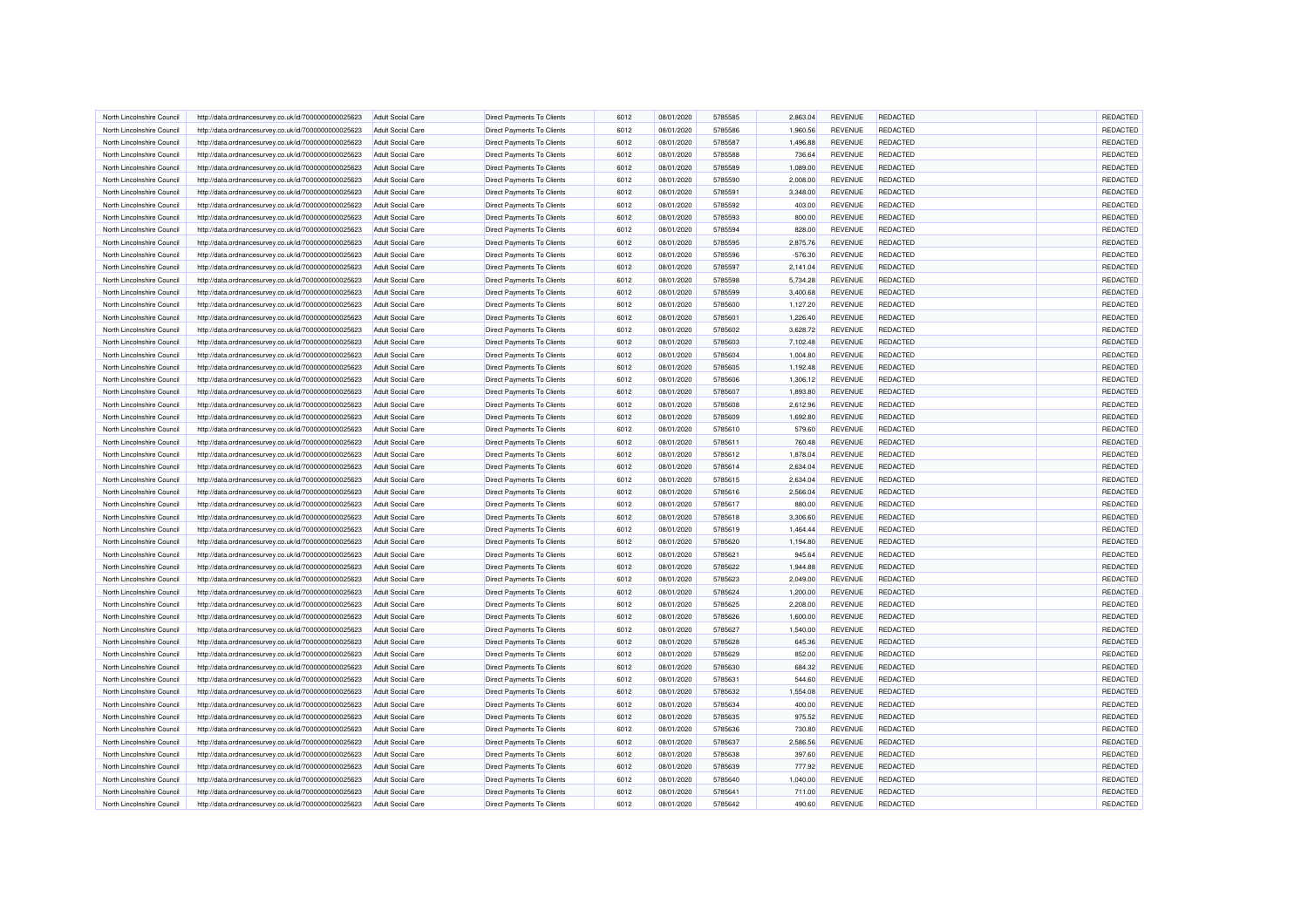| North Lincolnshire Council | http://data.ordnancesurvey.co.uk/id/7000000000025623 | <b>Adult Social Care</b> | Direct Payments To Clients        | 6012 | 08/01/2020 | 5785585 | 2,863.04  | REVENUE        | <b>REDACTED</b> | REDACTED        |
|----------------------------|------------------------------------------------------|--------------------------|-----------------------------------|------|------------|---------|-----------|----------------|-----------------|-----------------|
| North Lincolnshire Council | http://data.ordnancesurvey.co.uk/id/7000000000025623 | <b>Adult Social Care</b> | <b>Direct Payments To Clients</b> | 6012 | 08/01/2020 | 5785586 | 1,960.56  | <b>REVENUE</b> | <b>REDACTED</b> | REDACTED        |
| North Lincolnshire Council | http://data.ordnancesurvey.co.uk/id/7000000000025623 | Adult Social Care        | Direct Payments To Clients        | 6012 | 08/01/2020 | 5785587 | 1,496.88  | <b>REVENUE</b> | REDACTED        | REDACTED        |
| North Lincolnshire Council | http://data.ordnancesurvey.co.uk/id/7000000000025623 | <b>Adult Social Care</b> | <b>Direct Payments To Clients</b> | 6012 | 08/01/2020 | 5785588 | 736.64    | <b>REVENUE</b> | <b>REDACTED</b> | <b>REDACTED</b> |
| North Lincolnshire Council | http://data.ordnancesurvey.co.uk/id/7000000000025623 | <b>Adult Social Care</b> | <b>Direct Payments To Clients</b> | 6012 | 08/01/2020 | 5785589 | 1,089.00  | <b>REVENUE</b> | <b>REDACTED</b> | REDACTED        |
| North Lincolnshire Council | http://data.ordnancesurvey.co.uk/id/7000000000025623 | <b>Adult Social Care</b> | <b>Direct Payments To Clients</b> | 6012 | 08/01/2020 | 5785590 | 2,008.00  | <b>REVENUE</b> | REDACTED        | <b>REDACTED</b> |
| North Lincolnshire Council | http://data.ordnancesurvey.co.uk/id/7000000000025623 | <b>Adult Social Care</b> | Direct Payments To Clients        | 6012 | 08/01/2020 | 5785591 | 3,348.00  | <b>REVENUE</b> | <b>REDACTED</b> | <b>REDACTED</b> |
| North Lincolnshire Council | http://data.ordnancesurvey.co.uk/id/7000000000025623 | <b>Adult Social Care</b> | Direct Payments To Clients        | 6012 | 08/01/2020 | 5785592 | 403.00    | <b>REVENUE</b> | <b>REDACTED</b> | REDACTED        |
| North Lincolnshire Council | http://data.ordnancesurvey.co.uk/id/7000000000025623 | <b>Adult Social Care</b> | Direct Payments To Clients        | 6012 | 08/01/2020 | 5785593 | 800.00    | <b>REVENUE</b> | REDACTED        | REDACTED        |
| North Lincolnshire Council | http://data.ordnancesurvey.co.uk/id/7000000000025623 | <b>Adult Social Care</b> | Direct Payments To Clients        | 6012 | 08/01/2020 | 5785594 | 828.00    | <b>REVENUE</b> | <b>REDACTED</b> | REDACTED        |
|                            |                                                      |                          | <b>Direct Payments To Clients</b> | 6012 | 08/01/2020 | 5785595 | 2,875.76  | <b>REVENUE</b> | <b>REDACTED</b> | REDACTED        |
| North Lincolnshire Council | http://data.ordnancesurvey.co.uk/id/7000000000025623 | <b>Adult Social Care</b> |                                   |      |            |         |           |                |                 |                 |
| North Lincolnshire Council | http://data.ordnancesurvey.co.uk/id/7000000000025623 | <b>Adult Social Care</b> | Direct Payments To Clients        | 6012 | 08/01/2020 | 5785596 | $-576.30$ | <b>REVENUE</b> | REDACTED        | <b>REDACTED</b> |
| North Lincolnshire Council | http://data.ordnancesurvey.co.uk/id/7000000000025623 | <b>Adult Social Care</b> | <b>Direct Payments To Clients</b> | 6012 | 08/01/2020 | 5785597 | 2,141.04  | <b>REVENUE</b> | <b>REDACTED</b> | REDACTED        |
| North Lincolnshire Council | http://data.ordnancesurvey.co.uk/id/7000000000025623 | Adult Social Care        | <b>Direct Payments To Clients</b> | 6012 | 08/01/2020 | 5785598 | 5,734.28  | <b>REVENUE</b> | <b>REDACTED</b> | REDACTED        |
| North Lincolnshire Council | http://data.ordnancesurvey.co.uk/id/7000000000025623 | <b>Adult Social Care</b> | Direct Payments To Clients        | 6012 | 08/01/2020 | 5785599 | 3,400.68  | REVENUE        | REDACTED        | REDACTED        |
| North Lincolnshire Council | http://data.ordnancesurvey.co.uk/id/7000000000025623 | <b>Adult Social Care</b> | Direct Payments To Clients        | 6012 | 08/01/2020 | 5785600 | 1,127.20  | <b>REVENUE</b> | <b>REDACTED</b> | REDACTED        |
| North Lincolnshire Council | http://data.ordnancesurvey.co.uk/id/7000000000025623 | <b>Adult Social Care</b> | <b>Direct Payments To Clients</b> | 6012 | 08/01/2020 | 5785601 | 1,226.40  | <b>REVENUE</b> | <b>REDACTED</b> | REDACTED        |
| North Lincolnshire Council | http://data.ordnancesurvey.co.uk/id/7000000000025623 | <b>Adult Social Care</b> | Direct Payments To Clients        | 6012 | 08/01/2020 | 5785602 | 3,628.72  | <b>REVENUE</b> | REDACTED        | <b>REDACTED</b> |
| North Lincolnshire Council | http://data.ordnancesurvey.co.uk/id/7000000000025623 | <b>Adult Social Care</b> | Direct Payments To Clients        | 6012 | 08/01/2020 | 5785603 | 7,102.48  | <b>REVENUE</b> | <b>REDACTED</b> | <b>REDACTED</b> |
| North Lincolnshire Council | http://data.ordnancesurvey.co.uk/id/7000000000025623 | Adult Social Care        | <b>Direct Payments To Clients</b> | 6012 | 08/01/2020 | 5785604 | 1,004.80  | <b>REVENUE</b> | <b>REDACTED</b> | REDACTED        |
| North Lincolnshire Council | http://data.ordnancesurvey.co.uk/id/7000000000025623 | <b>Adult Social Care</b> | <b>Direct Payments To Clients</b> | 6012 | 08/01/2020 | 5785605 | 1,192.48  | <b>REVENUE</b> | REDACTED        | REDACTED        |
| North Lincolnshire Council | http://data.ordnancesurvey.co.uk/id/7000000000025623 | <b>Adult Social Care</b> | Direct Payments To Clients        | 6012 | 08/01/2020 | 5785606 | 1,306.12  | <b>REVENUE</b> | <b>REDACTED</b> | REDACTED        |
| North Lincolnshire Council | http://data.ordnancesurvey.co.uk/id/7000000000025623 | <b>Adult Social Care</b> | <b>Direct Payments To Clients</b> | 6012 | 08/01/2020 | 5785607 | 1,893.80  | <b>REVENUE</b> | <b>REDACTED</b> | REDACTED        |
| North Lincolnshire Council | http://data.ordnancesurvey.co.uk/id/7000000000025623 | <b>Adult Social Care</b> | Direct Payments To Clients        | 6012 | 08/01/2020 | 5785608 | 2,612.96  | <b>REVENUE</b> | REDACTED        | REDACTED        |
| North Lincolnshire Council | http://data.ordnancesurvey.co.uk/id/7000000000025623 | <b>Adult Social Care</b> | Direct Payments To Clients        | 6012 | 08/01/2020 | 5785609 | 1,692.80  | <b>REVENUE</b> | <b>REDACTED</b> | REDACTED        |
| North Lincolnshire Council | http://data.ordnancesurvey.co.uk/id/7000000000025623 | Adult Social Care        | <b>Direct Payments To Clients</b> | 6012 | 08/01/2020 | 5785610 | 579.60    | <b>REVENUE</b> | <b>REDACTED</b> | REDACTED        |
| North Lincolnshire Council | http://data.ordnancesurvey.co.uk/id/7000000000025623 | <b>Adult Social Care</b> | <b>Direct Payments To Clients</b> | 6012 | 08/01/2020 | 5785611 | 760.48    | <b>REVENUE</b> | REDACTED        | REDACTED        |
| North Lincolnshire Council | http://data.ordnancesurvey.co.uk/id/7000000000025623 | <b>Adult Social Care</b> | <b>Direct Payments To Clients</b> | 6012 | 08/01/2020 | 5785612 | 1,878.04  | <b>REVENUE</b> | <b>REDACTED</b> | REDACTED        |
| North Lincolnshire Council | http://data.ordnancesurvey.co.uk/id/7000000000025623 | <b>Adult Social Care</b> | <b>Direct Payments To Clients</b> | 6012 | 08/01/2020 | 5785614 | 2,634.04  | <b>REVENUE</b> | <b>REDACTED</b> | REDACTED        |
| North Lincolnshire Council | http://data.ordnancesurvey.co.uk/id/7000000000025623 | <b>Adult Social Care</b> | Direct Payments To Clients        | 6012 | 08/01/2020 | 5785615 | 2,634.04  | <b>REVENUE</b> | REDACTED        | <b>REDACTED</b> |
|                            |                                                      |                          |                                   |      |            |         |           |                |                 |                 |
| North Lincolnshire Council | http://data.ordnancesurvey.co.uk/id/7000000000025623 | <b>Adult Social Care</b> | Direct Payments To Clients        | 6012 | 08/01/2020 | 5785616 | 2,566.04  | <b>REVENUE</b> | <b>REDACTED</b> | <b>REDACTED</b> |
| North Lincolnshire Council | http://data.ordnancesurvey.co.uk/id/7000000000025623 | <b>Adult Social Care</b> | <b>Direct Payments To Clients</b> | 6012 | 08/01/2020 | 5785617 | 880.00    | <b>REVENUE</b> | <b>REDACTED</b> | REDACTED        |
| North Lincolnshire Council | http://data.ordnancesurvey.co.uk/id/7000000000025623 | <b>Adult Social Care</b> | Direct Payments To Clients        | 6012 | 08/01/2020 | 5785618 | 3,306.60  | <b>REVENUE</b> | REDACTED        | REDACTED        |
| North Lincolnshire Council | http://data.ordnancesurvey.co.uk/id/7000000000025623 | <b>Adult Social Care</b> | <b>Direct Payments To Clients</b> | 6012 | 08/01/2020 | 5785619 | 1,464.44  | <b>REVENUE</b> | <b>REDACTED</b> | REDACTED        |
| North Lincolnshire Council | http://data.ordnancesurvey.co.uk/id/7000000000025623 | Adult Social Care        | <b>Direct Payments To Clients</b> | 6012 | 08/01/2020 | 5785620 | 1,194.80  | <b>REVENUE</b> | <b>REDACTED</b> | REDACTED        |
| North Lincolnshire Council | http://data.ordnancesurvey.co.uk/id/7000000000025623 | Adult Social Care        | Direct Payments To Clients        | 6012 | 08/01/2020 | 5785621 | 945.64    | <b>REVENUE</b> | REDACTED        | <b>REDACTED</b> |
| North Lincolnshire Council | http://data.ordnancesurvey.co.uk/id/7000000000025623 | <b>Adult Social Care</b> | Direct Payments To Clients        | 6012 | 08/01/2020 | 5785622 | 1,944.88  | <b>REVENUE</b> | <b>REDACTED</b> | REDACTED        |
| North Lincolnshire Council | http://data.ordnancesurvey.co.uk/id/7000000000025623 | <b>Adult Social Care</b> | <b>Direct Payments To Clients</b> | 6012 | 08/01/2020 | 5785623 | 2,049.00  | <b>REVENUE</b> | <b>REDACTED</b> | REDACTED        |
| North Lincolnshire Council | http://data.ordnancesurvey.co.uk/id/7000000000025623 | <b>Adult Social Care</b> | <b>Direct Payments To Clients</b> | 6012 | 08/01/2020 | 5785624 | 1,200.00  | <b>REVENUE</b> | REDACTED        | REDACTED        |
| North Lincolnshire Council | http://data.ordnancesurvey.co.uk/id/7000000000025623 | <b>Adult Social Care</b> | <b>Direct Payments To Clients</b> | 6012 | 08/01/2020 | 5785625 | 2,208.00  | <b>REVENUE</b> | <b>REDACTED</b> | <b>REDACTED</b> |
| North Lincolnshire Council | http://data.ordnancesurvey.co.uk/id/7000000000025623 | <b>Adult Social Care</b> | <b>Direct Payments To Clients</b> | 6012 | 08/01/2020 | 5785626 | 1,600.00  | <b>REVENUE</b> | <b>REDACTED</b> | REDACTED        |
| North Lincolnshire Council | http://data.ordnancesurvey.co.uk/id/7000000000025623 | <b>Adult Social Care</b> | <b>Direct Payments To Clients</b> | 6012 | 08/01/2020 | 5785627 | 1,540.00  | <b>REVENUE</b> | REDACTED        | <b>REDACTED</b> |
| North Lincolnshire Council | http://data.ordnancesurvey.co.uk/id/7000000000025623 | <b>Adult Social Care</b> | Direct Payments To Clients        | 6012 | 08/01/2020 | 5785628 | 645.36    | REVENUE        | REDACTED        | REDACTED        |
| North Lincolnshire Council | http://data.ordnancesurvey.co.uk/id/7000000000025623 | <b>Adult Social Care</b> | <b>Direct Payments To Clients</b> | 6012 | 08/01/2020 | 5785629 | 852.00    | <b>REVENUE</b> | <b>REDACTED</b> | REDACTED        |
| North Lincolnshire Council | http://data.ordnancesurvey.co.uk/id/7000000000025623 | <b>Adult Social Care</b> | Direct Payments To Clients        | 6012 | 08/01/2020 | 5785630 | 684.32    | <b>REVENUE</b> | REDACTED        | REDACTED        |
| North Lincolnshire Council | http://data.ordnancesurvey.co.uk/id/7000000000025623 | <b>Adult Social Care</b> | Direct Payments To Clients        | 6012 | 08/01/2020 | 5785631 | 544.60    | <b>REVENUE</b> | REDACTED        | REDACTED        |
| North Lincolnshire Council | http://data.ordnancesurvey.co.uk/id/7000000000025623 | <b>Adult Social Care</b> | <b>Direct Payments To Clients</b> | 6012 | 08/01/2020 | 5785632 | 1,554.08  | <b>REVENUE</b> | <b>REDACTED</b> | <b>REDACTED</b> |
| North Lincolnshire Council | http://data.ordnancesurvey.co.uk/id/7000000000025623 | <b>Adult Social Care</b> | <b>Direct Payments To Clients</b> | 6012 | 08/01/2020 | 5785634 | 400.00    | <b>REVENUE</b> | REDACTED        | REDACTED        |
| North Lincolnshire Council | http://data.ordnancesurvey.co.uk/id/7000000000025623 | <b>Adult Social Care</b> | <b>Direct Payments To Clients</b> | 6012 | 08/01/2020 | 5785635 | 975.52    | <b>REVENUE</b> | <b>REDACTED</b> | REDACTED        |
| North Lincolnshire Council | http://data.ordnancesurvey.co.uk/id/7000000000025623 | <b>Adult Social Care</b> | Direct Payments To Clients        | 6012 | 08/01/2020 | 5785636 | 730.80    | <b>REVENUE</b> | <b>REDACTED</b> | REDACTED        |
|                            |                                                      |                          |                                   |      |            |         |           |                |                 | <b>REDACTED</b> |
| North Lincolnshire Council | http://data.ordnancesurvey.co.uk/id/7000000000025623 | <b>Adult Social Care</b> | Direct Payments To Clients        | 6012 | 08/01/2020 | 5785637 | 2,586.56  | <b>REVENUE</b> | <b>REDACTED</b> |                 |
| North Lincolnshire Council | http://data.ordnancesurvey.co.uk/id/7000000000025623 | <b>Adult Social Care</b> | Direct Payments To Clients        | 6012 | 08/01/2020 | 5785638 | 397.60    | <b>REVENUE</b> | REDACTED        | REDACTED        |
| North Lincolnshire Council | http://data.ordnancesurvey.co.uk/id/7000000000025623 | <b>Adult Social Care</b> | <b>Direct Payments To Clients</b> | 6012 | 08/01/2020 | 5785639 | 777.92    | <b>REVENUE</b> | <b>REDACTED</b> | REDACTED        |
| North Lincolnshire Council | http://data.ordnancesurvey.co.uk/id/7000000000025623 | Adult Social Care        | <b>Direct Payments To Clients</b> | 6012 | 08/01/2020 | 5785640 | 1.040.00  | <b>REVENUE</b> | <b>REDACTED</b> | REDACTED        |
| North Lincolnshire Council | http://data.ordnancesurvey.co.uk/id/7000000000025623 | <b>Adult Social Care</b> | <b>Direct Payments To Clients</b> | 6012 | 08/01/2020 | 5785641 | 711.00    | <b>REVENUE</b> | <b>REDACTED</b> | REDACTED        |
| North Lincolnshire Council | http://data.ordnancesurvey.co.uk/id/7000000000025623 | <b>Adult Social Care</b> | <b>Direct Payments To Clients</b> | 6012 | 08/01/2020 | 5785642 | 490.60    | <b>REVENUE</b> | <b>REDACTED</b> | REDACTED        |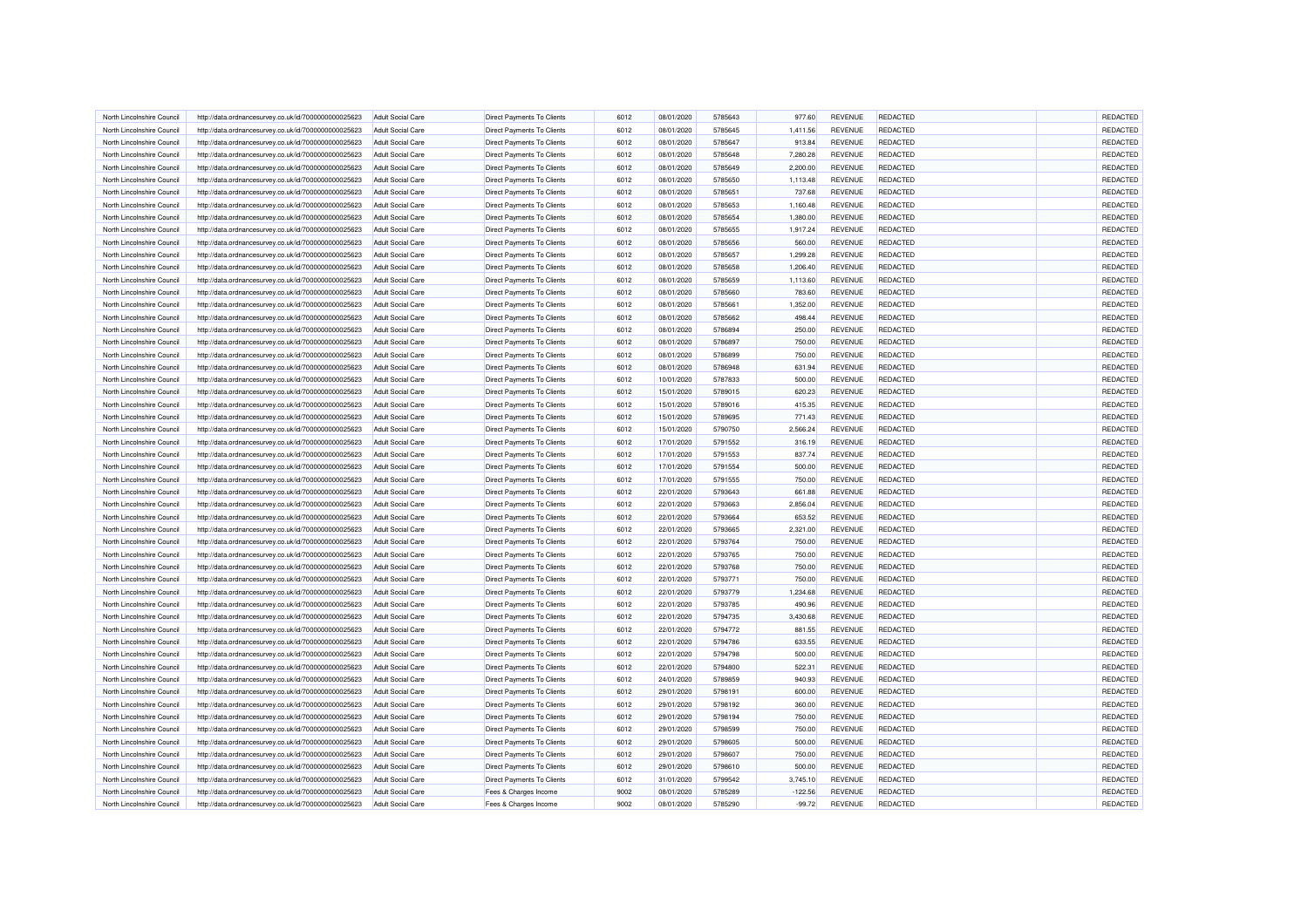| North Lincolnshire Council                               | http://data.ordnancesurvey.co.uk/id/7000000000025623 | <b>Adult Social Care</b>                      | Direct Payments To Clients        | 6012         | 08/01/2020 | 5785643            | 977.60    | REVENUE        | <b>REDACTED</b> | REDACTED        |
|----------------------------------------------------------|------------------------------------------------------|-----------------------------------------------|-----------------------------------|--------------|------------|--------------------|-----------|----------------|-----------------|-----------------|
| North Lincolnshire Council                               | http://data.ordnancesurvey.co.uk/id/7000000000025623 | <b>Adult Social Care</b>                      | <b>Direct Payments To Clients</b> | 6012         | 08/01/2020 | 5785645            | 1,411.56  | <b>REVENUE</b> | <b>REDACTED</b> | REDACTED        |
| North Lincolnshire Council                               | http://data.ordnancesurvey.co.uk/id/7000000000025623 | Adult Social Care                             | Direct Payments To Clients        | 6012         | 08/01/2020 | 5785647            | 913.84    | <b>REVENUE</b> | REDACTED        | REDACTED        |
| North Lincolnshire Council                               | http://data.ordnancesurvey.co.uk/id/7000000000025623 | <b>Adult Social Care</b>                      | <b>Direct Payments To Clients</b> | 6012         | 08/01/2020 | 5785648            | 7,280.28  | <b>REVENUE</b> | <b>REDACTED</b> | <b>REDACTED</b> |
| North Lincolnshire Council                               | http://data.ordnancesurvey.co.uk/id/7000000000025623 | <b>Adult Social Care</b>                      | <b>Direct Payments To Clients</b> | 6012         | 08/01/2020 | 5785649            | 2,200.00  | <b>REVENUE</b> | <b>REDACTED</b> | REDACTED        |
| North Lincolnshire Council                               | http://data.ordnancesurvey.co.uk/id/7000000000025623 | <b>Adult Social Care</b>                      | <b>Direct Payments To Clients</b> | 6012         | 08/01/2020 | 5785650            | 1,113.48  | <b>REVENUE</b> | REDACTED        | <b>REDACTED</b> |
| North Lincolnshire Council                               | http://data.ordnancesurvey.co.uk/id/7000000000025623 | <b>Adult Social Care</b>                      | Direct Payments To Clients        | 6012         | 08/01/2020 | 5785651            | 737.68    | <b>REVENUE</b> | <b>REDACTED</b> | REDACTED        |
| North Lincolnshire Council                               | http://data.ordnancesurvey.co.uk/id/7000000000025623 | <b>Adult Social Care</b>                      | Direct Payments To Clients        | 6012         | 08/01/2020 | 5785653            | 1,160.48  | <b>REVENUE</b> | <b>REDACTED</b> | REDACTED        |
| North Lincolnshire Council                               | http://data.ordnancesurvey.co.uk/id/7000000000025623 | <b>Adult Social Care</b>                      | Direct Payments To Clients        | 6012         | 08/01/2020 | 5785654            | 1,380.00  | <b>REVENUE</b> | REDACTED        | REDACTED        |
| North Lincolnshire Council                               | http://data.ordnancesurvey.co.uk/id/7000000000025623 | <b>Adult Social Care</b>                      | Direct Payments To Clients        | 6012         | 08/01/2020 | 5785655            | 1,917.24  | <b>REVENUE</b> | <b>REDACTED</b> | REDACTED        |
| North Lincolnshire Council                               | http://data.ordnancesurvey.co.uk/id/7000000000025623 | <b>Adult Social Care</b>                      | <b>Direct Payments To Clients</b> | 6012         | 08/01/2020 | 5785656            | 560.00    | <b>REVENUE</b> | <b>REDACTED</b> | REDACTED        |
| North Lincolnshire Council                               | http://data.ordnancesurvey.co.uk/id/7000000000025623 | <b>Adult Social Care</b>                      | Direct Payments To Clients        | 6012         | 08/01/2020 | 5785657            | 1,299.28  | <b>REVENUE</b> | REDACTED        | <b>REDACTED</b> |
|                                                          |                                                      |                                               | <b>Direct Payments To Clients</b> | 6012         | 08/01/2020 | 5785658            |           | <b>REVENUE</b> | <b>REDACTED</b> | REDACTED        |
| North Lincolnshire Council<br>North Lincolnshire Council | http://data.ordnancesurvey.co.uk/id/7000000000025623 | <b>Adult Social Care</b><br>Adult Social Care |                                   | 6012         | 08/01/2020 | 5785659            | 1,206.40  | <b>REVENUE</b> | <b>REDACTED</b> | REDACTED        |
|                                                          | http://data.ordnancesurvey.co.uk/id/7000000000025623 |                                               | <b>Direct Payments To Clients</b> |              |            |                    | 1,113.60  |                |                 |                 |
| North Lincolnshire Council                               | http://data.ordnancesurvey.co.uk/id/7000000000025623 | <b>Adult Social Care</b>                      | Direct Payments To Clients        | 6012         | 08/01/2020 | 5785660            | 783.60    | REVENUE        | REDACTED        | REDACTED        |
| North Lincolnshire Council                               | http://data.ordnancesurvey.co.uk/id/7000000000025623 | <b>Adult Social Care</b>                      | Direct Payments To Clients        | 6012         | 08/01/2020 | 578566             | 1,352.00  | <b>REVENUE</b> | <b>REDACTED</b> | REDACTED        |
| North Lincolnshire Council                               | http://data.ordnancesurvey.co.uk/id/7000000000025623 | <b>Adult Social Care</b>                      | <b>Direct Payments To Clients</b> | 6012         | 08/01/2020 | 5785662            | 498.44    | <b>REVENUE</b> | <b>REDACTED</b> | REDACTED        |
| North Lincolnshire Council                               | http://data.ordnancesurvey.co.uk/id/7000000000025623 | <b>Adult Social Care</b>                      | Direct Payments To Clients        | 6012         | 08/01/2020 | 5786894            | 250.00    | <b>REVENUE</b> | REDACTED        | <b>REDACTED</b> |
| North Lincolnshire Council                               | http://data.ordnancesurvey.co.uk/id/7000000000025623 | <b>Adult Social Care</b>                      | Direct Payments To Clients        | 6012         | 08/01/2020 | 5786897            | 750.00    | <b>REVENUE</b> | <b>REDACTED</b> | <b>REDACTED</b> |
| North Lincolnshire Council                               | http://data.ordnancesurvey.co.uk/id/7000000000025623 | Adult Social Care                             | <b>Direct Payments To Clients</b> | 6012         | 08/01/2020 | 5786899            | 750.00    | <b>REVENUE</b> | <b>REDACTED</b> | REDACTED        |
| North Lincolnshire Council                               | http://data.ordnancesurvey.co.uk/id/7000000000025623 | <b>Adult Social Care</b>                      | <b>Direct Payments To Clients</b> | 6012         | 08/01/2020 | 5786948            | 631.94    | <b>REVENUE</b> | REDACTED        | REDACTED        |
| North Lincolnshire Council                               | http://data.ordnancesurvey.co.uk/id/7000000000025623 | <b>Adult Social Care</b>                      | Direct Payments To Clients        | 6012         | 10/01/2020 | 5787833            | 500.00    | <b>REVENUE</b> | <b>REDACTED</b> | REDACTED        |
| North Lincolnshire Council                               | http://data.ordnancesurvey.co.uk/id/7000000000025623 | <b>Adult Social Care</b>                      | <b>Direct Payments To Clients</b> | 6012         | 15/01/2020 | 5789015            | 620.23    | <b>REVENUE</b> | <b>REDACTED</b> | REDACTED        |
| North Lincolnshire Council                               | http://data.ordnancesurvey.co.uk/id/7000000000025623 | <b>Adult Social Care</b>                      | Direct Payments To Clients        | 6012         | 15/01/2020 | 5789016            | 415.35    | <b>REVENUE</b> | REDACTED        | REDACTED        |
| North Lincolnshire Council                               | http://data.ordnancesurvey.co.uk/id/7000000000025623 | <b>Adult Social Care</b>                      | Direct Payments To Clients        | 6012         | 15/01/2020 | 5789695            | 771.43    | <b>REVENUE</b> | <b>REDACTED</b> | REDACTED        |
| North Lincolnshire Council                               | http://data.ordnancesurvey.co.uk/id/7000000000025623 | Adult Social Care                             | <b>Direct Payments To Clients</b> | 6012         | 15/01/2020 | 5790750            | 2.566.24  | <b>REVENUE</b> | <b>REDACTED</b> | REDACTED        |
| North Lincolnshire Council                               | http://data.ordnancesurvey.co.uk/id/7000000000025623 | <b>Adult Social Care</b>                      | <b>Direct Payments To Clients</b> | 6012         | 17/01/2020 | 5791552            | 316.19    | <b>REVENUE</b> | REDACTED        | REDACTED        |
| North Lincolnshire Council                               | http://data.ordnancesurvey.co.uk/id/7000000000025623 | <b>Adult Social Care</b>                      | <b>Direct Payments To Clients</b> | 6012         | 17/01/2020 | 5791553            | 837.74    | <b>REVENUE</b> | <b>REDACTED</b> | REDACTED        |
| North Lincolnshire Council                               | http://data.ordnancesurvey.co.uk/id/7000000000025623 | <b>Adult Social Care</b>                      | <b>Direct Payments To Clients</b> | 6012         | 17/01/2020 | 5791554            | 500.00    | <b>REVENUE</b> | <b>REDACTED</b> | REDACTED        |
| North Lincolnshire Council                               | http://data.ordnancesurvey.co.uk/id/7000000000025623 | <b>Adult Social Care</b>                      | Direct Payments To Clients        | 6012         | 17/01/2020 | 5791555            | 750.00    | <b>REVENUE</b> | REDACTED        | <b>REDACTED</b> |
| North Lincolnshire Council                               | http://data.ordnancesurvey.co.uk/id/7000000000025623 | <b>Adult Social Care</b>                      | Direct Payments To Clients        | 6012         | 22/01/2020 | 5793643            | 661.88    | <b>REVENUE</b> | <b>REDACTED</b> | <b>REDACTED</b> |
| North Lincolnshire Council                               | http://data.ordnancesurvey.co.uk/id/7000000000025623 | <b>Adult Social Care</b>                      | <b>Direct Payments To Clients</b> | 6012         | 22/01/2020 | 5793663            | 2,856.04  | <b>REVENUE</b> | <b>REDACTED</b> | REDACTED        |
| North Lincolnshire Council                               | http://data.ordnancesurvey.co.uk/id/7000000000025623 | <b>Adult Social Care</b>                      | Direct Payments To Clients        | 6012         | 22/01/2020 | 5793664            | 653.52    | <b>REVENUE</b> | REDACTED        | REDACTED        |
| North Lincolnshire Council                               | http://data.ordnancesurvey.co.uk/id/7000000000025623 | <b>Adult Social Care</b>                      | Direct Payments To Clients        | 6012         | 22/01/2020 | 5793665            | 2,321.00  | <b>REVENUE</b> | <b>REDACTED</b> | REDACTED        |
| North Lincolnshire Council                               | http://data.ordnancesurvey.co.uk/id/7000000000025623 | Adult Social Care                             | <b>Direct Payments To Clients</b> | 6012         | 22/01/2020 | 5793764            | 750.00    | <b>REVENUE</b> | <b>REDACTED</b> | REDACTED        |
| North Lincolnshire Council                               | http://data.ordnancesurvey.co.uk/id/7000000000025623 | Adult Social Care                             | Direct Payments To Clients        | 6012         | 22/01/2020 | 5793765            | 750.00    | <b>REVENUE</b> | REDACTED        | <b>REDACTED</b> |
|                                                          |                                                      |                                               | Direct Payments To Clients        | 6012         | 22/01/2020 | 5793768            | 750.00    | <b>REVENUE</b> | <b>REDACTED</b> | REDACTED        |
| North Lincolnshire Council                               | http://data.ordnancesurvey.co.uk/id/7000000000025623 | <b>Adult Social Care</b>                      |                                   |              |            |                    |           |                |                 |                 |
| North Lincolnshire Council<br>North Lincolnshire Council | http://data.ordnancesurvey.co.uk/id/7000000000025623 | <b>Adult Social Care</b>                      | <b>Direct Payments To Clients</b> | 6012<br>6012 | 22/01/2020 | 5793771<br>5793779 | 750.00    | <b>REVENUE</b> | <b>REDACTED</b> | REDACTED        |
|                                                          | http://data.ordnancesurvey.co.uk/id/7000000000025623 | <b>Adult Social Care</b>                      | <b>Direct Payments To Clients</b> |              | 22/01/2020 |                    | 1,234.68  | <b>REVENUE</b> | REDACTED        | REDACTED        |
| North Lincolnshire Council                               | http://data.ordnancesurvey.co.uk/id/7000000000025623 | <b>Adult Social Care</b>                      | <b>Direct Payments To Clients</b> | 6012         | 22/01/2020 | 5793785            | 490.96    | <b>REVENUE</b> | <b>REDACTED</b> | <b>REDACTED</b> |
| North Lincolnshire Council                               | http://data.ordnancesurvey.co.uk/id/7000000000025623 | <b>Adult Social Care</b>                      | <b>Direct Payments To Clients</b> | 6012         | 22/01/2020 | 5794735            | 3,430.68  | <b>REVENUE</b> | <b>REDACTED</b> | REDACTED        |
| North Lincolnshire Council                               | http://data.ordnancesurvey.co.uk/id/7000000000025623 | <b>Adult Social Care</b>                      | <b>Direct Payments To Clients</b> | 6012         | 22/01/2020 | 5794772            | 881.55    | <b>REVENUE</b> | REDACTED        | <b>REDACTED</b> |
| North Lincolnshire Council                               | http://data.ordnancesurvey.co.uk/id/7000000000025623 | <b>Adult Social Care</b>                      | Direct Payments To Clients        | 6012         | 22/01/2020 | 5794786            | 633.55    | REVENUE        | REDACTED        | REDACTED        |
| North Lincolnshire Council                               | http://data.ordnancesurvey.co.uk/id/7000000000025623 | <b>Adult Social Care</b>                      | <b>Direct Payments To Clients</b> | 6012         | 22/01/2020 | 5794798            | 500.00    | <b>REVENUE</b> | <b>REDACTED</b> | REDACTED        |
| North Lincolnshire Council                               | http://data.ordnancesurvey.co.uk/id/7000000000025623 | <b>Adult Social Care</b>                      | Direct Payments To Clients        | 6012         | 22/01/2020 | 5794800            | 522.31    | <b>REVENUE</b> | REDACTED        | REDACTED        |
| North Lincolnshire Council                               | http://data.ordnancesurvey.co.uk/id/7000000000025623 | <b>Adult Social Care</b>                      | Direct Payments To Clients        | 6012         | 24/01/2020 | 5789859            | 940.93    | <b>REVENUE</b> | REDACTED        | REDACTED        |
| North Lincolnshire Council                               | http://data.ordnancesurvey.co.uk/id/7000000000025623 | <b>Adult Social Care</b>                      | <b>Direct Payments To Clients</b> | 6012         | 29/01/2020 | 5798191            | 600.00    | <b>REVENUE</b> | <b>REDACTED</b> | <b>REDACTED</b> |
| North Lincolnshire Council                               | http://data.ordnancesurvey.co.uk/id/7000000000025623 | <b>Adult Social Care</b>                      | <b>Direct Payments To Clients</b> | 6012         | 29/01/2020 | 5798192            | 360.00    | <b>REVENUE</b> | REDACTED        | REDACTED        |
| North Lincolnshire Council                               | http://data.ordnancesurvey.co.uk/id/7000000000025623 | <b>Adult Social Care</b>                      | <b>Direct Payments To Clients</b> | 6012         | 29/01/2020 | 5798194            | 750.00    | <b>REVENUE</b> | <b>REDACTED</b> | REDACTED        |
| North Lincolnshire Council                               | http://data.ordnancesurvey.co.uk/id/7000000000025623 | <b>Adult Social Care</b>                      | Direct Payments To Clients        | 6012         | 29/01/2020 | 5798599            | 750.00    | <b>REVENUE</b> | <b>REDACTED</b> | REDACTED        |
| North Lincolnshire Council                               | http://data.ordnancesurvey.co.uk/id/7000000000025623 | <b>Adult Social Care</b>                      | Direct Payments To Clients        | 6012         | 29/01/2020 | 5798605            | 500.00    | <b>REVENUE</b> | <b>REDACTED</b> | <b>REDACTED</b> |
| North Lincolnshire Council                               | http://data.ordnancesurvey.co.uk/id/7000000000025623 | <b>Adult Social Care</b>                      | Direct Payments To Clients        | 6012         | 29/01/2020 | 5798607            | 750.00    | <b>REVENUE</b> | REDACTED        | REDACTED        |
| North Lincolnshire Council                               | http://data.ordnancesurvey.co.uk/id/7000000000025623 | <b>Adult Social Care</b>                      | <b>Direct Payments To Clients</b> | 6012         | 29/01/2020 | 5798610            | 500.00    | <b>REVENUE</b> | <b>REDACTED</b> | REDACTED        |
| North Lincolnshire Council                               | http://data.ordnancesurvey.co.uk/id/7000000000025623 | Adult Social Care                             | <b>Direct Payments To Clients</b> | 6012         | 31/01/2020 | 5799542            | 3,745.10  | <b>REVENUE</b> | <b>REDACTED</b> | REDACTED        |
| North Lincolnshire Council                               | http://data.ordnancesurvey.co.uk/id/7000000000025623 | <b>Adult Social Care</b>                      | Fees & Charges Income             | 9002         | 08/01/2020 | 5785289            | $-122.56$ | <b>REVENUE</b> | <b>REDACTED</b> | REDACTED        |
| North Lincolnshire Council                               | http://data.ordnancesurvey.co.uk/id/7000000000025623 | Adult Social Care                             | Fees & Charges Income             | 9002         | 08/01/2020 | 5785290            | $-99.72$  | <b>REVENUE</b> | <b>REDACTED</b> | REDACTED        |
|                                                          |                                                      |                                               |                                   |              |            |                    |           |                |                 |                 |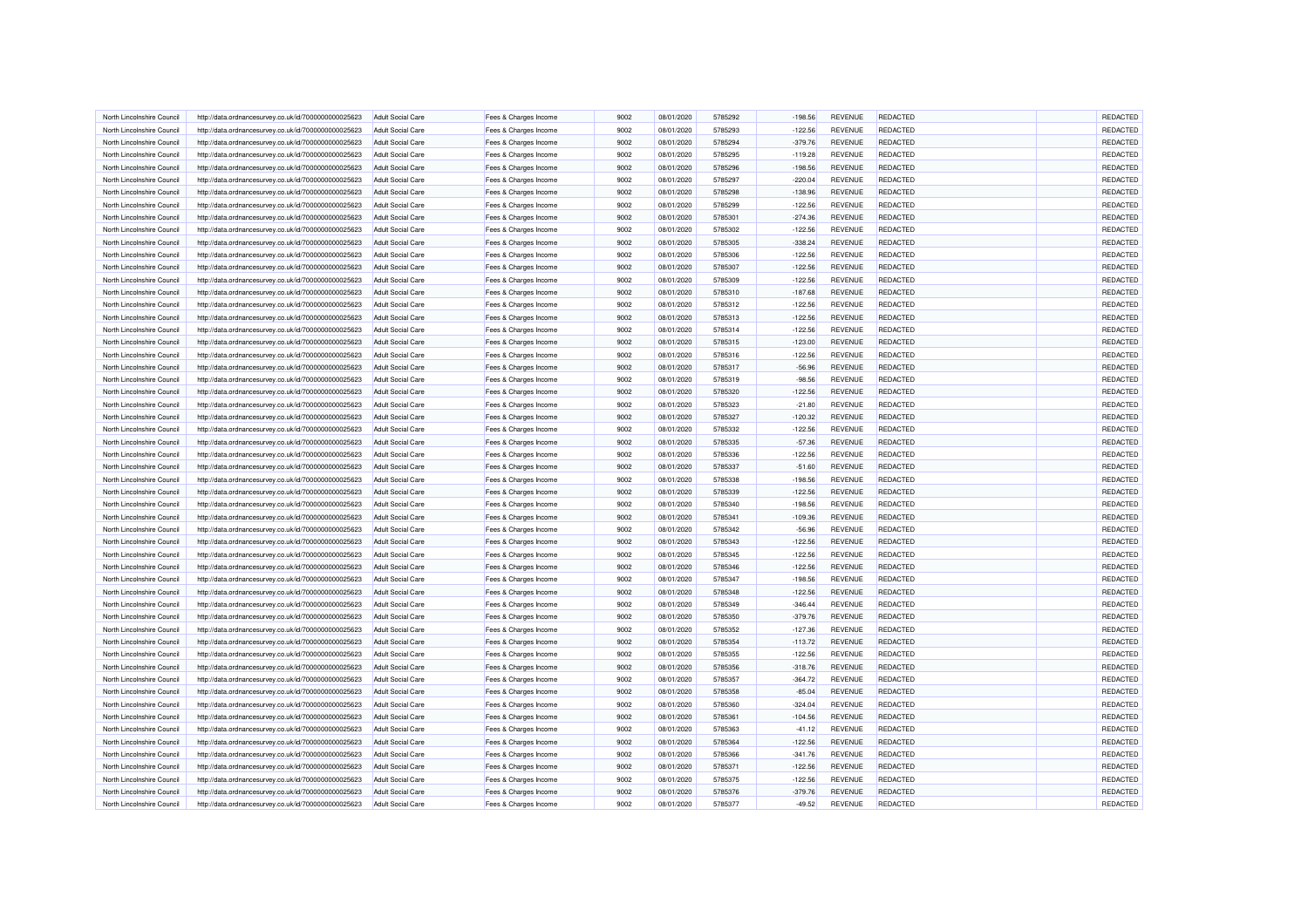| North Lincolnshire Council                               | http://data.ordnancesurvey.co.uk/id/7000000000025623                                                         | <b>Adult Social Care</b>                      | Fees & Charges Income | 9002         | 08/01/2020               | 5785292            | $-198.56$              | REVENUE                          | <b>REDACTED</b>                    | REDACTED        |
|----------------------------------------------------------|--------------------------------------------------------------------------------------------------------------|-----------------------------------------------|-----------------------|--------------|--------------------------|--------------------|------------------------|----------------------------------|------------------------------------|-----------------|
| North Lincolnshire Council                               | http://data.ordnancesurvey.co.uk/id/7000000000025623                                                         | <b>Adult Social Care</b>                      | Fees & Charges Income | 9002         | 08/01/2020               | 5785293            | $-122.56$              | <b>REVENUE</b>                   | <b>REDACTED</b>                    | REDACTED        |
| North Lincolnshire Council                               | http://data.ordnancesurvey.co.uk/id/7000000000025623                                                         | <b>Adult Social Care</b>                      | Fees & Charges Income | 9002         | 08/01/2020               | 5785294            | $-379.76$              | <b>REVENUE</b>                   | REDACTED                           | REDACTED        |
| North Lincolnshire Council                               | http://data.ordnancesurvey.co.uk/id/7000000000025623                                                         | <b>Adult Social Care</b>                      | Fees & Charges Income | 9002         | 08/01/2020               | 5785295            | $-119.28$              | <b>REVENUE</b>                   | <b>REDACTED</b>                    | <b>REDACTED</b> |
| North Lincolnshire Council                               | http://data.ordnancesurvey.co.uk/id/7000000000025623                                                         | <b>Adult Social Care</b>                      | Fees & Charges Income | 9002         | 08/01/2020               | 5785296            | $-198.56$              | <b>REVENUE</b>                   | <b>REDACTED</b>                    | REDACTED        |
| North Lincolnshire Council                               | http://data.ordnancesurvey.co.uk/id/7000000000025623                                                         | <b>Adult Social Care</b>                      | Fees & Charges Income | 9002         | 08/01/2020               | 5785297            | $-220.04$              | <b>REVENUE</b>                   | REDACTED                           | <b>REDACTE</b>  |
| North Lincolnshire Council                               | http://data.ordnancesurvey.co.uk/id/7000000000025623                                                         | <b>Adult Social Care</b>                      | Fees & Charges Income | 9002         | 08/01/2020               | 5785298            | $-138.96$              | <b>REVENUE</b>                   | <b>REDACTED</b>                    | REDACTED        |
| North Lincolnshire Council                               | http://data.ordnancesurvey.co.uk/id/7000000000025623                                                         | <b>Adult Social Care</b>                      | Fees & Charges Income | 9002         | 08/01/2020               | 5785299            | $-122.56$              | <b>REVENUE</b>                   | <b>REDACTED</b>                    | REDACTED        |
| North Lincolnshire Council                               | http://data.ordnancesurvey.co.uk/id/7000000000025623                                                         | <b>Adult Social Care</b>                      | Fees & Charges Income | 9002         | 08/01/2020               | 5785301            | $-274.36$              | <b>REVENUE</b>                   | REDACTED                           | REDACTED        |
| North Lincolnshire Council                               | http://data.ordnancesurvey.co.uk/id/7000000000025623                                                         | <b>Adult Social Care</b>                      | Fees & Charges Income | 9002         | 08/01/2020               | 5785302            | $-122.56$              | <b>REVENUE</b>                   | <b>REDACTED</b>                    | REDACTED        |
| North Lincolnshire Council                               | http://data.ordnancesurvey.co.uk/id/7000000000025623                                                         | <b>Adult Social Care</b>                      | Fees & Charges Income | 9002         | 08/01/2020               | 5785305            | $-338.24$              | <b>REVENUE</b>                   | <b>REDACTED</b>                    | REDACTED        |
| North Lincolnshire Council                               | http://data.ordnancesurvey.co.uk/id/7000000000025623                                                         | <b>Adult Social Care</b>                      | Fees & Charges Income | 9002         |                          | 5785306            | $-122.56$              | <b>REVENUE</b>                   | REDACTED                           | <b>REDACTED</b> |
|                                                          |                                                                                                              |                                               |                       | 9002         | 08/01/2020               | 5785307            |                        |                                  |                                    |                 |
| North Lincolnshire Council<br>North Lincolnshire Council | http://data.ordnancesurvey.co.uk/id/7000000000025623<br>http://data.ordnancesurvey.co.uk/id/7000000000025623 | <b>Adult Social Care</b><br>Adult Social Care | Fees & Charges Income | 9002         | 08/01/2020<br>08/01/2020 | 5785309            | $-122.56$<br>$-122.56$ | <b>REVENUE</b><br><b>REVENUE</b> | <b>REDACTED</b><br><b>REDACTED</b> | REDACTED        |
|                                                          |                                                                                                              |                                               | Fees & Charges Income |              |                          |                    |                        |                                  |                                    | REDACTED        |
| North Lincolnshire Council                               | http://data.ordnancesurvey.co.uk/id/7000000000025623                                                         | <b>Adult Social Care</b>                      | Fees & Charges Income | 9002         | 08/01/2020               | 5785310            | $-187.68$              | REVENUE                          | REDACTED                           | REDACTED        |
| North Lincolnshire Council                               | http://data.ordnancesurvey.co.uk/id/7000000000025623                                                         | <b>Adult Social Care</b>                      | Fees & Charges Income | 9002         | 08/01/2020               | 5785312            | $-122.56$              | <b>REVENUE</b>                   | <b>REDACTED</b>                    | REDACTED        |
| North Lincolnshire Council                               | http://data.ordnancesurvey.co.uk/id/7000000000025623                                                         | <b>Adult Social Care</b>                      | Fees & Charges Income | 9002         | 08/01/2020               | 5785313            | $-122.56$              | <b>REVENUE</b>                   | <b>REDACTED</b>                    | REDACTED        |
| North Lincolnshire Council                               | http://data.ordnancesurvey.co.uk/id/7000000000025623                                                         | <b>Adult Social Care</b>                      | Fees & Charges Income | 9002         | 08/01/2020               | 5785314            | $-122.56$              | <b>REVENUE</b>                   | REDACTED                           | REDACTED        |
| North Lincolnshire Council                               | http://data.ordnancesurvey.co.uk/id/7000000000025623                                                         | <b>Adult Social Care</b>                      | Fees & Charges Income | 9002         | 08/01/2020               | 5785315            | $-123.00$              | <b>REVENUE</b>                   | <b>REDACTED</b>                    | REDACTED        |
| North Lincolnshire Council                               | http://data.ordnancesurvey.co.uk/id/7000000000025623                                                         | <b>Adult Social Care</b>                      | Fees & Charges Income | 9002         | 08/01/2020               | 5785316            | $-122.56$              | <b>REVENUE</b>                   | <b>REDACTED</b>                    | REDACTED        |
| North Lincolnshire Council                               | http://data.ordnancesurvey.co.uk/id/7000000000025623                                                         | <b>Adult Social Care</b>                      | Fees & Charges Income | 9002         | 08/01/2020               | 5785317            | $-56.96$               | <b>REVENUE</b>                   | REDACTED                           | REDACTED        |
| North Lincolnshire Council                               | http://data.ordnancesurvey.co.uk/id/7000000000025623                                                         | <b>Adult Social Care</b>                      | Fees & Charges Income | 9002         | 08/01/2020               | 5785319            | $-98.56$               | <b>REVENUE</b>                   | <b>REDACTED</b>                    | REDACTED        |
| North Lincolnshire Council                               | http://data.ordnancesurvey.co.uk/id/7000000000025623                                                         | <b>Adult Social Care</b>                      | Fees & Charges Income | 9002         | 08/01/2020               | 5785320            | $-122.56$              | <b>REVENUE</b>                   | <b>REDACTED</b>                    | REDACTED        |
| North Lincolnshire Council                               | http://data.ordnancesurvey.co.uk/id/7000000000025623                                                         | <b>Adult Social Care</b>                      | Fees & Charges Income | 9002         | 08/01/2020               | 5785323            | $-21.80$               | <b>REVENUE</b>                   | REDACTED                           | REDACTED        |
| North Lincolnshire Council                               | http://data.ordnancesurvey.co.uk/id/7000000000025623                                                         | <b>Adult Social Care</b>                      | Fees & Charges Income | 9002         | 08/01/2020               | 5785327            | $-120.32$              | <b>REVENUE</b>                   | <b>REDACTED</b>                    | REDACTED        |
| North Lincolnshire Council                               | http://data.ordnancesurvey.co.uk/id/7000000000025623                                                         | Adult Social Care                             | Fees & Charges Income | 9002         | 08/01/2020               | 5785332            | $-122.56$              | <b>REVENUE</b>                   | <b>REDACTED</b>                    | REDACTED        |
| North Lincolnshire Council                               | http://data.ordnancesurvey.co.uk/id/7000000000025623                                                         | <b>Adult Social Care</b>                      | Fees & Charges Income | 9002         | 08/01/2020               | 5785335            | $-57.36$               | <b>REVENUE</b>                   | REDACTED                           | REDACTED        |
| North Lincolnshire Council                               | http://data.ordnancesurvey.co.uk/id/7000000000025623                                                         | <b>Adult Social Care</b>                      | Fees & Charges Income | 9002         | 08/01/2020               | 5785336            | $-122.56$              | <b>REVENUE</b>                   | <b>REDACTED</b>                    | REDACTED        |
| North Lincolnshire Council                               | http://data.ordnancesurvey.co.uk/id/7000000000025623                                                         | <b>Adult Social Care</b>                      | Fees & Charges Income | 9002         | 08/01/2020               | 5785337            | $-51.60$               | <b>REVENUE</b>                   | <b>REDACTED</b>                    | REDACTED        |
| North Lincolnshire Council                               | http://data.ordnancesurvey.co.uk/id/7000000000025623                                                         | <b>Adult Social Care</b>                      | Fees & Charges Income | 9002         | 08/01/2020               | 5785338            | $-198.56$              | <b>REVENUE</b>                   | REDACTED                           | REDACTED        |
| North Lincolnshire Council                               | http://data.ordnancesurvey.co.uk/id/7000000000025623                                                         | <b>Adult Social Care</b>                      | Fees & Charges Income | 9002         | 08/01/2020               | 5785339            | $-122.56$              | <b>REVENUE</b>                   | <b>REDACTED</b>                    | REDACTED        |
| North Lincolnshire Council                               | http://data.ordnancesurvey.co.uk/id/7000000000025623                                                         | <b>Adult Social Care</b>                      | Fees & Charges Income | 9002         | 08/01/2020               | 5785340            | $-198.56$              | <b>REVENUE</b>                   | <b>REDACTED</b>                    | REDACTED        |
| North Lincolnshire Council                               | http://data.ordnancesurvey.co.uk/id/7000000000025623                                                         | <b>Adult Social Care</b>                      | Fees & Charges Income | 9002         | 08/01/2020               | 5785341            | $-109.36$              | <b>REVENUE</b>                   | REDACTED                           | REDACTED        |
| North Lincolnshire Council                               | http://data.ordnancesurvey.co.uk/id/7000000000025623                                                         | <b>Adult Social Care</b>                      | Fees & Charges Income | 9002         | 08/01/2020               | 5785342            | $-56.96$               | <b>REVENUE</b>                   | <b>REDACTED</b>                    | REDACTED        |
| North Lincolnshire Council                               | http://data.ordnancesurvey.co.uk/id/7000000000025623                                                         | Adult Social Care                             | Fees & Charges Income | 9002         | 08/01/2020               | 5785343            | $-122.56$              | <b>REVENUE</b>                   | <b>REDACTED</b>                    | REDACTED        |
| North Lincolnshire Council                               | http://data.ordnancesurvey.co.uk/id/7000000000025623                                                         | <b>Adult Social Care</b>                      | Fees & Charges Income | 9002         | 08/01/2020               | 5785345            | $-122.56$              | <b>REVENUE</b>                   | REDACTED                           | REDACTED        |
|                                                          |                                                                                                              |                                               |                       | 9002         | 08/01/2020               | 5785346            | $-122.56$              | <b>REVENUE</b>                   | <b>REDACTED</b>                    | REDACTED        |
| North Lincolnshire Council                               | http://data.ordnancesurvey.co.uk/id/7000000000025623                                                         | <b>Adult Social Care</b>                      | Fees & Charges Income |              |                          |                    |                        |                                  |                                    |                 |
| North Lincolnshire Council<br>North Lincolnshire Council | http://data.ordnancesurvey.co.uk/id/7000000000025623                                                         | <b>Adult Social Care</b>                      | Fees & Charges Income | 9002<br>9002 | 08/01/2020               | 5785347<br>5785348 | $-198.56$              | <b>REVENUE</b>                   | <b>REDACTED</b>                    | REDACTED        |
|                                                          | http://data.ordnancesurvey.co.uk/id/7000000000025623                                                         | <b>Adult Social Care</b>                      | Fees & Charges Income |              | 08/01/2020               |                    | $-122.56$              | <b>REVENUE</b>                   | <b>REDACTED</b>                    | REDACTED        |
| North Lincolnshire Council                               | http://data.ordnancesurvey.co.uk/id/7000000000025623                                                         | <b>Adult Social Care</b>                      | Fees & Charges Income | 9002         | 08/01/2020               | 5785349            | $-346.44$              | <b>REVENUE</b>                   | <b>REDACTED</b>                    | REDACTED        |
| North Lincolnshire Council                               | http://data.ordnancesurvey.co.uk/id/7000000000025623                                                         | <b>Adult Social Care</b>                      | Fees & Charges Income | 9002         | 08/01/2020               | 5785350            | $-379.76$              | <b>REVENUE</b>                   | <b>REDACTED</b>                    | REDACTED        |
| North Lincolnshire Council                               | http://data.ordnancesurvey.co.uk/id/7000000000025623                                                         | <b>Adult Social Care</b>                      | Fees & Charges Income | 9002         | 08/01/2020               | 5785352            | $-127.36$              | <b>REVENUE</b>                   | <b>REDACTED</b>                    | REDACTED        |
| North Lincolnshire Council                               | http://data.ordnancesurvey.co.uk/id/7000000000025623                                                         | <b>Adult Social Care</b>                      | Fees & Charges Income | 9002         | 08/01/2020               | 5785354            | $-113.72$              | REVENUE                          | <b>REDACTED</b>                    | REDACTED        |
| North Lincolnshire Council                               | http://data.ordnancesurvey.co.uk/id/7000000000025623                                                         | <b>Adult Social Care</b>                      | Fees & Charges Income | 9002         | 08/01/2020               | 5785355            | $-122.56$              | <b>REVENUE</b>                   | <b>REDACTED</b>                    | REDACTED        |
| North Lincolnshire Council                               | http://data.ordnancesurvey.co.uk/id/7000000000025623                                                         | <b>Adult Social Care</b>                      | Fees & Charges Income | 9002         | 08/01/2020               | 5785356            | $-318.76$              | <b>REVENUE</b>                   | <b>REDACTED</b>                    | REDACTED        |
| North Lincolnshire Council                               | http://data.ordnancesurvey.co.uk/id/7000000000025623                                                         | <b>Adult Social Care</b>                      | Fees & Charges Income | 9002         | 08/01/2020               | 5785357            | $-364.72$              | <b>REVENUE</b>                   | REDACTED                           | REDACTED        |
| North Lincolnshire Council                               | http://data.ordnancesurvey.co.uk/id/7000000000025623                                                         | <b>Adult Social Care</b>                      | Fees & Charges Income | 9002         | 08/01/2020               | 5785358            | $-85.04$               | <b>REVENUE</b>                   | <b>REDACTED</b>                    | REDACTED        |
| North Lincolnshire Council                               | http://data.ordnancesurvey.co.uk/id/7000000000025623                                                         | Adult Social Care                             | Fees & Charges Income | 9002         | 08/01/2020               | 5785360            | $-324.04$              | <b>REVENUE</b>                   | <b>REDACTED</b>                    | REDACTED        |
| North Lincolnshire Council                               | http://data.ordnancesurvey.co.uk/id/7000000000025623                                                         | <b>Adult Social Care</b>                      | Fees & Charges Income | 9002         | 08/01/2020               | 5785361            | $-104.56$              | <b>REVENUE</b>                   | <b>REDACTED</b>                    | REDACTED        |
| North Lincolnshire Council                               | http://data.ordnancesurvey.co.uk/id/7000000000025623                                                         | <b>Adult Social Care</b>                      | Fees & Charges Income | 9002         | 08/01/2020               | 5785363            | $-41.12$               | <b>REVENUE</b>                   | <b>REDACTED</b>                    | REDACTED        |
| North Lincolnshire Council                               | http://data.ordnancesurvey.co.uk/id/7000000000025623                                                         | <b>Adult Social Care</b>                      | Fees & Charges Income | 9002         | 08/01/2020               | 5785364            | $-122.56$              | <b>REVENUE</b>                   | <b>REDACTED</b>                    | REDACTED        |
| North Lincolnshire Council                               | http://data.ordnancesurvey.co.uk/id/7000000000025623                                                         | <b>Adult Social Care</b>                      | Fees & Charges Income | 9002         | 08/01/2020               | 5785366            | $-341.76$              | <b>REVENUE</b>                   | REDACTED                           | REDACTED        |
| North Lincolnshire Council                               | http://data.ordnancesurvey.co.uk/id/7000000000025623                                                         | <b>Adult Social Care</b>                      | Fees & Charges Income | 9002         | 08/01/2020               | 5785371            | $-122.56$              | <b>REVENUE</b>                   | <b>REDACTED</b>                    | REDACTED        |
| North Lincolnshire Council                               | http://data.ordnancesurvey.co.uk/id/7000000000025623                                                         | Adult Social Care                             | Fees & Charges Income | 9002         | 08/01/2020               | 5785375            | $-122.56$              | <b>REVENUE</b>                   | <b>REDACTED</b>                    | <b>REDACTED</b> |
| North Lincolnshire Council                               | http://data.ordnancesurvey.co.uk/id/7000000000025623                                                         | Adult Social Care                             | Fees & Charges Income | 9002         | 08/01/2020               | 5785376            | $-379.76$              | <b>REVENUE</b>                   | <b>REDACTED</b>                    | REDACTED        |
| North Lincolnshire Council                               | http://data.ordnancesurvey.co.uk/id/7000000000025623                                                         | Adult Social Care                             | Fees & Charges Income | 9002         | 08/01/2020               | 5785377            | $-49.52$               | <b>REVENUE</b>                   | <b>REDACTED</b>                    | REDACTED        |
|                                                          |                                                                                                              |                                               |                       |              |                          |                    |                        |                                  |                                    |                 |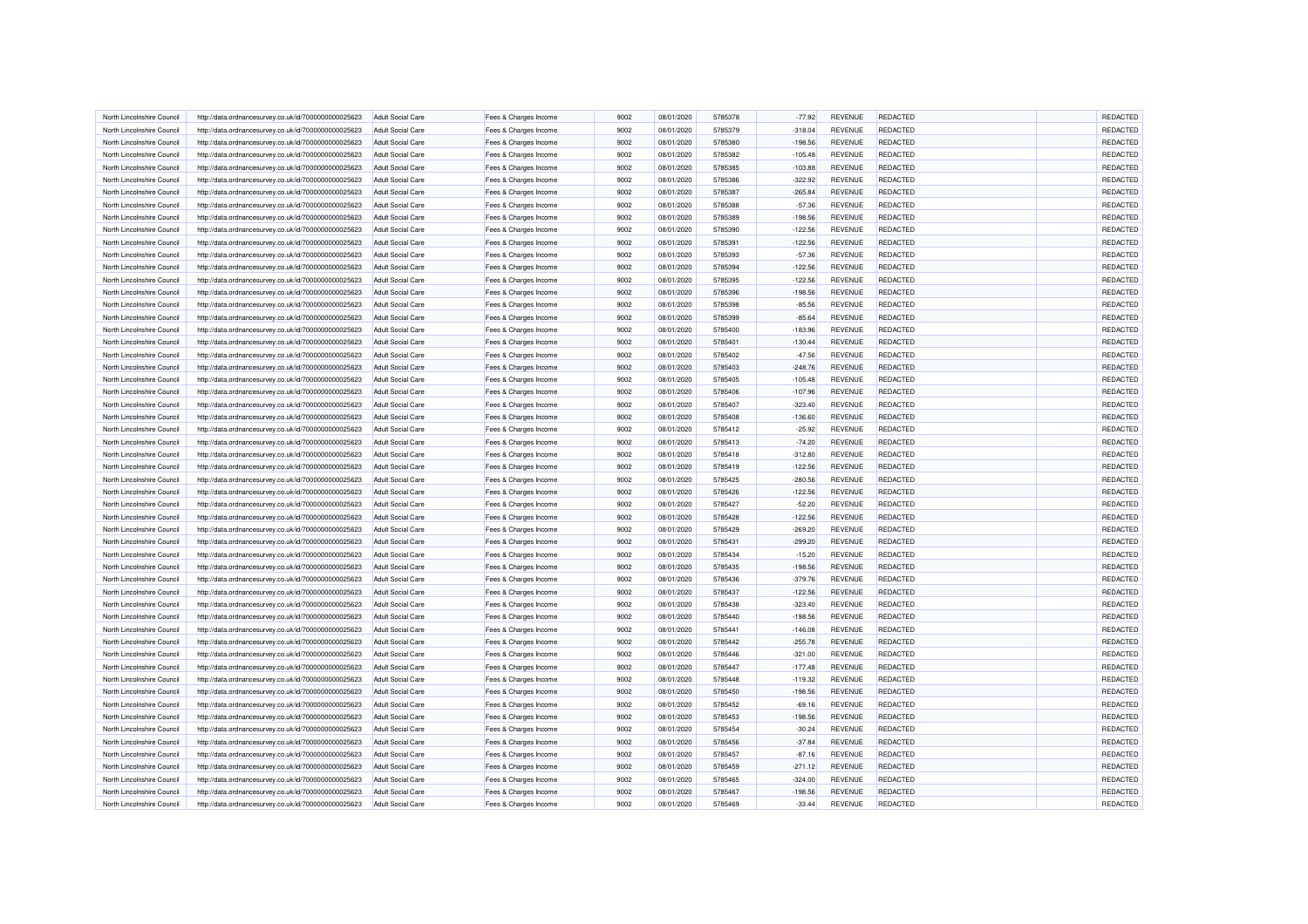| North Lincolnshire Council                               | http://data.ordnancesurvey.co.uk/id/7000000000025623                                                         | <b>Adult Social Care</b>                      | Fees & Charges Income | 9002         | 08/01/2020               | 5785378            | $-77.92$  | REVENUE        | <b>REDACTED</b> | REDACTED        |
|----------------------------------------------------------|--------------------------------------------------------------------------------------------------------------|-----------------------------------------------|-----------------------|--------------|--------------------------|--------------------|-----------|----------------|-----------------|-----------------|
| North Lincolnshire Council                               | http://data.ordnancesurvey.co.uk/id/7000000000025623                                                         | <b>Adult Social Care</b>                      | Fees & Charges Income | 9002         | 08/01/2020               | 5785379            | $-318.04$ | <b>REVENUE</b> | <b>REDACTED</b> | REDACTED        |
| North Lincolnshire Council                               | http://data.ordnancesurvey.co.uk/id/7000000000025623                                                         | <b>Adult Social Care</b>                      | Fees & Charges Income | 9002         | 08/01/2020               | 5785380            | $-198.56$ | <b>REVENUE</b> | REDACTED        | REDACTED        |
| North Lincolnshire Council                               | http://data.ordnancesurvey.co.uk/id/7000000000025623                                                         | <b>Adult Social Care</b>                      | Fees & Charges Income | 9002         | 08/01/2020               | 5785382            | $-105.48$ | <b>REVENUE</b> | <b>REDACTED</b> | <b>REDACTED</b> |
| North Lincolnshire Council                               | http://data.ordnancesurvey.co.uk/id/7000000000025623                                                         | <b>Adult Social Care</b>                      | Fees & Charges Income | 9002         | 08/01/2020               | 5785385            | $-103.88$ | <b>REVENUE</b> | <b>REDACTED</b> | REDACTED        |
| North Lincolnshire Council                               | http://data.ordnancesurvey.co.uk/id/7000000000025623                                                         | <b>Adult Social Care</b>                      | Fees & Charges Income | 9002         | 08/01/2020               | 5785386            | $-322.92$ | <b>REVENUE</b> | REDACTED        | <b>REDACTE</b>  |
| North Lincolnshire Council                               | http://data.ordnancesurvey.co.uk/id/7000000000025623                                                         | <b>Adult Social Care</b>                      | Fees & Charges Income | 9002         | 08/01/2020               | 5785387            | $-265.84$ | <b>REVENUE</b> | <b>REDACTED</b> | REDACTED        |
| North Lincolnshire Council                               | http://data.ordnancesurvey.co.uk/id/7000000000025623                                                         | <b>Adult Social Care</b>                      | Fees & Charges Income | 9002         | 08/01/2020               | 5785388            | $-57.36$  | <b>REVENUE</b> | <b>REDACTED</b> | REDACTED        |
| North Lincolnshire Council                               | http://data.ordnancesurvey.co.uk/id/7000000000025623                                                         | <b>Adult Social Care</b>                      | Fees & Charges Income | 9002         | 08/01/2020               | 5785389            | $-198.56$ | <b>REVENUE</b> | REDACTED        | REDACTED        |
| North Lincolnshire Council                               | http://data.ordnancesurvey.co.uk/id/7000000000025623                                                         | <b>Adult Social Care</b>                      | Fees & Charges Income | 9002         | 08/01/2020               | 5785390            | $-122.56$ | <b>REVENUE</b> | <b>REDACTED</b> | REDACTED        |
| North Lincolnshire Council                               | http://data.ordnancesurvey.co.uk/id/7000000000025623                                                         | <b>Adult Social Care</b>                      | Fees & Charges Income | 9002         | 08/01/2020               | 5785391            | $-122.56$ | <b>REVENUE</b> | <b>REDACTED</b> | REDACTED        |
| North Lincolnshire Council                               | http://data.ordnancesurvey.co.uk/id/7000000000025623                                                         | <b>Adult Social Care</b>                      | Fees & Charges Income | 9002         |                          | 5785393            | $-57.36$  | <b>REVENUE</b> | REDACTED        | <b>REDACTED</b> |
| North Lincolnshire Council                               |                                                                                                              |                                               |                       | 9002         | 08/01/2020<br>08/01/2020 | 5785394            | $-122.56$ | <b>REVENUE</b> | <b>REDACTED</b> | REDACTED        |
| North Lincolnshire Council                               | http://data.ordnancesurvey.co.uk/id/7000000000025623<br>http://data.ordnancesurvey.co.uk/id/7000000000025623 | <b>Adult Social Care</b><br>Adult Social Care | Fees & Charges Income | 9002         | 08/01/2020               | 5785395            | $-122.56$ | <b>REVENUE</b> | <b>REDACTED</b> |                 |
|                                                          |                                                                                                              |                                               | Fees & Charges Income |              |                          |                    |           |                |                 | REDACTED        |
| North Lincolnshire Council                               | http://data.ordnancesurvey.co.uk/id/7000000000025623                                                         | <b>Adult Social Care</b>                      | Fees & Charges Income | 9002         | 08/01/2020               | 5785396            | $-198.56$ | REVENUE        | REDACTED        | REDACTED        |
| North Lincolnshire Council                               | http://data.ordnancesurvey.co.uk/id/7000000000025623                                                         | <b>Adult Social Care</b>                      | Fees & Charges Income | 9002         | 08/01/2020               | 5785398            | $-85.56$  | <b>REVENUE</b> | <b>REDACTED</b> | <b>REDACTED</b> |
| North Lincolnshire Council                               | http://data.ordnancesurvey.co.uk/id/7000000000025623                                                         | <b>Adult Social Care</b>                      | Fees & Charges Income | 9002         | 08/01/2020               | 5785399            | $-85.64$  | <b>REVENUE</b> | <b>REDACTED</b> | REDACTED        |
| North Lincolnshire Council                               | http://data.ordnancesurvey.co.uk/id/7000000000025623                                                         | <b>Adult Social Care</b>                      | Fees & Charges Income | 9002         | 08/01/2020               | 5785400            | $-183.96$ | <b>REVENUE</b> | REDACTED        | REDACTED        |
| North Lincolnshire Council                               | http://data.ordnancesurvey.co.uk/id/7000000000025623                                                         | <b>Adult Social Care</b>                      | Fees & Charges Income | 9002         | 08/01/2020               | 5785401            | $-130.44$ | <b>REVENUE</b> | <b>REDACTED</b> | REDACTED        |
| North Lincolnshire Council                               | http://data.ordnancesurvey.co.uk/id/7000000000025623                                                         | <b>Adult Social Care</b>                      | Fees & Charges Income | 9002         | 08/01/2020               | 5785402            | $-47.56$  | <b>REVENUE</b> | <b>REDACTED</b> | REDACTED        |
| North Lincolnshire Council                               | http://data.ordnancesurvey.co.uk/id/7000000000025623                                                         | <b>Adult Social Care</b>                      | Fees & Charges Income | 9002         | 08/01/2020               | 5785403            | $-248.76$ | <b>REVENUE</b> | REDACTED        | REDACTED        |
| North Lincolnshire Council                               | http://data.ordnancesurvey.co.uk/id/7000000000025623                                                         | <b>Adult Social Care</b>                      | Fees & Charges Income | 9002         | 08/01/2020               | 5785405            | $-105.48$ | <b>REVENUE</b> | <b>REDACTED</b> | REDACTED        |
| North Lincolnshire Council                               | http://data.ordnancesurvey.co.uk/id/7000000000025623                                                         | <b>Adult Social Care</b>                      | Fees & Charges Income | 9002         | 08/01/2020               | 5785406            | $-107.96$ | <b>REVENUE</b> | <b>REDACTED</b> | REDACTED        |
| North Lincolnshire Council                               | http://data.ordnancesurvey.co.uk/id/7000000000025623                                                         | <b>Adult Social Care</b>                      | Fees & Charges Income | 9002         | 08/01/2020               | 5785407            | $-323.40$ | <b>REVENUE</b> | REDACTED        | REDACTED        |
| North Lincolnshire Council                               | http://data.ordnancesurvey.co.uk/id/7000000000025623                                                         | <b>Adult Social Care</b>                      | Fees & Charges Income | 9002         | 08/01/2020               | 5785408            | $-136.60$ | <b>REVENUE</b> | <b>REDACTED</b> | REDACTED        |
| North Lincolnshire Council                               | http://data.ordnancesurvey.co.uk/id/7000000000025623                                                         | Adult Social Care                             | Fees & Charges Income | 9002         | 08/01/2020               | 5785412            | $-25.92$  | <b>REVENUE</b> | <b>REDACTED</b> | REDACTED        |
| North Lincolnshire Council                               | http://data.ordnancesurvey.co.uk/id/7000000000025623                                                         | <b>Adult Social Care</b>                      | Fees & Charges Income | 9002         | 08/01/2020               | 5785413            | $-74.20$  | <b>REVENUE</b> | REDACTED        | REDACTED        |
| North Lincolnshire Council                               | http://data.ordnancesurvey.co.uk/id/7000000000025623                                                         | <b>Adult Social Care</b>                      | Fees & Charges Income | 9002         | 08/01/2020               | 5785418            | $-312.80$ | <b>REVENUE</b> | <b>REDACTED</b> | REDACTED        |
| North Lincolnshire Council                               | http://data.ordnancesurvey.co.uk/id/7000000000025623                                                         | <b>Adult Social Care</b>                      | Fees & Charges Income | 9002         | 08/01/2020               | 5785419            | $-122.56$ | <b>REVENUE</b> | <b>REDACTED</b> | REDACTED        |
| North Lincolnshire Council                               | http://data.ordnancesurvey.co.uk/id/7000000000025623                                                         | <b>Adult Social Care</b>                      | Fees & Charges Income | 9002         | 08/01/2020               | 5785425            | $-280.56$ | <b>REVENUE</b> | REDACTED        | REDACTED        |
| North Lincolnshire Council                               | http://data.ordnancesurvey.co.uk/id/7000000000025623                                                         | <b>Adult Social Care</b>                      | Fees & Charges Income | 9002         | 08/01/2020               | 5785426            | $-122.56$ | <b>REVENUE</b> | <b>REDACTED</b> | REDACTED        |
| North Lincolnshire Council                               | http://data.ordnancesurvey.co.uk/id/7000000000025623                                                         | <b>Adult Social Care</b>                      | Fees & Charges Income | 9002         | 08/01/2020               | 5785427            | $-52.20$  | <b>REVENUE</b> | <b>REDACTED</b> | REDACTED        |
| North Lincolnshire Council                               | http://data.ordnancesurvey.co.uk/id/7000000000025623                                                         | <b>Adult Social Care</b>                      | Fees & Charges Income | 9002         | 08/01/2020               | 5785428            | $-122.56$ | <b>REVENUE</b> | REDACTED        | REDACTED        |
| North Lincolnshire Council                               | http://data.ordnancesurvey.co.uk/id/7000000000025623                                                         | <b>Adult Social Care</b>                      | Fees & Charges Income | 9002         | 08/01/2020               | 5785429            | $-269.20$ | <b>REVENUE</b> | <b>REDACTED</b> | REDACTED        |
| North Lincolnshire Council                               | http://data.ordnancesurvey.co.uk/id/7000000000025623                                                         | Adult Social Care                             | Fees & Charges Income | 9002         | 08/01/2020               | 5785431            | $-299.20$ | <b>REVENUE</b> | <b>REDACTED</b> | REDACTED        |
| North Lincolnshire Council                               | http://data.ordnancesurvey.co.uk/id/7000000000025623                                                         | <b>Adult Social Care</b>                      | Fees & Charges Income | 9002         | 08/01/2020               | 5785434            | $-15.20$  | <b>REVENUE</b> | REDACTED        | REDACTED        |
|                                                          |                                                                                                              |                                               |                       | 9002         | 08/01/2020               | 5785435            | $-198.56$ | REVENUE        | <b>REDACTED</b> | REDACTED        |
| North Lincolnshire Council                               | http://data.ordnancesurvey.co.uk/id/7000000000025623                                                         | <b>Adult Social Care</b>                      | Fees & Charges Income |              |                          |                    |           |                |                 |                 |
| North Lincolnshire Council<br>North Lincolnshire Council | http://data.ordnancesurvey.co.uk/id/7000000000025623                                                         | <b>Adult Social Care</b>                      | Fees & Charges Income | 9002<br>9002 | 08/01/2020               | 5785436<br>5785437 | $-379.76$ | <b>REVENUE</b> | <b>REDACTED</b> | REDACTED        |
|                                                          | http://data.ordnancesurvey.co.uk/id/7000000000025623                                                         | <b>Adult Social Care</b>                      | Fees & Charges Income |              | 08/01/2020               |                    | $-122.56$ | <b>REVENUE</b> | <b>REDACTED</b> | REDACTED        |
| North Lincolnshire Council                               | http://data.ordnancesurvey.co.uk/id/7000000000025623                                                         | <b>Adult Social Care</b>                      | Fees & Charges Income | 9002         | 08/01/2020               | 5785438            | $-323.40$ | <b>REVENUE</b> | <b>REDACTED</b> | REDACTED        |
| North Lincolnshire Council                               | http://data.ordnancesurvey.co.uk/id/7000000000025623                                                         | <b>Adult Social Care</b>                      | Fees & Charges Income | 9002         | 08/01/2020               | 5785440            | $-198.56$ | <b>REVENUE</b> | <b>REDACTED</b> | REDACTED        |
| North Lincolnshire Council                               | http://data.ordnancesurvey.co.uk/id/7000000000025623                                                         | <b>Adult Social Care</b>                      | Fees & Charges Income | 9002         | 08/01/2020               | 5785441            | $-146.08$ | <b>REVENUE</b> | <b>REDACTED</b> | REDACTED        |
| North Lincolnshire Council                               | http://data.ordnancesurvey.co.uk/id/7000000000025623                                                         | <b>Adult Social Care</b>                      | Fees & Charges Income | 9002         | 08/01/2020               | 5785442            | $-255.78$ | REVENUE        | <b>REDACTED</b> | REDACTED        |
| North Lincolnshire Council                               | http://data.ordnancesurvey.co.uk/id/7000000000025623                                                         | <b>Adult Social Care</b>                      | Fees & Charges Income | 9002         | 08/01/2020               | 5785446            | $-321.00$ | <b>REVENUE</b> | <b>REDACTED</b> | REDACTED        |
| North Lincolnshire Council                               | http://data.ordnancesurvey.co.uk/id/7000000000025623                                                         | <b>Adult Social Care</b>                      | Fees & Charges Income | 9002         | 08/01/2020               | 5785447            | $-177.48$ | <b>REVENUE</b> | <b>REDACTED</b> | REDACTED        |
| North Lincolnshire Council                               | http://data.ordnancesurvey.co.uk/id/7000000000025623                                                         | <b>Adult Social Care</b>                      | Fees & Charges Income | 9002         | 08/01/2020               | 5785448            | $-119.32$ | <b>REVENUE</b> | REDACTED        | REDACTED        |
| North Lincolnshire Council                               | http://data.ordnancesurvey.co.uk/id/7000000000025623                                                         | <b>Adult Social Care</b>                      | Fees & Charges Income | 9002         | 08/01/2020               | 5785450            | $-198.56$ | <b>REVENUE</b> | <b>REDACTED</b> | REDACTED        |
| North Lincolnshire Council                               | http://data.ordnancesurvey.co.uk/id/7000000000025623                                                         | Adult Social Care                             | Fees & Charges Income | 9002         | 08/01/2020               | 5785452            | $-69.16$  | <b>REVENUE</b> | <b>REDACTED</b> | REDACTED        |
| North Lincolnshire Council                               | http://data.ordnancesurvey.co.uk/id/7000000000025623                                                         | <b>Adult Social Care</b>                      | Fees & Charges Income | 9002         | 08/01/2020               | 5785453            | $-198.56$ | <b>REVENUE</b> | <b>REDACTED</b> | REDACTED        |
| North Lincolnshire Council                               | http://data.ordnancesurvey.co.uk/id/7000000000025623                                                         | <b>Adult Social Care</b>                      | Fees & Charges Income | 9002         | 08/01/2020               | 5785454            | $-30.24$  | <b>REVENUE</b> | <b>REDACTED</b> | REDACTED        |
| North Lincolnshire Council                               | http://data.ordnancesurvey.co.uk/id/7000000000025623                                                         | <b>Adult Social Care</b>                      | Fees & Charges Income | 9002         | 08/01/2020               | 5785456            | $-37.84$  | <b>REVENUE</b> | <b>REDACTED</b> | REDACTED        |
| North Lincolnshire Council                               | http://data.ordnancesurvey.co.uk/id/7000000000025623                                                         | <b>Adult Social Care</b>                      | Fees & Charges Income | 9002         | 08/01/2020               | 5785457            | $-87.16$  | <b>REVENUE</b> | REDACTED        | REDACTED        |
| North Lincolnshire Council                               | http://data.ordnancesurvey.co.uk/id/7000000000025623                                                         | <b>Adult Social Care</b>                      | Fees & Charges Income | 9002         | 08/01/2020               | 5785459            | $-271.12$ | <b>REVENUE</b> | <b>REDACTED</b> | REDACTED        |
| North Lincolnshire Council                               | http://data.ordnancesurvey.co.uk/id/7000000000025623                                                         | Adult Social Care                             | Fees & Charges Income | 9002         | 08/01/2020               | 5785465            | $-324.00$ | <b>REVENUE</b> | <b>REDACTED</b> | <b>REDACTED</b> |
| North Lincolnshire Council                               | http://data.ordnancesurvey.co.uk/id/7000000000025623                                                         | Adult Social Care                             | Fees & Charges Income | 9002         | 08/01/2020               | 5785467            | $-198.56$ | <b>REVENUE</b> | <b>REDACTED</b> | REDACTED        |
| North Lincolnshire Council                               | http://data.ordnancesurvey.co.uk/id/7000000000025623                                                         | Adult Social Care                             | Fees & Charges Income | 9002         | 08/01/2020               | 5785469            | $-33.44$  | <b>REVENUE</b> | <b>REDACTED</b> | REDACTED        |
|                                                          |                                                                                                              |                                               |                       |              |                          |                    |           |                |                 |                 |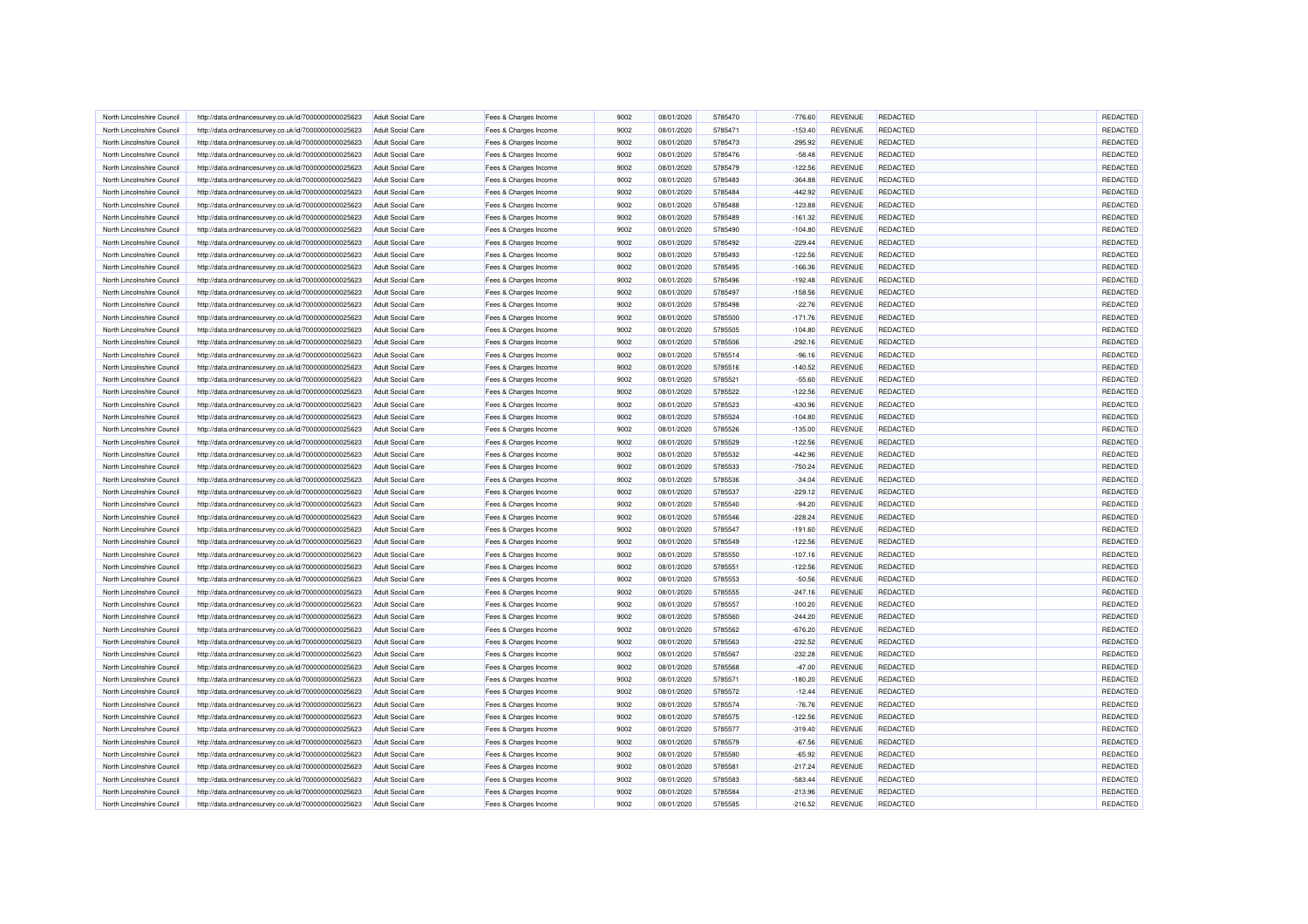| North Lincolnshire Council | http://data.ordnancesurvey.co.uk/id/7000000000025623 | <b>Adult Social Care</b> | Fees & Charges Income | 9002 | 08/01/2020 | 5785470 | $-776.60$ | REVENUE        | <b>REDACTED</b> | REDACTED        |
|----------------------------|------------------------------------------------------|--------------------------|-----------------------|------|------------|---------|-----------|----------------|-----------------|-----------------|
| North Lincolnshire Council | http://data.ordnancesurvey.co.uk/id/7000000000025623 | <b>Adult Social Care</b> | Fees & Charges Income | 9002 | 08/01/2020 | 5785471 | $-153.40$ | <b>REVENUE</b> | <b>REDACTED</b> | REDACTED        |
| North Lincolnshire Council | http://data.ordnancesurvey.co.uk/id/7000000000025623 | <b>Adult Social Care</b> | Fees & Charges Income | 9002 | 08/01/2020 | 5785473 | $-295.92$ | <b>REVENUE</b> | REDACTED        | REDACTED        |
| North Lincolnshire Council | http://data.ordnancesurvey.co.uk/id/7000000000025623 | <b>Adult Social Care</b> | Fees & Charges Income | 9002 | 08/01/2020 | 5785476 | $-58.48$  | <b>REVENUE</b> | <b>REDACTED</b> | <b>REDACTED</b> |
| North Lincolnshire Council | http://data.ordnancesurvey.co.uk/id/7000000000025623 | <b>Adult Social Care</b> | Fees & Charges Income | 9002 | 08/01/2020 | 5785479 | $-122.56$ | <b>REVENUE</b> | <b>REDACTED</b> | REDACTED        |
| North Lincolnshire Council | http://data.ordnancesurvey.co.uk/id/7000000000025623 | <b>Adult Social Care</b> | Fees & Charges Income | 9002 | 08/01/2020 | 5785483 | $-364.88$ | <b>REVENUE</b> | REDACTED        | <b>REDACTE</b>  |
| North Lincolnshire Council | http://data.ordnancesurvey.co.uk/id/7000000000025623 | <b>Adult Social Care</b> | Fees & Charges Income | 9002 | 08/01/2020 | 5785484 | $-442.92$ | <b>REVENUE</b> | <b>REDACTED</b> | REDACTED        |
| North Lincolnshire Council | http://data.ordnancesurvey.co.uk/id/7000000000025623 | <b>Adult Social Care</b> | Fees & Charges Income | 9002 | 08/01/2020 | 5785488 | $-123.88$ | <b>REVENUE</b> | <b>REDACTED</b> | REDACTED        |
| North Lincolnshire Council | http://data.ordnancesurvey.co.uk/id/7000000000025623 | <b>Adult Social Care</b> | Fees & Charges Income | 9002 | 08/01/2020 | 5785489 | $-161.32$ | <b>REVENUE</b> | REDACTED        | REDACTED        |
| North Lincolnshire Council | http://data.ordnancesurvey.co.uk/id/7000000000025623 | <b>Adult Social Care</b> | Fees & Charges Income | 9002 | 08/01/2020 | 5785490 | $-104.80$ | <b>REVENUE</b> | <b>REDACTED</b> | REDACTED        |
| North Lincolnshire Council | http://data.ordnancesurvey.co.uk/id/7000000000025623 | <b>Adult Social Care</b> | Fees & Charges Income | 9002 | 08/01/2020 | 5785492 | $-229.44$ | <b>REVENUE</b> | <b>REDACTED</b> | REDACTED        |
| North Lincolnshire Council | http://data.ordnancesurvey.co.uk/id/7000000000025623 | <b>Adult Social Care</b> | Fees & Charges Income | 9002 | 08/01/2020 | 5785493 | $-122.56$ | <b>REVENUE</b> | REDACTED        | <b>REDACTED</b> |
| North Lincolnshire Council | http://data.ordnancesurvey.co.uk/id/7000000000025623 | <b>Adult Social Care</b> | Fees & Charges Income | 9002 | 08/01/2020 | 5785495 | $-166.36$ | <b>REVENUE</b> | <b>REDACTED</b> | REDACTED        |
| North Lincolnshire Council | http://data.ordnancesurvey.co.uk/id/7000000000025623 | Adult Social Care        | Fees & Charges Income | 9002 | 08/01/2020 | 5785496 | $-192.48$ | <b>REVENUE</b> | <b>REDACTED</b> | REDACTED        |
|                            |                                                      |                          |                       |      |            |         |           |                |                 |                 |
| North Lincolnshire Council | http://data.ordnancesurvey.co.uk/id/7000000000025623 | <b>Adult Social Care</b> | Fees & Charges Income | 9002 | 08/01/2020 | 5785497 | $-158.56$ | REVENUE        | REDACTED        | REDACTED        |
| North Lincolnshire Council | http://data.ordnancesurvey.co.uk/id/7000000000025623 | <b>Adult Social Care</b> | Fees & Charges Income | 9002 | 08/01/2020 | 5785498 | $-22.76$  | <b>REVENUE</b> | <b>REDACTED</b> | <b>REDACTED</b> |
| North Lincolnshire Council | http://data.ordnancesurvey.co.uk/id/7000000000025623 | <b>Adult Social Care</b> | Fees & Charges Income | 9002 | 08/01/2020 | 5785500 | $-171.76$ | <b>REVENUE</b> | <b>REDACTED</b> | REDACTED        |
| North Lincolnshire Council | http://data.ordnancesurvey.co.uk/id/7000000000025623 | <b>Adult Social Care</b> | Fees & Charges Income | 9002 | 08/01/2020 | 5785505 | $-104.80$ | <b>REVENUE</b> | REDACTED        | REDACTED        |
| North Lincolnshire Council | http://data.ordnancesurvey.co.uk/id/7000000000025623 | <b>Adult Social Care</b> | Fees & Charges Income | 9002 | 08/01/2020 | 5785506 | $-292.16$ | <b>REVENUE</b> | <b>REDACTED</b> | REDACTED        |
| North Lincolnshire Council | http://data.ordnancesurvey.co.uk/id/7000000000025623 | <b>Adult Social Care</b> | Fees & Charges Income | 9002 | 08/01/2020 | 5785514 | $-96.16$  | <b>REVENUE</b> | <b>REDACTED</b> | REDACTED        |
| North Lincolnshire Council | http://data.ordnancesurvey.co.uk/id/7000000000025623 | <b>Adult Social Care</b> | Fees & Charges Income | 9002 | 08/01/2020 | 5785516 | $-140.52$ | <b>REVENUE</b> | REDACTED        | REDACTED        |
| North Lincolnshire Council | http://data.ordnancesurvey.co.uk/id/7000000000025623 | <b>Adult Social Care</b> | Fees & Charges Income | 9002 | 08/01/2020 | 5785521 | $-55.60$  | <b>REVENUE</b> | <b>REDACTED</b> | REDACTED        |
| North Lincolnshire Council | http://data.ordnancesurvey.co.uk/id/7000000000025623 | <b>Adult Social Care</b> | Fees & Charges Income | 9002 | 08/01/2020 | 5785522 | $-122.56$ | <b>REVENUE</b> | <b>REDACTED</b> | REDACTED        |
| North Lincolnshire Council | http://data.ordnancesurvey.co.uk/id/7000000000025623 | <b>Adult Social Care</b> | Fees & Charges Income | 9002 | 08/01/2020 | 5785523 | $-430.96$ | <b>REVENUE</b> | REDACTED        | REDACTED        |
| North Lincolnshire Council | http://data.ordnancesurvey.co.uk/id/7000000000025623 | <b>Adult Social Care</b> | Fees & Charges Income | 9002 | 08/01/2020 | 5785524 | $-104.80$ | <b>REVENUE</b> | <b>REDACTED</b> | REDACTED        |
| North Lincolnshire Council | http://data.ordnancesurvey.co.uk/id/7000000000025623 | Adult Social Care        | Fees & Charges Income | 9002 | 08/01/2020 | 5785526 | $-135.00$ | <b>REVENUE</b> | <b>REDACTED</b> | REDACTED        |
| North Lincolnshire Council | http://data.ordnancesurvey.co.uk/id/7000000000025623 | <b>Adult Social Care</b> | Fees & Charges Income | 9002 | 08/01/2020 | 5785529 | $-122.56$ | <b>REVENUE</b> | REDACTED        | REDACTED        |
| North Lincolnshire Council | http://data.ordnancesurvey.co.uk/id/7000000000025623 | <b>Adult Social Care</b> | Fees & Charges Income | 9002 | 08/01/2020 | 5785532 | $-442.96$ | <b>REVENUE</b> | <b>REDACTED</b> | REDACTED        |
| North Lincolnshire Council | http://data.ordnancesurvey.co.uk/id/7000000000025623 | <b>Adult Social Care</b> | Fees & Charges Income | 9002 | 08/01/2020 | 5785533 | $-750.24$ | <b>REVENUE</b> | <b>REDACTED</b> | REDACTED        |
| North Lincolnshire Council | http://data.ordnancesurvey.co.uk/id/7000000000025623 | <b>Adult Social Care</b> | Fees & Charges Income | 9002 | 08/01/2020 | 5785536 | $-34.04$  | <b>REVENUE</b> | REDACTED        | REDACTED        |
| North Lincolnshire Council | http://data.ordnancesurvey.co.uk/id/7000000000025623 | <b>Adult Social Care</b> | Fees & Charges Income | 9002 | 08/01/2020 | 5785537 | $-229.12$ | <b>REVENUE</b> | <b>REDACTED</b> | REDACTED        |
| North Lincolnshire Council | http://data.ordnancesurvey.co.uk/id/7000000000025623 | <b>Adult Social Care</b> | Fees & Charges Income | 9002 | 08/01/2020 | 5785540 | $-94.20$  | <b>REVENUE</b> | <b>REDACTED</b> | REDACTED        |
| North Lincolnshire Council | http://data.ordnancesurvey.co.uk/id/7000000000025623 | <b>Adult Social Care</b> | Fees & Charges Income | 9002 | 08/01/2020 | 5785546 | $-228.24$ | <b>REVENUE</b> | REDACTED        | REDACTED        |
| North Lincolnshire Council | http://data.ordnancesurvey.co.uk/id/7000000000025623 | <b>Adult Social Care</b> | Fees & Charges Income | 9002 | 08/01/2020 | 5785547 | $-191.60$ | <b>REVENUE</b> | <b>REDACTED</b> | REDACTED        |
| North Lincolnshire Council | http://data.ordnancesurvey.co.uk/id/7000000000025623 | Adult Social Care        | Fees & Charges Income | 9002 | 08/01/2020 | 5785549 | $-122.56$ | <b>REVENUE</b> | <b>REDACTED</b> | REDACTED        |
| North Lincolnshire Council | http://data.ordnancesurvey.co.uk/id/7000000000025623 | <b>Adult Social Care</b> | Fees & Charges Income | 9002 | 08/01/2020 | 5785550 | $-107.16$ | <b>REVENUE</b> | REDACTED        | REDACTED        |
| North Lincolnshire Council | http://data.ordnancesurvey.co.uk/id/7000000000025623 | <b>Adult Social Care</b> | Fees & Charges Income | 9002 | 08/01/2020 | 5785551 | $-122.56$ | REVENUE        | <b>REDACTED</b> | REDACTED        |
| North Lincolnshire Council | http://data.ordnancesurvey.co.uk/id/7000000000025623 | <b>Adult Social Care</b> | Fees & Charges Income | 9002 | 08/01/2020 | 5785553 | $-50.56$  | <b>REVENUE</b> | <b>REDACTED</b> | REDACTED        |
| North Lincolnshire Council | http://data.ordnancesurvey.co.uk/id/7000000000025623 | <b>Adult Social Care</b> | Fees & Charges Income | 9002 | 08/01/2020 | 5785555 | $-247.16$ | <b>REVENUE</b> | <b>REDACTED</b> | REDACTED        |
| North Lincolnshire Council | http://data.ordnancesurvey.co.uk/id/7000000000025623 | <b>Adult Social Care</b> | Fees & Charges Income | 9002 | 08/01/2020 | 5785557 | $-100.20$ | <b>REVENUE</b> | <b>REDACTED</b> | REDACTED        |
| North Lincolnshire Council | http://data.ordnancesurvey.co.uk/id/7000000000025623 | <b>Adult Social Care</b> | Fees & Charges Income | 9002 | 08/01/2020 | 5785560 | $-244.20$ | <b>REVENUE</b> | <b>REDACTED</b> | REDACTED        |
| North Lincolnshire Council |                                                      |                          |                       | 9002 | 08/01/2020 | 5785562 |           | <b>REVENUE</b> | <b>REDACTED</b> | REDACTED        |
|                            | http://data.ordnancesurvey.co.uk/id/7000000000025623 | <b>Adult Social Care</b> | Fees & Charges Income |      |            |         | $-676.20$ |                |                 |                 |
| North Lincolnshire Council | http://data.ordnancesurvey.co.uk/id/7000000000025623 | <b>Adult Social Care</b> | Fees & Charges Income | 9002 | 08/01/2020 | 5785563 | $-232.52$ | REVENUE        | <b>REDACTED</b> | REDACTED        |
| North Lincolnshire Council | http://data.ordnancesurvey.co.uk/id/7000000000025623 | <b>Adult Social Care</b> | Fees & Charges Income | 9002 | 08/01/2020 | 5785567 | $-232.28$ | <b>REVENUE</b> | <b>REDACTED</b> | REDACTED        |
| North Lincolnshire Council | http://data.ordnancesurvey.co.uk/id/7000000000025623 | <b>Adult Social Care</b> | Fees & Charges Income | 9002 | 08/01/2020 | 5785568 | $-47.00$  | <b>REVENUE</b> | <b>REDACTED</b> | REDACTED        |
| North Lincolnshire Council | http://data.ordnancesurvey.co.uk/id/7000000000025623 | <b>Adult Social Care</b> | Fees & Charges Income | 9002 | 08/01/2020 | 5785571 | $-180.20$ | <b>REVENUE</b> | REDACTED        | REDACTED        |
| North Lincolnshire Council | http://data.ordnancesurvey.co.uk/id/7000000000025623 | <b>Adult Social Care</b> | Fees & Charges Income | 9002 | 08/01/2020 | 5785572 | $-12.44$  | <b>REVENUE</b> | <b>REDACTED</b> | REDACTED        |
| North Lincolnshire Council | http://data.ordnancesurvey.co.uk/id/7000000000025623 | Adult Social Care        | Fees & Charges Income | 9002 | 08/01/2020 | 5785574 | $-76.76$  | <b>REVENUE</b> | <b>REDACTED</b> | REDACTED        |
| North Lincolnshire Council | http://data.ordnancesurvey.co.uk/id/7000000000025623 | <b>Adult Social Care</b> | Fees & Charges Income | 9002 | 08/01/2020 | 5785575 | $-122.56$ | <b>REVENUE</b> | <b>REDACTED</b> | REDACTED        |
| North Lincolnshire Council | http://data.ordnancesurvey.co.uk/id/7000000000025623 | <b>Adult Social Care</b> | Fees & Charges Income | 9002 | 08/01/2020 | 5785577 | $-319.40$ | <b>REVENUE</b> | <b>REDACTED</b> | REDACTED        |
| North Lincolnshire Council | http://data.ordnancesurvey.co.uk/id/7000000000025623 | <b>Adult Social Care</b> | Fees & Charges Income | 9002 | 08/01/2020 | 5785579 | $-67.56$  | <b>REVENUE</b> | <b>REDACTED</b> | REDACTED        |
| North Lincolnshire Council | http://data.ordnancesurvey.co.uk/id/7000000000025623 | <b>Adult Social Care</b> | Fees & Charges Income | 9002 | 08/01/2020 | 5785580 | $-65.92$  | <b>REVENUE</b> | REDACTED        | REDACTED        |
| North Lincolnshire Council | http://data.ordnancesurvey.co.uk/id/7000000000025623 | <b>Adult Social Care</b> | Fees & Charges Income | 9002 | 08/01/2020 | 5785581 | $-217.24$ | <b>REVENUE</b> | <b>REDACTED</b> | REDACTED        |
| North Lincolnshire Council | http://data.ordnancesurvey.co.uk/id/7000000000025623 | Adult Social Care        | Fees & Charges Income | 9002 | 08/01/2020 | 5785583 | $-583.44$ | <b>REVENUE</b> | <b>REDACTED</b> | <b>REDACTED</b> |
| North Lincolnshire Council | http://data.ordnancesurvey.co.uk/id/7000000000025623 | Adult Social Care        | Fees & Charges Income | 9002 | 08/01/2020 | 5785584 | $-213.96$ | <b>REVENUE</b> | <b>REDACTED</b> | REDACTED        |
| North Lincolnshire Council | http://data.ordnancesurvey.co.uk/id/7000000000025623 | Adult Social Care        | Fees & Charges Income | 9002 | 08/01/2020 | 5785585 | $-216.52$ | <b>REVENUE</b> | REDACTED        | REDACTED        |
|                            |                                                      |                          |                       |      |            |         |           |                |                 |                 |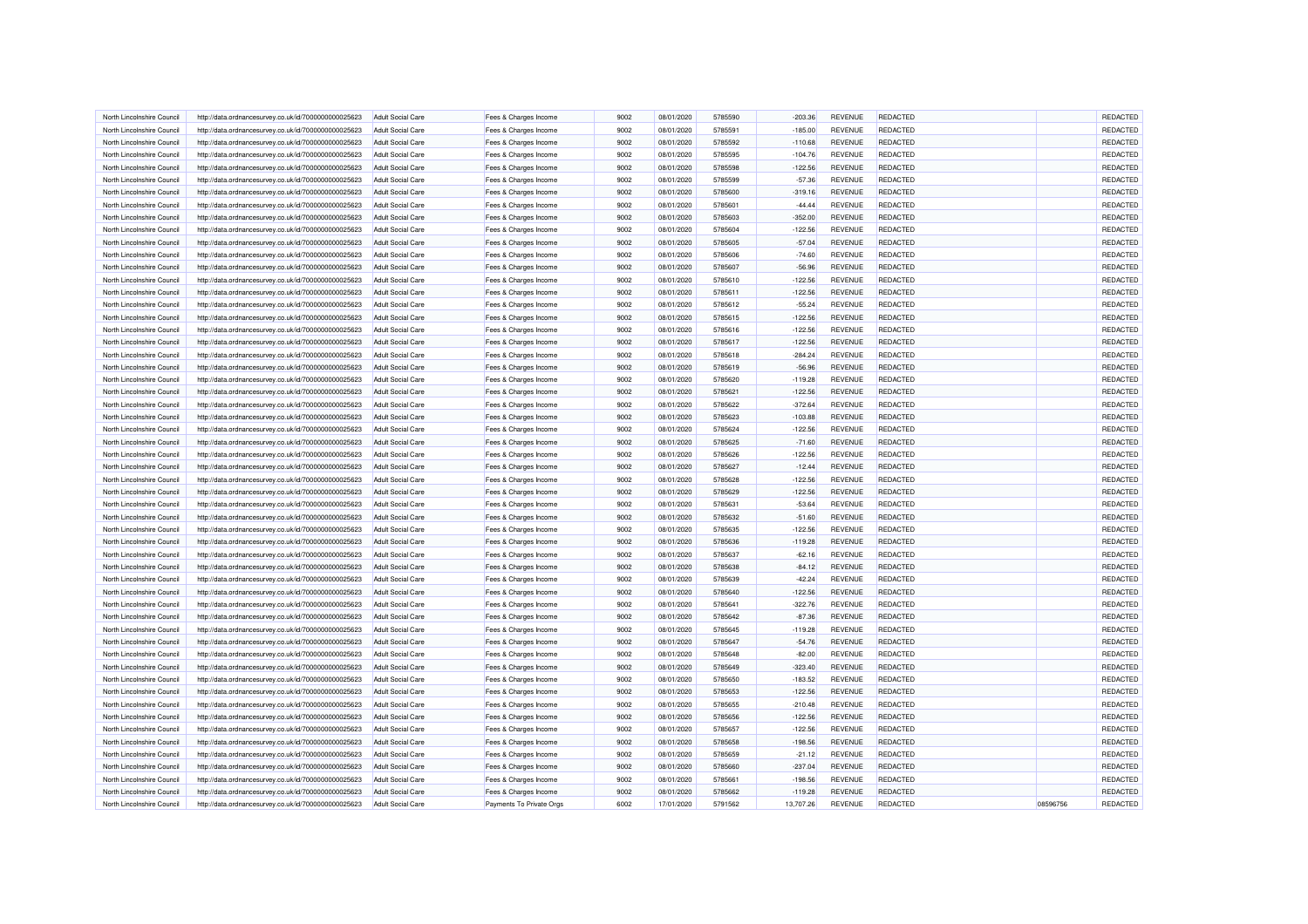| North Lincolnshire Council | http://data.ordnancesurvey.co.uk/id/7000000000025623 | <b>Adult Social Care</b> | Fees & Charges Income    | 9002 | 08/01/2020 | 5785590 | $-203.36$ | REVENUE        | <b>REDACTED</b> |          | REDACTED        |
|----------------------------|------------------------------------------------------|--------------------------|--------------------------|------|------------|---------|-----------|----------------|-----------------|----------|-----------------|
| North Lincolnshire Council | http://data.ordnancesurvey.co.uk/id/7000000000025623 | <b>Adult Social Care</b> | Fees & Charges Income    | 9002 | 08/01/2020 | 5785591 | $-185.00$ | <b>REVENUE</b> | <b>REDACTED</b> |          | REDACTED        |
| North Lincolnshire Council | http://data.ordnancesurvey.co.uk/id/7000000000025623 | <b>Adult Social Care</b> | Fees & Charges Income    | 9002 | 08/01/2020 | 5785592 | $-110.68$ | <b>REVENUE</b> | REDACTED        |          | REDACTED        |
| North Lincolnshire Council | http://data.ordnancesurvey.co.uk/id/7000000000025623 | <b>Adult Social Care</b> | Fees & Charges Income    | 9002 | 08/01/2020 | 5785595 | $-104.76$ | <b>REVENUE</b> | <b>REDACTED</b> |          | <b>REDACTED</b> |
| North Lincolnshire Council | http://data.ordnancesurvey.co.uk/id/7000000000025623 | <b>Adult Social Care</b> | Fees & Charges Income    | 9002 | 08/01/2020 | 5785598 | $-122.56$ | <b>REVENUE</b> | <b>REDACTED</b> |          | REDACTED        |
| North Lincolnshire Council | http://data.ordnancesurvey.co.uk/id/7000000000025623 | <b>Adult Social Care</b> | Fees & Charges Income    | 9002 | 08/01/2020 | 5785599 | $-57.36$  | <b>REVENUE</b> | REDACTED        |          | <b>REDACTE</b>  |
| North Lincolnshire Council | http://data.ordnancesurvey.co.uk/id/7000000000025623 | <b>Adult Social Care</b> | Fees & Charges Income    | 9002 | 08/01/2020 | 5785600 | $-319.16$ | <b>REVENUE</b> | <b>REDACTED</b> |          | REDACTED        |
| North Lincolnshire Council | http://data.ordnancesurvey.co.uk/id/7000000000025623 | <b>Adult Social Care</b> | Fees & Charges Income    | 9002 | 08/01/2020 | 5785601 | $-44.44$  | <b>REVENUE</b> | <b>REDACTED</b> |          | REDACTED        |
| North Lincolnshire Council | http://data.ordnancesurvey.co.uk/id/7000000000025623 | <b>Adult Social Care</b> | Fees & Charges Income    | 9002 | 08/01/2020 | 5785603 | $-352.00$ | <b>REVENUE</b> | REDACTED        |          | REDACTED        |
| North Lincolnshire Council | http://data.ordnancesurvey.co.uk/id/7000000000025623 | <b>Adult Social Care</b> | Fees & Charges Income    | 9002 | 08/01/2020 | 5785604 | $-122.56$ | <b>REVENUE</b> | <b>REDACTED</b> |          | REDACTED        |
|                            |                                                      |                          |                          |      |            |         |           |                |                 |          |                 |
| North Lincolnshire Council | http://data.ordnancesurvey.co.uk/id/7000000000025623 | <b>Adult Social Care</b> | Fees & Charges Income    | 9002 | 08/01/2020 | 5785605 | $-57.04$  | <b>REVENUE</b> | <b>REDACTED</b> |          | REDACTED        |
| North Lincolnshire Council | http://data.ordnancesurvey.co.uk/id/7000000000025623 | <b>Adult Social Care</b> | Fees & Charges Income    | 9002 | 08/01/2020 | 5785606 | $-74.60$  | <b>REVENUE</b> | REDACTED        |          | <b>REDACTED</b> |
| North Lincolnshire Council | http://data.ordnancesurvey.co.uk/id/7000000000025623 | <b>Adult Social Care</b> | Fees & Charges Income    | 9002 | 08/01/2020 | 5785607 | $-56.96$  | <b>REVENUE</b> | <b>REDACTED</b> |          | REDACTED        |
| North Lincolnshire Council | http://data.ordnancesurvey.co.uk/id/7000000000025623 | Adult Social Care        | Fees & Charges Income    | 9002 | 08/01/2020 | 5785610 | $-122.56$ | <b>REVENUE</b> | <b>REDACTED</b> |          | REDACTED        |
| North Lincolnshire Council | http://data.ordnancesurvey.co.uk/id/7000000000025623 | <b>Adult Social Care</b> | Fees & Charges Income    | 9002 | 08/01/2020 | 5785611 | $-122.56$ | REVENUE        | <b>REDACTED</b> |          | REDACTED        |
| North Lincolnshire Council | http://data.ordnancesurvey.co.uk/id/7000000000025623 | <b>Adult Social Care</b> | Fees & Charges Income    | 9002 | 08/01/2020 | 5785612 | $-55.24$  | <b>REVENUE</b> | <b>REDACTED</b> |          | <b>REDACTED</b> |
| North Lincolnshire Council | http://data.ordnancesurvey.co.uk/id/7000000000025623 | <b>Adult Social Care</b> | Fees & Charges Income    | 9002 | 08/01/2020 | 5785615 | $-122.56$ | <b>REVENUE</b> | <b>REDACTED</b> |          | REDACTED        |
| North Lincolnshire Council | http://data.ordnancesurvey.co.uk/id/7000000000025623 | <b>Adult Social Care</b> | Fees & Charges Income    | 9002 | 08/01/2020 | 5785616 | $-122.56$ | <b>REVENUE</b> | REDACTED        |          | REDACTED        |
| North Lincolnshire Council | http://data.ordnancesurvey.co.uk/id/7000000000025623 | <b>Adult Social Care</b> | Fees & Charges Income    | 9002 | 08/01/2020 | 5785617 | $-122.56$ | <b>REVENUE</b> | <b>REDACTED</b> |          | REDACTED        |
| North Lincolnshire Council | http://data.ordnancesurvey.co.uk/id/7000000000025623 | <b>Adult Social Care</b> | Fees & Charges Income    | 9002 | 08/01/2020 | 5785618 | $-284.24$ | <b>REVENUE</b> | <b>REDACTED</b> |          | REDACTED        |
| North Lincolnshire Council | http://data.ordnancesurvey.co.uk/id/7000000000025623 | <b>Adult Social Care</b> | Fees & Charges Income    | 9002 | 08/01/2020 | 5785619 | $-56.96$  | <b>REVENUE</b> | REDACTED        |          | REDACTED        |
| North Lincolnshire Council | http://data.ordnancesurvey.co.uk/id/7000000000025623 | <b>Adult Social Care</b> | Fees & Charges Income    | 9002 | 08/01/2020 | 5785620 | $-119.28$ | <b>REVENUE</b> | <b>REDACTED</b> |          | REDACTED        |
| North Lincolnshire Council | http://data.ordnancesurvey.co.uk/id/7000000000025623 | <b>Adult Social Care</b> | Fees & Charges Income    | 9002 | 08/01/2020 | 5785621 | $-122.56$ | <b>REVENUE</b> | <b>REDACTED</b> |          | REDACTED        |
| North Lincolnshire Council | http://data.ordnancesurvey.co.uk/id/7000000000025623 | <b>Adult Social Care</b> | Fees & Charges Income    | 9002 | 08/01/2020 | 5785622 | $-372.64$ | <b>REVENUE</b> | REDACTED        |          | REDACTED        |
| North Lincolnshire Council | http://data.ordnancesurvey.co.uk/id/7000000000025623 | <b>Adult Social Care</b> | Fees & Charges Income    | 9002 | 08/01/2020 | 5785623 | $-103.88$ | <b>REVENUE</b> | <b>REDACTED</b> |          | REDACTED        |
| North Lincolnshire Council | http://data.ordnancesurvey.co.uk/id/7000000000025623 | Adult Social Care        | Fees & Charges Income    | 9002 | 08/01/2020 | 5785624 | $-122.56$ | <b>REVENUE</b> | <b>REDACTED</b> |          | REDACTED        |
| North Lincolnshire Council | http://data.ordnancesurvey.co.uk/id/7000000000025623 | <b>Adult Social Care</b> | Fees & Charges Income    | 9002 | 08/01/2020 | 5785625 | $-71.60$  | <b>REVENUE</b> | REDACTED        |          | REDACTED        |
| North Lincolnshire Council | http://data.ordnancesurvey.co.uk/id/7000000000025623 | <b>Adult Social Care</b> | Fees & Charges Income    | 9002 | 08/01/2020 | 5785626 | $-122.56$ | <b>REVENUE</b> | <b>REDACTED</b> |          | REDACTED        |
|                            |                                                      |                          |                          |      |            |         |           |                |                 |          |                 |
| North Lincolnshire Council | http://data.ordnancesurvey.co.uk/id/7000000000025623 | <b>Adult Social Care</b> | Fees & Charges Income    | 9002 | 08/01/2020 | 5785627 | $-12.44$  | <b>REVENUE</b> | <b>REDACTED</b> |          | REDACTED        |
| North Lincolnshire Council | http://data.ordnancesurvey.co.uk/id/7000000000025623 | <b>Adult Social Care</b> | Fees & Charges Income    | 9002 | 08/01/2020 | 5785628 | $-122.56$ | <b>REVENUE</b> | REDACTED        |          | REDACTED        |
| North Lincolnshire Council | http://data.ordnancesurvey.co.uk/id/7000000000025623 | <b>Adult Social Care</b> | Fees & Charges Income    | 9002 | 08/01/2020 | 5785629 | $-122.56$ | <b>REVENUE</b> | <b>REDACTED</b> |          | REDACTED        |
| North Lincolnshire Council | http://data.ordnancesurvey.co.uk/id/7000000000025623 | <b>Adult Social Care</b> | Fees & Charges Income    | 9002 | 08/01/2020 | 5785631 | $-53.64$  | <b>REVENUE</b> | <b>REDACTED</b> |          | REDACTED        |
| North Lincolnshire Council | http://data.ordnancesurvey.co.uk/id/7000000000025623 | <b>Adult Social Care</b> | Fees & Charges Income    | 9002 | 08/01/2020 | 5785632 | $-51.60$  | <b>REVENUE</b> | REDACTED        |          | REDACTED        |
| North Lincolnshire Council | http://data.ordnancesurvey.co.uk/id/7000000000025623 | <b>Adult Social Care</b> | Fees & Charges Income    | 9002 | 08/01/2020 | 5785635 | $-122.56$ | <b>REVENUE</b> | <b>REDACTED</b> |          | REDACTED        |
| North Lincolnshire Council | http://data.ordnancesurvey.co.uk/id/7000000000025623 | Adult Social Care        | Fees & Charges Income    | 9002 | 08/01/2020 | 5785636 | $-119.28$ | <b>REVENUE</b> | <b>REDACTED</b> |          | REDACTED        |
| North Lincolnshire Council | http://data.ordnancesurvey.co.uk/id/7000000000025623 | <b>Adult Social Care</b> | Fees & Charges Income    | 9002 | 08/01/2020 | 5785637 | $-62.16$  | <b>REVENUE</b> | REDACTED        |          | REDACTED        |
| North Lincolnshire Council | http://data.ordnancesurvey.co.uk/id/7000000000025623 | <b>Adult Social Care</b> | Fees & Charges Income    | 9002 | 08/01/2020 | 5785638 | $-84.12$  | REVENUE        | <b>REDACTED</b> |          | REDACTED        |
| North Lincolnshire Council | http://data.ordnancesurvey.co.uk/id/7000000000025623 | <b>Adult Social Care</b> | Fees & Charges Income    | 9002 | 08/01/2020 | 5785639 | $-42.24$  | <b>REVENUE</b> | <b>REDACTED</b> |          | REDACTED        |
| North Lincolnshire Council | http://data.ordnancesurvey.co.uk/id/7000000000025623 | <b>Adult Social Care</b> | Fees & Charges Income    | 9002 | 08/01/2020 | 5785640 | $-122.56$ | <b>REVENUE</b> | <b>REDACTED</b> |          | REDACTED        |
| North Lincolnshire Council | http://data.ordnancesurvey.co.uk/id/7000000000025623 | <b>Adult Social Care</b> | Fees & Charges Income    | 9002 | 08/01/2020 | 5785641 | $-322.76$ | <b>REVENUE</b> | <b>REDACTED</b> |          | REDACTED        |
| North Lincolnshire Council | http://data.ordnancesurvey.co.uk/id/7000000000025623 | <b>Adult Social Care</b> | Fees & Charges Income    | 9002 | 08/01/2020 | 5785642 | $-87.36$  | <b>REVENUE</b> | <b>REDACTED</b> |          | REDACTED        |
| North Lincolnshire Council | http://data.ordnancesurvey.co.uk/id/7000000000025623 | <b>Adult Social Care</b> | Fees & Charges Income    | 9002 | 08/01/2020 | 5785645 | $-119.28$ | <b>REVENUE</b> | <b>REDACTED</b> |          | REDACTED        |
| North Lincolnshire Council | http://data.ordnancesurvey.co.uk/id/7000000000025623 | <b>Adult Social Care</b> | Fees & Charges Income    | 9002 | 08/01/2020 | 5785647 | $-54.76$  | REVENUE        | <b>REDACTED</b> |          | REDACTED        |
| North Lincolnshire Council | http://data.ordnancesurvey.co.uk/id/7000000000025623 | <b>Adult Social Care</b> | Fees & Charges Income    | 9002 | 08/01/2020 | 5785648 | $-82.00$  | <b>REVENUE</b> | <b>REDACTED</b> |          | REDACTED        |
| North Lincolnshire Council | http://data.ordnancesurvey.co.uk/id/7000000000025623 | <b>Adult Social Care</b> | Fees & Charges Income    | 9002 | 08/01/2020 | 5785649 | $-323.40$ | <b>REVENUE</b> | <b>REDACTED</b> |          | REDACTED        |
|                            |                                                      |                          |                          |      |            |         |           |                |                 |          |                 |
| North Lincolnshire Council | http://data.ordnancesurvey.co.uk/id/7000000000025623 | <b>Adult Social Care</b> | Fees & Charges Income    | 9002 | 08/01/2020 | 5785650 | $-183.52$ | <b>REVENUE</b> | REDACTED        |          | REDACTED        |
| North Lincolnshire Council | http://data.ordnancesurvey.co.uk/id/7000000000025623 | <b>Adult Social Care</b> | Fees & Charges Income    | 9002 | 08/01/2020 | 5785653 | $-122.56$ | <b>REVENUE</b> | <b>REDACTED</b> |          | REDACTED        |
| North Lincolnshire Council | http://data.ordnancesurvey.co.uk/id/7000000000025623 | Adult Social Care        | Fees & Charges Income    | 9002 | 08/01/2020 | 5785655 | $-210.48$ | <b>REVENUE</b> | <b>REDACTED</b> |          | REDACTED        |
| North Lincolnshire Council | http://data.ordnancesurvey.co.uk/id/7000000000025623 | <b>Adult Social Care</b> | Fees & Charges Income    | 9002 | 08/01/2020 | 5785656 | $-122.56$ | <b>REVENUE</b> | <b>REDACTED</b> |          | REDACTED        |
| North Lincolnshire Council | http://data.ordnancesurvey.co.uk/id/7000000000025623 | <b>Adult Social Care</b> | Fees & Charges Income    | 9002 | 08/01/2020 | 5785657 | $-122.56$ | <b>REVENUE</b> | <b>REDACTED</b> |          | REDACTED        |
| North Lincolnshire Council | http://data.ordnancesurvey.co.uk/id/7000000000025623 | <b>Adult Social Care</b> | Fees & Charges Income    | 9002 | 08/01/2020 | 5785658 | $-198.56$ | <b>REVENUE</b> | <b>REDACTED</b> |          | REDACTED        |
| North Lincolnshire Council | http://data.ordnancesurvey.co.uk/id/7000000000025623 | <b>Adult Social Care</b> | Fees & Charges Income    | 9002 | 08/01/2020 | 5785659 | $-21.12$  | <b>REVENUE</b> | REDACTED        |          | REDACTED        |
| North Lincolnshire Council | http://data.ordnancesurvey.co.uk/id/7000000000025623 | <b>Adult Social Care</b> | Fees & Charges Income    | 9002 | 08/01/2020 | 5785660 | $-237.04$ | <b>REVENUE</b> | <b>REDACTED</b> |          | REDACTED        |
| North Lincolnshire Council | http://data.ordnancesurvey.co.uk/id/7000000000025623 | Adult Social Care        | Fees & Charges Income    | 9002 | 08/01/2020 | 5785661 | $-198.56$ | <b>REVENUE</b> | <b>REDACTED</b> |          | <b>REDACTED</b> |
| North Lincolnshire Council | http://data.ordnancesurvey.co.uk/id/7000000000025623 | Adult Social Care        | Fees & Charges Income    | 9002 | 08/01/2020 | 5785662 | $-119.28$ | <b>REVENUE</b> | <b>REDACTED</b> |          | REDACTED        |
| North Lincolnshire Council | http://data.ordnancesurvey.co.uk/id/7000000000025623 | Adult Social Care        | Payments To Private Orgs | 6002 | 17/01/2020 | 5791562 | 13.707.26 | <b>REVENUE</b> | <b>REDACTED</b> | 08596756 | REDACTED        |
|                            |                                                      |                          |                          |      |            |         |           |                |                 |          |                 |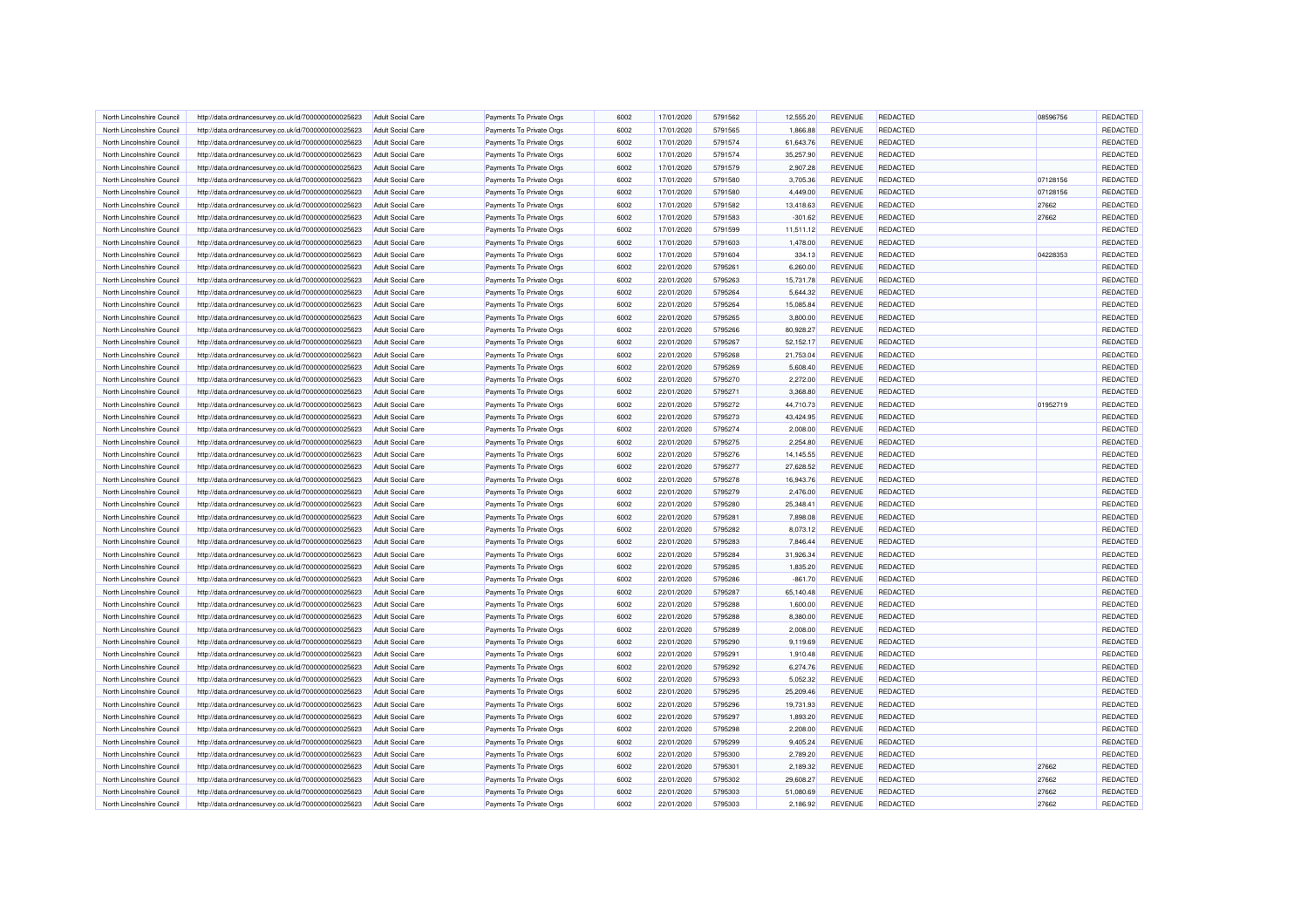| North Lincolnshire Council | http://data.ordnancesurvey.co.uk/id/7000000000025623 | <b>Adult Social Care</b> | Payments To Private Orgs | 6002 | 17/01/2020 | 5791562 | 12,555.20  | REVENUE        | <b>REDACTED</b> | 08596756 | REDACTED        |
|----------------------------|------------------------------------------------------|--------------------------|--------------------------|------|------------|---------|------------|----------------|-----------------|----------|-----------------|
| North Lincolnshire Council | http://data.ordnancesurvey.co.uk/id/7000000000025623 | Adult Social Care        | Payments To Private Orgs | 6002 | 17/01/2020 | 5791565 | 1,866.88   | <b>REVENUE</b> | <b>REDACTED</b> |          | REDACTED        |
| North Lincolnshire Council | http://data.ordnancesurvey.co.uk/id/7000000000025623 | Adult Social Care        | Payments To Private Orgs | 6002 | 17/01/2020 | 5791574 | 61,643.76  | <b>REVENUE</b> | REDACTED        |          | REDACTED        |
| North Lincolnshire Council | http://data.ordnancesurvey.co.uk/id/7000000000025623 | <b>Adult Social Care</b> | Payments To Private Orgs | 6002 | 17/01/2020 | 5791574 | 35,257.90  | <b>REVENUE</b> | <b>REDACTED</b> |          | REDACTED        |
| North Lincolnshire Council | http://data.ordnancesurvey.co.uk/id/7000000000025623 | <b>Adult Social Care</b> | Payments To Private Orgs | 6002 | 17/01/2020 | 5791579 | 2,907.28   | <b>REVENUE</b> | <b>REDACTED</b> |          | REDACTED        |
| North Lincolnshire Council | http://data.ordnancesurvey.co.uk/id/7000000000025623 | <b>Adult Social Care</b> | Payments To Private Orgs | 6002 | 17/01/2020 | 5791580 | 3,705.36   | <b>REVENUE</b> | REDACTED        | 07128156 | <b>REDACTED</b> |
| North Lincolnshire Council | http://data.ordnancesurvey.co.uk/id/7000000000025623 | <b>Adult Social Care</b> | Payments To Private Orgs | 6002 | 17/01/2020 | 5791580 | 4,449.00   | <b>REVENUE</b> | <b>REDACTED</b> | 07128156 | REDACTED        |
| North Lincolnshire Council | http://data.ordnancesurvey.co.uk/id/7000000000025623 | <b>Adult Social Care</b> | Payments To Private Orgs | 6002 | 17/01/2020 | 5791582 | 13,418.63  | <b>REVENUE</b> | <b>REDACTED</b> | 27662    | REDACTED        |
| North Lincolnshire Council | http://data.ordnancesurvey.co.uk/id/7000000000025623 | <b>Adult Social Care</b> | Payments To Private Orgs | 6002 | 17/01/2020 | 5791583 | $-301.62$  | <b>REVENUE</b> | REDACTED        | 27662    | REDACTED        |
| North Lincolnshire Council | http://data.ordnancesurvey.co.uk/id/7000000000025623 | <b>Adult Social Care</b> | Payments To Private Orgs | 6002 | 17/01/2020 | 5791599 | 11,511.12  | <b>REVENUE</b> | <b>REDACTED</b> |          | REDACTED        |
|                            |                                                      |                          |                          |      |            |         |            |                |                 |          |                 |
| North Lincolnshire Council | http://data.ordnancesurvey.co.uk/id/7000000000025623 | <b>Adult Social Care</b> | Payments To Private Orgs | 6002 | 17/01/2020 | 5791603 | 1,478.00   | <b>REVENUE</b> | <b>REDACTED</b> |          | REDACTED        |
| North Lincolnshire Council | http://data.ordnancesurvey.co.uk/id/7000000000025623 | Adult Social Care        | Payments To Private Orgs | 6002 | 17/01/2020 | 5791604 | 334.13     | <b>REVENUE</b> | REDACTED        | 04228353 | <b>REDACTED</b> |
| North Lincolnshire Council | http://data.ordnancesurvey.co.uk/id/7000000000025623 | <b>Adult Social Care</b> | Payments To Private Orgs | 6002 | 22/01/2020 | 5795261 | 6,260.00   | <b>REVENUE</b> | <b>REDACTED</b> |          | REDACTED        |
| North Lincolnshire Council | http://data.ordnancesurvey.co.uk/id/7000000000025623 | Adult Social Care        | Payments To Private Orgs | 6002 | 22/01/2020 | 5795263 | 15,731.78  | <b>REVENUE</b> | <b>REDACTED</b> |          | REDACTED        |
| North Lincolnshire Council | http://data.ordnancesurvey.co.uk/id/7000000000025623 | <b>Adult Social Care</b> | Payments To Private Orgs | 6002 | 22/01/2020 | 5795264 | 5,644.32   | REVENUE        | REDACTED        |          | REDACTED        |
| North Lincolnshire Council | http://data.ordnancesurvey.co.uk/id/7000000000025623 | <b>Adult Social Care</b> | Payments To Private Orgs | 6002 | 22/01/2020 | 5795264 | 15,085.84  | <b>REVENUE</b> | <b>REDACTED</b> |          | REDACTED        |
| North Lincolnshire Council | http://data.ordnancesurvey.co.uk/id/7000000000025623 | <b>Adult Social Care</b> | Payments To Private Orgs | 6002 | 22/01/2020 | 5795265 | 3,800.00   | <b>REVENUE</b> | <b>REDACTED</b> |          | REDACTED        |
| North Lincolnshire Council | http://data.ordnancesurvey.co.uk/id/7000000000025623 | Adult Social Care        | Payments To Private Orgs | 6002 | 22/01/2020 | 5795266 | 80,928.27  | <b>REVENUE</b> | REDACTED        |          | <b>REDACTED</b> |
| North Lincolnshire Council | http://data.ordnancesurvey.co.uk/id/7000000000025623 | <b>Adult Social Care</b> | Payments To Private Orgs | 6002 | 22/01/2020 | 5795267 | 52,152.17  | <b>REVENUE</b> | <b>REDACTED</b> |          | <b>REDACTED</b> |
| North Lincolnshire Council | http://data.ordnancesurvey.co.uk/id/7000000000025623 | <b>Adult Social Care</b> | Payments To Private Orgs | 6002 | 22/01/2020 | 5795268 | 21,753.04  | <b>REVENUE</b> | <b>REDACTED</b> |          | REDACTED        |
| North Lincolnshire Council | http://data.ordnancesurvey.co.uk/id/7000000000025623 | <b>Adult Social Care</b> | Payments To Private Orgs | 6002 | 22/01/2020 | 5795269 | 5,608.40   | <b>REVENUE</b> | REDACTED        |          | REDACTED        |
| North Lincolnshire Council | http://data.ordnancesurvey.co.uk/id/7000000000025623 | <b>Adult Social Care</b> | Payments To Private Orgs | 6002 | 22/01/2020 | 5795270 | 2,272.00   | REVENUE        | <b>REDACTED</b> |          | REDACTED        |
| North Lincolnshire Council | http://data.ordnancesurvey.co.uk/id/7000000000025623 | <b>Adult Social Care</b> | Payments To Private Orgs | 6002 | 22/01/2020 | 5795271 | 3,368.80   | <b>REVENUE</b> | <b>REDACTED</b> |          | REDACTED        |
| North Lincolnshire Council | http://data.ordnancesurvey.co.uk/id/7000000000025623 | Adult Social Care        | Payments To Private Orgs | 6002 | 22/01/2020 | 5795272 | 44,710.73  | <b>REVENUE</b> | REDACTED        | 01952719 | <b>REDACTED</b> |
| North Lincolnshire Council | http://data.ordnancesurvey.co.uk/id/7000000000025623 | <b>Adult Social Care</b> | Payments To Private Orgs | 6002 | 22/01/2020 | 5795273 | 43,424.95  | <b>REVENUE</b> | <b>REDACTED</b> |          | REDACTED        |
| North Lincolnshire Council | http://data.ordnancesurvey.co.uk/id/7000000000025623 | <b>Adult Social Care</b> | Payments To Private Orgs | 6002 | 22/01/2020 | 5795274 | 2,008.00   | <b>REVENUE</b> | <b>REDACTED</b> |          | REDACTED        |
| North Lincolnshire Council | http://data.ordnancesurvey.co.uk/id/7000000000025623 | <b>Adult Social Care</b> | Payments To Private Orgs | 6002 | 22/01/2020 | 5795275 | 2,254.80   | <b>REVENUE</b> | REDACTED        |          | REDACTED        |
| North Lincolnshire Council | http://data.ordnancesurvey.co.uk/id/7000000000025623 | <b>Adult Social Care</b> | Payments To Private Orgs | 6002 | 22/01/2020 | 5795276 | 14, 145.55 | <b>REVENUE</b> | REDACTED        |          | REDACTED        |
| North Lincolnshire Council | http://data.ordnancesurvey.co.uk/id/7000000000025623 | <b>Adult Social Care</b> | Payments To Private Orgs | 6002 | 22/01/2020 | 5795277 | 27,628.52  | <b>REVENUE</b> | <b>REDACTED</b> |          | REDACTED        |
| North Lincolnshire Council | http://data.ordnancesurvey.co.uk/id/7000000000025623 | Adult Social Care        | Payments To Private Orgs | 6002 | 22/01/2020 | 5795278 | 16,943.76  | <b>REVENUE</b> | REDACTED        |          | REDACTED        |
| North Lincolnshire Council | http://data.ordnancesurvey.co.uk/id/7000000000025623 | <b>Adult Social Care</b> | Payments To Private Orgs | 6002 | 22/01/2020 | 5795279 | 2,476.00   | <b>REVENUE</b> | <b>REDACTED</b> |          | REDACTED        |
| North Lincolnshire Council | http://data.ordnancesurvey.co.uk/id/7000000000025623 | <b>Adult Social Care</b> | Payments To Private Orgs | 6002 | 22/01/2020 | 5795280 | 25,348.41  | <b>REVENUE</b> | <b>REDACTED</b> |          | REDACTED        |
|                            |                                                      |                          |                          |      |            |         |            | <b>REVENUE</b> | REDACTED        |          | REDACTED        |
| North Lincolnshire Council | http://data.ordnancesurvey.co.uk/id/7000000000025623 | <b>Adult Social Care</b> | Payments To Private Orgs | 6002 | 22/01/2020 | 5795281 | 7,898.08   |                |                 |          |                 |
| North Lincolnshire Council | http://data.ordnancesurvey.co.uk/id/7000000000025623 | <b>Adult Social Care</b> | Payments To Private Orgs | 6002 | 22/01/2020 | 5795282 | 8,073.12   | <b>REVENUE</b> | REDACTED        |          | REDACTED        |
| North Lincolnshire Council | http://data.ordnancesurvey.co.uk/id/7000000000025623 | Adult Social Care        | Payments To Private Orgs | 6002 | 22/01/2020 | 5795283 | 7.846.44   | <b>REVENUE</b> | <b>REDACTED</b> |          | REDACTED        |
| North Lincolnshire Council | http://data.ordnancesurvey.co.uk/id/7000000000025623 | Adult Social Care        | Payments To Private Orgs | 6002 | 22/01/2020 | 5795284 | 31,926.34  | <b>REVENUE</b> | REDACTED        |          | <b>REDACTED</b> |
| North Lincolnshire Council | http://data.ordnancesurvey.co.uk/id/7000000000025623 | <b>Adult Social Care</b> | Payments To Private Orgs | 6002 | 22/01/2020 | 5795285 | 1,835.20   | REVENUE        | REDACTED        |          | REDACTED        |
| North Lincolnshire Council | http://data.ordnancesurvey.co.uk/id/7000000000025623 | <b>Adult Social Care</b> | Payments To Private Orgs | 6002 | 22/01/2020 | 5795286 | $-861.70$  | <b>REVENUE</b> | <b>REDACTED</b> |          | REDACTED        |
| North Lincolnshire Council | http://data.ordnancesurvey.co.uk/id/7000000000025623 | <b>Adult Social Care</b> | Payments To Private Orgs | 6002 | 22/01/2020 | 5795287 | 65,140.48  | <b>REVENUE</b> | REDACTED        |          | REDACTED        |
| North Lincolnshire Council | http://data.ordnancesurvey.co.uk/id/7000000000025623 | <b>Adult Social Care</b> | Payments To Private Orgs | 6002 | 22/01/2020 | 5795288 | 1,600.00   | <b>REVENUE</b> | <b>REDACTED</b> |          | <b>REDACTED</b> |
| North Lincolnshire Council | http://data.ordnancesurvey.co.uk/id/7000000000025623 | <b>Adult Social Care</b> | Payments To Private Orgs | 6002 | 22/01/2020 | 5795288 | 8,380.00   | <b>REVENUE</b> | <b>REDACTED</b> |          | REDACTED        |
| North Lincolnshire Council | http://data.ordnancesurvey.co.uk/id/7000000000025623 | <b>Adult Social Care</b> | Payments To Private Orgs | 6002 | 22/01/2020 | 5795289 | 2,008.00   | <b>REVENUE</b> | REDACTED        |          | <b>REDACTED</b> |
| North Lincolnshire Council | http://data.ordnancesurvey.co.uk/id/7000000000025623 | <b>Adult Social Care</b> | Payments To Private Orgs | 6002 | 22/01/2020 | 5795290 | 9,119.69   | REVENUE        | REDACTED        |          | REDACTED        |
| North Lincolnshire Council | http://data.ordnancesurvey.co.uk/id/7000000000025623 | <b>Adult Social Care</b> | Payments To Private Orgs | 6002 | 22/01/2020 | 5795291 | 1,910.48   | <b>REVENUE</b> | <b>REDACTED</b> |          | REDACTED        |
| North Lincolnshire Council | http://data.ordnancesurvey.co.uk/id/7000000000025623 | <b>Adult Social Care</b> | Payments To Private Orgs | 6002 | 22/01/2020 | 5795292 | 6,274.76   | <b>REVENUE</b> | REDACTED        |          | REDACTED        |
| North Lincolnshire Council | http://data.ordnancesurvey.co.uk/id/7000000000025623 | <b>Adult Social Care</b> | Payments To Private Orgs | 6002 | 22/01/2020 | 5795293 | 5,052.32   | REVENUE        | REDACTED        |          | REDACTED        |
| North Lincolnshire Council | http://data.ordnancesurvey.co.uk/id/7000000000025623 | <b>Adult Social Care</b> | Payments To Private Orgs | 6002 | 22/01/2020 | 5795295 | 25,209.46  | <b>REVENUE</b> | <b>REDACTED</b> |          | REDACTED        |
| North Lincolnshire Council | http://data.ordnancesurvey.co.uk/id/7000000000025623 | <b>Adult Social Care</b> | Payments To Private Orgs | 6002 | 22/01/2020 | 5795296 | 19,731.93  | <b>REVENUE</b> | REDACTED        |          | REDACTED        |
| North Lincolnshire Council | http://data.ordnancesurvey.co.uk/id/7000000000025623 | <b>Adult Social Care</b> | Payments To Private Orgs | 6002 | 22/01/2020 | 5795297 | 1,893.20   | <b>REVENUE</b> | REDACTED        |          | REDACTED        |
| North Lincolnshire Council | http://data.ordnancesurvey.co.uk/id/7000000000025623 | <b>Adult Social Care</b> | Payments To Private Orgs | 6002 | 22/01/2020 | 5795298 | 2,208.00   | <b>REVENUE</b> | <b>REDACTED</b> |          | REDACTED        |
| North Lincolnshire Council | http://data.ordnancesurvey.co.uk/id/7000000000025623 | Adult Social Care        | Payments To Private Orgs | 6002 | 22/01/2020 | 5795299 | 9,405.24   | <b>REVENUE</b> | REDACTED        |          | REDACTED        |
| North Lincolnshire Council | http://data.ordnancesurvey.co.uk/id/7000000000025623 | <b>Adult Social Care</b> | Payments To Private Orgs | 6002 | 22/01/2020 | 5795300 | 2,789.20   | REVENUE        | REDACTED        |          | REDACTED        |
| North Lincolnshire Council | http://data.ordnancesurvey.co.uk/id/7000000000025623 | <b>Adult Social Care</b> | Payments To Private Orgs | 6002 | 22/01/2020 | 5795301 | 2,189.32   | <b>REVENUE</b> | <b>REDACTED</b> | 27662    | REDACTED        |
| North Lincolnshire Council | http://data.ordnancesurvey.co.uk/id/7000000000025623 | <b>Adult Social Care</b> | Payments To Private Orgs | 6002 | 22/01/2020 | 5795302 | 29.608.27  | <b>REVENUE</b> | REDACTED        | 27662    | REDACTED        |
| North Lincolnshire Council | http://data.ordnancesurvey.co.uk/id/7000000000025623 |                          | Payments To Private Orgs | 6002 | 22/01/2020 | 5795303 | 51,080.69  | <b>REVENUE</b> | <b>REDACTED</b> | 27662    | REDACTED        |
|                            |                                                      | <b>Adult Social Care</b> |                          |      |            |         |            |                |                 |          |                 |
| North Lincolnshire Council | http://data.ordnancesurvey.co.uk/id/7000000000025623 | <b>Adult Social Care</b> | Payments To Private Orgs | 6002 | 22/01/2020 | 5795303 | 2.186.92   | <b>REVENUE</b> | <b>REDACTED</b> | 27662    | REDACTED        |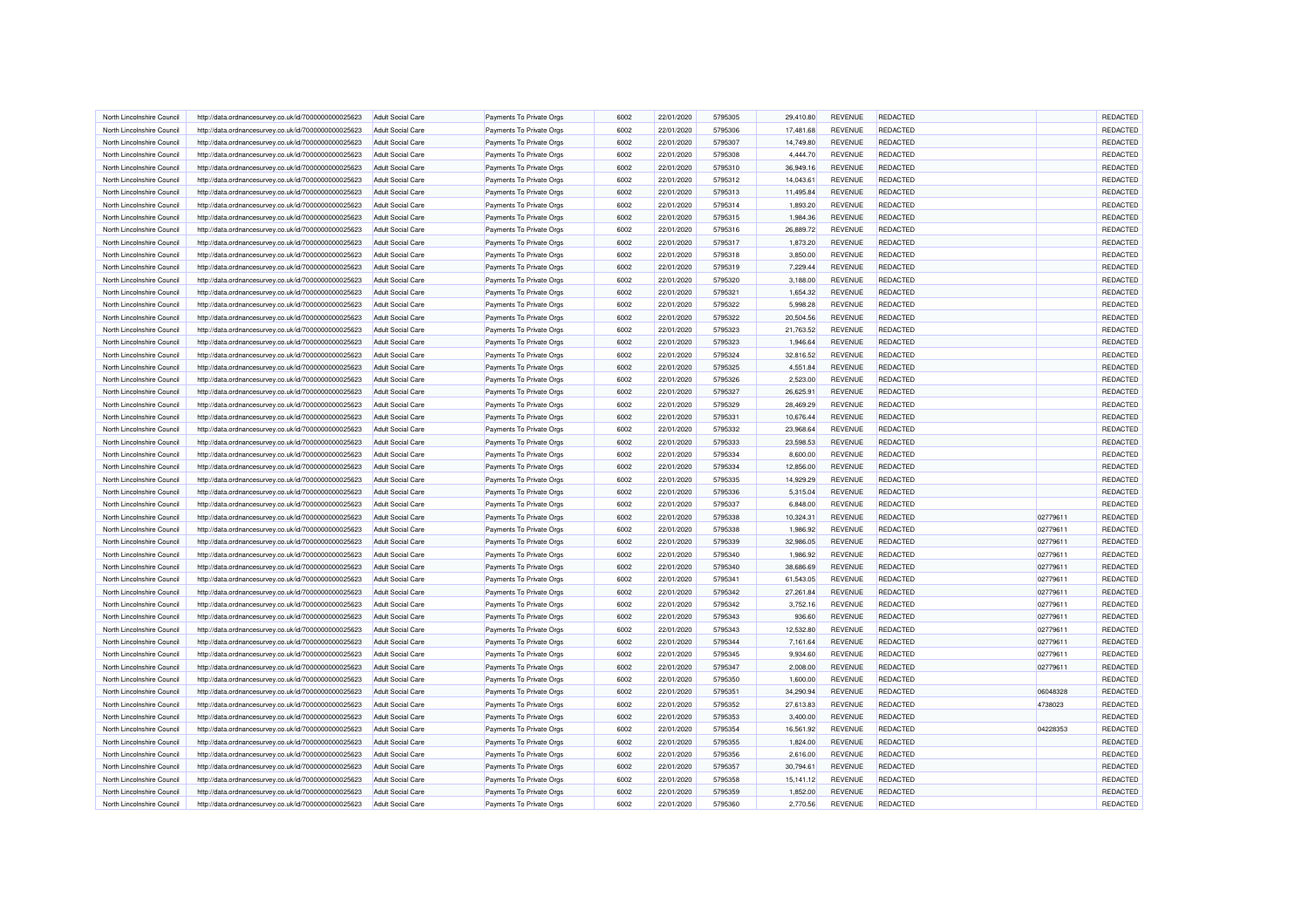| North Lincolnshire Council | http://data.ordnancesurvey.co.uk/id/7000000000025623 | <b>Adult Social Care</b> | Payments To Private Orgs | 6002 | 22/01/2020 | 5795305 | 29,410.80  | REVENUE        | <b>REDACTED</b> |          | REDACTED        |
|----------------------------|------------------------------------------------------|--------------------------|--------------------------|------|------------|---------|------------|----------------|-----------------|----------|-----------------|
| North Lincolnshire Council | http://data.ordnancesurvey.co.uk/id/7000000000025623 | Adult Social Care        | Payments To Private Orgs | 6002 | 22/01/2020 | 5795306 | 17,481.68  | <b>REVENUE</b> | <b>REDACTED</b> |          | REDACTED        |
| North Lincolnshire Council | http://data.ordnancesurvey.co.uk/id/7000000000025623 | Adult Social Care        | Payments To Private Orgs | 6002 | 22/01/2020 | 5795307 | 14,749.80  | <b>REVENUE</b> | REDACTED        |          | REDACTED        |
| North Lincolnshire Council | http://data.ordnancesurvey.co.uk/id/7000000000025623 | <b>Adult Social Care</b> | Payments To Private Orgs | 6002 | 22/01/2020 | 5795308 | 4,444.70   | <b>REVENUE</b> | <b>REDACTED</b> |          | REDACTED        |
| North Lincolnshire Council | http://data.ordnancesurvey.co.uk/id/7000000000025623 | <b>Adult Social Care</b> | Payments To Private Orgs | 6002 | 22/01/2020 | 5795310 | 36,949.16  | <b>REVENUE</b> | <b>REDACTED</b> |          | REDACTED        |
| North Lincolnshire Council | http://data.ordnancesurvey.co.uk/id/7000000000025623 | <b>Adult Social Care</b> | Payments To Private Orgs | 6002 | 22/01/2020 | 5795312 | 14,043.61  | <b>REVENUE</b> | REDACTED        |          | <b>REDACTED</b> |
| North Lincolnshire Council | http://data.ordnancesurvey.co.uk/id/7000000000025623 | Adult Social Care        | Payments To Private Orgs | 6002 | 22/01/2020 | 5795313 | 11,495.84  | <b>REVENUE</b> | <b>REDACTED</b> |          | REDACTED        |
| North Lincolnshire Council | http://data.ordnancesurvey.co.uk/id/7000000000025623 | <b>Adult Social Care</b> | Payments To Private Orgs | 6002 | 22/01/2020 | 5795314 | 1,893.20   | <b>REVENUE</b> | <b>REDACTED</b> |          | REDACTED        |
| North Lincolnshire Council | http://data.ordnancesurvey.co.uk/id/7000000000025623 | <b>Adult Social Care</b> | Payments To Private Orgs | 6002 | 22/01/2020 | 5795315 | 1,984.36   | <b>REVENUE</b> | REDACTED        |          | REDACTED        |
| North Lincolnshire Council | http://data.ordnancesurvey.co.uk/id/7000000000025623 | <b>Adult Social Care</b> | Payments To Private Orgs | 6002 | 22/01/2020 | 5795316 | 26,889.72  | <b>REVENUE</b> | <b>REDACTED</b> |          | REDACTED        |
| North Lincolnshire Council | http://data.ordnancesurvey.co.uk/id/7000000000025623 | <b>Adult Social Care</b> | Payments To Private Orgs | 6002 | 22/01/2020 | 5795317 | 1,873.20   | <b>REVENUE</b> | <b>REDACTED</b> |          | REDACTED        |
| North Lincolnshire Council |                                                      |                          |                          | 6002 |            | 5795318 |            | <b>REVENUE</b> | REDACTED        |          | <b>REDACTED</b> |
|                            | http://data.ordnancesurvey.co.uk/id/7000000000025623 | Adult Social Care        | Payments To Private Orgs |      | 22/01/2020 |         | 3,850.00   |                |                 |          |                 |
| North Lincolnshire Council | http://data.ordnancesurvey.co.uk/id/7000000000025623 | <b>Adult Social Care</b> | Payments To Private Orgs | 6002 | 22/01/2020 | 5795319 | 7,229.44   | <b>REVENUE</b> | <b>REDACTED</b> |          | REDACTED        |
| North Lincolnshire Council | http://data.ordnancesurvey.co.uk/id/7000000000025623 | Adult Social Care        | Payments To Private Orgs | 6002 | 22/01/2020 | 5795320 | 3,188.00   | <b>REVENUE</b> | <b>REDACTED</b> |          | REDACTED        |
| North Lincolnshire Council | http://data.ordnancesurvey.co.uk/id/7000000000025623 | <b>Adult Social Care</b> | Payments To Private Orgs | 6002 | 22/01/2020 | 5795321 | 1,654.32   | REVENUE        | REDACTED        |          | REDACTED        |
| North Lincolnshire Council | http://data.ordnancesurvey.co.uk/id/7000000000025623 | <b>Adult Social Care</b> | Payments To Private Orgs | 6002 | 22/01/2020 | 5795322 | 5,998.28   | <b>REVENUE</b> | <b>REDACTED</b> |          | REDACTED        |
| North Lincolnshire Council | http://data.ordnancesurvey.co.uk/id/7000000000025623 | <b>Adult Social Care</b> | Payments To Private Orgs | 6002 | 22/01/2020 | 5795322 | 20,504.56  | <b>REVENUE</b> | <b>REDACTED</b> |          | REDACTED        |
| North Lincolnshire Council | http://data.ordnancesurvey.co.uk/id/7000000000025623 | Adult Social Care        | Payments To Private Orgs | 6002 | 22/01/2020 | 5795323 | 21,763.52  | <b>REVENUE</b> | REDACTED        |          | <b>REDACTED</b> |
| North Lincolnshire Council | http://data.ordnancesurvey.co.uk/id/7000000000025623 | <b>Adult Social Care</b> | Payments To Private Orgs | 6002 | 22/01/2020 | 5795323 | 1,946.64   | <b>REVENUE</b> | <b>REDACTED</b> |          | <b>REDACTED</b> |
| North Lincolnshire Council | http://data.ordnancesurvey.co.uk/id/7000000000025623 | <b>Adult Social Care</b> | Payments To Private Orgs | 6002 | 22/01/2020 | 5795324 | 32.816.52  | <b>REVENUE</b> | <b>REDACTED</b> |          | REDACTED        |
| North Lincolnshire Council | http://data.ordnancesurvey.co.uk/id/7000000000025623 | <b>Adult Social Care</b> | Payments To Private Orgs | 6002 | 22/01/2020 | 5795325 | 4,551.84   | <b>REVENUE</b> | REDACTED        |          | REDACTED        |
| North Lincolnshire Council | http://data.ordnancesurvey.co.uk/id/7000000000025623 | <b>Adult Social Care</b> | Payments To Private Orgs | 6002 | 22/01/2020 | 5795326 | 2,523.00   | REVENUE        | <b>REDACTED</b> |          | REDACTED        |
| North Lincolnshire Council | http://data.ordnancesurvey.co.uk/id/7000000000025623 | <b>Adult Social Care</b> | Payments To Private Orgs | 6002 | 22/01/2020 | 5795327 | 26,625.91  | <b>REVENUE</b> | <b>REDACTED</b> |          | REDACTED        |
| North Lincolnshire Council | http://data.ordnancesurvey.co.uk/id/7000000000025623 | Adult Social Care        | Payments To Private Orgs | 6002 | 22/01/2020 | 5795329 | 28,469.29  | <b>REVENUE</b> | REDACTED        |          | REDACTED        |
| North Lincolnshire Council | http://data.ordnancesurvey.co.uk/id/7000000000025623 | <b>Adult Social Care</b> | Payments To Private Orgs | 6002 | 22/01/2020 | 5795331 | 10,676.44  | <b>REVENUE</b> | <b>REDACTED</b> |          | REDACTED        |
| North Lincolnshire Council | http://data.ordnancesurvey.co.uk/id/7000000000025623 | <b>Adult Social Care</b> | Payments To Private Orgs | 6002 | 22/01/2020 | 5795332 | 23,968.64  | <b>REVENUE</b> | <b>REDACTED</b> |          | REDACTED        |
| North Lincolnshire Council | http://data.ordnancesurvey.co.uk/id/7000000000025623 | <b>Adult Social Care</b> | Payments To Private Orgs | 6002 | 22/01/2020 | 5795333 | 23,598.53  | <b>REVENUE</b> | REDACTED        |          | REDACTED        |
| North Lincolnshire Council | http://data.ordnancesurvey.co.uk/id/7000000000025623 | <b>Adult Social Care</b> | Payments To Private Orgs | 6002 | 22/01/2020 | 5795334 | 8,600.00   | <b>REVENUE</b> | REDACTED        |          | REDACTED        |
| North Lincolnshire Council | http://data.ordnancesurvey.co.uk/id/7000000000025623 | <b>Adult Social Care</b> | Payments To Private Orgs | 6002 | 22/01/2020 | 5795334 | 12,856.00  | <b>REVENUE</b> | <b>REDACTED</b> |          | REDACTED        |
| North Lincolnshire Council | http://data.ordnancesurvey.co.uk/id/7000000000025623 | Adult Social Care        | Payments To Private Orgs | 6002 | 22/01/2020 | 5795335 | 14,929.29  | <b>REVENUE</b> | REDACTED        |          | REDACTED        |
| North Lincolnshire Council | http://data.ordnancesurvey.co.uk/id/7000000000025623 | <b>Adult Social Care</b> | Payments To Private Orgs | 6002 | 22/01/2020 | 5795336 | 5,315.04   | <b>REVENUE</b> | <b>REDACTED</b> |          | REDACTED        |
| North Lincolnshire Council | http://data.ordnancesurvey.co.uk/id/7000000000025623 | <b>Adult Social Care</b> | Payments To Private Orgs | 6002 | 22/01/2020 | 5795337 | 6,848.00   | <b>REVENUE</b> | <b>REDACTED</b> |          | REDACTED        |
| North Lincolnshire Council | http://data.ordnancesurvey.co.uk/id/7000000000025623 | <b>Adult Social Care</b> | Payments To Private Orgs | 6002 | 22/01/2020 | 5795338 | 10,324.31  | <b>REVENUE</b> | REDACTED        | 02779611 | REDACTED        |
| North Lincolnshire Council | http://data.ordnancesurvey.co.uk/id/7000000000025623 | <b>Adult Social Care</b> | Payments To Private Orgs | 6002 | 22/01/2020 | 5795338 | 1,986.92   | <b>REVENUE</b> | REDACTED        | 02779611 | REDACTED        |
| North Lincolnshire Council | http://data.ordnancesurvey.co.uk/id/7000000000025623 | <b>Adult Social Care</b> | Payments To Private Orgs | 6002 | 22/01/2020 | 5795339 | 32.986.05  | <b>REVENUE</b> | <b>REDACTED</b> | 02779611 | REDACTED        |
|                            |                                                      |                          |                          |      |            |         |            |                |                 |          | REDACTED        |
| North Lincolnshire Council | http://data.ordnancesurvey.co.uk/id/7000000000025623 | Adult Social Care        | Payments To Private Orgs | 6002 | 22/01/2020 | 5795340 | 1,986.92   | <b>REVENUE</b> | REDACTED        | 02779611 |                 |
| North Lincolnshire Council | http://data.ordnancesurvey.co.uk/id/7000000000025623 | <b>Adult Social Care</b> | Payments To Private Orgs | 6002 | 22/01/2020 | 5795340 | 38,686.69  | <b>REVENUE</b> | REDACTED        | 02779611 | REDACTED        |
| North Lincolnshire Council | http://data.ordnancesurvey.co.uk/id/7000000000025623 | <b>Adult Social Care</b> | Payments To Private Orgs | 6002 | 22/01/2020 | 5795341 | 61,543.05  | <b>REVENUE</b> | <b>REDACTED</b> | 02779611 | REDACTED        |
| North Lincolnshire Council | http://data.ordnancesurvey.co.uk/id/7000000000025623 | <b>Adult Social Care</b> | Payments To Private Orgs | 6002 | 22/01/2020 | 5795342 | 27,261.84  | <b>REVENUE</b> | REDACTED        | 02779611 | REDACTED        |
| North Lincolnshire Council | http://data.ordnancesurvey.co.uk/id/7000000000025623 | <b>Adult Social Care</b> | Payments To Private Orgs | 6002 | 22/01/2020 | 5795342 | 3,752.16   | <b>REVENUE</b> | <b>REDACTED</b> | 02779611 | REDACTED        |
| North Lincolnshire Council | http://data.ordnancesurvey.co.uk/id/7000000000025623 | <b>Adult Social Care</b> | Payments To Private Orgs | 6002 | 22/01/2020 | 5795343 | 936.60     | <b>REVENUE</b> | <b>REDACTED</b> | 02779611 | REDACTED        |
| North Lincolnshire Council | http://data.ordnancesurvey.co.uk/id/7000000000025623 | <b>Adult Social Care</b> | Payments To Private Orgs | 6002 | 22/01/2020 | 5795343 | 12,532.80  | <b>REVENUE</b> | REDACTED        | 02779611 | <b>REDACTED</b> |
| North Lincolnshire Council | http://data.ordnancesurvey.co.uk/id/7000000000025623 | <b>Adult Social Care</b> | Payments To Private Orgs | 6002 | 22/01/2020 | 5795344 | 7,161.64   | REVENUE        | REDACTED        | 02779611 | REDACTED        |
| North Lincolnshire Council | http://data.ordnancesurvey.co.uk/id/7000000000025623 | <b>Adult Social Care</b> | Payments To Private Orgs | 6002 | 22/01/2020 | 5795345 | 9,934.60   | <b>REVENUE</b> | <b>REDACTED</b> | 02779611 | REDACTED        |
| North Lincolnshire Council | http://data.ordnancesurvey.co.uk/id/7000000000025623 | <b>Adult Social Care</b> | Payments To Private Orgs | 6002 | 22/01/2020 | 5795347 | 2,008.00   | <b>REVENUE</b> | REDACTED        | 02779611 | REDACTED        |
| North Lincolnshire Council | http://data.ordnancesurvey.co.uk/id/7000000000025623 | <b>Adult Social Care</b> | Payments To Private Orgs | 6002 | 22/01/2020 | 5795350 | 1,600.00   | REVENUE        | REDACTED        |          | REDACTED        |
| North Lincolnshire Council | http://data.ordnancesurvey.co.uk/id/7000000000025623 | <b>Adult Social Care</b> | Payments To Private Orgs | 6002 | 22/01/2020 | 5795351 | 34,290.94  | <b>REVENUE</b> | <b>REDACTED</b> | 06048328 | REDACTED        |
| North Lincolnshire Council | http://data.ordnancesurvey.co.uk/id/7000000000025623 | <b>Adult Social Care</b> | Payments To Private Orgs | 6002 | 22/01/2020 | 5795352 | 27,613.83  | <b>REVENUE</b> | REDACTED        | 4738023  | REDACTED        |
| North Lincolnshire Council | http://data.ordnancesurvey.co.uk/id/7000000000025623 | <b>Adult Social Care</b> | Payments To Private Orgs | 6002 | 22/01/2020 | 5795353 | 3,400.00   | <b>REVENUE</b> | REDACTED        |          | REDACTED        |
| North Lincolnshire Council | http://data.ordnancesurvey.co.uk/id/7000000000025623 | <b>Adult Social Care</b> | Payments To Private Orgs | 6002 | 22/01/2020 | 5795354 | 16,561.92  | <b>REVENUE</b> | <b>REDACTED</b> | 04228353 | REDACTED        |
| North Lincolnshire Council | http://data.ordnancesurvey.co.uk/id/7000000000025623 | Adult Social Care        | Payments To Private Orgs | 6002 | 22/01/2020 | 5795355 | 1,824.00   | <b>REVENUE</b> | REDACTED        |          | REDACTED        |
| North Lincolnshire Council | http://data.ordnancesurvey.co.uk/id/7000000000025623 | <b>Adult Social Care</b> | Payments To Private Orgs | 6002 | 22/01/2020 | 5795356 | 2,616.00   | REVENUE        | REDACTED        |          | REDACTED        |
| North Lincolnshire Council | http://data.ordnancesurvey.co.uk/id/7000000000025623 | <b>Adult Social Care</b> | Payments To Private Orgs | 6002 | 22/01/2020 | 5795357 | 30,794.61  | <b>REVENUE</b> | <b>REDACTED</b> |          | REDACTED        |
| North Lincolnshire Council | http://data.ordnancesurvey.co.uk/id/7000000000025623 | <b>Adult Social Care</b> | Payments To Private Orgs | 6002 | 22/01/2020 | 5795358 | 15, 141.12 | <b>REVENUE</b> | REDACTED        |          | REDACTED        |
| North Lincolnshire Council | http://data.ordnancesurvey.co.uk/id/7000000000025623 | <b>Adult Social Care</b> | Payments To Private Orgs | 6002 | 22/01/2020 | 5795359 | 1,852.00   | <b>REVENUE</b> | <b>REDACTED</b> |          | REDACTED        |
| North Lincolnshire Council | http://data.ordnancesurvey.co.uk/id/7000000000025623 | <b>Adult Social Care</b> | Payments To Private Orgs | 6002 | 22/01/2020 | 5795360 | 2.770.56   | <b>REVENUE</b> | <b>REDACTED</b> |          | REDACTED        |
|                            |                                                      |                          |                          |      |            |         |            |                |                 |          |                 |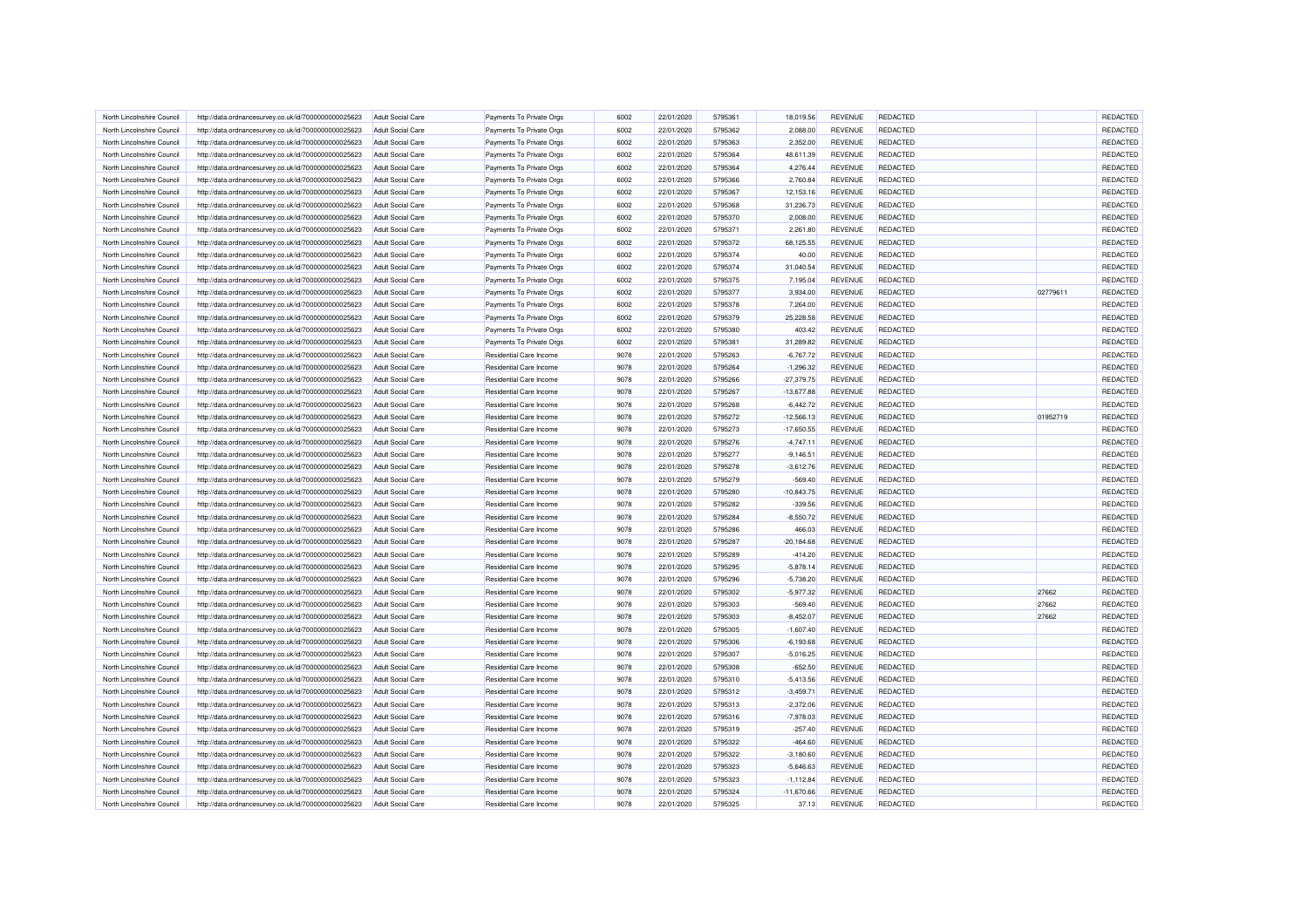| North Lincolnshire Council | http://data.ordnancesurvey.co.uk/id/7000000000025623 | <b>Adult Social Care</b> | Payments To Private Orgs       | 6002 | 22/01/2020 | 5795361 | 18,019.56    | <b>REVENUE</b> | REDACTED        |          | <b>REDACTED</b> |
|----------------------------|------------------------------------------------------|--------------------------|--------------------------------|------|------------|---------|--------------|----------------|-----------------|----------|-----------------|
| North Lincolnshire Council | http://data.ordnancesurvey.co.uk/id/7000000000025623 | <b>Adult Social Care</b> | Payments To Private Orgs       | 6002 | 22/01/2020 | 5795362 | 2,088.00     | <b>REVENUE</b> | REDACTED        |          | REDACTED        |
| North Lincolnshire Council | http://data.ordnancesurvey.co.uk/id/7000000000025623 | <b>Adult Social Care</b> | Payments To Private Orgs       | 6002 | 22/01/2020 | 5795363 | 2,352.00     | <b>REVENUE</b> | REDACTED        |          | REDACTED        |
| North Lincolnshire Council | http://data.ordnancesurvey.co.uk/id/7000000000025623 | <b>Adult Social Care</b> | Payments To Private Orgs       | 6002 | 22/01/2020 | 5795364 | 48,611.39    | <b>REVENUE</b> | REDACTED        |          | REDACTED        |
| North Lincolnshire Council | http://data.ordnancesurvey.co.uk/id/7000000000025623 | <b>Adult Social Care</b> | Payments To Private Orgs       | 6002 | 22/01/2020 | 5795364 | 4,276.44     | <b>REVENUE</b> | <b>REDACTED</b> |          | REDACTED        |
| North Lincolnshire Council | http://data.ordnancesurvey.co.uk/id/7000000000025623 | <b>Adult Social Care</b> | Payments To Private Orgs       | 6002 | 22/01/2020 | 5795366 | 2,760.84     | <b>REVENUE</b> | <b>REDACTED</b> |          | <b>REDACTED</b> |
| North Lincolnshire Council | http://data.ordnancesurvey.co.uk/id/7000000000025623 | <b>Adult Social Care</b> | Payments To Private Orgs       | 6002 | 22/01/2020 | 5795367 | 12,153.16    | <b>REVENUE</b> | REDACTED        |          | REDACTED        |
| North Lincolnshire Council | http://data.ordnancesurvey.co.uk/id/7000000000025623 | <b>Adult Social Care</b> | Payments To Private Orgs       | 6002 | 22/01/2020 | 5795368 | 31,236.73    | <b>REVENUE</b> | <b>REDACTED</b> |          | REDACTED        |
| North Lincolnshire Council | http://data.ordnancesurvey.co.uk/id/7000000000025623 | <b>Adult Social Care</b> | Payments To Private Orgs       | 6002 | 22/01/2020 | 5795370 | 2,008.00     | <b>REVENUE</b> | REDACTED        |          | <b>REDACTED</b> |
| North Lincolnshire Council | http://data.ordnancesurvey.co.uk/id/7000000000025623 | <b>Adult Social Care</b> | Payments To Private Orgs       | 6002 | 22/01/2020 | 5795371 | 2,261.80     | <b>REVENUE</b> | <b>REDACTED</b> |          | REDACTED        |
| North Lincolnshire Council | http://data.ordnancesurvey.co.uk/id/7000000000025623 | <b>Adult Social Care</b> | Payments To Private Orgs       | 6002 | 22/01/2020 | 5795372 | 68,125.55    | <b>REVENUE</b> | <b>REDACTED</b> |          | REDACTED        |
| North Lincolnshire Council | http://data.ordnancesurvey.co.uk/id/7000000000025623 | <b>Adult Social Care</b> | Payments To Private Orgs       | 6002 | 22/01/2020 | 5795374 | 40.00        | <b>REVENUE</b> | REDACTED        |          | REDACTED        |
| North Lincolnshire Council |                                                      | <b>Adult Social Care</b> |                                | 6002 | 22/01/2020 | 5795374 | 31,040.54    | <b>REVENUE</b> | REDACTED        |          | REDACTED        |
|                            | http://data.ordnancesurvey.co.uk/id/7000000000025623 |                          | Payments To Private Orgs       |      |            |         |              |                |                 |          |                 |
| North Lincolnshire Council | http://data.ordnancesurvey.co.uk/id/7000000000025623 | <b>Adult Social Care</b> | Payments To Private Orgs       | 6002 | 22/01/2020 | 5795375 | 7,195.04     | <b>REVENUE</b> | <b>REDACTED</b> |          | REDACTED        |
| North Lincolnshire Council | http://data.ordnancesurvey.co.uk/id/7000000000025623 | <b>Adult Social Care</b> | Payments To Private Orgs       | 6002 | 22/01/2020 | 5795377 | 3,934.00     | <b>REVENUE</b> | <b>REDACTED</b> | 02779611 | <b>REDACTEI</b> |
| North Lincolnshire Council | http://data.ordnancesurvey.co.uk/id/7000000000025623 | <b>Adult Social Care</b> | Payments To Private Orgs       | 6002 | 22/01/2020 | 5795378 | 7,264.00     | <b>REVENUE</b> | <b>REDACTED</b> |          | REDACTED        |
| North Lincolnshire Council | http://data.ordnancesurvey.co.uk/id/7000000000025623 | <b>Adult Social Care</b> | Payments To Private Orgs       | 6002 | 22/01/2020 | 5795379 | 25,228.58    | <b>REVENUE</b> | <b>REDACTED</b> |          | REDACTED        |
| North Lincolnshire Council | http://data.ordnancesurvey.co.uk/id/7000000000025623 | <b>Adult Social Care</b> | Payments To Private Orgs       | 6002 | 22/01/2020 | 5795380 | 403.42       | <b>REVENUE</b> | REDACTED        |          | REDACTED        |
| North Lincolnshire Council | http://data.ordnancesurvey.co.uk/id/7000000000025623 | Adult Social Care        | Payments To Private Orgs       | 6002 | 22/01/2020 | 5795381 | 31,289.82    | <b>REVENUE</b> | <b>REDACTED</b> |          | REDACTED        |
| North Lincolnshire Council | http://data.ordnancesurvey.co.uk/id/7000000000025623 | <b>Adult Social Care</b> | Residential Care Income        | 9078 | 22/01/2020 | 5795263 | $-6,767.72$  | <b>REVENUE</b> | <b>REDACTED</b> |          | REDACTED        |
| North Lincolnshire Council | http://data.ordnancesurvey.co.uk/id/7000000000025623 | <b>Adult Social Care</b> | Residential Care Income        | 9078 | 22/01/2020 | 5795264 | $-1,296.32$  | REVENUE        | REDACTED        |          | REDACTED        |
| North Lincolnshire Council | http://data.ordnancesurvey.co.uk/id/7000000000025623 | <b>Adult Social Care</b> | <b>Residential Care Income</b> | 9078 | 22/01/2020 | 5795266 | $-27,379.75$ | <b>REVENUE</b> | <b>REDACTED</b> |          | REDACTED        |
| North Lincolnshire Council | http://data.ordnancesurvey.co.uk/id/7000000000025623 | <b>Adult Social Care</b> | <b>Residential Care Income</b> | 9078 | 22/01/2020 | 5795267 | $-13,677.88$ | <b>REVENUE</b> | <b>REDACTED</b> |          | REDACTED        |
| North Lincolnshire Council | http://data.ordnancesurvey.co.uk/id/7000000000025623 | <b>Adult Social Care</b> | <b>Residential Care Income</b> | 9078 | 22/01/2020 | 5795268 | $-6,442.72$  | <b>REVENUE</b> | REDACTED        |          | <b>REDACTED</b> |
| North Lincolnshire Council | http://data.ordnancesurvey.co.uk/id/7000000000025623 | Adult Social Care        | Residential Care Income        | 9078 | 22/01/2020 | 5795272 | $-12,566.13$ | <b>REVENUE</b> | <b>REDACTED</b> | 01952719 | REDACTED        |
| North Lincolnshire Council | http://data.ordnancesurvey.co.uk/id/7000000000025623 | <b>Adult Social Care</b> | Residential Care Income        | 9078 | 22/01/2020 | 5795273 | $-17,650.55$ | <b>REVENUE</b> | <b>REDACTED</b> |          | REDACTED        |
| North Lincolnshire Council | http://data.ordnancesurvey.co.uk/id/7000000000025623 | <b>Adult Social Care</b> | Residential Care Income        | 9078 | 22/01/2020 | 5795276 | $-4,747.11$  | <b>REVENUE</b> | REDACTED        |          | REDACTED        |
| North Lincolnshire Council | http://data.ordnancesurvey.co.uk/id/7000000000025623 | <b>Adult Social Care</b> | <b>Residential Care Income</b> | 9078 | 22/01/2020 | 5795277 | $-9,146.51$  | <b>REVENUE</b> | <b>REDACTED</b> |          | <b>REDACTED</b> |
| North Lincolnshire Council | http://data.ordnancesurvey.co.uk/id/7000000000025623 | <b>Adult Social Care</b> | <b>Residential Care Income</b> | 9078 | 22/01/2020 | 5795278 | $-3,612.76$  | <b>REVENUE</b> | <b>REDACTED</b> |          | REDACTED        |
| North Lincolnshire Council | http://data.ordnancesurvey.co.uk/id/7000000000025623 | <b>Adult Social Care</b> | Residential Care Income        | 9078 | 22/01/2020 | 5795279 | $-569.40$    | REVENUE        | REDACTED        |          | REDACTED        |
| North Lincolnshire Council | http://data.ordnancesurvey.co.uk/id/7000000000025623 | <b>Adult Social Care</b> | <b>Residential Care Income</b> | 9078 | 22/01/2020 | 5795280 | $-10,843.75$ | <b>REVENUE</b> | <b>REDACTED</b> |          | REDACTED        |
| North Lincolnshire Council | http://data.ordnancesurvey.co.uk/id/7000000000025623 | <b>Adult Social Care</b> | <b>Residential Care Income</b> | 9078 | 22/01/2020 | 5795282 | $-339.56$    | <b>REVENUE</b> | <b>REDACTED</b> |          | REDACTED        |
| North Lincolnshire Council | http://data.ordnancesurvey.co.uk/id/7000000000025623 | <b>Adult Social Care</b> | Residential Care Income        | 9078 | 22/01/2020 | 5795284 | $-8,550.72$  | REVENUE        | REDACTED        |          | REDACTED        |
| North Lincolnshire Council | http://data.ordnancesurvey.co.uk/id/7000000000025623 | <b>Adult Social Care</b> | <b>Residential Care Income</b> | 9078 | 22/01/2020 | 5795286 | 466.03       | <b>REVENUE</b> | <b>REDACTED</b> |          | <b>REDACTED</b> |
| North Lincolnshire Council | http://data.ordnancesurvey.co.uk/id/7000000000025623 | <b>Adult Social Care</b> | <b>Residential Care Income</b> | 9078 | 22/01/2020 | 5795287 | $-20,184.68$ | <b>REVENUE</b> | <b>REDACTED</b> |          | REDACTED        |
| North Lincolnshire Council | http://data.ordnancesurvey.co.uk/id/7000000000025623 | <b>Adult Social Care</b> | <b>Residential Care Income</b> | 9078 | 22/01/2020 | 5795289 | $-414.20$    | REVENUE        | REDACTED        |          | REDACTED        |
| North Lincolnshire Council | http://data.ordnancesurvey.co.uk/id/7000000000025623 | <b>Adult Social Care</b> | <b>Residential Care Income</b> | 9078 | 22/01/2020 | 5795295 | $-5,878.14$  | <b>REVENUE</b> | <b>REDACTED</b> |          | REDACTED        |
| North Lincolnshire Council | http://data.ordnancesurvey.co.uk/id/7000000000025623 | <b>Adult Social Care</b> | <b>Residential Care Income</b> | 9078 | 22/01/2020 | 5795296 | $-5,738.20$  | <b>REVENUE</b> | <b>REDACTED</b> |          | REDACTED        |
| North Lincolnshire Council |                                                      |                          | Residential Care Income        | 9078 |            | 5795302 |              | <b>REVENUE</b> | REDACTED        | 27662    | REDACTED        |
|                            | http://data.ordnancesurvey.co.uk/id/7000000000025623 | Adult Social Care        |                                |      | 22/01/2020 |         | $-5,977.32$  |                |                 |          |                 |
| North Lincolnshire Council | http://data.ordnancesurvey.co.uk/id/7000000000025623 | <b>Adult Social Care</b> | <b>Residential Care Income</b> | 9078 | 22/01/2020 | 5795303 | $-569.40$    | <b>REVENUE</b> | <b>REDACTED</b> | 27662    | <b>REDACTED</b> |
| North Lincolnshire Council | http://data.ordnancesurvey.co.uk/id/7000000000025623 | <b>Adult Social Care</b> | <b>Residential Care Income</b> | 9078 | 22/01/2020 | 5795303 | $-8,452.07$  | <b>REVENUE</b> | <b>REDACTED</b> | 27662    | REDACTED        |
| North Lincolnshire Council | http://data.ordnancesurvey.co.uk/id/7000000000025623 | <b>Adult Social Care</b> | <b>Residential Care Income</b> | 9078 | 22/01/2020 | 5795305 | $-1,607.40$  | <b>REVENUE</b> | REDACTED        |          | REDACTED        |
| North Lincolnshire Council | http://data.ordnancesurvey.co.uk/id/7000000000025623 | <b>Adult Social Care</b> | <b>Residential Care Income</b> | 9078 | 22/01/2020 | 5795306 | $-6,193.68$  | <b>REVENUE</b> | REDACTED        |          | REDACTED        |
| North Lincolnshire Council | http://data.ordnancesurvey.co.uk/id/7000000000025623 | <b>Adult Social Care</b> | <b>Residential Care Income</b> | 9078 | 22/01/2020 | 5795307 | $-5,016.25$  | <b>REVENUE</b> | <b>REDACTED</b> |          | REDACTED        |
| North Lincolnshire Council | http://data.ordnancesurvey.co.uk/id/7000000000025623 | Adult Social Care        | Residential Care Income        | 9078 | 22/01/2020 | 5795308 | $-652.50$    | <b>REVENUE</b> | REDACTED        |          | REDACTED        |
| North Lincolnshire Council | http://data.ordnancesurvey.co.uk/id/7000000000025623 | <b>Adult Social Care</b> | Residential Care Income        | 9078 | 22/01/2020 | 5795310 | $-5,413.56$  | <b>REVENUE</b> | REDACTED        |          | REDACTED        |
| North Lincolnshire Council | http://data.ordnancesurvey.co.uk/id/7000000000025623 | <b>Adult Social Care</b> | <b>Residential Care Income</b> | 9078 | 22/01/2020 | 5795312 | $-3,459.71$  | <b>REVENUE</b> | <b>REDACTED</b> |          | REDACTED        |
| North Lincolnshire Council | http://data.ordnancesurvey.co.uk/id/7000000000025623 | <b>Adult Social Care</b> | Residential Care Income        | 9078 | 22/01/2020 | 5795313 | $-2,372.06$  | <b>REVENUE</b> | REDACTED        |          | REDACTED        |
| North Lincolnshire Council | http://data.ordnancesurvey.co.uk/id/7000000000025623 | <b>Adult Social Care</b> | <b>Residential Care Income</b> | 9078 | 22/01/2020 | 5795316 | $-7,978.03$  | <b>REVENUE</b> | REDACTED        |          | REDACTED        |
| North Lincolnshire Council | http://data.ordnancesurvey.co.uk/id/7000000000025623 | <b>Adult Social Care</b> | <b>Residential Care Income</b> | 9078 | 22/01/2020 | 5795319 | $-257.40$    | <b>REVENUE</b> | <b>REDACTED</b> |          | REDACTED        |
| North Lincolnshire Council | http://data.ordnancesurvey.co.uk/id/7000000000025623 | Adult Social Care        | Residential Care Income        | 9078 | 22/01/2020 | 5795322 | $-464.60$    | <b>REVENUE</b> | REDACTED        |          | REDACTED        |
| North Lincolnshire Council | http://data.ordnancesurvey.co.uk/id/7000000000025623 | <b>Adult Social Care</b> | Residential Care Income        | 9078 | 22/01/2020 | 5795322 | $-3,180.60$  | <b>REVENUE</b> | REDACTED        |          | REDACTED        |
| North Lincolnshire Council | http://data.ordnancesurvey.co.uk/id/7000000000025623 | <b>Adult Social Care</b> | <b>Residential Care Income</b> | 9078 | 22/01/2020 | 5795323 | $-5,646.63$  | <b>REVENUE</b> | <b>REDACTED</b> |          | REDACTED        |
| North Lincolnshire Council | http://data.ordnancesurvey.co.uk/id/7000000000025623 | Adult Social Care        | Residential Care Income        | 9078 | 22/01/2020 | 5795323 | $-1,112.84$  | <b>REVENUE</b> | REDACTED        |          | REDACTED        |
| North Lincolnshire Council | http://data.ordnancesurvey.co.uk/id/7000000000025623 | Adult Social Care        | Residential Care Income        | 9078 | 22/01/2020 | 5795324 | $-11,670.66$ | <b>REVENUE</b> | <b>REDACTED</b> |          | REDACTED        |
| North Lincolnshire Council | http://data.ordnancesurvey.co.uk/id/7000000000025623 | Adult Social Care        | Residential Care Income        | 9078 | 22/01/2020 | 5795325 | 37.13        | <b>REVENUE</b> | <b>REDACTED</b> |          | REDACTED        |
|                            |                                                      |                          |                                |      |            |         |              |                |                 |          |                 |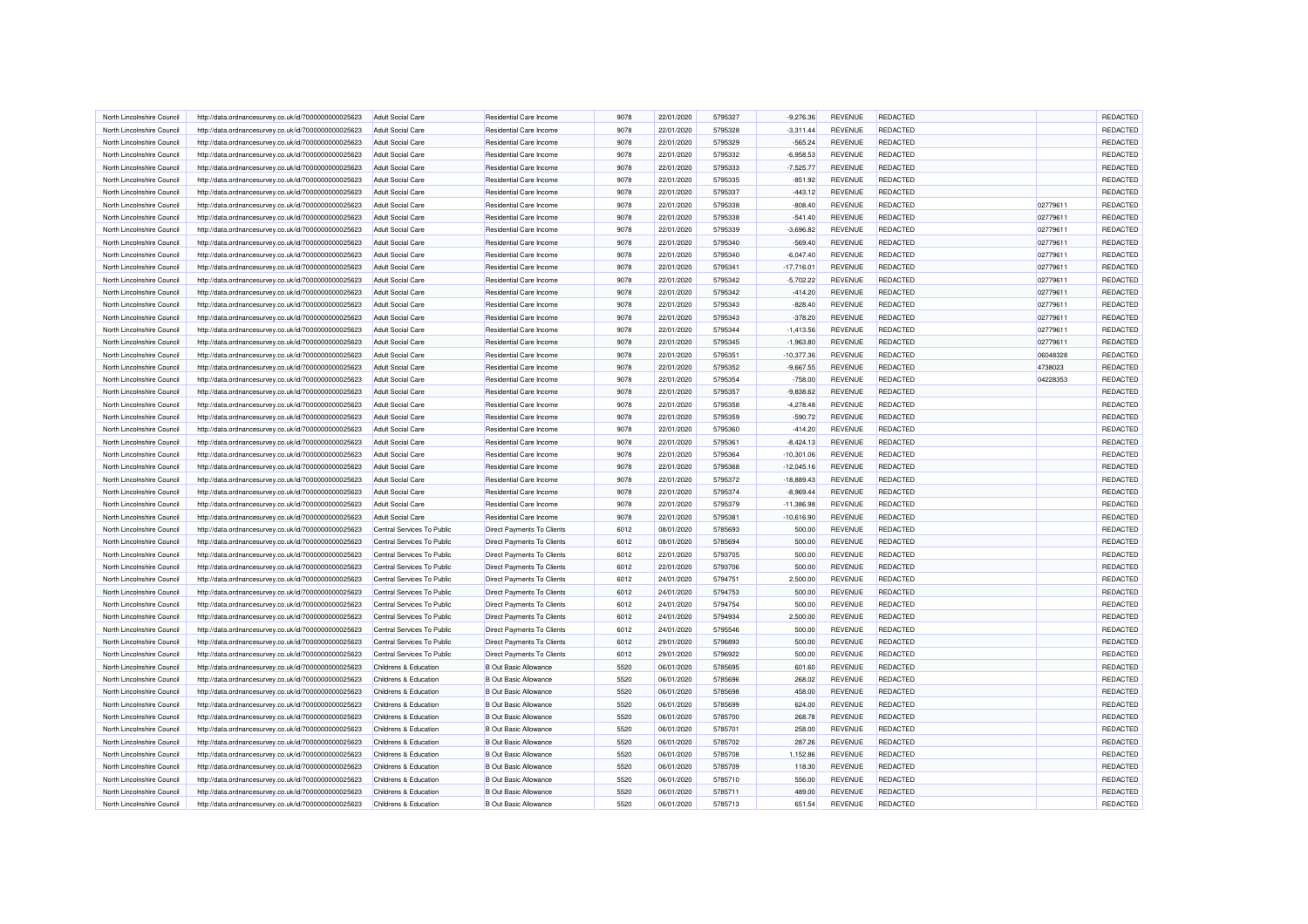| North Lincolnshire Council                               | http://data.ordnancesurvey.co.uk/id/7000000000025623 | <b>Adult Social Care</b>                      | Residential Care Income                            | 9078 | 22/01/2020               | 5795327 | $-9,276.36$  | REVENUE        | <b>REDACTED</b> |          | REDACTED |
|----------------------------------------------------------|------------------------------------------------------|-----------------------------------------------|----------------------------------------------------|------|--------------------------|---------|--------------|----------------|-----------------|----------|----------|
| North Lincolnshire Council                               | http://data.ordnancesurvey.co.uk/id/7000000000025623 | <b>Adult Social Care</b>                      | Residential Care Income                            | 9078 | 22/01/2020               | 5795328 | $-3,311.44$  | <b>REVENUE</b> | REDACTED        |          | REDACTED |
| North Lincolnshire Council                               | http://data.ordnancesurvey.co.uk/id/7000000000025623 | <b>Adult Social Care</b>                      | Residential Care Income                            | 9078 | 22/01/2020               | 5795329 | $-565.24$    | <b>REVENUE</b> | REDACTED        |          | REDACTED |
| North Lincolnshire Council                               | http://data.ordnancesurvey.co.uk/id/7000000000025623 | <b>Adult Social Care</b>                      | Residential Care Income                            | 9078 | 22/01/2020               | 5795332 | $-6,958.53$  | <b>REVENUE</b> | <b>REDACTED</b> |          | REDACTED |
| North Lincolnshire Council                               | http://data.ordnancesurvey.co.uk/id/7000000000025623 | <b>Adult Social Care</b>                      | Residential Care Income                            | 9078 | 22/01/2020               | 5795333 | $-7,525.77$  | <b>REVENUE</b> | REDACTED        |          | REDACTED |
| North Lincolnshire Council                               | http://data.ordnancesurvey.co.uk/id/7000000000025623 | <b>Adult Social Care</b>                      | Residential Care Income                            | 9078 | 22/01/2020               | 5795335 | $-851.92$    | <b>REVENUE</b> | REDACTED        |          | REDACTED |
| North Lincolnshire Council                               | http://data.ordnancesurvey.co.uk/id/7000000000025623 | <b>Adult Social Care</b>                      | Residential Care Income                            | 9078 | 22/01/2020               | 5795337 | $-443.12$    | <b>REVENUE</b> | REDACTED        |          | REDACTED |
| North Lincolnshire Council                               | http://data.ordnancesurvey.co.uk/id/7000000000025623 | <b>Adult Social Care</b>                      | Residential Care Income                            | 9078 | 22/01/2020               | 5795338 | $-808.40$    | <b>REVENUE</b> | <b>REDACTED</b> | 02779611 | REDACTED |
| North Lincolnshire Council                               | http://data.ordnancesurvey.co.uk/id/7000000000025623 | <b>Adult Social Care</b>                      | Residential Care Income                            | 9078 | 22/01/2020               | 5795338 | $-541.40$    | REVENUE        | REDACTED        | 02779611 | REDACTED |
| North Lincolnshire Council                               | http://data.ordnancesurvey.co.uk/id/7000000000025623 | <b>Adult Social Care</b>                      | Residential Care Income                            | 9078 | 22/01/2020               | 5795339 | $-3,696.82$  | <b>REVENUE</b> | <b>REDACTED</b> | 02779611 | REDACTED |
| North Lincolnshire Council                               | http://data.ordnancesurvey.co.uk/id/7000000000025623 | <b>Adult Social Care</b>                      | <b>Residential Care Income</b>                     | 9078 | 22/01/2020               | 5795340 | $-569.40$    | REVENUE        | REDACTED        | 02779611 | REDACTED |
| North Lincolnshire Council                               | http://data.ordnancesurvey.co.uk/id/7000000000025623 | <b>Adult Social Care</b>                      | Residential Care Income                            | 9078 | 22/01/2020               | 5795340 | $-6,047.40$  | <b>REVENUE</b> | <b>REDACTED</b> | 02779611 | REDACTED |
|                                                          |                                                      |                                               |                                                    | 9078 |                          | 5795341 |              | <b>REVENUE</b> | REDACTED        | 02779611 | REDACTED |
| North Lincolnshire Council<br>North Lincolnshire Council | http://data.ordnancesurvey.co.uk/id/7000000000025623 | <b>Adult Social Care</b><br>Adult Social Care | Residential Care Income<br>Residential Care Income | 9078 | 22/01/2020<br>22/01/2020 | 5795342 | $-17,716.01$ | <b>REVENUE</b> | REDACTED        |          |          |
|                                                          | http://data.ordnancesurvey.co.uk/id/7000000000025623 |                                               |                                                    |      |                          |         | $-5,702.22$  |                |                 | 02779611 | REDACTED |
| North Lincolnshire Council                               | http://data.ordnancesurvey.co.uk/id/7000000000025623 | <b>Adult Social Care</b>                      | Residential Care Income                            | 9078 | 22/01/2020               | 5795342 | $-414.20$    | <b>REVENUE</b> | REDACTED        | 02779611 | REDACTED |
| North Lincolnshire Council                               | http://data.ordnancesurvey.co.uk/id/7000000000025623 | <b>Adult Social Care</b>                      | Residential Care Income                            | 9078 | 22/01/2020               | 5795343 | $-828.40$    | <b>REVENUE</b> | <b>REDACTED</b> | 02779611 | REDACTED |
| North Lincolnshire Council                               | http://data.ordnancesurvey.co.uk/id/7000000000025623 | <b>Adult Social Care</b>                      | Residential Care Income                            | 9078 | 22/01/2020               | 5795343 | $-378.20$    | <b>REVENUE</b> | REDACTED        | 02779611 | REDACTED |
| North Lincolnshire Council                               | http://data.ordnancesurvey.co.uk/id/7000000000025623 | <b>Adult Social Care</b>                      | Residential Care Income                            | 9078 | 22/01/2020               | 5795344 | $-1,413.56$  | <b>REVENUE</b> | <b>REDACTED</b> | 02779611 | REDACTED |
| North Lincolnshire Council                               | http://data.ordnancesurvey.co.uk/id/7000000000025623 | <b>Adult Social Care</b>                      | Residential Care Income                            | 9078 | 22/01/2020               | 5795345 | $-1,963.80$  | <b>REVENUE</b> | <b>REDACTED</b> | 02779611 | REDACTED |
| North Lincolnshire Council                               | http://data.ordnancesurvey.co.uk/id/7000000000025623 | <b>Adult Social Care</b>                      | Residential Care Income                            | 9078 | 22/01/2020               | 5795351 | $-10,377.36$ | <b>REVENUE</b> | REDACTED        | 06048328 | REDACTED |
| North Lincolnshire Council                               | http://data.ordnancesurvey.co.uk/id/7000000000025623 | <b>Adult Social Care</b>                      | Residential Care Income                            | 9078 | 22/01/2020               | 5795352 | $-9,667.55$  | <b>REVENUE</b> | REDACTED        | 4738023  | REDACTED |
| North Lincolnshire Council                               | http://data.ordnancesurvey.co.uk/id/7000000000025623 | <b>Adult Social Care</b>                      | Residential Care Income                            | 9078 | 22/01/2020               | 5795354 | $-758.00$    | <b>REVENUE</b> | REDACTED        | 04228353 | REDACTED |
| North Lincolnshire Council                               | http://data.ordnancesurvey.co.uk/id/7000000000025623 | <b>Adult Social Care</b>                      | Residential Care Income                            | 9078 | 22/01/2020               | 5795357 | $-9,838.62$  | <b>REVENUE</b> | <b>REDACTED</b> |          | REDACTED |
| North Lincolnshire Council                               | http://data.ordnancesurvey.co.uk/id/7000000000025623 | <b>Adult Social Care</b>                      | Residential Care Income                            | 9078 | 22/01/2020               | 5795358 | $-4,278.48$  | <b>REVENUE</b> | <b>REDACTED</b> |          | REDACTED |
| North Lincolnshire Council                               | http://data.ordnancesurvey.co.uk/id/7000000000025623 | <b>Adult Social Care</b>                      | Residential Care Income                            | 9078 | 22/01/2020               | 5795359 | $-590.72$    | <b>REVENUE</b> | <b>REDACTED</b> |          | REDACTED |
| North Lincolnshire Council                               | http://data.ordnancesurvey.co.uk/id/7000000000025623 | <b>Adult Social Care</b>                      | Residential Care Income                            | 9078 | 22/01/2020               | 5795360 | $-414.20$    | <b>REVENUE</b> | REDACTED        |          | REDACTED |
| North Lincolnshire Council                               | http://data.ordnancesurvey.co.uk/id/7000000000025623 | <b>Adult Social Care</b>                      | <b>Residential Care Income</b>                     | 9078 | 22/01/2020               | 5795361 | $-8,424.13$  | REVENUE        | REDACTED        |          | REDACTED |
| North Lincolnshire Council                               | http://data.ordnancesurvey.co.uk/id/7000000000025623 | <b>Adult Social Care</b>                      | Residential Care Income                            | 9078 | 22/01/2020               | 5795364 | $-10,301.06$ | <b>REVENUE</b> | <b>REDACTED</b> |          | REDACTED |
| North Lincolnshire Council                               | http://data.ordnancesurvey.co.uk/id/7000000000025623 | <b>Adult Social Care</b>                      | Residential Care Income                            | 9078 | 22/01/2020               | 5795368 | $-12,045.16$ | <b>REVENUE</b> | <b>REDACTED</b> |          | REDACTED |
| North Lincolnshire Council                               | http://data.ordnancesurvey.co.uk/id/7000000000025623 | <b>Adult Social Care</b>                      | Residential Care Income                            | 9078 | 22/01/2020               | 5795372 | $-18,889.43$ | <b>REVENUE</b> | REDACTED        |          | REDACTED |
| North Lincolnshire Council                               | http://data.ordnancesurvey.co.uk/id/7000000000025623 | <b>Adult Social Care</b>                      | Residential Care Income                            | 9078 | 22/01/2020               | 5795374 | $-8,969.44$  | <b>REVENUE</b> | <b>REDACTED</b> |          | REDACTED |
| North Lincolnshire Council                               | http://data.ordnancesurvey.co.uk/id/7000000000025623 | <b>Adult Social Care</b>                      | Residential Care Income                            | 9078 | 22/01/2020               | 5795379 | $-11,386.98$ | <b>REVENUE</b> | <b>REDACTED</b> |          | REDACTED |
| North Lincolnshire Council                               | http://data.ordnancesurvey.co.uk/id/7000000000025623 | <b>Adult Social Care</b>                      | Residential Care Income                            | 9078 | 22/01/2020               | 579538  | $-10,616.90$ | <b>REVENUE</b> | REDACTED        |          | REDACTED |
| North Lincolnshire Council                               | http://data.ordnancesurvey.co.uk/id/7000000000025623 | Central Services To Public                    | <b>Direct Payments To Clients</b>                  | 6012 | 08/01/2020               | 5785693 | 500.00       | <b>REVENUE</b> | <b>REDACTED</b> |          | REDACTED |
| North Lincolnshire Council                               | http://data.ordnancesurvey.co.uk/id/7000000000025623 | Central Services To Public                    | Direct Payments To Clients                         | 6012 | 08/01/2020               | 5785694 | 500.00       | <b>REVENUE</b> | <b>REDACTED</b> |          | REDACTED |
|                                                          |                                                      |                                               |                                                    |      |                          |         |              |                | REDACTED        |          | REDACTED |
| North Lincolnshire Council                               | http://data.ordnancesurvey.co.uk/id/7000000000025623 | Central Services To Public                    | Direct Payments To Clients                         | 6012 | 22/01/2020               | 5793705 | 500.00       | <b>REVENUE</b> |                 |          | REDACTED |
| North Lincolnshire Council                               | http://data.ordnancesurvey.co.uk/id/7000000000025623 | Central Services To Public                    | Direct Payments To Clients                         | 6012 | 22/01/2020               | 5793706 | 500.00       | REVENUE        | REDACTED        |          |          |
| North Lincolnshire Council                               | http://data.ordnancesurvey.co.uk/id/7000000000025623 | Central Services To Public                    | <b>Direct Payments To Clients</b>                  | 6012 | 24/01/2020               | 5794751 | 2,500.00     | <b>REVENUE</b> | <b>REDACTED</b> |          | REDACTED |
| North Lincolnshire Council                               | http://data.ordnancesurvey.co.uk/id/7000000000025623 | Central Services To Public                    | Direct Payments To Clients                         | 6012 | 24/01/2020               | 5794753 | 500.00       | <b>REVENUE</b> | REDACTED        |          | REDACTED |
| North Lincolnshire Council                               | http://data.ordnancesurvey.co.uk/id/7000000000025623 | Central Services To Public                    | <b>Direct Payments To Clients</b>                  | 6012 | 24/01/2020               | 5794754 | 500.00       | <b>REVENUE</b> | <b>REDACTED</b> |          | REDACTED |
| North Lincolnshire Council                               | http://data.ordnancesurvey.co.uk/id/7000000000025623 | Central Services To Public                    | <b>Direct Payments To Clients</b>                  | 6012 | 24/01/2020               | 5794934 | 2,500.00     | <b>REVENUE</b> | REDACTED        |          | REDACTED |
| North Lincolnshire Council                               | http://data.ordnancesurvey.co.uk/id/7000000000025623 | Central Services To Public                    | <b>Direct Payments To Clients</b>                  | 6012 | 24/01/2020               | 5795546 | 500.00       | <b>REVENUE</b> | <b>REDACTED</b> |          | REDACTED |
| North Lincolnshire Council                               | http://data.ordnancesurvey.co.uk/id/7000000000025623 | Central Services To Public                    | Direct Payments To Clients                         | 6012 | 29/01/2020               | 5796893 | 500.00       | REVENUE        | REDACTED        |          | REDACTED |
| North Lincolnshire Council                               | http://data.ordnancesurvey.co.uk/id/7000000000025623 | Central Services To Public                    | <b>Direct Payments To Clients</b>                  | 6012 | 29/01/2020               | 5796922 | 500.00       | <b>REVENUE</b> | <b>REDACTED</b> |          | REDACTED |
| North Lincolnshire Council                               | http://data.ordnancesurvey.co.uk/id/7000000000025623 | Childrens & Education                         | <b>B Out Basic Allowance</b>                       | 5520 | 06/01/2020               | 5785695 | 601.60       | <b>REVENUE</b> | REDACTED        |          | REDACTED |
| North Lincolnshire Council                               | http://data.ordnancesurvey.co.uk/id/7000000000025623 | Childrens & Education                         | <b>B Out Basic Allowance</b>                       | 5520 | 06/01/2020               | 5785696 | 268.02       | <b>REVENUE</b> | REDACTED        |          | REDACTED |
| North Lincolnshire Council                               | http://data.ordnancesurvey.co.uk/id/7000000000025623 | Childrens & Education                         | <b>B Out Basic Allowance</b>                       | 5520 | 06/01/2020               | 5785698 | 458.00       | <b>REVENUE</b> | REDACTED        |          | REDACTED |
| North Lincolnshire Council                               | http://data.ordnancesurvey.co.uk/id/7000000000025623 | Childrens & Education                         | <b>B Out Basic Allowance</b>                       | 5520 | 06/01/2020               | 5785699 | 624.00       | <b>REVENUE</b> | <b>REDACTED</b> |          | REDACTED |
| North Lincolnshire Council                               | http://data.ordnancesurvey.co.uk/id/7000000000025623 | Childrens & Education                         | <b>B Out Basic Allowance</b>                       | 5520 | 06/01/2020               | 5785700 | 268.78       | <b>REVENUE</b> | <b>REDACTED</b> |          | REDACTED |
| North Lincolnshire Council                               | http://data.ordnancesurvey.co.uk/id/7000000000025623 | <b>Childrens &amp; Education</b>              | <b>B Out Basic Allowance</b>                       | 5520 | 06/01/2020               | 5785701 | 258.00       | <b>REVENUE</b> | REDACTED        |          | REDACTED |
| North Lincolnshire Council                               | http://data.ordnancesurvey.co.uk/id/7000000000025623 | Childrens & Education                         | <b>B Out Basic Allowance</b>                       | 5520 | 06/01/2020               | 5785702 | 287.26       | <b>REVENUE</b> | <b>REDACTED</b> |          | REDACTED |
| North Lincolnshire Council                               | http://data.ordnancesurvey.co.uk/id/7000000000025623 | Childrens & Education                         | <b>B Out Basic Allowance</b>                       | 5520 | 06/01/2020               | 5785708 | 1,152.86     | <b>REVENUE</b> | REDACTED        |          | REDACTED |
| North Lincolnshire Council                               | http://data.ordnancesurvey.co.uk/id/7000000000025623 | Childrens & Education                         | <b>B Out Basic Allowance</b>                       | 5520 | 06/01/2020               | 5785709 | 118.30       | <b>REVENUE</b> | REDACTED        |          | REDACTED |
| North Lincolnshire Council                               | http://data.ordnancesurvey.co.uk/id/7000000000025623 | Childrens & Education                         | <b>B Out Basic Allowance</b>                       | 5520 | 06/01/2020               | 5785710 | 556.00       | <b>REVENUE</b> | <b>REDACTED</b> |          | REDACTED |
| North Lincolnshire Council                               | http://data.ordnancesurvey.co.uk/id/7000000000025623 | Childrens & Education                         | <b>B Out Basic Allowance</b>                       | 5520 | 06/01/2020               | 578571  | 489.00       | <b>REVENUE</b> | REDACTED        |          | REDACTED |
| North Lincolnshire Council                               | http://data.ordnancesurvey.co.uk/id/7000000000025623 | Childrens & Education                         | <b>B Out Basic Allowance</b>                       | 5520 | 06/01/2020               | 5785713 | 651.54       | <b>REVENUE</b> | REDACTED        |          | REDACTED |
|                                                          |                                                      |                                               |                                                    |      |                          |         |              |                |                 |          |          |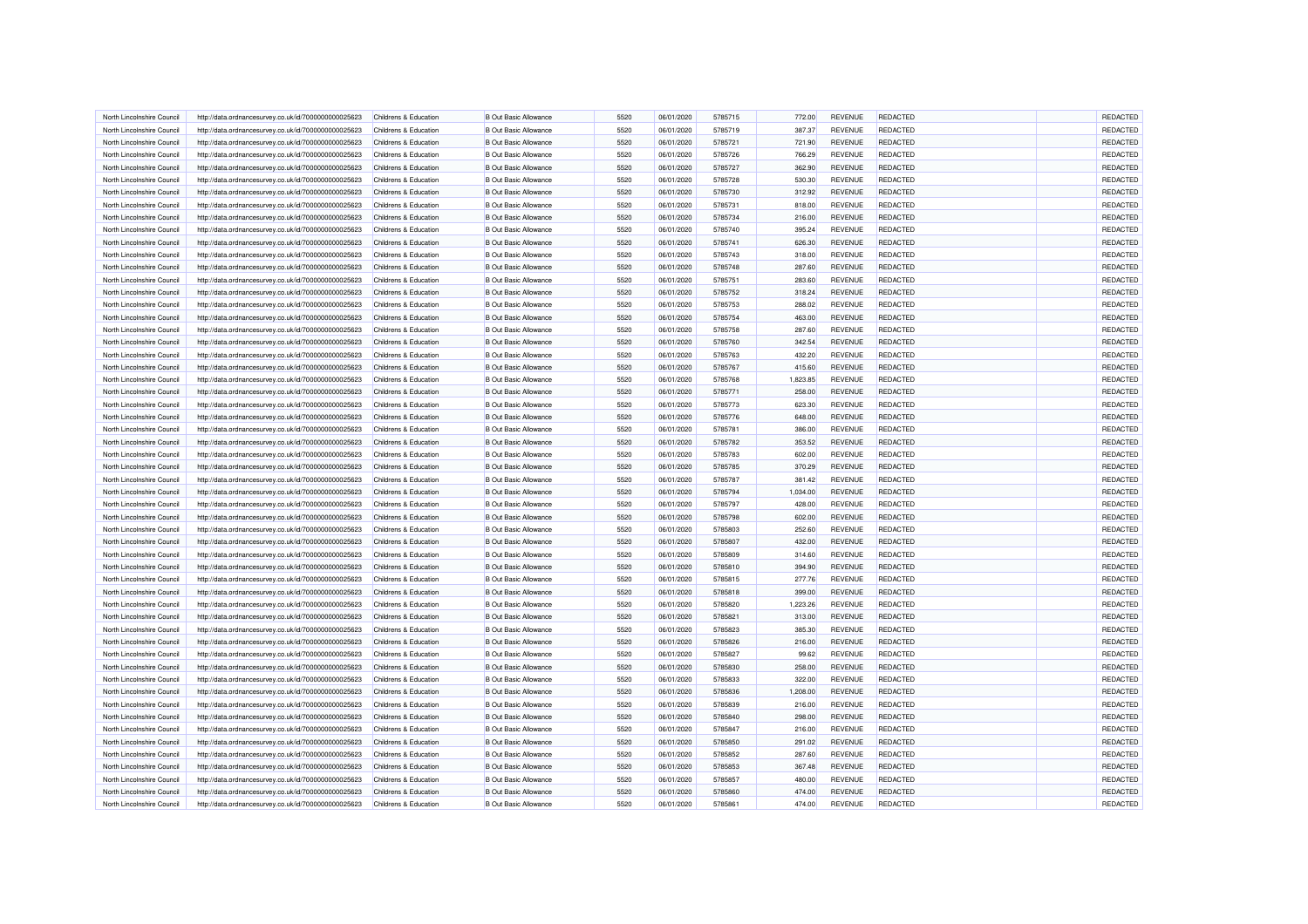| North Lincolnshire Council                               | http://data.ordnancesurvey.co.uk/id/7000000000025623 | Childrens & Education                          | <b>B Out Basic Allowance</b> | 5520         | 06/01/2020 | 5785715            | 772.00           | REVENUE                          | <b>REDACTED</b> | REDACTED        |
|----------------------------------------------------------|------------------------------------------------------|------------------------------------------------|------------------------------|--------------|------------|--------------------|------------------|----------------------------------|-----------------|-----------------|
| North Lincolnshire Council                               | http://data.ordnancesurvey.co.uk/id/7000000000025623 | Childrens & Education                          | <b>B Out Basic Allowance</b> | 5520         | 06/01/2020 | 5785719            | 387.37           | <b>REVENUE</b>                   | <b>REDACTED</b> | REDACTED        |
| North Lincolnshire Council                               | http://data.ordnancesurvey.co.uk/id/7000000000025623 | Childrens & Education                          | <b>B</b> Out Basic Allowance | 5520         | 06/01/2020 | 5785721            | 721.90           | <b>REVENUE</b>                   | REDACTED        | REDACTED        |
| North Lincolnshire Council                               | http://data.ordnancesurvey.co.uk/id/7000000000025623 | Childrens & Education                          | <b>B Out Basic Allowance</b> | 5520         | 06/01/2020 | 5785726            | 766.29           | <b>REVENUE</b>                   | <b>REDACTED</b> | REDACTED        |
| North Lincolnshire Council                               | http://data.ordnancesurvey.co.uk/id/7000000000025623 | Childrens & Education                          | <b>B Out Basic Allowance</b> | 5520         | 06/01/2020 | 5785727            | 362.90           | <b>REVENUE</b>                   | <b>REDACTED</b> | REDACTED        |
| North Lincolnshire Council                               | http://data.ordnancesurvey.co.uk/id/7000000000025623 | Childrens & Education                          | <b>B Out Basic Allowance</b> | 5520         | 06/01/2020 | 5785728            | 530.30           | <b>REVENUE</b>                   | REDACTED        | <b>REDACTE</b>  |
| North Lincolnshire Council                               | http://data.ordnancesurvey.co.uk/id/7000000000025623 | Childrens & Education                          | <b>B Out Basic Allowance</b> | 5520         | 06/01/2020 | 5785730            | 312.92           | <b>REVENUE</b>                   | <b>REDACTED</b> | REDACTED        |
| North Lincolnshire Council                               | http://data.ordnancesurvey.co.uk/id/7000000000025623 | Childrens & Education                          | <b>B Out Basic Allowance</b> | 5520         | 06/01/2020 | 5785731            | 818.00           | <b>REVENUE</b>                   | <b>REDACTED</b> | REDACTED        |
| North Lincolnshire Council                               | http://data.ordnancesurvey.co.uk/id/7000000000025623 | Childrens & Education                          | <b>B Out Basic Allowance</b> | 5520         | 06/01/2020 | 5785734            | 216.00           | REVENUE                          | REDACTED        | REDACTED        |
| North Lincolnshire Council                               | http://data.ordnancesurvey.co.uk/id/7000000000025623 | Childrens & Education                          | <b>B Out Basic Allowance</b> | 5520         | 06/01/2020 | 5785740            | 395.24           | <b>REVENUE</b>                   | <b>REDACTED</b> | REDACTED        |
| North Lincolnshire Council                               | http://data.ordnancesurvey.co.uk/id/7000000000025623 | Childrens & Education                          | <b>B Out Basic Allowance</b> | 5520         | 06/01/2020 | 5785741            | 626.30           | <b>REVENUE</b>                   | <b>REDACTED</b> | REDACTED        |
| North Lincolnshire Council                               | http://data.ordnancesurvey.co.uk/id/7000000000025623 | Childrens & Education                          | <b>B Out Basic Allowance</b> | 5520         |            | 5785743            |                  | <b>REVENUE</b>                   | REDACTED        | <b>REDACTED</b> |
|                                                          |                                                      |                                                | <b>B Out Basic Allowance</b> | 5520         | 06/01/2020 | 5785748            | 318.00           |                                  | <b>REDACTED</b> | REDACTED        |
| North Lincolnshire Council<br>North Lincolnshire Council | http://data.ordnancesurvey.co.uk/id/7000000000025623 | Childrens & Education<br>Childrens & Education | <b>B Out Basic Allowance</b> | 5520         | 06/01/2020 | 5785751            | 287.60<br>283.60 | <b>REVENUE</b><br><b>REVENUE</b> | <b>REDACTED</b> |                 |
|                                                          | http://data.ordnancesurvey.co.uk/id/7000000000025623 |                                                |                              |              | 06/01/2020 |                    |                  |                                  |                 | REDACTED        |
| North Lincolnshire Council                               | http://data.ordnancesurvey.co.uk/id/7000000000025623 | Childrens & Education                          | <b>B Out Basic Allowance</b> | 5520         | 06/01/2020 | 5785752            | 318.24           | <b>REVENUE</b>                   | REDACTED        | REDACTED        |
| North Lincolnshire Council                               | http://data.ordnancesurvey.co.uk/id/7000000000025623 | Childrens & Education                          | <b>B Out Basic Allowance</b> | 5520         | 06/01/2020 | 5785753            | 288.02           | <b>REVENUE</b>                   | <b>REDACTED</b> | REDACTED        |
| North Lincolnshire Council                               | http://data.ordnancesurvey.co.uk/id/7000000000025623 | Childrens & Education                          | <b>B Out Basic Allowance</b> | 5520         | 06/01/2020 | 5785754            | 463.00           | <b>REVENUE</b>                   | <b>REDACTED</b> | REDACTED        |
| North Lincolnshire Council                               | http://data.ordnancesurvey.co.uk/id/7000000000025623 | Childrens & Education                          | <b>B Out Basic Allowance</b> | 5520         | 06/01/2020 | 5785758            | 287.60           | <b>REVENUE</b>                   | REDACTED        | <b>REDACTED</b> |
| North Lincolnshire Council                               | http://data.ordnancesurvey.co.uk/id/7000000000025623 | Childrens & Education                          | <b>B Out Basic Allowance</b> | 5520         | 06/01/2020 | 5785760            | 342.54           | <b>REVENUE</b>                   | <b>REDACTED</b> | <b>REDACTED</b> |
| North Lincolnshire Council                               | http://data.ordnancesurvey.co.uk/id/7000000000025623 | Childrens & Education                          | <b>B Out Basic Allowance</b> | 5520         | 06/01/2020 | 5785763            | 432.20           | <b>REVENUE</b>                   | <b>REDACTED</b> | REDACTED        |
| North Lincolnshire Council                               | http://data.ordnancesurvey.co.uk/id/7000000000025623 | Childrens & Education                          | <b>B Out Basic Allowance</b> | 5520         | 06/01/2020 | 5785767            | 415.60           | <b>REVENUE</b>                   | REDACTED        | REDACTED        |
| North Lincolnshire Council                               | http://data.ordnancesurvey.co.uk/id/7000000000025623 | Childrens & Education                          | <b>B Out Basic Allowance</b> | 5520         | 06/01/2020 | 5785768            | 1,823.85         | <b>REVENUE</b>                   | <b>REDACTED</b> | REDACTED        |
| North Lincolnshire Council                               | http://data.ordnancesurvey.co.uk/id/7000000000025623 | Childrens & Education                          | <b>B Out Basic Allowance</b> | 5520         | 06/01/2020 | 5785771            | 258.00           | <b>REVENUE</b>                   | <b>REDACTED</b> | REDACTED        |
| North Lincolnshire Council                               | http://data.ordnancesurvey.co.uk/id/7000000000025623 | Childrens & Education                          | <b>B Out Basic Allowance</b> | 5520         | 06/01/2020 | 5785773            | 623.30           | <b>REVENUE</b>                   | REDACTED        | <b>REDACTED</b> |
| North Lincolnshire Council                               | http://data.ordnancesurvey.co.uk/id/7000000000025623 | Childrens & Education                          | <b>B Out Basic Allowance</b> | 5520         | 06/01/2020 | 5785776            | 648.00           | <b>REVENUE</b>                   | <b>REDACTED</b> | REDACTED        |
| North Lincolnshire Council                               | http://data.ordnancesurvey.co.uk/id/7000000000025623 | Childrens & Education                          | <b>B Out Basic Allowance</b> | 5520         | 06/01/2020 | 5785781            | 386.00           | <b>REVENUE</b>                   | <b>REDACTED</b> | REDACTED        |
| North Lincolnshire Council                               | http://data.ordnancesurvey.co.uk/id/7000000000025623 | Childrens & Education                          | <b>B Out Basic Allowance</b> | 5520         | 06/01/2020 | 5785782            | 353.52           | <b>REVENUE</b>                   | REDACTED        | REDACTED        |
| North Lincolnshire Council                               | http://data.ordnancesurvey.co.uk/id/7000000000025623 | Childrens & Education                          | <b>B Out Basic Allowance</b> | 5520         | 06/01/2020 | 5785783            | 602.00           | <b>REVENUE</b>                   | <b>REDACTED</b> | REDACTED        |
| North Lincolnshire Council                               | http://data.ordnancesurvey.co.uk/id/7000000000025623 | Childrens & Education                          | <b>B Out Basic Allowance</b> | 5520         | 06/01/2020 | 5785785            | 370.29           | <b>REVENUE</b>                   | <b>REDACTED</b> | REDACTED        |
| North Lincolnshire Council                               | http://data.ordnancesurvey.co.uk/id/7000000000025623 | Childrens & Education                          | <b>B Out Basic Allowance</b> | 5520         | 06/01/2020 | 5785787            | 381.42           | <b>REVENUE</b>                   | REDACTED        | REDACTED        |
| North Lincolnshire Council                               | http://data.ordnancesurvey.co.uk/id/7000000000025623 | Childrens & Education                          | <b>B Out Basic Allowance</b> | 5520         | 06/01/2020 | 5785794            | 1,034.00         | <b>REVENUE</b>                   | <b>REDACTED</b> | REDACTED        |
| North Lincolnshire Council                               | http://data.ordnancesurvey.co.uk/id/7000000000025623 | Childrens & Education                          | <b>B Out Basic Allowance</b> | 5520         | 06/01/2020 | 5785797            | 428.00           | <b>REVENUE</b>                   | <b>REDACTED</b> | REDACTED        |
| North Lincolnshire Council                               | http://data.ordnancesurvey.co.uk/id/7000000000025623 | Childrens & Education                          | <b>B Out Basic Allowance</b> | 5520         | 06/01/2020 | 5785798            | 602.00           | <b>REVENUE</b>                   | REDACTED        | REDACTED        |
| North Lincolnshire Council                               | http://data.ordnancesurvey.co.uk/id/7000000000025623 | Childrens & Education                          | <b>B Out Basic Allowance</b> | 5520         | 06/01/2020 | 5785803            | 252.60           | <b>REVENUE</b>                   | <b>REDACTED</b> | REDACTED        |
| North Lincolnshire Council                               | http://data.ordnancesurvey.co.uk/id/7000000000025623 | Childrens & Education                          | <b>B Out Basic Allowance</b> | 5520         | 06/01/2020 | 5785807            | 432.00           | <b>REVENUE</b>                   | <b>REDACTED</b> | REDACTED        |
| North Lincolnshire Council                               | http://data.ordnancesurvey.co.uk/id/7000000000025623 | Childrens & Education                          | <b>B Out Basic Allowance</b> | 5520         | 06/01/2020 | 5785809            | 314.60           | <b>REVENUE</b>                   | REDACTED        | <b>REDACTED</b> |
|                                                          |                                                      |                                                |                              | 5520         |            | 5785810            |                  | REVENUE                          | <b>REDACTED</b> | REDACTED        |
| North Lincolnshire Council                               | http://data.ordnancesurvey.co.uk/id/7000000000025623 | Childrens & Education                          | <b>B</b> Out Basic Allowance |              | 06/01/2020 |                    | 394.90           |                                  |                 |                 |
| North Lincolnshire Council<br>North Lincolnshire Council | http://data.ordnancesurvey.co.uk/id/7000000000025623 | Childrens & Education                          | <b>B Out Basic Allowance</b> | 5520<br>5520 | 06/01/2020 | 5785815<br>5785818 | 277.76           | <b>REVENUE</b>                   | <b>REDACTED</b> | REDACTED        |
|                                                          | http://data.ordnancesurvey.co.uk/id/7000000000025623 | Childrens & Education                          | <b>B Out Basic Allowance</b> |              | 06/01/2020 |                    | 399.00           | <b>REVENUE</b>                   | REDACTED        | REDACTED        |
| North Lincolnshire Council                               | http://data.ordnancesurvey.co.uk/id/7000000000025623 | Childrens & Education                          | <b>B Out Basic Allowance</b> | 5520         | 06/01/2020 | 5785820            | 1,223.26         | <b>REVENUE</b>                   | <b>REDACTED</b> | <b>REDACTED</b> |
| North Lincolnshire Council                               | http://data.ordnancesurvey.co.uk/id/7000000000025623 | Childrens & Education                          | <b>B Out Basic Allowance</b> | 5520         | 06/01/2020 | 5785821            | 313.00           | <b>REVENUE</b>                   | <b>REDACTED</b> | REDACTED        |
| North Lincolnshire Council                               | http://data.ordnancesurvey.co.uk/id/7000000000025623 | Childrens & Education                          | <b>B Out Basic Allowance</b> | 5520         | 06/01/2020 | 5785823            | 385.30           | <b>REVENUE</b>                   | REDACTED        | REDACTED        |
| North Lincolnshire Council                               | http://data.ordnancesurvey.co.uk/id/7000000000025623 | Childrens & Education                          | <b>B Out Basic Allowance</b> | 5520         | 06/01/2020 | 5785826            | 216.00           | <b>REVENUE</b>                   | REDACTED        | REDACTED        |
| North Lincolnshire Council                               | http://data.ordnancesurvey.co.uk/id/7000000000025623 | Childrens & Education                          | <b>B Out Basic Allowance</b> | 5520         | 06/01/2020 | 5785827            | 99.62            | <b>REVENUE</b>                   | <b>REDACTED</b> | REDACTED        |
| North Lincolnshire Council                               | http://data.ordnancesurvey.co.uk/id/7000000000025623 | Childrens & Education                          | <b>B Out Basic Allowance</b> | 5520         | 06/01/2020 | 5785830            | 258.00           | <b>REVENUE</b>                   | REDACTED        | REDACTED        |
| North Lincolnshire Council                               | http://data.ordnancesurvey.co.uk/id/7000000000025623 | Childrens & Education                          | <b>B Out Basic Allowance</b> | 5520         | 06/01/2020 | 5785833            | 322.00           | REVENUE                          | REDACTED        | REDACTED        |
| North Lincolnshire Council                               | http://data.ordnancesurvey.co.uk/id/7000000000025623 | Childrens & Education                          | <b>B Out Basic Allowance</b> | 5520         | 06/01/2020 | 5785836            | 1,208.00         | <b>REVENUE</b>                   | <b>REDACTED</b> | REDACTED        |
| North Lincolnshire Council                               | http://data.ordnancesurvey.co.uk/id/7000000000025623 | Childrens & Education                          | <b>B Out Basic Allowance</b> | 5520         | 06/01/2020 | 5785839            | 216.00           | <b>REVENUE</b>                   | REDACTED        | REDACTED        |
| North Lincolnshire Council                               | http://data.ordnancesurvey.co.uk/id/7000000000025623 | Childrens & Education                          | <b>B Out Basic Allowance</b> | 5520         | 06/01/2020 | 5785840            | 298.00           | <b>REVENUE</b>                   | <b>REDACTED</b> | REDACTED        |
| North Lincolnshire Council                               | http://data.ordnancesurvey.co.uk/id/7000000000025623 | Childrens & Education                          | <b>B Out Basic Allowance</b> | 5520         | 06/01/2020 | 5785847            | 216.00           | <b>REVENUE</b>                   | <b>REDACTED</b> | REDACTED        |
| North Lincolnshire Council                               | http://data.ordnancesurvey.co.uk/id/7000000000025623 | Childrens & Education                          | <b>B Out Basic Allowance</b> | 5520         | 06/01/2020 | 5785850            | 291.02           | <b>REVENUE</b>                   | REDACTED        | <b>REDACTED</b> |
| North Lincolnshire Council                               | http://data.ordnancesurvey.co.uk/id/7000000000025623 | Childrens & Education                          | <b>B Out Basic Allowance</b> | 5520         | 06/01/2020 | 5785852            | 287.60           | <b>REVENUE</b>                   | REDACTED        | REDACTED        |
| North Lincolnshire Council                               | http://data.ordnancesurvey.co.uk/id/7000000000025623 | Childrens & Education                          | <b>B Out Basic Allowance</b> | 5520         | 06/01/2020 | 5785853            | 367.48           | <b>REVENUE</b>                   | <b>REDACTED</b> | REDACTED        |
| North Lincolnshire Council                               | http://data.ordnancesurvey.co.uk/id/7000000000025623 | Childrens & Education                          | <b>B Out Basic Allowance</b> | 5520         | 06/01/2020 | 5785857            | 480.00           | <b>REVENUE</b>                   | REDACTED        | REDACTED        |
| North Lincolnshire Council                               | http://data.ordnancesurvey.co.uk/id/7000000000025623 | Childrens & Education                          | <b>B Out Basic Allowance</b> | 5520         | 06/01/2020 | 5785860            | 474.00           | <b>REVENUE</b>                   | <b>REDACTED</b> | REDACTED        |
| North Lincolnshire Council                               | http://data.ordnancesurvey.co.uk/id/7000000000025623 | Childrens & Education                          | <b>B Out Basic Allowance</b> | 5520         | 06/01/2020 | 5785861            | 474.00           | <b>REVENUE</b>                   | <b>REDACTED</b> | REDACTED        |
|                                                          |                                                      |                                                |                              |              |            |                    |                  |                                  |                 |                 |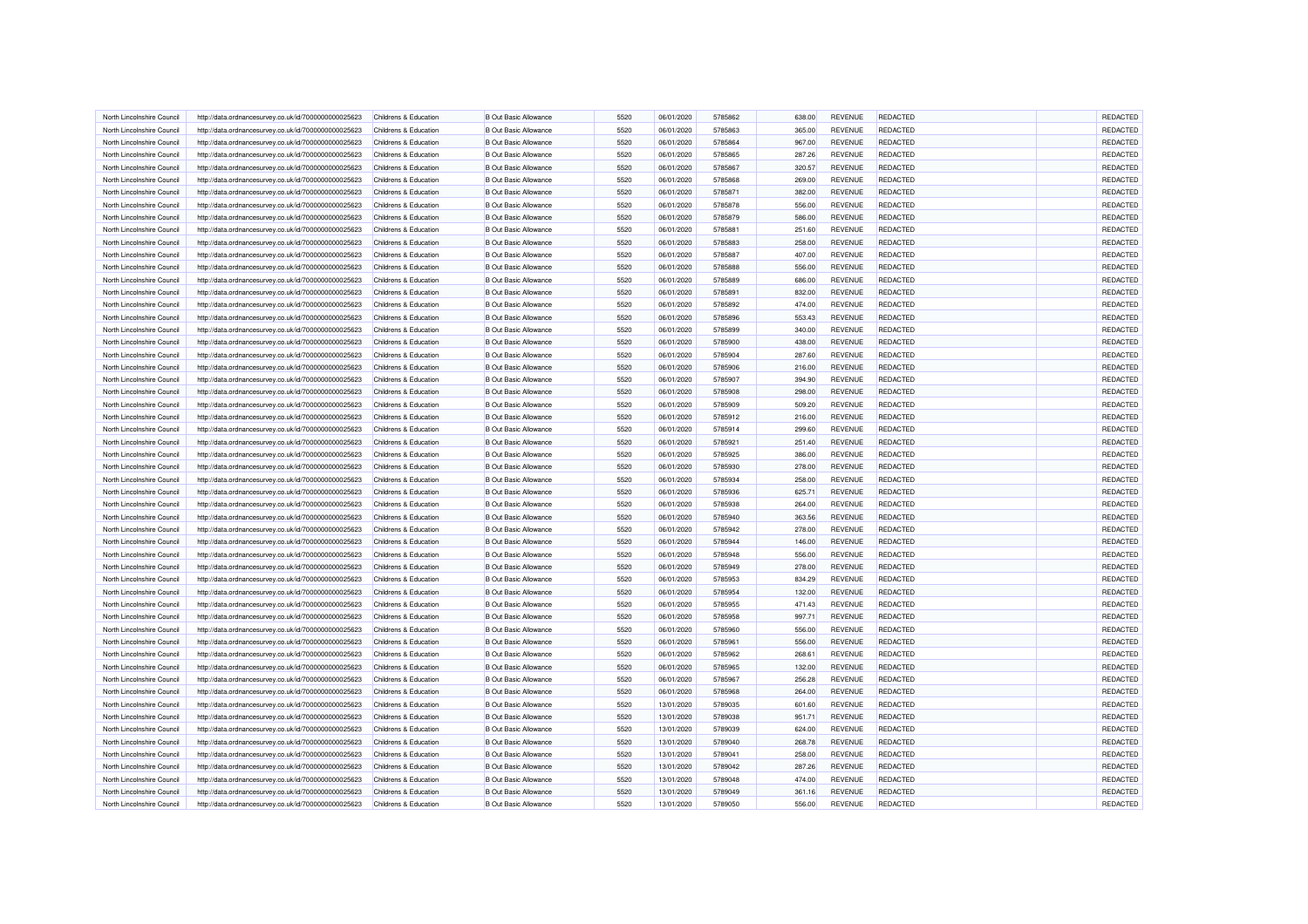| North Lincolnshire Council                               | http://data.ordnancesurvey.co.uk/id/7000000000025623 | Childrens & Education                          | <b>B Out Basic Allowance</b> | 5520 | 06/01/2020 | 5785862 | 638.00           | REVENUE                          | <b>REDACTED</b> | REDACTED        |
|----------------------------------------------------------|------------------------------------------------------|------------------------------------------------|------------------------------|------|------------|---------|------------------|----------------------------------|-----------------|-----------------|
| North Lincolnshire Council                               | http://data.ordnancesurvey.co.uk/id/7000000000025623 | Childrens & Education                          | <b>B Out Basic Allowance</b> | 5520 | 06/01/2020 | 5785863 | 365.00           | <b>REVENUE</b>                   | <b>REDACTED</b> | REDACTED        |
| North Lincolnshire Council                               | http://data.ordnancesurvey.co.uk/id/7000000000025623 | Childrens & Education                          | <b>B</b> Out Basic Allowance | 5520 | 06/01/2020 | 5785864 | 967.00           | <b>REVENUE</b>                   | REDACTED        | REDACTED        |
| North Lincolnshire Council                               | http://data.ordnancesurvey.co.uk/id/7000000000025623 | Childrens & Education                          | <b>B Out Basic Allowance</b> | 5520 | 06/01/2020 | 5785865 | 287.26           | <b>REVENUE</b>                   | <b>REDACTED</b> | REDACTED        |
| North Lincolnshire Council                               | http://data.ordnancesurvey.co.uk/id/7000000000025623 | Childrens & Education                          | <b>B Out Basic Allowance</b> | 5520 | 06/01/2020 | 5785867 | 320.57           | <b>REVENUE</b>                   | <b>REDACTED</b> | REDACTED        |
| North Lincolnshire Council                               | http://data.ordnancesurvey.co.uk/id/7000000000025623 | Childrens & Education                          | <b>B Out Basic Allowance</b> | 5520 | 06/01/2020 | 5785868 | 269.00           | <b>REVENUE</b>                   | REDACTED        | <b>REDACTE</b>  |
| North Lincolnshire Council                               | http://data.ordnancesurvey.co.uk/id/7000000000025623 | Childrens & Education                          | <b>B Out Basic Allowance</b> | 5520 | 06/01/2020 | 5785871 | 382.00           | <b>REVENUE</b>                   | <b>REDACTED</b> | REDACTED        |
| North Lincolnshire Council                               | http://data.ordnancesurvey.co.uk/id/7000000000025623 | Childrens & Education                          | <b>B Out Basic Allowance</b> | 5520 | 06/01/2020 | 5785878 | 556.00           | <b>REVENUE</b>                   | <b>REDACTED</b> | REDACTED        |
| North Lincolnshire Council                               | http://data.ordnancesurvey.co.uk/id/7000000000025623 | Childrens & Education                          | <b>B Out Basic Allowance</b> | 5520 | 06/01/2020 | 5785879 | 586.00           | REVENUE                          | REDACTED        | REDACTED        |
| North Lincolnshire Council                               | http://data.ordnancesurvey.co.uk/id/7000000000025623 | Childrens & Education                          | <b>B Out Basic Allowance</b> | 5520 | 06/01/2020 | 5785881 | 251.60           | <b>REVENUE</b>                   | <b>REDACTED</b> | REDACTED        |
| North Lincolnshire Council                               | http://data.ordnancesurvey.co.uk/id/7000000000025623 | Childrens & Education                          | <b>B Out Basic Allowance</b> | 5520 | 06/01/2020 | 5785883 | 258.00           | <b>REVENUE</b>                   | <b>REDACTED</b> | REDACTED        |
| North Lincolnshire Council                               | http://data.ordnancesurvey.co.uk/id/7000000000025623 | Childrens & Education                          | <b>B Out Basic Allowance</b> | 5520 |            | 5785887 | 407.00           | <b>REVENUE</b>                   | REDACTED        | <b>REDACTED</b> |
|                                                          |                                                      |                                                | <b>B Out Basic Allowance</b> | 5520 | 06/01/2020 | 5785888 |                  |                                  | <b>REDACTED</b> | REDACTED        |
| North Lincolnshire Council<br>North Lincolnshire Council | http://data.ordnancesurvey.co.uk/id/7000000000025623 | Childrens & Education<br>Childrens & Education | <b>B Out Basic Allowance</b> | 5520 | 06/01/2020 | 5785889 | 556.00<br>686.00 | <b>REVENUE</b><br><b>REVENUE</b> | <b>REDACTED</b> |                 |
|                                                          | http://data.ordnancesurvey.co.uk/id/7000000000025623 |                                                |                              |      | 06/01/2020 |         |                  |                                  |                 | REDACTED        |
| North Lincolnshire Council                               | http://data.ordnancesurvey.co.uk/id/7000000000025623 | Childrens & Education                          | <b>B Out Basic Allowance</b> | 5520 | 06/01/2020 | 5785891 | 832.00           | <b>REVENUE</b>                   | REDACTED        | REDACTED        |
| North Lincolnshire Council                               | http://data.ordnancesurvey.co.uk/id/7000000000025623 | Childrens & Education                          | <b>B Out Basic Allowance</b> | 5520 | 06/01/2020 | 5785892 | 474.00           | <b>REVENUE</b>                   | <b>REDACTED</b> | REDACTED        |
| North Lincolnshire Council                               | http://data.ordnancesurvey.co.uk/id/7000000000025623 | Childrens & Education                          | <b>B Out Basic Allowance</b> | 5520 | 06/01/2020 | 5785896 | 553.43           | <b>REVENUE</b>                   | <b>REDACTED</b> | REDACTED        |
| North Lincolnshire Council                               | http://data.ordnancesurvey.co.uk/id/7000000000025623 | Childrens & Education                          | <b>B Out Basic Allowance</b> | 5520 | 06/01/2020 | 5785899 | 340.00           | <b>REVENUE</b>                   | REDACTED        | <b>REDACTED</b> |
| North Lincolnshire Council                               | http://data.ordnancesurvey.co.uk/id/7000000000025623 | Childrens & Education                          | <b>B Out Basic Allowance</b> | 5520 | 06/01/2020 | 5785900 | 438.00           | <b>REVENUE</b>                   | <b>REDACTED</b> | <b>REDACTED</b> |
| North Lincolnshire Council                               | http://data.ordnancesurvey.co.uk/id/7000000000025623 | Childrens & Education                          | <b>B Out Basic Allowance</b> | 5520 | 06/01/2020 | 5785904 | 287.60           | <b>REVENUE</b>                   | <b>REDACTED</b> | REDACTED        |
| North Lincolnshire Council                               | http://data.ordnancesurvey.co.uk/id/7000000000025623 | Childrens & Education                          | <b>B Out Basic Allowance</b> | 5520 | 06/01/2020 | 5785906 | 216.00           | <b>REVENUE</b>                   | REDACTED        | REDACTED        |
| North Lincolnshire Council                               | http://data.ordnancesurvey.co.uk/id/7000000000025623 | Childrens & Education                          | <b>B Out Basic Allowance</b> | 5520 | 06/01/2020 | 5785907 | 394.90           | <b>REVENUE</b>                   | <b>REDACTED</b> | REDACTED        |
| North Lincolnshire Council                               | http://data.ordnancesurvey.co.uk/id/7000000000025623 | Childrens & Education                          | <b>B Out Basic Allowance</b> | 5520 | 06/01/2020 | 5785908 | 298.00           | <b>REVENUE</b>                   | <b>REDACTED</b> | REDACTED        |
| North Lincolnshire Council                               | http://data.ordnancesurvey.co.uk/id/7000000000025623 | Childrens & Education                          | <b>B Out Basic Allowance</b> | 5520 | 06/01/2020 | 5785909 | 509.20           | <b>REVENUE</b>                   | REDACTED        | <b>REDACTED</b> |
| North Lincolnshire Council                               | http://data.ordnancesurvey.co.uk/id/7000000000025623 | Childrens & Education                          | <b>B Out Basic Allowance</b> | 5520 | 06/01/2020 | 5785912 | 216.00           | <b>REVENUE</b>                   | <b>REDACTED</b> | REDACTED        |
| North Lincolnshire Council                               | http://data.ordnancesurvey.co.uk/id/7000000000025623 | Childrens & Education                          | <b>B Out Basic Allowance</b> | 5520 | 06/01/2020 | 5785914 | 299.60           | <b>REVENUE</b>                   | <b>REDACTED</b> | REDACTED        |
| North Lincolnshire Council                               | http://data.ordnancesurvey.co.uk/id/7000000000025623 | Childrens & Education                          | <b>B Out Basic Allowance</b> | 5520 | 06/01/2020 | 5785921 | 251.40           | <b>REVENUE</b>                   | REDACTED        | REDACTED        |
| North Lincolnshire Council                               | http://data.ordnancesurvey.co.uk/id/7000000000025623 | Childrens & Education                          | <b>B Out Basic Allowance</b> | 5520 | 06/01/2020 | 5785925 | 386.00           | <b>REVENUE</b>                   | <b>REDACTED</b> | REDACTED        |
| North Lincolnshire Council                               | http://data.ordnancesurvey.co.uk/id/7000000000025623 | Childrens & Education                          | <b>B Out Basic Allowance</b> | 5520 | 06/01/2020 | 5785930 | 278.00           | <b>REVENUE</b>                   | <b>REDACTED</b> | REDACTED        |
| North Lincolnshire Council                               | http://data.ordnancesurvey.co.uk/id/7000000000025623 | Childrens & Education                          | <b>B Out Basic Allowance</b> | 5520 | 06/01/2020 | 5785934 | 258.00           | <b>REVENUE</b>                   | REDACTED        | REDACTED        |
| North Lincolnshire Council                               | http://data.ordnancesurvey.co.uk/id/7000000000025623 | Childrens & Education                          | <b>B Out Basic Allowance</b> | 5520 | 06/01/2020 | 5785936 | 625.71           | <b>REVENUE</b>                   | <b>REDACTED</b> | REDACTED        |
| North Lincolnshire Council                               | http://data.ordnancesurvey.co.uk/id/7000000000025623 | Childrens & Education                          | <b>B Out Basic Allowance</b> | 5520 | 06/01/2020 | 5785938 | 264.00           | <b>REVENUE</b>                   | <b>REDACTED</b> | REDACTED        |
| North Lincolnshire Council                               | http://data.ordnancesurvey.co.uk/id/7000000000025623 | Childrens & Education                          | <b>B Out Basic Allowance</b> | 5520 | 06/01/2020 | 5785940 | 363.56           | <b>REVENUE</b>                   | REDACTED        | REDACTED        |
| North Lincolnshire Council                               | http://data.ordnancesurvey.co.uk/id/7000000000025623 | Childrens & Education                          | <b>B Out Basic Allowance</b> | 5520 | 06/01/2020 | 5785942 | 278.00           | <b>REVENUE</b>                   | <b>REDACTED</b> | REDACTED        |
| North Lincolnshire Council                               | http://data.ordnancesurvey.co.uk/id/7000000000025623 | Childrens & Education                          | <b>B Out Basic Allowance</b> | 5520 | 06/01/2020 | 5785944 | 146.00           | <b>REVENUE</b>                   | <b>REDACTED</b> | REDACTED        |
| North Lincolnshire Council                               | http://data.ordnancesurvey.co.uk/id/7000000000025623 | Childrens & Education                          | <b>B Out Basic Allowance</b> | 5520 | 06/01/2020 | 5785948 | 556.00           | <b>REVENUE</b>                   | REDACTED        | <b>REDACTED</b> |
| North Lincolnshire Council                               | http://data.ordnancesurvey.co.uk/id/7000000000025623 | Childrens & Education                          | <b>B Out Basic Allowance</b> | 5520 | 06/01/2020 | 5785949 | 278.00           | REVENUE                          | <b>REDACTED</b> | REDACTED        |
| North Lincolnshire Council                               | http://data.ordnancesurvey.co.uk/id/7000000000025623 | Childrens & Education                          | <b>B Out Basic Allowance</b> | 5520 | 06/01/2020 | 5785953 | 834.29           | <b>REVENUE</b>                   | <b>REDACTED</b> | REDACTED        |
| North Lincolnshire Council                               | http://data.ordnancesurvey.co.uk/id/7000000000025623 | Childrens & Education                          | <b>B Out Basic Allowance</b> | 5520 | 06/01/2020 | 5785954 | 132.00           | <b>REVENUE</b>                   | REDACTED        | REDACTED        |
| North Lincolnshire Council                               | http://data.ordnancesurvey.co.uk/id/7000000000025623 | Childrens & Education                          | <b>B Out Basic Allowance</b> | 5520 | 06/01/2020 | 5785955 | 471.43           | <b>REVENUE</b>                   | <b>REDACTED</b> | <b>REDACTED</b> |
| North Lincolnshire Council                               | http://data.ordnancesurvey.co.uk/id/7000000000025623 | Childrens & Education                          | <b>B Out Basic Allowance</b> | 5520 | 06/01/2020 | 5785958 | 997.71           | <b>REVENUE</b>                   | <b>REDACTED</b> | REDACTED        |
| North Lincolnshire Council                               |                                                      |                                                | <b>B Out Basic Allowance</b> | 5520 |            | 5785960 |                  | <b>REVENUE</b>                   | REDACTED        | <b>REDACTED</b> |
|                                                          | http://data.ordnancesurvey.co.uk/id/7000000000025623 | Childrens & Education                          |                              |      | 06/01/2020 |         | 556.00           |                                  |                 |                 |
| North Lincolnshire Council                               | http://data.ordnancesurvey.co.uk/id/7000000000025623 | Childrens & Education                          | <b>B Out Basic Allowance</b> | 5520 | 06/01/2020 | 5785961 | 556.00           | <b>REVENUE</b>                   | REDACTED        | REDACTED        |
| North Lincolnshire Council                               | http://data.ordnancesurvey.co.uk/id/7000000000025623 | Childrens & Education                          | <b>B Out Basic Allowance</b> | 5520 | 06/01/2020 | 5785962 | 268.61           | <b>REVENUE</b>                   | <b>REDACTED</b> | REDACTED        |
| North Lincolnshire Council                               | http://data.ordnancesurvey.co.uk/id/7000000000025623 | Childrens & Education                          | <b>B Out Basic Allowance</b> | 5520 | 06/01/2020 | 5785965 | 132.00           | <b>REVENUE</b>                   | REDACTED        | REDACTED        |
| North Lincolnshire Council                               | http://data.ordnancesurvey.co.uk/id/7000000000025623 | Childrens & Education                          | <b>B Out Basic Allowance</b> | 5520 | 06/01/2020 | 5785967 | 256.28           | REVENUE                          | REDACTED        | REDACTED        |
| North Lincolnshire Council                               | http://data.ordnancesurvey.co.uk/id/7000000000025623 | Childrens & Education                          | <b>B Out Basic Allowance</b> | 5520 | 06/01/2020 | 5785968 | 264.00           | <b>REVENUE</b>                   | <b>REDACTED</b> | REDACTED        |
| North Lincolnshire Council                               | http://data.ordnancesurvey.co.uk/id/7000000000025623 | Childrens & Education                          | <b>B Out Basic Allowance</b> | 5520 | 13/01/2020 | 5789035 | 601.60           | <b>REVENUE</b>                   | REDACTED        | REDACTED        |
| North Lincolnshire Council                               | http://data.ordnancesurvey.co.uk/id/7000000000025623 | Childrens & Education                          | <b>B Out Basic Allowance</b> | 5520 | 13/01/2020 | 5789038 | 951.71           | <b>REVENUE</b>                   | <b>REDACTED</b> | REDACTED        |
| North Lincolnshire Council                               | http://data.ordnancesurvey.co.uk/id/7000000000025623 | Childrens & Education                          | <b>B Out Basic Allowance</b> | 5520 | 13/01/2020 | 5789039 | 624.00           | <b>REVENUE</b>                   | <b>REDACTED</b> | REDACTED        |
| North Lincolnshire Council                               | http://data.ordnancesurvey.co.uk/id/7000000000025623 | Childrens & Education                          | <b>B Out Basic Allowance</b> | 5520 | 13/01/2020 | 5789040 | 268.78           | <b>REVENUE</b>                   | REDACTED        | <b>REDACTED</b> |
| North Lincolnshire Council                               | http://data.ordnancesurvey.co.uk/id/7000000000025623 | Childrens & Education                          | <b>B Out Basic Allowance</b> | 5520 | 13/01/2020 | 5789041 | 258.00           | REVENUE                          | REDACTED        | REDACTED        |
| North Lincolnshire Council                               | http://data.ordnancesurvey.co.uk/id/7000000000025623 | Childrens & Education                          | <b>B Out Basic Allowance</b> | 5520 | 13/01/2020 | 5789042 | 287.26           | <b>REVENUE</b>                   | <b>REDACTED</b> | REDACTED        |
| North Lincolnshire Council                               | http://data.ordnancesurvey.co.uk/id/7000000000025623 | Childrens & Education                          | <b>B Out Basic Allowance</b> | 5520 | 13/01/2020 | 5789048 | 474.00           | <b>REVENUE</b>                   | <b>REDACTED</b> | REDACTED        |
| North Lincolnshire Council                               | http://data.ordnancesurvey.co.uk/id/7000000000025623 | Childrens & Education                          | <b>B Out Basic Allowance</b> | 5520 | 13/01/2020 | 5789049 | 361.16           | <b>REVENUE</b>                   | <b>REDACTED</b> | REDACTED        |
| North Lincolnshire Council                               | http://data.ordnancesurvey.co.uk/id/7000000000025623 | Childrens & Education                          | <b>B Out Basic Allowance</b> | 5520 | 13/01/2020 | 5789050 | 556.00           | <b>REVENUE</b>                   | <b>REDACTED</b> | REDACTED        |
|                                                          |                                                      |                                                |                              |      |            |         |                  |                                  |                 |                 |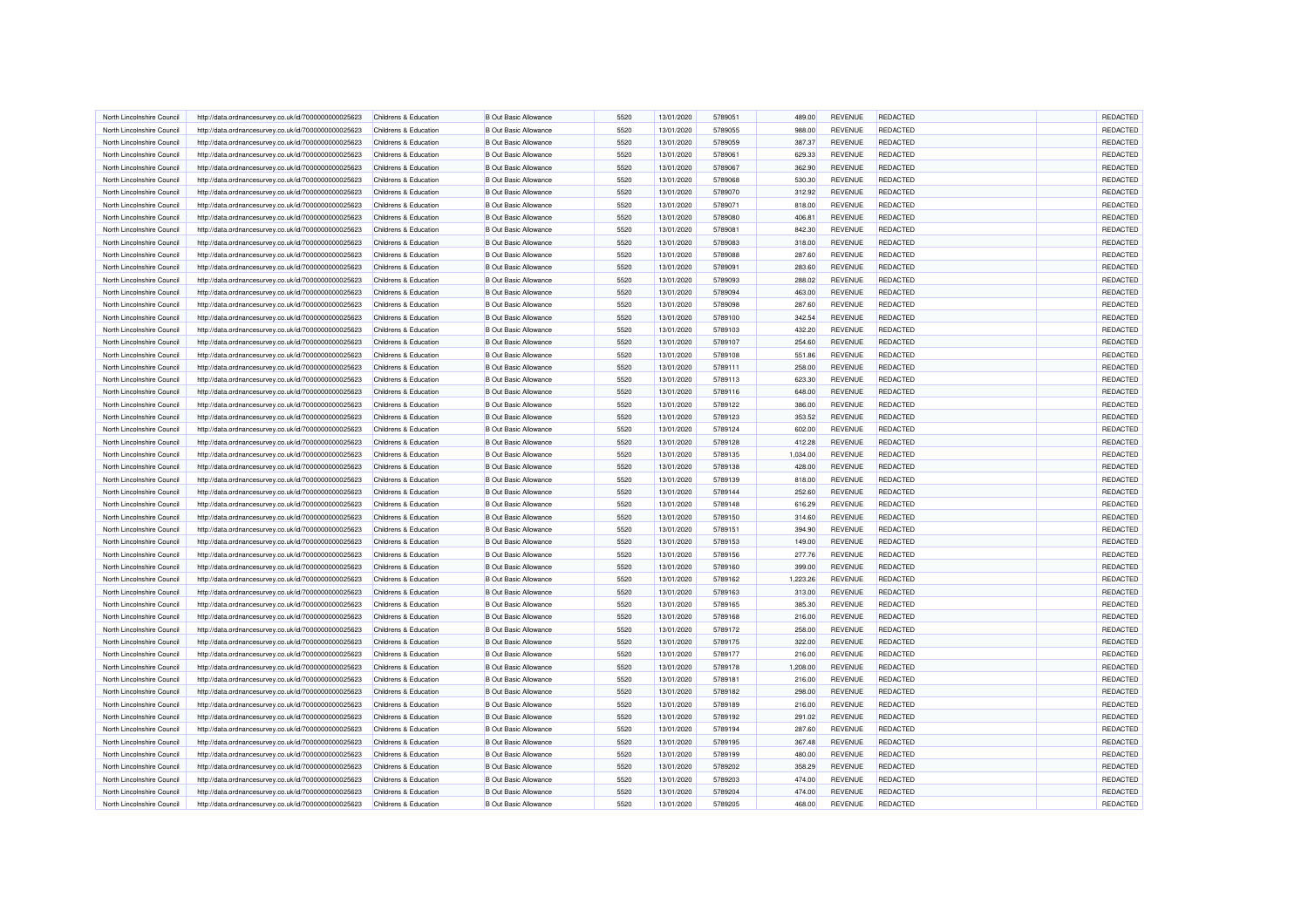| North Lincolnshire Council                               | http://data.ordnancesurvey.co.uk/id/7000000000025623 | Childrens & Education                          | <b>B Out Basic Allowance</b> | 5520         | 13/01/2020 | 5789051 | 489.00           | REVENUE                          | <b>REDACTED</b> | REDACTED        |
|----------------------------------------------------------|------------------------------------------------------|------------------------------------------------|------------------------------|--------------|------------|---------|------------------|----------------------------------|-----------------|-----------------|
| North Lincolnshire Council                               | http://data.ordnancesurvey.co.uk/id/7000000000025623 | Childrens & Education                          | <b>B Out Basic Allowance</b> | 5520         | 13/01/2020 | 5789055 | 988.00           | <b>REVENUE</b>                   | <b>REDACTED</b> | REDACTED        |
| North Lincolnshire Council                               | http://data.ordnancesurvey.co.uk/id/7000000000025623 | Childrens & Education                          | <b>B</b> Out Basic Allowance | 5520         | 13/01/2020 | 5789059 | 387.37           | <b>REVENUE</b>                   | REDACTED        | REDACTED        |
| North Lincolnshire Council                               | http://data.ordnancesurvey.co.uk/id/7000000000025623 | Childrens & Education                          | <b>B Out Basic Allowance</b> | 5520         | 13/01/2020 | 5789061 | 629.33           | <b>REVENUE</b>                   | <b>REDACTED</b> | REDACTED        |
| North Lincolnshire Council                               | http://data.ordnancesurvey.co.uk/id/7000000000025623 | Childrens & Education                          | <b>B Out Basic Allowance</b> | 5520         | 13/01/2020 | 5789067 | 362.90           | <b>REVENUE</b>                   | <b>REDACTED</b> | REDACTED        |
| North Lincolnshire Council                               | http://data.ordnancesurvey.co.uk/id/7000000000025623 | Childrens & Education                          | <b>B Out Basic Allowance</b> | 5520         | 13/01/2020 | 5789068 | 530.30           | <b>REVENUE</b>                   | REDACTED        | <b>REDACTED</b> |
| North Lincolnshire Council                               | http://data.ordnancesurvey.co.uk/id/7000000000025623 | Childrens & Education                          | <b>B Out Basic Allowance</b> | 5520         | 13/01/2020 | 5789070 | 312.92           | <b>REVENUE</b>                   | <b>REDACTED</b> | REDACTED        |
| North Lincolnshire Council                               | http://data.ordnancesurvey.co.uk/id/7000000000025623 | Childrens & Education                          | <b>B Out Basic Allowance</b> | 5520         | 13/01/2020 | 5789071 | 818.00           | <b>REVENUE</b>                   | <b>REDACTED</b> | REDACTED        |
| North Lincolnshire Council                               | http://data.ordnancesurvey.co.uk/id/7000000000025623 | Childrens & Education                          | <b>B Out Basic Allowance</b> | 5520         | 13/01/2020 | 5789080 | 406.81           | REVENUE                          | REDACTED        | REDACTED        |
| North Lincolnshire Council                               | http://data.ordnancesurvey.co.uk/id/7000000000025623 | Childrens & Education                          | <b>B Out Basic Allowance</b> | 5520         | 13/01/2020 | 5789081 | 842.30           | <b>REVENUE</b>                   | <b>REDACTED</b> | REDACTED        |
| North Lincolnshire Council                               | http://data.ordnancesurvey.co.uk/id/7000000000025623 | Childrens & Education                          | <b>B Out Basic Allowance</b> | 5520         | 13/01/2020 | 5789083 | 318.00           | <b>REVENUE</b>                   | <b>REDACTED</b> | REDACTED        |
| North Lincolnshire Council                               | http://data.ordnancesurvey.co.uk/id/7000000000025623 | Childrens & Education                          | <b>B Out Basic Allowance</b> | 5520         |            | 5789088 |                  | <b>REVENUE</b>                   | REDACTED        | <b>REDACTED</b> |
|                                                          |                                                      |                                                | <b>B Out Basic Allowance</b> | 5520         | 13/01/2020 | 5789091 | 287.60           |                                  | <b>REDACTED</b> | REDACTED        |
| North Lincolnshire Council<br>North Lincolnshire Council | http://data.ordnancesurvey.co.uk/id/7000000000025623 | Childrens & Education<br>Childrens & Education | <b>B Out Basic Allowance</b> | 5520         | 13/01/2020 | 5789093 | 283.60<br>288.02 | <b>REVENUE</b><br><b>REVENUE</b> | <b>REDACTED</b> |                 |
|                                                          | http://data.ordnancesurvey.co.uk/id/7000000000025623 |                                                |                              |              | 13/01/2020 |         |                  |                                  |                 | REDACTED        |
| North Lincolnshire Council                               | http://data.ordnancesurvey.co.uk/id/7000000000025623 | Childrens & Education                          | <b>B Out Basic Allowance</b> | 5520         | 13/01/2020 | 5789094 | 463.00           | <b>REVENUE</b>                   | REDACTED        | REDACTED        |
| North Lincolnshire Council                               | http://data.ordnancesurvey.co.uk/id/7000000000025623 | Childrens & Education                          | <b>B Out Basic Allowance</b> | 5520         | 13/01/2020 | 5789098 | 287.60           | <b>REVENUE</b>                   | <b>REDACTED</b> | REDACTED        |
| North Lincolnshire Council                               | http://data.ordnancesurvey.co.uk/id/7000000000025623 | Childrens & Education                          | <b>B Out Basic Allowance</b> | 5520         | 13/01/2020 | 5789100 | 342.54           | <b>REVENUE</b>                   | <b>REDACTED</b> | REDACTED        |
| North Lincolnshire Council                               | http://data.ordnancesurvey.co.uk/id/7000000000025623 | Childrens & Education                          | <b>B Out Basic Allowance</b> | 5520         | 13/01/2020 | 5789103 | 432.20           | <b>REVENUE</b>                   | REDACTED        | <b>REDACTED</b> |
| North Lincolnshire Council                               | http://data.ordnancesurvey.co.uk/id/7000000000025623 | Childrens & Education                          | <b>B Out Basic Allowance</b> | 5520         | 13/01/2020 | 5789107 | 254.60           | <b>REVENUE</b>                   | <b>REDACTED</b> | <b>REDACTED</b> |
| North Lincolnshire Council                               | http://data.ordnancesurvey.co.uk/id/7000000000025623 | Childrens & Education                          | <b>B Out Basic Allowance</b> | 5520         | 13/01/2020 | 5789108 | 551.86           | <b>REVENUE</b>                   | <b>REDACTED</b> | REDACTED        |
| North Lincolnshire Council                               | http://data.ordnancesurvey.co.uk/id/7000000000025623 | Childrens & Education                          | <b>B Out Basic Allowance</b> | 5520         | 13/01/2020 | 5789111 | 258.00           | <b>REVENUE</b>                   | REDACTED        | REDACTED        |
| North Lincolnshire Council                               | http://data.ordnancesurvey.co.uk/id/7000000000025623 | Childrens & Education                          | <b>B Out Basic Allowance</b> | 5520         | 13/01/2020 | 5789113 | 623.30           | <b>REVENUE</b>                   | <b>REDACTED</b> | REDACTED        |
| North Lincolnshire Council                               | http://data.ordnancesurvey.co.uk/id/7000000000025623 | Childrens & Education                          | <b>B Out Basic Allowance</b> | 5520         | 13/01/2020 | 5789116 | 648.00           | <b>REVENUE</b>                   | <b>REDACTED</b> | REDACTED        |
| North Lincolnshire Council                               | http://data.ordnancesurvey.co.uk/id/7000000000025623 | Childrens & Education                          | <b>B Out Basic Allowance</b> | 5520         | 13/01/2020 | 5789122 | 386.00           | <b>REVENUE</b>                   | REDACTED        | <b>REDACTED</b> |
| North Lincolnshire Council                               | http://data.ordnancesurvey.co.uk/id/7000000000025623 | Childrens & Education                          | <b>B Out Basic Allowance</b> | 5520         | 13/01/2020 | 5789123 | 353.52           | <b>REVENUE</b>                   | <b>REDACTED</b> | REDACTED        |
| North Lincolnshire Council                               | http://data.ordnancesurvey.co.uk/id/7000000000025623 | Childrens & Education                          | <b>B Out Basic Allowance</b> | 5520         | 13/01/2020 | 5789124 | 602.00           | <b>REVENUE</b>                   | <b>REDACTED</b> | REDACTED        |
| North Lincolnshire Council                               | http://data.ordnancesurvey.co.uk/id/7000000000025623 | Childrens & Education                          | <b>B Out Basic Allowance</b> | 5520         | 13/01/2020 | 5789128 | 412.28           | <b>REVENUE</b>                   | REDACTED        | REDACTED        |
| North Lincolnshire Council                               | http://data.ordnancesurvey.co.uk/id/7000000000025623 | Childrens & Education                          | <b>B Out Basic Allowance</b> | 5520         | 13/01/2020 | 5789135 | 1,034.00         | <b>REVENUE</b>                   | <b>REDACTED</b> | REDACTED        |
| North Lincolnshire Council                               | http://data.ordnancesurvey.co.uk/id/7000000000025623 | Childrens & Education                          | <b>B Out Basic Allowance</b> | 5520         | 13/01/2020 | 5789138 | 428.00           | <b>REVENUE</b>                   | <b>REDACTED</b> | REDACTED        |
| North Lincolnshire Council                               | http://data.ordnancesurvey.co.uk/id/7000000000025623 | Childrens & Education                          | <b>B Out Basic Allowance</b> | 5520         | 13/01/2020 | 5789139 | 818.00           | <b>REVENUE</b>                   | REDACTED        | REDACTED        |
| North Lincolnshire Council                               | http://data.ordnancesurvey.co.uk/id/7000000000025623 | Childrens & Education                          | <b>B Out Basic Allowance</b> | 5520         | 13/01/2020 | 5789144 | 252.60           | <b>REVENUE</b>                   | <b>REDACTED</b> | REDACTED        |
| North Lincolnshire Council                               | http://data.ordnancesurvey.co.uk/id/7000000000025623 | Childrens & Education                          | <b>B Out Basic Allowance</b> | 5520         | 13/01/2020 | 5789148 | 616.29           | <b>REVENUE</b>                   | <b>REDACTED</b> | REDACTED        |
| North Lincolnshire Council                               | http://data.ordnancesurvey.co.uk/id/7000000000025623 | Childrens & Education                          | <b>B Out Basic Allowance</b> | 5520         | 13/01/2020 | 5789150 | 314.60           | <b>REVENUE</b>                   | REDACTED        | REDACTED        |
| North Lincolnshire Council                               | http://data.ordnancesurvey.co.uk/id/7000000000025623 | Childrens & Education                          | <b>B Out Basic Allowance</b> | 5520         | 13/01/2020 | 5789151 | 394.90           | <b>REVENUE</b>                   | <b>REDACTED</b> | REDACTED        |
| North Lincolnshire Council                               | http://data.ordnancesurvey.co.uk/id/7000000000025623 | Childrens & Education                          | <b>B Out Basic Allowance</b> | 5520         | 13/01/2020 | 5789153 | 149.00           | <b>REVENUE</b>                   | <b>REDACTED</b> | REDACTED        |
| North Lincolnshire Council                               | http://data.ordnancesurvey.co.uk/id/7000000000025623 | Childrens & Education                          | <b>B Out Basic Allowance</b> | 5520         | 13/01/2020 | 5789156 | 277.76           | <b>REVENUE</b>                   | REDACTED        | <b>REDACTED</b> |
|                                                          |                                                      |                                                |                              | 5520         |            | 5789160 |                  | REVENUE                          | <b>REDACTED</b> | REDACTED        |
| North Lincolnshire Council                               | http://data.ordnancesurvey.co.uk/id/7000000000025623 | Childrens & Education                          | <b>B Out Basic Allowance</b> |              | 13/01/2020 |         | 399.00           |                                  |                 |                 |
| North Lincolnshire Council<br>North Lincolnshire Council | http://data.ordnancesurvey.co.uk/id/7000000000025623 | Childrens & Education                          | <b>B Out Basic Allowance</b> | 5520<br>5520 | 13/01/2020 | 5789162 | 1,223.26         | <b>REVENUE</b>                   | <b>REDACTED</b> | REDACTED        |
|                                                          | http://data.ordnancesurvey.co.uk/id/7000000000025623 | Childrens & Education                          | <b>B Out Basic Allowance</b> |              | 13/01/2020 | 5789163 | 313.00           | <b>REVENUE</b>                   | REDACTED        | REDACTED        |
| North Lincolnshire Council                               | http://data.ordnancesurvey.co.uk/id/7000000000025623 | Childrens & Education                          | <b>B Out Basic Allowance</b> | 5520         | 13/01/2020 | 5789165 | 385.30           | <b>REVENUE</b>                   | <b>REDACTED</b> | <b>REDACTED</b> |
| North Lincolnshire Council                               | http://data.ordnancesurvey.co.uk/id/7000000000025623 | Childrens & Education                          | <b>B Out Basic Allowance</b> | 5520         | 13/01/2020 | 5789168 | 216.00           | <b>REVENUE</b>                   | <b>REDACTED</b> | REDACTED        |
| North Lincolnshire Council                               | http://data.ordnancesurvey.co.uk/id/7000000000025623 | Childrens & Education                          | <b>B Out Basic Allowance</b> | 5520         | 13/01/2020 | 5789172 | 258.00           | <b>REVENUE</b>                   | REDACTED        | <b>REDACTED</b> |
| North Lincolnshire Council                               | http://data.ordnancesurvey.co.uk/id/7000000000025623 | Childrens & Education                          | <b>B</b> Out Basic Allowance | 5520         | 13/01/2020 | 5789175 | 322.00           | <b>REVENUE</b>                   | REDACTED        | REDACTED        |
| North Lincolnshire Council                               | http://data.ordnancesurvey.co.uk/id/7000000000025623 | Childrens & Education                          | <b>B Out Basic Allowance</b> | 5520         | 13/01/2020 | 5789177 | 216.00           | <b>REVENUE</b>                   | <b>REDACTED</b> | REDACTED        |
| North Lincolnshire Council                               | http://data.ordnancesurvey.co.uk/id/7000000000025623 | Childrens & Education                          | <b>B Out Basic Allowance</b> | 5520         | 13/01/2020 | 5789178 | 1,208.00         | <b>REVENUE</b>                   | REDACTED        | REDACTED        |
| North Lincolnshire Council                               | http://data.ordnancesurvey.co.uk/id/7000000000025623 | Childrens & Education                          | <b>B Out Basic Allowance</b> | 5520         | 13/01/2020 | 5789181 | 216.00           | REVENUE                          | REDACTED        | REDACTED        |
| North Lincolnshire Council                               | http://data.ordnancesurvey.co.uk/id/7000000000025623 | Childrens & Education                          | <b>B Out Basic Allowance</b> | 5520         | 13/01/2020 | 5789182 | 298.00           | <b>REVENUE</b>                   | <b>REDACTED</b> | REDACTED        |
| North Lincolnshire Council                               | http://data.ordnancesurvey.co.uk/id/7000000000025623 | Childrens & Education                          | <b>B Out Basic Allowance</b> | 5520         | 13/01/2020 | 5789189 | 216.00           | <b>REVENUE</b>                   | REDACTED        | REDACTED        |
| North Lincolnshire Council                               | http://data.ordnancesurvey.co.uk/id/7000000000025623 | Childrens & Education                          | <b>B Out Basic Allowance</b> | 5520         | 13/01/2020 | 5789192 | 291.02           | <b>REVENUE</b>                   | <b>REDACTED</b> | REDACTED        |
| North Lincolnshire Council                               | http://data.ordnancesurvey.co.uk/id/7000000000025623 | Childrens & Education                          | <b>B Out Basic Allowance</b> | 5520         | 13/01/2020 | 5789194 | 287.60           | <b>REVENUE</b>                   | <b>REDACTED</b> | REDACTED        |
| North Lincolnshire Council                               | http://data.ordnancesurvey.co.uk/id/7000000000025623 | Childrens & Education                          | <b>B Out Basic Allowance</b> | 5520         | 13/01/2020 | 5789195 | 367.48           | <b>REVENUE</b>                   | REDACTED        | <b>REDACTED</b> |
| North Lincolnshire Council                               | http://data.ordnancesurvey.co.uk/id/7000000000025623 | Childrens & Education                          | <b>B Out Basic Allowance</b> | 5520         | 13/01/2020 | 5789199 | 480.00           | REVENUE                          | REDACTED        | REDACTED        |
| North Lincolnshire Council                               | http://data.ordnancesurvey.co.uk/id/7000000000025623 | Childrens & Education                          | <b>B Out Basic Allowance</b> | 5520         | 13/01/2020 | 5789202 | 358.29           | <b>REVENUE</b>                   | <b>REDACTED</b> | REDACTED        |
| North Lincolnshire Council                               | http://data.ordnancesurvey.co.uk/id/7000000000025623 | Childrens & Education                          | <b>B Out Basic Allowance</b> | 5520         | 13/01/2020 | 5789203 | 474.00           | <b>REVENUE</b>                   | REDACTED        | REDACTED        |
| North Lincolnshire Council                               | http://data.ordnancesurvey.co.uk/id/7000000000025623 | Childrens & Education                          | <b>B Out Basic Allowance</b> | 5520         | 13/01/2020 | 5789204 | 474.00           | <b>REVENUE</b>                   | <b>REDACTED</b> | REDACTED        |
| North Lincolnshire Council                               | http://data.ordnancesurvey.co.uk/id/7000000000025623 | Childrens & Education                          | <b>B Out Basic Allowance</b> | 5520         | 13/01/2020 | 5789205 | 468.00           | <b>REVENUE</b>                   | <b>REDACTED</b> | REDACTED        |
|                                                          |                                                      |                                                |                              |              |            |         |                  |                                  |                 |                 |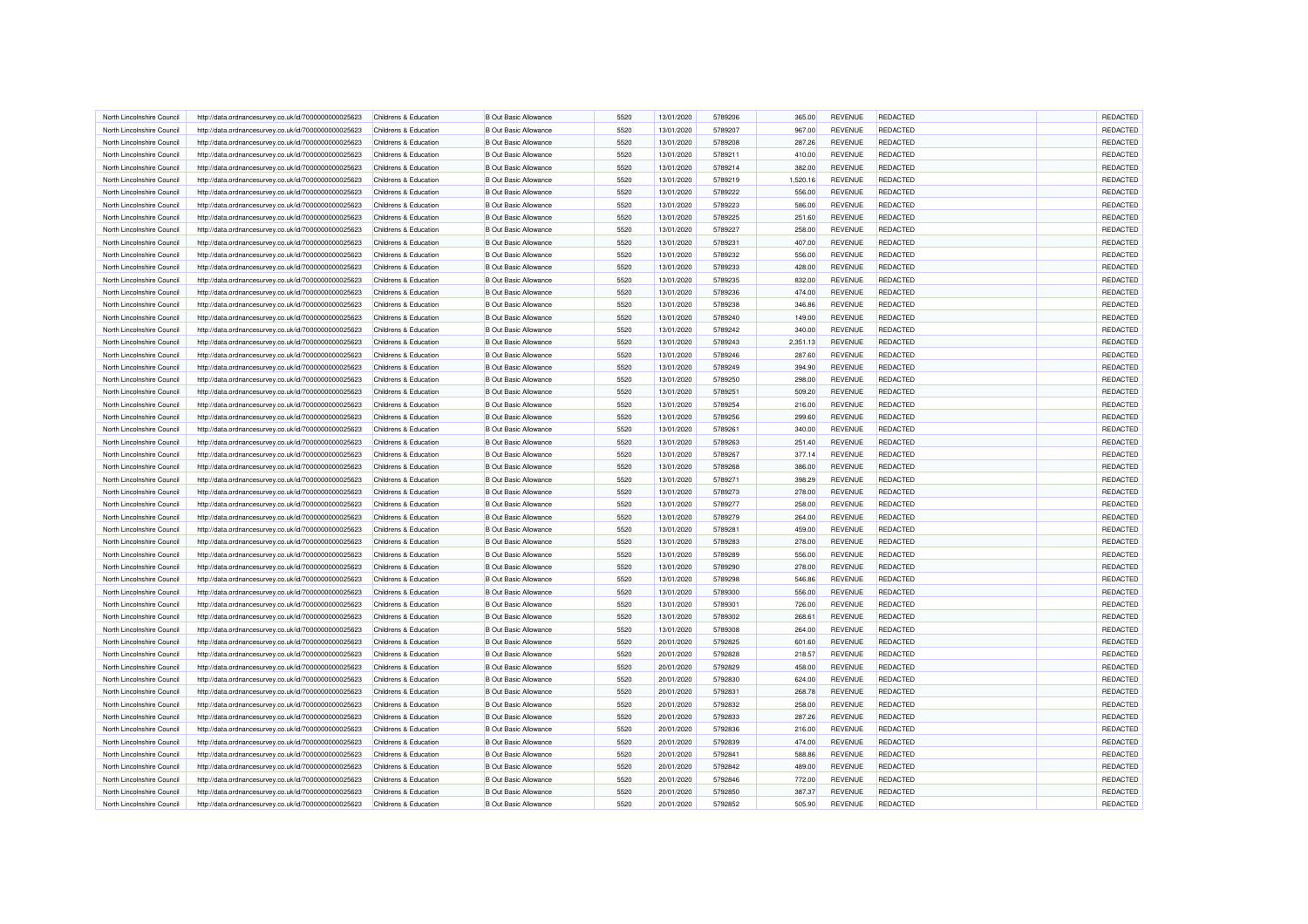| North Lincolnshire Council                               | http://data.ordnancesurvey.co.uk/id/7000000000025623 | Childrens & Education                          | <b>B Out Basic Allowance</b> | 5520 | 13/01/2020 | 5789206 | 365.00           | REVENUE                          | <b>REDACTED</b> | REDACTED        |
|----------------------------------------------------------|------------------------------------------------------|------------------------------------------------|------------------------------|------|------------|---------|------------------|----------------------------------|-----------------|-----------------|
| North Lincolnshire Council                               | http://data.ordnancesurvey.co.uk/id/7000000000025623 | Childrens & Education                          | <b>B Out Basic Allowance</b> | 5520 | 13/01/2020 | 5789207 | 967.00           | <b>REVENUE</b>                   | <b>REDACTED</b> | REDACTED        |
| North Lincolnshire Council                               | http://data.ordnancesurvey.co.uk/id/7000000000025623 | Childrens & Education                          | <b>B</b> Out Basic Allowance | 5520 | 13/01/2020 | 5789208 | 287.26           | <b>REVENUE</b>                   | REDACTED        | REDACTED        |
| North Lincolnshire Council                               | http://data.ordnancesurvey.co.uk/id/7000000000025623 | Childrens & Education                          | <b>B Out Basic Allowance</b> | 5520 | 13/01/2020 | 5789211 | 410.00           | <b>REVENUE</b>                   | <b>REDACTED</b> | REDACTED        |
| North Lincolnshire Council                               | http://data.ordnancesurvey.co.uk/id/7000000000025623 | Childrens & Education                          | <b>B Out Basic Allowance</b> | 5520 | 13/01/2020 | 5789214 | 382.00           | <b>REVENUE</b>                   | <b>REDACTED</b> | REDACTED        |
| North Lincolnshire Council                               | http://data.ordnancesurvey.co.uk/id/7000000000025623 | Childrens & Education                          | <b>B Out Basic Allowance</b> | 5520 | 13/01/2020 | 5789219 | 1,520.16         | <b>REVENUE</b>                   | REDACTED        | <b>REDACTE</b>  |
| North Lincolnshire Council                               | http://data.ordnancesurvey.co.uk/id/7000000000025623 | Childrens & Education                          | <b>B Out Basic Allowance</b> | 5520 | 13/01/2020 | 5789222 | 556.00           | <b>REVENUE</b>                   | <b>REDACTED</b> | REDACTED        |
| North Lincolnshire Council                               | http://data.ordnancesurvey.co.uk/id/7000000000025623 | Childrens & Education                          | <b>B Out Basic Allowance</b> | 5520 | 13/01/2020 | 5789223 | 586.00           | <b>REVENUE</b>                   | <b>REDACTED</b> | REDACTED        |
| North Lincolnshire Council                               | http://data.ordnancesurvey.co.uk/id/7000000000025623 | Childrens & Education                          | <b>B Out Basic Allowance</b> | 5520 | 13/01/2020 | 5789225 | 251.60           | REVENUE                          | REDACTED        | REDACTED        |
| North Lincolnshire Council                               | http://data.ordnancesurvey.co.uk/id/7000000000025623 | Childrens & Education                          | <b>B Out Basic Allowance</b> | 5520 | 13/01/2020 | 5789227 | 258.00           | <b>REVENUE</b>                   | <b>REDACTED</b> | REDACTED        |
| North Lincolnshire Council                               | http://data.ordnancesurvey.co.uk/id/7000000000025623 | Childrens & Education                          | <b>B Out Basic Allowance</b> | 5520 | 13/01/2020 | 5789231 | 407.00           | <b>REVENUE</b>                   | <b>REDACTED</b> | REDACTED        |
| North Lincolnshire Council                               | http://data.ordnancesurvey.co.uk/id/7000000000025623 | Childrens & Education                          | <b>B Out Basic Allowance</b> | 5520 |            | 5789232 |                  | <b>REVENUE</b>                   | REDACTED        | <b>REDACTED</b> |
|                                                          |                                                      |                                                | <b>B Out Basic Allowance</b> | 5520 | 13/01/2020 | 5789233 | 556.00           |                                  | <b>REDACTED</b> | REDACTED        |
| North Lincolnshire Council<br>North Lincolnshire Council | http://data.ordnancesurvey.co.uk/id/7000000000025623 | Childrens & Education<br>Childrens & Education | <b>B Out Basic Allowance</b> | 5520 | 13/01/2020 | 5789235 | 428.00<br>832.00 | <b>REVENUE</b><br><b>REVENUE</b> | <b>REDACTED</b> |                 |
|                                                          | http://data.ordnancesurvey.co.uk/id/7000000000025623 |                                                |                              |      | 13/01/2020 |         |                  |                                  |                 | REDACTED        |
| North Lincolnshire Council                               | http://data.ordnancesurvey.co.uk/id/7000000000025623 | Childrens & Education                          | <b>B Out Basic Allowance</b> | 5520 | 13/01/2020 | 5789236 | 474.00           | <b>REVENUE</b>                   | REDACTED        | REDACTED        |
| North Lincolnshire Council                               | http://data.ordnancesurvey.co.uk/id/7000000000025623 | Childrens & Education                          | <b>B Out Basic Allowance</b> | 5520 | 13/01/2020 | 5789238 | 346.86           | <b>REVENUE</b>                   | <b>REDACTED</b> | REDACTED        |
| North Lincolnshire Council                               | http://data.ordnancesurvey.co.uk/id/7000000000025623 | Childrens & Education                          | <b>B Out Basic Allowance</b> | 5520 | 13/01/2020 | 5789240 | 149.00           | <b>REVENUE</b>                   | <b>REDACTED</b> | REDACTED        |
| North Lincolnshire Council                               | http://data.ordnancesurvey.co.uk/id/7000000000025623 | Childrens & Education                          | <b>B Out Basic Allowance</b> | 5520 | 13/01/2020 | 5789242 | 340.00           | <b>REVENUE</b>                   | REDACTED        | <b>REDACTED</b> |
| North Lincolnshire Council                               | http://data.ordnancesurvey.co.uk/id/7000000000025623 | Childrens & Education                          | <b>B Out Basic Allowance</b> | 5520 | 13/01/2020 | 5789243 | 2,351.13         | <b>REVENUE</b>                   | <b>REDACTED</b> | <b>REDACTED</b> |
| North Lincolnshire Council                               | http://data.ordnancesurvey.co.uk/id/7000000000025623 | Childrens & Education                          | <b>B Out Basic Allowance</b> | 5520 | 13/01/2020 | 5789246 | 287.60           | <b>REVENUE</b>                   | <b>REDACTED</b> | REDACTED        |
| North Lincolnshire Council                               | http://data.ordnancesurvey.co.uk/id/7000000000025623 | Childrens & Education                          | <b>B Out Basic Allowance</b> | 5520 | 13/01/2020 | 5789249 | 394.90           | <b>REVENUE</b>                   | REDACTED        | REDACTED        |
| North Lincolnshire Council                               | http://data.ordnancesurvey.co.uk/id/7000000000025623 | Childrens & Education                          | <b>B Out Basic Allowance</b> | 5520 | 13/01/2020 | 5789250 | 298.00           | <b>REVENUE</b>                   | <b>REDACTED</b> | REDACTED        |
| North Lincolnshire Council                               | http://data.ordnancesurvey.co.uk/id/7000000000025623 | Childrens & Education                          | <b>B Out Basic Allowance</b> | 5520 | 13/01/2020 | 5789251 | 509.20           | <b>REVENUE</b>                   | <b>REDACTED</b> | REDACTED        |
| North Lincolnshire Council                               | http://data.ordnancesurvey.co.uk/id/7000000000025623 | Childrens & Education                          | <b>B Out Basic Allowance</b> | 5520 | 13/01/2020 | 5789254 | 216.00           | <b>REVENUE</b>                   | REDACTED        | <b>REDACTED</b> |
| North Lincolnshire Council                               | http://data.ordnancesurvey.co.uk/id/7000000000025623 | Childrens & Education                          | <b>B Out Basic Allowance</b> | 5520 | 13/01/2020 | 5789256 | 299.60           | <b>REVENUE</b>                   | <b>REDACTED</b> | REDACTED        |
| North Lincolnshire Council                               | http://data.ordnancesurvey.co.uk/id/7000000000025623 | Childrens & Education                          | <b>B Out Basic Allowance</b> | 5520 | 13/01/2020 | 5789261 | 340.00           | <b>REVENUE</b>                   | <b>REDACTED</b> | REDACTED        |
| North Lincolnshire Council                               | http://data.ordnancesurvey.co.uk/id/7000000000025623 | Childrens & Education                          | <b>B Out Basic Allowance</b> | 5520 | 13/01/2020 | 5789263 | 251.40           | <b>REVENUE</b>                   | REDACTED        | REDACTED        |
| North Lincolnshire Council                               | http://data.ordnancesurvey.co.uk/id/7000000000025623 | Childrens & Education                          | <b>B Out Basic Allowance</b> | 5520 | 13/01/2020 | 5789267 | 377.14           | <b>REVENUE</b>                   | <b>REDACTED</b> | REDACTED        |
| North Lincolnshire Council                               | http://data.ordnancesurvey.co.uk/id/7000000000025623 | Childrens & Education                          | <b>B Out Basic Allowance</b> | 5520 | 13/01/2020 | 5789268 | 386.00           | <b>REVENUE</b>                   | <b>REDACTED</b> | REDACTED        |
| North Lincolnshire Council                               | http://data.ordnancesurvey.co.uk/id/7000000000025623 | Childrens & Education                          | <b>B Out Basic Allowance</b> | 5520 | 13/01/2020 | 5789271 | 398.29           | <b>REVENUE</b>                   | REDACTED        | REDACTED        |
| North Lincolnshire Council                               | http://data.ordnancesurvey.co.uk/id/7000000000025623 | Childrens & Education                          | <b>B Out Basic Allowance</b> | 5520 | 13/01/2020 | 5789273 | 278.00           | <b>REVENUE</b>                   | <b>REDACTED</b> | REDACTED        |
| North Lincolnshire Council                               | http://data.ordnancesurvey.co.uk/id/7000000000025623 | Childrens & Education                          | <b>B Out Basic Allowance</b> | 5520 | 13/01/2020 | 5789277 | 258.00           | <b>REVENUE</b>                   | <b>REDACTED</b> | REDACTED        |
| North Lincolnshire Council                               | http://data.ordnancesurvey.co.uk/id/7000000000025623 | Childrens & Education                          | <b>B Out Basic Allowance</b> | 5520 | 13/01/2020 | 5789279 | 264.00           | <b>REVENUE</b>                   | REDACTED        | REDACTED        |
| North Lincolnshire Council                               | http://data.ordnancesurvey.co.uk/id/7000000000025623 | Childrens & Education                          | <b>B Out Basic Allowance</b> | 5520 | 13/01/2020 | 5789281 | 459.00           | <b>REVENUE</b>                   | <b>REDACTED</b> | REDACTED        |
| North Lincolnshire Council                               | http://data.ordnancesurvey.co.uk/id/7000000000025623 | Childrens & Education                          | <b>B Out Basic Allowance</b> | 5520 | 13/01/2020 | 5789283 | 278.00           | <b>REVENUE</b>                   | <b>REDACTED</b> | REDACTED        |
| North Lincolnshire Council                               | http://data.ordnancesurvey.co.uk/id/7000000000025623 | Childrens & Education                          | <b>B Out Basic Allowance</b> | 5520 | 13/01/2020 | 5789289 | 556.00           | <b>REVENUE</b>                   | REDACTED        | <b>REDACTED</b> |
| North Lincolnshire Council                               | http://data.ordnancesurvey.co.uk/id/7000000000025623 | Childrens & Education                          | <b>B Out Basic Allowance</b> | 5520 | 13/01/2020 | 5789290 | 278.00           | REVENUE                          | <b>REDACTED</b> | REDACTED        |
| North Lincolnshire Council                               | http://data.ordnancesurvey.co.uk/id/7000000000025623 | Childrens & Education                          | <b>B Out Basic Allowance</b> | 5520 | 13/01/2020 | 5789298 | 546.86           | <b>REVENUE</b>                   | <b>REDACTED</b> | REDACTED        |
| North Lincolnshire Council                               | http://data.ordnancesurvey.co.uk/id/7000000000025623 | Childrens & Education                          | <b>B Out Basic Allowance</b> | 5520 | 13/01/2020 | 5789300 | 556.00           | <b>REVENUE</b>                   | REDACTED        | REDACTED        |
| North Lincolnshire Council                               | http://data.ordnancesurvey.co.uk/id/7000000000025623 | Childrens & Education                          | <b>B Out Basic Allowance</b> | 5520 | 13/01/2020 | 5789301 | 726.00           | <b>REVENUE</b>                   | <b>REDACTED</b> | <b>REDACTED</b> |
| North Lincolnshire Council                               | http://data.ordnancesurvey.co.uk/id/7000000000025623 | Childrens & Education                          | <b>B Out Basic Allowance</b> | 5520 | 13/01/2020 | 5789302 | 268.61           | <b>REVENUE</b>                   | <b>REDACTED</b> | REDACTED        |
| North Lincolnshire Council                               |                                                      |                                                | <b>B Out Basic Allowance</b> | 5520 |            | 5789308 |                  | <b>REVENUE</b>                   | REDACTED        | <b>REDACTED</b> |
|                                                          | http://data.ordnancesurvey.co.uk/id/7000000000025623 | Childrens & Education                          |                              |      | 13/01/2020 |         | 264.00           |                                  |                 |                 |
| North Lincolnshire Council                               | http://data.ordnancesurvey.co.uk/id/7000000000025623 | Childrens & Education                          | <b>B</b> Out Basic Allowance | 5520 | 20/01/2020 | 5792825 | 601.60           | <b>REVENUE</b>                   | <b>REDACTED</b> | REDACTED        |
| North Lincolnshire Council                               | http://data.ordnancesurvey.co.uk/id/7000000000025623 | Childrens & Education                          | <b>B Out Basic Allowance</b> | 5520 | 20/01/2020 | 5792828 | 218.57           | <b>REVENUE</b>                   | <b>REDACTED</b> | REDACTED        |
| North Lincolnshire Council                               | http://data.ordnancesurvey.co.uk/id/7000000000025623 | Childrens & Education                          | <b>B Out Basic Allowance</b> | 5520 | 20/01/2020 | 5792829 | 458.00           | <b>REVENUE</b>                   | REDACTED        | REDACTED        |
| North Lincolnshire Council                               | http://data.ordnancesurvey.co.uk/id/7000000000025623 | Childrens & Education                          | <b>B Out Basic Allowance</b> | 5520 | 20/01/2020 | 5792830 | 624.00           | REVENUE                          | REDACTED        | REDACTED        |
| North Lincolnshire Council                               | http://data.ordnancesurvey.co.uk/id/7000000000025623 | Childrens & Education                          | <b>B Out Basic Allowance</b> | 5520 | 20/01/2020 | 5792831 | 268.78           | <b>REVENUE</b>                   | <b>REDACTED</b> | REDACTED        |
| North Lincolnshire Council                               | http://data.ordnancesurvey.co.uk/id/7000000000025623 | Childrens & Education                          | <b>B Out Basic Allowance</b> | 5520 | 20/01/2020 | 5792832 | 258.00           | <b>REVENUE</b>                   | REDACTED        | REDACTED        |
| North Lincolnshire Council                               | http://data.ordnancesurvey.co.uk/id/7000000000025623 | Childrens & Education                          | <b>B Out Basic Allowance</b> | 5520 | 20/01/2020 | 5792833 | 287.26           | <b>REVENUE</b>                   | <b>REDACTED</b> | REDACTED        |
| North Lincolnshire Council                               | http://data.ordnancesurvey.co.uk/id/7000000000025623 | Childrens & Education                          | <b>B Out Basic Allowance</b> | 5520 | 20/01/2020 | 5792836 | 216.00           | <b>REVENUE</b>                   | <b>REDACTED</b> | REDACTED        |
| North Lincolnshire Council                               | http://data.ordnancesurvey.co.uk/id/7000000000025623 | Childrens & Education                          | <b>B Out Basic Allowance</b> | 5520 | 20/01/2020 | 5792839 | 474.00           | <b>REVENUE</b>                   | REDACTED        | <b>REDACTED</b> |
| North Lincolnshire Council                               | http://data.ordnancesurvey.co.uk/id/7000000000025623 | Childrens & Education                          | <b>B Out Basic Allowance</b> | 5520 | 20/01/2020 | 5792841 | 588.86           | REVENUE                          | REDACTED        | REDACTED        |
| North Lincolnshire Council                               | http://data.ordnancesurvey.co.uk/id/7000000000025623 | Childrens & Education                          | <b>B Out Basic Allowance</b> | 5520 | 20/01/2020 | 5792842 | 489.00           | <b>REVENUE</b>                   | <b>REDACTED</b> | REDACTED        |
| North Lincolnshire Council                               | http://data.ordnancesurvey.co.uk/id/7000000000025623 | Childrens & Education                          | <b>B Out Basic Allowance</b> | 5520 | 20/01/2020 | 5792846 | 772.00           | <b>REVENUE</b>                   | <b>REDACTED</b> | REDACTED        |
| North Lincolnshire Council                               | http://data.ordnancesurvey.co.uk/id/7000000000025623 | Childrens & Education                          | <b>B Out Basic Allowance</b> | 5520 | 20/01/2020 | 5792850 | 387.37           | <b>REVENUE</b>                   | <b>REDACTED</b> | REDACTED        |
| North Lincolnshire Council                               | http://data.ordnancesurvey.co.uk/id/7000000000025623 | Childrens & Education                          | <b>B Out Basic Allowance</b> | 5520 | 20/01/2020 | 5792852 | 505.90           | <b>REVENUE</b>                   | <b>REDACTED</b> | REDACTED        |
|                                                          |                                                      |                                                |                              |      |            |         |                  |                                  |                 |                 |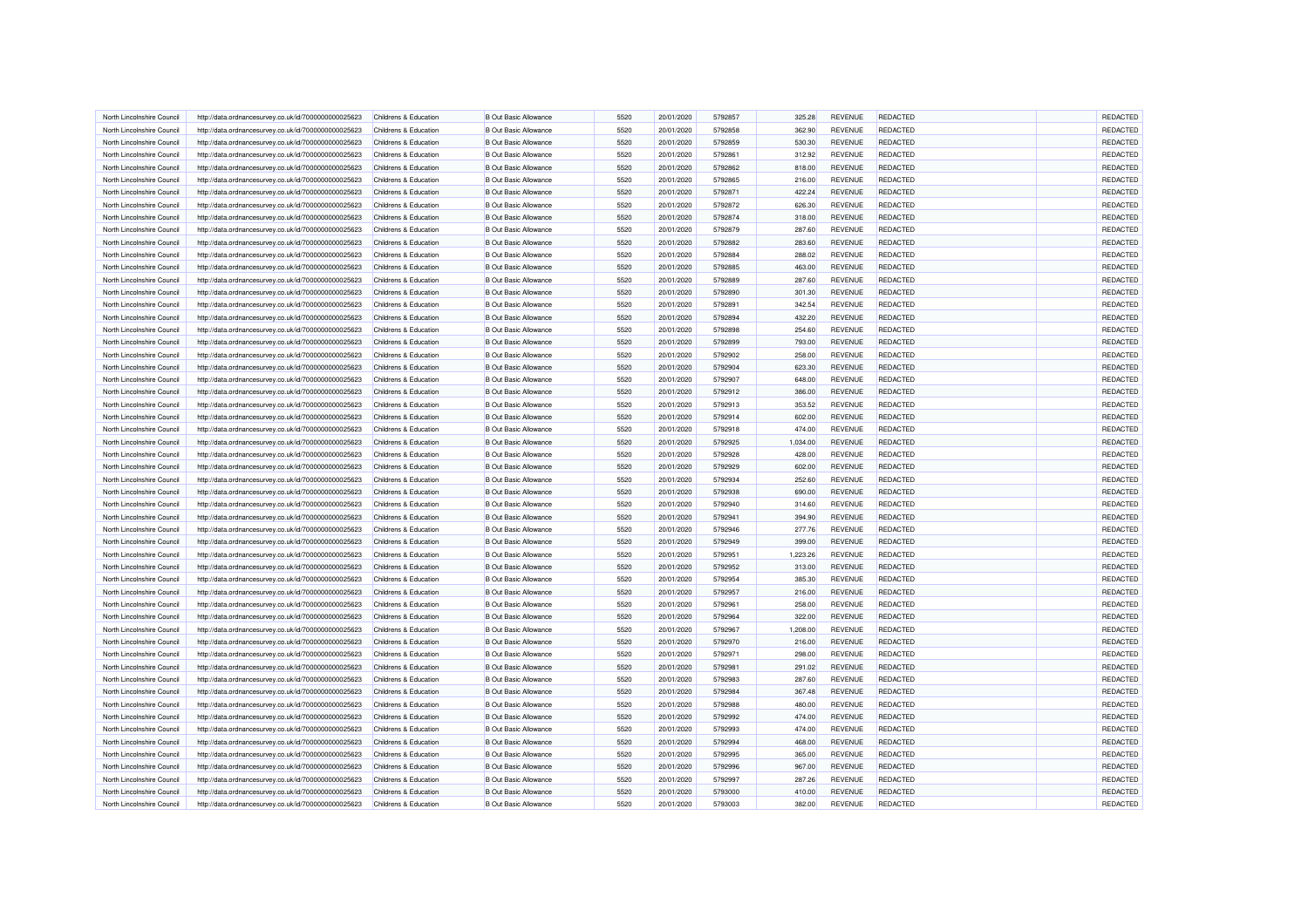| North Lincolnshire Council                               | http://data.ordnancesurvey.co.uk/id/7000000000025623 | Childrens & Education                          | <b>B Out Basic Allowance</b> | 5520 | 20/01/2020 | 5792857 | 325.28           | REVENUE                          | <b>REDACTED</b> | REDACTED        |
|----------------------------------------------------------|------------------------------------------------------|------------------------------------------------|------------------------------|------|------------|---------|------------------|----------------------------------|-----------------|-----------------|
| North Lincolnshire Council                               | http://data.ordnancesurvey.co.uk/id/7000000000025623 | Childrens & Education                          | <b>B Out Basic Allowance</b> | 5520 | 20/01/2020 | 5792858 | 362.90           | <b>REVENUE</b>                   | <b>REDACTED</b> | REDACTED        |
| North Lincolnshire Council                               | http://data.ordnancesurvey.co.uk/id/7000000000025623 | Childrens & Education                          | <b>B</b> Out Basic Allowance | 5520 | 20/01/2020 | 5792859 | 530.30           | <b>REVENUE</b>                   | REDACTED        | REDACTED        |
| North Lincolnshire Council                               | http://data.ordnancesurvey.co.uk/id/7000000000025623 | Childrens & Education                          | <b>B Out Basic Allowance</b> | 5520 | 20/01/2020 | 5792861 | 312.92           | <b>REVENUE</b>                   | <b>REDACTED</b> | REDACTED        |
| North Lincolnshire Council                               | http://data.ordnancesurvey.co.uk/id/7000000000025623 | Childrens & Education                          | <b>B Out Basic Allowance</b> | 5520 | 20/01/2020 | 5792862 | 818.00           | <b>REVENUE</b>                   | <b>REDACTED</b> | REDACTED        |
| North Lincolnshire Council                               | http://data.ordnancesurvey.co.uk/id/7000000000025623 | Childrens & Education                          | <b>B Out Basic Allowance</b> | 5520 | 20/01/2020 | 5792865 | 216.00           | <b>REVENUE</b>                   | REDACTED        | <b>REDACTE</b>  |
| North Lincolnshire Council                               | http://data.ordnancesurvey.co.uk/id/7000000000025623 | Childrens & Education                          | <b>B Out Basic Allowance</b> | 5520 | 20/01/2020 | 5792871 | 422.24           | REVENUE                          | <b>REDACTED</b> | REDACTED        |
| North Lincolnshire Council                               | http://data.ordnancesurvey.co.uk/id/7000000000025623 | Childrens & Education                          | <b>B Out Basic Allowance</b> | 5520 | 20/01/2020 | 5792872 | 626.30           | <b>REVENUE</b>                   | <b>REDACTED</b> | REDACTED        |
| North Lincolnshire Council                               | http://data.ordnancesurvey.co.uk/id/7000000000025623 | Childrens & Education                          | <b>B Out Basic Allowance</b> | 5520 | 20/01/2020 | 5792874 | 318.00           | REVENUE                          | REDACTED        | REDACTED        |
| North Lincolnshire Council                               | http://data.ordnancesurvey.co.uk/id/7000000000025623 | Childrens & Education                          | <b>B Out Basic Allowance</b> | 5520 | 20/01/2020 | 5792879 | 287.60           | <b>REVENUE</b>                   | <b>REDACTED</b> | REDACTED        |
| North Lincolnshire Council                               | http://data.ordnancesurvey.co.uk/id/7000000000025623 | Childrens & Education                          | <b>B Out Basic Allowance</b> | 5520 | 20/01/2020 | 5792882 | 283.60           | <b>REVENUE</b>                   | <b>REDACTED</b> | REDACTED        |
| North Lincolnshire Council                               | http://data.ordnancesurvey.co.uk/id/7000000000025623 | Childrens & Education                          | <b>B Out Basic Allowance</b> | 5520 |            | 5792884 |                  | <b>REVENUE</b>                   | REDACTED        | <b>REDACTED</b> |
|                                                          |                                                      |                                                | <b>B Out Basic Allowance</b> | 5520 | 20/01/2020 | 5792885 | 288.02           |                                  | <b>REDACTED</b> | REDACTED        |
| North Lincolnshire Council<br>North Lincolnshire Council | http://data.ordnancesurvey.co.uk/id/7000000000025623 | Childrens & Education<br>Childrens & Education | <b>B Out Basic Allowance</b> | 5520 | 20/01/2020 | 5792889 | 463.00<br>287.60 | <b>REVENUE</b><br><b>REVENUE</b> | <b>REDACTED</b> |                 |
|                                                          | http://data.ordnancesurvey.co.uk/id/7000000000025623 |                                                |                              |      | 20/01/2020 |         |                  |                                  |                 | REDACTED        |
| North Lincolnshire Council                               | http://data.ordnancesurvey.co.uk/id/7000000000025623 | Childrens & Education                          | <b>B Out Basic Allowance</b> | 5520 | 20/01/2020 | 5792890 | 301.30           | <b>REVENUE</b>                   | REDACTED        | REDACTED        |
| North Lincolnshire Council                               | http://data.ordnancesurvey.co.uk/id/7000000000025623 | Childrens & Education                          | <b>B Out Basic Allowance</b> | 5520 | 20/01/2020 | 5792891 | 342.54           | <b>REVENUE</b>                   | <b>REDACTED</b> | REDACTED        |
| North Lincolnshire Council                               | http://data.ordnancesurvey.co.uk/id/7000000000025623 | Childrens & Education                          | <b>B Out Basic Allowance</b> | 5520 | 20/01/2020 | 5792894 | 432.20           | <b>REVENUE</b>                   | <b>REDACTED</b> | REDACTED        |
| North Lincolnshire Council                               | http://data.ordnancesurvey.co.uk/id/7000000000025623 | Childrens & Education                          | <b>B Out Basic Allowance</b> | 5520 | 20/01/2020 | 5792898 | 254.60           | <b>REVENUE</b>                   | REDACTED        | <b>REDACTED</b> |
| North Lincolnshire Council                               | http://data.ordnancesurvey.co.uk/id/7000000000025623 | Childrens & Education                          | <b>B Out Basic Allowance</b> | 5520 | 20/01/2020 | 5792899 | 793.00           | <b>REVENUE</b>                   | <b>REDACTED</b> | <b>REDACTED</b> |
| North Lincolnshire Council                               | http://data.ordnancesurvey.co.uk/id/7000000000025623 | Childrens & Education                          | <b>B Out Basic Allowance</b> | 5520 | 20/01/2020 | 5792902 | 258.00           | <b>REVENUE</b>                   | <b>REDACTED</b> | REDACTED        |
| North Lincolnshire Council                               | http://data.ordnancesurvey.co.uk/id/7000000000025623 | Childrens & Education                          | <b>B Out Basic Allowance</b> | 5520 | 20/01/2020 | 5792904 | 623.30           | <b>REVENUE</b>                   | REDACTED        | <b>REDACTED</b> |
| North Lincolnshire Council                               | http://data.ordnancesurvey.co.uk/id/7000000000025623 | Childrens & Education                          | <b>B Out Basic Allowance</b> | 5520 | 20/01/2020 | 5792907 | 648.00           | <b>REVENUE</b>                   | <b>REDACTED</b> | REDACTED        |
| North Lincolnshire Council                               | http://data.ordnancesurvey.co.uk/id/7000000000025623 | Childrens & Education                          | <b>B Out Basic Allowance</b> | 5520 | 20/01/2020 | 5792912 | 386.00           | <b>REVENUE</b>                   | <b>REDACTED</b> | REDACTED        |
| North Lincolnshire Council                               | http://data.ordnancesurvey.co.uk/id/7000000000025623 | Childrens & Education                          | <b>B Out Basic Allowance</b> | 5520 | 20/01/2020 | 5792913 | 353.52           | <b>REVENUE</b>                   | REDACTED        | <b>REDACTED</b> |
| North Lincolnshire Council                               | http://data.ordnancesurvey.co.uk/id/7000000000025623 | Childrens & Education                          | <b>B Out Basic Allowance</b> | 5520 | 20/01/2020 | 5792914 | 602.00           | <b>REVENUE</b>                   | <b>REDACTED</b> | REDACTED        |
| North Lincolnshire Council                               | http://data.ordnancesurvey.co.uk/id/7000000000025623 | Childrens & Education                          | <b>B Out Basic Allowance</b> | 5520 | 20/01/2020 | 5792918 | 474.00           | <b>REVENUE</b>                   | <b>REDACTED</b> | REDACTED        |
| North Lincolnshire Council                               | http://data.ordnancesurvey.co.uk/id/7000000000025623 | Childrens & Education                          | <b>B Out Basic Allowance</b> | 5520 | 20/01/2020 | 5792925 | 1,034.00         | <b>REVENUE</b>                   | REDACTED        | REDACTED        |
| North Lincolnshire Council                               | http://data.ordnancesurvey.co.uk/id/7000000000025623 | Childrens & Education                          | <b>B Out Basic Allowance</b> | 5520 | 20/01/2020 | 5792928 | 428.00           | <b>REVENUE</b>                   | <b>REDACTED</b> | REDACTED        |
| North Lincolnshire Council                               | http://data.ordnancesurvey.co.uk/id/7000000000025623 | Childrens & Education                          | <b>B Out Basic Allowance</b> | 5520 | 20/01/2020 | 5792929 | 602.00           | <b>REVENUE</b>                   | <b>REDACTED</b> | REDACTED        |
| North Lincolnshire Council                               | http://data.ordnancesurvey.co.uk/id/7000000000025623 | Childrens & Education                          | <b>B Out Basic Allowance</b> | 5520 | 20/01/2020 | 5792934 | 252.60           | <b>REVENUE</b>                   | REDACTED        | REDACTED        |
| North Lincolnshire Council                               | http://data.ordnancesurvey.co.uk/id/7000000000025623 | Childrens & Education                          | <b>B Out Basic Allowance</b> | 5520 | 20/01/2020 | 5792938 | 690.00           | <b>REVENUE</b>                   | <b>REDACTED</b> | REDACTED        |
| North Lincolnshire Council                               | http://data.ordnancesurvey.co.uk/id/7000000000025623 | Childrens & Education                          | <b>B Out Basic Allowance</b> | 5520 | 20/01/2020 | 5792940 | 314.60           | <b>REVENUE</b>                   | <b>REDACTED</b> | REDACTED        |
| North Lincolnshire Council                               | http://data.ordnancesurvey.co.uk/id/7000000000025623 | Childrens & Education                          | <b>B Out Basic Allowance</b> | 5520 | 20/01/2020 | 5792941 | 394.90           | <b>REVENUE</b>                   | REDACTED        | REDACTED        |
| North Lincolnshire Council                               | http://data.ordnancesurvey.co.uk/id/7000000000025623 | Childrens & Education                          | <b>B Out Basic Allowance</b> | 5520 | 20/01/2020 | 5792946 | 277.76           | <b>REVENUE</b>                   | <b>REDACTED</b> | REDACTED        |
| North Lincolnshire Council                               | http://data.ordnancesurvey.co.uk/id/7000000000025623 | Childrens & Education                          | <b>B Out Basic Allowance</b> | 5520 | 20/01/2020 | 5792949 | 399.00           | <b>REVENUE</b>                   | <b>REDACTED</b> | REDACTED        |
| North Lincolnshire Council                               | http://data.ordnancesurvey.co.uk/id/7000000000025623 | Childrens & Education                          | <b>B Out Basic Allowance</b> | 5520 | 20/01/2020 | 5792951 | 1,223.26         | <b>REVENUE</b>                   | REDACTED        | <b>REDACTED</b> |
| North Lincolnshire Council                               | http://data.ordnancesurvey.co.uk/id/7000000000025623 | Childrens & Education                          | <b>B Out Basic Allowance</b> | 5520 | 20/01/2020 | 5792952 | 313.00           | REVENUE                          | <b>REDACTED</b> | REDACTED        |
| North Lincolnshire Council                               | http://data.ordnancesurvey.co.uk/id/7000000000025623 | Childrens & Education                          | <b>B Out Basic Allowance</b> | 5520 | 20/01/2020 | 5792954 | 385.30           | <b>REVENUE</b>                   | <b>REDACTED</b> | REDACTED        |
| North Lincolnshire Council                               | http://data.ordnancesurvey.co.uk/id/7000000000025623 | Childrens & Education                          | <b>B Out Basic Allowance</b> | 5520 | 20/01/2020 | 5792957 | 216.00           | <b>REVENUE</b>                   | REDACTED        | REDACTED        |
| North Lincolnshire Council                               | http://data.ordnancesurvey.co.uk/id/7000000000025623 | Childrens & Education                          | <b>B Out Basic Allowance</b> | 5520 | 20/01/2020 | 5792961 | 258.00           | <b>REVENUE</b>                   | <b>REDACTED</b> | <b>REDACTED</b> |
| North Lincolnshire Council                               | http://data.ordnancesurvey.co.uk/id/7000000000025623 | Childrens & Education                          | <b>B Out Basic Allowance</b> | 5520 | 20/01/2020 | 5792964 | 322.00           | <b>REVENUE</b>                   | <b>REDACTED</b> | REDACTED        |
| North Lincolnshire Council                               |                                                      |                                                | <b>B Out Basic Allowance</b> | 5520 |            | 5792967 |                  | <b>REVENUE</b>                   | REDACTED        | <b>REDACTED</b> |
|                                                          | http://data.ordnancesurvey.co.uk/id/7000000000025623 | Childrens & Education                          |                              |      | 20/01/2020 |         | 1,208.00         |                                  |                 |                 |
| North Lincolnshire Council                               | http://data.ordnancesurvey.co.uk/id/7000000000025623 | Childrens & Education                          | <b>B</b> Out Basic Allowance | 5520 | 20/01/2020 | 5792970 | 216.00           | <b>REVENUE</b>                   | <b>REDACTED</b> | REDACTED        |
| North Lincolnshire Council                               | http://data.ordnancesurvey.co.uk/id/7000000000025623 | Childrens & Education                          | <b>B Out Basic Allowance</b> | 5520 | 20/01/2020 | 5792971 | 298.00           | <b>REVENUE</b>                   | <b>REDACTED</b> | REDACTED        |
| North Lincolnshire Council                               | http://data.ordnancesurvey.co.uk/id/7000000000025623 | Childrens & Education                          | <b>B Out Basic Allowance</b> | 5520 | 20/01/2020 | 5792981 | 291.02           | <b>REVENUE</b>                   | REDACTED        | REDACTED        |
| North Lincolnshire Council                               | http://data.ordnancesurvey.co.uk/id/7000000000025623 | Childrens & Education                          | <b>B Out Basic Allowance</b> | 5520 | 20/01/2020 | 5792983 | 287.60           | REVENUE                          | REDACTED        | REDACTED        |
| North Lincolnshire Council                               | http://data.ordnancesurvey.co.uk/id/7000000000025623 | Childrens & Education                          | <b>B Out Basic Allowance</b> | 5520 | 20/01/2020 | 5792984 | 367.48           | <b>REVENUE</b>                   | <b>REDACTED</b> | REDACTED        |
| North Lincolnshire Council                               | http://data.ordnancesurvey.co.uk/id/7000000000025623 | Childrens & Education                          | <b>B Out Basic Allowance</b> | 5520 | 20/01/2020 | 5792988 | 480.00           | <b>REVENUE</b>                   | REDACTED        | REDACTED        |
| North Lincolnshire Council                               | http://data.ordnancesurvey.co.uk/id/7000000000025623 | Childrens & Education                          | <b>B Out Basic Allowance</b> | 5520 | 20/01/2020 | 5792992 | 474.00           | <b>REVENUE</b>                   | <b>REDACTED</b> | REDACTED        |
| North Lincolnshire Council                               | http://data.ordnancesurvey.co.uk/id/7000000000025623 | Childrens & Education                          | <b>B Out Basic Allowance</b> | 5520 | 20/01/2020 | 5792993 | 474.00           | <b>REVENUE</b>                   | <b>REDACTED</b> | REDACTED        |
| North Lincolnshire Council                               | http://data.ordnancesurvey.co.uk/id/7000000000025623 | Childrens & Education                          | <b>B Out Basic Allowance</b> | 5520 | 20/01/2020 | 5792994 | 468.00           | <b>REVENUE</b>                   | REDACTED        | <b>REDACTED</b> |
| North Lincolnshire Council                               | http://data.ordnancesurvey.co.uk/id/7000000000025623 | Childrens & Education                          | <b>B Out Basic Allowance</b> | 5520 | 20/01/2020 | 5792995 | 365.00           | <b>REVENUE</b>                   | REDACTED        | REDACTED        |
| North Lincolnshire Council                               | http://data.ordnancesurvey.co.uk/id/7000000000025623 | Childrens & Education                          | <b>B Out Basic Allowance</b> | 5520 | 20/01/2020 | 5792996 | 967.00           | <b>REVENUE</b>                   | <b>REDACTED</b> | REDACTED        |
| North Lincolnshire Council                               | http://data.ordnancesurvey.co.uk/id/7000000000025623 | Childrens & Education                          | <b>B Out Basic Allowance</b> | 5520 | 20/01/2020 | 5792997 | 287.26           | <b>REVENUE</b>                   | REDACTED        | REDACTED        |
| North Lincolnshire Council                               | http://data.ordnancesurvey.co.uk/id/7000000000025623 | Childrens & Education                          | <b>B Out Basic Allowance</b> | 5520 | 20/01/2020 | 5793000 | 410.00           | <b>REVENUE</b>                   | <b>REDACTED</b> | REDACTED        |
| North Lincolnshire Council                               | http://data.ordnancesurvey.co.uk/id/7000000000025623 | Childrens & Education                          | <b>B Out Basic Allowance</b> | 5520 | 20/01/2020 | 5793003 | 382.00           | <b>REVENUE</b>                   | <b>REDACTED</b> | REDACTED        |
|                                                          |                                                      |                                                |                              |      |            |         |                  |                                  |                 |                 |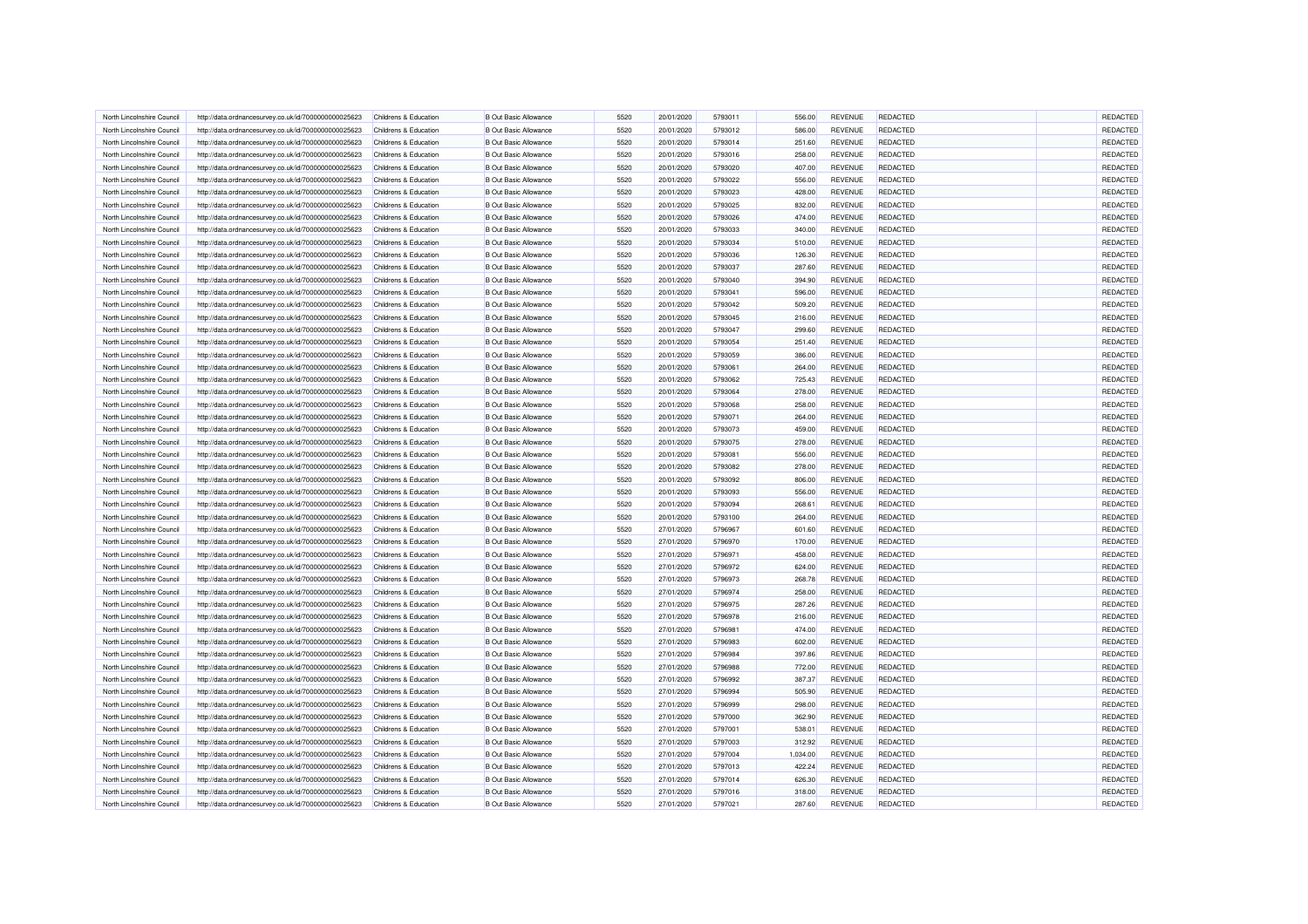| North Lincolnshire Council | http://data.ordnancesurvey.co.uk/id/7000000000025623 | Childrens & Education | <b>B Out Basic Allowance</b> | 5520 | 20/01/2020 | 5793011 | 556.00   | REVENUE        | <b>REDACTED</b> | REDACTED        |
|----------------------------|------------------------------------------------------|-----------------------|------------------------------|------|------------|---------|----------|----------------|-----------------|-----------------|
| North Lincolnshire Council | http://data.ordnancesurvey.co.uk/id/7000000000025623 | Childrens & Education | <b>B Out Basic Allowance</b> | 5520 | 20/01/2020 | 5793012 | 586.00   | <b>REVENUE</b> | <b>REDACTED</b> | REDACTED        |
| North Lincolnshire Council | http://data.ordnancesurvey.co.uk/id/7000000000025623 | Childrens & Education | <b>B</b> Out Basic Allowance | 5520 | 20/01/2020 | 5793014 | 251.60   | <b>REVENUE</b> | REDACTED        | REDACTED        |
| North Lincolnshire Council | http://data.ordnancesurvey.co.uk/id/7000000000025623 | Childrens & Education | <b>B Out Basic Allowance</b> | 5520 | 20/01/2020 | 5793016 | 258.00   | <b>REVENUE</b> | <b>REDACTED</b> | REDACTED        |
| North Lincolnshire Council | http://data.ordnancesurvey.co.uk/id/7000000000025623 | Childrens & Education | <b>B Out Basic Allowance</b> | 5520 | 20/01/2020 | 5793020 | 407.00   | <b>REVENUE</b> | <b>REDACTED</b> | REDACTED        |
| North Lincolnshire Council | http://data.ordnancesurvey.co.uk/id/7000000000025623 | Childrens & Education | <b>B Out Basic Allowance</b> | 5520 | 20/01/2020 | 5793022 | 556.00   | <b>REVENUE</b> | REDACTED        | <b>REDACTE</b>  |
| North Lincolnshire Council | http://data.ordnancesurvey.co.uk/id/7000000000025623 | Childrens & Education | <b>B Out Basic Allowance</b> | 5520 | 20/01/2020 | 5793023 | 428.00   | <b>REVENUE</b> | <b>REDACTED</b> | REDACTED        |
| North Lincolnshire Council | http://data.ordnancesurvey.co.uk/id/7000000000025623 | Childrens & Education | <b>B Out Basic Allowance</b> | 5520 | 20/01/2020 | 5793025 | 832.00   | <b>REVENUE</b> | <b>REDACTED</b> | REDACTED        |
| North Lincolnshire Council | http://data.ordnancesurvey.co.uk/id/7000000000025623 | Childrens & Education | <b>B Out Basic Allowance</b> | 5520 | 20/01/2020 | 5793026 | 474.00   | REVENUE        | REDACTED        | REDACTED        |
| North Lincolnshire Council | http://data.ordnancesurvey.co.uk/id/7000000000025623 | Childrens & Education | <b>B Out Basic Allowance</b> | 5520 | 20/01/2020 | 5793033 | 340.00   | <b>REVENUE</b> | <b>REDACTED</b> | REDACTED        |
|                            |                                                      |                       |                              |      |            |         |          |                |                 |                 |
| North Lincolnshire Council | http://data.ordnancesurvey.co.uk/id/7000000000025623 | Childrens & Education | <b>B Out Basic Allowance</b> | 5520 | 20/01/2020 | 5793034 | 510.00   | <b>REVENUE</b> | <b>REDACTED</b> | REDACTED        |
| North Lincolnshire Council | http://data.ordnancesurvey.co.uk/id/7000000000025623 | Childrens & Education | <b>B Out Basic Allowance</b> | 5520 | 20/01/2020 | 5793036 | 126.30   | <b>REVENUE</b> | REDACTED        | <b>REDACTED</b> |
| North Lincolnshire Council | http://data.ordnancesurvey.co.uk/id/7000000000025623 | Childrens & Education | <b>B Out Basic Allowance</b> | 5520 | 20/01/2020 | 5793037 | 287.60   | <b>REVENUE</b> | <b>REDACTED</b> | REDACTED        |
| North Lincolnshire Council | http://data.ordnancesurvey.co.uk/id/7000000000025623 | Childrens & Education | <b>B Out Basic Allowance</b> | 5520 | 20/01/2020 | 5793040 | 394.90   | <b>REVENUE</b> | <b>REDACTED</b> | REDACTED        |
| North Lincolnshire Council | http://data.ordnancesurvey.co.uk/id/7000000000025623 | Childrens & Education | <b>B Out Basic Allowance</b> | 5520 | 20/01/2020 | 5793041 | 596.00   | <b>REVENUE</b> | REDACTED        | REDACTED        |
| North Lincolnshire Council | http://data.ordnancesurvey.co.uk/id/7000000000025623 | Childrens & Education | <b>B Out Basic Allowance</b> | 5520 | 20/01/2020 | 5793042 | 509.20   | <b>REVENUE</b> | <b>REDACTED</b> | REDACTED        |
| North Lincolnshire Council | http://data.ordnancesurvey.co.uk/id/7000000000025623 | Childrens & Education | <b>B Out Basic Allowance</b> | 5520 | 20/01/2020 | 5793045 | 216.00   | <b>REVENUE</b> | <b>REDACTED</b> | REDACTED        |
| North Lincolnshire Council | http://data.ordnancesurvey.co.uk/id/7000000000025623 | Childrens & Education | <b>B Out Basic Allowance</b> | 5520 | 20/01/2020 | 5793047 | 299.60   | <b>REVENUE</b> | REDACTED        | <b>REDACTED</b> |
| North Lincolnshire Council | http://data.ordnancesurvey.co.uk/id/7000000000025623 | Childrens & Education | <b>B Out Basic Allowance</b> | 5520 | 20/01/2020 | 5793054 | 251.40   | <b>REVENUE</b> | <b>REDACTED</b> | <b>REDACTED</b> |
| North Lincolnshire Council | http://data.ordnancesurvey.co.uk/id/7000000000025623 | Childrens & Education | <b>B Out Basic Allowance</b> | 5520 | 20/01/2020 | 5793059 | 386.00   | <b>REVENUE</b> | <b>REDACTED</b> | REDACTED        |
| North Lincolnshire Council | http://data.ordnancesurvey.co.uk/id/7000000000025623 | Childrens & Education | <b>B Out Basic Allowance</b> | 5520 | 20/01/2020 | 5793061 | 264.00   | <b>REVENUE</b> | REDACTED        | REDACTED        |
| North Lincolnshire Council | http://data.ordnancesurvey.co.uk/id/7000000000025623 | Childrens & Education | <b>B Out Basic Allowance</b> | 5520 | 20/01/2020 | 5793062 | 725.43   | <b>REVENUE</b> | <b>REDACTED</b> | REDACTED        |
| North Lincolnshire Council | http://data.ordnancesurvey.co.uk/id/7000000000025623 | Childrens & Education | <b>B Out Basic Allowance</b> | 5520 | 20/01/2020 | 5793064 | 278.00   | <b>REVENUE</b> | <b>REDACTED</b> | REDACTED        |
| North Lincolnshire Council | http://data.ordnancesurvey.co.uk/id/7000000000025623 | Childrens & Education | <b>B Out Basic Allowance</b> | 5520 | 20/01/2020 | 5793068 | 258.00   | <b>REVENUE</b> | REDACTED        | <b>REDACTED</b> |
| North Lincolnshire Council | http://data.ordnancesurvey.co.uk/id/7000000000025623 | Childrens & Education | <b>B Out Basic Allowance</b> | 5520 | 20/01/2020 | 5793071 | 264.00   | <b>REVENUE</b> | <b>REDACTED</b> | REDACTED        |
| North Lincolnshire Council | http://data.ordnancesurvey.co.uk/id/7000000000025623 | Childrens & Education | <b>B Out Basic Allowance</b> | 5520 | 20/01/2020 | 5793073 | 459.00   | <b>REVENUE</b> | <b>REDACTED</b> | REDACTED        |
| North Lincolnshire Council | http://data.ordnancesurvey.co.uk/id/7000000000025623 | Childrens & Education | <b>B Out Basic Allowance</b> | 5520 | 20/01/2020 | 5793075 | 278.00   | <b>REVENUE</b> | REDACTED        | REDACTED        |
| North Lincolnshire Council | http://data.ordnancesurvey.co.uk/id/7000000000025623 | Childrens & Education | <b>B Out Basic Allowance</b> | 5520 | 20/01/2020 | 5793081 | 556.00   | <b>REVENUE</b> | <b>REDACTED</b> | REDACTED        |
|                            |                                                      |                       |                              |      |            |         |          |                |                 |                 |
| North Lincolnshire Council | http://data.ordnancesurvey.co.uk/id/7000000000025623 | Childrens & Education | <b>B Out Basic Allowance</b> | 5520 | 20/01/2020 | 5793082 | 278.00   | <b>REVENUE</b> | <b>REDACTED</b> | REDACTED        |
| North Lincolnshire Council | http://data.ordnancesurvey.co.uk/id/7000000000025623 | Childrens & Education | <b>B Out Basic Allowance</b> | 5520 | 20/01/2020 | 5793092 | 806.00   | <b>REVENUE</b> | REDACTED        | REDACTED        |
| North Lincolnshire Council | http://data.ordnancesurvey.co.uk/id/7000000000025623 | Childrens & Education | <b>B Out Basic Allowance</b> | 5520 | 20/01/2020 | 5793093 | 556.00   | <b>REVENUE</b> | <b>REDACTED</b> | REDACTED        |
| North Lincolnshire Council | http://data.ordnancesurvey.co.uk/id/7000000000025623 | Childrens & Education | <b>B Out Basic Allowance</b> | 5520 | 20/01/2020 | 5793094 | 268.61   | <b>REVENUE</b> | <b>REDACTED</b> | REDACTED        |
| North Lincolnshire Council | http://data.ordnancesurvey.co.uk/id/7000000000025623 | Childrens & Education | <b>B Out Basic Allowance</b> | 5520 | 20/01/2020 | 5793100 | 264.00   | <b>REVENUE</b> | REDACTED        | REDACTED        |
| North Lincolnshire Council | http://data.ordnancesurvey.co.uk/id/7000000000025623 | Childrens & Education | <b>B Out Basic Allowance</b> | 5520 | 27/01/2020 | 5796967 | 601.60   | <b>REVENUE</b> | <b>REDACTED</b> | REDACTED        |
| North Lincolnshire Council | http://data.ordnancesurvey.co.uk/id/7000000000025623 | Childrens & Education | <b>B Out Basic Allowance</b> | 5520 | 27/01/2020 | 5796970 | 170.00   | <b>REVENUE</b> | <b>REDACTED</b> | REDACTED        |
| North Lincolnshire Council | http://data.ordnancesurvey.co.uk/id/7000000000025623 | Childrens & Education | <b>B Out Basic Allowance</b> | 5520 | 27/01/2020 | 5796971 | 458.00   | <b>REVENUE</b> | REDACTED        | <b>REDACTED</b> |
| North Lincolnshire Council | http://data.ordnancesurvey.co.uk/id/7000000000025623 | Childrens & Education | <b>B</b> Out Basic Allowance | 5520 | 27/01/2020 | 5796972 | 624.00   | REVENUE        | <b>REDACTED</b> | REDACTED        |
| North Lincolnshire Council | http://data.ordnancesurvey.co.uk/id/7000000000025623 | Childrens & Education | <b>B Out Basic Allowance</b> | 5520 | 27/01/2020 | 5796973 | 268.78   | <b>REVENUE</b> | <b>REDACTED</b> | REDACTED        |
| North Lincolnshire Council | http://data.ordnancesurvey.co.uk/id/7000000000025623 | Childrens & Education | <b>B Out Basic Allowance</b> | 5520 | 27/01/2020 | 5796974 | 258.00   | <b>REVENUE</b> | REDACTED        | REDACTED        |
| North Lincolnshire Council | http://data.ordnancesurvey.co.uk/id/7000000000025623 | Childrens & Education | <b>B Out Basic Allowance</b> | 5520 | 27/01/2020 | 5796975 | 287.26   | <b>REVENUE</b> | <b>REDACTED</b> | <b>REDACTED</b> |
| North Lincolnshire Council | http://data.ordnancesurvey.co.uk/id/7000000000025623 | Childrens & Education | <b>B Out Basic Allowance</b> | 5520 | 27/01/2020 | 5796978 | 216.00   | <b>REVENUE</b> | <b>REDACTED</b> | REDACTED        |
| North Lincolnshire Council | http://data.ordnancesurvey.co.uk/id/7000000000025623 | Childrens & Education | <b>B Out Basic Allowance</b> | 5520 | 27/01/2020 | 5796981 | 474.00   | <b>REVENUE</b> | REDACTED        | <b>REDACTED</b> |
| North Lincolnshire Council | http://data.ordnancesurvey.co.uk/id/7000000000025623 | Childrens & Education | <b>B</b> Out Basic Allowance | 5520 | 27/01/2020 | 5796983 | 602.00   | <b>REVENUE</b> | <b>REDACTED</b> | REDACTED        |
| North Lincolnshire Council | http://data.ordnancesurvey.co.uk/id/7000000000025623 | Childrens & Education | <b>B Out Basic Allowance</b> | 5520 | 27/01/2020 | 5796984 | 397.86   | <b>REVENUE</b> | <b>REDACTED</b> | REDACTED        |
| North Lincolnshire Council | http://data.ordnancesurvey.co.uk/id/7000000000025623 | Childrens & Education | <b>B Out Basic Allowance</b> | 5520 | 27/01/2020 | 5796988 | 772.00   | <b>REVENUE</b> | REDACTED        | REDACTED        |
|                            |                                                      |                       |                              | 5520 |            | 5796992 |          | REVENUE        | REDACTED        | REDACTED        |
| North Lincolnshire Council | http://data.ordnancesurvey.co.uk/id/7000000000025623 | Childrens & Education | <b>B Out Basic Allowance</b> | 5520 | 27/01/2020 |         | 387.37   |                | <b>REDACTED</b> | REDACTED        |
| North Lincolnshire Council | http://data.ordnancesurvey.co.uk/id/7000000000025623 | Childrens & Education | <b>B Out Basic Allowance</b> |      | 27/01/2020 | 5796994 | 505.90   | <b>REVENUE</b> |                 |                 |
| North Lincolnshire Council | http://data.ordnancesurvey.co.uk/id/7000000000025623 | Childrens & Education | <b>B Out Basic Allowance</b> | 5520 | 27/01/2020 | 5796999 | 298.00   | <b>REVENUE</b> | REDACTED        | REDACTED        |
| North Lincolnshire Council | http://data.ordnancesurvey.co.uk/id/7000000000025623 | Childrens & Education | <b>B Out Basic Allowance</b> | 5520 | 27/01/2020 | 5797000 | 362.90   | <b>REVENUE</b> | <b>REDACTED</b> | REDACTED        |
| North Lincolnshire Council | http://data.ordnancesurvey.co.uk/id/7000000000025623 | Childrens & Education | <b>B Out Basic Allowance</b> | 5520 | 27/01/2020 | 5797001 | 538.01   | <b>REVENUE</b> | <b>REDACTED</b> | REDACTED        |
| North Lincolnshire Council | http://data.ordnancesurvey.co.uk/id/7000000000025623 | Childrens & Education | <b>B Out Basic Allowance</b> | 5520 | 27/01/2020 | 5797003 | 312.92   | <b>REVENUE</b> | REDACTED        | <b>REDACTED</b> |
| North Lincolnshire Council | http://data.ordnancesurvey.co.uk/id/7000000000025623 | Childrens & Education | <b>B Out Basic Allowance</b> | 5520 | 27/01/2020 | 5797004 | 1,034.00 | REVENUE        | REDACTED        | REDACTED        |
| North Lincolnshire Council | http://data.ordnancesurvey.co.uk/id/7000000000025623 | Childrens & Education | <b>B Out Basic Allowance</b> | 5520 | 27/01/2020 | 5797013 | 422.24   | <b>REVENUE</b> | <b>REDACTED</b> | REDACTED        |
| North Lincolnshire Council | http://data.ordnancesurvey.co.uk/id/7000000000025623 | Childrens & Education | <b>B Out Basic Allowance</b> | 5520 | 27/01/2020 | 5797014 | 626.30   | <b>REVENUE</b> | REDACTED        | REDACTED        |
| North Lincolnshire Council | http://data.ordnancesurvey.co.uk/id/7000000000025623 | Childrens & Education | <b>B Out Basic Allowance</b> | 5520 | 27/01/2020 | 5797016 | 318.00   | <b>REVENUE</b> | <b>REDACTED</b> | REDACTED        |
| North Lincolnshire Council | http://data.ordnancesurvey.co.uk/id/7000000000025623 | Childrens & Education | <b>B Out Basic Allowance</b> | 5520 | 27/01/2020 | 5797021 | 287.60   | <b>REVENUE</b> | <b>REDACTED</b> | REDACTED        |
|                            |                                                      |                       |                              |      |            |         |          |                |                 |                 |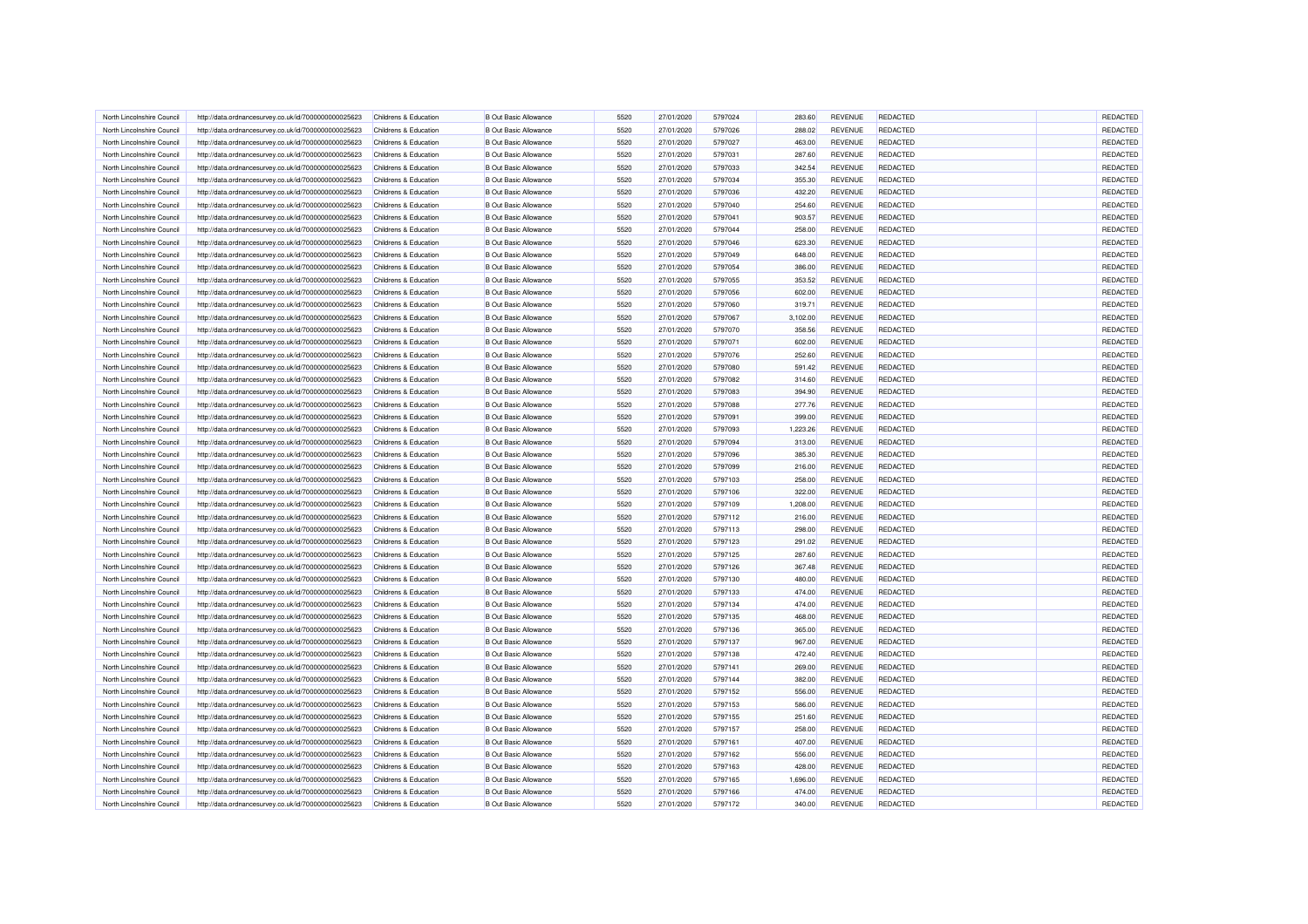| North Lincolnshire Council                               | http://data.ordnancesurvey.co.uk/id/7000000000025623 | Childrens & Education                          | <b>B Out Basic Allowance</b> | 5520         | 27/01/2020 | 5797024 | 283.60           | REVENUE                          | <b>REDACTED</b> | REDACTED        |  |
|----------------------------------------------------------|------------------------------------------------------|------------------------------------------------|------------------------------|--------------|------------|---------|------------------|----------------------------------|-----------------|-----------------|--|
| North Lincolnshire Council                               | http://data.ordnancesurvey.co.uk/id/7000000000025623 | Childrens & Education                          | <b>B Out Basic Allowance</b> | 5520         | 27/01/2020 | 5797026 | 288.02           | <b>REVENUE</b>                   | <b>REDACTED</b> | REDACTED        |  |
| North Lincolnshire Council                               | http://data.ordnancesurvey.co.uk/id/7000000000025623 | Childrens & Education                          | <b>B</b> Out Basic Allowance | 5520         | 27/01/2020 | 5797027 | 463.00           | <b>REVENUE</b>                   | REDACTED        | REDACTED        |  |
| North Lincolnshire Council                               | http://data.ordnancesurvey.co.uk/id/7000000000025623 | Childrens & Education                          | <b>B Out Basic Allowance</b> | 5520         | 27/01/2020 | 5797031 | 287.60           | <b>REVENUE</b>                   | <b>REDACTED</b> | REDACTED        |  |
| North Lincolnshire Council                               | http://data.ordnancesurvey.co.uk/id/7000000000025623 | Childrens & Education                          | <b>B Out Basic Allowance</b> | 5520         | 27/01/2020 | 5797033 | 342.54           | <b>REVENUE</b>                   | <b>REDACTED</b> | REDACTED        |  |
| North Lincolnshire Council                               | http://data.ordnancesurvey.co.uk/id/7000000000025623 | Childrens & Education                          | <b>B Out Basic Allowance</b> | 5520         | 27/01/2020 | 5797034 | 355.30           | <b>REVENUE</b>                   | REDACTED        | <b>REDACTE</b>  |  |
| North Lincolnshire Council                               | http://data.ordnancesurvey.co.uk/id/7000000000025623 | Childrens & Education                          | <b>B Out Basic Allowance</b> | 5520         | 27/01/2020 | 5797036 | 432.20           | <b>REVENUE</b>                   | <b>REDACTED</b> | REDACTED        |  |
| North Lincolnshire Council                               | http://data.ordnancesurvey.co.uk/id/7000000000025623 | Childrens & Education                          | <b>B Out Basic Allowance</b> | 5520         | 27/01/2020 | 5797040 | 254.60           | <b>REVENUE</b>                   | <b>REDACTED</b> | REDACTED        |  |
| North Lincolnshire Council                               | http://data.ordnancesurvey.co.uk/id/7000000000025623 | Childrens & Education                          | <b>B Out Basic Allowance</b> | 5520         | 27/01/2020 | 5797041 | 903.57           | REVENUE                          | REDACTED        | REDACTED        |  |
| North Lincolnshire Council                               | http://data.ordnancesurvey.co.uk/id/7000000000025623 | Childrens & Education                          | <b>B Out Basic Allowance</b> | 5520         | 27/01/2020 | 5797044 | 258.00           | <b>REVENUE</b>                   | <b>REDACTED</b> | REDACTED        |  |
| North Lincolnshire Council                               | http://data.ordnancesurvey.co.uk/id/7000000000025623 | Childrens & Education                          | <b>B Out Basic Allowance</b> | 5520         | 27/01/2020 | 5797046 | 623.30           | <b>REVENUE</b>                   | <b>REDACTED</b> | REDACTED        |  |
| North Lincolnshire Council                               | http://data.ordnancesurvey.co.uk/id/7000000000025623 | Childrens & Education                          | <b>B Out Basic Allowance</b> | 5520         | 27/01/2020 | 5797049 |                  | <b>REVENUE</b>                   | REDACTED        | <b>REDACTED</b> |  |
|                                                          |                                                      |                                                | <b>B Out Basic Allowance</b> | 5520         |            | 5797054 | 648.00           |                                  | <b>REDACTED</b> | REDACTED        |  |
| North Lincolnshire Council<br>North Lincolnshire Council | http://data.ordnancesurvey.co.uk/id/7000000000025623 | Childrens & Education<br>Childrens & Education | <b>B Out Basic Allowance</b> | 5520         | 27/01/2020 | 5797055 | 386.00<br>353.52 | <b>REVENUE</b><br><b>REVENUE</b> | <b>REDACTED</b> |                 |  |
|                                                          | http://data.ordnancesurvey.co.uk/id/7000000000025623 |                                                |                              |              | 27/01/2020 |         |                  |                                  |                 | REDACTED        |  |
| North Lincolnshire Council                               | http://data.ordnancesurvey.co.uk/id/7000000000025623 | Childrens & Education                          | <b>B Out Basic Allowance</b> | 5520         | 27/01/2020 | 5797056 | 602.00           | <b>REVENUE</b>                   | REDACTED        | REDACTED        |  |
| North Lincolnshire Council                               | http://data.ordnancesurvey.co.uk/id/7000000000025623 | Childrens & Education                          | <b>B Out Basic Allowance</b> | 5520         | 27/01/2020 | 5797060 | 319.71           | <b>REVENUE</b>                   | <b>REDACTED</b> | REDACTED        |  |
| North Lincolnshire Council                               | http://data.ordnancesurvey.co.uk/id/7000000000025623 | Childrens & Education                          | <b>B Out Basic Allowance</b> | 5520         | 27/01/2020 | 5797067 | 3,102.00         | <b>REVENUE</b>                   | <b>REDACTED</b> | REDACTED        |  |
| North Lincolnshire Council                               | http://data.ordnancesurvey.co.uk/id/7000000000025623 | Childrens & Education                          | <b>B Out Basic Allowance</b> | 5520         | 27/01/2020 | 5797070 | 358.56           | <b>REVENUE</b>                   | REDACTED        | <b>REDACTED</b> |  |
| North Lincolnshire Council                               | http://data.ordnancesurvey.co.uk/id/7000000000025623 | Childrens & Education                          | <b>B Out Basic Allowance</b> | 5520         | 27/01/2020 | 5797071 | 602.00           | <b>REVENUE</b>                   | <b>REDACTED</b> | <b>REDACTED</b> |  |
| North Lincolnshire Council                               | http://data.ordnancesurvey.co.uk/id/7000000000025623 | Childrens & Education                          | <b>B Out Basic Allowance</b> | 5520         | 27/01/2020 | 5797076 | 252.60           | <b>REVENUE</b>                   | <b>REDACTED</b> | REDACTED        |  |
| North Lincolnshire Council                               | http://data.ordnancesurvey.co.uk/id/7000000000025623 | Childrens & Education                          | <b>B Out Basic Allowance</b> | 5520         | 27/01/2020 | 5797080 | 591.42           | <b>REVENUE</b>                   | REDACTED        | REDACTED        |  |
| North Lincolnshire Council                               | http://data.ordnancesurvey.co.uk/id/7000000000025623 | Childrens & Education                          | <b>B Out Basic Allowance</b> | 5520         | 27/01/2020 | 5797082 | 314.60           | <b>REVENUE</b>                   | <b>REDACTED</b> | REDACTED        |  |
| North Lincolnshire Council                               | http://data.ordnancesurvey.co.uk/id/7000000000025623 | Childrens & Education                          | <b>B Out Basic Allowance</b> | 5520         | 27/01/2020 | 5797083 | 394.90           | <b>REVENUE</b>                   | <b>REDACTED</b> | REDACTED        |  |
| North Lincolnshire Council                               | http://data.ordnancesurvey.co.uk/id/7000000000025623 | Childrens & Education                          | <b>B Out Basic Allowance</b> | 5520         | 27/01/2020 | 5797088 | 277.76           | <b>REVENUE</b>                   | REDACTED        | <b>REDACTED</b> |  |
| North Lincolnshire Council                               | http://data.ordnancesurvey.co.uk/id/7000000000025623 | Childrens & Education                          | <b>B Out Basic Allowance</b> | 5520         | 27/01/2020 | 5797091 | 399.00           | <b>REVENUE</b>                   | <b>REDACTED</b> | REDACTED        |  |
| North Lincolnshire Council                               | http://data.ordnancesurvey.co.uk/id/7000000000025623 | Childrens & Education                          | <b>B Out Basic Allowance</b> | 5520         | 27/01/2020 | 5797093 | 1,223.26         | <b>REVENUE</b>                   | <b>REDACTED</b> | REDACTED        |  |
| North Lincolnshire Council                               | http://data.ordnancesurvey.co.uk/id/7000000000025623 | Childrens & Education                          | <b>B Out Basic Allowance</b> | 5520         | 27/01/2020 | 5797094 | 313.00           | <b>REVENUE</b>                   | REDACTED        | REDACTED        |  |
| North Lincolnshire Council                               | http://data.ordnancesurvey.co.uk/id/7000000000025623 | Childrens & Education                          | <b>B Out Basic Allowance</b> | 5520         | 27/01/2020 | 5797096 | 385.30           | <b>REVENUE</b>                   | <b>REDACTED</b> | REDACTED        |  |
| North Lincolnshire Council                               | http://data.ordnancesurvey.co.uk/id/7000000000025623 | Childrens & Education                          | <b>B Out Basic Allowance</b> | 5520         | 27/01/2020 | 5797099 | 216.00           | <b>REVENUE</b>                   | <b>REDACTED</b> | REDACTED        |  |
| North Lincolnshire Council                               | http://data.ordnancesurvey.co.uk/id/7000000000025623 | Childrens & Education                          | <b>B Out Basic Allowance</b> | 5520         | 27/01/2020 | 5797103 | 258.00           | <b>REVENUE</b>                   | REDACTED        | REDACTED        |  |
| North Lincolnshire Council                               | http://data.ordnancesurvey.co.uk/id/7000000000025623 | Childrens & Education                          | <b>B Out Basic Allowance</b> | 5520         | 27/01/2020 | 5797106 | 322.00           | <b>REVENUE</b>                   | <b>REDACTED</b> | REDACTED        |  |
| North Lincolnshire Council                               | http://data.ordnancesurvey.co.uk/id/7000000000025623 | Childrens & Education                          | <b>B Out Basic Allowance</b> | 5520         | 27/01/2020 | 5797109 | 1,208.00         | <b>REVENUE</b>                   | <b>REDACTED</b> | REDACTED        |  |
| North Lincolnshire Council                               | http://data.ordnancesurvey.co.uk/id/7000000000025623 | Childrens & Education                          | <b>B Out Basic Allowance</b> | 5520         | 27/01/2020 | 5797112 | 216.00           | <b>REVENUE</b>                   | REDACTED        | REDACTED        |  |
| North Lincolnshire Council                               | http://data.ordnancesurvey.co.uk/id/7000000000025623 | Childrens & Education                          | <b>B Out Basic Allowance</b> | 5520         | 27/01/2020 | 5797113 | 298.00           | <b>REVENUE</b>                   | <b>REDACTED</b> | REDACTED        |  |
| North Lincolnshire Council                               | http://data.ordnancesurvey.co.uk/id/7000000000025623 | Childrens & Education                          | <b>B Out Basic Allowance</b> | 5520         | 27/01/2020 | 5797123 | 291.02           | <b>REVENUE</b>                   | <b>REDACTED</b> | REDACTED        |  |
| North Lincolnshire Council                               | http://data.ordnancesurvey.co.uk/id/7000000000025623 | Childrens & Education                          | <b>B Out Basic Allowance</b> | 5520         | 27/01/2020 | 5797125 | 287.60           | <b>REVENUE</b>                   | REDACTED        | <b>REDACTED</b> |  |
|                                                          |                                                      |                                                |                              | 5520         |            | 5797126 |                  | REVENUE                          | <b>REDACTED</b> | REDACTED        |  |
| North Lincolnshire Council                               | http://data.ordnancesurvey.co.uk/id/7000000000025623 | Childrens & Education                          | <b>B</b> Out Basic Allowance |              | 27/01/2020 |         | 367.48           |                                  |                 |                 |  |
| North Lincolnshire Council<br>North Lincolnshire Council | http://data.ordnancesurvey.co.uk/id/7000000000025623 | Childrens & Education                          | <b>B Out Basic Allowance</b> | 5520<br>5520 | 27/01/2020 | 5797130 | 480.00<br>474.00 | <b>REVENUE</b>                   | <b>REDACTED</b> | REDACTED        |  |
|                                                          | http://data.ordnancesurvey.co.uk/id/7000000000025623 | Childrens & Education                          | <b>B Out Basic Allowance</b> |              | 27/01/2020 | 5797133 |                  | <b>REVENUE</b>                   | REDACTED        | REDACTED        |  |
| North Lincolnshire Council                               | http://data.ordnancesurvey.co.uk/id/7000000000025623 | Childrens & Education                          | <b>B Out Basic Allowance</b> | 5520         | 27/01/2020 | 5797134 | 474.00           | <b>REVENUE</b>                   | <b>REDACTED</b> | <b>REDACTED</b> |  |
| North Lincolnshire Council                               | http://data.ordnancesurvey.co.uk/id/7000000000025623 | Childrens & Education                          | <b>B Out Basic Allowance</b> | 5520         | 27/01/2020 | 5797135 | 468.00           | <b>REVENUE</b>                   | <b>REDACTED</b> | REDACTED        |  |
| North Lincolnshire Council                               | http://data.ordnancesurvey.co.uk/id/7000000000025623 | Childrens & Education                          | <b>B Out Basic Allowance</b> | 5520         | 27/01/2020 | 5797136 | 365.00           | <b>REVENUE</b>                   | REDACTED        | <b>REDACTED</b> |  |
| North Lincolnshire Council                               | http://data.ordnancesurvey.co.uk/id/7000000000025623 | Childrens & Education                          | <b>B</b> Out Basic Allowance | 5520         | 27/01/2020 | 5797137 | 967.00           | <b>REVENUE</b>                   | REDACTED        | REDACTED        |  |
| North Lincolnshire Council                               | http://data.ordnancesurvey.co.uk/id/7000000000025623 | Childrens & Education                          | <b>B Out Basic Allowance</b> | 5520         | 27/01/2020 | 5797138 | 472.40           | <b>REVENUE</b>                   | <b>REDACTED</b> | REDACTED        |  |
| North Lincolnshire Council                               | http://data.ordnancesurvey.co.uk/id/7000000000025623 | Childrens & Education                          | <b>B Out Basic Allowance</b> | 5520         | 27/01/2020 | 5797141 | 269.00           | <b>REVENUE</b>                   | REDACTED        | REDACTED        |  |
| North Lincolnshire Council                               | http://data.ordnancesurvey.co.uk/id/7000000000025623 | Childrens & Education                          | <b>B Out Basic Allowance</b> | 5520         | 27/01/2020 | 5797144 | 382.00           | REVENUE                          | REDACTED        | REDACTED        |  |
| North Lincolnshire Council                               | http://data.ordnancesurvey.co.uk/id/7000000000025623 | Childrens & Education                          | <b>B Out Basic Allowance</b> | 5520         | 27/01/2020 | 5797152 | 556.00           | <b>REVENUE</b>                   | <b>REDACTED</b> | REDACTED        |  |
| North Lincolnshire Council                               | http://data.ordnancesurvey.co.uk/id/7000000000025623 | Childrens & Education                          | <b>B Out Basic Allowance</b> | 5520         | 27/01/2020 | 5797153 | 586.00           | <b>REVENUE</b>                   | REDACTED        | REDACTED        |  |
| North Lincolnshire Council                               | http://data.ordnancesurvey.co.uk/id/7000000000025623 | Childrens & Education                          | <b>B Out Basic Allowance</b> | 5520         | 27/01/2020 | 5797155 | 251.60           | <b>REVENUE</b>                   | <b>REDACTED</b> | REDACTED        |  |
| North Lincolnshire Council                               | http://data.ordnancesurvey.co.uk/id/7000000000025623 | Childrens & Education                          | <b>B Out Basic Allowance</b> | 5520         | 27/01/2020 | 5797157 | 258.00           | <b>REVENUE</b>                   | <b>REDACTED</b> | REDACTED        |  |
| North Lincolnshire Council                               | http://data.ordnancesurvey.co.uk/id/7000000000025623 | Childrens & Education                          | <b>B Out Basic Allowance</b> | 5520         | 27/01/2020 | 5797161 | 407.00           | <b>REVENUE</b>                   | REDACTED        | <b>REDACTED</b> |  |
| North Lincolnshire Council                               | http://data.ordnancesurvey.co.uk/id/7000000000025623 | Childrens & Education                          | <b>B Out Basic Allowance</b> | 5520         | 27/01/2020 | 5797162 | 556.00           | REVENUE                          | REDACTED        | REDACTED        |  |
| North Lincolnshire Council                               | http://data.ordnancesurvey.co.uk/id/7000000000025623 | Childrens & Education                          | <b>B Out Basic Allowance</b> | 5520         | 27/01/2020 | 5797163 | 428.00           | <b>REVENUE</b>                   | <b>REDACTED</b> | REDACTED        |  |
| North Lincolnshire Council                               | http://data.ordnancesurvey.co.uk/id/7000000000025623 | Childrens & Education                          | <b>B Out Basic Allowance</b> | 5520         | 27/01/2020 | 5797165 | 1,696.00         | <b>REVENUE</b>                   | REDACTED        | REDACTED        |  |
| North Lincolnshire Council                               | http://data.ordnancesurvey.co.uk/id/7000000000025623 | Childrens & Education                          | <b>B Out Basic Allowance</b> | 5520         | 27/01/2020 | 5797166 | 474.00           | <b>REVENUE</b>                   | <b>REDACTED</b> | REDACTED        |  |
| North Lincolnshire Council                               | http://data.ordnancesurvey.co.uk/id/7000000000025623 | Childrens & Education                          | <b>B Out Basic Allowance</b> | 5520         | 27/01/2020 | 5797172 | 340.00           | <b>REVENUE</b>                   | <b>REDACTED</b> | REDACTED        |  |
|                                                          |                                                      |                                                |                              |              |            |         |                  |                                  |                 |                 |  |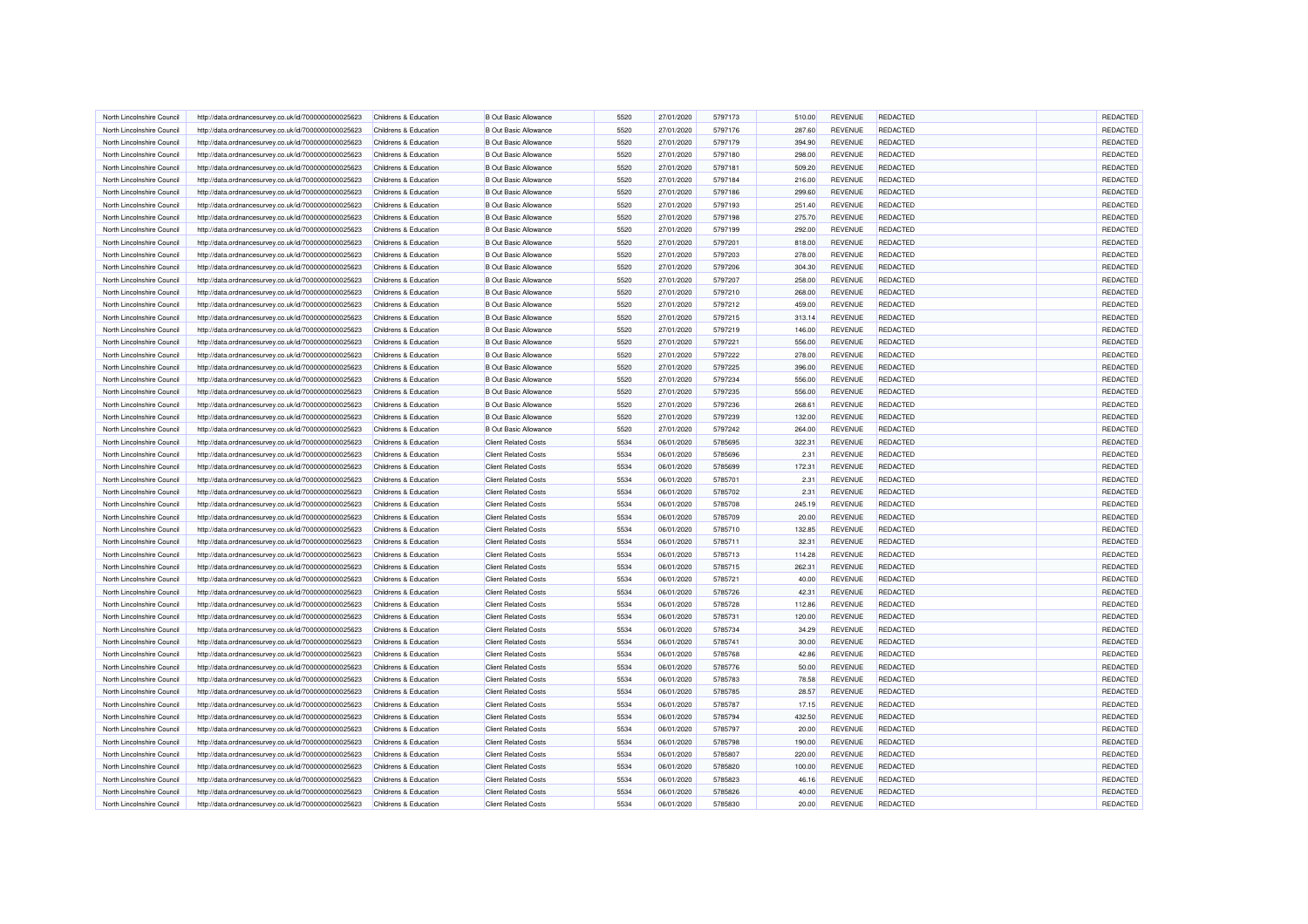| North Lincolnshire Council                               | http://data.ordnancesurvey.co.uk/id/7000000000025623 | Childrens & Education                          | <b>B Out Basic Allowance</b> | 5520         | 27/01/2020 | 5797173 | 510.00           | REVENUE                          | <b>REDACTED</b> | REDACTED        |
|----------------------------------------------------------|------------------------------------------------------|------------------------------------------------|------------------------------|--------------|------------|---------|------------------|----------------------------------|-----------------|-----------------|
| North Lincolnshire Council                               | http://data.ordnancesurvey.co.uk/id/7000000000025623 | Childrens & Education                          | <b>B Out Basic Allowance</b> | 5520         | 27/01/2020 | 5797176 | 287.60           | <b>REVENUE</b>                   | <b>REDACTED</b> | REDACTED        |
| North Lincolnshire Council                               | http://data.ordnancesurvey.co.uk/id/7000000000025623 | Childrens & Education                          | <b>B</b> Out Basic Allowance | 5520         | 27/01/2020 | 5797179 | 394.90           | <b>REVENUE</b>                   | REDACTED        | REDACTED        |
| North Lincolnshire Council                               | http://data.ordnancesurvey.co.uk/id/7000000000025623 | Childrens & Education                          | <b>B Out Basic Allowance</b> | 5520         | 27/01/2020 | 5797180 | 298.00           | <b>REVENUE</b>                   | <b>REDACTED</b> | REDACTED        |
| North Lincolnshire Council                               | http://data.ordnancesurvey.co.uk/id/7000000000025623 | Childrens & Education                          | <b>B Out Basic Allowance</b> | 5520         | 27/01/2020 | 5797181 | 509.20           | <b>REVENUE</b>                   | <b>REDACTED</b> | REDACTED        |
| North Lincolnshire Council                               | http://data.ordnancesurvey.co.uk/id/7000000000025623 | Childrens & Education                          | <b>B Out Basic Allowance</b> | 5520         | 27/01/2020 | 5797184 | 216.00           | <b>REVENUE</b>                   | REDACTED        | <b>REDACTED</b> |
| North Lincolnshire Council                               | http://data.ordnancesurvey.co.uk/id/7000000000025623 | Childrens & Education                          | <b>B Out Basic Allowance</b> | 5520         | 27/01/2020 | 5797186 | 299.60           | <b>REVENUE</b>                   | <b>REDACTED</b> | REDACTED        |
| North Lincolnshire Council                               | http://data.ordnancesurvey.co.uk/id/7000000000025623 | Childrens & Education                          | <b>B Out Basic Allowance</b> | 5520         | 27/01/2020 | 5797193 | 251.40           | <b>REVENUE</b>                   | <b>REDACTED</b> | REDACTED        |
| North Lincolnshire Council                               | http://data.ordnancesurvey.co.uk/id/7000000000025623 | Childrens & Education                          | <b>B</b> Out Basic Allowance | 5520         | 27/01/2020 | 5797198 | 275.70           | REVENUE                          | REDACTED        | REDACTED        |
| North Lincolnshire Council                               | http://data.ordnancesurvey.co.uk/id/7000000000025623 | Childrens & Education                          | <b>B Out Basic Allowance</b> | 5520         | 27/01/2020 | 5797199 | 292.00           | <b>REVENUE</b>                   | <b>REDACTED</b> | REDACTED        |
| North Lincolnshire Council                               | http://data.ordnancesurvey.co.uk/id/7000000000025623 | Childrens & Education                          | <b>B Out Basic Allowance</b> | 5520         | 27/01/2020 | 5797201 | 818.00           | <b>REVENUE</b>                   | <b>REDACTED</b> | REDACTED        |
| North Lincolnshire Council                               | http://data.ordnancesurvey.co.uk/id/7000000000025623 | Childrens & Education                          | <b>B Out Basic Allowance</b> | 5520         | 27/01/2020 | 5797203 |                  | <b>REVENUE</b>                   | REDACTED        | <b>REDACTED</b> |
|                                                          |                                                      |                                                | <b>B Out Basic Allowance</b> | 5520         |            | 5797206 | 278.00           |                                  | <b>REDACTED</b> | REDACTED        |
| North Lincolnshire Council<br>North Lincolnshire Council | http://data.ordnancesurvey.co.uk/id/7000000000025623 | Childrens & Education<br>Childrens & Education | <b>B Out Basic Allowance</b> | 5520         | 27/01/2020 | 5797207 | 304.30<br>258.00 | <b>REVENUE</b><br><b>REVENUE</b> | <b>REDACTED</b> |                 |
|                                                          | http://data.ordnancesurvey.co.uk/id/7000000000025623 |                                                |                              |              | 27/01/2020 |         |                  |                                  |                 | REDACTED        |
| North Lincolnshire Council                               | http://data.ordnancesurvey.co.uk/id/7000000000025623 | Childrens & Education                          | <b>B Out Basic Allowance</b> | 5520         | 27/01/2020 | 5797210 | 268.00           | <b>REVENUE</b>                   | REDACTED        | REDACTED        |
| North Lincolnshire Council                               | http://data.ordnancesurvey.co.uk/id/7000000000025623 | Childrens & Education                          | <b>B Out Basic Allowance</b> | 5520         | 27/01/2020 | 5797212 | 459.00           | <b>REVENUE</b>                   | <b>REDACTED</b> | REDACTED        |
| North Lincolnshire Council                               | http://data.ordnancesurvey.co.uk/id/7000000000025623 | Childrens & Education                          | <b>B Out Basic Allowance</b> | 5520         | 27/01/2020 | 5797215 | 313.14           | <b>REVENUE</b>                   | <b>REDACTED</b> | REDACTED        |
| North Lincolnshire Council                               | http://data.ordnancesurvey.co.uk/id/7000000000025623 | Childrens & Education                          | <b>B Out Basic Allowance</b> | 5520         | 27/01/2020 | 5797219 | 146.00           | <b>REVENUE</b>                   | REDACTED        | <b>REDACTED</b> |
| North Lincolnshire Council                               | http://data.ordnancesurvey.co.uk/id/7000000000025623 | Childrens & Education                          | <b>B Out Basic Allowance</b> | 5520         | 27/01/2020 | 5797221 | 556.00           | <b>REVENUE</b>                   | <b>REDACTED</b> | <b>REDACTED</b> |
| North Lincolnshire Council                               | http://data.ordnancesurvey.co.uk/id/7000000000025623 | Childrens & Education                          | <b>B Out Basic Allowance</b> | 5520         | 27/01/2020 | 5797222 | 278.00           | <b>REVENUE</b>                   | <b>REDACTED</b> | REDACTED        |
| North Lincolnshire Council                               | http://data.ordnancesurvey.co.uk/id/7000000000025623 | Childrens & Education                          | <b>B Out Basic Allowance</b> | 5520         | 27/01/2020 | 5797225 | 396.00           | <b>REVENUE</b>                   | REDACTED        | REDACTED        |
| North Lincolnshire Council                               | http://data.ordnancesurvey.co.uk/id/7000000000025623 | Childrens & Education                          | <b>B Out Basic Allowance</b> | 5520         | 27/01/2020 | 5797234 | 556.00           | <b>REVENUE</b>                   | <b>REDACTED</b> | REDACTED        |
| North Lincolnshire Council                               | http://data.ordnancesurvey.co.uk/id/7000000000025623 | Childrens & Education                          | <b>B Out Basic Allowance</b> | 5520         | 27/01/2020 | 5797235 | 556.00           | <b>REVENUE</b>                   | <b>REDACTED</b> | REDACTED        |
| North Lincolnshire Council                               | http://data.ordnancesurvey.co.uk/id/7000000000025623 | Childrens & Education                          | <b>B Out Basic Allowance</b> | 5520         | 27/01/2020 | 5797236 | 268.61           | <b>REVENUE</b>                   | REDACTED        | <b>REDACTED</b> |
| North Lincolnshire Council                               | http://data.ordnancesurvey.co.uk/id/7000000000025623 | Childrens & Education                          | <b>B Out Basic Allowance</b> | 5520         | 27/01/2020 | 5797239 | 132.00           | <b>REVENUE</b>                   | <b>REDACTED</b> | REDACTED        |
| North Lincolnshire Council                               | http://data.ordnancesurvey.co.uk/id/7000000000025623 | Childrens & Education                          | <b>B Out Basic Allowance</b> | 5520         | 27/01/2020 | 5797242 | 264.00           | <b>REVENUE</b>                   | <b>REDACTED</b> | REDACTED        |
| North Lincolnshire Council                               | http://data.ordnancesurvey.co.uk/id/7000000000025623 | Childrens & Education                          | <b>Client Related Costs</b>  | 5534         | 06/01/2020 | 5785695 | 322.31           | <b>REVENUE</b>                   | REDACTED        | REDACTED        |
| North Lincolnshire Council                               | http://data.ordnancesurvey.co.uk/id/7000000000025623 | Childrens & Education                          | <b>Client Related Costs</b>  | 5534         | 06/01/2020 | 5785696 | 2.31             | <b>REVENUE</b>                   | <b>REDACTED</b> | REDACTED        |
| North Lincolnshire Council                               | http://data.ordnancesurvey.co.uk/id/7000000000025623 | Childrens & Education                          | <b>Client Related Costs</b>  | 5534         | 06/01/2020 | 5785699 | 172.31           | <b>REVENUE</b>                   | <b>REDACTED</b> | REDACTED        |
| North Lincolnshire Council                               | http://data.ordnancesurvey.co.uk/id/7000000000025623 | Childrens & Education                          | <b>Client Related Costs</b>  | 5534         | 06/01/2020 | 5785701 | 2.31             | <b>REVENUE</b>                   | REDACTED        | REDACTED        |
| North Lincolnshire Council                               | http://data.ordnancesurvey.co.uk/id/7000000000025623 | Childrens & Education                          | <b>Client Related Costs</b>  | 5534         | 06/01/2020 | 5785702 | 2.31             | <b>REVENUE</b>                   | <b>REDACTED</b> | <b>REDACTED</b> |
| North Lincolnshire Council                               | http://data.ordnancesurvey.co.uk/id/7000000000025623 | Childrens & Education                          | <b>Client Related Costs</b>  | 5534         | 06/01/2020 | 5785708 | 245.19           | <b>REVENUE</b>                   | <b>REDACTED</b> | REDACTED        |
| North Lincolnshire Council                               | http://data.ordnancesurvey.co.uk/id/7000000000025623 | Childrens & Education                          | <b>Client Related Costs</b>  | 5534         | 06/01/2020 | 5785709 | 20.00            | <b>REVENUE</b>                   | REDACTED        | REDACTED        |
| North Lincolnshire Council                               | http://data.ordnancesurvey.co.uk/id/7000000000025623 | Childrens & Education                          | <b>Client Related Costs</b>  | 5534         | 06/01/2020 | 5785710 | 132.85           | <b>REVENUE</b>                   | <b>REDACTED</b> | <b>REDACTED</b> |
| North Lincolnshire Council                               | http://data.ordnancesurvey.co.uk/id/7000000000025623 | Childrens & Education                          | <b>Client Related Costs</b>  | 5534         | 06/01/2020 | 5785711 | 32.31            | <b>REVENUE</b>                   | <b>REDACTED</b> | REDACTED        |
| North Lincolnshire Council                               | http://data.ordnancesurvey.co.uk/id/7000000000025623 | Childrens & Education                          | <b>Client Related Costs</b>  | 5534         | 06/01/2020 | 5785713 | 114.28           | <b>REVENUE</b>                   | REDACTED        | <b>REDACTED</b> |
|                                                          |                                                      |                                                |                              | 5534         |            | 5785715 | 262.31           | REVENUE                          | <b>REDACTED</b> | REDACTED        |
| North Lincolnshire Council                               | http://data.ordnancesurvey.co.uk/id/7000000000025623 | Childrens & Education                          | <b>Client Related Costs</b>  |              | 06/01/2020 |         |                  |                                  |                 |                 |
| North Lincolnshire Council<br>North Lincolnshire Council | http://data.ordnancesurvey.co.uk/id/7000000000025623 | Childrens & Education                          | <b>Client Related Costs</b>  | 5534<br>5534 | 06/01/2020 | 5785721 | 40.00            | <b>REVENUE</b>                   | <b>REDACTED</b> | REDACTED        |
|                                                          | http://data.ordnancesurvey.co.uk/id/7000000000025623 | Childrens & Education                          | <b>Client Related Costs</b>  |              | 06/01/2020 | 5785726 | 42.31            | <b>REVENUE</b>                   | REDACTED        | REDACTED        |
| North Lincolnshire Council                               | http://data.ordnancesurvey.co.uk/id/7000000000025623 | Childrens & Education                          | <b>Client Related Costs</b>  | 5534         | 06/01/2020 | 5785728 | 112.86           | <b>REVENUE</b>                   | <b>REDACTED</b> | <b>REDACTED</b> |
| North Lincolnshire Council                               | http://data.ordnancesurvey.co.uk/id/7000000000025623 | Childrens & Education                          | <b>Client Related Costs</b>  | 5534         | 06/01/2020 | 5785731 | 120.00           | <b>REVENUE</b>                   | <b>REDACTED</b> | REDACTED        |
| North Lincolnshire Council                               | http://data.ordnancesurvey.co.uk/id/7000000000025623 | Childrens & Education                          | <b>Client Related Costs</b>  | 5534         | 06/01/2020 | 5785734 | 34.29            | <b>REVENUE</b>                   | REDACTED        | <b>REDACTED</b> |
| North Lincolnshire Council                               | http://data.ordnancesurvey.co.uk/id/7000000000025623 | Childrens & Education                          | <b>Client Related Costs</b>  | 5534         | 06/01/2020 | 5785741 | 30.00            | <b>REVENUE</b>                   | REDACTED        | REDACTED        |
| North Lincolnshire Council                               | http://data.ordnancesurvey.co.uk/id/7000000000025623 | Childrens & Education                          | <b>Client Related Costs</b>  | 5534         | 06/01/2020 | 5785768 | 42.86            | <b>REVENUE</b>                   | <b>REDACTED</b> | REDACTED        |
| North Lincolnshire Council                               | http://data.ordnancesurvey.co.uk/id/7000000000025623 | Childrens & Education                          | <b>Client Related Costs</b>  | 5534         | 06/01/2020 | 5785776 | 50.00            | <b>REVENUE</b>                   | REDACTED        | REDACTED        |
| North Lincolnshire Council                               | http://data.ordnancesurvey.co.uk/id/7000000000025623 | Childrens & Education                          | <b>Client Related Costs</b>  | 5534         | 06/01/2020 | 5785783 | 78.58            | REVENUE                          | REDACTED        | REDACTED        |
| North Lincolnshire Council                               | http://data.ordnancesurvey.co.uk/id/7000000000025623 | Childrens & Education                          | <b>Client Related Costs</b>  | 5534         | 06/01/2020 | 5785785 | 28.57            | <b>REVENUE</b>                   | <b>REDACTED</b> | REDACTED        |
| North Lincolnshire Council                               | http://data.ordnancesurvey.co.uk/id/7000000000025623 | Childrens & Education                          | <b>Client Related Costs</b>  | 5534         | 06/01/2020 | 5785787 | 17.15            | <b>REVENUE</b>                   | REDACTED        | REDACTED        |
| North Lincolnshire Council                               | http://data.ordnancesurvey.co.uk/id/7000000000025623 | Childrens & Education                          | <b>Client Related Costs</b>  | 5534         | 06/01/2020 | 5785794 | 432.50           | <b>REVENUE</b>                   | <b>REDACTED</b> | REDACTED        |
| North Lincolnshire Council                               | http://data.ordnancesurvey.co.uk/id/7000000000025623 | Childrens & Education                          | <b>Client Related Costs</b>  | 5534         | 06/01/2020 | 5785797 | 20.00            | <b>REVENUE</b>                   | <b>REDACTED</b> | REDACTED        |
| North Lincolnshire Council                               | http://data.ordnancesurvey.co.uk/id/7000000000025623 | Childrens & Education                          | <b>Client Related Costs</b>  | 5534         | 06/01/2020 | 5785798 | 190.00           | <b>REVENUE</b>                   | REDACTED        | <b>REDACTED</b> |
| North Lincolnshire Council                               | http://data.ordnancesurvey.co.uk/id/7000000000025623 | Childrens & Education                          | <b>Client Related Costs</b>  | 5534         | 06/01/2020 | 5785807 | 220.00           | REVENUE                          | REDACTED        | REDACTED        |
| North Lincolnshire Council                               | http://data.ordnancesurvey.co.uk/id/7000000000025623 | Childrens & Education                          | <b>Client Related Costs</b>  | 5534         | 06/01/2020 | 5785820 | 100.00           | <b>REVENUE</b>                   | <b>REDACTED</b> | REDACTED        |
| North Lincolnshire Council                               | http://data.ordnancesurvey.co.uk/id/7000000000025623 | Childrens & Education                          | <b>Client Related Costs</b>  | 5534         | 06/01/2020 | 5785823 | 46.16            | <b>REVENUE</b>                   | REDACTED        | REDACTED        |
| North Lincolnshire Council                               | http://data.ordnancesurvey.co.uk/id/7000000000025623 | Childrens & Education                          | <b>Client Related Costs</b>  | 5534         | 06/01/2020 | 5785826 | 40.00            | <b>REVENUE</b>                   | <b>REDACTED</b> | REDACTED        |
| North Lincolnshire Council                               | http://data.ordnancesurvey.co.uk/id/7000000000025623 | Childrens & Education                          | <b>Client Related Costs</b>  | 5534         | 06/01/2020 | 5785830 | 20.00            | <b>REVENUE</b>                   | <b>REDACTED</b> | REDACTED        |
|                                                          |                                                      |                                                |                              |              |            |         |                  |                                  |                 |                 |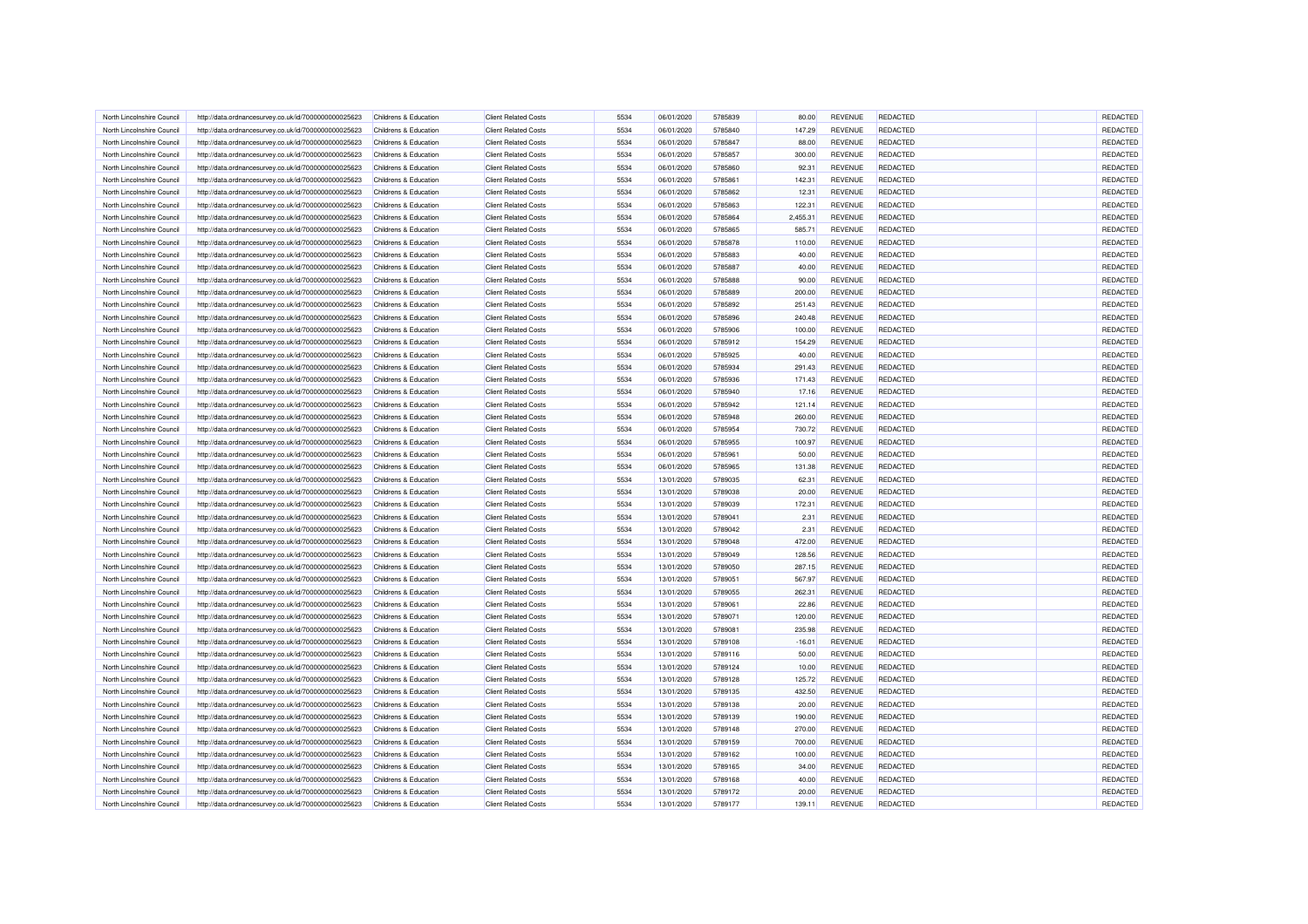| North Lincolnshire Council                               | http://data.ordnancesurvey.co.uk/id/7000000000025623 | Childrens & Education                          | <b>Client Related Costs</b>                                | 5534         | 06/01/2020 | 5785839            | 80.00          | REVENUE                          | <b>REDACTED</b> | REDACTED        |
|----------------------------------------------------------|------------------------------------------------------|------------------------------------------------|------------------------------------------------------------|--------------|------------|--------------------|----------------|----------------------------------|-----------------|-----------------|
| North Lincolnshire Council                               | http://data.ordnancesurvey.co.uk/id/7000000000025623 | Childrens & Education                          | <b>Client Related Costs</b>                                | 5534         | 06/01/2020 | 5785840            | 147.29         | <b>REVENUE</b>                   | <b>REDACTED</b> | REDACTED        |
| North Lincolnshire Council                               | http://data.ordnancesurvey.co.uk/id/7000000000025623 | Childrens & Education                          | <b>Client Related Costs</b>                                | 5534         | 06/01/2020 | 5785847            | 88.00          | <b>REVENUE</b>                   | REDACTED        | REDACTED        |
| North Lincolnshire Council                               | http://data.ordnancesurvey.co.uk/id/7000000000025623 | Childrens & Education                          | <b>Client Related Costs</b>                                | 5534         | 06/01/2020 | 5785857            | 300.00         | <b>REVENUE</b>                   | <b>REDACTED</b> | REDACTED        |
| North Lincolnshire Council                               | http://data.ordnancesurvey.co.uk/id/7000000000025623 | Childrens & Education                          | Client Related Costs                                       | 5534         | 06/01/2020 | 5785860            | 92.31          | <b>REVENUE</b>                   | <b>REDACTED</b> | REDACTED        |
| North Lincolnshire Council                               | http://data.ordnancesurvey.co.uk/id/7000000000025623 | Childrens & Education                          | <b>Client Related Costs</b>                                | 5534         | 06/01/2020 | 5785861            | 142.31         | <b>REVENUE</b>                   | REDACTED        | <b>REDACTED</b> |
| North Lincolnshire Council                               | http://data.ordnancesurvey.co.uk/id/7000000000025623 | Childrens & Education                          | <b>Client Related Costs</b>                                | 5534         | 06/01/2020 | 5785862            | 12.31          | <b>REVENUE</b>                   | <b>REDACTED</b> | REDACTED        |
| North Lincolnshire Council                               | http://data.ordnancesurvey.co.uk/id/7000000000025623 | Childrens & Education                          | <b>Client Related Costs</b>                                | 5534         | 06/01/2020 | 5785863            | 122.31         | <b>REVENUE</b>                   | <b>REDACTED</b> | REDACTED        |
| North Lincolnshire Council                               | http://data.ordnancesurvey.co.uk/id/7000000000025623 | Childrens & Education                          | <b>Client Related Costs</b>                                | 5534         | 06/01/2020 | 5785864            | 2,455.31       | <b>REVENUE</b>                   | REDACTED        | REDACTED        |
| North Lincolnshire Council                               | http://data.ordnancesurvey.co.uk/id/7000000000025623 | Childrens & Education                          | <b>Client Related Costs</b>                                | 5534         | 06/01/2020 | 5785865            | 585.71         | <b>REVENUE</b>                   | <b>REDACTED</b> | REDACTED        |
| North Lincolnshire Council                               | http://data.ordnancesurvey.co.uk/id/7000000000025623 | Childrens & Education                          | <b>Client Related Costs</b>                                | 5534         | 06/01/2020 | 5785878            | 110.00         | <b>REVENUE</b>                   | <b>REDACTED</b> | REDACTED        |
| North Lincolnshire Council                               | http://data.ordnancesurvey.co.uk/id/7000000000025623 | Childrens & Education                          | <b>Client Related Costs</b>                                | 5534         |            | 5785883            | 40.00          | <b>REVENUE</b>                   | REDACTED        | <b>REDACTED</b> |
|                                                          |                                                      |                                                |                                                            | 5534         | 06/01/2020 | 5785887            |                |                                  | <b>REDACTED</b> | REDACTED        |
| North Lincolnshire Council<br>North Lincolnshire Council | http://data.ordnancesurvey.co.uk/id/7000000000025623 | Childrens & Education<br>Childrens & Education | <b>Client Related Costs</b><br><b>Client Related Costs</b> | 5534         | 06/01/2020 | 5785888            | 40.00<br>90.00 | <b>REVENUE</b><br><b>REVENUE</b> | <b>REDACTED</b> |                 |
|                                                          | http://data.ordnancesurvey.co.uk/id/7000000000025623 |                                                |                                                            |              | 06/01/2020 |                    |                |                                  |                 | REDACTED        |
| North Lincolnshire Council                               | http://data.ordnancesurvey.co.uk/id/7000000000025623 | Childrens & Education                          | <b>Client Related Costs</b>                                | 5534         | 06/01/2020 | 5785889            | 200.00         | <b>REVENUE</b>                   | REDACTED        | REDACTED        |
| North Lincolnshire Council                               | http://data.ordnancesurvey.co.uk/id/7000000000025623 | Childrens & Education                          | <b>Client Related Costs</b>                                | 5534         | 06/01/2020 | 5785892            | 251.43         | <b>REVENUE</b>                   | <b>REDACTED</b> | REDACTED        |
| North Lincolnshire Council                               | http://data.ordnancesurvey.co.uk/id/7000000000025623 | Childrens & Education                          | <b>Client Related Costs</b>                                | 5534         | 06/01/2020 | 5785896            | 240.48         | <b>REVENUE</b>                   | <b>REDACTED</b> | REDACTED        |
| North Lincolnshire Council                               | http://data.ordnancesurvey.co.uk/id/7000000000025623 | Childrens & Education                          | <b>Client Related Costs</b>                                | 5534         | 06/01/2020 | 5785906            | 100.00         | <b>REVENUE</b>                   | REDACTED        | <b>REDACTED</b> |
| North Lincolnshire Council                               | http://data.ordnancesurvey.co.uk/id/7000000000025623 | Childrens & Education                          | <b>Client Related Costs</b>                                | 5534         | 06/01/2020 | 5785912            | 154.29         | <b>REVENUE</b>                   | <b>REDACTED</b> | <b>REDACTED</b> |
| North Lincolnshire Council                               | http://data.ordnancesurvey.co.uk/id/7000000000025623 | Childrens & Education                          | Client Related Costs                                       | 5534         | 06/01/2020 | 5785925            | 40.00          | <b>REVENUE</b>                   | <b>REDACTED</b> | REDACTED        |
| North Lincolnshire Council                               | http://data.ordnancesurvey.co.uk/id/7000000000025623 | Childrens & Education                          | Client Related Costs                                       | 5534         | 06/01/2020 | 5785934            | 291.43         | REVENUE                          | REDACTED        | REDACTED        |
| North Lincolnshire Council                               | http://data.ordnancesurvey.co.uk/id/7000000000025623 | Childrens & Education                          | <b>Client Related Costs</b>                                | 5534         | 06/01/2020 | 5785936            | 171.43         | <b>REVENUE</b>                   | <b>REDACTED</b> | REDACTED        |
| North Lincolnshire Council                               | http://data.ordnancesurvey.co.uk/id/7000000000025623 | Childrens & Education                          | <b>Client Related Costs</b>                                | 5534         | 06/01/2020 | 5785940            | 17.16          | <b>REVENUE</b>                   | <b>REDACTED</b> | REDACTED        |
| North Lincolnshire Council                               | http://data.ordnancesurvey.co.uk/id/7000000000025623 | Childrens & Education                          | <b>Client Related Costs</b>                                | 5534         | 06/01/2020 | 5785942            | 121.14         | <b>REVENUE</b>                   | REDACTED        | <b>REDACTED</b> |
| North Lincolnshire Council                               | http://data.ordnancesurvey.co.uk/id/7000000000025623 | Childrens & Education                          | <b>Client Related Costs</b>                                | 5534         | 06/01/2020 | 5785948            | 260.00         | <b>REVENUE</b>                   | <b>REDACTED</b> | REDACTED        |
| North Lincolnshire Council                               | http://data.ordnancesurvey.co.uk/id/7000000000025623 | Childrens & Education                          | Client Related Costs                                       | 5534         | 06/01/2020 | 5785954            | 730.72         | <b>REVENUE</b>                   | <b>REDACTED</b> | REDACTED        |
| North Lincolnshire Council                               | http://data.ordnancesurvey.co.uk/id/7000000000025623 | Childrens & Education                          | <b>Client Related Costs</b>                                | 5534         | 06/01/2020 | 5785955            | 100.97         | <b>REVENUE</b>                   | REDACTED        | REDACTED        |
| North Lincolnshire Council                               | http://data.ordnancesurvey.co.uk/id/7000000000025623 | Childrens & Education                          | <b>Client Related Costs</b>                                | 5534         | 06/01/2020 | 5785961            | 50.00          | <b>REVENUE</b>                   | <b>REDACTED</b> | REDACTED        |
| North Lincolnshire Council                               | http://data.ordnancesurvey.co.uk/id/7000000000025623 | Childrens & Education                          | <b>Client Related Costs</b>                                | 5534         | 06/01/2020 | 5785965            | 131.38         | <b>REVENUE</b>                   | <b>REDACTED</b> | REDACTED        |
| North Lincolnshire Council                               | http://data.ordnancesurvey.co.uk/id/7000000000025623 | Childrens & Education                          | <b>Client Related Costs</b>                                | 5534         | 13/01/2020 | 5789035            | 62.31          | <b>REVENUE</b>                   | REDACTED        | REDACTED        |
| North Lincolnshire Council                               | http://data.ordnancesurvey.co.uk/id/7000000000025623 | Childrens & Education                          | <b>Client Related Costs</b>                                | 5534         | 13/01/2020 | 5789038            | 20.00          | <b>REVENUE</b>                   | <b>REDACTED</b> | REDACTED        |
| North Lincolnshire Council                               | http://data.ordnancesurvey.co.uk/id/7000000000025623 | Childrens & Education                          | <b>Client Related Costs</b>                                | 5534         | 13/01/2020 | 5789039            | 172.31         | <b>REVENUE</b>                   | <b>REDACTED</b> | REDACTED        |
| North Lincolnshire Council                               | http://data.ordnancesurvey.co.uk/id/7000000000025623 | Childrens & Education                          | <b>Client Related Costs</b>                                | 5534         | 13/01/2020 | 5789041            | 2.31           | <b>REVENUE</b>                   | REDACTED        | REDACTED        |
| North Lincolnshire Council                               | http://data.ordnancesurvey.co.uk/id/7000000000025623 | Childrens & Education                          | <b>Client Related Costs</b>                                | 5534         | 13/01/2020 | 5789042            | 2.31           | <b>REVENUE</b>                   | <b>REDACTED</b> | REDACTED        |
| North Lincolnshire Council                               | http://data.ordnancesurvey.co.uk/id/7000000000025623 | Childrens & Education                          | <b>Client Related Costs</b>                                | 5534         | 13/01/2020 | 5789048            | 472.00         | <b>REVENUE</b>                   | <b>REDACTED</b> | REDACTED        |
| North Lincolnshire Council                               | http://data.ordnancesurvey.co.uk/id/7000000000025623 | Childrens & Education                          | <b>Client Related Costs</b>                                | 5534         | 13/01/2020 | 5789049            | 128.56         | <b>REVENUE</b>                   | REDACTED        | <b>REDACTED</b> |
|                                                          |                                                      |                                                |                                                            | 5534         |            | 5789050            | 287.15         | REVENUE                          | <b>REDACTED</b> | REDACTED        |
| North Lincolnshire Council                               | http://data.ordnancesurvey.co.uk/id/7000000000025623 | Childrens & Education                          | <b>Client Related Costs</b>                                |              | 13/01/2020 |                    |                |                                  |                 |                 |
| North Lincolnshire Council<br>North Lincolnshire Council | http://data.ordnancesurvey.co.uk/id/7000000000025623 | Childrens & Education                          | <b>Client Related Costs</b>                                | 5534<br>5534 | 13/01/2020 | 5789051<br>5789055 | 567.97         | <b>REVENUE</b>                   | <b>REDACTED</b> | REDACTED        |
|                                                          | http://data.ordnancesurvey.co.uk/id/7000000000025623 | Childrens & Education                          | <b>Client Related Costs</b>                                |              | 13/01/2020 |                    | 262.31         | REVENUE                          | REDACTED        | REDACTED        |
| North Lincolnshire Council                               | http://data.ordnancesurvey.co.uk/id/7000000000025623 | Childrens & Education                          | <b>Client Related Costs</b>                                | 5534         | 13/01/2020 | 5789061            | 22.86          | <b>REVENUE</b>                   | <b>REDACTED</b> | <b>REDACTED</b> |
| North Lincolnshire Council                               | http://data.ordnancesurvey.co.uk/id/7000000000025623 | Childrens & Education                          | <b>Client Related Costs</b>                                | 5534         | 13/01/2020 | 5789071            | 120.00         | <b>REVENUE</b>                   | <b>REDACTED</b> | REDACTED        |
| North Lincolnshire Council                               | http://data.ordnancesurvey.co.uk/id/7000000000025623 | Childrens & Education                          | <b>Client Related Costs</b>                                | 5534         | 13/01/2020 | 5789081            | 235.98         | <b>REVENUE</b>                   | REDACTED        | <b>REDACTED</b> |
| North Lincolnshire Council                               | http://data.ordnancesurvey.co.uk/id/7000000000025623 | Childrens & Education                          | <b>Client Related Costs</b>                                | 5534         | 13/01/2020 | 5789108            | $-16.01$       | <b>REVENUE</b>                   | REDACTED        | REDACTED        |
| North Lincolnshire Council                               | http://data.ordnancesurvey.co.uk/id/7000000000025623 | Childrens & Education                          | <b>Client Related Costs</b>                                | 5534         | 13/01/2020 | 5789116            | 50.00          | <b>REVENUE</b>                   | <b>REDACTED</b> | REDACTED        |
| North Lincolnshire Council                               | http://data.ordnancesurvey.co.uk/id/7000000000025623 | Childrens & Education                          | <b>Client Related Costs</b>                                | 5534         | 13/01/2020 | 5789124            | 10.00          | <b>REVENUE</b>                   | REDACTED        | REDACTED        |
| North Lincolnshire Council                               | http://data.ordnancesurvey.co.uk/id/7000000000025623 | Childrens & Education                          | <b>Client Related Costs</b>                                | 5534         | 13/01/2020 | 5789128            | 125.72         | REVENUE                          | REDACTED        | REDACTED        |
| North Lincolnshire Council                               | http://data.ordnancesurvey.co.uk/id/7000000000025623 | Childrens & Education                          | <b>Client Related Costs</b>                                | 5534         | 13/01/2020 | 5789135            | 432.50         | <b>REVENUE</b>                   | <b>REDACTED</b> | REDACTED        |
| North Lincolnshire Council                               | http://data.ordnancesurvey.co.uk/id/7000000000025623 | Childrens & Education                          | <b>Client Related Costs</b>                                | 5534         | 13/01/2020 | 5789138            | 20.00          | <b>REVENUE</b>                   | REDACTED        | REDACTED        |
| North Lincolnshire Council                               | http://data.ordnancesurvey.co.uk/id/7000000000025623 | Childrens & Education                          | <b>Client Related Costs</b>                                | 5534         | 13/01/2020 | 5789139            | 190.00         | <b>REVENUE</b>                   | REDACTED        | REDACTED        |
| North Lincolnshire Council                               | http://data.ordnancesurvey.co.uk/id/7000000000025623 | <b>Childrens &amp; Education</b>               | <b>Client Related Costs</b>                                | 5534         | 13/01/2020 | 5789148            | 270.00         | <b>REVENUE</b>                   | <b>REDACTED</b> | REDACTED        |
| North Lincolnshire Council                               | http://data.ordnancesurvey.co.uk/id/7000000000025623 | Childrens & Education                          | <b>Client Related Costs</b>                                | 5534         | 13/01/2020 | 5789159            | 700.00         | <b>REVENUE</b>                   | REDACTED        | REDACTED        |
| North Lincolnshire Council                               | http://data.ordnancesurvey.co.uk/id/7000000000025623 | Childrens & Education                          | <b>Client Related Costs</b>                                | 5534         | 13/01/2020 | 5789162            | 100.00         | REVENUE                          | REDACTED        | REDACTED        |
| North Lincolnshire Council                               | http://data.ordnancesurvey.co.uk/id/7000000000025623 | Childrens & Education                          | <b>Client Related Costs</b>                                | 5534         | 13/01/2020 | 5789165            | 34.00          | <b>REVENUE</b>                   | <b>REDACTED</b> | REDACTED        |
| North Lincolnshire Council                               | http://data.ordnancesurvey.co.uk/id/7000000000025623 | Childrens & Education                          | <b>Client Related Costs</b>                                | 5534         | 13/01/2020 | 5789168            | 40.00          | <b>REVENUE</b>                   | REDACTED        | REDACTED        |
| North Lincolnshire Council                               | http://data.ordnancesurvey.co.uk/id/7000000000025623 | Childrens & Education                          | <b>Client Related Costs</b>                                | 5534         | 13/01/2020 | 5789172            | 20.00          | <b>REVENUE</b>                   | <b>REDACTED</b> | REDACTED        |
| North Lincolnshire Council                               | http://data.ordnancesurvey.co.uk/id/7000000000025623 | Childrens & Education                          | <b>Client Related Costs</b>                                | 5534         | 13/01/2020 | 5789177            | 139.11         | <b>REVENUE</b>                   | <b>REDACTED</b> | REDACTED        |
|                                                          |                                                      |                                                |                                                            |              |            |                    |                |                                  |                 |                 |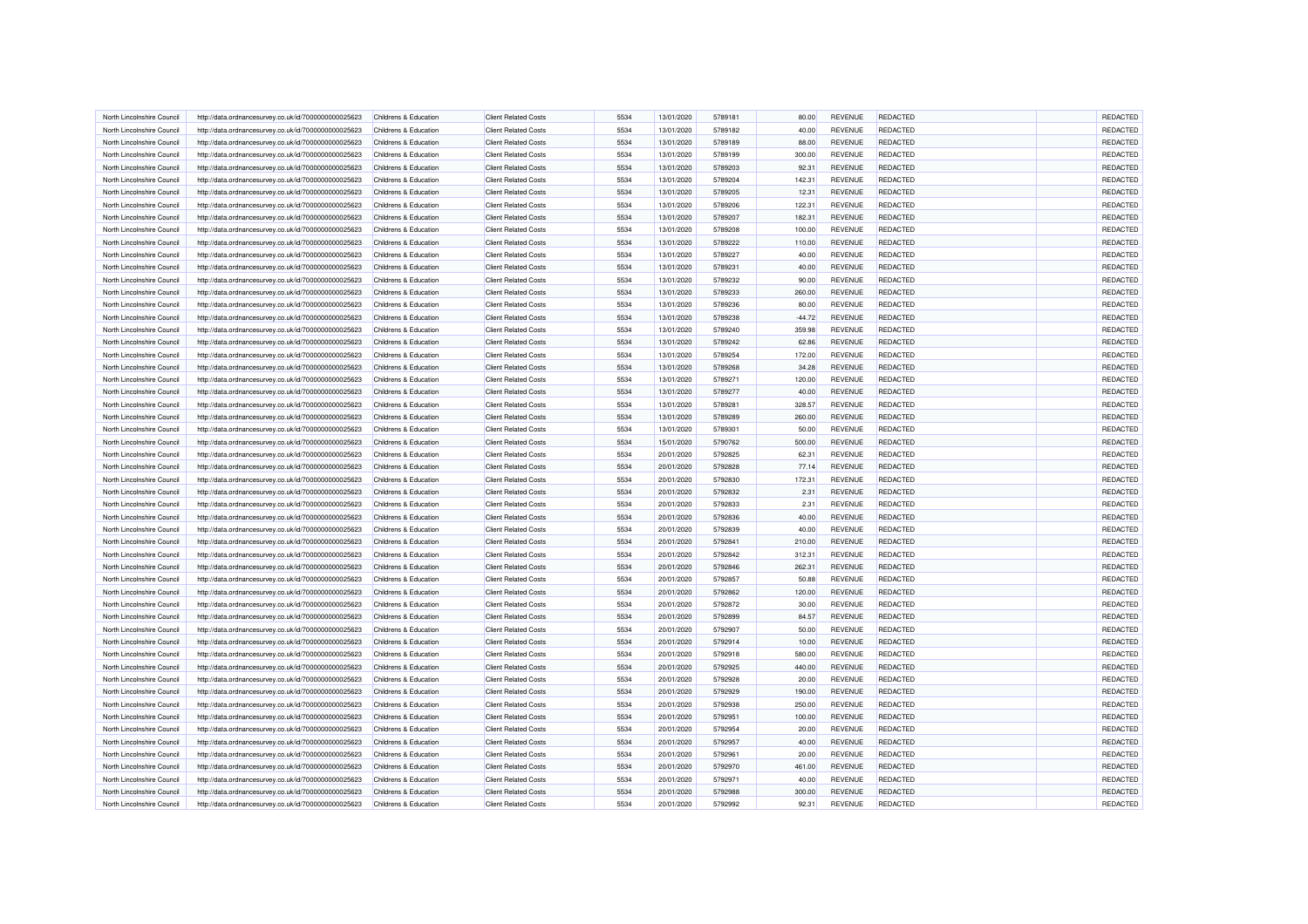| North Lincolnshire Council                               | http://data.ordnancesurvey.co.uk/id/7000000000025623 | Childrens & Education                          | <b>Client Related Costs</b>                                | 5534         | 13/01/2020 | 5789181            | 80.00          | REVENUE                          | <b>REDACTED</b>             | REDACTED        |
|----------------------------------------------------------|------------------------------------------------------|------------------------------------------------|------------------------------------------------------------|--------------|------------|--------------------|----------------|----------------------------------|-----------------------------|-----------------|
| North Lincolnshire Council                               | http://data.ordnancesurvey.co.uk/id/7000000000025623 | Childrens & Education                          | <b>Client Related Costs</b>                                | 5534         | 13/01/2020 | 5789182            | 40.00          | <b>REVENUE</b>                   | <b>REDACTED</b>             | REDACTED        |
| North Lincolnshire Council                               | http://data.ordnancesurvey.co.uk/id/7000000000025623 | Childrens & Education                          | <b>Client Related Costs</b>                                | 5534         | 13/01/2020 | 5789189            | 88.00          | <b>REVENUE</b>                   | REDACTED                    | REDACTED        |
| North Lincolnshire Council                               | http://data.ordnancesurvey.co.uk/id/7000000000025623 | Childrens & Education                          | <b>Client Related Costs</b>                                | 5534         | 13/01/2020 | 5789199            | 300.00         | <b>REVENUE</b>                   | <b>REDACTED</b>             | REDACTED        |
| North Lincolnshire Council                               | http://data.ordnancesurvey.co.uk/id/7000000000025623 | Childrens & Education                          | Client Related Costs                                       | 5534         | 13/01/2020 | 5789203            | 92.31          | <b>REVENUE</b>                   | <b>REDACTED</b>             | REDACTED        |
| North Lincolnshire Council                               | http://data.ordnancesurvey.co.uk/id/7000000000025623 | Childrens & Education                          | <b>Client Related Costs</b>                                | 5534         | 13/01/2020 | 5789204            | 142.31         | <b>REVENUE</b>                   | REDACTED                    | <b>REDACTED</b> |
| North Lincolnshire Council                               | http://data.ordnancesurvey.co.uk/id/7000000000025623 | Childrens & Education                          | <b>Client Related Costs</b>                                | 5534         | 13/01/2020 | 5789205            | 12.31          | <b>REVENUE</b>                   | <b>REDACTED</b>             | REDACTED        |
| North Lincolnshire Council                               | http://data.ordnancesurvey.co.uk/id/7000000000025623 | Childrens & Education                          | <b>Client Related Costs</b>                                | 5534         | 13/01/2020 | 5789206            | 122.31         | <b>REVENUE</b>                   | <b>REDACTED</b>             | REDACTED        |
| North Lincolnshire Council                               | http://data.ordnancesurvey.co.uk/id/7000000000025623 | Childrens & Education                          | <b>Client Related Costs</b>                                | 5534         | 13/01/2020 | 5789207            | 182.31         | <b>REVENUE</b>                   | REDACTED                    | REDACTED        |
| North Lincolnshire Council                               | http://data.ordnancesurvey.co.uk/id/7000000000025623 | Childrens & Education                          | <b>Client Related Costs</b>                                | 5534         | 13/01/2020 | 5789208            | 100.00         | <b>REVENUE</b>                   | <b>REDACTED</b>             | REDACTED        |
| North Lincolnshire Council                               | http://data.ordnancesurvey.co.uk/id/7000000000025623 | Childrens & Education                          | <b>Client Related Costs</b>                                | 5534         | 13/01/2020 | 5789222            | 110.00         | <b>REVENUE</b>                   | <b>REDACTED</b>             | REDACTED        |
| North Lincolnshire Council                               | http://data.ordnancesurvey.co.uk/id/7000000000025623 | Childrens & Education                          | <b>Client Related Costs</b>                                | 5534         |            | 5789227            | 40.00          | <b>REVENUE</b>                   | REDACTED                    | <b>REDACTED</b> |
|                                                          |                                                      |                                                |                                                            | 5534         | 13/01/2020 | 5789231            |                |                                  | <b>REDACTED</b>             | REDACTED        |
| North Lincolnshire Council<br>North Lincolnshire Council | http://data.ordnancesurvey.co.uk/id/7000000000025623 | Childrens & Education<br>Childrens & Education | <b>Client Related Costs</b><br><b>Client Related Costs</b> | 5534         | 13/01/2020 | 5789232            | 40.00<br>90.00 | <b>REVENUE</b><br><b>REVENUE</b> | <b>REDACTED</b>             |                 |
|                                                          | http://data.ordnancesurvey.co.uk/id/7000000000025623 |                                                |                                                            |              | 13/01/2020 |                    |                |                                  |                             | REDACTED        |
| North Lincolnshire Council                               | http://data.ordnancesurvey.co.uk/id/7000000000025623 | Childrens & Education                          | <b>Client Related Costs</b>                                | 5534         | 13/01/2020 | 5789233            | 260.00         | <b>REVENUE</b>                   | REDACTED                    | REDACTED        |
| North Lincolnshire Council                               | http://data.ordnancesurvey.co.uk/id/7000000000025623 | Childrens & Education                          | <b>Client Related Costs</b>                                | 5534         | 13/01/2020 | 5789236            | 80.00          | <b>REVENUE</b>                   | <b>REDACTED</b>             | REDACTED        |
| North Lincolnshire Council                               | http://data.ordnancesurvey.co.uk/id/7000000000025623 | Childrens & Education                          | <b>Client Related Costs</b>                                | 5534         | 13/01/2020 | 5789238            | $-44.72$       | <b>REVENUE</b>                   | <b>REDACTED</b>             | REDACTED        |
| North Lincolnshire Council                               | http://data.ordnancesurvey.co.uk/id/7000000000025623 | Childrens & Education                          | <b>Client Related Costs</b>                                | 5534         | 13/01/2020 | 5789240            | 359.98         | <b>REVENUE</b>                   | REDACTED                    | <b>REDACTED</b> |
| North Lincolnshire Council                               | http://data.ordnancesurvey.co.uk/id/7000000000025623 | Childrens & Education                          | <b>Client Related Costs</b>                                | 5534         | 13/01/2020 | 5789242            | 62.86          | <b>REVENUE</b>                   | <b>REDACTED</b>             | <b>REDACTED</b> |
| North Lincolnshire Council                               | http://data.ordnancesurvey.co.uk/id/7000000000025623 | Childrens & Education                          | Client Related Costs                                       | 5534         | 13/01/2020 | 5789254            | 172.00         | <b>REVENUE</b>                   | <b>REDACTED</b>             | REDACTED        |
| North Lincolnshire Council                               | http://data.ordnancesurvey.co.uk/id/7000000000025623 | Childrens & Education                          | <b>Client Related Costs</b>                                | 5534         | 13/01/2020 | 5789268            | 34.28          | <b>REVENUE</b>                   | REDACTED                    | REDACTED        |
| North Lincolnshire Council                               | http://data.ordnancesurvey.co.uk/id/7000000000025623 | Childrens & Education                          | <b>Client Related Costs</b>                                | 5534         | 13/01/2020 | 5789271            | 120.00         | <b>REVENUE</b>                   | <b>REDACTED</b>             | REDACTED        |
| North Lincolnshire Council                               | http://data.ordnancesurvey.co.uk/id/7000000000025623 | Childrens & Education                          | <b>Client Related Costs</b>                                | 5534         | 13/01/2020 | 5789277            | 40.00          | <b>REVENUE</b>                   | <b>REDACTED</b>             | REDACTED        |
| North Lincolnshire Council                               | http://data.ordnancesurvey.co.uk/id/7000000000025623 | Childrens & Education                          | <b>Client Related Costs</b>                                | 5534         | 13/01/2020 | 5789281            | 328.57         | <b>REVENUE</b>                   | REDACTED                    | <b>REDACTED</b> |
| North Lincolnshire Council                               | http://data.ordnancesurvey.co.uk/id/7000000000025623 | Childrens & Education                          | <b>Client Related Costs</b>                                | 5534         | 13/01/2020 | 5789289            | 260.00         | <b>REVENUE</b>                   | <b>REDACTED</b>             | REDACTED        |
| North Lincolnshire Council                               | http://data.ordnancesurvey.co.uk/id/7000000000025623 | Childrens & Education                          | Client Related Costs                                       | 5534         | 13/01/2020 | 5789301            | 50.00          | <b>REVENUE</b>                   | <b>REDACTED</b>             | REDACTED        |
| North Lincolnshire Council                               | http://data.ordnancesurvey.co.uk/id/7000000000025623 | Childrens & Education                          | <b>Client Related Costs</b>                                | 5534         | 15/01/2020 | 5790762            | 500.00         | <b>REVENUE</b>                   | REDACTED                    | REDACTED        |
| North Lincolnshire Council                               | http://data.ordnancesurvey.co.uk/id/7000000000025623 | Childrens & Education                          | <b>Client Related Costs</b>                                | 5534         | 20/01/2020 | 5792825            | 62.31          | <b>REVENUE</b>                   | <b>REDACTED</b>             | REDACTED        |
| North Lincolnshire Council                               | http://data.ordnancesurvey.co.uk/id/7000000000025623 | Childrens & Education                          | <b>Client Related Costs</b>                                | 5534         | 20/01/2020 | 5792828            | 77.14          | <b>REVENUE</b>                   | <b>REDACTED</b>             | REDACTED        |
| North Lincolnshire Council                               | http://data.ordnancesurvey.co.uk/id/7000000000025623 | Childrens & Education                          | <b>Client Related Costs</b>                                | 5534         | 20/01/2020 | 5792830            | 172.31         | <b>REVENUE</b>                   | REDACTED                    | REDACTED        |
| North Lincolnshire Council                               | http://data.ordnancesurvey.co.uk/id/7000000000025623 | Childrens & Education                          | <b>Client Related Costs</b>                                | 5534         | 20/01/2020 | 5792832            | 2.31           | <b>REVENUE</b>                   | <b>REDACTED</b>             | REDACTED        |
| North Lincolnshire Council                               | http://data.ordnancesurvey.co.uk/id/7000000000025623 | Childrens & Education                          | <b>Client Related Costs</b>                                | 5534         | 20/01/2020 | 5792833            | 2.31           | <b>REVENUE</b>                   | <b>REDACTED</b>             | REDACTED        |
| North Lincolnshire Council                               | http://data.ordnancesurvey.co.uk/id/7000000000025623 | Childrens & Education                          | <b>Client Related Costs</b>                                | 5534         | 20/01/2020 | 5792836            | 40.00          | <b>REVENUE</b>                   | REDACTED                    | REDACTED        |
| North Lincolnshire Council                               | http://data.ordnancesurvey.co.uk/id/7000000000025623 | Childrens & Education                          | <b>Client Related Costs</b>                                | 5534         | 20/01/2020 | 5792839            | 40.00          | <b>REVENUE</b>                   | <b>REDACTED</b>             | REDACTED        |
| North Lincolnshire Council                               | http://data.ordnancesurvey.co.uk/id/7000000000025623 | Childrens & Education                          | <b>Client Related Costs</b>                                | 5534         | 20/01/2020 | 5792841            | 210.00         | <b>REVENUE</b>                   | <b>REDACTED</b>             | REDACTED        |
| North Lincolnshire Council                               | http://data.ordnancesurvey.co.uk/id/7000000000025623 | Childrens & Education                          | <b>Client Related Costs</b>                                | 5534         | 20/01/2020 | 5792842            | 312.31         | <b>REVENUE</b>                   | REDACTED                    | <b>REDACTED</b> |
| North Lincolnshire Council                               | http://data.ordnancesurvey.co.uk/id/7000000000025623 | Childrens & Education                          | <b>Client Related Costs</b>                                | 5534         | 20/01/2020 | 5792846            | 262.31         | REVENUE                          | <b>REDACTED</b>             | REDACTED        |
|                                                          |                                                      |                                                |                                                            |              |            |                    |                |                                  |                             | REDACTED        |
| North Lincolnshire Council<br>North Lincolnshire Council | http://data.ordnancesurvey.co.uk/id/7000000000025623 | Childrens & Education                          | <b>Client Related Costs</b>                                | 5534<br>5534 | 20/01/2020 | 5792857<br>5792862 | 50.88          | <b>REVENUE</b><br><b>REVENUE</b> | <b>REDACTED</b><br>REDACTED | REDACTED        |
|                                                          | http://data.ordnancesurvey.co.uk/id/7000000000025623 | Childrens & Education                          | <b>Client Related Costs</b>                                |              | 20/01/2020 |                    | 120.00         |                                  |                             |                 |
| North Lincolnshire Council                               | http://data.ordnancesurvey.co.uk/id/7000000000025623 | Childrens & Education                          | <b>Client Related Costs</b>                                | 5534         | 20/01/2020 | 5792872            | 30.00          | <b>REVENUE</b>                   | <b>REDACTED</b>             | <b>REDACTED</b> |
| North Lincolnshire Council                               | http://data.ordnancesurvey.co.uk/id/7000000000025623 | Childrens & Education                          | <b>Client Related Costs</b>                                | 5534         | 20/01/2020 | 5792899            | 84.57          | <b>REVENUE</b>                   | <b>REDACTED</b>             | REDACTED        |
| North Lincolnshire Council                               | http://data.ordnancesurvey.co.uk/id/7000000000025623 | Childrens & Education                          | <b>Client Related Costs</b>                                | 5534         | 20/01/2020 | 5792907            | 50.00          | <b>REVENUE</b>                   | REDACTED                    | <b>REDACTED</b> |
| North Lincolnshire Council                               | http://data.ordnancesurvey.co.uk/id/7000000000025623 | Childrens & Education                          | <b>Client Related Costs</b>                                | 5534         | 20/01/2020 | 5792914            | 10.00          | <b>REVENUE</b>                   | REDACTED                    | REDACTED        |
| North Lincolnshire Council                               | http://data.ordnancesurvey.co.uk/id/7000000000025623 | Childrens & Education                          | <b>Client Related Costs</b>                                | 5534         | 20/01/2020 | 5792918            | 580.00         | <b>REVENUE</b>                   | <b>REDACTED</b>             | REDACTED        |
| North Lincolnshire Council                               | http://data.ordnancesurvey.co.uk/id/7000000000025623 | Childrens & Education                          | <b>Client Related Costs</b>                                | 5534         | 20/01/2020 | 5792925            | 440.00         | <b>REVENUE</b>                   | REDACTED                    | REDACTED        |
| North Lincolnshire Council                               | http://data.ordnancesurvey.co.uk/id/7000000000025623 | Childrens & Education                          | <b>Client Related Costs</b>                                | 5534         | 20/01/2020 | 5792928            | 20.00          | REVENUE                          | REDACTED                    | REDACTED        |
| North Lincolnshire Council                               | http://data.ordnancesurvey.co.uk/id/7000000000025623 | Childrens & Education                          | <b>Client Related Costs</b>                                | 5534         | 20/01/2020 | 5792929            | 190.00         | <b>REVENUE</b>                   | <b>REDACTED</b>             | REDACTED        |
| North Lincolnshire Council                               | http://data.ordnancesurvey.co.uk/id/7000000000025623 | Childrens & Education                          | <b>Client Related Costs</b>                                | 5534         | 20/01/2020 | 5792938            | 250.00         | <b>REVENUE</b>                   | REDACTED                    | REDACTED        |
| North Lincolnshire Council                               | http://data.ordnancesurvey.co.uk/id/7000000000025623 | Childrens & Education                          | <b>Client Related Costs</b>                                | 5534         | 20/01/2020 | 5792951            | 100.00         | <b>REVENUE</b>                   | REDACTED                    | REDACTED        |
| North Lincolnshire Council                               | http://data.ordnancesurvey.co.uk/id/7000000000025623 | Childrens & Education                          | <b>Client Related Costs</b>                                | 5534         | 20/01/2020 | 5792954            | 20.00          | <b>REVENUE</b>                   | <b>REDACTED</b>             | REDACTED        |
| North Lincolnshire Council                               | http://data.ordnancesurvey.co.uk/id/7000000000025623 | Childrens & Education                          | <b>Client Related Costs</b>                                | 5534         | 20/01/2020 | 5792957            | 40.00          | <b>REVENUE</b>                   | REDACTED                    | REDACTED        |
| North Lincolnshire Council                               | http://data.ordnancesurvey.co.uk/id/7000000000025623 | Childrens & Education                          | <b>Client Related Costs</b>                                | 5534         | 20/01/2020 | 5792961            | 20.00          | REVENUE                          | REDACTED                    | REDACTED        |
| North Lincolnshire Council                               | http://data.ordnancesurvey.co.uk/id/7000000000025623 | Childrens & Education                          | <b>Client Related Costs</b>                                | 5534         | 20/01/2020 | 5792970            | 461.00         | <b>REVENUE</b>                   | <b>REDACTED</b>             | REDACTED        |
| North Lincolnshire Council                               | http://data.ordnancesurvey.co.uk/id/7000000000025623 | Childrens & Education                          | <b>Client Related Costs</b>                                | 5534         | 20/01/2020 | 5792971            | 40.00          | <b>REVENUE</b>                   | REDACTED                    | REDACTED        |
| North Lincolnshire Council                               | http://data.ordnancesurvey.co.uk/id/7000000000025623 | Childrens & Education                          | <b>Client Related Costs</b>                                | 5534         | 20/01/2020 | 5792988            | 300.00         | <b>REVENUE</b>                   | <b>REDACTED</b>             | REDACTED        |
| North Lincolnshire Council                               | http://data.ordnancesurvey.co.uk/id/7000000000025623 | Childrens & Education                          | <b>Client Related Costs</b>                                | 5534         | 20/01/2020 | 5792992            | 92.31          | <b>REVENUE</b>                   | <b>REDACTED</b>             | REDACTED        |
|                                                          |                                                      |                                                |                                                            |              |            |                    |                |                                  |                             |                 |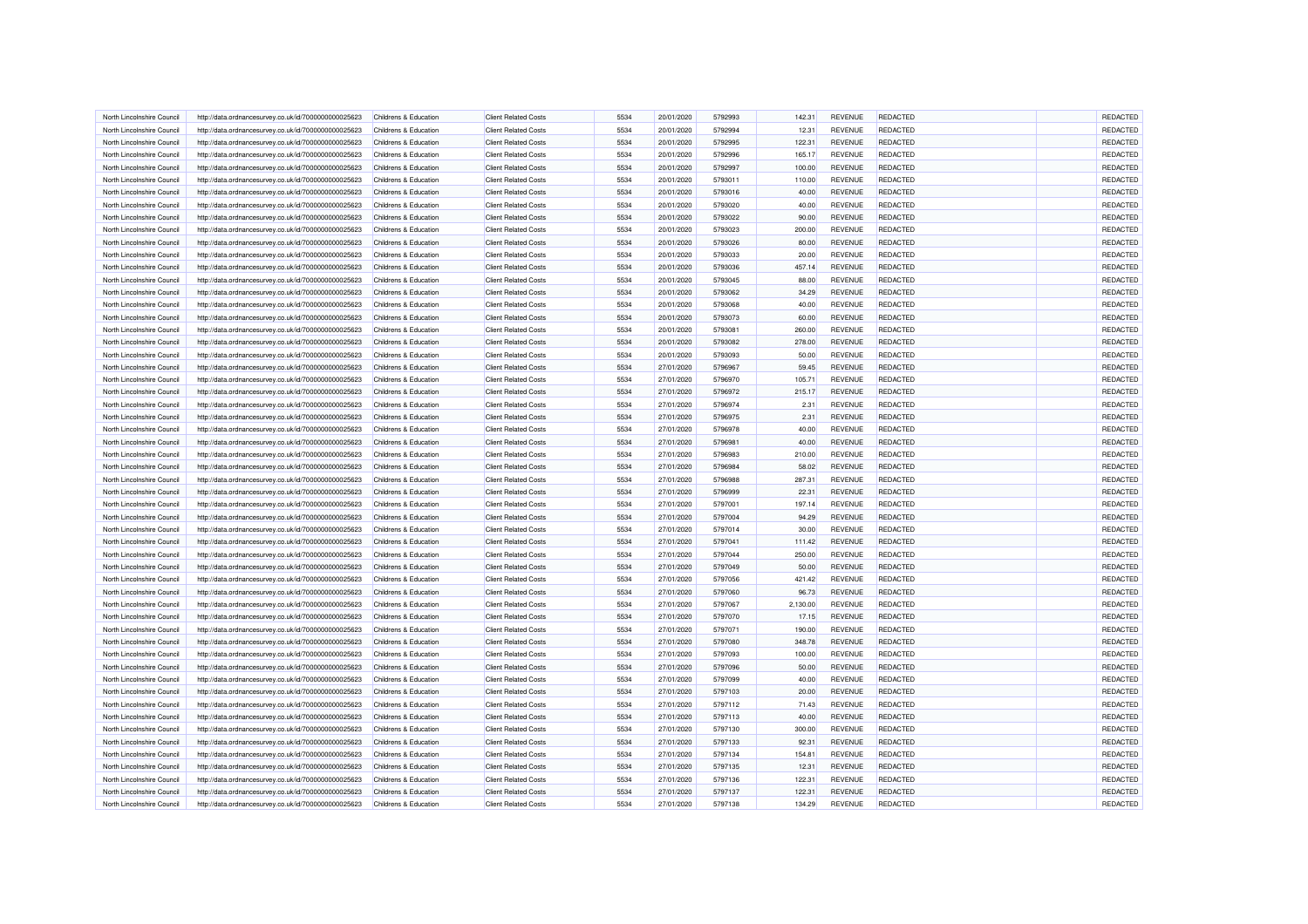| North Lincolnshire Council                               | http://data.ordnancesurvey.co.uk/id/7000000000025623 | Childrens & Education                          | <b>Client Related Costs</b>                                | 5534         | 20/01/2020 | 5792993            | 142.31   | REVENUE                          | <b>REDACTED</b> | REDACTED        |
|----------------------------------------------------------|------------------------------------------------------|------------------------------------------------|------------------------------------------------------------|--------------|------------|--------------------|----------|----------------------------------|-----------------|-----------------|
| North Lincolnshire Council                               | http://data.ordnancesurvey.co.uk/id/7000000000025623 | Childrens & Education                          | <b>Client Related Costs</b>                                | 5534         | 20/01/2020 | 5792994            | 12.31    | <b>REVENUE</b>                   | <b>REDACTED</b> | REDACTED        |
| North Lincolnshire Council                               | http://data.ordnancesurvey.co.uk/id/7000000000025623 | Childrens & Education                          | <b>Client Related Costs</b>                                | 5534         | 20/01/2020 | 5792995            | 122.31   | <b>REVENUE</b>                   | REDACTED        | REDACTED        |
| North Lincolnshire Council                               | http://data.ordnancesurvey.co.uk/id/7000000000025623 | Childrens & Education                          | <b>Client Related Costs</b>                                | 5534         | 20/01/2020 | 5792996            | 165.17   | <b>REVENUE</b>                   | <b>REDACTED</b> | REDACTED        |
| North Lincolnshire Council                               | http://data.ordnancesurvey.co.uk/id/7000000000025623 | Childrens & Education                          | Client Related Costs                                       | 5534         | 20/01/2020 | 5792997            | 100.00   | <b>REVENUE</b>                   | <b>REDACTED</b> | REDACTED        |
| North Lincolnshire Council                               | http://data.ordnancesurvey.co.uk/id/7000000000025623 | Childrens & Education                          | <b>Client Related Costs</b>                                | 5534         | 20/01/2020 | 5793011            | 110.00   | <b>REVENUE</b>                   | REDACTED        | <b>REDACTED</b> |
| North Lincolnshire Council                               | http://data.ordnancesurvey.co.uk/id/7000000000025623 | Childrens & Education                          | <b>Client Related Costs</b>                                | 5534         | 20/01/2020 | 5793016            | 40.00    | <b>REVENUE</b>                   | <b>REDACTED</b> | REDACTED        |
| North Lincolnshire Council                               | http://data.ordnancesurvey.co.uk/id/7000000000025623 | Childrens & Education                          | <b>Client Related Costs</b>                                | 5534         | 20/01/2020 | 5793020            | 40.00    | <b>REVENUE</b>                   | <b>REDACTED</b> | REDACTED        |
| North Lincolnshire Council                               | http://data.ordnancesurvey.co.uk/id/7000000000025623 | Childrens & Education                          | <b>Client Related Costs</b>                                | 5534         | 20/01/2020 | 5793022            | 90.00    | <b>REVENUE</b>                   | REDACTED        | REDACTED        |
| North Lincolnshire Council                               | http://data.ordnancesurvey.co.uk/id/7000000000025623 | Childrens & Education                          | <b>Client Related Costs</b>                                | 5534         | 20/01/2020 | 5793023            | 200.00   | <b>REVENUE</b>                   | <b>REDACTED</b> | REDACTED        |
| North Lincolnshire Council                               | http://data.ordnancesurvey.co.uk/id/7000000000025623 | Childrens & Education                          | <b>Client Related Costs</b>                                | 5534         | 20/01/2020 | 5793026            | 80.00    | <b>REVENUE</b>                   | <b>REDACTED</b> | REDACTED        |
| North Lincolnshire Council                               | http://data.ordnancesurvey.co.uk/id/7000000000025623 | Childrens & Education                          | <b>Client Related Costs</b>                                | 5534         |            | 5793033            | 20.00    | <b>REVENUE</b>                   | REDACTED        | <b>REDACTED</b> |
|                                                          |                                                      |                                                |                                                            | 5534         | 20/01/2020 | 5793036            | 457.14   |                                  | <b>REDACTED</b> | REDACTED        |
| North Lincolnshire Council<br>North Lincolnshire Council | http://data.ordnancesurvey.co.uk/id/7000000000025623 | Childrens & Education<br>Childrens & Education | <b>Client Related Costs</b><br><b>Client Related Costs</b> | 5534         | 20/01/2020 | 5793045            | 88.00    | <b>REVENUE</b><br><b>REVENUE</b> | <b>REDACTED</b> |                 |
|                                                          | http://data.ordnancesurvey.co.uk/id/7000000000025623 |                                                |                                                            |              | 20/01/2020 |                    |          |                                  |                 | REDACTED        |
| North Lincolnshire Council                               | http://data.ordnancesurvey.co.uk/id/7000000000025623 | Childrens & Education                          | <b>Client Related Costs</b>                                | 5534         | 20/01/2020 | 5793062            | 34.29    | <b>REVENUE</b>                   | REDACTED        | REDACTED        |
| North Lincolnshire Council                               | http://data.ordnancesurvey.co.uk/id/7000000000025623 | Childrens & Education                          | <b>Client Related Costs</b>                                | 5534         | 20/01/2020 | 5793068            | 40.00    | <b>REVENUE</b>                   | <b>REDACTED</b> | REDACTED        |
| North Lincolnshire Council                               | http://data.ordnancesurvey.co.uk/id/7000000000025623 | Childrens & Education                          | <b>Client Related Costs</b>                                | 5534         | 20/01/2020 | 5793073            | 60.00    | <b>REVENUE</b>                   | <b>REDACTED</b> | REDACTED        |
| North Lincolnshire Council                               | http://data.ordnancesurvey.co.uk/id/7000000000025623 | Childrens & Education                          | <b>Client Related Costs</b>                                | 5534         | 20/01/2020 | 5793081            | 260.00   | <b>REVENUE</b>                   | REDACTED        | <b>REDACTED</b> |
| North Lincolnshire Council                               | http://data.ordnancesurvey.co.uk/id/7000000000025623 | Childrens & Education                          | <b>Client Related Costs</b>                                | 5534         | 20/01/2020 | 5793082            | 278.00   | <b>REVENUE</b>                   | <b>REDACTED</b> | <b>REDACTED</b> |
| North Lincolnshire Council                               | http://data.ordnancesurvey.co.uk/id/7000000000025623 | Childrens & Education                          | Client Related Costs                                       | 5534         | 20/01/2020 | 5793093            | 50.00    | <b>REVENUE</b>                   | <b>REDACTED</b> | REDACTED        |
| North Lincolnshire Council                               | http://data.ordnancesurvey.co.uk/id/7000000000025623 | Childrens & Education                          | Client Related Costs                                       | 5534         | 27/01/2020 | 5796967            | 59.45    | <b>REVENUE</b>                   | REDACTED        | REDACTED        |
| North Lincolnshire Council                               | http://data.ordnancesurvey.co.uk/id/7000000000025623 | Childrens & Education                          | <b>Client Related Costs</b>                                | 5534         | 27/01/2020 | 5796970            | 105.71   | <b>REVENUE</b>                   | <b>REDACTED</b> | REDACTED        |
| North Lincolnshire Council                               | http://data.ordnancesurvey.co.uk/id/7000000000025623 | Childrens & Education                          | <b>Client Related Costs</b>                                | 5534         | 27/01/2020 | 5796972            | 215.17   | <b>REVENUE</b>                   | <b>REDACTED</b> | REDACTED        |
| North Lincolnshire Council                               | http://data.ordnancesurvey.co.uk/id/7000000000025623 | Childrens & Education                          | <b>Client Related Costs</b>                                | 5534         | 27/01/2020 | 5796974            | 2.31     | <b>REVENUE</b>                   | REDACTED        | <b>REDACTED</b> |
| North Lincolnshire Council                               | http://data.ordnancesurvey.co.uk/id/7000000000025623 | Childrens & Education                          | <b>Client Related Costs</b>                                | 5534         | 27/01/2020 | 5796975            | 2.31     | <b>REVENUE</b>                   | <b>REDACTED</b> | REDACTED        |
| North Lincolnshire Council                               | http://data.ordnancesurvey.co.uk/id/7000000000025623 | Childrens & Education                          | Client Related Costs                                       | 5534         | 27/01/2020 | 5796978            | 40.00    | <b>REVENUE</b>                   | <b>REDACTED</b> | REDACTED        |
| North Lincolnshire Council                               | http://data.ordnancesurvey.co.uk/id/7000000000025623 | Childrens & Education                          | <b>Client Related Costs</b>                                | 5534         | 27/01/2020 | 5796981            | 40.00    | <b>REVENUE</b>                   | REDACTED        | REDACTED        |
| North Lincolnshire Council                               | http://data.ordnancesurvey.co.uk/id/7000000000025623 | Childrens & Education                          | <b>Client Related Costs</b>                                | 5534         | 27/01/2020 | 5796983            | 210.00   | <b>REVENUE</b>                   | <b>REDACTED</b> | REDACTED        |
| North Lincolnshire Council                               | http://data.ordnancesurvey.co.uk/id/7000000000025623 | Childrens & Education                          | <b>Client Related Costs</b>                                | 5534         | 27/01/2020 | 5796984            | 58.02    | <b>REVENUE</b>                   | <b>REDACTED</b> | REDACTED        |
| North Lincolnshire Council                               | http://data.ordnancesurvey.co.uk/id/7000000000025623 | Childrens & Education                          | <b>Client Related Costs</b>                                | 5534         | 27/01/2020 | 5796988            | 287.31   | <b>REVENUE</b>                   | REDACTED        | REDACTED        |
| North Lincolnshire Council                               | http://data.ordnancesurvey.co.uk/id/7000000000025623 | Childrens & Education                          | <b>Client Related Costs</b>                                | 5534         | 27/01/2020 | 5796999            | 22.31    | <b>REVENUE</b>                   | <b>REDACTED</b> | REDACTED        |
| North Lincolnshire Council                               | http://data.ordnancesurvey.co.uk/id/7000000000025623 | Childrens & Education                          | <b>Client Related Costs</b>                                | 5534         | 27/01/2020 | 5797001            | 197.14   | <b>REVENUE</b>                   | <b>REDACTED</b> | REDACTED        |
| North Lincolnshire Council                               | http://data.ordnancesurvey.co.uk/id/7000000000025623 | Childrens & Education                          | <b>Client Related Costs</b>                                | 5534         | 27/01/2020 | 5797004            | 94.29    | <b>REVENUE</b>                   | REDACTED        | REDACTED        |
| North Lincolnshire Council                               | http://data.ordnancesurvey.co.uk/id/7000000000025623 | Childrens & Education                          | <b>Client Related Costs</b>                                | 5534         | 27/01/2020 | 5797014            | 30.00    | <b>REVENUE</b>                   | <b>REDACTED</b> | REDACTED        |
| North Lincolnshire Council                               | http://data.ordnancesurvey.co.uk/id/7000000000025623 | Childrens & Education                          | <b>Client Related Costs</b>                                | 5534         | 27/01/2020 | 5797041            | 111.42   | <b>REVENUE</b>                   | <b>REDACTED</b> | REDACTED        |
| North Lincolnshire Council                               | http://data.ordnancesurvey.co.uk/id/7000000000025623 | Childrens & Education                          | <b>Client Related Costs</b>                                | 5534         | 27/01/2020 | 5797044            | 250.00   | <b>REVENUE</b>                   | REDACTED        | <b>REDACTED</b> |
|                                                          |                                                      |                                                |                                                            | 5534         |            | 5797049            |          | REVENUE                          | REDACTED        | REDACTED        |
| North Lincolnshire Council                               | http://data.ordnancesurvey.co.uk/id/7000000000025623 | Childrens & Education                          | <b>Client Related Costs</b>                                |              | 27/01/2020 |                    | 50.00    |                                  |                 |                 |
| North Lincolnshire Council<br>North Lincolnshire Council | http://data.ordnancesurvey.co.uk/id/7000000000025623 | Childrens & Education                          | <b>Client Related Costs</b>                                | 5534<br>5534 | 27/01/2020 | 5797056<br>5797060 | 421.42   | <b>REVENUE</b>                   | <b>REDACTED</b> | REDACTED        |
|                                                          | http://data.ordnancesurvey.co.uk/id/7000000000025623 | Childrens & Education                          | <b>Client Related Costs</b>                                |              | 27/01/2020 |                    | 96.73    | <b>REVENUE</b>                   | REDACTED        | REDACTED        |
| North Lincolnshire Council                               | http://data.ordnancesurvey.co.uk/id/7000000000025623 | Childrens & Education                          | <b>Client Related Costs</b>                                | 5534         | 27/01/2020 | 5797067            | 2,130.00 | <b>REVENUE</b>                   | <b>REDACTED</b> | <b>REDACTED</b> |
| North Lincolnshire Council                               | http://data.ordnancesurvey.co.uk/id/7000000000025623 | Childrens & Education                          | <b>Client Related Costs</b>                                | 5534         | 27/01/2020 | 5797070            | 17.15    | <b>REVENUE</b>                   | <b>REDACTED</b> | REDACTED        |
| North Lincolnshire Council                               | http://data.ordnancesurvey.co.uk/id/7000000000025623 | Childrens & Education                          | <b>Client Related Costs</b>                                | 5534         | 27/01/2020 | 5797071            | 190.00   | <b>REVENUE</b>                   | REDACTED        | <b>REDACTED</b> |
| North Lincolnshire Council                               | http://data.ordnancesurvey.co.uk/id/7000000000025623 | Childrens & Education                          | <b>Client Related Costs</b>                                | 5534         | 27/01/2020 | 5797080            | 348.78   | <b>REVENUE</b>                   | REDACTED        | REDACTED        |
| North Lincolnshire Council                               | http://data.ordnancesurvey.co.uk/id/7000000000025623 | Childrens & Education                          | <b>Client Related Costs</b>                                | 5534         | 27/01/2020 | 5797093            | 100.00   | <b>REVENUE</b>                   | <b>REDACTED</b> | REDACTED        |
| North Lincolnshire Council                               | http://data.ordnancesurvey.co.uk/id/7000000000025623 | Childrens & Education                          | <b>Client Related Costs</b>                                | 5534         | 27/01/2020 | 5797096            | 50.00    | <b>REVENUE</b>                   | REDACTED        | REDACTED        |
| North Lincolnshire Council                               | http://data.ordnancesurvey.co.uk/id/7000000000025623 | Childrens & Education                          | <b>Client Related Costs</b>                                | 5534         | 27/01/2020 | 5797099            | 40.00    | REVENUE                          | REDACTED        | REDACTED        |
| North Lincolnshire Council                               | http://data.ordnancesurvey.co.uk/id/7000000000025623 | Childrens & Education                          | <b>Client Related Costs</b>                                | 5534         | 27/01/2020 | 5797103            | 20.00    | <b>REVENUE</b>                   | <b>REDACTED</b> | REDACTED        |
| North Lincolnshire Council                               | http://data.ordnancesurvey.co.uk/id/7000000000025623 | Childrens & Education                          | <b>Client Related Costs</b>                                | 5534         | 27/01/2020 | 5797112            | 71.43    | <b>REVENUE</b>                   | REDACTED        | REDACTED        |
| North Lincolnshire Council                               | http://data.ordnancesurvey.co.uk/id/7000000000025623 | Childrens & Education                          | <b>Client Related Costs</b>                                | 5534         | 27/01/2020 | 5797113            | 40.00    | <b>REVENUE</b>                   | REDACTED        | REDACTED        |
| North Lincolnshire Council                               | http://data.ordnancesurvey.co.uk/id/7000000000025623 | <b>Childrens &amp; Education</b>               | <b>Client Related Costs</b>                                | 5534         | 27/01/2020 | 5797130            | 300.00   | <b>REVENUE</b>                   | <b>REDACTED</b> | REDACTED        |
| North Lincolnshire Council                               | http://data.ordnancesurvey.co.uk/id/7000000000025623 | Childrens & Education                          | <b>Client Related Costs</b>                                | 5534         | 27/01/2020 | 5797133            | 92.31    | <b>REVENUE</b>                   | REDACTED        | REDACTED        |
| North Lincolnshire Council                               | http://data.ordnancesurvey.co.uk/id/7000000000025623 | Childrens & Education                          | <b>Client Related Costs</b>                                | 5534         | 27/01/2020 | 5797134            | 154.81   | REVENUE                          | REDACTED        | REDACTED        |
| North Lincolnshire Council                               | http://data.ordnancesurvey.co.uk/id/7000000000025623 | Childrens & Education                          | <b>Client Related Costs</b>                                | 5534         | 27/01/2020 | 5797135            | 12.31    | <b>REVENUE</b>                   | <b>REDACTED</b> | REDACTED        |
| North Lincolnshire Council                               | http://data.ordnancesurvey.co.uk/id/7000000000025623 | Childrens & Education                          | <b>Client Related Costs</b>                                | 5534         | 27/01/2020 | 5797136            | 122.31   | <b>REVENUE</b>                   | <b>REDACTED</b> | REDACTED        |
| North Lincolnshire Council                               | http://data.ordnancesurvey.co.uk/id/7000000000025623 | Childrens & Education                          | <b>Client Related Costs</b>                                | 5534         | 27/01/2020 | 5797137            | 122.31   | <b>REVENUE</b>                   | <b>REDACTED</b> | REDACTED        |
| North Lincolnshire Council                               | http://data.ordnancesurvey.co.uk/id/7000000000025623 | Childrens & Education                          | <b>Client Related Costs</b>                                | 5534         | 27/01/2020 | 5797138            | 134.29   | <b>REVENUE</b>                   | <b>REDACTED</b> | REDACTED        |
|                                                          |                                                      |                                                |                                                            |              |            |                    |          |                                  |                 |                 |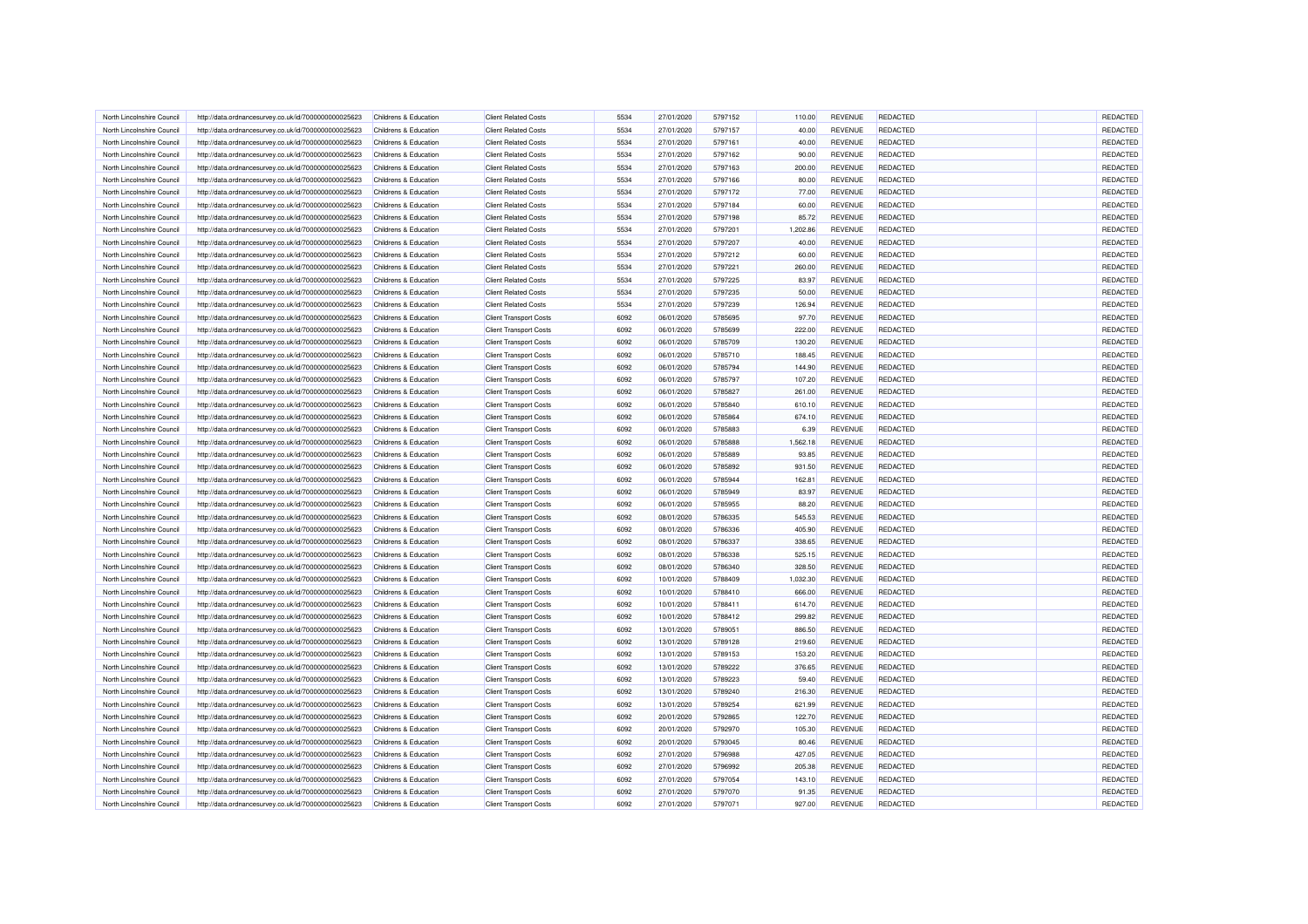| North Lincolnshire Council                               | http://data.ordnancesurvey.co.uk/id/7000000000025623 | Childrens & Education | <b>Client Related Costs</b>   | 5534         | 27/01/2020 | 5797152            | 110.00   | REVENUE        | <b>REDACTED</b> | <b>REDACTED</b> |  |
|----------------------------------------------------------|------------------------------------------------------|-----------------------|-------------------------------|--------------|------------|--------------------|----------|----------------|-----------------|-----------------|--|
| North Lincolnshire Council                               | http://data.ordnancesurvey.co.uk/id/7000000000025623 | Childrens & Education | <b>Client Related Costs</b>   | 5534         | 27/01/2020 | 5797157            | 40.00    | <b>REVENUE</b> | <b>REDACTED</b> | REDACTED        |  |
| North Lincolnshire Council                               | http://data.ordnancesurvey.co.uk/id/7000000000025623 | Childrens & Education | <b>Client Related Costs</b>   | 5534         | 27/01/2020 | 5797161            | 40.00    | <b>REVENUE</b> | REDACTED        | REDACTED        |  |
| North Lincolnshire Council                               | http://data.ordnancesurvey.co.uk/id/7000000000025623 | Childrens & Education | <b>Client Related Costs</b>   | 5534         | 27/01/2020 | 5797162            | 90.00    | <b>REVENUE</b> | <b>REDACTED</b> | REDACTED        |  |
| North Lincolnshire Council                               | http://data.ordnancesurvey.co.uk/id/7000000000025623 | Childrens & Education | Client Related Costs          | 5534         | 27/01/2020 | 5797163            | 200.00   | <b>REVENUE</b> | <b>REDACTED</b> | REDACTED        |  |
| North Lincolnshire Council                               | http://data.ordnancesurvey.co.uk/id/7000000000025623 | Childrens & Education | <b>Client Related Costs</b>   | 5534         | 27/01/2020 | 5797166            | 80.00    | <b>REVENUE</b> | REDACTED        | <b>REDACTED</b> |  |
| North Lincolnshire Council                               | http://data.ordnancesurvey.co.uk/id/7000000000025623 | Childrens & Education | <b>Client Related Costs</b>   | 5534         | 27/01/2020 | 5797172            | 77.00    | <b>REVENUE</b> | <b>REDACTED</b> | REDACTED        |  |
| North Lincolnshire Council                               | http://data.ordnancesurvey.co.uk/id/7000000000025623 | Childrens & Education | <b>Client Related Costs</b>   | 5534         | 27/01/2020 | 5797184            | 60.00    | <b>REVENUE</b> | <b>REDACTED</b> | REDACTED        |  |
| North Lincolnshire Council                               | http://data.ordnancesurvey.co.uk/id/7000000000025623 | Childrens & Education | <b>Client Related Costs</b>   | 5534         | 27/01/2020 | 5797198            | 85.72    | REVENUE        | REDACTED        | REDACTED        |  |
| North Lincolnshire Council                               | http://data.ordnancesurvey.co.uk/id/7000000000025623 | Childrens & Education | <b>Client Related Costs</b>   | 5534         | 27/01/2020 | 5797201            | 1,202.86 | <b>REVENUE</b> | <b>REDACTED</b> | REDACTED        |  |
| North Lincolnshire Council                               | http://data.ordnancesurvey.co.uk/id/7000000000025623 | Childrens & Education | <b>Client Related Costs</b>   | 5534         | 27/01/2020 | 5797207            | 40.00    | <b>REVENUE</b> | <b>REDACTED</b> | REDACTED        |  |
| North Lincolnshire Council                               | http://data.ordnancesurvey.co.uk/id/7000000000025623 | Childrens & Education | <b>Client Related Costs</b>   | 5534         | 27/01/2020 | 5797212            | 60.00    | <b>REVENUE</b> | REDACTED        | <b>REDACTED</b> |  |
|                                                          |                                                      |                       |                               | 5534         |            |                    |          |                |                 |                 |  |
| North Lincolnshire Council                               | http://data.ordnancesurvey.co.uk/id/7000000000025623 | Childrens & Education | <b>Client Related Costs</b>   |              | 27/01/2020 | 5797221            | 260.00   | <b>REVENUE</b> | <b>REDACTED</b> | REDACTED        |  |
| North Lincolnshire Council                               | http://data.ordnancesurvey.co.uk/id/7000000000025623 | Childrens & Education | <b>Client Related Costs</b>   | 5534         | 27/01/2020 | 5797225            | 83.97    | <b>REVENUE</b> | <b>REDACTED</b> | REDACTED        |  |
| North Lincolnshire Council                               | http://data.ordnancesurvey.co.uk/id/7000000000025623 | Childrens & Education | <b>Client Related Costs</b>   | 5534         | 27/01/2020 | 5797235            | 50.00    | <b>REVENUE</b> | REDACTED        | REDACTED        |  |
| North Lincolnshire Council                               | http://data.ordnancesurvey.co.uk/id/7000000000025623 | Childrens & Education | <b>Client Related Costs</b>   | 5534         | 27/01/2020 | 5797239            | 126.94   | <b>REVENUE</b> | <b>REDACTED</b> | REDACTED        |  |
| North Lincolnshire Council                               | http://data.ordnancesurvey.co.uk/id/7000000000025623 | Childrens & Education | <b>Client Transport Costs</b> | 6092         | 06/01/2020 | 5785695            | 97.70    | <b>REVENUE</b> | <b>REDACTED</b> | REDACTED        |  |
| North Lincolnshire Council                               | http://data.ordnancesurvey.co.uk/id/7000000000025623 | Childrens & Education | <b>Client Transport Costs</b> | 6092         | 06/01/2020 | 5785699            | 222.00   | <b>REVENUE</b> | REDACTED        | <b>REDACTED</b> |  |
| North Lincolnshire Council                               | http://data.ordnancesurvey.co.uk/id/7000000000025623 | Childrens & Education | <b>Client Transport Costs</b> | 6092         | 06/01/2020 | 5785709            | 130.20   | <b>REVENUE</b> | <b>REDACTED</b> | REDACTED        |  |
| North Lincolnshire Council                               | http://data.ordnancesurvey.co.uk/id/7000000000025623 | Childrens & Education | <b>Client Transport Costs</b> | 6092         | 06/01/2020 | 5785710            | 188.45   | <b>REVENUE</b> | <b>REDACTED</b> | REDACTED        |  |
| North Lincolnshire Council                               | http://data.ordnancesurvey.co.uk/id/7000000000025623 | Childrens & Education | <b>Client Transport Costs</b> | 6092         | 06/01/2020 | 5785794            | 144.90   | <b>REVENUE</b> | REDACTED        | <b>REDACTED</b> |  |
| North Lincolnshire Council                               | http://data.ordnancesurvey.co.uk/id/7000000000025623 | Childrens & Education | <b>Client Transport Costs</b> | 6092         | 06/01/2020 | 5785797            | 107.20   | <b>REVENUE</b> | <b>REDACTED</b> | REDACTED        |  |
| North Lincolnshire Council                               | http://data.ordnancesurvey.co.uk/id/7000000000025623 | Childrens & Education | <b>Client Transport Costs</b> | 6092         | 06/01/2020 | 5785827            | 261.00   | <b>REVENUE</b> | <b>REDACTED</b> | REDACTED        |  |
| North Lincolnshire Council                               | http://data.ordnancesurvey.co.uk/id/7000000000025623 | Childrens & Education | <b>Client Transport Costs</b> | 6092         | 06/01/2020 | 5785840            | 610.10   | <b>REVENUE</b> | REDACTED        | <b>REDACTED</b> |  |
| North Lincolnshire Council                               | http://data.ordnancesurvey.co.uk/id/7000000000025623 | Childrens & Education | <b>Client Transport Costs</b> | 6092         | 06/01/2020 | 5785864            | 674.10   | <b>REVENUE</b> | <b>REDACTED</b> | REDACTED        |  |
| North Lincolnshire Council                               | http://data.ordnancesurvey.co.uk/id/7000000000025623 | Childrens & Education | <b>Client Transport Costs</b> | 6092         | 06/01/2020 | 5785883            | 6.39     | <b>REVENUE</b> | <b>REDACTED</b> | REDACTED        |  |
| North Lincolnshire Council                               | http://data.ordnancesurvey.co.uk/id/7000000000025623 | Childrens & Education | <b>Client Transport Costs</b> | 6092         | 06/01/2020 | 5785888            | 1,562.18 | <b>REVENUE</b> | REDACTED        | REDACTED        |  |
| North Lincolnshire Council                               | http://data.ordnancesurvey.co.uk/id/7000000000025623 | Childrens & Education | <b>Client Transport Costs</b> | 6092         | 06/01/2020 | 5785889            | 93.85    | <b>REVENUE</b> | <b>REDACTED</b> | REDACTED        |  |
| North Lincolnshire Council                               | http://data.ordnancesurvey.co.uk/id/7000000000025623 | Childrens & Education | <b>Client Transport Costs</b> | 6092         | 06/01/2020 | 5785892            | 931.50   | <b>REVENUE</b> | <b>REDACTED</b> | REDACTED        |  |
| North Lincolnshire Council                               | http://data.ordnancesurvey.co.uk/id/7000000000025623 | Childrens & Education | <b>Client Transport Costs</b> | 6092         | 06/01/2020 | 5785944            | 162.81   | <b>REVENUE</b> | REDACTED        | REDACTED        |  |
| North Lincolnshire Council                               | http://data.ordnancesurvey.co.uk/id/7000000000025623 | Childrens & Education | <b>Client Transport Costs</b> | 6092         | 06/01/2020 | 5785949            | 83.97    | <b>REVENUE</b> | <b>REDACTED</b> | REDACTED        |  |
| North Lincolnshire Council                               | http://data.ordnancesurvey.co.uk/id/7000000000025623 | Childrens & Education | <b>Client Transport Costs</b> | 6092         | 06/01/2020 | 5785955            | 88.20    | <b>REVENUE</b> | <b>REDACTED</b> | REDACTED        |  |
| North Lincolnshire Council                               | http://data.ordnancesurvey.co.uk/id/7000000000025623 | Childrens & Education | <b>Client Transport Costs</b> | 6092         | 08/01/2020 | 5786335            | 545.53   | <b>REVENUE</b> | REDACTED        | REDACTED        |  |
| North Lincolnshire Council                               | http://data.ordnancesurvey.co.uk/id/7000000000025623 | Childrens & Education | <b>Client Transport Costs</b> | 6092         | 08/01/2020 | 5786336            | 405.90   | <b>REVENUE</b> | <b>REDACTED</b> | REDACTED        |  |
| North Lincolnshire Council                               | http://data.ordnancesurvey.co.uk/id/7000000000025623 | Childrens & Education | <b>Client Transport Costs</b> | 6092         | 08/01/2020 | 5786337            | 338.65   | <b>REVENUE</b> | <b>REDACTED</b> | REDACTED        |  |
| North Lincolnshire Council                               | http://data.ordnancesurvey.co.uk/id/7000000000025623 | Childrens & Education | <b>Client Transport Costs</b> | 6092         | 08/01/2020 | 5786338            | 525.15   | <b>REVENUE</b> | REDACTED        | <b>REDACTED</b> |  |
|                                                          |                                                      |                       |                               | 6092         |            | 5786340            |          | REVENUE        | <b>REDACTED</b> | REDACTED        |  |
| North Lincolnshire Council                               | http://data.ordnancesurvey.co.uk/id/7000000000025623 | Childrens & Education | <b>Client Transport Costs</b> |              | 08/01/2020 |                    | 328.50   |                |                 |                 |  |
| North Lincolnshire Council<br>North Lincolnshire Council | http://data.ordnancesurvey.co.uk/id/7000000000025623 | Childrens & Education | <b>Client Transport Costs</b> | 6092<br>6092 | 10/01/2020 | 5788409<br>5788410 | 1,032.30 | <b>REVENUE</b> | <b>REDACTED</b> | REDACTED        |  |
|                                                          | http://data.ordnancesurvey.co.uk/id/7000000000025623 | Childrens & Education | <b>Client Transport Costs</b> |              | 10/01/2020 |                    | 666.00   | <b>REVENUE</b> | REDACTED        | REDACTED        |  |
| North Lincolnshire Council                               | http://data.ordnancesurvey.co.uk/id/7000000000025623 | Childrens & Education | <b>Client Transport Costs</b> | 6092         | 10/01/2020 | 5788411            | 614.70   | <b>REVENUE</b> | <b>REDACTED</b> | <b>REDACTED</b> |  |
| North Lincolnshire Council                               | http://data.ordnancesurvey.co.uk/id/7000000000025623 | Childrens & Education | <b>Client Transport Costs</b> | 6092         | 10/01/2020 | 5788412            | 299.82   | <b>REVENUE</b> | <b>REDACTED</b> | REDACTED        |  |
| North Lincolnshire Council                               | http://data.ordnancesurvey.co.uk/id/7000000000025623 | Childrens & Education | <b>Client Transport Costs</b> | 6092         | 13/01/2020 | 5789051            | 886.50   | <b>REVENUE</b> | REDACTED        | <b>REDACTED</b> |  |
| North Lincolnshire Council                               | http://data.ordnancesurvey.co.uk/id/7000000000025623 | Childrens & Education | <b>Client Transport Costs</b> | 6092         | 13/01/2020 | 5789128            | 219.60   | <b>REVENUE</b> | <b>REDACTED</b> | REDACTED        |  |
| North Lincolnshire Council                               | http://data.ordnancesurvey.co.uk/id/7000000000025623 | Childrens & Education | <b>Client Transport Costs</b> | 6092         | 13/01/2020 | 5789153            | 153.20   | <b>REVENUE</b> | <b>REDACTED</b> | REDACTED        |  |
| North Lincolnshire Council                               | http://data.ordnancesurvey.co.uk/id/7000000000025623 | Childrens & Education | <b>Client Transport Costs</b> | 6092         | 13/01/2020 | 5789222            | 376.65   | <b>REVENUE</b> | REDACTED        | REDACTED        |  |
| North Lincolnshire Council                               | http://data.ordnancesurvey.co.uk/id/7000000000025623 | Childrens & Education | <b>Client Transport Costs</b> | 6092         | 13/01/2020 | 5789223            | 59.40    | REVENUE        | REDACTED        | <b>REDACTED</b> |  |
| North Lincolnshire Council                               | http://data.ordnancesurvey.co.uk/id/7000000000025623 | Childrens & Education | <b>Client Transport Costs</b> | 6092         | 13/01/2020 | 5789240            | 216.30   | <b>REVENUE</b> | <b>REDACTED</b> | REDACTED        |  |
| North Lincolnshire Council                               | http://data.ordnancesurvey.co.uk/id/7000000000025623 | Childrens & Education | <b>Client Transport Costs</b> | 6092         | 13/01/2020 | 5789254            | 621.99   | <b>REVENUE</b> | REDACTED        | REDACTED        |  |
| North Lincolnshire Council                               | http://data.ordnancesurvey.co.uk/id/7000000000025623 | Childrens & Education | <b>Client Transport Costs</b> | 6092         | 20/01/2020 | 5792865            | 122.70   | <b>REVENUE</b> | <b>REDACTED</b> | REDACTED        |  |
| North Lincolnshire Council                               | http://data.ordnancesurvey.co.uk/id/7000000000025623 | Childrens & Education | <b>Client Transport Costs</b> | 6092         | 20/01/2020 | 5792970            | 105.30   | <b>REVENUE</b> | <b>REDACTED</b> | REDACTED        |  |
| North Lincolnshire Council                               | http://data.ordnancesurvey.co.uk/id/7000000000025623 | Childrens & Education | <b>Client Transport Costs</b> | 6092         | 20/01/2020 | 5793045            | 80.46    | <b>REVENUE</b> | <b>REDACTED</b> | <b>REDACTED</b> |  |
| North Lincolnshire Council                               | http://data.ordnancesurvey.co.uk/id/7000000000025623 | Childrens & Education | <b>Client Transport Costs</b> | 6092         | 27/01/2020 | 5796988            | 427.05   | <b>REVENUE</b> | REDACTED        | REDACTED        |  |
| North Lincolnshire Council                               | http://data.ordnancesurvey.co.uk/id/7000000000025623 | Childrens & Education | <b>Client Transport Costs</b> | 6092         | 27/01/2020 | 5796992            | 205.38   | <b>REVENUE</b> | <b>REDACTED</b> | REDACTED        |  |
| North Lincolnshire Council                               | http://data.ordnancesurvey.co.uk/id/7000000000025623 | Childrens & Education | <b>Client Transport Costs</b> | 6092         | 27/01/2020 | 5797054            | 143.10   | <b>REVENUE</b> | <b>REDACTED</b> | REDACTED        |  |
| North Lincolnshire Council                               | http://data.ordnancesurvey.co.uk/id/7000000000025623 | Childrens & Education | <b>Client Transport Costs</b> | 6092         | 27/01/2020 | 5797070            | 91.35    | <b>REVENUE</b> | <b>REDACTED</b> | REDACTED        |  |
| North Lincolnshire Council                               | http://data.ordnancesurvey.co.uk/id/7000000000025623 | Childrens & Education | <b>Client Transport Costs</b> | 6092         | 27/01/2020 | 5797071            | 927.00   | <b>REVENUE</b> | <b>REDACTED</b> | REDACTED        |  |
|                                                          |                                                      |                       |                               |              |            |                    |          |                |                 |                 |  |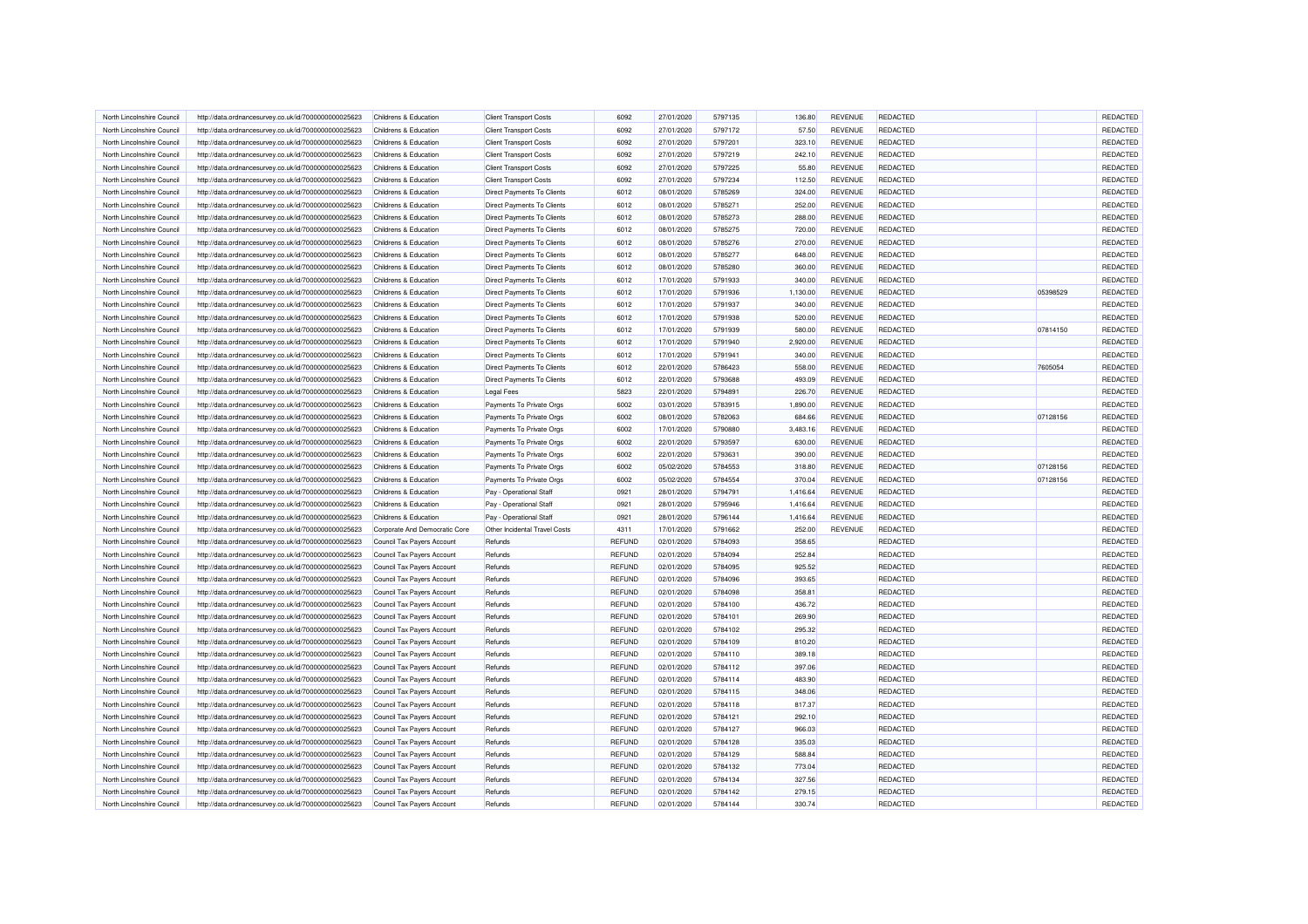| North Lincolnshire Council                               | http://data.ordnancesurvey.co.uk/id/7000000000025623 | Childrens & Education                          | <b>Client Transport Costs</b>     | 6092          | 27/01/2020 | 5797135 | 136,80   | REVENUE        | REDACTED        |          | REDACTED |
|----------------------------------------------------------|------------------------------------------------------|------------------------------------------------|-----------------------------------|---------------|------------|---------|----------|----------------|-----------------|----------|----------|
| North Lincolnshire Council                               | http://data.ordnancesurvey.co.uk/id/7000000000025623 | Childrens & Education                          | <b>Client Transport Costs</b>     | 6092          | 27/01/2020 | 5797172 | 57.50    | <b>REVENUE</b> | REDACTED        |          | REDACTED |
| North Lincolnshire Council                               | http://data.ordnancesurvey.co.uk/id/7000000000025623 | Childrens & Education                          | <b>Client Transport Costs</b>     | 6092          | 27/01/2020 | 5797201 | 323.10   | <b>REVENUE</b> | REDACTED        |          | REDACTED |
| North Lincolnshire Council                               | http://data.ordnancesurvey.co.uk/id/7000000000025623 | Childrens & Education                          | <b>Client Transport Costs</b>     | 6092          | 27/01/2020 | 5797219 | 242.10   | <b>REVENUE</b> | REDACTED        |          | REDACTED |
| North Lincolnshire Council                               | http://data.ordnancesurvey.co.uk/id/7000000000025623 | Childrens & Education                          | <b>Client Transport Costs</b>     | 6092          | 27/01/2020 | 5797225 | 55.80    | <b>REVENUE</b> | REDACTED        |          | REDACTED |
| North Lincolnshire Council                               | http://data.ordnancesurvey.co.uk/id/7000000000025623 | Childrens & Education                          | <b>Client Transport Costs</b>     | 6092          | 27/01/2020 | 5797234 | 112.50   | <b>REVENUE</b> | REDACTED        |          | REDACTED |
| North Lincolnshire Council                               | http://data.ordnancesurvey.co.uk/id/7000000000025623 | Childrens & Education                          | Direct Payments To Clients        | 6012          | 08/01/2020 | 5785269 | 324.00   | <b>REVENUE</b> | REDACTED        |          | REDACTED |
| North Lincolnshire Council                               | http://data.ordnancesurvey.co.uk/id/7000000000025623 | <b>Childrens &amp; Education</b>               | Direct Payments To Clients        | 6012          | 08/01/2020 | 5785271 | 252.00   | <b>REVENUE</b> | <b>REDACTED</b> |          | REDACTED |
| North Lincolnshire Council                               | http://data.ordnancesurvey.co.uk/id/7000000000025623 | Childrens & Education                          | Direct Payments To Clients        | 6012          | 08/01/2020 | 5785273 | 288.00   | <b>REVENUE</b> | REDACTED        |          | REDACTED |
| North Lincolnshire Council                               | http://data.ordnancesurvey.co.uk/id/7000000000025623 | Childrens & Education                          | Direct Payments To Clients        | 6012          | 08/01/2020 | 5785275 | 720.00   | <b>REVENUE</b> | <b>REDACTED</b> |          | REDACTED |
| North Lincolnshire Council                               | http://data.ordnancesurvey.co.uk/id/7000000000025623 | Childrens & Education                          | <b>Direct Payments To Clients</b> | 6012          | 08/01/2020 | 5785276 | 270.00   | REVENUE        | REDACTED        |          | REDACTED |
| North Lincolnshire Council                               | http://data.ordnancesurvey.co.uk/id/7000000000025623 | Childrens & Education                          | Direct Payments To Clients        | 6012          | 08/01/2020 | 5785277 | 648.00   | <b>REVENUE</b> | REDACTED        |          | REDACTED |
|                                                          |                                                      |                                                | <b>Direct Payments To Clients</b> | 6012          |            | 5785280 |          | <b>REVENUE</b> | REDACTED        |          | REDACTED |
| North Lincolnshire Council<br>North Lincolnshire Council | http://data.ordnancesurvey.co.uk/id/7000000000025623 | Childrens & Education<br>Childrens & Education |                                   |               | 08/01/2020 | 5791933 | 360.00   | <b>REVENUE</b> | REDACTED        |          |          |
|                                                          | http://data.ordnancesurvey.co.uk/id/7000000000025623 |                                                | <b>Direct Payments To Clients</b> | 6012          | 17/01/2020 |         | 340.00   |                |                 |          | REDACTED |
| North Lincolnshire Council                               | http://data.ordnancesurvey.co.uk/id/7000000000025623 | Childrens & Education                          | Direct Payments To Clients        | 6012          | 17/01/2020 | 5791936 | 1,130.00 | <b>REVENUE</b> | REDACTED        | 05398529 | REDACTED |
| North Lincolnshire Council                               | http://data.ordnancesurvey.co.uk/id/7000000000025623 | Childrens & Education                          | Direct Payments To Clients        | 6012          | 17/01/2020 | 5791937 | 340.00   | <b>REVENUE</b> | <b>REDACTED</b> |          | REDACTED |
| North Lincolnshire Council                               | http://data.ordnancesurvey.co.uk/id/7000000000025623 | Childrens & Education                          | <b>Direct Payments To Clients</b> | 6012          | 17/01/2020 | 5791938 | 520.00   | <b>REVENUE</b> | REDACTED        |          | REDACTED |
| North Lincolnshire Council                               | http://data.ordnancesurvey.co.uk/id/7000000000025623 | Childrens & Education                          | Direct Payments To Clients        | 6012          | 17/01/2020 | 5791939 | 580.00   | <b>REVENUE</b> | <b>REDACTED</b> | 07814150 | REDACTED |
| North Lincolnshire Council                               | http://data.ordnancesurvey.co.uk/id/7000000000025623 | Childrens & Education                          | Direct Payments To Clients        | 6012          | 17/01/2020 | 5791940 | 2,920.00 | <b>REVENUE</b> | <b>REDACTED</b> |          | REDACTED |
| North Lincolnshire Council                               | http://data.ordnancesurvey.co.uk/id/7000000000025623 | Childrens & Education                          | Direct Payments To Clients        | 6012          | 17/01/2020 | 5791941 | 340.00   | <b>REVENUE</b> | REDACTED        |          | REDACTED |
| North Lincolnshire Council                               | http://data.ordnancesurvey.co.uk/id/7000000000025623 | Childrens & Education                          | Direct Payments To Clients        | 6012          | 22/01/2020 | 5786423 | 558.00   | REVENUE        | REDACTED        | 7605054  | REDACTED |
| North Lincolnshire Council                               | http://data.ordnancesurvey.co.uk/id/7000000000025623 | Childrens & Education                          | Direct Payments To Clients        | 6012          | 22/01/2020 | 5793688 | 493.09   | REVENUE        | REDACTED        |          | REDACTED |
| North Lincolnshire Council                               | http://data.ordnancesurvey.co.uk/id/7000000000025623 | Childrens & Education                          | <b>Legal Fees</b>                 | 5823          | 22/01/2020 | 5794891 | 226.70   | <b>REVENUE</b> | <b>REDACTED</b> |          | REDACTED |
| North Lincolnshire Council                               | http://data.ordnancesurvey.co.uk/id/7000000000025623 | Childrens & Education                          | Payments To Private Orgs          | 6002          | 03/01/2020 | 5783915 | 1,890.00 | <b>REVENUE</b> | <b>REDACTED</b> |          | REDACTED |
| North Lincolnshire Council                               | http://data.ordnancesurvey.co.uk/id/7000000000025623 | Childrens & Education                          | Payments To Private Orgs          | 6002          | 08/01/2020 | 5782063 | 684.66   | <b>REVENUE</b> | <b>REDACTED</b> | 07128156 | REDACTED |
| North Lincolnshire Council                               | http://data.ordnancesurvey.co.uk/id/7000000000025623 | Childrens & Education                          | Payments To Private Orgs          | 6002          | 17/01/2020 | 5790880 | 3,483.16 | <b>REVENUE</b> | REDACTED        |          | REDACTED |
| North Lincolnshire Council                               | http://data.ordnancesurvey.co.uk/id/7000000000025623 | Childrens & Education                          | Payments To Private Orgs          | 6002          | 22/01/2020 | 5793597 | 630.00   | REVENUE        | REDACTED        |          | REDACTED |
| North Lincolnshire Council                               | http://data.ordnancesurvey.co.uk/id/7000000000025623 | Childrens & Education                          | Payments To Private Orgs          | 6002          | 22/01/2020 | 5793631 | 390.00   | <b>REVENUE</b> | <b>REDACTED</b> |          | REDACTED |
| North Lincolnshire Council                               | http://data.ordnancesurvey.co.uk/id/7000000000025623 | Childrens & Education                          | Payments To Private Orgs          | 6002          | 05/02/2020 | 5784553 | 318.80   | <b>REVENUE</b> | <b>REDACTED</b> | 07128156 | REDACTED |
| North Lincolnshire Council                               | http://data.ordnancesurvey.co.uk/id/7000000000025623 | Childrens & Education                          | Payments To Private Orgs          | 6002          | 05/02/2020 | 5784554 | 370.04   | <b>REVENUE</b> | <b>REDACTED</b> | 07128156 | REDACTED |
| North Lincolnshire Council                               | http://data.ordnancesurvey.co.uk/id/7000000000025623 | Childrens & Education                          | Pay - Operational Staff           | 0921          | 28/01/2020 | 5794791 | 1,416.64 | <b>REVENUE</b> | <b>REDACTED</b> |          | REDACTED |
| North Lincolnshire Council                               | http://data.ordnancesurvey.co.uk/id/7000000000025623 | Childrens & Education                          | Pay - Operational Staff           | 0921          | 28/01/2020 | 5795946 | 1,416.64 | <b>REVENUE</b> | <b>REDACTED</b> |          | REDACTED |
| North Lincolnshire Council                               | http://data.ordnancesurvey.co.uk/id/7000000000025623 | Childrens & Education                          | Pay - Operational Staff           | 0921          | 28/01/2020 | 5796144 | 1,416.64 | <b>REVENUE</b> | REDACTED        |          | REDACTED |
| North Lincolnshire Council                               | http://data.ordnancesurvey.co.uk/id/7000000000025623 | Corporate And Democratic Core                  | Other Incidental Travel Costs     | 4311          | 17/01/2020 | 5791662 | 252.00   | <b>REVENUE</b> | <b>REDACTED</b> |          | REDACTED |
| North Lincolnshire Council                               | http://data.ordnancesurvey.co.uk/id/7000000000025623 | Council Tax Payers Account                     | Refunds                           | <b>REFUND</b> | 02/01/2020 | 5784093 | 358.65   |                | <b>REDACTED</b> |          | REDACTED |
|                                                          |                                                      |                                                |                                   |               |            | 5784094 |          |                | REDACTED        |          | REDACTED |
| North Lincolnshire Council                               | http://data.ordnancesurvey.co.uk/id/7000000000025623 | Council Tax Payers Account                     | Refunds                           | <b>REFUND</b> | 02/01/2020 |         | 252.84   |                |                 |          |          |
| North Lincolnshire Council                               | http://data.ordnancesurvey.co.uk/id/7000000000025623 | Council Tax Payers Account                     | Refunds                           | <b>REFUND</b> | 02/01/2020 | 5784095 | 925.52   |                | REDACTED        |          | REDACTED |
| North Lincolnshire Council                               | http://data.ordnancesurvey.co.uk/id/7000000000025623 | Council Tax Payers Account                     | Refunds                           | <b>REFUND</b> | 02/01/2020 | 5784096 | 393.65   |                | REDACTED        |          | REDACTED |
| North Lincolnshire Council                               | http://data.ordnancesurvey.co.uk/id/7000000000025623 | Council Tax Payers Account                     | Refunds                           | <b>REFUND</b> | 02/01/2020 | 5784098 | 358.81   |                | REDACTED        |          | REDACTED |
| North Lincolnshire Council                               | http://data.ordnancesurvey.co.uk/id/7000000000025623 | Council Tax Payers Account                     | Refunds                           | <b>REFUND</b> | 02/01/2020 | 5784100 | 436.72   |                | <b>REDACTED</b> |          | REDACTED |
| North Lincolnshire Council                               | http://data.ordnancesurvey.co.uk/id/7000000000025623 | Council Tax Payers Account                     | Refunds                           | REFUND        | 02/01/2020 | 5784101 | 269.90   |                | REDACTED        |          | REDACTED |
| North Lincolnshire Council                               | http://data.ordnancesurvey.co.uk/id/7000000000025623 | Council Tax Payers Account                     | Refunds                           | <b>REFUND</b> | 02/01/2020 | 5784102 | 295.32   |                | REDACTED        |          | REDACTED |
| North Lincolnshire Council                               | http://data.ordnancesurvey.co.uk/id/7000000000025623 | Council Tax Payers Account                     | Refunds                           | <b>REFUND</b> | 02/01/2020 | 5784109 | 810.20   |                | REDACTED        |          | REDACTED |
| North Lincolnshire Council                               | http://data.ordnancesurvey.co.uk/id/7000000000025623 | Council Tax Payers Account                     | Refunds                           | <b>REFUND</b> | 02/01/2020 | 5784110 | 389.18   |                | <b>REDACTED</b> |          | REDACTED |
| North Lincolnshire Council                               | http://data.ordnancesurvey.co.uk/id/7000000000025623 | Council Tax Payers Account                     | Refunds                           | <b>REFUND</b> | 02/01/2020 | 5784112 | 397.06   |                | REDACTED        |          | REDACTED |
| North Lincolnshire Council                               | http://data.ordnancesurvey.co.uk/id/7000000000025623 | Council Tax Payers Account                     | Refunds                           | <b>REFUND</b> | 02/01/2020 | 5784114 | 483.90   |                | REDACTED        |          | REDACTED |
| North Lincolnshire Council                               | http://data.ordnancesurvey.co.uk/id/7000000000025623 | Council Tax Payers Account                     | Refunds                           | REFUND        | 02/01/2020 | 5784115 | 348.06   |                | REDACTED        |          | REDACTED |
| North Lincolnshire Council                               | http://data.ordnancesurvey.co.uk/id/7000000000025623 | Council Tax Payers Account                     | Refunds                           | <b>REFUND</b> | 02/01/2020 | 5784118 | 817.37   |                | REDACTED        |          | REDACTED |
| North Lincolnshire Council                               | http://data.ordnancesurvey.co.uk/id/7000000000025623 | Council Tax Payers Account                     | Refunds                           | <b>REFUND</b> | 02/01/2020 | 5784121 | 292.10   |                | REDACTED        |          | REDACTED |
| North Lincolnshire Council                               | http://data.ordnancesurvey.co.uk/id/7000000000025623 | Council Tax Payers Account                     | Refunds                           | REFUND        | 02/01/2020 | 5784127 | 966.03   |                | REDACTED        |          | REDACTED |
| North Lincolnshire Council                               | http://data.ordnancesurvey.co.uk/id/7000000000025623 | Council Tax Payers Account                     | Refunds                           | <b>REFUND</b> | 02/01/2020 | 5784128 | 335.03   |                | REDACTED        |          | REDACTED |
| North Lincolnshire Council                               | http://data.ordnancesurvey.co.uk/id/7000000000025623 | Council Tax Payers Account                     | Refunds                           | <b>REFUND</b> | 02/01/2020 | 5784129 | 588.84   |                | REDACTED        |          | REDACTED |
| North Lincolnshire Council                               | http://data.ordnancesurvey.co.uk/id/7000000000025623 | Council Tax Payers Account                     | Refunds                           | <b>REFUND</b> | 02/01/2020 | 5784132 | 773.04   |                | REDACTED        |          | REDACTED |
| North Lincolnshire Council                               | http://data.ordnancesurvey.co.uk/id/7000000000025623 | Council Tax Payers Account                     | Refunds                           | <b>REFUND</b> | 02/01/2020 | 5784134 | 327.56   |                | REDACTED        |          | REDACTED |
| North Lincolnshire Council                               | http://data.ordnancesurvey.co.uk/id/7000000000025623 | Council Tax Payers Account                     | Refunds                           | <b>REFUND</b> | 02/01/2020 | 5784142 | 279.15   |                | REDACTED        |          | REDACTED |
| North Lincolnshire Council                               | http://data.ordnancesurvey.co.uk/id/7000000000025623 | Council Tax Payers Account                     | Refunds                           | <b>REFUND</b> | 02/01/2020 | 5784144 | 330.74   |                | REDACTED        |          | REDACTED |
|                                                          |                                                      |                                                |                                   |               |            |         |          |                |                 |          |          |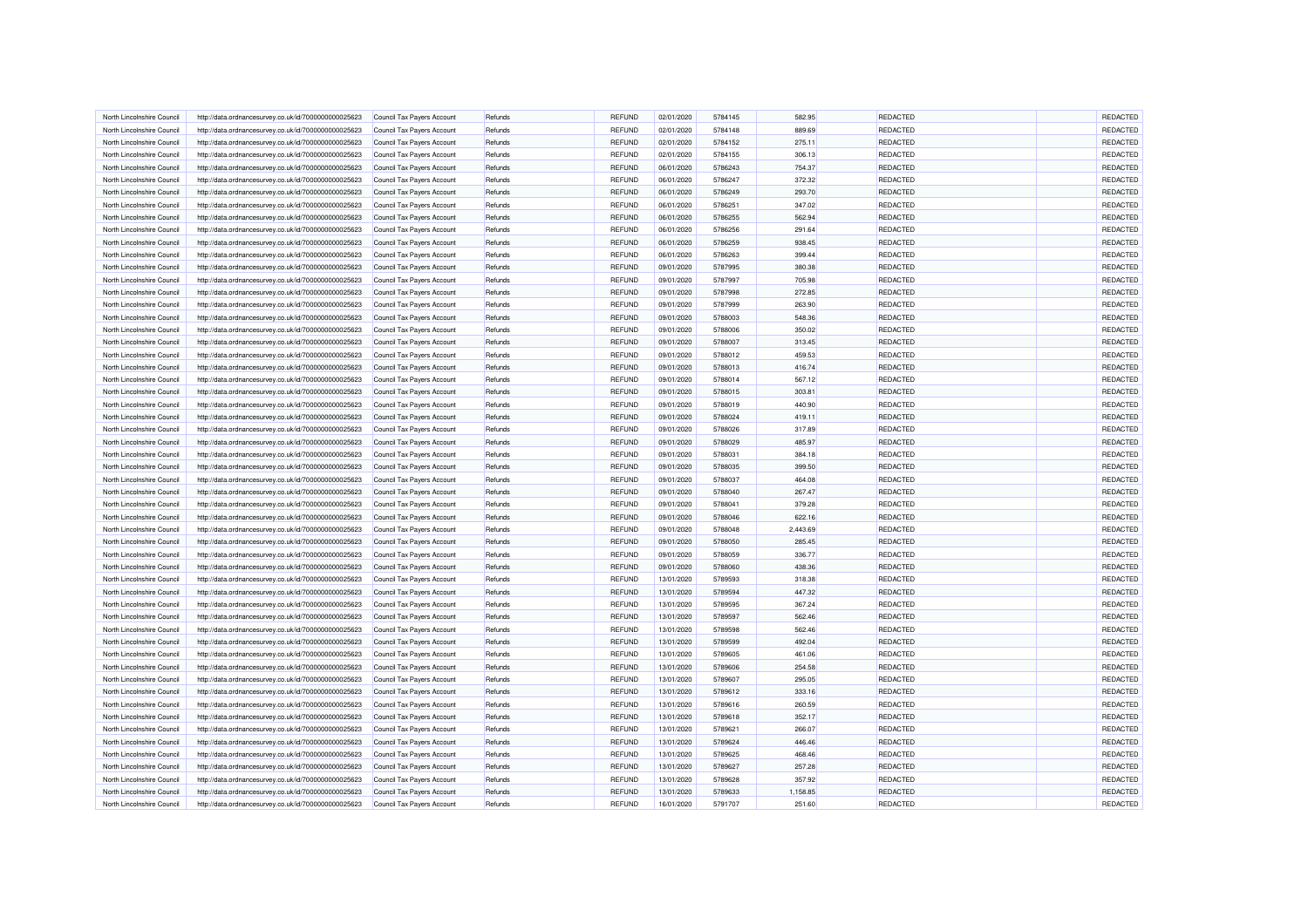| North Lincolnshire Council | http://data.ordnancesurvey.co.uk/id/7000000000025623 | Council Tax Payers Account | Refunds        | REFUND        | 02/01/2020 | 5784145 | 582.95   | REDACTED        | REDACTED |
|----------------------------|------------------------------------------------------|----------------------------|----------------|---------------|------------|---------|----------|-----------------|----------|
| North Lincolnshire Council | http://data.ordnancesurvey.co.uk/id/7000000000025623 | Council Tax Payers Account | Refunds        | REFUND        | 02/01/2020 | 5784148 | 889.69   | REDACTED        | REDACTED |
| North Lincolnshire Counci  | http://data.ordnancesurvey.co.uk/id/7000000000025623 | Council Tax Payers Account | Refunds        | <b>REFUND</b> | 02/01/2020 | 5784152 | 275.11   | REDACTED        | REDACTED |
| North Lincolnshire Council | http://data.ordnancesurvey.co.uk/id/7000000000025623 | Council Tax Payers Account | Refunds        | REFUND        | 02/01/2020 | 5784155 | 306.13   | REDACTED        | REDACTED |
| North Lincolnshire Council | http://data.ordnancesurvey.co.uk/id/7000000000025623 | Council Tax Payers Account | Refunds        | <b>REFUND</b> | 06/01/2020 | 5786243 | 754.37   | REDACTED        | REDACTED |
| North Lincolnshire Council | http://data.ordnancesurvey.co.uk/id/7000000000025623 | Council Tax Payers Account | Refunds        | REFUND        | 06/01/2020 | 5786247 | 372.32   | REDACTED        | REDACTED |
| North Lincolnshire Council | http://data.ordnancesurvey.co.uk/id/7000000000025623 | Council Tax Payers Account | Refunds        | REFUND        | 06/01/2020 | 5786249 | 293.70   | REDACTED        | REDACTED |
| North Lincolnshire Council | http://data.ordnancesurvey.co.uk/id/7000000000025623 | Council Tax Payers Account | Refunds        | <b>REFUND</b> | 06/01/2020 | 5786251 | 347.02   | REDACTED        | REDACTED |
| North Lincolnshire Council | http://data.ordnancesurvey.co.uk/id/7000000000025623 | Council Tax Payers Account | Refunds        | <b>REFUND</b> | 06/01/2020 | 5786255 | 562.94   | REDACTED        | REDACTED |
| North Lincolnshire Council | http://data.ordnancesurvey.co.uk/id/7000000000025623 | Council Tax Payers Account | Refunds        | REFUND        | 06/01/2020 | 5786256 | 291.64   | <b>REDACTED</b> | REDACTED |
| North Lincolnshire Council | http://data.ordnancesurvey.co.uk/id/7000000000025623 | Council Tax Payers Account | Refunds        | <b>REFUND</b> | 06/01/2020 | 5786259 | 938.45   | REDACTED        | REDACTED |
| North Lincolnshire Council | http://data.ordnancesurvey.co.uk/id/7000000000025623 | Council Tax Payers Account | Refunds        | <b>REFUND</b> | 06/01/2020 | 5786263 | 399.44   | REDACTED        | REDACTED |
| North Lincolnshire Council | http://data.ordnancesurvey.co.uk/id/7000000000025623 | Council Tax Payers Account | Refunds        | <b>REFUND</b> | 09/01/2020 | 5787995 | 380.38   | REDACTED        | REDACTED |
| North Lincolnshire Council | http://data.ordnancesurvey.co.uk/id/7000000000025623 | Council Tax Payers Account | <b>Refunds</b> | REFUND        | 09/01/2020 | 5787997 | 705.98   | REDACTED        | REDACTED |
| North Lincolnshire Council | http://data.ordnancesurvey.co.uk/id/7000000000025623 | Council Tax Payers Account | Refunds        | REFUND        | 09/01/2020 | 5787998 | 272.85   | REDACTED        | REDACTED |
| North Lincolnshire Council | http://data.ordnancesurvey.co.uk/id/7000000000025623 | Council Tax Payers Account | Refunds        | REFUND        | 09/01/2020 | 5787999 | 263.90   | REDACTED        | REDACTED |
| North Lincolnshire Counci  | http://data.ordnancesurvey.co.uk/id/7000000000025623 | Council Tax Payers Account | Refunds        | <b>REFUND</b> | 09/01/2020 | 5788003 | 548.36   | REDACTED        | REDACTED |
| North Lincolnshire Counci  | http://data.ordnancesurvey.co.uk/id/7000000000025623 | Council Tax Payers Account | Refunds        | REFUND        | 09/01/2020 | 5788006 | 350.02   | REDACTED        | REDACTED |
| North Lincolnshire Council | http://data.ordnancesurvey.co.uk/id/7000000000025623 | Council Tax Payers Account | Refunds        | REFUND        | 09/01/2020 | 5788007 | 313.45   | <b>REDACTED</b> | REDACTED |
| North Lincolnshire Council | http://data.ordnancesurvey.co.uk/id/7000000000025623 |                            | <b>Refunds</b> | REFUND        | 09/01/2020 | 5788012 | 459.53   | REDACTED        | REDACTED |
| North Lincolnshire Counci  |                                                      | Council Tax Payers Account | Refunds        | <b>REFUND</b> | 09/01/2020 | 5788013 | 416.74   | REDACTED        | REDACTED |
|                            | http://data.ordnancesurvey.co.uk/id/7000000000025623 | Council Tax Payers Account |                |               |            |         |          |                 |          |
| North Lincolnshire Council | http://data.ordnancesurvey.co.uk/id/7000000000025623 | Council Tax Payers Account | Refunds        | REFUND        | 09/01/2020 | 5788014 | 567.12   | REDACTED        | REDACTED |
| North Lincolnshire Council | http://data.ordnancesurvey.co.uk/id/7000000000025623 | Council Tax Payers Account | Refunds        | REFUND        | 09/01/2020 | 5788015 | 303.81   | REDACTED        | REDACTED |
| North Lincolnshire Counci  | http://data.ordnancesurvey.co.uk/id/7000000000025623 | Council Tax Payers Account | Refunds        | <b>REFUND</b> | 09/01/2020 | 5788019 | 440.90   | REDACTED        | REDACTED |
| North Lincolnshire Council | http://data.ordnancesurvey.co.uk/id/7000000000025623 | Council Tax Payers Account | Refunds        | REFUND        | 09/01/2020 | 5788024 | 419.11   | <b>REDACTED</b> | REDACTED |
| North Lincolnshire Council | http://data.ordnancesurvey.co.uk/id/7000000000025623 | Council Tax Payers Account | <b>Refunds</b> | REFUND        | 09/01/2020 | 5788026 | 317.89   | REDACTED        | REDACTED |
| North Lincolnshire Council | http://data.ordnancesurvey.co.uk/id/7000000000025623 | Council Tax Payers Account | Refunds        | <b>REFUND</b> | 09/01/2020 | 5788029 | 485.97   | REDACTED        | REDACTED |
| North Lincolnshire Council | http://data.ordnancesurvey.co.uk/id/7000000000025623 | Council Tax Payers Account | Refunds        | REFUND        | 09/01/2020 | 5788031 | 384.18   | REDACTED        | REDACTED |
| North Lincolnshire Council | http://data.ordnancesurvey.co.uk/id/7000000000025623 | Council Tax Payers Account | Refunds        | REFUND        | 09/01/2020 | 5788035 | 399.50   | <b>REDACTED</b> | REDACTED |
| North Lincolnshire Council | http://data.ordnancesurvey.co.uk/id/7000000000025623 | Council Tax Payers Account | Refunds        | <b>REFUND</b> | 09/01/2020 | 5788037 | 464.08   | REDACTED        | REDACTED |
| North Lincolnshire Council | http://data.ordnancesurvey.co.uk/id/7000000000025623 | Council Tax Payers Account | Refunds        | REFUND        | 09/01/2020 | 5788040 | 267.47   | <b>REDACTED</b> | REDACTED |
| North Lincolnshire Council | http://data.ordnancesurvey.co.uk/id/7000000000025623 | Council Tax Payers Account | Refunds        | REFUND        | 09/01/2020 | 5788041 | 379.28   | REDACTED        | REDACTED |
| North Lincolnshire Council | http://data.ordnancesurvey.co.uk/id/7000000000025623 | Council Tax Payers Account | Refunds        | <b>REFUND</b> | 09/01/2020 | 5788046 | 622.16   | REDACTED        | REDACTED |
| North Lincolnshire Council | http://data.ordnancesurvey.co.uk/id/7000000000025623 | Council Tax Payers Account | Refunds        | REFUND        | 09/01/2020 | 5788048 | 2,443.69 | <b>REDACTED</b> | REDACTED |
| North Lincolnshire Council | http://data.ordnancesurvey.co.uk/id/7000000000025623 | Council Tax Payers Account | <b>Refunds</b> | REFUND        | 09/01/2020 | 5788050 | 285.45   | REDACTED        | REDACTED |
| North Lincolnshire Council | http://data.ordnancesurvey.co.uk/id/7000000000025623 | Council Tax Payers Account | Refunds        | <b>REFUND</b> | 09/01/2020 | 5788059 | 336.77   | REDACTED        | REDACTED |
| North Lincolnshire Council | http://data.ordnancesurvey.co.uk/id/7000000000025623 | Council Tax Payers Account | Refunds        | REFUND        | 09/01/2020 | 5788060 | 438.36   | REDACTED        | REDACTED |
| North Lincolnshire Council | http://data.ordnancesurvey.co.uk/id/7000000000025623 | Council Tax Payers Account | Refunds        | REFUND        | 13/01/2020 | 5789593 | 318.38   | REDACTED        | REDACTED |
| North Lincolnshire Council | http://data.ordnancesurvey.co.uk/id/7000000000025623 | Council Tax Payers Account | Refunds        | <b>REFUND</b> | 13/01/2020 | 5789594 | 447.32   | REDACTED        | REDACTED |
| North Lincolnshire Council | http://data.ordnancesurvey.co.uk/id/7000000000025623 | Council Tax Payers Account | Refunds        | REFUND        | 13/01/2020 | 5789595 | 367.24   | <b>REDACTED</b> | REDACTED |
| North Lincolnshire Council | http://data.ordnancesurvey.co.uk/id/7000000000025623 | Council Tax Payers Account | Refunds        | REFUND        | 13/01/2020 | 5789597 | 562.46   | REDACTED        | REDACTED |
| North Lincolnshire Counci  | http://data.ordnancesurvey.co.uk/id/7000000000025623 | Council Tax Payers Account | Refunds        | <b>REFUND</b> | 13/01/2020 | 5789598 | 562.46   | REDACTED        | REDACTED |
| North Lincolnshire Council | http://data.ordnancesurvey.co.uk/id/7000000000025623 | Council Tax Payers Account | Refunds        | REFUND        | 13/01/2020 | 5789599 | 492.04   | REDACTED        | REDACTED |
| North Lincolnshire Council | http://data.ordnancesurvey.co.uk/id/7000000000025623 | Council Tax Payers Account | Refunds        | REFUND        | 13/01/2020 | 5789605 | 461.06   | <b>REDACTED</b> | REDACTED |
| North Lincolnshire Council | http://data.ordnancesurvey.co.uk/id/7000000000025623 | Council Tax Payers Account | Refunds        | <b>REFUND</b> | 13/01/2020 | 5789606 | 254.58   | REDACTED        | REDACTED |
| North Lincolnshire Council | http://data.ordnancesurvey.co.uk/id/7000000000025623 | Council Tax Payers Account | Refunds        | <b>REFUND</b> | 13/01/2020 | 5789607 | 295.05   | REDACTED        | REDACTED |
| North Lincolnshire Council | http://data.ordnancesurvey.co.uk/id/7000000000025623 | Council Tax Payers Account | Refunds        | REFUND        | 13/01/2020 | 5789612 | 333.16   | REDACTED        | REDACTED |
| North Lincolnshire Council | http://data.ordnancesurvey.co.uk/id/7000000000025623 | Council Tax Payers Account | Refunds        | <b>REFUND</b> | 13/01/2020 | 5789616 | 260.59   | REDACTED        | REDACTED |
| North Lincolnshire Council | http://data.ordnancesurvey.co.uk/id/7000000000025623 | Council Tax Payers Account | Refunds        | REFUND        | 13/01/2020 | 5789618 | 352.17   | REDACTED        | REDACTED |
| North Lincolnshire Council | http://data.ordnancesurvey.co.uk/id/7000000000025623 | Council Tax Payers Account | Refunds        | REFUND        | 13/01/2020 | 5789621 | 266.07   | REDACTED        | REDACTED |
| North Lincolnshire Council | http://data.ordnancesurvey.co.uk/id/7000000000025623 | Council Tax Payers Account | Refunds        | <b>REFUND</b> | 13/01/2020 | 5789624 | 446.46   | <b>REDACTED</b> | REDACTED |
| North Lincolnshire Council | http://data.ordnancesurvey.co.uk/id/7000000000025623 | Council Tax Payers Account | Refunds        | <b>REFUND</b> | 13/01/2020 | 5789625 | 468.46   | REDACTED        | REDACTED |
| North Lincolnshire Council | http://data.ordnancesurvey.co.uk/id/7000000000025623 | Council Tax Payers Account | Refunds        | REFUND        | 13/01/2020 | 5789627 | 257.28   | REDACTED        | REDACTED |
| North Lincolnshire Council | http://data.ordnancesurvey.co.uk/id/7000000000025623 | Council Tax Payers Account | <b>Refunds</b> | <b>REFUND</b> | 13/01/2020 | 5789628 | 357.92   | REDACTED        | REDACTED |
| North Lincolnshire Council | http://data.ordnancesurvey.co.uk/id/7000000000025623 | Council Tax Payers Account | Refunds        | <b>REFUND</b> | 13/01/2020 | 5789633 | 1,158.85 | REDACTED        | REDACTED |
| North Lincolnshire Council | http://data.ordnancesurvey.co.uk/id/7000000000025623 | Council Tax Payers Account | Refunds        | REFUND        | 16/01/2020 | 5791707 | 251.60   | REDACTED        | REDACTED |
|                            |                                                      |                            |                |               |            |         |          |                 |          |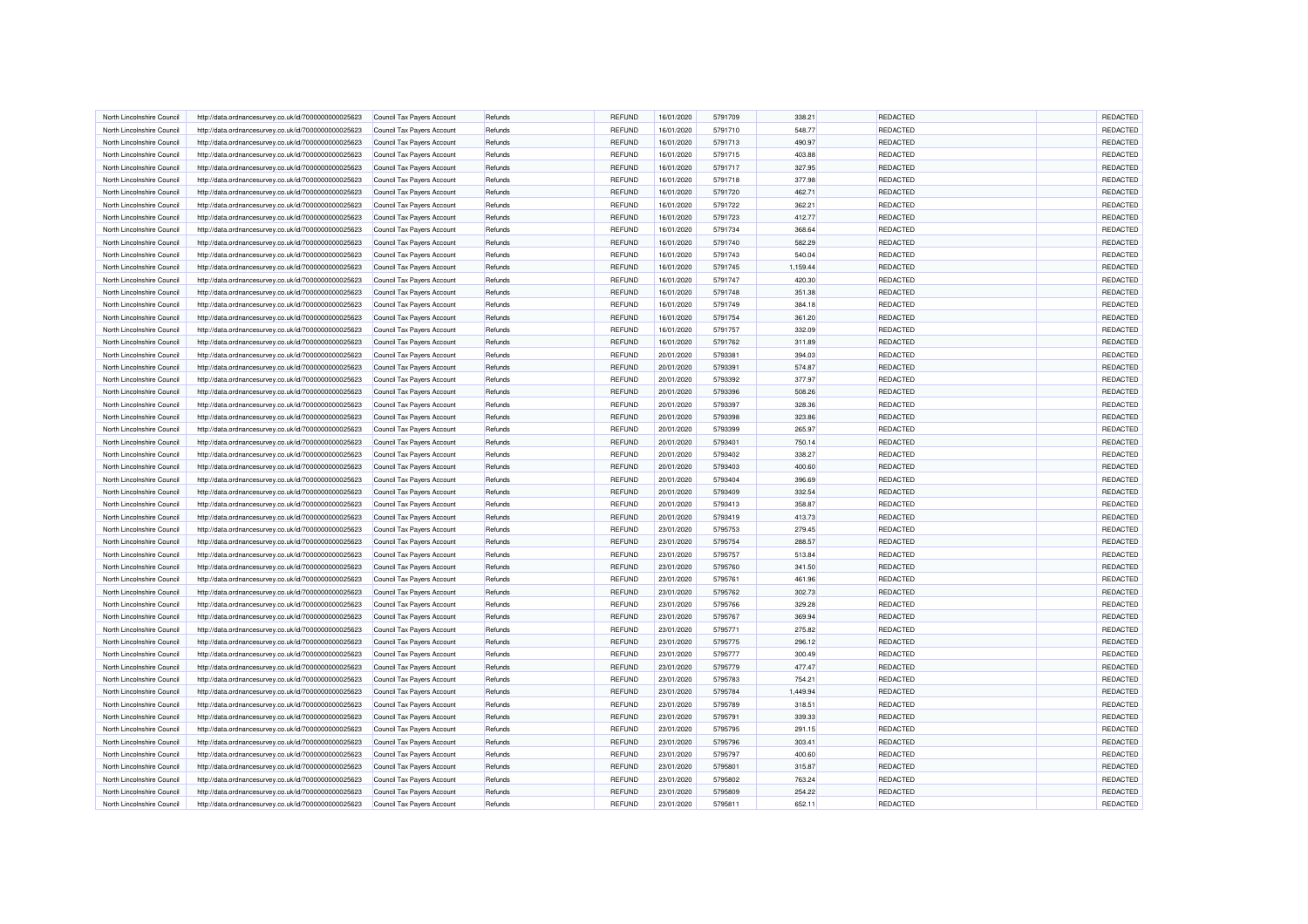| North Lincolnshire Council | http://data.ordnancesurvey.co.uk/id/7000000000025623                                                         | Council Tax Payers Account                               | Refunds        | REFUND        | 16/01/2020 | 5791709 | 338.21   | REDACTED        | REDACTED |
|----------------------------|--------------------------------------------------------------------------------------------------------------|----------------------------------------------------------|----------------|---------------|------------|---------|----------|-----------------|----------|
| North Lincolnshire Council | http://data.ordnancesurvey.co.uk/id/7000000000025623                                                         | Council Tax Payers Account                               | Refunds        | REFUND        | 16/01/2020 | 5791710 | 548.77   | REDACTED        | REDACTED |
| North Lincolnshire Counci  | http://data.ordnancesurvey.co.uk/id/7000000000025623                                                         | Council Tax Payers Account                               | Refunds        | <b>REFUND</b> | 16/01/2020 | 5791713 | 490.97   | REDACTED        | REDACTED |
| North Lincolnshire Council | http://data.ordnancesurvey.co.uk/id/7000000000025623                                                         | Council Tax Payers Account                               | Refunds        | REFUND        | 16/01/2020 | 5791715 | 403.88   | REDACTED        | REDACTED |
| North Lincolnshire Council | http://data.ordnancesurvey.co.uk/id/7000000000025623                                                         | Council Tax Payers Account                               | Refunds        | <b>REFUND</b> | 16/01/2020 | 5791717 | 327.95   | REDACTED        | REDACTED |
| North Lincolnshire Council | http://data.ordnancesurvey.co.uk/id/7000000000025623                                                         | Council Tax Payers Account                               | Refunds        | REFUND        | 16/01/2020 | 5791718 | 377.98   | REDACTED        | REDACTED |
| North Lincolnshire Council | http://data.ordnancesurvey.co.uk/id/7000000000025623                                                         | Council Tax Payers Account                               | Refunds        | <b>REFUND</b> | 16/01/2020 | 5791720 | 462.71   | REDACTED        | REDACTED |
| North Lincolnshire Council | http://data.ordnancesurvey.co.uk/id/7000000000025623                                                         | Council Tax Payers Account                               | Refunds        | <b>REFUND</b> | 16/01/2020 | 5791722 | 362.21   | REDACTED        | REDACTED |
| North Lincolnshire Council | http://data.ordnancesurvey.co.uk/id/7000000000025623                                                         | Council Tax Payers Account                               | Refunds        | REFUND        | 16/01/2020 | 5791723 | 412.77   | REDACTED        | REDACTED |
| North Lincolnshire Council | http://data.ordnancesurvey.co.uk/id/7000000000025623                                                         | Council Tax Payers Account                               | Refunds        | REFUND        | 16/01/2020 | 5791734 | 368.64   | <b>REDACTED</b> | REDACTED |
| North Lincolnshire Council | http://data.ordnancesurvey.co.uk/id/7000000000025623                                                         | Council Tax Payers Account                               | Refunds        | <b>REFUND</b> | 16/01/2020 | 5791740 | 582.29   | REDACTED        | REDACTED |
| North Lincolnshire Council | http://data.ordnancesurvey.co.uk/id/7000000000025623                                                         | Council Tax Payers Account                               | Refunds        | REFUND        | 16/01/2020 | 5791743 | 540.04   | REDACTED        | REDACTED |
| North Lincolnshire Council | http://data.ordnancesurvey.co.uk/id/7000000000025623                                                         | Council Tax Payers Account                               | Refunds        | <b>REFUND</b> | 16/01/2020 | 5791745 | 1,159.44 | REDACTED        | REDACTED |
| North Lincolnshire Council | http://data.ordnancesurvey.co.uk/id/7000000000025623                                                         | Council Tax Payers Account                               | <b>Refunds</b> | REFUND        | 16/01/2020 | 5791747 | 420.30   | REDACTED        | REDACTED |
| North Lincolnshire Council | http://data.ordnancesurvey.co.uk/id/7000000000025623                                                         | Council Tax Payers Account                               | Refunds        | REFUND        | 16/01/2020 | 5791748 | 351.38   | REDACTED        | REDACTED |
| North Lincolnshire Council | http://data.ordnancesurvey.co.uk/id/7000000000025623                                                         | Council Tax Payers Account                               | Refunds        | REFUND        | 16/01/2020 | 5791749 | 384.18   | REDACTED        | REDACTED |
| North Lincolnshire Counci  | http://data.ordnancesurvey.co.uk/id/7000000000025623                                                         | Council Tax Payers Account                               | Refunds        | <b>REFUND</b> | 16/01/2020 | 5791754 | 361.20   | REDACTED        | REDACTED |
| North Lincolnshire Counci  | http://data.ordnancesurvey.co.uk/id/7000000000025623                                                         | Council Tax Payers Account                               | Refunds        | REFUND        | 16/01/2020 | 5791757 | 332.09   | REDACTED        | REDACTED |
| North Lincolnshire Council | http://data.ordnancesurvey.co.uk/id/7000000000025623                                                         | Council Tax Payers Account                               | Refunds        | REFUND        | 16/01/2020 | 5791762 | 311.89   | <b>REDACTED</b> | REDACTED |
| North Lincolnshire Council |                                                                                                              |                                                          | <b>Refunds</b> |               | 20/01/2020 | 5793381 | 394.03   |                 |          |
| North Lincolnshire Counci  | http://data.ordnancesurvey.co.uk/id/7000000000025623                                                         | Council Tax Payers Account                               |                | REFUND        |            | 5793391 |          | REDACTED        | REDACTED |
|                            | http://data.ordnancesurvey.co.uk/id/7000000000025623                                                         | Council Tax Payers Account                               | Refunds        | <b>REFUND</b> | 20/01/2020 |         | 574.87   | REDACTED        | REDACTED |
| North Lincolnshire Council | http://data.ordnancesurvey.co.uk/id/7000000000025623                                                         | Council Tax Payers Account                               | Refunds        | REFUND        | 20/01/2020 | 5793392 | 377.97   | REDACTED        | REDACTED |
| North Lincolnshire Council | http://data.ordnancesurvey.co.uk/id/7000000000025623                                                         | Council Tax Payers Account                               | Refunds        | REFUND        | 20/01/2020 | 5793396 | 508.26   | REDACTED        | REDACTED |
| North Lincolnshire Counci  | http://data.ordnancesurvey.co.uk/id/7000000000025623                                                         | Council Tax Payers Account                               | Refunds        | REFUND        | 20/01/2020 | 5793397 | 328.36   | REDACTED        | REDACTED |
| North Lincolnshire Council | http://data.ordnancesurvey.co.uk/id/7000000000025623                                                         | Council Tax Payers Account                               | Refunds        | REFUND        | 20/01/2020 | 5793398 | 323.86   | <b>REDACTED</b> | REDACTED |
| North Lincolnshire Council | http://data.ordnancesurvey.co.uk/id/7000000000025623                                                         | Council Tax Payers Account                               | <b>Refunds</b> | REFUND        | 20/01/2020 | 5793399 | 265.97   | REDACTED        | REDACTED |
| North Lincolnshire Council | http://data.ordnancesurvey.co.uk/id/7000000000025623                                                         | Council Tax Payers Account                               | Refunds        | <b>REFUND</b> | 20/01/2020 | 5793401 | 750.14   | REDACTED        | REDACTED |
| North Lincolnshire Council | http://data.ordnancesurvey.co.uk/id/7000000000025623                                                         | Council Tax Payers Account                               | Refunds        | REFUND        | 20/01/2020 | 5793402 | 338.27   | REDACTED        | REDACTED |
| North Lincolnshire Council | http://data.ordnancesurvey.co.uk/id/7000000000025623                                                         | Council Tax Payers Account                               | Refunds        | REFUND        | 20/01/2020 | 5793403 | 400.60   | <b>REDACTED</b> | REDACTED |
| North Lincolnshire Council | http://data.ordnancesurvey.co.uk/id/7000000000025623                                                         | Council Tax Payers Account                               | Refunds        | <b>REFUND</b> | 20/01/2020 | 5793404 | 396.69   | REDACTED        | REDACTED |
| North Lincolnshire Council | http://data.ordnancesurvey.co.uk/id/7000000000025623                                                         | Council Tax Payers Account                               | Refunds        | REFUND        | 20/01/2020 | 5793409 | 332.54   | <b>REDACTED</b> | REDACTED |
| North Lincolnshire Council | http://data.ordnancesurvey.co.uk/id/7000000000025623                                                         | Council Tax Payers Account                               | Refunds        | REFUND        | 20/01/2020 | 5793413 | 358.87   | REDACTED        | REDACTED |
| North Lincolnshire Council | http://data.ordnancesurvey.co.uk/id/7000000000025623                                                         | Council Tax Payers Account                               | Refunds        | <b>REFUND</b> | 20/01/2020 | 5793419 | 413.73   | REDACTED        | REDACTED |
| North Lincolnshire Council | http://data.ordnancesurvey.co.uk/id/7000000000025623                                                         | Council Tax Payers Account                               | Refunds        | REFUND        | 23/01/2020 | 5795753 | 279.45   | <b>REDACTED</b> | REDACTED |
| North Lincolnshire Council | http://data.ordnancesurvey.co.uk/id/7000000000025623                                                         | Council Tax Payers Account                               | <b>Refunds</b> | REFUND        | 23/01/2020 | 5795754 | 288,57   | <b>REDACTED</b> | REDACTED |
| North Lincolnshire Council | http://data.ordnancesurvey.co.uk/id/7000000000025623                                                         | Council Tax Payers Account                               | Refunds        | <b>REFUND</b> | 23/01/2020 | 5795757 | 513.84   | REDACTED        | REDACTED |
| North Lincolnshire Council | http://data.ordnancesurvey.co.uk/id/7000000000025623                                                         | Council Tax Payers Account                               | Refunds        | REFUND        | 23/01/2020 | 5795760 | 341.50   | REDACTED        | REDACTED |
| North Lincolnshire Council | http://data.ordnancesurvey.co.uk/id/7000000000025623                                                         | Council Tax Payers Account                               | Refunds        | REFUND        | 23/01/2020 | 5795761 | 461.96   | <b>REDACTED</b> | REDACTED |
| North Lincolnshire Council | http://data.ordnancesurvey.co.uk/id/7000000000025623                                                         | Council Tax Payers Account                               | Refunds        | <b>REFUND</b> | 23/01/2020 | 5795762 | 302.73   | REDACTED        | REDACTED |
| North Lincolnshire Council | http://data.ordnancesurvey.co.uk/id/7000000000025623                                                         | Council Tax Payers Account                               | Refunds        | REFUND        | 23/01/2020 | 5795766 | 329.28   | <b>REDACTED</b> | REDACTED |
| North Lincolnshire Council | http://data.ordnancesurvey.co.uk/id/7000000000025623                                                         | Council Tax Payers Account                               | Refunds        | REFUND        | 23/01/2020 | 5795767 | 369.94   | REDACTED        | REDACTED |
| North Lincolnshire Counci  | http://data.ordnancesurvey.co.uk/id/7000000000025623                                                         | Council Tax Payers Account                               | Refunds        | <b>REFUND</b> | 23/01/2020 | 5795771 | 275.82   | REDACTED        | REDACTED |
| North Lincolnshire Council | http://data.ordnancesurvey.co.uk/id/7000000000025623                                                         | Council Tax Payers Account                               | Refunds        | REFUND        | 23/01/2020 | 5795775 | 296.12   | REDACTED        | REDACTED |
| North Lincolnshire Council | http://data.ordnancesurvey.co.uk/id/7000000000025623                                                         | Council Tax Payers Account                               | Refunds        | REFUND        | 23/01/2020 | 5795777 | 300.49   | <b>REDACTED</b> | REDACTED |
| North Lincolnshire Council | http://data.ordnancesurvey.co.uk/id/7000000000025623                                                         | Council Tax Payers Account                               | Refunds        | <b>REFUND</b> | 23/01/2020 | 5795779 | 477.47   | REDACTED        | REDACTED |
| North Lincolnshire Council | http://data.ordnancesurvey.co.uk/id/7000000000025623                                                         | Council Tax Payers Account                               | Refunds        | <b>REFUND</b> | 23/01/2020 | 5795783 | 754.21   | REDACTED        | REDACTED |
| North Lincolnshire Council | http://data.ordnancesurvey.co.uk/id/7000000000025623                                                         | Council Tax Payers Account                               | Refunds        | REFUND        | 23/01/2020 | 5795784 | 1,449.94 | REDACTED        | REDACTED |
| North Lincolnshire Council | http://data.ordnancesurvey.co.uk/id/7000000000025623                                                         | Council Tax Payers Account                               | Refunds        | <b>REFUND</b> | 23/01/2020 | 5795789 | 318.51   | REDACTED        | REDACTED |
| North Lincolnshire Council | http://data.ordnancesurvey.co.uk/id/7000000000025623                                                         | Council Tax Payers Account                               | Refunds        | <b>REFUND</b> | 23/01/2020 | 5795791 | 339.33   | REDACTED        | REDACTED |
| North Lincolnshire Council | http://data.ordnancesurvey.co.uk/id/7000000000025623                                                         | Council Tax Payers Account                               | Refunds        | REFUND        | 23/01/2020 | 5795795 | 291.15   | REDACTED        | REDACTED |
| North Lincolnshire Council |                                                                                                              |                                                          | Refunds        | <b>REFUND</b> | 23/01/2020 | 5795796 | 303.41   | <b>REDACTED</b> | REDACTED |
| North Lincolnshire Council | http://data.ordnancesurvey.co.uk/id/7000000000025623<br>http://data.ordnancesurvey.co.uk/id/7000000000025623 | Council Tax Payers Account<br>Council Tax Payers Account | Refunds        | <b>REFUND</b> | 23/01/2020 | 5795797 | 400.60   | REDACTED        | REDACTED |
| North Lincolnshire Council | http://data.ordnancesurvey.co.uk/id/7000000000025623                                                         |                                                          | Refunds        | REFUND        | 23/01/2020 | 5795801 | 315.87   | REDACTED        | REDACTED |
| North Lincolnshire Council |                                                                                                              | Council Tax Payers Account                               | <b>Refunds</b> | <b>REFUND</b> | 23/01/2020 | 5795802 | 763.24   | REDACTED        | REDACTED |
|                            | http://data.ordnancesurvey.co.uk/id/7000000000025623                                                         | Council Tax Payers Account                               |                |               |            | 5795809 | 254.22   | REDACTED        | REDACTED |
| North Lincolnshire Council | http://data.ordnancesurvey.co.uk/id/7000000000025623                                                         | Council Tax Payers Account                               | Refunds        | REFUND        | 23/01/2020 |         |          |                 |          |
| North Lincolnshire Council | http://data.ordnancesurvey.co.uk/id/7000000000025623                                                         | Council Tax Payers Account                               | Refunds        | REFUND        | 23/01/2020 | 5795811 | 652.11   | REDACTED        | REDACTED |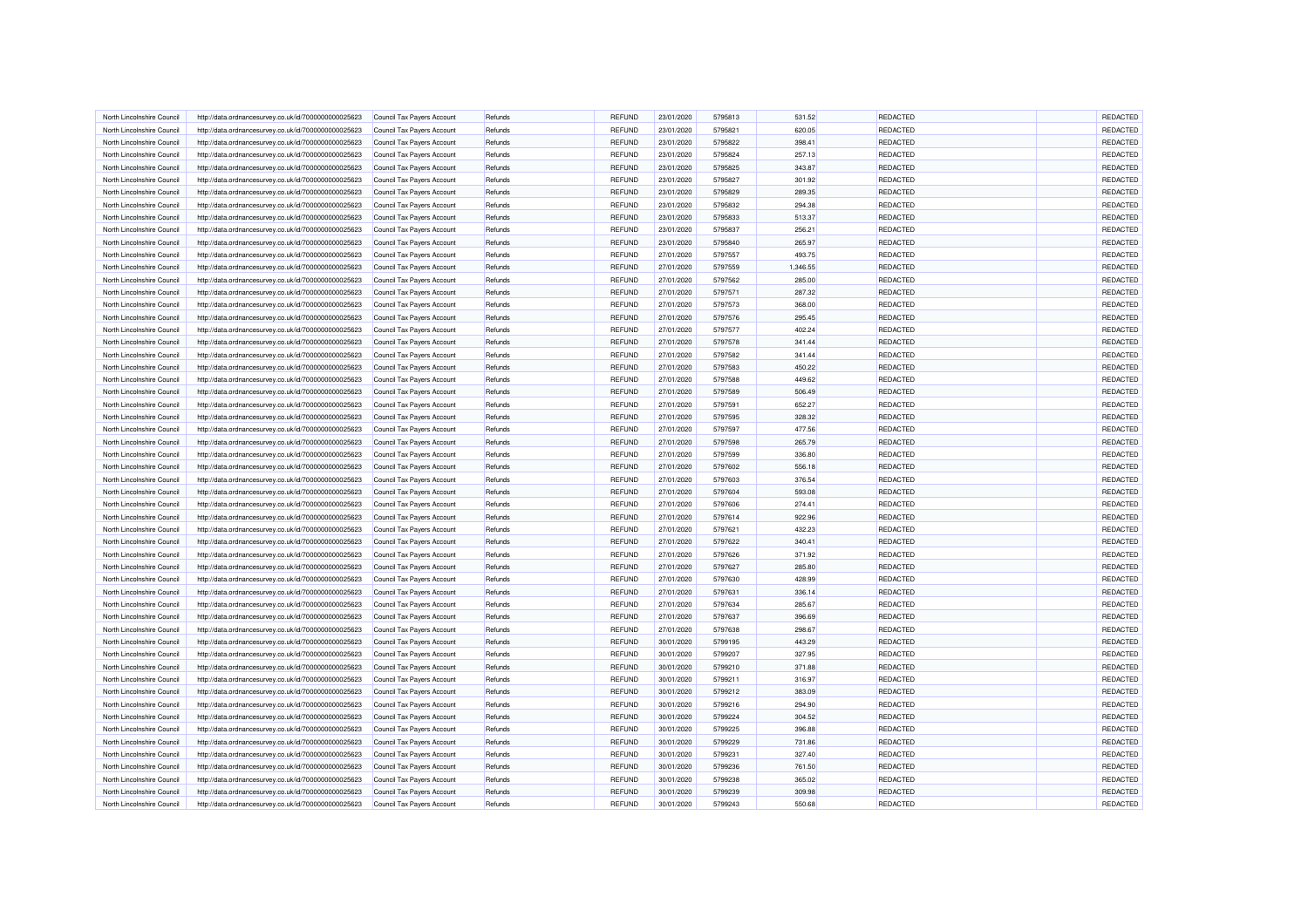| North Lincolnshire Council | http://data.ordnancesurvey.co.uk/id/7000000000025623                                                         | Council Tax Payers Account                               | Refunds        | REFUND        | 23/01/2020 | 5795813 | 531.52   | REDACTED        | REDACTED |
|----------------------------|--------------------------------------------------------------------------------------------------------------|----------------------------------------------------------|----------------|---------------|------------|---------|----------|-----------------|----------|
| North Lincolnshire Council | http://data.ordnancesurvey.co.uk/id/7000000000025623                                                         | Council Tax Payers Account                               | Refunds        | REFUND        | 23/01/2020 | 5795821 | 620.05   | REDACTED        | REDACTED |
| North Lincolnshire Counci  | http://data.ordnancesurvey.co.uk/id/7000000000025623                                                         | Council Tax Payers Account                               | Refunds        | REFUND        | 23/01/2020 | 5795822 | 398.41   | REDACTED        | REDACTED |
| North Lincolnshire Council | http://data.ordnancesurvey.co.uk/id/7000000000025623                                                         | Council Tax Payers Account                               | Refunds        | REFUND        | 23/01/2020 | 5795824 | 257.13   | REDACTED        | REDACTED |
| North Lincolnshire Council | http://data.ordnancesurvey.co.uk/id/7000000000025623                                                         | Council Tax Payers Account                               | Refunds        | REFUND        | 23/01/2020 | 5795825 | 343.87   | REDACTED        | REDACTED |
| North Lincolnshire Council | http://data.ordnancesurvey.co.uk/id/7000000000025623                                                         | Council Tax Payers Account                               | Refunds        | REFUND        | 23/01/2020 | 5795827 | 301.92   | REDACTED        | REDACTED |
| North Lincolnshire Council | http://data.ordnancesurvey.co.uk/id/7000000000025623                                                         | Council Tax Payers Account                               | Refunds        | REFUND        | 23/01/2020 | 5795829 | 289.35   | REDACTED        | REDACTED |
| North Lincolnshire Council | http://data.ordnancesurvey.co.uk/id/7000000000025623                                                         | Council Tax Payers Account                               | Refunds        | <b>REFUND</b> | 23/01/2020 | 5795832 | 294.38   | REDACTED        | REDACTED |
| North Lincolnshire Council | http://data.ordnancesurvey.co.uk/id/7000000000025623                                                         | Council Tax Payers Account                               | Refunds        | REFUND        | 23/01/2020 | 5795833 | 513.37   | REDACTED        | REDACTED |
| North Lincolnshire Council | http://data.ordnancesurvey.co.uk/id/7000000000025623                                                         | Council Tax Payers Account                               | Refunds        | REFUND        | 23/01/2020 | 5795837 | 256.21   | <b>REDACTED</b> | REDACTED |
| North Lincolnshire Council | http://data.ordnancesurvey.co.uk/id/7000000000025623                                                         | Council Tax Payers Account                               | Refunds        | REFUND        | 23/01/2020 | 5795840 | 265.97   | REDACTED        | REDACTED |
| North Lincolnshire Council | http://data.ordnancesurvey.co.uk/id/7000000000025623                                                         | Council Tax Payers Account                               | Refunds        | <b>REFUND</b> | 27/01/2020 | 5797557 | 493.75   | REDACTED        | REDACTED |
| North Lincolnshire Council | http://data.ordnancesurvey.co.uk/id/7000000000025623                                                         | Council Tax Payers Account                               | Refunds        | <b>REFUND</b> | 27/01/2020 | 5797559 | 1,346.55 | REDACTED        | REDACTED |
| North Lincolnshire Council | http://data.ordnancesurvey.co.uk/id/7000000000025623                                                         | Council Tax Payers Account                               | <b>Refunds</b> | <b>REFUND</b> | 27/01/2020 | 5797562 | 285.00   | REDACTED        | REDACTED |
| North Lincolnshire Council | http://data.ordnancesurvey.co.uk/id/7000000000025623                                                         | Council Tax Payers Account                               | Refunds        | REFUND        | 27/01/2020 | 5797571 | 287.32   | REDACTED        | REDACTED |
| North Lincolnshire Council | http://data.ordnancesurvey.co.uk/id/7000000000025623                                                         | Council Tax Payers Account                               | Refunds        | REFUND        | 27/01/2020 | 5797573 | 368.00   | REDACTED        | REDACTED |
| North Lincolnshire Counci  | http://data.ordnancesurvey.co.uk/id/7000000000025623                                                         | Council Tax Payers Account                               | Refunds        | REFUND        | 27/01/2020 | 5797576 | 295.45   | REDACTED        | REDACTED |
| North Lincolnshire Counci  |                                                                                                              |                                                          | Refunds        | REFUND        | 27/01/2020 | 5797577 | 402.24   | REDACTED        | REDACTED |
| North Lincolnshire Council | http://data.ordnancesurvey.co.uk/id/7000000000025623                                                         | Council Tax Payers Account                               | Refunds        | <b>REFUND</b> | 27/01/2020 | 5797578 | 341.44   | <b>REDACTED</b> | REDACTED |
| North Lincolnshire Council | http://data.ordnancesurvey.co.uk/id/7000000000025623                                                         | Council Tax Payers Account                               | <b>Refunds</b> |               | 27/01/2020 | 5797582 | 341.44   |                 |          |
|                            | http://data.ordnancesurvey.co.uk/id/7000000000025623                                                         | Council Tax Payers Account                               |                | <b>REFUND</b> |            |         |          | REDACTED        | REDACTED |
| North Lincolnshire Counci  | http://data.ordnancesurvey.co.uk/id/7000000000025623                                                         | Council Tax Payers Account                               | Refunds        | <b>REFUND</b> | 27/01/2020 | 5797583 | 450.22   | REDACTED        | REDACTED |
| North Lincolnshire Council | http://data.ordnancesurvey.co.uk/id/7000000000025623                                                         | Council Tax Payers Account                               | Refunds        | REFUND        | 27/01/2020 | 5797588 | 449.62   | REDACTED        | REDACTED |
| North Lincolnshire Council | http://data.ordnancesurvey.co.uk/id/7000000000025623                                                         | Council Tax Payers Account                               | Refunds        | REFUND        | 27/01/2020 | 5797589 | 506.49   | REDACTED        | REDACTED |
| North Lincolnshire Counci  | http://data.ordnancesurvey.co.uk/id/7000000000025623                                                         | Council Tax Payers Account                               | Refunds        | REFUND        | 27/01/2020 | 5797591 | 652.27   | REDACTED        | REDACTED |
| North Lincolnshire Council | http://data.ordnancesurvey.co.uk/id/7000000000025623                                                         | Council Tax Payers Account                               | Refunds        | <b>REFUND</b> | 27/01/2020 | 5797595 | 328.32   | <b>REDACTED</b> | REDACTED |
| North Lincolnshire Council | http://data.ordnancesurvey.co.uk/id/7000000000025623                                                         | Council Tax Payers Account                               | <b>Refunds</b> | <b>REFUND</b> | 27/01/2020 | 5797597 | 477.56   | REDACTED        | REDACTED |
| North Lincolnshire Council | http://data.ordnancesurvey.co.uk/id/7000000000025623                                                         | Council Tax Payers Account                               | Refunds        | <b>REFUND</b> | 27/01/2020 | 5797598 | 265.79   | REDACTED        | REDACTED |
| North Lincolnshire Council | http://data.ordnancesurvey.co.uk/id/7000000000025623                                                         | Council Tax Payers Account                               | Refunds        | REFUND        | 27/01/2020 | 5797599 | 336.80   | REDACTED        | REDACTED |
| North Lincolnshire Council | http://data.ordnancesurvey.co.uk/id/7000000000025623                                                         | Council Tax Payers Account                               | Refunds        | REFUND        | 27/01/2020 | 5797602 | 556.18   | <b>REDACTED</b> | REDACTED |
| North Lincolnshire Council | http://data.ordnancesurvey.co.uk/id/7000000000025623                                                         | Council Tax Payers Account                               | Refunds        | <b>REFUND</b> | 27/01/2020 | 5797603 | 376.54   | REDACTED        | REDACTED |
| North Lincolnshire Council | http://data.ordnancesurvey.co.uk/id/7000000000025623                                                         | Council Tax Payers Account                               | Refunds        | <b>REFUND</b> | 27/01/2020 | 5797604 | 593.08   | <b>REDACTED</b> | REDACTED |
| North Lincolnshire Council | http://data.ordnancesurvey.co.uk/id/7000000000025623                                                         | Council Tax Payers Account                               | Refunds        | REFUND        | 27/01/2020 | 5797606 | 274.41   | REDACTED        | REDACTED |
| North Lincolnshire Council | http://data.ordnancesurvey.co.uk/id/7000000000025623                                                         | Council Tax Payers Account                               | Refunds        | <b>REFUND</b> | 27/01/2020 | 5797614 | 922.96   | REDACTED        | REDACTED |
| North Lincolnshire Council | http://data.ordnancesurvey.co.uk/id/7000000000025623                                                         | Council Tax Payers Account                               | Refunds        | REFUND        | 27/01/2020 | 5797621 | 432.23   | <b>REDACTED</b> | REDACTED |
| North Lincolnshire Council | http://data.ordnancesurvey.co.uk/id/7000000000025623                                                         | Council Tax Payers Account                               | <b>Refunds</b> | REFUND        | 27/01/2020 | 5797622 | 340.41   | <b>REDACTED</b> | REDACTED |
| North Lincolnshire Council | http://data.ordnancesurvey.co.uk/id/7000000000025623                                                         | Council Tax Payers Account                               | Refunds        | <b>REFUND</b> | 27/01/2020 | 5797626 | 371.92   | REDACTED        | REDACTED |
| North Lincolnshire Council | http://data.ordnancesurvey.co.uk/id/7000000000025623                                                         | Council Tax Payers Account                               | Refunds        | REFUND        | 27/01/2020 | 5797627 | 285.80   | REDACTED        | REDACTED |
| North Lincolnshire Council | http://data.ordnancesurvey.co.uk/id/7000000000025623                                                         | Council Tax Payers Account                               | Refunds        | REFUND        | 27/01/2020 | 5797630 | 428.99   | <b>REDACTED</b> | REDACTED |
| North Lincolnshire Council | http://data.ordnancesurvey.co.uk/id/7000000000025623                                                         | Council Tax Payers Account                               | Refunds        | <b>REFUND</b> | 27/01/2020 | 5797631 | 336.14   | REDACTED        | REDACTED |
| North Lincolnshire Council | http://data.ordnancesurvey.co.uk/id/7000000000025623                                                         | Council Tax Payers Account                               | Refunds        | REFUND        | 27/01/2020 | 5797634 | 285.67   | <b>REDACTED</b> | REDACTED |
| North Lincolnshire Council | http://data.ordnancesurvey.co.uk/id/7000000000025623                                                         | Council Tax Payers Account                               | Refunds        | REFUND        | 27/01/2020 | 5797637 | 396.69   | REDACTED        | REDACTED |
| North Lincolnshire Counci  | http://data.ordnancesurvey.co.uk/id/7000000000025623                                                         | Council Tax Payers Account                               | Refunds        | <b>REFUND</b> | 27/01/2020 | 5797638 | 298.67   | REDACTED        | REDACTED |
| North Lincolnshire Council | http://data.ordnancesurvey.co.uk/id/7000000000025623                                                         | Council Tax Payers Account                               | Refunds        | REFUND        | 30/01/2020 | 5799195 | 443.29   | REDACTED        | REDACTED |
| North Lincolnshire Council | http://data.ordnancesurvey.co.uk/id/7000000000025623                                                         | Council Tax Payers Account                               | Refunds        | REFUND        | 30/01/2020 | 5799207 | 327.95   | <b>REDACTED</b> | REDACTED |
| North Lincolnshire Council | http://data.ordnancesurvey.co.uk/id/7000000000025623                                                         | Council Tax Payers Account                               | Refunds        | <b>REFUND</b> | 30/01/2020 | 5799210 | 371.88   | REDACTED        | REDACTED |
| North Lincolnshire Council | http://data.ordnancesurvey.co.uk/id/7000000000025623                                                         | Council Tax Payers Account                               | Refunds        | <b>REFUND</b> | 30/01/2020 | 5799211 | 316.97   | REDACTED        | REDACTED |
| North Lincolnshire Council | http://data.ordnancesurvey.co.uk/id/7000000000025623                                                         | Council Tax Payers Account                               | Refunds        | REFUND        | 30/01/2020 | 5799212 | 383.09   | REDACTED        | REDACTED |
| North Lincolnshire Council | http://data.ordnancesurvey.co.uk/id/7000000000025623                                                         | Council Tax Payers Account                               | Refunds        | <b>REFUND</b> | 30/01/2020 | 5799216 | 294.90   | REDACTED        | REDACTED |
| North Lincolnshire Council | http://data.ordnancesurvey.co.uk/id/7000000000025623                                                         | Council Tax Payers Account                               | Refunds        | REFUND        | 30/01/2020 | 5799224 | 304.52   | REDACTED        | REDACTED |
| North Lincolnshire Council | http://data.ordnancesurvey.co.uk/id/7000000000025623                                                         | Council Tax Payers Account                               | Refunds        | REFUND        | 30/01/2020 | 5799225 | 396.88   | REDACTED        | REDACTED |
| North Lincolnshire Council |                                                                                                              |                                                          | Refunds        | <b>REFUND</b> | 30/01/2020 | 5799229 | 731.86   | REDACTED        | REDACTED |
| North Lincolnshire Council | http://data.ordnancesurvey.co.uk/id/7000000000025623<br>http://data.ordnancesurvey.co.uk/id/7000000000025623 | Council Tax Payers Account<br>Council Tax Payers Account | Refunds        | <b>REFUND</b> | 30/01/2020 | 5799231 | 327.40   | REDACTED        | REDACTED |
| North Lincolnshire Council | http://data.ordnancesurvey.co.uk/id/7000000000025623                                                         |                                                          | Refunds        | REFUND        | 30/01/2020 | 5799236 | 761.50   | REDACTED        | REDACTED |
| North Lincolnshire Council |                                                                                                              | Council Tax Payers Account                               | <b>Refunds</b> | <b>REFUND</b> | 30/01/2020 | 5799238 | 365.02   | REDACTED        | REDACTED |
|                            | http://data.ordnancesurvey.co.uk/id/7000000000025623                                                         | Council Tax Payers Account                               |                | <b>REFUND</b> |            | 5799239 |          | REDACTED        | REDACTED |
| North Lincolnshire Council | http://data.ordnancesurvey.co.uk/id/7000000000025623                                                         | Council Tax Payers Account                               | Refunds        |               | 30/01/2020 |         | 309.98   |                 |          |
| North Lincolnshire Council | http://data.ordnancesurvey.co.uk/id/7000000000025623                                                         | Council Tax Payers Account                               | <b>Refunds</b> | REFUND        | 30/01/2020 | 5799243 | 550.68   | REDACTED        | REDACTED |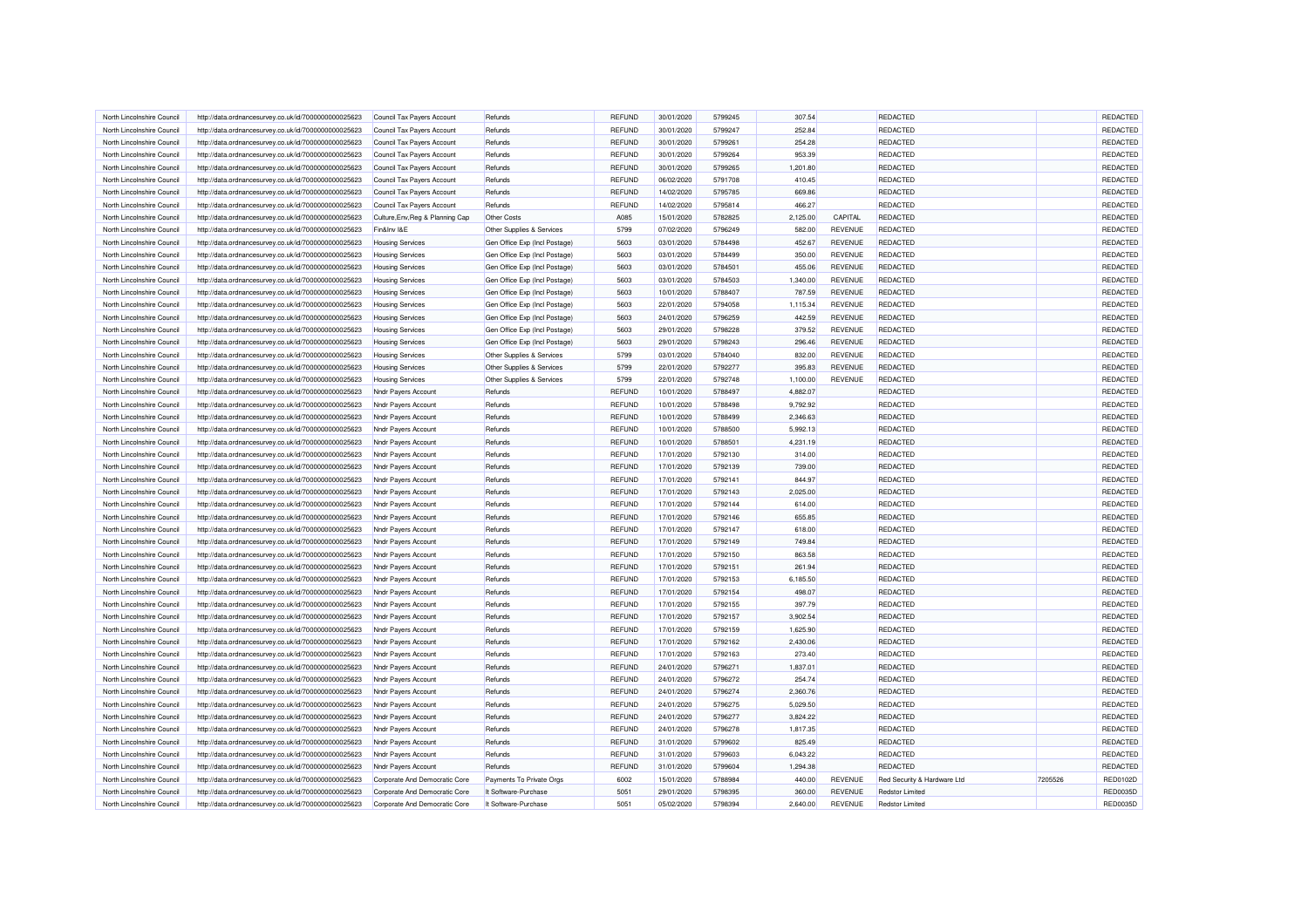| North Lincolnshire Council | http://data.ordnancesurvey.co.uk/id/7000000000025623 | Council Tax Payers Account       | Refunds                       | REFUND        | 30/01/2020 | 5799245 | 307.54   |                | REDACTED                    |         | REDACTED        |
|----------------------------|------------------------------------------------------|----------------------------------|-------------------------------|---------------|------------|---------|----------|----------------|-----------------------------|---------|-----------------|
| North Lincolnshire Council | http://data.ordnancesurvey.co.uk/id/7000000000025623 | Council Tax Payers Account       | Refunds                       | REFUND        | 30/01/2020 | 5799247 | 252.84   |                | REDACTED                    |         | REDACTED        |
| North Lincolnshire Counci  | http://data.ordnancesurvey.co.uk/id/7000000000025623 | Council Tax Payers Account       | Refunds                       | <b>REFUND</b> | 30/01/2020 | 5799261 | 254.28   |                | REDACTED                    |         | REDACTED        |
| North Lincolnshire Council | http://data.ordnancesurvey.co.uk/id/7000000000025623 | Council Tax Payers Account       | Refunds                       | REFUND        | 30/01/2020 | 5799264 | 953.39   |                | REDACTED                    |         | REDACTED        |
| North Lincolnshire Council | http://data.ordnancesurvey.co.uk/id/7000000000025623 | Council Tax Payers Account       | Refunds                       | <b>REFUND</b> | 30/01/2020 | 5799265 | 1,201.80 |                | REDACTED                    |         | REDACTED        |
| North Lincolnshire Council | http://data.ordnancesurvey.co.uk/id/7000000000025623 | Council Tax Payers Account       | Refunds                       | REFUND        | 06/02/2020 | 5791708 | 410.45   |                | <b>REDACTED</b>             |         | REDACTED        |
| North Lincolnshire Council | http://data.ordnancesurvey.co.uk/id/7000000000025623 | Council Tax Payers Account       | Refunds                       | <b>REFUND</b> | 14/02/2020 | 5795785 | 669.86   |                | REDACTED                    |         | REDACTED        |
| North Lincolnshire Council | http://data.ordnancesurvey.co.uk/id/7000000000025623 | Council Tax Payers Account       | Refunds                       | <b>REFUND</b> | 14/02/2020 | 5795814 | 466.27   |                | REDACTED                    |         | REDACTED        |
| North Lincolnshire Council | http://data.ordnancesurvey.co.uk/id/7000000000025623 | Culture, Env, Reg & Planning Cap | Other Costs                   | A085          | 15/01/2020 | 5782825 | 2,125.00 | CAPITAL        | REDACTED                    |         | REDACTED        |
| North Lincolnshire Council | http://data.ordnancesurvey.co.uk/id/7000000000025623 | Fin&Inv I&E                      | Other Supplies & Services     | 5799          | 07/02/2020 | 5796249 | 582.00   | REVENUE        | REDACTED                    |         | REDACTED        |
| North Lincolnshire Counci  | http://data.ordnancesurvey.co.uk/id/7000000000025623 | <b>Housing Services</b>          | Gen Office Exp (Incl Postage) | 5603          | 03/01/2020 | 5784498 | 452.67   | REVENUE        | REDACTED                    |         | REDACTED        |
| North Lincolnshire Council | http://data.ordnancesurvey.co.uk/id/7000000000025623 | <b>Housing Services</b>          | Gen Office Exp (Incl Postage) | 5603          | 03/01/2020 | 5784499 | 350.00   | <b>REVENUE</b> | REDACTED                    |         | REDACTED        |
| North Lincolnshire Council | http://data.ordnancesurvey.co.uk/id/7000000000025623 | <b>Housing Services</b>          | Gen Office Exp (Incl Postage) | 5603          | 03/01/2020 | 5784501 | 455.06   | <b>REVENUE</b> | <b>REDACTED</b>             |         | REDACTED        |
| North Lincolnshire Council | http://data.ordnancesurvey.co.uk/id/7000000000025623 | <b>Housing Services</b>          | Gen Office Exp (Incl Postage) | 5603          | 03/01/2020 | 5784503 | 1,340.00 | <b>REVENUE</b> | REDACTED                    |         | REDACTED        |
| North Lincolnshire Council | http://data.ordnancesurvey.co.uk/id/7000000000025623 | <b>Housing Services</b>          | Gen Office Exp (Incl Postage) | 5603          | 10/01/2020 | 5788407 | 787.59   | <b>REVENUE</b> | <b>REDACTED</b>             |         | REDACTED        |
| North Lincolnshire Council | http://data.ordnancesurvey.co.uk/id/7000000000025623 | <b>Housing Services</b>          | Gen Office Exp (Incl Postage) | 5603          | 22/01/2020 | 5794058 | 1,115.34 | <b>REVENUE</b> | <b>REDACTED</b>             |         | REDACTED        |
| North Lincolnshire Council | http://data.ordnancesurvey.co.uk/id/7000000000025623 | <b>Housing Services</b>          | Gen Office Exp (Incl Postage) | 5603          | 24/01/2020 | 5796259 | 442.59   | <b>REVENUE</b> | REDACTED                    |         | REDACTED        |
| North Lincolnshire Council | http://data.ordnancesurvey.co.uk/id/7000000000025623 | <b>Housing Services</b>          | Gen Office Exp (Incl Postage) | 5603          | 29/01/2020 | 5798228 | 379.52   | <b>REVENUE</b> | <b>REDACTED</b>             |         | REDACTED        |
| North Lincolnshire Council | http://data.ordnancesurvey.co.uk/id/7000000000025623 | <b>Housing Services</b>          | Gen Office Exp (Incl Postage) | 5603          | 29/01/2020 | 5798243 | 296.46   | REVENUE        | REDACTED                    |         | REDACTED        |
| North Lincolnshire Council | http://data.ordnancesurvey.co.uk/id/7000000000025623 | <b>Housing Services</b>          | Other Supplies & Services     | 5799          | 03/01/2020 | 5784040 | 832.00   | <b>REVENUE</b> | <b>REDACTED</b>             |         | REDACTED        |
| North Lincolnshire Counci  | http://data.ordnancesurvey.co.uk/id/7000000000025623 | <b>Housing Services</b>          | Other Supplies & Services     | 5799          | 22/01/2020 | 5792277 | 395.83   | <b>REVENUE</b> | REDACTED                    |         | REDACTED        |
| North Lincolnshire Council | http://data.ordnancesurvey.co.uk/id/7000000000025623 | <b>Housing Services</b>          | Other Supplies & Services     | 5799          | 22/01/2020 | 5792748 | 1,100.00 | <b>REVENUE</b> | <b>REDACTED</b>             |         | REDACTED        |
| North Lincolnshire Council | http://data.ordnancesurvey.co.uk/id/7000000000025623 | Nndr Payers Account              | Refunds                       | REFUND        | 10/01/2020 | 5788497 | 4,882.07 |                | <b>REDACTED</b>             |         | REDACTED        |
| North Lincolnshire Council | http://data.ordnancesurvey.co.uk/id/7000000000025623 | Nndr Payers Account              | Refunds                       | REFUND        | 10/01/2020 | 5788498 | 9,792.92 |                | <b>REDACTED</b>             |         | REDACTED        |
| North Lincolnshire Council | http://data.ordnancesurvey.co.uk/id/7000000000025623 | Nndr Payers Account              | Refunds                       | REFUND        | 10/01/2020 | 5788499 | 2,346.63 |                | REDACTED                    |         | REDACTED        |
| North Lincolnshire Council | http://data.ordnancesurvey.co.uk/id/7000000000025623 | Nndr Payers Account              | Refunds                       | REFUND        | 10/01/2020 | 5788500 | 5,992.13 |                | <b>REDACTED</b>             |         | REDACTED        |
| North Lincolnshire Council | http://data.ordnancesurvey.co.uk/id/7000000000025623 | Nndr Payers Account              | Refunds                       | REFUND        | 10/01/2020 | 5788501 | 4,231.19 |                | REDACTED                    |         | REDACTED        |
| North Lincolnshire Council | http://data.ordnancesurvey.co.uk/id/7000000000025623 | Nndr Payers Account              | Refunds                       | REFUND        | 17/01/2020 | 5792130 | 314.00   |                | <b>REDACTED</b>             |         | REDACTED        |
| North Lincolnshire Council | http://data.ordnancesurvey.co.uk/id/7000000000025623 | Nndr Payers Account              | Refunds                       | REFUND        | 17/01/2020 | 5792139 | 739.00   |                | REDACTED                    |         | REDACTED        |
| North Lincolnshire Council | http://data.ordnancesurvey.co.uk/id/7000000000025623 | Nndr Payers Account              | Refunds                       | REFUND        | 17/01/2020 | 5792141 | 844.97   |                | REDACTED                    |         | REDACTED        |
| North Lincolnshire Council | http://data.ordnancesurvey.co.uk/id/7000000000025623 | Nndr Payers Account              | Refunds                       | <b>REFUND</b> | 17/01/2020 | 5792143 | 2,025.00 |                | REDACTED                    |         | REDACTED        |
| North Lincolnshire Council | http://data.ordnancesurvey.co.uk/id/7000000000025623 | Nndr Payers Account              | Refunds                       | <b>REFUND</b> | 17/01/2020 | 5792144 | 614.00   |                | <b>REDACTED</b>             |         | REDACTED        |
| North Lincolnshire Council | http://data.ordnancesurvey.co.uk/id/7000000000025623 | Nndr Payers Account              | Refunds                       | <b>REFUND</b> | 17/01/2020 | 5792146 | 655.85   |                | <b>REDACTED</b>             |         | REDACTED        |
| North Lincolnshire Council | http://data.ordnancesurvey.co.uk/id/7000000000025623 | Nndr Payers Account              | Refunds                       | REFUND        | 17/01/2020 | 5792147 | 618.00   |                | <b>REDACTED</b>             |         | REDACTED        |
| North Lincolnshire Council | http://data.ordnancesurvey.co.uk/id/7000000000025623 | Nndr Payers Account              | Refunds                       | REFUND        | 17/01/2020 | 5792149 | 749.84   |                | REDACTED                    |         | REDACTED        |
| North Lincolnshire Council | http://data.ordnancesurvey.co.uk/id/7000000000025623 | Nndr Payers Account              | Refunds                       | REFUND        | 17/01/2020 | 5792150 | 863.58   |                | <b>REDACTED</b>             |         | REDACTED        |
| North Lincolnshire Council | http://data.ordnancesurvey.co.uk/id/7000000000025623 | Nndr Payers Account              | Refunds                       | REFUND        | 17/01/2020 | 5792151 | 261.94   |                | REDACTED                    |         | REDACTED        |
| North Lincolnshire Council | http://data.ordnancesurvey.co.uk/id/7000000000025623 | Nndr Payers Account              | Refunds                       | REFUND        | 17/01/2020 | 5792153 | 6,185.50 |                | REDACTED                    |         | REDACTED        |
| North Lincolnshire Council | http://data.ordnancesurvey.co.uk/id/7000000000025623 | Nndr Payers Account              | Refunds                       | REFUND        | 17/01/2020 | 5792154 | 498.07   |                | REDACTED                    |         | REDACTED        |
| North Lincolnshire Council | http://data.ordnancesurvey.co.uk/id/7000000000025623 | Nndr Payers Account              | Refunds                       | REFUND        | 17/01/2020 | 5792155 | 397.79   |                | <b>REDACTED</b>             |         | REDACTED        |
| North Lincolnshire Counci  | http://data.ordnancesurvey.co.uk/id/7000000000025623 | Nndr Payers Account              | Refunds                       | REFUND        | 17/01/2020 | 5792157 | 3,902.54 |                | REDACTED                    |         | REDACTED        |
| North Lincolnshire Council | http://data.ordnancesurvey.co.uk/id/7000000000025623 | Nndr Payers Account              | Refunds                       | REFUND        | 17/01/2020 | 5792159 | 1,625.90 |                | REDACTED                    |         | <b>REDACTED</b> |
| North Lincolnshire Council | http://data.ordnancesurvey.co.uk/id/7000000000025623 | Nndr Payers Account              | Refunds                       | <b>REFUND</b> | 17/01/2020 | 5792162 | 2,430.06 |                | REDACTED                    |         | REDACTED        |
| North Lincolnshire Council | http://data.ordnancesurvey.co.uk/id/7000000000025623 | Nndr Payers Account              | Refunds                       | <b>REFUND</b> | 17/01/2020 | 5792163 | 273.40   |                | REDACTED                    |         | REDACTED        |
| North Lincolnshire Council | http://data.ordnancesurvey.co.uk/id/7000000000025623 | Nndr Payers Account              | Refunds                       | <b>REFUND</b> | 24/01/2020 | 5796271 | 1,837.01 |                | REDACTED                    |         | REDACTED        |
| North Lincolnshire Council | http://data.ordnancesurvey.co.uk/id/7000000000025623 | Nndr Payers Account              | Refunds                       | REFUND        | 24/01/2020 | 5796272 | 254.74   |                | <b>REDACTED</b>             |         | REDACTED        |
| North Lincolnshire Council | http://data.ordnancesurvey.co.uk/id/7000000000025623 | Nndr Payers Account              | Refunds                       | REFUND        | 24/01/2020 | 5796274 | 2,360.76 |                | REDACTED                    |         | REDACTED        |
| North Lincolnshire Council | http://data.ordnancesurvey.co.uk/id/7000000000025623 | Nndr Payers Account              | Refunds                       | <b>REFUND</b> | 24/01/2020 | 5796275 | 5,029.50 |                | REDACTED                    |         | REDACTED        |
| North Lincolnshire Council | http://data.ordnancesurvey.co.uk/id/7000000000025623 | Nndr Payers Account              | Refunds                       | <b>REFUND</b> | 24/01/2020 | 5796277 | 3,824.22 |                | REDACTED                    |         | REDACTED        |
| North Lincolnshire Council | http://data.ordnancesurvey.co.uk/id/7000000000025623 | Nndr Payers Account              | Refunds                       | <b>REFUND</b> | 24/01/2020 | 5796278 | 1,817.35 |                | <b>REDACTED</b>             |         | REDACTED        |
| North Lincolnshire Council | http://data.ordnancesurvey.co.uk/id/7000000000025623 | Nndr Payers Account              | Refunds                       | <b>REFUND</b> | 31/01/2020 | 5799602 | 825.49   |                | <b>REDACTED</b>             |         | REDACTED        |
| North Lincolnshire Council | http://data.ordnancesurvey.co.uk/id/7000000000025623 | Nndr Payers Account              | Refunds                       | REFUND        | 31/01/2020 | 5799603 | 6,043.22 |                | <b>REDACTED</b>             |         | REDACTED        |
| North Lincolnshire Counci  | http://data.ordnancesurvey.co.uk/id/7000000000025623 | Nndr Payers Account              | Refunds                       | REFUND        | 31/01/2020 | 5799604 | 1,294.38 |                | <b>REDACTED</b>             |         | REDACTED        |
| North Lincolnshire Council | http://data.ordnancesurvey.co.uk/id/7000000000025623 | Corporate And Democratic Core    | Payments To Private Orgs      | 6002          | 15/01/2020 | 5788984 | 440.00   | <b>REVENUE</b> | Red Security & Hardware Ltd | 7205526 | <b>RED0102D</b> |
| North Lincolnshire Council | http://data.ordnancesurvey.co.uk/id/7000000000025623 | Corporate And Democratic Core    | It Software-Purchase          | 5051          | 29/01/2020 | 5798395 | 360.00   | <b>REVENUE</b> | Redstor Limited             |         | <b>RED0035D</b> |
| North Lincolnshire Council | http://data.ordnancesurvey.co.uk/id/7000000000025623 | Corporate And Democratic Core    | It Software-Purchase          | 5051          | 05/02/2020 | 5798394 | 2.640.00 | <b>REVENUE</b> | Redstor Limited             |         | <b>RED0035D</b> |
|                            |                                                      |                                  |                               |               |            |         |          |                |                             |         |                 |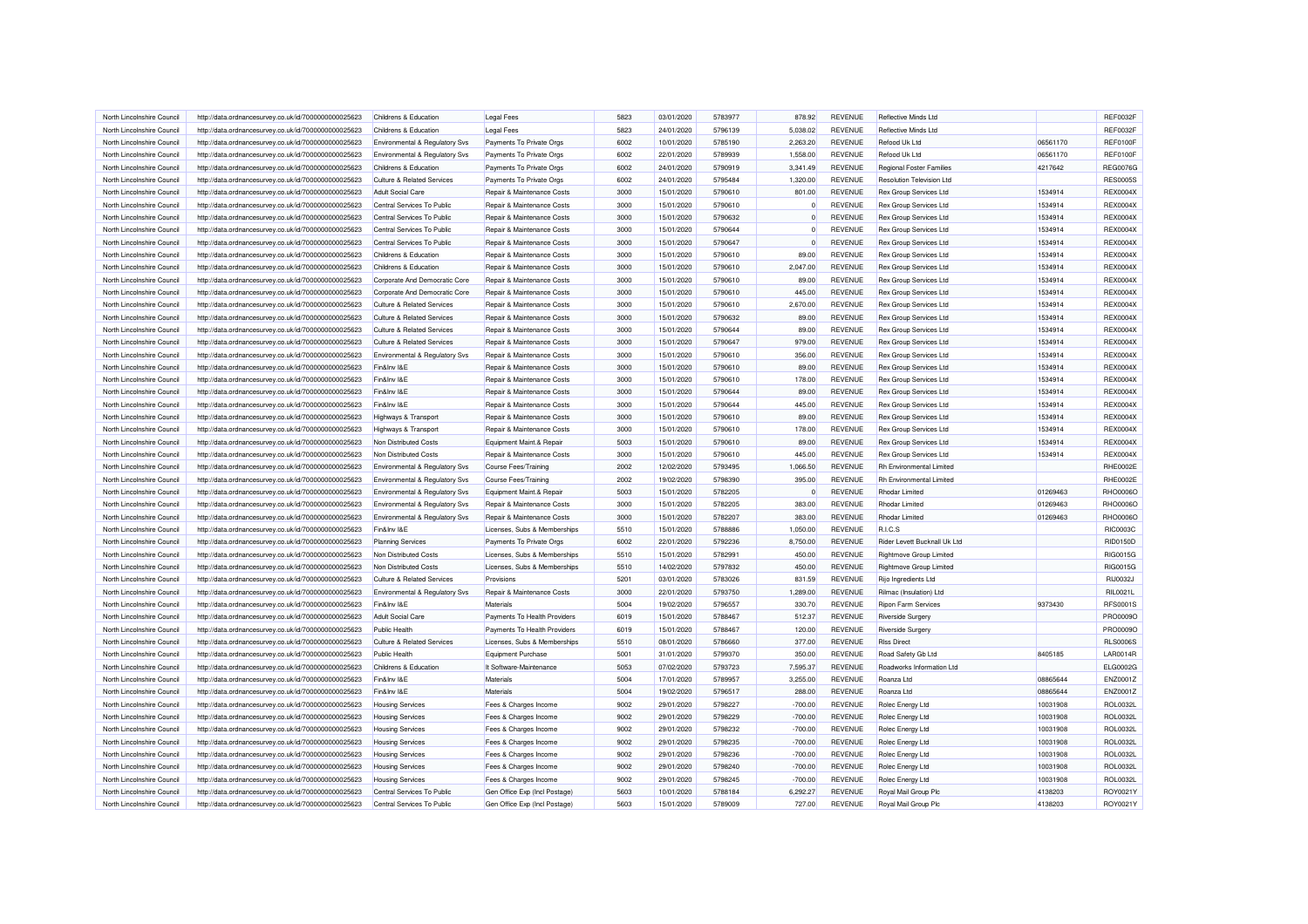| North Lincolnshire Council | http://data.ordnancesurvey.co.uk/id/7000000000025623 | Childrens & Education                 | <b>Legal Fees</b>             | 5823         | 03/01/2020 | 5783977            | 878.92    | <b>REVENUE</b> | Reflective Minds Ltd             |          | <b>REF0032F</b> |
|----------------------------|------------------------------------------------------|---------------------------------------|-------------------------------|--------------|------------|--------------------|-----------|----------------|----------------------------------|----------|-----------------|
| North Lincolnshire Council | http://data.ordnancesurvey.co.uk/id/7000000000025623 | <b>Childrens &amp; Education</b>      | <b>Legal Fees</b>             | 5823         | 24/01/2020 | 5796139            | 5,038.02  | <b>REVENUE</b> | Reflective Minds Ltd             |          | REF0032F        |
| North Lincolnshire Council | http://data.ordnancesurvey.co.uk/id/7000000000025623 | Environmental & Regulatory Svs        | Payments To Private Orgs      | 6002         | 10/01/2020 | 5785190            | 2,263.20  | <b>REVENUE</b> | Refood Uk Ltd                    | 06561170 | <b>REF0100F</b> |
| North Lincolnshire Counci  | http://data.ordnancesurvey.co.uk/id/7000000000025623 | Environmental & Regulatory Svs        | Payments To Private Orgs      | 6002         | 22/01/2020 | 5789939            | 1,558.00  | <b>REVENUE</b> | Refood Uk Ltd                    | 06561170 | <b>REF0100F</b> |
| North Lincolnshire Council | http://data.ordnancesurvey.co.uk/id/7000000000025623 | Childrens & Education                 | Payments To Private Orgs      | 6002         | 24/01/2020 | 5790919            | 3,341.49  | <b>REVENUE</b> | <b>Regional Foster Families</b>  | 4217642  | <b>REG0076G</b> |
| North Lincolnshire Council | http://data.ordnancesurvey.co.uk/id/7000000000025623 | Culture & Related Services            | Payments To Private Orgs      | 6002         | 24/01/2020 | 5795484            | 1,320.00  | <b>REVENUE</b> | <b>Resolution Television Ltd</b> |          | <b>RES0005S</b> |
| North Lincolnshire Council | http://data.ordnancesurvey.co.uk/id/7000000000025623 | <b>Adult Social Care</b>              | Repair & Maintenance Costs    | 3000         | 15/01/2020 | 5790610            | 801.00    | <b>REVENUE</b> | <b>Rex Group Services Ltd</b>    | 1534914  | <b>REX0004X</b> |
| North Lincolnshire Council | http://data.ordnancesurvey.co.uk/id/7000000000025623 | Central Services To Public            | Repair & Maintenance Costs    | 3000         | 15/01/2020 | 5790610            |           | <b>REVENUE</b> | Rex Group Services Ltd           | 1534914  | <b>REX0004X</b> |
| North Lincolnshire Counci  | http://data.ordnancesurvey.co.uk/id/7000000000025623 | Central Services To Public            | Repair & Maintenance Costs    | 3000         | 15/01/2020 | 5790632            | $\Omega$  | <b>REVENUE</b> | <b>Rex Group Services Ltd</b>    | 1534914  | <b>REX0004X</b> |
| North Lincolnshire Counci  | http://data.ordnancesurvey.co.uk/id/7000000000025623 | Central Services To Public            | Repair & Maintenance Costs    | 3000         | 15/01/2020 | 5790644            |           | <b>REVENUE</b> | Rex Group Services Ltd           | 1534914  | <b>REX0004X</b> |
| North Lincolnshire Council | http://data.ordnancesurvey.co.uk/id/7000000000025623 | Central Services To Public            | Repair & Maintenance Costs    | 3000         | 15/01/2020 | 5790647            |           | <b>REVENUE</b> | Rex Group Services Ltd           | 1534914  | <b>REX0004X</b> |
| North Lincolnshire Council | http://data.ordnancesurvey.co.uk/id/7000000000025623 | Childrens & Education                 | Repair & Maintenance Costs    | 3000         | 15/01/2020 | 5790610            | 89.00     | <b>REVENUE</b> | Rex Group Services Ltd           | 1534914  | <b>REX0004X</b> |
| North Lincolnshire Council | http://data.ordnancesurvey.co.uk/id/7000000000025623 | Childrens & Education                 | Repair & Maintenance Costs    | 3000         | 15/01/2020 | 5790610            | 2,047.00  | <b>REVENUE</b> | <b>Rex Group Services Ltd</b>    | 1534914  | <b>REX0004X</b> |
| North Lincolnshire Council | http://data.ordnancesurvey.co.uk/id/7000000000025623 | Corporate And Democratic Core         | Repair & Maintenance Costs    | 3000         | 15/01/2020 | 5790610            | 89.00     | <b>REVENUE</b> | Rex Group Services Ltd           | 1534914  | <b>REX0004X</b> |
| North Lincolnshire Council |                                                      |                                       | Repair & Maintenance Costs    | 3000         | 15/01/2020 | 5790610            | 445.00    | <b>REVENUE</b> |                                  | 1534914  | REX0004X        |
|                            | http://data.ordnancesurvey.co.uk/id/7000000000025623 | Corporate And Democratic Core         |                               |              |            |                    |           | <b>REVENUE</b> | <b>Rex Group Services Ltd</b>    |          | <b>REX0004X</b> |
| North Lincolnshire Counci  | http://data.ordnancesurvey.co.uk/id/7000000000025623 | Culture & Related Services            | Repair & Maintenance Costs    | 3000         | 15/01/2020 | 5790610            | 2,670.00  |                | Rex Group Services Ltd           | 1534914  |                 |
| North Lincolnshire Council | http://data.ordnancesurvey.co.uk/id/7000000000025623 | <b>Culture &amp; Related Services</b> | Repair & Maintenance Costs    | 3000         | 15/01/2020 | 5790632            | 89.00     | <b>REVENUE</b> | Rex Group Services Ltd           | 1534914  | <b>REX0004X</b> |
| North Lincolnshire Council | http://data.ordnancesurvey.co.uk/id/7000000000025623 | Culture & Related Services            | Repair & Maintenance Costs    | 3000         | 15/01/2020 | 5790644            | 89.00     | <b>REVENUE</b> | <b>Rex Group Services Ltd</b>    | 1534914  | <b>REX0004X</b> |
| North Lincolnshire Council | http://data.ordnancesurvey.co.uk/id/7000000000025623 | <b>Culture &amp; Related Services</b> | Repair & Maintenance Costs    | 3000         | 15/01/2020 | 5790647            | 979.00    | <b>REVENUE</b> | Rex Group Services Ltd           | 1534914  | <b>REX0004X</b> |
| North Lincolnshire Council | http://data.ordnancesurvey.co.uk/id/7000000000025623 | Environmental & Regulatory Svs        | Repair & Maintenance Costs    | 3000         | 15/01/2020 | 5790610            | 356.00    | <b>REVENUE</b> | Rex Group Services Ltd           | 1534914  | <b>REX0004X</b> |
| North Lincolnshire Council | http://data.ordnancesurvey.co.uk/id/7000000000025623 | Fin&Inv I&E                           | Repair & Maintenance Costs    | 3000         | 15/01/2020 | 5790610            | 89.00     | <b>REVENUE</b> | <b>Rex Group Services Ltd</b>    | 1534914  | <b>REX0004X</b> |
| North Lincolnshire Council | http://data.ordnancesurvey.co.uk/id/7000000000025623 | Fin&Inv I&E                           | Repair & Maintenance Costs    | 3000         | 15/01/2020 | 5790610            | 178.00    | <b>REVENUE</b> | <b>Rex Group Services Ltd</b>    | 1534914  | <b>REX0004X</b> |
| North Lincolnshire Council | http://data.ordnancesurvey.co.uk/id/7000000000025623 | Fin&Inv I&E                           | Repair & Maintenance Costs    | 3000         | 15/01/2020 | 5790644            | 89.00     | <b>REVENUE</b> | Rex Group Services Ltd           | 1534914  | <b>REX0004X</b> |
| North Lincolnshire Council | http://data.ordnancesurvey.co.uk/id/7000000000025623 | Fin&Inv I&E                           | Repair & Maintenance Costs    | 3000         | 15/01/2020 | 5790644            | 445.00    | <b>REVENUE</b> | Rex Group Services Ltd           | 1534914  | <b>REX0004X</b> |
| North Lincolnshire Council | http://data.ordnancesurvey.co.uk/id/7000000000025623 | Highways & Transport                  | Repair & Maintenance Costs    | 3000         | 15/01/2020 | 5790610            | 89.00     | <b>REVENUE</b> | <b>Rex Group Services Ltd</b>    | 1534914  | <b>REX0004X</b> |
| North Lincolnshire Council | http://data.ordnancesurvey.co.uk/id/7000000000025623 | Highways & Transport                  | Repair & Maintenance Costs    | 3000         | 15/01/2020 | 5790610            | 178.00    | <b>REVENUE</b> | Rex Group Services Ltd           | 1534914  | <b>REX0004X</b> |
| North Lincolnshire Council | http://data.ordnancesurvey.co.uk/id/7000000000025623 | Non Distributed Costs                 | Equipment Maint.& Repair      | 5003         | 15/01/2020 | 5790610            | 89.00     | <b>REVENUE</b> | <b>Rex Group Services Ltd</b>    | 1534914  | REX0004X        |
| North Lincolnshire Counci  | http://data.ordnancesurvey.co.uk/id/7000000000025623 | Non Distributed Costs                 | Repair & Maintenance Costs    | 3000         | 15/01/2020 | 5790610            | 445.00    | <b>REVENUE</b> | Rex Group Services Ltd           | 1534914  | <b>REX0004X</b> |
| North Lincolnshire Council | http://data.ordnancesurvey.co.uk/id/7000000000025623 | Environmental & Regulatory Svs        | Course Fees/Training          | 2002         | 12/02/2020 | 5793495            | 1,066.50  | <b>REVENUE</b> | <b>Rh Environmental Limited</b>  |          | RHE0002E        |
| North Lincolnshire Council | http://data.ordnancesurvey.co.uk/id/7000000000025623 | Environmental & Regulatory Svs        | Course Fees/Training          | 2002         | 19/02/2020 | 5798390            | 395.00    | <b>REVENUE</b> | <b>Rh Environmental Limited</b>  |          | RHE0002E        |
| North Lincolnshire Council | http://data.ordnancesurvey.co.uk/id/7000000000025623 | Environmental & Regulatory Svs        | Equipment Maint.& Repair      | 5003         | 15/01/2020 | 5782205            |           | <b>REVENUE</b> | <b>Rhodar Limited</b>            | 01269463 | <b>RHO0006C</b> |
| North Lincolnshire Council | http://data.ordnancesurvey.co.uk/id/7000000000025623 | Environmental & Regulatory Svs        | Repair & Maintenance Costs    | 3000         | 15/01/2020 | 5782205            | 383.00    | <b>REVENUE</b> | <b>Rhodar Limited</b>            | 01269463 | <b>RHO0006C</b> |
| North Lincolnshire Council | http://data.ordnancesurvey.co.uk/id/7000000000025623 | Environmental & Regulatory Svs        | Repair & Maintenance Costs    | 3000         | 15/01/2020 | 5782207            | 383.00    | <b>REVENUE</b> | <b>Rhodar Limited</b>            | 01269463 | <b>RHO0006C</b> |
| North Lincolnshire Council | http://data.ordnancesurvey.co.uk/id/7000000000025623 | Fin&Inv I&E                           | Licenses, Subs & Memberships  | 5510         | 15/01/2020 | 5788886            | 1,050.00  | REVENUE        | R.I.C.S                          |          | <b>RIC0003C</b> |
| North Lincolnshire Council | http://data.ordnancesurvey.co.uk/id/7000000000025623 | <b>Planning Services</b>              | Payments To Private Orgs      | 6002         | 22/01/2020 | 5792236            | 8,750.00  | <b>REVENUE</b> | Rider Levett Bucknall Uk Ltd     |          | <b>RID0150D</b> |
| North Lincolnshire Council | http://data.ordnancesurvey.co.uk/id/7000000000025623 | Non Distributed Costs                 | Licenses, Subs & Memberships  | 5510         | 15/01/2020 | 5782991            | 450.00    | <b>REVENUE</b> | Rightmove Group Limited          |          | RIG0015G        |
| North Lincolnshire Counci  | http://data.ordnancesurvey.co.uk/id/7000000000025623 | Non Distributed Costs                 | Licenses, Subs & Memberships  | 5510         | 14/02/2020 | 5797832            | 450.00    | <b>REVENUE</b> | <b>Rightmove Group Limited</b>   |          | RIG0015G        |
| North Lincolnshire Council | http://data.ordnancesurvey.co.uk/id/7000000000025623 | Culture & Related Services            | Provisions                    | 5201         | 03/01/2020 | 5783026            | 831.59    | <b>REVENUE</b> | Rijo Ingredients Ltd             |          | RIJ0032J        |
| North Lincolnshire Council | http://data.ordnancesurvey.co.uk/id/7000000000025623 | Environmental & Regulatory Svs        | Repair & Maintenance Costs    | 3000         | 22/01/2020 | 5793750            | 1,289.00  | <b>REVENUE</b> | Rilmac (Insulation) Ltd          |          | RIL0021L        |
| North Lincolnshire Council | http://data.ordnancesurvey.co.uk/id/7000000000025623 | Fin&Inv I&E                           | Materials                     | 5004         | 19/02/2020 | 5796557            | 330.70    | <b>REVENUE</b> | <b>Ripon Farm Services</b>       | 9373430  | <b>RFS0001S</b> |
| North Lincolnshire Council | http://data.ordnancesurvey.co.uk/id/7000000000025623 | <b>Adult Social Care</b>              | Payments To Health Providers  | 6019         | 15/01/2020 | 5788467            | 512.37    | <b>REVENUE</b> | Riverside Surgery                |          | PRO0009O        |
| North Lincolnshire Council | http://data.ordnancesurvey.co.uk/id/7000000000025623 | Public Health                         | Payments To Health Providers  | 6019         | 15/01/2020 | 5788467            | 120.00    | REVENUE        | <b>Riverside Surgery</b>         |          | PRO0009O        |
| North Lincolnshire Council | http://data.ordnancesurvey.co.uk/id/7000000000025623 | Culture & Related Services            | Licenses, Subs & Memberships  | 5510         | 08/01/2020 | 5786660            | 377.00    | <b>REVENUE</b> | <b>RIss Direct</b>               |          | <b>RLS0006S</b> |
| North Lincolnshire Council | http://data.ordnancesurvey.co.uk/id/7000000000025623 | Public Health                         | Equipment Purchase            | 5001         | 31/01/2020 | 5799370            | 350.00    | <b>REVENUE</b> | Road Safety Gb Ltd               | 8405185  | <b>LAR0014R</b> |
| North Lincolnshire Council | http://data.ordnancesurvey.co.uk/id/7000000000025623 | Childrens & Education                 | It Software-Maintenance       | 5053         | 07/02/2020 | 5793723            | 7,595.37  | <b>REVENUE</b> | Roadworks Information Ltd        |          | ELG0002G        |
| North Lincolnshire Council | http://data.ordnancesurvey.co.uk/id/7000000000025623 | Fin&Inv I&E                           | Materials                     | 5004         | 17/01/2020 | 5789957            | 3,255.00  | <b>REVENUE</b> | Roanza Ltd                       | 08865644 | ENZ0001Z        |
| North Lincolnshire Council | http://data.ordnancesurvey.co.uk/id/7000000000025623 | Fin&Inv I&E                           | Materials                     | 5004         | 19/02/2020 | 5796517            | 288.00    | <b>REVENUE</b> | Roanza Ltd                       | 08865644 | ENZ0001Z        |
| North Lincolnshire Council |                                                      |                                       |                               | 9002         | 29/01/2020 | 5798227            | $-700.00$ | <b>REVENUE</b> |                                  | 10031908 | <b>ROL0032L</b> |
|                            | http://data.ordnancesurvey.co.uk/id/7000000000025623 | <b>Housing Services</b>               | Fees & Charges Income         |              |            |                    |           |                | Rolec Energy Ltd                 |          |                 |
| North Lincolnshire Council | http://data.ordnancesurvey.co.uk/id/7000000000025623 | <b>Housing Services</b>               | Fees & Charges Income         | 9002<br>9002 | 29/01/2020 | 5798229<br>5798232 | $-700.00$ | <b>REVENUE</b> | Rolec Energy Ltd                 | 10031908 | <b>ROL0032L</b> |
| North Lincolnshire Council | http://data.ordnancesurvey.co.uk/id/7000000000025623 | <b>Housing Services</b>               | Fees & Charges Income         |              | 29/01/2020 |                    | $-700.00$ | <b>REVENUE</b> | Rolec Energy Ltd                 | 10031908 | <b>ROL0032L</b> |
| North Lincolnshire Council | http://data.ordnancesurvey.co.uk/id/7000000000025623 | <b>Housing Services</b>               | Fees & Charges Income         | 9002         | 29/01/2020 | 5798235            | $-700.00$ | <b>REVENUE</b> | Rolec Energy Ltd                 | 10031908 | <b>ROL0032L</b> |
| North Lincolnshire Council | http://data.ordnancesurvey.co.uk/id/7000000000025623 | <b>Housing Services</b>               | Fees & Charges Income         | 9002         | 29/01/2020 | 5798236            | $-700.00$ | <b>REVENUE</b> | Rolec Energy Ltd                 | 10031908 | ROL0032L        |
| North Lincolnshire Council | http://data.ordnancesurvey.co.uk/id/7000000000025623 | <b>Housing Services</b>               | Fees & Charges Income         | 9002         | 29/01/2020 | 5798240            | $-700.00$ | <b>REVENUE</b> | Rolec Energy Ltd                 | 10031908 | <b>ROL0032L</b> |
| North Lincolnshire Council | http://data.ordnancesurvey.co.uk/id/7000000000025623 | <b>Housing Services</b>               | Fees & Charges Income         | 9002         | 29/01/2020 | 5798245            | $-700.00$ | REVENUE        | Rolec Energy Ltd                 | 10031908 | ROL0032L        |
| North Lincolnshire Council | http://data.ordnancesurvey.co.uk/id/7000000000025623 | Central Services To Public            | Gen Office Exp (Incl Postage) | 5603         | 10/01/2020 | 5788184            | 6,292.27  | <b>REVENUE</b> | Royal Mail Group Plc             | 4138203  | ROY0021Y        |
| North Lincolnshire Council | http://data.ordnancesurvey.co.uk/id/7000000000025623 | Central Services To Public            | Gen Office Exp (Incl Postage) | 5603         | 15/01/2020 | 5789009            | 727.00    | <b>REVENUE</b> | Roval Mail Group Plc             | 4138203  | ROY0021Y        |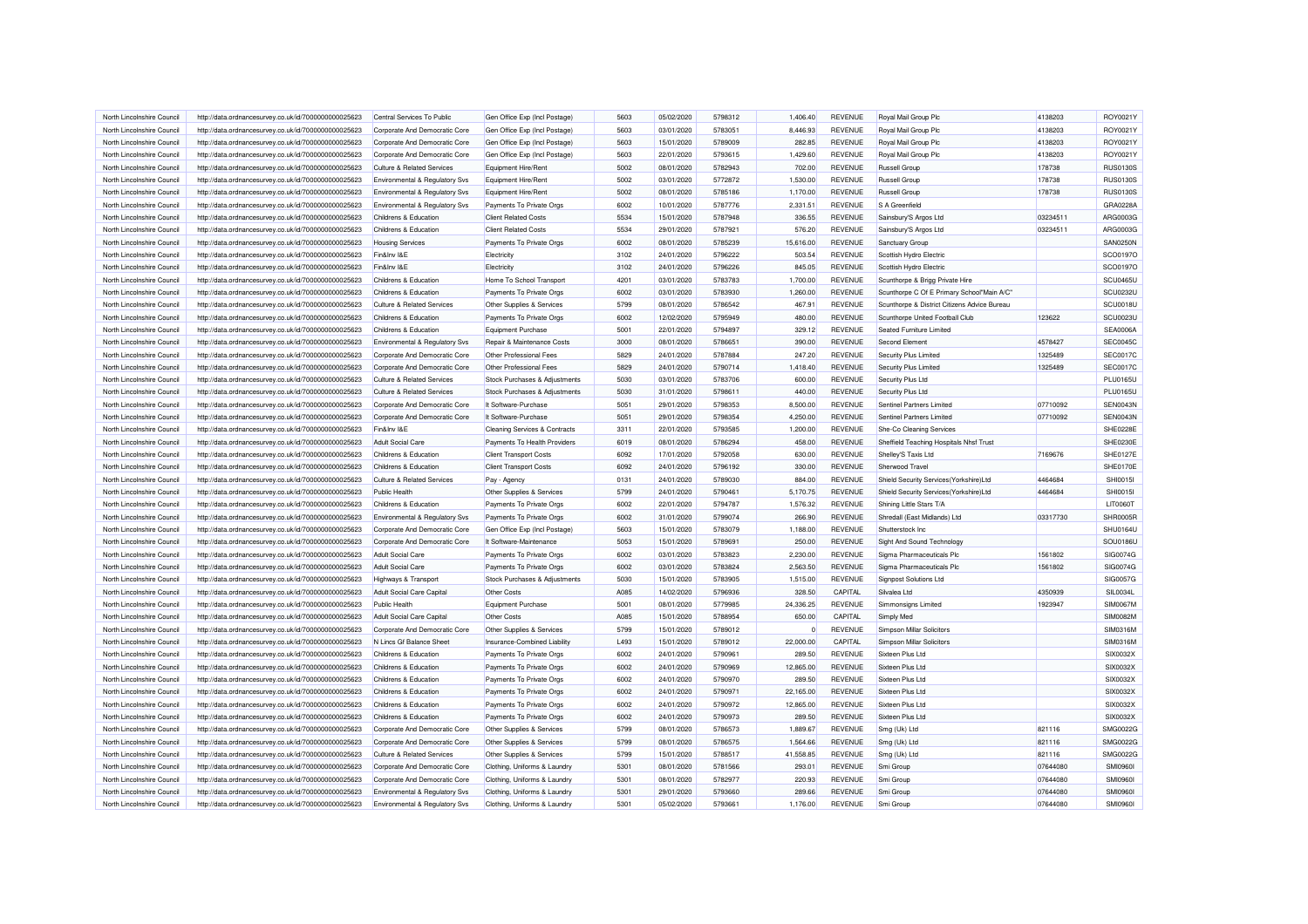| North Lincolnshire Council | http://data.ordnancesurvey.co.uk/id/7000000000025623 | Central Services To Public            | Gen Office Exp (Incl Postage)            | 5603 | 05/02/2020 | 5798312 | 1,406.40  | <b>REVENUE</b> | Royal Mail Group Plc                         | 4138203  | ROY0021Y                    |
|----------------------------|------------------------------------------------------|---------------------------------------|------------------------------------------|------|------------|---------|-----------|----------------|----------------------------------------------|----------|-----------------------------|
| North Lincolnshire Council | http://data.ordnancesurvey.co.uk/id/7000000000025623 | Corporate And Democratic Core         | Gen Office Exp (Incl Postage)            | 5603 | 03/01/2020 | 5783051 | 8,446.93  | <b>REVENUE</b> | Royal Mail Group Plc                         | 4138203  | ROY0021Y                    |
| North Lincolnshire Council | http://data.ordnancesurvey.co.uk/id/7000000000025623 | Corporate And Democratic Core         | Gen Office Exp (Incl Postage)            | 5603 | 15/01/2020 | 5789009 | 282.85    | <b>REVENUE</b> | Royal Mail Group Plc                         | 4138203  | ROY0021Y                    |
| North Lincolnshire Council | http://data.ordnancesurvey.co.uk/id/7000000000025623 | Corporate And Democratic Core         | Gen Office Exp (Incl Postage)            | 5603 | 22/01/2020 | 5793615 | 1,429.60  | <b>REVENUE</b> | Royal Mail Group Plc                         | 4138203  | ROY0021Y                    |
| North Lincolnshire Council | http://data.ordnancesurvey.co.uk/id/7000000000025623 | Culture & Related Services            | Equipment Hire/Rent                      | 5002 | 08/01/2020 | 5782943 | 702.00    | <b>REVENUE</b> | <b>Russell Group</b>                         | 178738   | <b>RUS0130S</b>             |
| North Lincolnshire Council | http://data.ordnancesurvey.co.uk/id/7000000000025623 | Environmental & Regulatory Svs        | Equipment Hire/Rent                      | 5002 | 03/01/2020 | 5772872 | 1,530.00  | <b>REVENUE</b> | <b>Russell Group</b>                         | 178738   | <b>RUS0130S</b>             |
| North Lincolnshire Council | http://data.ordnancesurvey.co.uk/id/7000000000025623 | Environmental & Regulatory Svs        | <b>Equipment Hire/Rent</b>               | 5002 | 08/01/2020 | 5785186 | 1,170.00  | <b>REVENUE</b> | <b>Russell Group</b>                         | 178738   | <b>RUS0130S</b>             |
| North Lincolnshire Council | http://data.ordnancesurvey.co.uk/id/7000000000025623 | Environmental & Regulatory Svs        | Payments To Private Orgs                 | 6002 | 10/01/2020 | 5787776 | 2,331.51  | <b>REVENUE</b> | S A Greenfield                               |          | GRA0228A                    |
| North Lincolnshire Council | http://data.ordnancesurvey.co.uk/id/7000000000025623 | Childrens & Education                 | <b>Client Related Costs</b>              | 5534 | 15/01/2020 | 5787948 | 336.55    | <b>REVENUE</b> | Sainsbury'S Argos Ltd                        | 03234511 | ARG0003C                    |
| North Lincolnshire Council | http://data.ordnancesurvey.co.uk/id/7000000000025623 | Childrens & Education                 | <b>Client Related Costs</b>              | 5534 | 29/01/2020 | 5787921 | 576.20    | <b>REVENUE</b> | Sainsbury'S Argos Ltd                        | 03234511 | ARG0003G                    |
| North Lincolnshire Council | http://data.ordnancesurvey.co.uk/id/7000000000025623 | <b>Housing Services</b>               | Payments To Private Orgs                 | 6002 | 08/01/2020 | 5785239 | 15,616.00 | <b>REVENUE</b> | Sanctuary Group                              |          | SAN0250N                    |
|                            |                                                      | Fin&Inv I&E                           |                                          | 3102 | 24/01/2020 | 5796222 | 503.54    | <b>REVENUE</b> | Scottish Hydro Electric                      |          | SCO01970                    |
| North Lincolnshire Council | http://data.ordnancesurvey.co.uk/id/7000000000025623 |                                       | Electricity                              |      |            |         |           |                |                                              |          | SCO0197O                    |
| North Lincolnshire Council | http://data.ordnancesurvey.co.uk/id/7000000000025623 | Fin&Inv I&E                           | Electricity                              | 3102 | 24/01/2020 | 5796226 | 845.05    | <b>REVENUE</b> | Scottish Hydro Electric                      |          |                             |
| North Lincolnshire Council | http://data.ordnancesurvey.co.uk/id/7000000000025623 | Childrens & Education                 | Home To School Transport                 | 4201 | 03/01/2020 | 5783783 | 1,700.00  | <b>REVENUE</b> | Scunthorpe & Brigg Private Hire              |          | SCU0465U                    |
| North Lincolnshire Council | http://data.ordnancesurvey.co.uk/id/7000000000025623 | Childrens & Education                 | Payments To Private Orgs                 | 6002 | 03/01/2020 | 5783930 | 1,260.00  | <b>REVENUE</b> | Scunthorpe C Of E Primary School"Main A/C"   |          | SCU0232L                    |
| North Lincolnshire Council | http://data.ordnancesurvey.co.uk/id/7000000000025623 | Culture & Related Services            | Other Supplies & Services                | 5799 | 08/01/2020 | 5786542 | 467.91    | <b>REVENUE</b> | Scunthorpe & District Citizens Advice Bureau |          | SCU0018L                    |
| North Lincolnshire Council | http://data.ordnancesurvey.co.uk/id/7000000000025623 | Childrens & Education                 | Payments To Private Orgs                 | 6002 | 12/02/2020 | 5795949 | 480.00    | <b>REVENUE</b> | Scunthorpe United Football Club              | 123622   | SCU0023L                    |
| North Lincolnshire Council | http://data.ordnancesurvey.co.uk/id/7000000000025623 | Childrens & Education                 | <b>Equipment Purchase</b>                | 5001 | 22/01/2020 | 5794897 | 329.12    | <b>REVENUE</b> | Seated Furniture Limited                     |          | SEA0006A                    |
| North Lincolnshire Council | http://data.ordnancesurvey.co.uk/id/7000000000025623 | Environmental & Regulatory Svs        | Repair & Maintenance Costs               | 3000 | 08/01/2020 | 5786651 | 390.00    | <b>REVENUE</b> | Second Elemen                                | 4578427  | <b>SEC0045C</b>             |
| North Lincolnshire Council | http://data.ordnancesurvey.co.uk/id/7000000000025623 | Corporate And Democratic Core         | Other Professional Fees                  | 5829 | 24/01/2020 | 5787884 | 247.20    | <b>REVENUE</b> | Security Plus Limited                        | 1325489  | <b>SEC0017C</b>             |
| North Lincolnshire Council | http://data.ordnancesurvey.co.uk/id/7000000000025623 | Corporate And Democratic Core         | Other Professional Fees                  | 5829 | 24/01/2020 | 5790714 | 1,418.40  | <b>REVENUE</b> | Security Plus Limited                        | 1325489  | <b>SEC0017C</b>             |
| North Lincolnshire Council | http://data.ordnancesurvey.co.uk/id/7000000000025623 | Culture & Related Services            | Stock Purchases & Adjustments            | 5030 | 03/01/2020 | 5783706 | 600.00    | <b>REVENUE</b> | Security Plus Ltd                            |          | <b>PLU0165U</b>             |
| North Lincolnshire Council | http://data.ordnancesurvey.co.uk/id/7000000000025623 | Culture & Related Services            | Stock Purchases & Adjustments            | 5030 | 31/01/2020 | 579861  | 440.00    | <b>REVENUE</b> | Security Plus Ltd                            |          | PLU0165U                    |
| North Lincolnshire Council | http://data.ordnancesurvey.co.uk/id/7000000000025623 | Corporate And Democratic Core         | It Software-Purchase                     | 5051 | 29/01/2020 | 5798353 | 8,500.00  | <b>REVENUE</b> | Sentinel Partners Limited                    | 07710092 | SEN0043N                    |
| North Lincolnshire Council | http://data.ordnancesurvey.co.uk/id/7000000000025623 | Corporate And Democratic Core         | It Software-Purchase                     | 5051 | 29/01/2020 | 5798354 | 4,250.00  | <b>REVENUE</b> | Sentinel Partners Limited                    | 07710092 | SEN0043N                    |
| North Lincolnshire Council | http://data.ordnancesurvey.co.uk/id/7000000000025623 | Fin&Inv I&F                           | <b>Cleaning Services &amp; Contracts</b> | 3311 | 22/01/2020 | 5793585 | 1,200.00  | <b>REVENUE</b> | She-Co Cleaning Services                     |          | SHE0228E                    |
| North Lincolnshire Council | http://data.ordnancesurvey.co.uk/id/7000000000025623 | <b>Adult Social Care</b>              | Payments To Health Providers             | 6019 | 08/01/2020 | 5786294 | 458.00    | <b>REVENUE</b> | Sheffield Teaching Hospitals Nhsf Trust      |          | SHE0230E                    |
| North Lincolnshire Council | http://data.ordnancesurvey.co.uk/id/7000000000025623 | Childrens & Education                 | <b>Client Transport Costs</b>            | 6092 | 17/01/2020 | 5792058 | 630.00    | <b>REVENUE</b> | Shelley'S Taxis Ltd                          | 7169676  | <b>SHE0127E</b>             |
| North Lincolnshire Council | http://data.ordnancesurvey.co.uk/id/7000000000025623 | Childrens & Education                 | <b>Client Transport Costs</b>            | 6092 | 24/01/2020 | 5796192 | 330.00    | <b>REVENUE</b> | Sherwood Travel                              |          | SHE0170E                    |
| North Lincolnshire Council | http://data.ordnancesurvey.co.uk/id/7000000000025623 | Culture & Related Services            | Pay - Agency                             | 0131 | 24/01/2020 | 5789030 | 884.00    | <b>REVENUE</b> | Shield Security Services(Yorkshire)Ltd       | 4464684  | SHI0015I                    |
| North Lincolnshire Council | http://data.ordnancesurvey.co.uk/id/7000000000025623 | Public Health                         | Other Supplies & Services                | 5799 | 24/01/2020 | 5790461 | 5,170.75  | <b>REVENUE</b> | Shield Security Services(Yorkshire)Ltd       | 4464684  | SHI0015I                    |
| North Lincolnshire Council | http://data.ordnancesurvey.co.uk/id/7000000000025623 | Childrens & Education                 | Payments To Private Orgs                 | 6002 | 22/01/2020 | 5794787 | 1,576.32  | <b>REVENUE</b> | Shining Little Stars T/A                     |          | LIT0060T                    |
| North Lincolnshire Council | http://data.ordnancesurvey.co.uk/id/7000000000025623 | Environmental & Regulatory Svs        | Payments To Private Orgs                 | 6002 | 31/01/2020 | 5799074 | 266.90    | <b>REVENUE</b> | Shredall (East Midlands) Ltd                 | 03317730 | SHR0005F                    |
| North Lincolnshire Council | http://data.ordnancesurvey.co.uk/id/7000000000025623 | Corporate And Democratic Core         | Gen Office Exp (Incl Postage)            | 5603 | 15/01/2020 | 5783079 | 1,188.00  | <b>REVENUE</b> | Shutterstock Inc                             |          | SHU0164U                    |
| North Lincolnshire Council | http://data.ordnancesurvey.co.uk/id/7000000000025623 | Corporate And Democratic Core         | It Software-Maintenance                  | 5053 | 15/01/2020 | 578969  | 250.00    | <b>REVENUE</b> | Sight And Sound Technology                   |          | SOU0186L                    |
| North Lincolnshire Council | http://data.ordnancesurvey.co.uk/id/7000000000025623 | <b>Adult Social Care</b>              | Payments To Private Orgs                 | 6002 | 03/01/2020 | 5783823 | 2,230.00  | <b>REVENUE</b> | Sigma Pharmaceuticals Plc                    | 1561802  | SIG0074G                    |
| North Lincolnshire Council | http://data.ordnancesurvey.co.uk/id/7000000000025623 | <b>Adult Social Care</b>              | Payments To Private Orgs                 | 6002 | 03/01/2020 | 5783824 | 2,563.50  | <b>REVENUE</b> | Sigma Pharmaceuticals Plc                    | 1561802  | SIG0074G                    |
|                            |                                                      |                                       |                                          | 5030 | 15/01/2020 | 5783905 | 1,515.00  | <b>REVENUE</b> |                                              |          | SIG0057G                    |
| North Lincolnshire Council | http://data.ordnancesurvey.co.uk/id/7000000000025623 | Highways & Transport                  | Stock Purchases & Adjustments            | A085 |            | 5796936 |           | CAPITAL        | Signpost Solutions Ltd                       | 4350939  |                             |
| North Lincolnshire Council | http://data.ordnancesurvey.co.uk/id/7000000000025623 | Adult Social Care Capital             | Other Costs                              |      | 14/02/2020 |         | 328.50    |                | Silvalea Ltd                                 |          | SIL0034L<br><b>SIM0067M</b> |
| North Lincolnshire Council | http://data.ordnancesurvey.co.uk/id/7000000000025623 | Public Health                         | <b>Equipment Purchase</b>                | 5001 | 08/01/2020 | 5779985 | 24,336.25 | <b>REVENUE</b> | Simmonsigns Limited                          | 1923947  |                             |
| North Lincolnshire Council | http://data.ordnancesurvey.co.uk/id/7000000000025623 | Adult Social Care Capital             | <b>Other Costs</b>                       | A085 | 15/01/2020 | 5788954 | 650.00    | CAPITAL        | <b>Simply Med</b>                            |          | <b>SIM0082M</b>             |
| North Lincolnshire Council | http://data.ordnancesurvey.co.uk/id/7000000000025623 | Corporate And Democratic Core         | Other Supplies & Services                | 5799 | 15/01/2020 | 5789012 |           | <b>REVENUE</b> | <b>Simpson Millar Solicitors</b>             |          | <b>SIM0316M</b>             |
| North Lincolnshire Council | http://data.ordnancesurvey.co.uk/id/7000000000025623 | N Lincs Gf Balance Sheet              | Insurance-Combined Liability             | L493 | 15/01/2020 | 5789012 | 22,000.00 | CAPITAL        | <b>Simpson Millar Solicitors</b>             |          | <b>SIM0316M</b>             |
| North Lincolnshire Council | http://data.ordnancesurvey.co.uk/id/7000000000025623 | Childrens & Education                 | Payments To Private Orgs                 | 6002 | 24/01/2020 | 579096  | 289.50    | REVENUE        | Sixteen Plus Ltd                             |          | SIX0032X                    |
| North Lincolnshire Council | http://data.ordnancesurvey.co.uk/id/7000000000025623 | Childrens & Education                 | Payments To Private Orgs                 | 6002 | 24/01/2020 | 5790969 | 12,865.00 | <b>REVENUE</b> | Sixteen Plus Ltd                             |          | SIX0032X                    |
| North Lincolnshire Council | http://data.ordnancesurvey.co.uk/id/7000000000025623 | Childrens & Education                 | Payments To Private Orgs                 | 6002 | 24/01/2020 | 5790970 | 289.50    | <b>REVENUE</b> | Sixteen Plus Ltd                             |          | SIX0032X                    |
| North Lincolnshire Council | http://data.ordnancesurvey.co.uk/id/7000000000025623 | Childrens & Education                 | Payments To Private Orgs                 | 6002 | 24/01/2020 | 5790971 | 22,165.00 | <b>REVENUE</b> | Sixteen Plus Ltd                             |          | SIX0032X                    |
| North Lincolnshire Council | http://data.ordnancesurvey.co.uk/id/7000000000025623 | Childrens & Education                 | Payments To Private Orgs                 | 6002 | 24/01/2020 | 5790972 | 12,865.00 | <b>REVENUE</b> | Sixteen Plus Ltd                             |          | SIX0032X                    |
| North Lincolnshire Council | http://data.ordnancesurvey.co.uk/id/7000000000025623 | Childrens & Education                 | Payments To Private Orgs                 | 6002 | 24/01/2020 | 5790973 | 289.50    | <b>REVENUE</b> | Sixteen Plus Ltd                             |          | SIX0032X                    |
| North Lincolnshire Council |                                                      |                                       |                                          | 5799 | 08/01/2020 | 5786573 | 1,889.67  | <b>REVENUE</b> | Smg (Uk) Ltd                                 | 821116   | SMG0022G                    |
|                            | http://data.ordnancesurvey.co.uk/id/7000000000025623 | Corporate And Democratic Core         | Other Supplies & Services                |      |            |         |           |                |                                              |          |                             |
| North Lincolnshire Council | http://data.ordnancesurvey.co.uk/id/7000000000025623 | Corporate And Democratic Core         | Other Supplies & Services                | 5799 | 08/01/2020 | 5786575 | 1,564.66  | <b>REVENUE</b> | Smg (Uk) Ltd                                 | 821116   | SMG0022G                    |
| North Lincolnshire Council | http://data.ordnancesurvey.co.uk/id/7000000000025623 | <b>Culture &amp; Related Services</b> | Other Supplies & Services                | 5799 | 15/01/2020 | 5788517 | 41,558.85 | <b>REVENUE</b> | Smg (Uk) Ltd                                 | 821116   | SMG0022G                    |
| North Lincolnshire Council | http://data.ordnancesurvey.co.uk/id/7000000000025623 | Corporate And Democratic Core         | Clothing, Uniforms & Laundry             | 5301 | 08/01/2020 | 5781566 | 293.01    | REVENUE        | Smi Group                                    | 07644080 | <b>SMI09601</b>             |
| North Lincolnshire Council | http://data.ordnancesurvey.co.uk/id/7000000000025623 | Corporate And Democratic Core         | Clothing, Uniforms & Laundry             | 5301 | 08/01/2020 | 5782977 | 220.93    | <b>REVENUE</b> | Smi Group                                    | 07644080 | <b>SMI09601</b>             |
| North Lincolnshire Council | http://data.ordnancesurvey.co.uk/id/7000000000025623 | Environmental & Regulatory Svs        | Clothing, Uniforms & Laundry             | 5301 | 29/01/2020 | 5793660 | 289.66    | <b>REVENUE</b> | Smi Group                                    | 07644080 | <b>SMI09601</b>             |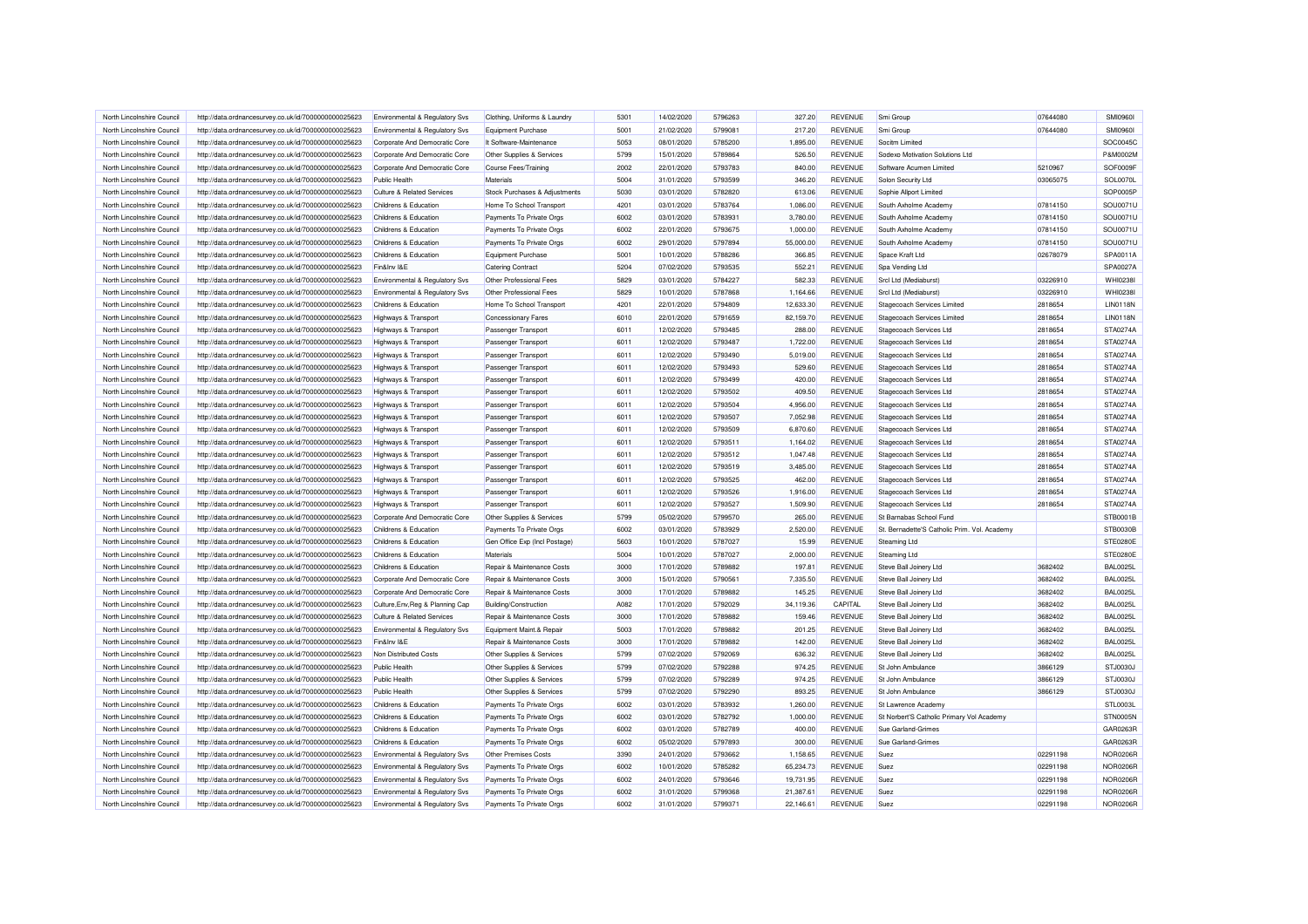| North Lincolnshire Council                               | http://data.ordnancesurvey.co.uk/id/7000000000025623 | Environmental & Regulatory Svs        | Clothing, Uniforms & Laundry  | 5301 | 14/02/2020               | 5796263            | 327.20              | <b>REVENUE</b>            | Smi Group                                    | 07644080           | SMI09601                           |
|----------------------------------------------------------|------------------------------------------------------|---------------------------------------|-------------------------------|------|--------------------------|--------------------|---------------------|---------------------------|----------------------------------------------|--------------------|------------------------------------|
| North Lincolnshire Council                               | http://data.ordnancesurvey.co.uk/id/7000000000025623 | Environmental & Regulatory Svs        | <b>Equipment Purchase</b>     | 5001 | 21/02/2020               | 5799081            | 217.20              | REVENUE                   | Smi Group                                    | 07644080           | <b>SMI09601</b>                    |
| North Lincolnshire Council                               | http://data.ordnancesurvey.co.uk/id/7000000000025623 | Corporate And Democratic Core         | It Software-Maintenance       | 5053 | 08/01/2020               | 5785200            | 1,895.00            | <b>REVENUE</b>            | Socitm Limited                               |                    | SOC0045C                           |
| North Lincolnshire Council                               | http://data.ordnancesurvey.co.uk/id/7000000000025623 | Corporate And Democratic Core         | Other Supplies & Services     | 5799 | 15/01/2020               | 5789864            | 526.50              | <b>REVENUE</b>            | Sodexo Motivation Solutions Ltd              |                    | P&M0002M                           |
| North Lincolnshire Council                               | http://data.ordnancesurvey.co.uk/id/7000000000025623 | Corporate And Democratic Core         | Course Fees/Training          | 2002 | 22/01/2020               | 5793783            | 840.00              | <b>REVENUE</b>            | Software Acumen Limited                      | 5210967            | SOF0009F                           |
| North Lincolnshire Council                               | http://data.ordnancesurvey.co.uk/id/7000000000025623 | Public Health                         | Materials                     | 5004 | 31/01/2020               | 5793599            | 346.20              | <b>REVENUE</b>            | Solon Security Ltd                           | 03065075           | SOL0070L                           |
| North Lincolnshire Council                               | http://data.ordnancesurvey.co.uk/id/7000000000025623 | Culture & Related Services            | Stock Purchases & Adjustments | 5030 | 03/01/2020               | 5782820            | 613.06              | <b>REVENUE</b>            | Sophie Allport Limited                       |                    | SOP0005F                           |
| North Lincolnshire Council                               | http://data.ordnancesurvey.co.uk/id/7000000000025623 | Childrens & Education                 | Home To School Transport      | 4201 | 03/01/2020               | 5783764            | 1,086.00            | REVENUE                   | South Axholme Academy                        | 07814150           | SOU0071L                           |
| North Lincolnshire Council                               | http://data.ordnancesurvey.co.uk/id/7000000000025623 | Childrens & Education                 | Payments To Private Orgs      | 6002 | 03/01/2020               | 5783931            | 3,780.00            | <b>REVENUE</b>            | South Axholme Academy                        | 07814150           | SOU0071L                           |
| North Lincolnshire Council                               | http://data.ordnancesurvey.co.uk/id/7000000000025623 | Childrens & Education                 | Payments To Private Orgs      | 6002 | 22/01/2020               | 5793675            | 1,000.00            | <b>REVENUE</b>            | South Axholme Academy                        | 07814150           | SOU0071U                           |
| North Lincolnshire Council                               | http://data.ordnancesurvey.co.uk/id/7000000000025623 | Childrens & Education                 | Payments To Private Orgs      | 6002 | 29/01/2020               | 5797894            | 55,000.00           | <b>REVENUE</b>            | South Axholme Academy                        | 07814150           | SOU0071L                           |
| North Lincolnshire Council                               | http://data.ordnancesurvey.co.uk/id/7000000000025623 | Childrens & Education                 | Equipment Purchase            | 5001 | 10/01/2020               | 5788286            | 366.85              | <b>REVENUE</b>            | Space Kraft Ltd                              | 02678079           | SPA0011A                           |
| North Lincolnshire Council                               |                                                      | Fin&Inv I&F                           |                               | 5204 | 07/02/2020               | 5793535            | 552.21              | <b>REVENUE</b>            | Spa Vending Ltd                              |                    | SPA0027A                           |
|                                                          | http://data.ordnancesurvey.co.uk/id/7000000000025623 |                                       | <b>Catering Contract</b>      | 5829 |                          | 5784227            |                     | <b>REVENUE</b>            |                                              |                    | WHI0238I                           |
| North Lincolnshire Council                               | http://data.ordnancesurvey.co.uk/id/7000000000025623 | Environmental & Regulatory Svs        | Other Professional Fees       |      | 03/01/2020               |                    | 582.33              |                           | Srcl Ltd (Mediaburst)                        | 03226910           |                                    |
| North Lincolnshire Council                               | http://data.ordnancesurvey.co.uk/id/7000000000025623 | Environmental & Regulatory Svs        | Other Professional Fees       | 5829 | 10/01/2020               | 5787868            | 1,164.66            | <b>REVENUE</b>            | Srcl Ltd (Mediaburst)                        | 03226910           | WHI0238I                           |
| North Lincolnshire Council                               | http://data.ordnancesurvey.co.uk/id/7000000000025623 | Childrens & Education                 | Home To School Transport      | 4201 | 22/01/2020               | 5794809            | 12.633.30           | <b>REVENUE</b>            | Stagecoach Services Limited                  | 2818654            | <b>LIN0118N</b>                    |
| North Lincolnshire Council                               | http://data.ordnancesurvey.co.uk/id/7000000000025623 | Highways & Transport                  | <b>Concessionary Fares</b>    | 6010 | 22/01/2020               | 5791659            | 82,159.70           | <b>REVENUE</b>            | <b>Stagecoach Services Limited</b>           | 2818654            | <b>LIN0118N</b>                    |
| North Lincolnshire Council                               | http://data.ordnancesurvey.co.uk/id/7000000000025623 | Highways & Transport                  | Passenger Transport           | 6011 | 12/02/2020               | 5793485            | 288.00              | <b>REVENUE</b>            | Stagecoach Services Ltd                      | 2818654            | STA0274A                           |
| North Lincolnshire Council                               | http://data.ordnancesurvey.co.uk/id/7000000000025623 | Highways & Transport                  | Passenger Transport           | 6011 | 12/02/2020               | 5793487            | 1,722.00            | <b>REVENUE</b>            | Stagecoach Services Ltd                      | 2818654            | STA0274A                           |
| North Lincolnshire Council                               | http://data.ordnancesurvey.co.uk/id/7000000000025623 | Highways & Transport                  | Passenger Transport           | 6011 | 12/02/2020               | 5793490            | 5,019.00            | <b>REVENUE</b>            | Stagecoach Services Ltd                      | 2818654            | STA0274A                           |
| North Lincolnshire Council                               | http://data.ordnancesurvey.co.uk/id/7000000000025623 | Highways & Transport                  | Passenger Transport           | 6011 | 12/02/2020               | 5793493            | 529.60              | <b>REVENUE</b>            | Stagecoach Services Ltd                      | 2818654            | STA0274A                           |
| North Lincolnshire Council                               | http://data.ordnancesurvey.co.uk/id/7000000000025623 | Highways & Transport                  | Passenger Transport           | 6011 | 12/02/2020               | 5793499            | 420.00              | <b>REVENUE</b>            | Stagecoach Services Ltd                      | 2818654            | STA0274A                           |
| North Lincolnshire Council                               | http://data.ordnancesurvey.co.uk/id/7000000000025623 | Highways & Transport                  | Passenger Transport           | 6011 | 12/02/2020               | 5793502            | 409.50              | <b>REVENUE</b>            | Stagecoach Services Ltd                      | 2818654            | STA0274A                           |
| North Lincolnshire Council                               | http://data.ordnancesurvey.co.uk/id/7000000000025623 | Highways & Transport                  | Passenger Transport           | 6011 | 12/02/2020               | 5793504            | 4,956.00            | <b>REVENUE</b>            | Stagecoach Services Ltd                      | 2818654            | STA0274A                           |
| North Lincolnshire Council                               | http://data.ordnancesurvey.co.uk/id/7000000000025623 | Highways & Transport                  | Passenger Transport           | 6011 | 12/02/2020               | 5793507            | 7,052.98            | <b>REVENUE</b>            | Stagecoach Services Ltd                      | 2818654            | STA0274A                           |
| North Lincolnshire Council                               | http://data.ordnancesurvey.co.uk/id/7000000000025623 | Highways & Transport                  | Passenger Transport           | 6011 | 12/02/2020               | 5793509            | 6,870.60            | <b>REVENUE</b>            | Stagecoach Services Ltd                      | 2818654            | STA0274A                           |
| North Lincolnshire Council                               | http://data.ordnancesurvey.co.uk/id/7000000000025623 | Highways & Transport                  | Passenger Transport           | 6011 | 12/02/2020               | 5793511            | 1,164.02            | <b>REVENUE</b>            | Stagecoach Services Ltd                      | 2818654            | STA0274A                           |
| North Lincolnshire Council                               | http://data.ordnancesurvey.co.uk/id/7000000000025623 | Highways & Transport                  | Passenger Transport           | 6011 | 12/02/2020               | 5793512            | 1,047.48            | <b>REVENUE</b>            | Stagecoach Services Ltd                      | 2818654            | STA0274A                           |
| North Lincolnshire Council                               | http://data.ordnancesurvey.co.uk/id/7000000000025623 | Highways & Transport                  | Passenger Transport           | 6011 | 12/02/2020               | 5793519            | 3,485.00            | <b>REVENUE</b>            | Stagecoach Services Ltd                      | 2818654            | STA0274A                           |
| North Lincolnshire Council                               | http://data.ordnancesurvey.co.uk/id/7000000000025623 | Highways & Transport                  | Passenger Transport           | 6011 | 12/02/2020               | 5793525            | 462.00              | <b>REVENUE</b>            | Stagecoach Services Ltd                      | 2818654            | STA0274A                           |
| North Lincolnshire Council                               | http://data.ordnancesurvey.co.uk/id/7000000000025623 | Highways & Transport                  | Passenger Transport           | 6011 | 12/02/2020               | 5793526            | 1.916.00            | <b>REVENUE</b>            | Stagecoach Services Ltd                      | 2818654            | STA0274A                           |
| North Lincolnshire Council                               | http://data.ordnancesurvey.co.uk/id/7000000000025623 | Highways & Transport                  | Passenger Transport           | 6011 | 12/02/2020               | 5793527            | 1,509.90            | <b>REVENUE</b>            | Stagecoach Services Ltd                      | 2818654            | STA0274A                           |
| North Lincolnshire Council                               | http://data.ordnancesurvey.co.uk/id/7000000000025623 | Corporate And Democratic Core         | Other Supplies & Services     | 5799 | 05/02/2020               | 5799570            | 265.00              | <b>REVENUE</b>            | St Barnabas School Fund                      |                    | STB0001B                           |
| North Lincolnshire Council                               | http://data.ordnancesurvey.co.uk/id/7000000000025623 | Childrens & Education                 | Payments To Private Orgs      | 6002 | 03/01/2020               | 5783929            | 2,520.00            | <b>REVENUE</b>            | St. Bernadette'S Catholic Prim. Vol. Academy |                    | STB0030B                           |
| North Lincolnshire Council                               | http://data.ordnancesurvey.co.uk/id/7000000000025623 | Childrens & Education                 | Gen Office Exp (Incl Postage) | 5603 | 10/01/2020               | 5787027            | 15.99               | <b>REVENUE</b>            | Steaming Ltd                                 |                    | STE0280E                           |
| North Lincolnshire Council                               | http://data.ordnancesurvey.co.uk/id/7000000000025623 | Childrens & Education                 | Materials                     | 5004 | 10/01/2020               | 5787027            | 2,000.00            | <b>REVENUE</b>            | <b>Steaming Ltd</b>                          |                    | STE0280E                           |
| North Lincolnshire Council                               | http://data.ordnancesurvey.co.uk/id/7000000000025623 | Childrens & Education                 | Repair & Maintenance Costs    | 3000 | 17/01/2020               | 5789882            | 197.81              | <b>REVENUE</b>            | Steve Ball Joinery Ltd                       | 3682402            | <b>BAL0025L</b>                    |
| North Lincolnshire Council                               |                                                      |                                       | Repair & Maintenance Costs    | 3000 | 15/01/2020               | 5790561            | 7,335.50            | <b>REVENUE</b>            |                                              | 3682402            | <b>BAL0025L</b>                    |
|                                                          | http://data.ordnancesurvey.co.uk/id/7000000000025623 | Corporate And Democratic Core         |                               | 3000 |                          |                    |                     |                           | Steve Ball Joinery Ltd                       |                    |                                    |
| North Lincolnshire Council<br>North Lincolnshire Council | http://data.ordnancesurvey.co.uk/id/7000000000025623 | Corporate And Democratic Core         | Repair & Maintenance Costs    | A082 | 17/01/2020<br>17/01/2020 | 5789882<br>5792029 | 145.25<br>34.119.36 | <b>REVENUE</b><br>CAPITAL | Steve Ball Joinery Ltd                       | 3682402<br>3682402 | <b>BAL0025L</b><br><b>BAL0025L</b> |
|                                                          | http://data.ordnancesurvey.co.uk/id/7000000000025623 | Culture, Env, Reg & Planning Cap      | Building/Construction         |      |                          |                    |                     |                           | Steve Ball Joinery Ltd                       |                    |                                    |
| North Lincolnshire Council                               | http://data.ordnancesurvey.co.uk/id/7000000000025623 | <b>Culture &amp; Related Services</b> | Repair & Maintenance Costs    | 3000 | 17/01/2020               | 5789882            | 159.46              | <b>REVENUE</b>            | Steve Ball Joinery Ltd                       | 3682402            | <b>BAL0025L</b>                    |
| North Lincolnshire Council                               | http://data.ordnancesurvey.co.uk/id/7000000000025623 | Environmental & Regulatory Svs        | Equipment Maint.& Repair      | 5003 | 17/01/2020               | 5789882            | 201.25              | <b>REVENUE</b>            | Steve Ball Joinery Ltd                       | 3682402            | <b>BAL0025L</b>                    |
| North Lincolnshire Council                               | http://data.ordnancesurvey.co.uk/id/7000000000025623 | Fin&Inv I&E                           | Repair & Maintenance Costs    | 3000 | 17/01/2020               | 5789882            | 142.00              | <b>REVENUE</b>            | Steve Ball Joinery Ltd                       | 3682402            | <b>BAL0025L</b>                    |
| North Lincolnshire Council                               | http://data.ordnancesurvey.co.uk/id/7000000000025623 | Non Distributed Costs                 | Other Supplies & Services     | 5799 | 07/02/2020               | 5792069            | 636.32              | <b>REVENUE</b>            | Steve Ball Joinery Ltd                       | 3682402            | <b>BAL0025L</b>                    |
| North Lincolnshire Council                               | http://data.ordnancesurvey.co.uk/id/7000000000025623 | <b>Public Health</b>                  | Other Supplies & Services     | 5799 | 07/02/2020               | 5792288            | 974.25              | <b>REVENUE</b>            | St John Ambulance                            | 3866129            | STJ0030J                           |
| North Lincolnshire Council                               | http://data.ordnancesurvey.co.uk/id/7000000000025623 | Public Health                         | Other Supplies & Services     | 5799 | 07/02/2020               | 5792289            | 974.25              | <b>REVENUE</b>            | St John Ambulance                            | 3866129            | STJ0030J                           |
| North Lincolnshire Council                               | http://data.ordnancesurvey.co.uk/id/7000000000025623 | <b>Public Health</b>                  | Other Supplies & Services     | 5799 | 07/02/2020               | 5792290            | 893.25              | REVENUE                   | St John Ambulance                            | 3866129            | STJ0030J                           |
| North Lincolnshire Council                               | http://data.ordnancesurvey.co.uk/id/7000000000025623 | Childrens & Education                 | Payments To Private Orgs      | 6002 | 03/01/2020               | 5783932            | 1,260.00            | <b>REVENUE</b>            | St Lawrence Academy                          |                    | STL0003L                           |
| North Lincolnshire Council                               | http://data.ordnancesurvey.co.uk/id/7000000000025623 | Childrens & Education                 | Payments To Private Orgs      | 6002 | 03/01/2020               | 5782792            | 1,000.00            | <b>REVENUE</b>            | St Norbert'S Catholic Primary Vol Academy    |                    | STN0005N                           |
| North Lincolnshire Council                               | http://data.ordnancesurvey.co.uk/id/7000000000025623 | Childrens & Education                 | Payments To Private Orgs      | 6002 | 03/01/2020               | 5782789            | 400.00              | <b>REVENUE</b>            | Sue Garland-Grimes                           |                    | GAR0263R                           |
| North Lincolnshire Council                               | http://data.ordnancesurvey.co.uk/id/7000000000025623 | Childrens & Education                 | Payments To Private Orgs      | 6002 | 05/02/2020               | 5797893            | 300.00              | <b>REVENUE</b>            | Sue Garland-Grimes                           |                    | GAR0263F                           |
| North Lincolnshire Council                               | http://data.ordnancesurvey.co.uk/id/7000000000025623 | Environmental & Regulatory Svs        | <b>Other Premises Costs</b>   | 3390 | 24/01/2020               | 5793662            | 1,158.65            | <b>REVENUE</b>            | Suez                                         | 02291198           | NOR0206R                           |
| North Lincolnshire Council                               | http://data.ordnancesurvey.co.uk/id/7000000000025623 | Environmental & Regulatory Svs        | Payments To Private Orgs      | 6002 | 10/01/2020               | 5785282            | 65,234.73           | <b>REVENUE</b>            | Suez                                         | 02291198           | NOR0206R                           |
| North Lincolnshire Council                               | http://data.ordnancesurvey.co.uk/id/7000000000025623 | Environmental & Regulatory Svs        | Payments To Private Orgs      | 6002 | 24/01/2020               | 5793646            | 19,731.95           | <b>REVENUE</b>            | Suez                                         | 02291198           | <b>NOR0206F</b>                    |
| North Lincolnshire Council                               | http://data.ordnancesurvey.co.uk/id/7000000000025623 | Environmental & Regulatory Svs        | Payments To Private Orgs      | 6002 | 31/01/2020               | 5799368            | 21,387.61           | <b>REVENUE</b>            | Suez                                         | 02291198           | <b>NOR0206R</b>                    |
| North Lincolnshire Council                               | http://data.ordnancesurvey.co.uk/id/7000000000025623 | Environmental & Regulatory Svs        | Payments To Private Orgs      | 6002 | 31/01/2020               | 5799371            | 22.146.61           | <b>REVENUE</b>            | Suez                                         | 02291198           | <b>NOR0206R</b>                    |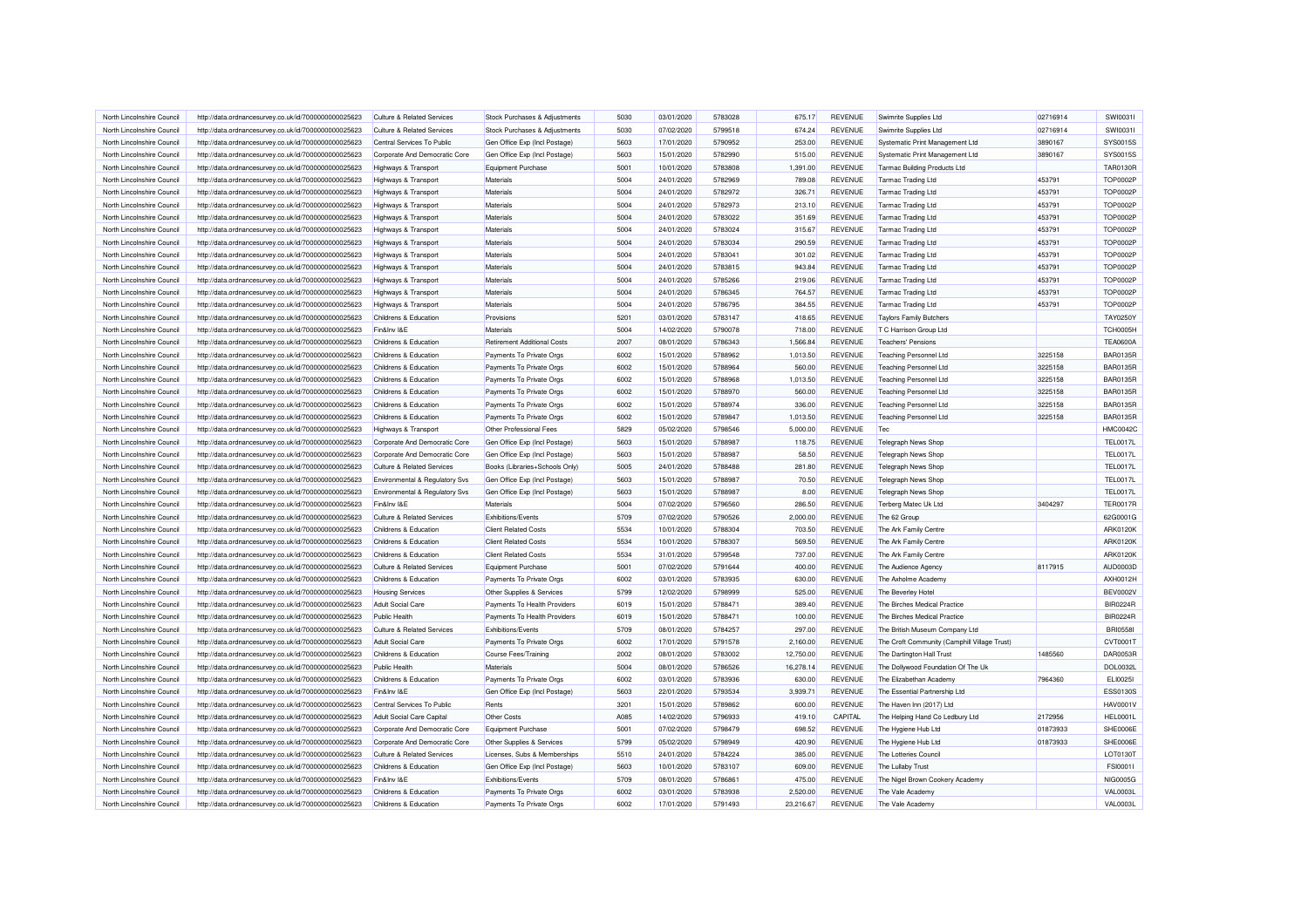| North Lincolnshire Council                               | http://data.ordnancesurvey.co.uk/id/7000000000025623 | Culture & Related Services            | Stock Purchases & Adjustments      | 5030         | 03/01/2020               | 5783028           | 675.17             | <b>REVENUE</b>                   | Swimrite Supplies Ltd                               | 02716914 | SW100311        |
|----------------------------------------------------------|------------------------------------------------------|---------------------------------------|------------------------------------|--------------|--------------------------|-------------------|--------------------|----------------------------------|-----------------------------------------------------|----------|-----------------|
| North Lincolnshire Council                               | http://data.ordnancesurvey.co.uk/id/7000000000025623 | Culture & Related Services            | Stock Purchases & Adjustments      | 5030         | 07/02/2020               | 5799518           | 674.24             | REVENUE                          | Swimrite Supplies Ltd                               | 02716914 | SWI0031I        |
| North Lincolnshire Council                               | http://data.ordnancesurvey.co.uk/id/7000000000025623 | Central Services To Public            | Gen Office Exp (Incl Postage)      | 5603         | 17/01/2020               | 5790952           | 253.00             | <b>REVENUE</b>                   | Systematic Print Management Ltd                     | 3890167  | SYS0015S        |
| North Lincolnshire Council                               | http://data.ordnancesurvey.co.uk/id/7000000000025623 | Corporate And Democratic Core         | Gen Office Exp (Incl Postage)      | 5603         | 15/01/2020               | 5782990           | 515.00             | <b>REVENUE</b>                   | Systematic Print Management Ltd                     | 3890167  | SYS0015S        |
| North Lincolnshire Council                               | http://data.ordnancesurvey.co.uk/id/7000000000025623 | Highways & Transport                  | <b>Equipment Purchase</b>          | 5001         | 10/01/2020               | 5783808           | 1,391.00           | <b>REVENUE</b>                   | <b>Tarmac Building Products Ltd</b>                 |          | TAR0130R        |
| North Lincolnshire Council                               | http://data.ordnancesurvey.co.uk/id/7000000000025623 | Highways & Transport                  | Materials                          | 5004         | 24/01/2020               | 5782969           | 789.08             | <b>REVENUE</b>                   | <b>Tarmac Trading Ltd</b>                           | 453791   | <b>TOP0002F</b> |
| North Lincolnshire Council                               | http://data.ordnancesurvey.co.uk/id/7000000000025623 | <b>Highways &amp; Transport</b>       | Materials                          | 5004         | 24/01/2020               | 5782972           | 326.71             | <b>REVENUE</b>                   | <b>Tarmac Trading Ltd</b>                           | 453791   | <b>TOP0002P</b> |
| North Lincolnshire Council                               | http://data.ordnancesurvey.co.uk/id/7000000000025623 | Highways & Transport                  | Materials                          | 5004         | 24/01/2020               | 5782973           | 213.10             | REVENUE                          | <b>Tarmac Trading Ltd</b>                           | 453791   | <b>TOP0002P</b> |
| North Lincolnshire Council                               | http://data.ordnancesurvey.co.uk/id/7000000000025623 | Highways & Transport                  | Materials                          | 5004         | 24/01/2020               | 5783022           | 351.69             | <b>REVENUE</b>                   | <b>Tarmac Trading Ltd</b>                           | 453791   | <b>TOP0002P</b> |
| North Lincolnshire Council                               | http://data.ordnancesurvey.co.uk/id/7000000000025623 | Highways & Transport                  | Materials                          | 5004         | 24/01/2020               | 5783024           | 315.67             | <b>REVENUE</b>                   | <b>Tarmac Trading Ltd</b>                           | 453791   | <b>TOP0002F</b> |
| North Lincolnshire Council                               | http://data.ordnancesurvey.co.uk/id/7000000000025623 | Highways & Transport                  | Materials                          | 5004         | 24/01/2020               | 5783034           | 290.59             | <b>REVENUE</b>                   | <b>Tarmac Trading Ltd</b>                           | 453791   | <b>TOP0002P</b> |
| North Lincolnshire Council                               | http://data.ordnancesurvey.co.uk/id/7000000000025623 | Highways & Transport                  | Materials                          | 5004         | 24/01/2020               | 5783041           | 301.02             | <b>REVENUE</b>                   | <b>Tarmac Trading Ltd</b>                           | 453791   | <b>TOP0002F</b> |
| North Lincolnshire Council                               | http://data.ordnancesurvey.co.uk/id/7000000000025623 | Highways & Transport                  | Materials                          | 5004         | 24/01/2020               | 5783815           | 943.84             | <b>REVENUE</b>                   | <b>Tarmac Trading Ltd</b>                           | 453791   | <b>TOP0002P</b> |
| North Lincolnshire Council                               | http://data.ordnancesurvey.co.uk/id/7000000000025623 | Highways & Transport                  | Materials                          | 5004         | 24/01/2020               | 5785266           | 219.06             | REVENUE                          | <b>Tarmac Trading Ltd</b>                           | 453791   | TOP0002P        |
| North Lincolnshire Council                               | http://data.ordnancesurvey.co.uk/id/7000000000025623 | Highways & Transport                  | Materials                          | 5004         | 24/01/2020               | 5786345           | 764.57             | <b>REVENUE</b>                   | <b>Tarmac Trading Ltd</b>                           | 453791   | <b>TOP0002F</b> |
| North Lincolnshire Council                               | http://data.ordnancesurvey.co.uk/id/7000000000025623 | Highways & Transport                  | Materials                          | 5004         | 24/01/2020               | 5786795           | 384.55             | <b>REVENUE</b>                   | <b>Tarmac Trading Ltd</b>                           | 453791   | <b>TOP0002P</b> |
|                                                          |                                                      |                                       | Provisions                         | 5201         |                          | 5783147           |                    |                                  |                                                     |          | TAY0250Y        |
| North Lincolnshire Council<br>North Lincolnshire Council | http://data.ordnancesurvey.co.uk/id/7000000000025623 | Childrens & Education<br>Fin&Inv I&E  | Materials                          | 5004         | 03/01/2020               | 5790078           | 418.65<br>718.00   | <b>REVENUE</b><br><b>REVENUE</b> | <b>Taylors Family Butchers</b>                      |          | <b>TCH0005H</b> |
| North Lincolnshire Council                               | http://data.ordnancesurvey.co.uk/id/7000000000025623 | Childrens & Education                 | <b>Retirement Additional Costs</b> | 2007         | 14/02/2020<br>08/01/2020 | 5786343           | 1,566.84           | <b>REVENUE</b>                   | T C Harrison Group Ltd<br><b>Teachers' Pensions</b> |          | <b>TEA0600A</b> |
|                                                          | http://data.ordnancesurvey.co.uk/id/7000000000025623 |                                       |                                    |              |                          |                   |                    |                                  |                                                     |          |                 |
| North Lincolnshire Council                               | http://data.ordnancesurvey.co.uk/id/7000000000025623 | Childrens & Education                 | Payments To Private Orgs           | 6002         | 15/01/2020               | 5788962           | 1,013.50           | <b>REVENUE</b>                   | <b>Teaching Personnel Ltd</b>                       | 3225158  | <b>BAR0135F</b> |
| North Lincolnshire Council                               | http://data.ordnancesurvey.co.uk/id/7000000000025623 | Childrens & Education                 | Payments To Private Orgs           | 6002         | 15/01/2020               | 5788964           | 560.00             | <b>REVENUE</b>                   | <b>Teaching Personnel Ltd</b>                       | 3225158  | <b>BAR0135F</b> |
| North Lincolnshire Council                               | http://data.ordnancesurvey.co.uk/id/7000000000025623 | Childrens & Education                 | Payments To Private Orgs           | 6002         | 15/01/2020               | 5788968           | 1,013.50           | <b>REVENUE</b>                   | <b>Teaching Personnel Ltd</b>                       | 3225158  | <b>BAR0135R</b> |
| North Lincolnshire Council                               | http://data.ordnancesurvey.co.uk/id/7000000000025623 | Childrens & Education                 | Payments To Private Orgs           | 6002         | 15/01/2020               | 5788970           | 560.00             | <b>REVENUE</b>                   | <b>Teaching Personnel Ltd</b>                       | 3225158  | <b>BAR0135F</b> |
| North Lincolnshire Council                               | http://data.ordnancesurvey.co.uk/id/7000000000025623 | Childrens & Education                 | Payments To Private Orgs           | 6002         | 15/01/2020               | 5788974           | 336.00             | <b>REVENUE</b>                   | <b>Teaching Personnel Ltd</b>                       | 3225158  | <b>BAR0135F</b> |
| North Lincolnshire Council                               | http://data.ordnancesurvey.co.uk/id/7000000000025623 | Childrens & Education                 | Payments To Private Orgs           | 6002         | 15/01/2020               | 5789847           | 1,013.50           | <b>REVENUE</b>                   | <b>Teaching Personnel Ltd</b>                       | 3225158  | <b>BAR0135R</b> |
| North Lincolnshire Council                               | http://data.ordnancesurvey.co.uk/id/7000000000025623 | Highways & Transport                  | Other Professional Fees            | 5829         | 05/02/2020               | 5798546           | 5,000.00           | <b>REVENUE</b>                   | Tec                                                 |          | <b>HMC0042C</b> |
| North Lincolnshire Council                               | http://data.ordnancesurvey.co.uk/id/7000000000025623 | Corporate And Democratic Core         | Gen Office Exp (Incl Postage)      | 5603         | 15/01/2020               | 5788987           | 118.75             | <b>REVENUE</b>                   | <b>Telegraph News Shop</b>                          |          | <b>TEL0017L</b> |
| North Lincolnshire Council                               | http://data.ordnancesurvey.co.uk/id/7000000000025623 | Corporate And Democratic Core         | Gen Office Exp (Incl Postage)      | 5603         | 15/01/2020               | 5788987           | 58.50              | <b>REVENUE</b>                   | <b>Telegraph News Shop</b>                          |          | <b>TEL0017L</b> |
| North Lincolnshire Council                               | http://data.ordnancesurvey.co.uk/id/7000000000025623 | Culture & Related Services            | Books (Libraries+Schools Only)     | 5005         | 24/01/2020               | 5788488           | 281.80             | <b>REVENUE</b>                   | <b>Telegraph News Shop</b>                          |          | <b>TEL0017L</b> |
| North Lincolnshire Council                               | http://data.ordnancesurvey.co.uk/id/7000000000025623 | Environmental & Regulatory Svs        | Gen Office Exp (Incl Postage)      | 5603         | 15/01/2020               | 5788987           | 70.50              | <b>REVENUE</b>                   | Telegraph News Shop                                 |          | <b>TEL0017L</b> |
| North Lincolnshire Council                               | http://data.ordnancesurvey.co.uk/id/7000000000025623 | Environmental & Regulatory Svs        | Gen Office Exp (Incl Postage)      | 5603         | 15/01/2020               | 5788987           | 8.00               | <b>REVENUE</b>                   | <b>Telegraph News Shop</b>                          |          | <b>TEL0017L</b> |
| North Lincolnshire Council                               | http://data.ordnancesurvey.co.uk/id/7000000000025623 | Fin&Inv I&F                           | Materials                          | 5004         | 07/02/2020               | 5796560           | 286.50             | <b>REVENUE</b>                   | Terberg Matec Uk Ltd                                | 3404297  | <b>TER0017R</b> |
| North Lincolnshire Council                               | http://data.ordnancesurvey.co.uk/id/7000000000025623 | <b>Culture &amp; Related Services</b> | Exhibitions/Events                 | 5709         | 07/02/2020               | 5790526           | 2,000.00           | <b>REVENUE</b>                   | The 62 Group                                        |          | 62G0001G        |
| North Lincolnshire Council                               | http://data.ordnancesurvey.co.uk/id/7000000000025623 | Childrens & Education                 | <b>Client Related Costs</b>        | 5534         | 10/01/2020               | 5788304           | 703.50             | <b>REVENUE</b>                   | The Ark Family Centre                               |          | ARK0120K        |
| North Lincolnshire Council                               | http://data.ordnancesurvey.co.uk/id/7000000000025623 | Childrens & Education                 | <b>Client Related Costs</b>        | 5534         | 10/01/2020               | 5788307           | 569.50             | <b>REVENUE</b>                   | The Ark Family Centre                               |          | ARK0120K        |
| North Lincolnshire Council                               | http://data.ordnancesurvey.co.uk/id/7000000000025623 | Childrens & Education                 | <b>Client Related Costs</b>        | 5534         | 31/01/2020               | 5799548           | 737.00             | <b>REVENUE</b>                   | The Ark Family Centre                               |          | ARK0120K        |
| North Lincolnshire Council                               | http://data.ordnancesurvey.co.uk/id/7000000000025623 | Culture & Related Services            | <b>Equipment Purchase</b>          | 5001         | 07/02/2020               | 5791644           | 400.00             | <b>REVENUE</b>                   | The Audience Agency                                 | 8117915  | AUD0003D        |
| North Lincolnshire Council                               | http://data.ordnancesurvey.co.uk/id/7000000000025623 | Childrens & Education                 | Payments To Private Orgs           | 6002         | 03/01/2020               | 5783935           | 630.00             | <b>REVENUE</b>                   | The Axholme Academy                                 |          | AXH0012H        |
| North Lincolnshire Council                               | http://data.ordnancesurvey.co.uk/id/7000000000025623 | <b>Housing Services</b>               | Other Supplies & Services          | 5799         | 12/02/2020               | 5798999           | 525.00             | <b>REVENUE</b>                   | The Beverley Hotel                                  |          | <b>BEV0002V</b> |
| North Lincolnshire Council                               | http://data.ordnancesurvey.co.uk/id/7000000000025623 | Adult Social Care                     | Payments To Health Providers       | 6019         | 15/01/2020               | 5788471           | 389.40             | <b>REVENUE</b>                   | The Birches Medical Practice                        |          | <b>BIR0224R</b> |
| North Lincolnshire Council                               | http://data.ordnancesurvey.co.uk/id/7000000000025623 | <b>Public Health</b>                  | Payments To Health Providers       | 6019         | 15/01/2020               | 5788471           | 100.00             | <b>REVENUE</b>                   | The Birches Medical Practice                        |          | <b>BIR0224R</b> |
| North Lincolnshire Council                               | http://data.ordnancesurvey.co.uk/id/7000000000025623 | Culture & Related Services            | <b>Exhibitions/Events</b>          | 5709         | 08/01/2020               | 5784257           | 297.00             | <b>REVENUE</b>                   | The British Museum Company Ltd                      |          | <b>BRI05581</b> |
| North Lincolnshire Council                               | http://data.ordnancesurvey.co.uk/id/7000000000025623 | <b>Adult Social Care</b>              | Payments To Private Orgs           | 6002         | 17/01/2020               | 5791578           | 2,160.00           | <b>REVENUE</b>                   | The Croft Community (Camphill Village Trust)        |          | CVT0001T        |
| North Lincolnshire Council                               | http://data.ordnancesurvey.co.uk/id/7000000000025623 | Childrens & Education                 | Course Fees/Training               | 2002         | 08/01/2020               | 5783002           | 12,750.00          | <b>REVENUE</b>                   | The Dartington Hall Trust                           | 1485560  | DAR0053F        |
| North Lincolnshire Council                               | http://data.ordnancesurvey.co.uk/id/7000000000025623 | <b>Public Health</b>                  | Materials                          | 5004         | 08/01/2020               | 5786526           | 16,278.14          | <b>REVENUE</b>                   | The Dollywood Foundation Of The Uk                  |          | DOL0032L        |
| North Lincolnshire Council                               | http://data.ordnancesurvey.co.uk/id/7000000000025623 | Childrens & Education                 | Payments To Private Orgs           | 6002         | 03/01/2020               | 5783936           | 630.00             | <b>REVENUE</b>                   | The Elizabethan Academy                             | 7964360  | ELI00251        |
| North Lincolnshire Council                               | http://data.ordnancesurvey.co.uk/id/7000000000025623 | Fin&Inv I&F                           | Gen Office Exp (Incl Postage)      | 5603         | 22/01/2020               | 5793534           | 3,939.71           | REVENUE                          | The Essential Partnership Ltd                       |          | <b>ESS0130S</b> |
| North Lincolnshire Council                               | http://data.ordnancesurvey.co.uk/id/7000000000025623 | Central Services To Public            | Rents                              | 3201         | 15/01/2020               | 5789862           | 600.00             | <b>REVENUE</b>                   | The Haven Inn (2017) Ltd                            |          | <b>HAV0001V</b> |
| North Lincolnshire Council                               | http://data.ordnancesurvey.co.uk/id/7000000000025623 | Adult Social Care Capital             | Other Costs                        | A085         | 14/02/2020               | 5796933           | 419.10             | CAPITAL                          | The Helping Hand Co Ledbury Ltd                     | 2172956  | <b>HEL0001L</b> |
| North Lincolnshire Council                               | http://data.ordnancesurvey.co.uk/id/7000000000025623 | Corporate And Democratic Core         | <b>Equipment Purchase</b>          | 5001         | 07/02/2020               | 5798479           | 698.52             | <b>REVENUE</b>                   | The Hygiene Hub Ltd                                 | 01873933 | SHE0006E        |
| North Lincolnshire Council                               | http://data.ordnancesurvey.co.uk/id/7000000000025623 | Corporate And Democratic Core         | Other Supplies & Services          | 5799         | 05/02/2020               | 5798949           | 420.90             | <b>REVENUE</b>                   | The Hygiene Hub Ltd                                 | 01873933 | SHE0006E        |
| North Lincolnshire Council                               | http://data.ordnancesurvey.co.uk/id/7000000000025623 | <b>Culture &amp; Related Services</b> | Licenses, Subs & Memberships       | 5510         | 24/01/2020               | 5784224           | 385.00             | <b>REVENUE</b>                   | The Lotteries Council                               |          | LOT0130T        |
|                                                          |                                                      |                                       |                                    |              |                          |                   |                    |                                  |                                                     |          | FSI0001I        |
| North Lincolnshire Council                               | http://data.ordnancesurvey.co.uk/id/7000000000025623 | Childrens & Education                 | Gen Office Exp (Incl Postage)      | 5603<br>5709 | 10/01/2020               | 5783107           | 609.00             | <b>REVENUE</b>                   | The Lullaby Trust                                   |          | NIG0005G        |
| North Lincolnshire Council                               | http://data.ordnancesurvey.co.uk/id/7000000000025623 | Fin&Inv I&E                           | <b>Exhibitions/Events</b>          | 6002         | 08/01/2020               | 578686<br>5783938 | 475.00<br>2,520.00 | <b>REVENUE</b><br><b>REVENUE</b> | The Nigel Brown Cookery Academy                     |          | <b>VAL0003L</b> |
| North Lincolnshire Council                               | http://data.ordnancesurvey.co.uk/id/7000000000025623 | Childrens & Education                 | Payments To Private Orgs           | 6002         | 03/01/2020               | 5791493           |                    |                                  | The Vale Academy                                    |          |                 |
| North Lincolnshire Council                               | http://data.ordnancesurvey.co.uk/id/7000000000025623 | Childrens & Education                 | Payments To Private Orgs           |              | 17/01/2020               |                   | 23.216.67          | <b>REVENUE</b>                   | The Vale Academy                                    |          | <b>VAL0003L</b> |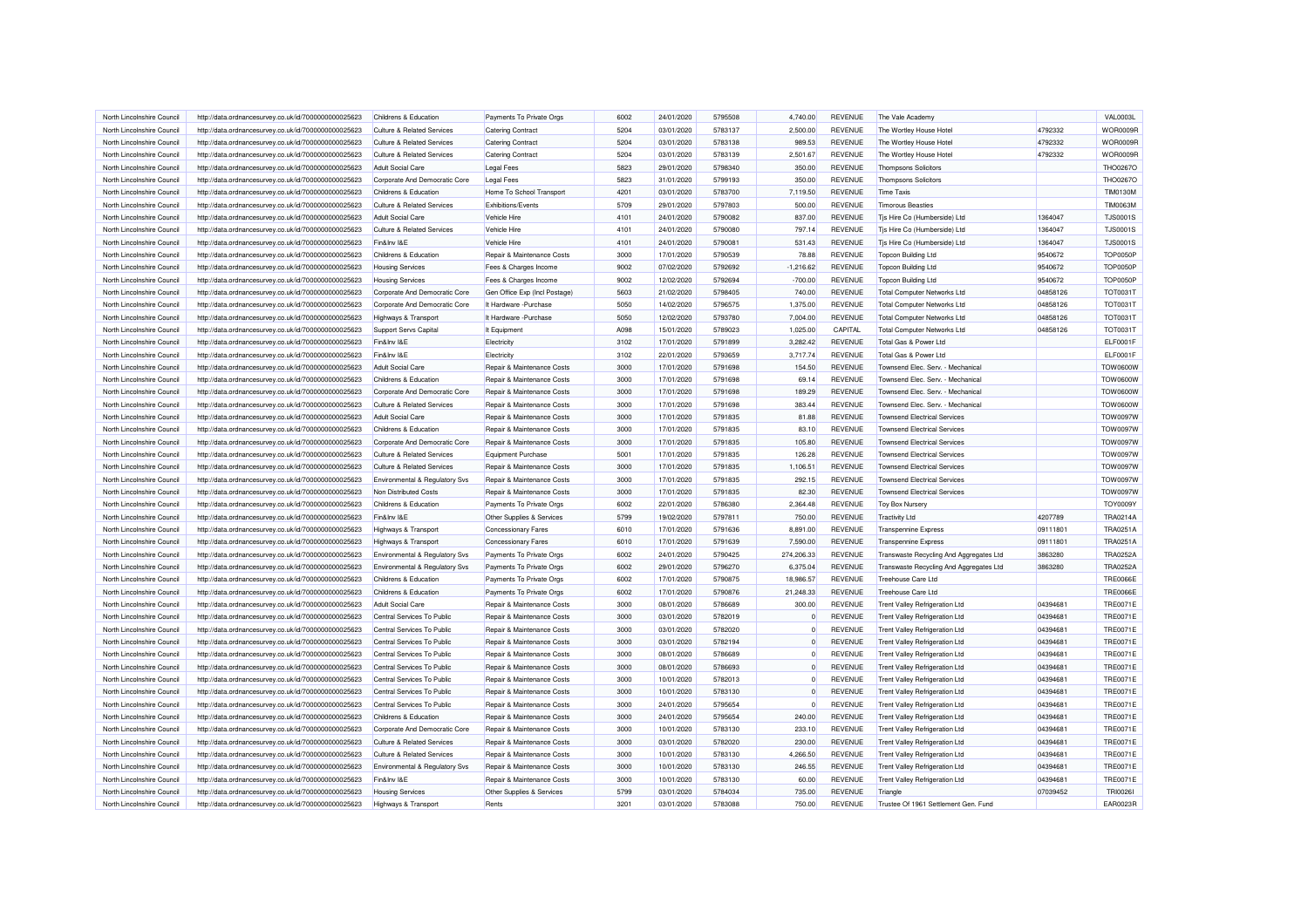| North Lincolnshire Council | http://data.ordnancesurvey.co.uk/id/7000000000025623 | Childrens & Education                 | Payments To Private Orgs      | 6002 | 24/01/2020 | 5795508 | 4,740.00       | REVENUE        | The Vale Academy                        |          | <b>VAL0003L</b> |
|----------------------------|------------------------------------------------------|---------------------------------------|-------------------------------|------|------------|---------|----------------|----------------|-----------------------------------------|----------|-----------------|
| North Lincolnshire Council | http://data.ordnancesurvey.co.uk/id/7000000000025623 | <b>Culture &amp; Related Services</b> | <b>Catering Contract</b>      | 5204 | 03/01/2020 | 5783137 | 2,500.00       | <b>REVENUE</b> | The Wortley House Hotel                 | 4792332  | WOR0009F        |
| North Lincolnshire Council | http://data.ordnancesurvey.co.uk/id/7000000000025623 | <b>Culture &amp; Related Services</b> | <b>Catering Contract</b>      | 5204 | 03/01/2020 | 5783138 | 989.53         | <b>REVENUE</b> | The Wortley House Hotel                 | 4792332  | WOR0009F        |
| North Lincolnshire Counci  | http://data.ordnancesurvey.co.uk/id/7000000000025623 | <b>Culture &amp; Related Services</b> | <b>Catering Contract</b>      | 5204 | 03/01/2020 | 5783139 | 2,501.67       | <b>REVENUE</b> | The Wortley House Hotel                 | 4792332  | WOR0009F        |
| North Lincolnshire Council | http://data.ordnancesurvey.co.uk/id/7000000000025623 | <b>Adult Social Care</b>              | <b>Legal Fees</b>             | 5823 | 29/01/2020 | 5798340 | 350.00         | <b>REVENUE</b> | <b>Thompsons Solicitors</b>             |          | THO0267O        |
| North Lincolnshire Council | http://data.ordnancesurvey.co.uk/id/7000000000025623 | Corporate And Democratic Core         | <b>Legal Fees</b>             | 5823 | 31/01/2020 | 5799193 | 350.00         | <b>REVENUE</b> | Thompsons Solicitors                    |          | THO0267O        |
| North Lincolnshire Counci  | http://data.ordnancesurvey.co.uk/id/7000000000025623 | Childrens & Education                 | Home To School Transport      | 4201 | 03/01/2020 | 5783700 | 7,119.50       | <b>REVENUE</b> | <b>Time Taxis</b>                       |          | <b>TIM0130M</b> |
| North Lincolnshire Council | http://data.ordnancesurvey.co.uk/id/7000000000025623 | Culture & Related Services            | Exhibitions/Events            | 5709 | 29/01/2020 | 5797803 | 500.00         | <b>REVENUE</b> | <b>Timorous Beasties</b>                |          | <b>TIM0063M</b> |
| North Lincolnshire Council | http://data.ordnancesurvey.co.uk/id/7000000000025623 | <b>Adult Social Care</b>              | Vehicle Hire                  | 4101 | 24/01/2020 | 5790082 | 837.00         | <b>REVENUE</b> | Tis Hire Co (Humberside) Ltd            | 1364047  | <b>TJS0001S</b> |
| North Lincolnshire Counci  | http://data.ordnancesurvey.co.uk/id/7000000000025623 | Culture & Related Services            | <b>Vehicle Hire</b>           | 4101 | 24/01/2020 | 5790080 | 797.14         | <b>REVENUE</b> | Tis Hire Co (Humberside) Ltd            | 1364047  | <b>TJS0001S</b> |
| North Lincolnshire Council | http://data.ordnancesurvey.co.uk/id/7000000000025623 | Fin&Inv I&E                           | Vehicle Hire                  | 4101 | 24/01/2020 | 5790081 | 531.43         | <b>REVENUE</b> | Tjs Hire Co (Humberside) Ltd            | 1364047  | <b>TJS0001S</b> |
| North Lincolnshire Council | http://data.ordnancesurvey.co.uk/id/7000000000025623 | Childrens & Education                 | Repair & Maintenance Costs    | 3000 | 17/01/2020 | 5790539 | 78.88          | <b>REVENUE</b> | <b>Topcon Building Ltd</b>              | 9540672  | <b>TOP0050P</b> |
| North Lincolnshire Counci  | http://data.ordnancesurvey.co.uk/id/7000000000025623 | <b>Housing Services</b>               | Fees & Charges Income         | 9002 | 07/02/2020 | 5792692 | $-1,216.62$    | <b>REVENUE</b> | <b>Topcon Building Ltd</b>              | 9540672  | <b>TOP0050P</b> |
| North Lincolnshire Council | http://data.ordnancesurvey.co.uk/id/7000000000025623 | <b>Housing Services</b>               | Fees & Charges Income         | 9002 | 12/02/2020 | 5792694 | $-700.00$      | <b>REVENUE</b> | <b>Topcon Building Ltd</b>              | 9540672  | <b>TOP0050P</b> |
| North Lincolnshire Council | http://data.ordnancesurvey.co.uk/id/7000000000025623 | Corporate And Democratic Core         | Gen Office Exp (Incl Postage) | 5603 | 21/02/2020 | 5798405 | 740.00         | <b>REVENUE</b> | <b>Total Computer Networks Ltd</b>      | 04858126 | <b>TOT0031T</b> |
| North Lincolnshire Council | http://data.ordnancesurvey.co.uk/id/7000000000025623 | Corporate And Democratic Core         | It Hardware - Purchase        | 5050 | 14/02/2020 | 5796575 | 1,375.00       | <b>REVENUE</b> | <b>Total Computer Networks Ltd</b>      | 04858126 | <b>TOT0031T</b> |
| North Lincolnshire Council | http://data.ordnancesurvey.co.uk/id/7000000000025623 | Highways & Transport                  | It Hardware - Purchase        | 5050 | 12/02/2020 | 5793780 | 7,004.00       | <b>REVENUE</b> | <b>Total Computer Networks Ltd</b>      | 04858126 | <b>TOT0031T</b> |
| North Lincolnshire Council | http://data.ordnancesurvey.co.uk/id/7000000000025623 | Support Servs Capital                 | It Equipment                  | A098 | 15/01/2020 | 5789023 | 1,025.00       | CAPITAL        | <b>Total Computer Networks Ltd</b>      | 04858126 | <b>TOT0031T</b> |
| North Lincolnshire Council | http://data.ordnancesurvey.co.uk/id/7000000000025623 | Fin&Inv I&E                           | Electricity                   | 3102 | 17/01/2020 | 5791899 | 3.282.42       | <b>REVENUE</b> | Total Gas & Power Ltd                   |          | ELF0001F        |
| North Lincolnshire Council | http://data.ordnancesurvey.co.uk/id/7000000000025623 | Fin&Inv I&E                           | Electricity                   | 3102 | 22/01/2020 | 5793659 | 3,717.74       | <b>REVENUE</b> | Total Gas & Power Ltd                   |          | ELF0001F        |
| North Lincolnshire Council | http://data.ordnancesurvey.co.uk/id/7000000000025623 | Adult Social Care                     | Repair & Maintenance Costs    | 3000 | 17/01/2020 | 5791698 | 154.50         | <b>REVENUE</b> | Townsend Elec. Serv. - Mechanical       |          | <b>TOW0600W</b> |
| North Lincolnshire Counci  | http://data.ordnancesurvey.co.uk/id/7000000000025623 | Childrens & Education                 | Repair & Maintenance Costs    | 3000 | 17/01/2020 | 5791698 | 69.14          | <b>REVENUE</b> | Townsend Elec. Serv. - Mechanical       |          | <b>TOW0600W</b> |
| North Lincolnshire Council | http://data.ordnancesurvey.co.uk/id/7000000000025623 | Corporate And Democratic Core         | Repair & Maintenance Costs    | 3000 | 17/01/2020 | 5791698 | 189.29         | <b>REVENUE</b> | Townsend Elec. Serv. - Mechanical       |          | <b>TOW0600W</b> |
| North Lincolnshire Council | http://data.ordnancesurvey.co.uk/id/7000000000025623 | Culture & Related Services            | Repair & Maintenance Costs    | 3000 | 17/01/2020 | 5791698 | 383.44         | <b>REVENUE</b> | Townsend Elec. Serv. - Mechanical       |          | <b>TOW0600W</b> |
| North Lincolnshire Council | http://data.ordnancesurvey.co.uk/id/7000000000025623 | Adult Social Care                     | Repair & Maintenance Costs    | 3000 | 17/01/2020 | 5791835 | 81.88          | <b>REVENUE</b> | <b>Townsend Electrical Services</b>     |          | <b>TOW0097W</b> |
| North Lincolnshire Council | http://data.ordnancesurvey.co.uk/id/7000000000025623 | Childrens & Education                 | Repair & Maintenance Costs    | 3000 | 17/01/2020 | 5791835 | 83.10          | <b>REVENUE</b> | <b>Townsend Electrical Services</b>     |          | <b>TOW0097W</b> |
| North Lincolnshire Council | http://data.ordnancesurvey.co.uk/id/7000000000025623 | Corporate And Democratic Core         | Repair & Maintenance Costs    | 3000 | 17/01/2020 | 5791835 | 105.80         | <b>REVENUE</b> | <b>Townsend Electrical Services</b>     |          | <b>TOW0097W</b> |
| North Lincolnshire Council | http://data.ordnancesurvey.co.uk/id/7000000000025623 | Culture & Related Services            | <b>Foujoment Purchase</b>     | 5001 | 17/01/2020 | 5791835 | 126.28         | <b>REVENUE</b> | <b>Townsend Electrical Services</b>     |          | <b>TOW0097W</b> |
| North Lincolnshire Council | http://data.ordnancesurvey.co.uk/id/7000000000025623 | Culture & Related Services            | Repair & Maintenance Costs    | 3000 | 17/01/2020 | 5791835 | 1,106.51       | <b>REVENUE</b> | <b>Townsend Electrical Services</b>     |          | <b>TOW0097W</b> |
| North Lincolnshire Council | http://data.ordnancesurvey.co.uk/id/7000000000025623 | Environmental & Regulatory Svs        | Repair & Maintenance Costs    | 3000 | 17/01/2020 | 5791835 | 292.15         | <b>REVENUE</b> | <b>Townsend Electrical Services</b>     |          | <b>TOW0097W</b> |
| North Lincolnshire Council | http://data.ordnancesurvey.co.uk/id/7000000000025623 | Non Distributed Costs                 | Repair & Maintenance Costs    | 3000 | 17/01/2020 | 5791835 | 82.30          | <b>REVENUE</b> | <b>Townsend Electrical Services</b>     |          | <b>TOW0097W</b> |
| North Lincolnshire Council | http://data.ordnancesurvey.co.uk/id/7000000000025623 | Childrens & Education                 | Payments To Private Orgs      | 6002 | 22/01/2020 | 5786380 | 2,364.48       | <b>REVENUE</b> | <b>Toy Box Nursery</b>                  |          | <b>TOY0009Y</b> |
| North Lincolnshire Council | http://data.ordnancesurvey.co.uk/id/7000000000025623 | Fin&Inv I&E                           | Other Supplies & Services     | 5799 | 19/02/2020 | 5797811 | 750.00         | <b>REVENUE</b> | <b>Tractivity Ltd</b>                   | 4207789  | <b>TRA0214A</b> |
| North Lincolnshire Council | http://data.ordnancesurvey.co.uk/id/7000000000025623 | Highways & Transport                  | <b>Concessionary Fares</b>    | 6010 | 17/01/2020 | 5791636 | 8.891.00       | <b>REVENUE</b> | <b>Transpennine Express</b>             | 09111801 | <b>TRA0251A</b> |
| North Lincolnshire Council | http://data.ordnancesurvey.co.uk/id/7000000000025623 | Highways & Transport                  | <b>Concessionary Fares</b>    | 6010 | 17/01/2020 | 5791639 | 7,590.00       | <b>REVENUE</b> | <b>Transpennine Express</b>             | 09111801 | <b>TRA0251A</b> |
| North Lincolnshire Council | http://data.ordnancesurvey.co.uk/id/7000000000025623 | Environmental & Regulatory Svs        | Payments To Private Orgs      | 6002 | 24/01/2020 | 5790425 | 274,206.33     | <b>REVENUE</b> | Transwaste Recycling And Aggregates Ltd | 3863280  | <b>TRA0252A</b> |
| North Lincolnshire Council | http://data.ordnancesurvey.co.uk/id/7000000000025623 | Environmental & Regulatory Svs        | Payments To Private Orgs      | 6002 | 29/01/2020 | 5796270 | 6,375.04       | <b>REVENUE</b> | Transwaste Recycling And Aggregates Ltd | 3863280  | <b>TRA0252A</b> |
| North Lincolnshire Council | http://data.ordnancesurvey.co.uk/id/7000000000025623 | Childrens & Education                 | Payments To Private Orgs      | 6002 | 17/01/2020 | 5790875 | 18,986.57      | <b>REVENUE</b> | Treehouse Care Ltd                      |          | <b>TRE0066E</b> |
| North Lincolnshire Council | http://data.ordnancesurvey.co.uk/id/7000000000025623 | Childrens & Education                 | Payments To Private Orgs      | 6002 | 17/01/2020 | 5790876 | 21,248.33      | <b>REVENUE</b> | Treehouse Care Ltd                      |          | <b>TRE0066E</b> |
| North Lincolnshire Council | http://data.ordnancesurvey.co.uk/id/7000000000025623 | Adult Social Care                     | Repair & Maintenance Costs    | 3000 | 08/01/2020 | 5786689 | 300.00         | <b>REVENUE</b> | <b>Trent Valley Refrigeration Ltd</b>   | 04394681 | <b>TRE0071E</b> |
| North Lincolnshire Council | http://data.ordnancesurvey.co.uk/id/7000000000025623 | Central Services To Public            | Repair & Maintenance Costs    | 3000 | 03/01/2020 | 5782019 | $\Omega$       | <b>REVENUE</b> | <b>Trent Valley Refrigeration Ltd</b>   | 04394681 | <b>TRE0071E</b> |
| North Lincolnshire Council | http://data.ordnancesurvey.co.uk/id/7000000000025623 | Central Services To Public            | Repair & Maintenance Costs    | 3000 | 03/01/2020 | 5782020 | $\Omega$       | <b>REVENUE</b> | <b>Trent Valley Refrigeration Ltd</b>   | 04394681 | <b>TRE0071E</b> |
| North Lincolnshire Council | http://data.ordnancesurvey.co.uk/id/7000000000025623 | Central Services To Public            | Repair & Maintenance Costs    | 3000 | 03/01/2020 | 5782194 | $\overline{0}$ | <b>REVENUE</b> | <b>Trent Valley Refrigeration Ltd</b>   | 04394681 | <b>TRE0071E</b> |
| North Lincolnshire Council | http://data.ordnancesurvey.co.uk/id/7000000000025623 | Central Services To Public            | Repair & Maintenance Costs    | 3000 | 08/01/2020 | 5786689 | $\Omega$       | <b>REVENUE</b> | <b>Trent Valley Refrigeration Ltd</b>   | 04394681 | <b>TRE0071E</b> |
| North Lincolnshire Council | http://data.ordnancesurvey.co.uk/id/7000000000025623 | Central Services To Public            | Repair & Maintenance Costs    | 3000 | 08/01/2020 | 5786693 | $\overline{0}$ | <b>REVENUE</b> | <b>Trent Valley Refrigeration Ltd</b>   | 04394681 | <b>TRE0071E</b> |
| North Lincolnshire Council | http://data.ordnancesurvey.co.uk/id/7000000000025623 | Central Services To Public            | Repair & Maintenance Costs    | 3000 | 10/01/2020 | 5782013 | $\Omega$       | <b>REVENUE</b> | <b>Trent Valley Refrigeration Ltd</b>   | 04394681 | <b>TRE0071E</b> |
| North Lincolnshire Council | http://data.ordnancesurvey.co.uk/id/7000000000025623 | Central Services To Public            | Repair & Maintenance Costs    | 3000 | 10/01/2020 | 5783130 | $\Omega$       | <b>REVENUE</b> | <b>Trent Valley Refrigeration Ltd</b>   | 04394681 | <b>TRE0071E</b> |
| North Lincolnshire Council | http://data.ordnancesurvey.co.uk/id/7000000000025623 | Central Services To Public            | Repair & Maintenance Costs    | 3000 | 24/01/2020 | 5795654 | $\circ$        | <b>REVENUE</b> | <b>Trent Valley Refrigeration Ltd</b>   | 04394681 | <b>TRE0071E</b> |
| North Lincolnshire Council | http://data.ordnancesurvey.co.uk/id/7000000000025623 | Childrens & Education                 | Repair & Maintenance Costs    | 3000 | 24/01/2020 | 5795654 | 240.00         | <b>REVENUE</b> | <b>Trent Valley Refrigeration Ltd</b>   | 04394681 | <b>TRE0071E</b> |
| North Lincolnshire Council | http://data.ordnancesurvey.co.uk/id/7000000000025623 | Corporate And Democratic Core         | Repair & Maintenance Costs    | 3000 | 10/01/2020 | 5783130 | 233.10         | <b>REVENUE</b> | <b>Trent Valley Refrigeration Ltd</b>   | 04394681 | <b>TRE0071E</b> |
| North Lincolnshire Council | http://data.ordnancesurvey.co.uk/id/7000000000025623 | <b>Culture &amp; Related Services</b> | Repair & Maintenance Costs    | 3000 | 03/01/2020 | 5782020 | 230.00         | <b>REVENUE</b> | <b>Trent Valley Refrigeration Ltd</b>   | 04394681 | <b>TRE0071E</b> |
| North Lincolnshire Council | http://data.ordnancesurvey.co.uk/id/7000000000025623 | Culture & Related Services            | Repair & Maintenance Costs    | 3000 | 10/01/2020 | 5783130 | 4,266.50       | <b>REVENUE</b> | <b>Trent Valley Refrigeration Ltd</b>   | 04394681 | <b>TRE0071E</b> |
| North Lincolnshire Council | http://data.ordnancesurvey.co.uk/id/7000000000025623 | Environmental & Regulatory Svs        | Repair & Maintenance Costs    | 3000 | 10/01/2020 | 5783130 | 246.55         | <b>REVENUE</b> | <b>Trent Valley Refrigeration Ltd</b>   | 04394681 | <b>TRE0071E</b> |
| North Lincolnshire Council | http://data.ordnancesurvey.co.uk/id/7000000000025623 | Fin&Inv I&E                           | Repair & Maintenance Costs    | 3000 | 10/01/2020 | 5783130 | 60.00          | <b>REVENUE</b> | <b>Trent Valley Refrigeration Ltd</b>   | 04394681 | <b>TRE0071E</b> |
| North Lincolnshire Council | http://data.ordnancesurvey.co.uk/id/7000000000025623 | <b>Housing Services</b>               | Other Supplies & Services     | 5799 | 03/01/2020 | 5784034 | 735.00         | <b>REVENUE</b> | Triangle                                | 07039452 | <b>TRI0026</b>  |
| North Lincolnshire Council | http://data.ordnancesurvey.co.uk/id/7000000000025623 | Highways & Transport                  | Rents                         | 3201 | 03/01/2020 | 5783088 | 750.00         | <b>REVENUE</b> | Trustee Of 1961 Settlement Gen. Fund    |          | FAR0023B        |
|                            |                                                      |                                       |                               |      |            |         |                |                |                                         |          |                 |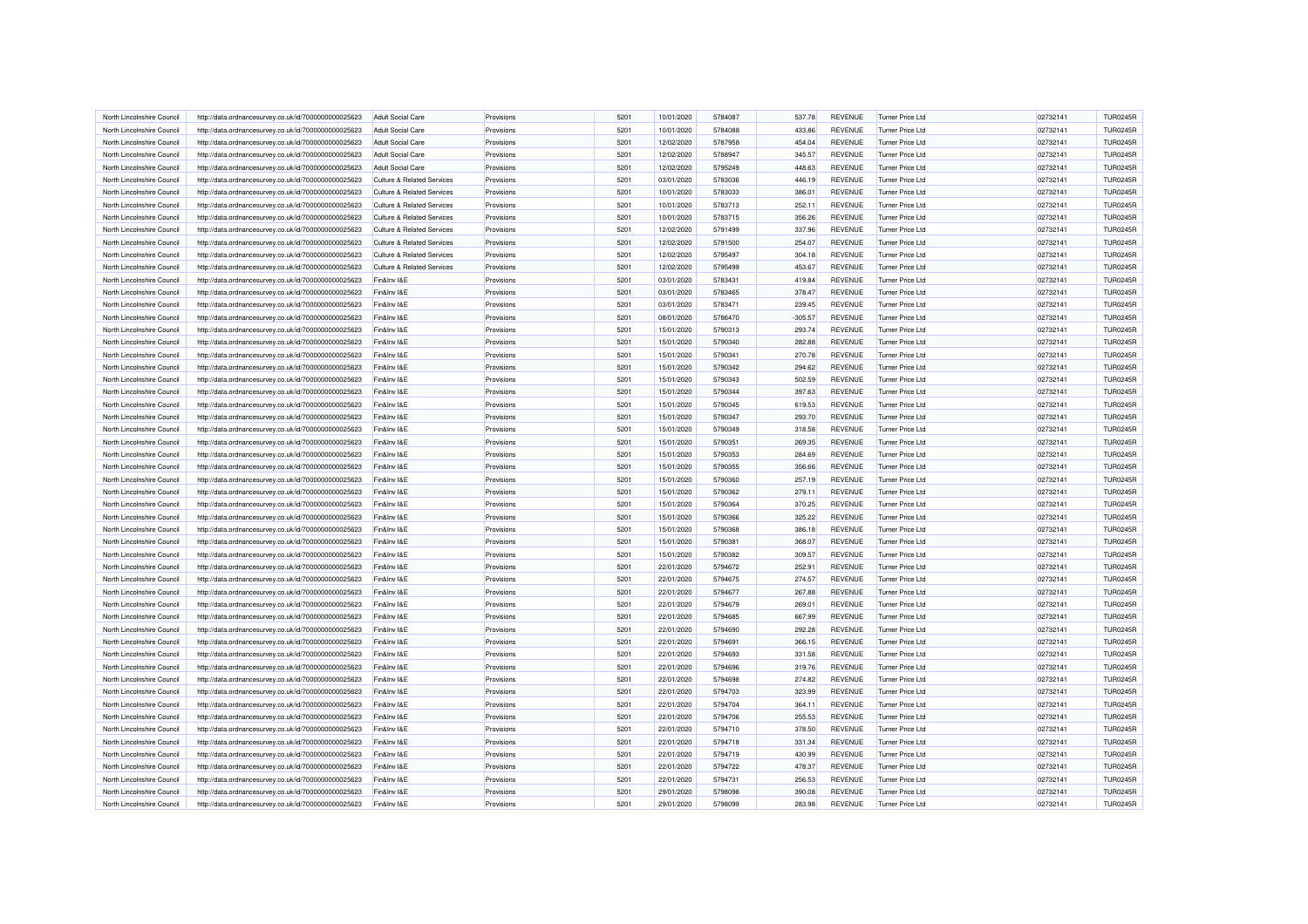| North Lincolnshire Council | http://data.ordnancesurvey.co.uk/id/7000000000025623                                                         | <b>Adult Social Care</b>              | Provisions | 5201 | 10/01/2020               | 5784087 | 537.78    | <b>REVENUE</b> | Turner Price Ltd        | 02732141 | <b>TUR0245R</b> |
|----------------------------|--------------------------------------------------------------------------------------------------------------|---------------------------------------|------------|------|--------------------------|---------|-----------|----------------|-------------------------|----------|-----------------|
| North Lincolnshire Council | http://data.ordnancesurvey.co.uk/id/7000000000025623                                                         | <b>Adult Social Care</b>              | Provisions | 5201 | 10/01/2020               | 5784088 | 433.86    | <b>REVENUE</b> | Turner Price Ltd        | 02732141 | <b>TUR0245R</b> |
| North Lincolnshire Council | http://data.ordnancesurvey.co.uk/id/7000000000025623                                                         | <b>Adult Social Care</b>              | Provisions | 5201 | 12/02/2020               | 5787958 | 454.04    | <b>REVENUE</b> | Turner Price Ltd        | 02732141 | <b>TUR0245R</b> |
| North Lincolnshire Council | http://data.ordnancesurvey.co.uk/id/7000000000025623                                                         | <b>Adult Social Care</b>              | Provisions | 5201 | 12/02/2020               | 5788947 | 345.57    | <b>REVENUE</b> | <b>Turner Price Ltd</b> | 02732141 | <b>TUR0245R</b> |
| North Lincolnshire Council | http://data.ordnancesurvey.co.uk/id/7000000000025623                                                         | <b>Adult Social Care</b>              | Provisions | 5201 | 12/02/2020               | 5795249 | 448.63    | <b>REVENUE</b> | Turner Price Ltd        | 02732141 | <b>TUR0245R</b> |
| North Lincolnshire Council | http://data.ordnancesurvey.co.uk/id/7000000000025623                                                         | <b>Culture &amp; Related Services</b> | Provisions | 5201 | 03/01/2020               | 5783036 | 446.19    | <b>REVENUE</b> | <b>Turner Price Ltd</b> | 02732141 | <b>TUR0245R</b> |
| North Lincolnshire Council | http://data.ordnancesurvey.co.uk/id/7000000000025623                                                         | <b>Culture &amp; Related Services</b> | Provisions | 5201 | 10/01/2020               | 5783033 | 386.01    | <b>REVENUE</b> | <b>Turner Price Ltd</b> | 02732141 | <b>TUR0245R</b> |
| North Lincolnshire Council | http://data.ordnancesurvey.co.uk/id/7000000000025623                                                         | Culture & Related Services            | Provisions | 5201 | 10/01/2020               | 5783713 | 252.11    | <b>REVENUE</b> | Turner Price Ltd        | 02732141 | <b>TUR0245R</b> |
| North Lincolnshire Council | http://data.ordnancesurvey.co.uk/id/7000000000025623                                                         | Culture & Related Services            | Provisions | 5201 | 10/01/2020               | 5783715 | 356.26    | <b>REVENUE</b> | Turner Price Ltd        | 02732141 | <b>TUR0245R</b> |
|                            |                                                                                                              |                                       |            | 5201 |                          | 5791499 | 337.96    | <b>REVENUE</b> |                         | 02732141 | <b>TUR0245R</b> |
| North Lincolnshire Council | http://data.ordnancesurvey.co.uk/id/7000000000025623                                                         | <b>Culture &amp; Related Services</b> | Provisions |      | 12/02/2020               |         |           |                | <b>Turner Price Ltd</b> |          |                 |
| North Lincolnshire Council | http://data.ordnancesurvey.co.uk/id/7000000000025623                                                         | <b>Culture &amp; Related Services</b> | Provisions | 5201 | 12/02/2020               | 5791500 | 254.07    | <b>REVENUE</b> | Turner Price Ltd        | 02732141 | <b>TUR0245R</b> |
| North Lincolnshire Council | http://data.ordnancesurvey.co.uk/id/7000000000025623                                                         | <b>Culture &amp; Related Services</b> | Provisions | 5201 | 12/02/2020               | 5795497 | 304.18    | REVENUE        | Turner Price Ltd        | 02732141 | <b>TUR0245R</b> |
| North Lincolnshire Council | http://data.ordnancesurvey.co.uk/id/7000000000025623                                                         | <b>Culture &amp; Related Services</b> | Provisions | 5201 | 12/02/2020               | 5795499 | 453.67    | <b>REVENUE</b> | <b>Turner Price Ltd</b> | 02732141 | <b>TUR0245R</b> |
| North Lincolnshire Council | http://data.ordnancesurvey.co.uk/id/7000000000025623                                                         | Fin&Inv I&F                           | Provisions | 5201 | 03/01/2020               | 5783431 | 419.84    | <b>REVENUE</b> | Turner Price Ltd        | 02732141 | <b>TUR0245R</b> |
| North Lincolnshire Council | http://data.ordnancesurvey.co.uk/id/7000000000025623                                                         | Fin&Inv I&E                           | Provisions | 5201 | 03/01/2020               | 5783465 | 378.47    | <b>REVENUE</b> | <b>Turner Price Ltd</b> | 02732141 | <b>TUR0245R</b> |
| North Lincolnshire Council | http://data.ordnancesurvey.co.uk/id/7000000000025623                                                         | Fin&Inv I&E                           | Provisions | 5201 | 03/01/2020               | 5783471 | 239.45    | <b>REVENUE</b> | <b>Turner Price Ltd</b> | 02732141 | <b>TUR0245R</b> |
| North Lincolnshire Council | http://data.ordnancesurvey.co.uk/id/7000000000025623                                                         | Fin&Inv I&E                           | Provisions | 5201 | 08/01/2020               | 5786470 | $-305.57$ | <b>REVENUE</b> | Turner Price Ltd        | 02732141 | <b>TUR0245R</b> |
| North Lincolnshire Council | http://data.ordnancesurvey.co.uk/id/7000000000025623                                                         | Fin&Inv I&E                           | Provisions | 5201 | 15/01/2020               | 5790313 | 293.74    | <b>REVENUE</b> | Turner Price Ltd        | 02732141 | <b>TUR0245R</b> |
| North Lincolnshire Council | http://data.ordnancesurvey.co.uk/id/7000000000025623                                                         | Fin&Inv I&E                           | Provisions | 5201 | 15/01/2020               | 5790340 | 282.88    | REVENUE        | Turner Price Ltd        | 02732141 | <b>TUR0245R</b> |
| North Lincolnshire Council | http://data.ordnancesurvey.co.uk/id/7000000000025623                                                         | Fin&Inv I&E                           | Provisions | 5201 | 15/01/2020               | 5790341 | 270.78    | <b>REVENUE</b> | Turner Price Ltd        | 02732141 | <b>TUR0245R</b> |
| North Lincolnshire Council | http://data.ordnancesurvey.co.uk/id/7000000000025623                                                         | Fin&Inv I&E                           | Provisions | 5201 | 15/01/2020               | 5790342 | 294.62    | <b>REVENUE</b> | Turner Price Ltd        | 02732141 | <b>TUR0245R</b> |
| North Lincolnshire Council | http://data.ordnancesurvey.co.uk/id/7000000000025623                                                         | Fin&Inv I&E                           | Provisions | 5201 | 15/01/2020               | 5790343 | 502.59    | <b>REVENUE</b> | <b>Turner Price Ltd</b> | 02732141 | <b>TUR0245R</b> |
| North Lincolnshire Council | http://data.ordnancesurvey.co.uk/id/7000000000025623                                                         | Fin&Inv I&E                           | Provisions | 5201 | 15/01/2020               | 5790344 | 397.63    | <b>REVENUE</b> | Turner Price Ltd        | 02732141 | <b>TUR0245R</b> |
| North Lincolnshire Council | http://data.ordnancesurvey.co.uk/id/7000000000025623                                                         | Fin&Inv I&E                           | Provisions | 5201 | 15/01/2020               | 5790345 | 619.53    | <b>REVENUE</b> | <b>Turner Price Ltd</b> | 02732141 | <b>TUR0245R</b> |
| North Lincolnshire Council | http://data.ordnancesurvey.co.uk/id/7000000000025623                                                         | Fin&Inv I&E                           | Provisions | 5201 | 15/01/2020               | 5790347 | 293.70    | <b>REVENUE</b> | <b>Turner Price Ltd</b> | 02732141 | <b>TUR0245R</b> |
| North Lincolnshire Council | http://data.ordnancesurvey.co.uk/id/7000000000025623                                                         | Fin&Inv I&E                           | Provisions | 5201 | 15/01/2020               | 5790349 | 318.58    | <b>REVENUE</b> | Turner Price Ltd        | 02732141 | <b>TUR0245R</b> |
| North Lincolnshire Council | http://data.ordnancesurvey.co.uk/id/7000000000025623                                                         | Fin&Inv I&E                           | Provisions | 5201 | 15/01/2020               | 5790351 | 269.35    | <b>REVENUE</b> | Turner Price Ltd        | 02732141 | <b>TUR0245R</b> |
| North Lincolnshire Council | http://data.ordnancesurvey.co.uk/id/7000000000025623                                                         | Fin&Inv I&F                           | Provisions | 5201 | 15/01/2020               | 5790353 | 284.69    | <b>REVENUE</b> | <b>Turner Price Ltd</b> | 02732141 | <b>TUR0245R</b> |
| North Lincolnshire Council | http://data.ordnancesurvey.co.uk/id/7000000000025623                                                         | Fin&Inv I&E                           | Provisions | 5201 | 15/01/2020               | 5790355 | 356.66    | <b>REVENUE</b> | Turner Price Ltd        | 02732141 | <b>TUR0245R</b> |
| North Lincolnshire Council | http://data.ordnancesurvey.co.uk/id/7000000000025623                                                         | Fin&Inv I&E                           | Provisions | 5201 | 15/01/2020               | 5790360 | 257.19    | <b>REVENUE</b> | Turner Price Ltd        | 02732141 | <b>TUR0245R</b> |
| North Lincolnshire Council | http://data.ordnancesurvey.co.uk/id/7000000000025623                                                         | Fin&Inv I&E                           | Provisions | 5201 | 15/01/2020               | 5790362 | 279.11    | <b>REVENUE</b> | <b>Turner Price Ltd</b> | 02732141 | <b>TUR0245R</b> |
| North Lincolnshire Council |                                                                                                              | Fin&Inv I&F                           | Provisions | 5201 | 15/01/2020               | 5790364 | 370.25    | <b>REVENUE</b> | Turner Price Ltd        |          | <b>TUR0245R</b> |
|                            | http://data.ordnancesurvey.co.uk/id/7000000000025623                                                         |                                       |            |      |                          |         |           |                |                         | 02732141 |                 |
| North Lincolnshire Council | http://data.ordnancesurvey.co.uk/id/7000000000025623                                                         | Fin&Inv I&E                           | Provisions | 5201 | 15/01/2020               | 5790366 | 325.22    | <b>REVENUE</b> | <b>Turner Price Ltd</b> | 02732141 | <b>TUR0245R</b> |
| North Lincolnshire Council | http://data.ordnancesurvey.co.uk/id/7000000000025623                                                         | Fin&Inv I&E                           | Provisions | 5201 | 15/01/2020               | 5790368 | 386.18    | <b>REVENUE</b> | <b>Turner Price Ltd</b> | 02732141 | <b>TUR0245R</b> |
| North Lincolnshire Council | http://data.ordnancesurvey.co.uk/id/7000000000025623                                                         | Fin&Inv I&E                           | Provisions | 5201 | 15/01/2020               | 5790381 | 368.07    | <b>REVENUE</b> | Turner Price Ltd        | 02732141 | <b>TUR0245R</b> |
| North Lincolnshire Council | http://data.ordnancesurvey.co.uk/id/7000000000025623                                                         | Fin&Inv I&E                           | Provisions | 5201 | 15/01/2020               | 5790382 | 309.57    | <b>REVENUE</b> | Turner Price Ltd        | 02732141 | <b>TUR0245R</b> |
| North Lincolnshire Council | http://data.ordnancesurvey.co.uk/id/7000000000025623                                                         | Fin&Inv I&E                           | Provisions | 5201 | 22/01/2020               | 5794672 | 252.91    | <b>REVENUE</b> | <b>Turner Price Ltd</b> | 02732141 | <b>TUR0245R</b> |
| North Lincolnshire Council | http://data.ordnancesurvey.co.uk/id/7000000000025623                                                         | Fin&Inv I&E                           | Provisions | 5201 | 22/01/2020               | 5794675 | 274.57    | <b>REVENUE</b> | Turner Price Ltd        | 02732141 | <b>TUR0245R</b> |
| North Lincolnshire Council | http://data.ordnancesurvey.co.uk/id/7000000000025623                                                         | Fin&Inv I&E                           | Provisions | 5201 | 22/01/2020               | 5794677 | 267.88    | REVENUE        | <b>Turner Price Ltd</b> | 02732141 | <b>TUR0245R</b> |
| North Lincolnshire Council | http://data.ordnancesurvey.co.uk/id/7000000000025623                                                         | Fin&Inv I&E                           | Provisions | 5201 | 22/01/2020               | 5794679 | 269.01    | <b>REVENUE</b> | Turner Price Ltd        | 02732141 | <b>TUR0245R</b> |
| North Lincolnshire Council | http://data.ordnancesurvey.co.uk/id/7000000000025623                                                         | Fin&Inv I&E                           | Provisions | 5201 | 22/01/2020               | 5794685 | 667.99    | <b>REVENUE</b> | Turner Price Ltd        | 02732141 | <b>TUR0245R</b> |
| North Lincolnshire Council | http://data.ordnancesurvey.co.uk/id/7000000000025623                                                         | Fin&Inv I&E                           | Provisions | 5201 | 22/01/2020               | 5794690 | 292.28    | <b>REVENUE</b> | <b>Turner Price Ltd</b> | 02732141 | <b>TUR0245R</b> |
| North Lincolnshire Council | http://data.ordnancesurvey.co.uk/id/7000000000025623                                                         | Fin&Inv I&E                           | Provisions | 5201 | 22/01/2020               | 5794691 | 366.15    | <b>REVENUE</b> | <b>Turner Price Ltd</b> | 02732141 | <b>TUR0245R</b> |
| North Lincolnshire Council | http://data.ordnancesurvey.co.uk/id/7000000000025623                                                         | Fin&Inv I&E                           | Provisions | 5201 | 22/01/2020               | 5794693 | 331.58    | <b>REVENUE</b> | Turner Price Ltd        | 02732141 | <b>TUR0245R</b> |
| North Lincolnshire Council | http://data.ordnancesurvey.co.uk/id/7000000000025623                                                         | Fin&Inv I&E                           | Provisions | 5201 | 22/01/2020               | 5794696 | 319.76    | <b>REVENUE</b> | <b>Turner Price Ltd</b> | 02732141 | <b>TUR0245R</b> |
| North Lincolnshire Council | http://data.ordnancesurvey.co.uk/id/7000000000025623                                                         | Fin&Inv I&F                           | Provisions | 5201 | 22/01/2020               | 5794698 | 274.82    | <b>REVENUE</b> | <b>Turner Price Ltd</b> | 02732141 | <b>TUR0245R</b> |
| North Lincolnshire Council | http://data.ordnancesurvey.co.uk/id/7000000000025623                                                         | Fin&Inv I&E                           | Provisions | 5201 | 22/01/2020               | 5794703 | 323.99    | <b>REVENUE</b> | Turner Price Ltd        | 02732141 | <b>TUR0245R</b> |
| North Lincolnshire Council | http://data.ordnancesurvey.co.uk/id/7000000000025623                                                         | Fin&Inv I&E                           | Provisions | 5201 | 22/01/2020               | 5794704 | 364.11    | <b>REVENUE</b> | Turner Price Ltd        | 02732141 | <b>TUR0245R</b> |
| North Lincolnshire Council | http://data.ordnancesurvey.co.uk/id/7000000000025623                                                         | Fin&Inv I&E                           | Provisions | 5201 | 22/01/2020               | 5794706 | 255.53    | <b>REVENUE</b> | <b>Turner Price Ltd</b> | 02732141 | <b>TUR0245R</b> |
| North Lincolnshire Council | http://data.ordnancesurvey.co.uk/id/7000000000025623                                                         | Fin&Inv I&E                           | Provisions | 5201 | 22/01/2020               | 5794710 | 378.50    | <b>REVENUE</b> | Turner Price Ltd        | 02732141 | <b>TUR0245R</b> |
| North Lincolnshire Council | http://data.ordnancesurvey.co.uk/id/7000000000025623                                                         | Fin&Inv I&E                           | Provisions | 5201 | 22/01/2020               | 5794718 | 331.34    | <b>REVENUE</b> | <b>Turner Price Ltd</b> | 02732141 | <b>TUR0245R</b> |
| North Lincolnshire Council | http://data.ordnancesurvey.co.uk/id/7000000000025623                                                         | Fin&Inv I&E                           | Provisions | 5201 | 22/01/2020               | 5794719 | 430.99    | <b>REVENUE</b> | Turner Price Ltd        | 02732141 | <b>TUR0245R</b> |
| North Lincolnshire Council |                                                                                                              | Fin&Inv I&E                           | Provisions | 5201 |                          | 5794722 | 478.37    | <b>REVENUE</b> | Turner Price Ltd        | 02732141 | <b>TUR0245R</b> |
| North Lincolnshire Council | http://data.ordnancesurvey.co.uk/id/7000000000025623<br>http://data.ordnancesurvey.co.uk/id/7000000000025623 | Fin&Inv I&E                           | Provisions | 5201 | 22/01/2020<br>22/01/2020 | 5794731 | 256.53    | <b>REVENUE</b> | <b>Turner Price Ltd</b> | 02732141 | <b>TUR0245R</b> |
|                            |                                                                                                              | Fin&Inv I&F                           | Provisions | 5201 |                          | 5798098 | 390.08    |                |                         | 02732141 | <b>TUR0245R</b> |
| North Lincolnshire Council | http://data.ordnancesurvey.co.uk/id/7000000000025623                                                         |                                       |            | 5201 | 29/01/2020               | 5798099 | 283.98    | <b>REVENUE</b> | <b>Turner Price Ltd</b> |          |                 |
| North Lincolnshire Council | http://data.ordnancesurvey.co.uk/id/7000000000025623                                                         | Fin&Inv I&F                           | Provisions |      | 29/01/2020               |         |           | <b>REVENUE</b> | Turner Price I td       | 02732141 | <b>TUR0245R</b> |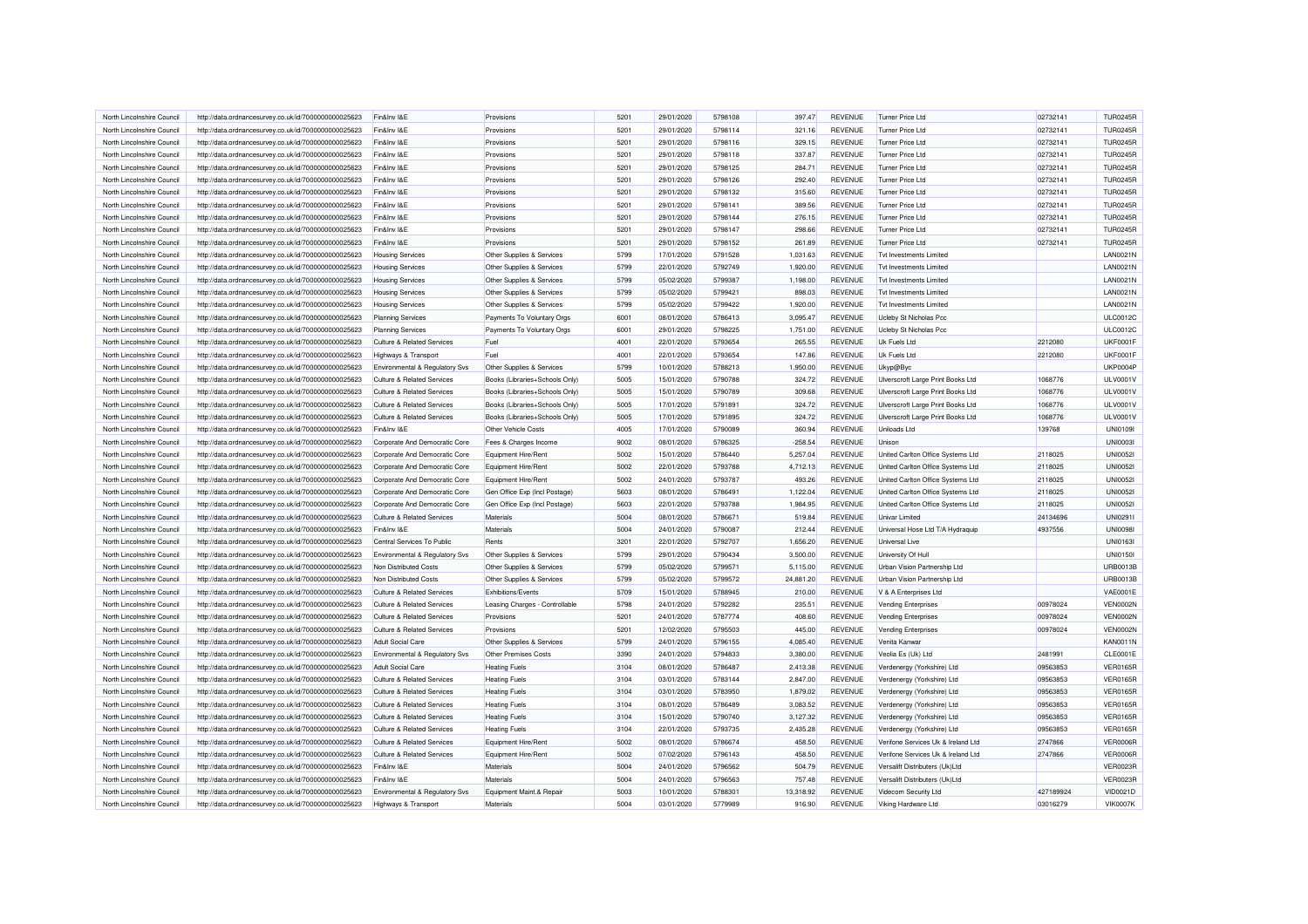| North Lincolnshire Council | http://data.ordnancesurvey.co.uk/id/7000000000025623 | Fin&Inv I&E                           | Provisions                     | 5201 | 29/01/2020 | 5798108 | 397.47    | <b>REVENUE</b> | Turner Price Ltd                   | 02732141  | <b>TUR0245R</b> |
|----------------------------|------------------------------------------------------|---------------------------------------|--------------------------------|------|------------|---------|-----------|----------------|------------------------------------|-----------|-----------------|
| North Lincolnshire Council | http://data.ordnancesurvey.co.uk/id/7000000000025623 | Fin&Inv I&E                           | Provisions                     | 5201 | 29/01/2020 | 5798114 | 321.16    | <b>REVENUE</b> | Turner Price Ltd                   | 02732141  | <b>TUR0245R</b> |
| North Lincolnshire Council | http://data.ordnancesurvey.co.uk/id/7000000000025623 | Fin&Inv I&E                           | Provisions                     | 5201 | 29/01/2020 | 5798116 | 329.15    | <b>REVENUE</b> | Turner Price Ltd                   | 02732141  | <b>TUR0245R</b> |
| North Lincolnshire Council | http://data.ordnancesurvey.co.uk/id/7000000000025623 | Fin&Inv I&E                           | Provisions                     | 5201 | 29/01/2020 | 5798118 | 337.87    | <b>REVENUE</b> | <b>Turner Price Ltd</b>            | 02732141  | <b>TUR0245R</b> |
| North Lincolnshire Council | http://data.ordnancesurvey.co.uk/id/7000000000025623 | Fin&Inv I&E                           | Provisions                     | 5201 | 29/01/2020 | 5798125 | 284.71    | REVENUE        | Turner Price Ltd                   | 02732141  | <b>TUR0245R</b> |
| North Lincolnshire Council | http://data.ordnancesurvey.co.uk/id/7000000000025623 | Fin&Inv I&E                           | Provisions                     | 5201 | 29/01/2020 | 5798126 | 292.40    | <b>REVENUE</b> | <b>Turner Price Ltd</b>            | 02732141  | <b>TUR0245R</b> |
| North Lincolnshire Council | http://data.ordnancesurvey.co.uk/id/7000000000025623 | Fin&Inv I&E                           | Provisions                     | 5201 | 29/01/2020 | 5798132 | 315.60    | <b>REVENUE</b> | <b>Turner Price Ltd</b>            | 02732141  | <b>TUR0245R</b> |
| North Lincolnshire Council | http://data.ordnancesurvey.co.uk/id/7000000000025623 | Fin&Inv I&E                           | Provisions                     | 5201 | 29/01/2020 | 5798141 | 389.56    | <b>REVENUE</b> | Turner Price Ltd                   | 02732141  | <b>TUR0245R</b> |
| North Lincolnshire Council | http://data.ordnancesurvey.co.uk/id/7000000000025623 | Fin&Inv I&E                           | Provisions                     | 5201 | 29/01/2020 | 5798144 | 276.15    | <b>REVENUE</b> | <b>Turner Price Ltd</b>            | 02732141  | <b>TUR0245R</b> |
| North Lincolnshire Council | http://data.ordnancesurvey.co.uk/id/7000000000025623 | Fin&Inv I&E                           | Provisions                     | 5201 | 29/01/2020 | 5798147 | 298.66    | <b>REVENUE</b> | <b>Turner Price Ltd</b>            | 02732141  | <b>TUR0245R</b> |
|                            |                                                      |                                       |                                |      |            |         |           |                |                                    |           |                 |
| North Lincolnshire Council | http://data.ordnancesurvey.co.uk/id/7000000000025623 | Fin&Inv I&E                           | Provisions                     | 5201 | 29/01/2020 | 5798152 | 261.89    | <b>REVENUE</b> | <b>Turner Price Ltd</b>            | 02732141  | <b>TUR0245R</b> |
| North Lincolnshire Council | http://data.ordnancesurvey.co.uk/id/7000000000025623 | <b>Housing Services</b>               | Other Supplies & Services      | 5799 | 17/01/2020 | 5791528 | 1,031.63  | <b>REVENUE</b> | Tyt Investments Limited            |           | LAN0021N        |
| North Lincolnshire Council | http://data.ordnancesurvey.co.uk/id/7000000000025623 | <b>Housing Services</b>               | Other Supplies & Services      | 5799 | 22/01/2020 | 5792749 | 1,920.00  | <b>REVENUE</b> | <b>Tvt Investments Limited</b>     |           | <b>LAN0021N</b> |
| North Lincolnshire Council | http://data.ordnancesurvey.co.uk/id/7000000000025623 | <b>Housing Services</b>               | Other Supplies & Services      | 5799 | 05/02/2020 | 5799387 | 1,198.00  | <b>REVENUE</b> | Tyt Investments I imited           |           | <b>LAN0021N</b> |
| North Lincolnshire Council | http://data.ordnancesurvey.co.uk/id/7000000000025623 | <b>Housing Services</b>               | Other Supplies & Services      | 5799 | 05/02/2020 | 5799421 | 898.03    | <b>REVENUE</b> | <b>Tvt Investments Limited</b>     |           | <b>LAN0021N</b> |
| North Lincolnshire Council | http://data.ordnancesurvey.co.uk/id/7000000000025623 | <b>Housing Services</b>               | Other Supplies & Services      | 5799 | 05/02/2020 | 5799422 | 1,920.00  | <b>REVENUE</b> | <b>Tvt Investments Limited</b>     |           | <b>LAN0021N</b> |
| North Lincolnshire Council | http://data.ordnancesurvey.co.uk/id/7000000000025623 | <b>Planning Services</b>              | Payments To Voluntary Orgs     | 6001 | 08/01/2020 | 5786413 | 3,095.47  | <b>REVENUE</b> | <b>Ucleby St Nicholas Pcc</b>      |           | <b>ULC0012C</b> |
| North Lincolnshire Council | http://data.ordnancesurvey.co.uk/id/7000000000025623 | <b>Planning Services</b>              | Payments To Voluntary Orgs     | 6001 | 29/01/2020 | 5798225 | 1,751.00  | <b>REVENUE</b> | <b>Ucleby St Nicholas Pcc</b>      |           | <b>ULC0012C</b> |
| North Lincolnshire Council | http://data.ordnancesurvey.co.uk/id/7000000000025623 | <b>Culture &amp; Related Services</b> | Fuel                           | 4001 | 22/01/2020 | 5793654 | 265.55    | <b>REVENUE</b> | Uk Fuels Ltd                       | 2212080   | <b>UKF0001F</b> |
| North Lincolnshire Council | http://data.ordnancesurvey.co.uk/id/7000000000025623 | Highways & Transport                  | Fuel                           | 4001 | 22/01/2020 | 5793654 | 147.86    | <b>REVENUE</b> | Uk Fuels Ltd                       | 2212080   | <b>UKF0001F</b> |
| North Lincolnshire Council | http://data.ordnancesurvey.co.uk/id/7000000000025623 | Environmental & Regulatory Svs        | Other Supplies & Services      | 5799 | 10/01/2020 | 5788213 | 1,950.00  | <b>REVENUE</b> | Ukyp@Byc                           |           | <b>UKP0004P</b> |
| North Lincolnshire Council | http://data.ordnancesurvey.co.uk/id/7000000000025623 | <b>Culture &amp; Related Services</b> | Books (Libraries+Schools Only) | 5005 | 15/01/2020 | 5790788 | 324.72    | <b>REVENUE</b> | Ulverscroft Large Print Books Ltd  | 1068776   | ULV0001V        |
| North Lincolnshire Council | http://data.ordnancesurvey.co.uk/id/7000000000025623 | Culture & Related Services            | Books (Libraries+Schools Only) | 5005 | 15/01/2020 | 5790789 | 309.68    | <b>REVENUE</b> | Ulverscroft Large Print Books Ltd  | 1068776   | ULV0001V        |
| North Lincolnshire Council | http://data.ordnancesurvey.co.uk/id/7000000000025623 | <b>Culture &amp; Related Services</b> | Books (Libraries+Schools Only) | 5005 | 17/01/2020 | 5791891 | 324.72    | <b>REVENUE</b> | Ulverscroft Large Print Books Ltd  | 1068776   | ULV0001V        |
| North Lincolnshire Council | http://data.ordnancesurvey.co.uk/id/7000000000025623 | <b>Culture &amp; Related Services</b> | Books (Libraries+Schools Only) | 5005 | 17/01/2020 | 5791895 | 324.72    | <b>REVENUE</b> | Ulverscroft Large Print Books Ltd  | 1068776   | ULV0001V        |
| North Lincolnshire Council | http://data.ordnancesurvey.co.uk/id/7000000000025623 | Fin&Inv I&F                           | Other Vehicle Costs            | 4005 | 17/01/2020 | 5790089 | 360.94    | <b>REVENUE</b> | Uniloads Ltd                       | 139768    | UNI0109I        |
| North Lincolnshire Council | http://data.ordnancesurvey.co.uk/id/7000000000025623 | Corporate And Democratic Core         | Fees & Charges Income          | 9002 | 08/01/2020 | 5786325 | $-258.54$ | <b>REVENUE</b> | Unison                             |           | UNI0003         |
| North Lincolnshire Council | http://data.ordnancesurvey.co.uk/id/7000000000025623 | Corporate And Democratic Core         | Equipment Hire/Rent            | 5002 | 15/01/2020 | 5786440 | 5,257.04  | <b>REVENUE</b> | United Carlton Office Systems Ltd  | 2118025   | <b>UNI00521</b> |
| North Lincolnshire Council | http://data.ordnancesurvey.co.uk/id/7000000000025623 | Corporate And Democratic Core         | Equipment Hire/Rent            | 5002 | 22/01/2020 | 5793788 | 4,712.13  | <b>REVENUE</b> | United Carlton Office Systems Ltd  | 2118025   | <b>UNI00521</b> |
| North Lincolnshire Council | http://data.ordnancesurvey.co.uk/id/7000000000025623 | Corporate And Democratic Core         | Equipment Hire/Rent            | 5002 | 24/01/2020 | 5793787 | 493.26    | REVENUE        | United Carlton Office Systems Ltd  | 2118025   | <b>UNI00521</b> |
| North Lincolnshire Council | http://data.ordnancesurvey.co.uk/id/7000000000025623 | Corporate And Democratic Core         | Gen Office Exp (Incl Postage)  | 5603 | 08/01/2020 | 5786491 | 1,122.04  | <b>REVENUE</b> | United Carlton Office Systems Ltd  | 2118025   | <b>UNI00521</b> |
| North Lincolnshire Council | http://data.ordnancesurvey.co.uk/id/7000000000025623 | Corporate And Democratic Core         | Gen Office Exp (Incl Postage)  | 5603 | 22/01/2020 | 5793788 | 1,984.95  | <b>REVENUE</b> | United Carlton Office Systems Ltd  | 2118025   | <b>UNI00521</b> |
| North Lincolnshire Council | http://data.ordnancesurvey.co.uk/id/7000000000025623 | <b>Culture &amp; Related Services</b> | Materials                      | 5004 | 08/01/2020 | 5786671 | 519.84    | <b>REVENUE</b> | <b>Univar Limited</b>              | 24134696  | UNI0291         |
| North Lincolnshire Council | http://data.ordnancesurvey.co.uk/id/7000000000025623 | Fin&Inv I&F                           | Materials                      | 5004 | 24/01/2020 | 5790087 | 212.44    | <b>REVENUE</b> |                                    | 4937556   | <b>UNI0098I</b> |
|                            |                                                      |                                       |                                |      |            |         |           |                | Universal Hose Ltd T/A Hydraquip   |           |                 |
| North Lincolnshire Council | http://data.ordnancesurvey.co.uk/id/7000000000025623 | Central Services To Public            | Rents                          | 3201 | 22/01/2020 | 5792707 | 1,656.20  | <b>REVENUE</b> | <b>Universal Live</b>              |           | UNI0163I        |
| North Lincolnshire Council | http://data.ordnancesurvey.co.uk/id/7000000000025623 | Environmental & Regulatory Svs        | Other Supplies & Services      | 5799 | 29/01/2020 | 5790434 | 3,500.00  | <b>REVENUE</b> | University Of Hull                 |           | UNI0150I        |
| North Lincolnshire Council | http://data.ordnancesurvey.co.uk/id/7000000000025623 | Non Distributed Costs                 | Other Supplies & Services      | 5799 | 05/02/2020 | 5799571 | 5,115.00  | <b>REVENUE</b> | Urban Vision Partnership Ltd       |           | <b>URB0013B</b> |
| North Lincolnshire Council | http://data.ordnancesurvey.co.uk/id/7000000000025623 | Non Distributed Costs                 | Other Supplies & Services      | 5799 | 05/02/2020 | 5799572 | 24,881.20 | <b>REVENUE</b> | Urban Vision Partnership Ltd       |           | <b>URB0013B</b> |
| North Lincolnshire Council | http://data.ordnancesurvey.co.uk/id/7000000000025623 | Culture & Related Services            | Exhibitions/Events             | 5709 | 15/01/2020 | 5788945 | 210.00    | <b>REVENUE</b> | V & A Enterprises Ltd              |           | <b>VAE0001E</b> |
| North Lincolnshire Council | http://data.ordnancesurvey.co.uk/id/7000000000025623 | <b>Culture &amp; Related Services</b> | Leasing Charges - Controllable | 5798 | 24/01/2020 | 5792282 | 235.51    | <b>REVENUE</b> | Vending Enterprises                | 00978024  | <b>VEN0002N</b> |
| North Lincolnshire Council | http://data.ordnancesurvey.co.uk/id/7000000000025623 | Culture & Related Services            | Provisions                     | 5201 | 24/01/2020 | 5787774 | 408.60    | <b>REVENUE</b> | <b>Vending Enterprises</b>         | 00978024  | <b>VEN0002N</b> |
| North Lincolnshire Council | http://data.ordnancesurvey.co.uk/id/7000000000025623 | <b>Culture &amp; Related Services</b> | Provisions                     | 5201 | 12/02/2020 | 5795503 | 445.00    | <b>REVENUE</b> | <b>Vending Enterprises</b>         | 00978024  | <b>VEN0002N</b> |
| North Lincolnshire Council | http://data.ordnancesurvey.co.uk/id/7000000000025623 | <b>Adult Social Care</b>              | Other Supplies & Services      | 5799 | 24/01/2020 | 5796155 | 4,085.40  | <b>REVENUE</b> | Venita Kanwar                      |           | <b>KAN0011N</b> |
| North Lincolnshire Council | http://data.ordnancesurvey.co.uk/id/7000000000025623 | Environmental & Regulatory Svs        | Other Premises Costs           | 3390 | 24/01/2020 | 5794833 | 3,380.00  | REVENUE        | Veolia Es (Uk) Ltd                 | 2481991   | <b>CLE0001E</b> |
| North Lincolnshire Council | http://data.ordnancesurvey.co.uk/id/7000000000025623 | <b>Adult Social Care</b>              | <b>Heating Fuels</b>           | 3104 | 08/01/2020 | 5786487 | 2,413.38  | <b>REVENUE</b> | Verdenergy (Yorkshire) Ltd         | 09563853  | <b>VER0165R</b> |
| North Lincolnshire Council | http://data.ordnancesurvey.co.uk/id/7000000000025623 | <b>Culture &amp; Related Services</b> | <b>Heating Fuels</b>           | 3104 | 03/01/2020 | 5783144 | 2,847.00  | <b>REVENUE</b> | Verdenergy (Yorkshire) Ltd         | 09563853  | <b>VER0165R</b> |
| North Lincolnshire Council | http://data.ordnancesurvey.co.uk/id/7000000000025623 | Culture & Related Services            | <b>Heating Fuels</b>           | 3104 | 03/01/2020 | 5783950 | 1,879.02  | <b>REVENUE</b> | Verdenergy (Yorkshire) Ltd         | 09563853  | <b>VER0165R</b> |
| North Lincolnshire Council | http://data.ordnancesurvey.co.uk/id/7000000000025623 | Culture & Related Services            | <b>Heating Fuels</b>           | 3104 | 08/01/2020 | 5786489 | 3,083.52  | REVENUE        | Verdenergy (Yorkshire) Ltd         | 09563853  | <b>VER0165R</b> |
| North Lincolnshire Council | http://data.ordnancesurvey.co.uk/id/7000000000025623 | <b>Culture &amp; Related Services</b> | <b>Heating Fuels</b>           | 3104 | 15/01/2020 | 5790740 | 3,127.32  | <b>REVENUE</b> | Verdenergy (Yorkshire) Ltd         | 09563853  | <b>VER0165R</b> |
| North Lincolnshire Council | http://data.ordnancesurvey.co.uk/id/7000000000025623 | Culture & Related Services            | <b>Heating Fuels</b>           | 3104 | 22/01/2020 | 5793735 | 2,435.28  | <b>REVENUE</b> | Verdenergy (Yorkshire) Ltd         | 09563853  | <b>VER0165R</b> |
| North Lincolnshire Council | http://data.ordnancesurvey.co.uk/id/7000000000025623 | <b>Culture &amp; Related Services</b> | Equipment Hire/Rent            | 5002 | 08/01/2020 | 5786674 | 458.50    | <b>REVENUE</b> | Verifone Services Uk & Ireland Ltd | 2747866   | <b>VER0006F</b> |
| North Lincolnshire Council | http://data.ordnancesurvey.co.uk/id/7000000000025623 | <b>Culture &amp; Related Services</b> | Equipment Hire/Rent            | 5002 | 07/02/2020 | 5796143 | 458.50    | <b>REVENUE</b> | Verifone Services Uk & Ireland Ltd | 2747866   | VER0006R        |
| North Lincolnshire Council | http://data.ordnancesurvey.co.uk/id/7000000000025623 | Fin&Inv I&F                           | Materials                      | 5004 | 24/01/2020 | 5796562 | 504.79    | <b>REVENUE</b> | Versalift Distributers (Uk)Ltd     |           | <b>VER0023R</b> |
| North Lincolnshire Council | http://data.ordnancesurvey.co.uk/id/7000000000025623 | Fin&Inv I&E                           | Materials                      | 5004 | 24/01/2020 | 5796563 | 757.48    | <b>REVENUE</b> | Versalift Distributers (Uk)Ltd     |           | <b>VER0023F</b> |
| North Lincolnshire Council | http://data.ordnancesurvey.co.uk/id/7000000000025623 | Environmental & Regulatory Svs        | Equipment Maint.& Repair       | 5003 | 10/01/2020 | 5788301 | 13,318.92 | <b>REVENUE</b> | Videcom Security Ltd               | 427189924 | VID0021D        |
| North Lincolnshire Council | http://data.ordnancesurvey.co.uk/id/7000000000025623 | Highways & Transport                  | Materials                      | 5004 | 03/01/2020 | 5779989 | 916.90    | <b>REVENUE</b> | Viking Hardware Ltd                | 03016279  | <b>VIK0007K</b> |
|                            |                                                      |                                       |                                |      |            |         |           |                |                                    |           |                 |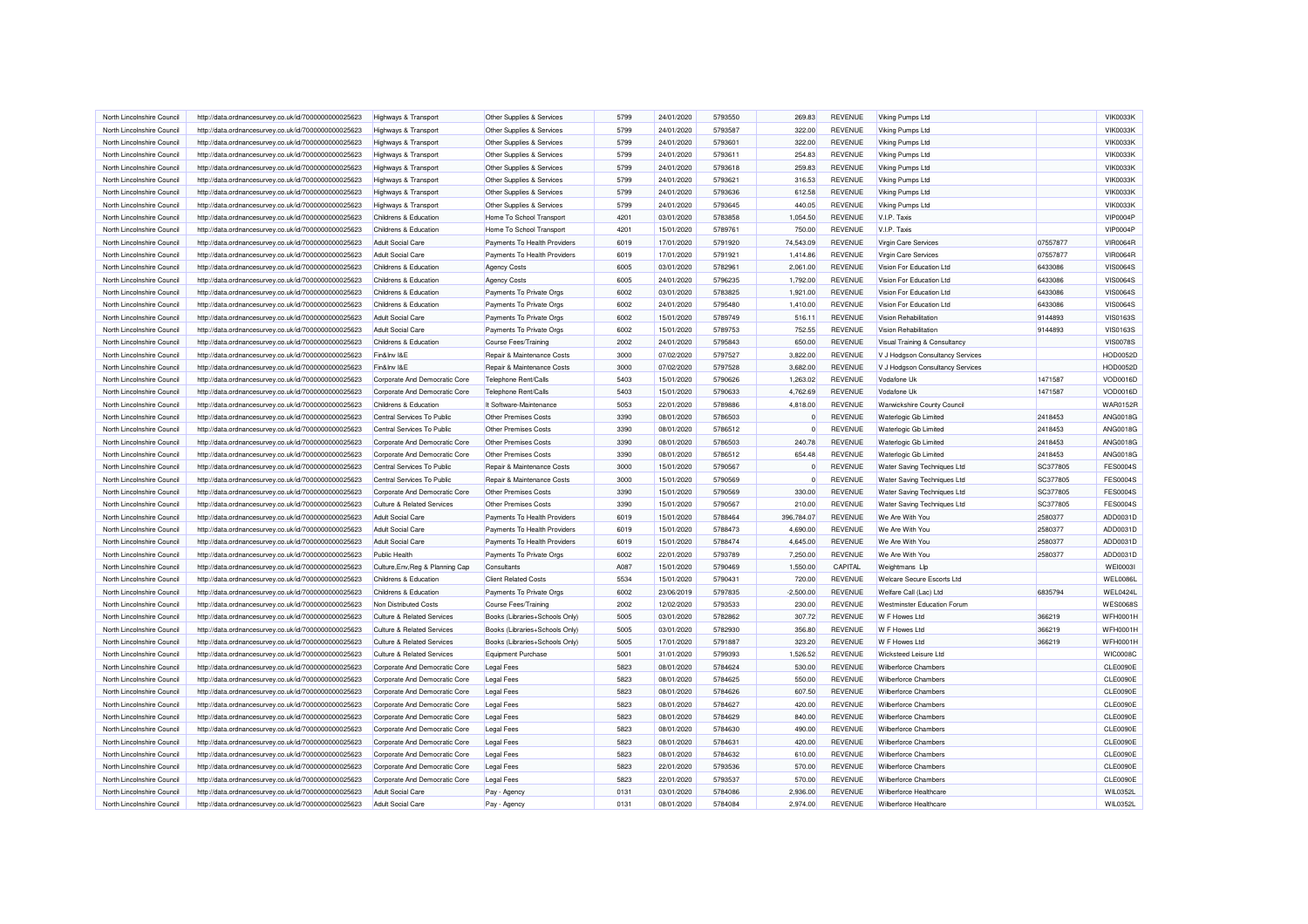| North Lincolnshire Council | http://data.ordnancesurvey.co.uk/id/7000000000025623 | Highways & Transport             | Other Supplies & Services      | 5799         | 24/01/2020 | 5793550            | 269.83           | <b>REVENUE</b>                   | Viking Pumps Ltd                   |          | <b>VIK0033K</b> |
|----------------------------|------------------------------------------------------|----------------------------------|--------------------------------|--------------|------------|--------------------|------------------|----------------------------------|------------------------------------|----------|-----------------|
| North Lincolnshire Council | http://data.ordnancesurvey.co.uk/id/7000000000025623 | Highways & Transport             | Other Supplies & Services      | 5799         | 24/01/2020 | 5793587            | 322.00           | <b>REVENUE</b>                   | Viking Pumps Ltd                   |          | <b>VIK0033K</b> |
| North Lincolnshire Counci  | http://data.ordnancesurvey.co.uk/id/7000000000025623 | Highways & Transport             | Other Supplies & Services      | 5799         | 24/01/2020 | 5793601            | 322.00           | <b>REVENUE</b>                   | Viking Pumps Ltd                   |          | <b>VIK0033K</b> |
| North Lincolnshire Council | http://data.ordnancesurvey.co.uk/id/7000000000025623 | Highways & Transport             | Other Supplies & Services      | 5799         | 24/01/2020 | 5793611            | 254.83           | <b>REVENUE</b>                   | Viking Pumps Ltd                   |          | <b>VIK0033K</b> |
| North Lincolnshire Council | http://data.ordnancesurvey.co.uk/id/7000000000025623 | Highways & Transport             | Other Supplies & Services      | 5799         | 24/01/2020 | 5793618            | 259.83           | <b>REVENUE</b>                   | Viking Pumps Ltd                   |          | <b>VIK0033K</b> |
| North Lincolnshire Council | http://data.ordnancesurvey.co.uk/id/7000000000025623 | Highways & Transport             | Other Supplies & Services      | 5799         | 24/01/2020 | 5793621            | 316.53           | <b>REVENUE</b>                   | Viking Pumps Ltd                   |          | <b>VIK0033K</b> |
| North Lincolnshire Council | http://data.ordnancesurvey.co.uk/id/7000000000025623 | Highways & Transport             | Other Supplies & Services      | 5799         | 24/01/2020 | 5793636            | 612.58           | <b>REVENUE</b>                   | Viking Pumps Ltd                   |          | <b>VIK0033K</b> |
| North Lincolnshire Council | http://data.ordnancesurvey.co.uk/id/7000000000025623 | Highways & Transport             | Other Supplies & Services      | 5799         | 24/01/2020 | 5793645            | 440.05           | <b>REVENUE</b>                   | Viking Pumps Ltd                   |          | <b>VIK0033K</b> |
| North Lincolnshire Council | http://data.ordnancesurvey.co.uk/id/7000000000025623 | Childrens & Education            | Home To School Transport       | 4201         | 03/01/2020 | 5783858            | 1,054.50         | <b>REVENUE</b>                   | V.I.P. Taxis                       |          | <b>VIP0004P</b> |
| North Lincolnshire Council |                                                      |                                  |                                | 4201         | 15/01/2020 | 5789761            | 750.00           | <b>REVENUE</b>                   | V.I.P. Taxis                       |          | <b>VIP0004P</b> |
|                            | http://data.ordnancesurvey.co.uk/id/7000000000025623 | Childrens & Education            | Home To School Transport       |              |            |                    |                  |                                  |                                    |          |                 |
| North Lincolnshire Council | http://data.ordnancesurvey.co.uk/id/7000000000025623 | Adult Social Care                | Payments To Health Providers   | 6019         | 17/01/2020 | 5791920            | 74,543.09        | <b>REVENUE</b>                   | Virgin Care Services               | 07557877 | <b>VIR0064R</b> |
| North Lincolnshire Council | http://data.ordnancesurvey.co.uk/id/7000000000025623 | Adult Social Care                | Payments To Health Providers   | 6019         | 17/01/2020 | 5791921            | 1,414.86         | REVENUE                          | Virgin Care Services               | 07557877 | <b>VIR0064R</b> |
| North Lincolnshire Council | http://data.ordnancesurvey.co.uk/id/7000000000025623 | Childrens & Education            | <b>Agency Costs</b>            | 6005         | 03/01/2020 | 5782961            | 2,061.00         | <b>REVENUE</b>                   | Vision For Education Ltd           | 6433086  | <b>VIS0064S</b> |
| North Lincolnshire Council | http://data.ordnancesurvey.co.uk/id/7000000000025623 | Childrens & Education            | <b>Agency Costs</b>            | 6005         | 24/01/2020 | 5796235            | 1,792.00         | <b>REVENUE</b>                   | Vision For Education Ltd           | 6433086  | <b>VIS0064S</b> |
| North Lincolnshire Council | http://data.ordnancesurvey.co.uk/id/7000000000025623 | Childrens & Education            | Payments To Private Orgs       | 6002         | 03/01/2020 | 5783825            | 1,921.00         | <b>REVENUE</b>                   | Vision For Education Ltd           | 6433086  | <b>VIS0064S</b> |
| North Lincolnshire Council | http://data.ordnancesurvey.co.uk/id/7000000000025623 | Childrens & Education            | Payments To Private Orgs       | 6002         | 24/01/2020 | 5795480            | 1,410.00         | <b>REVENUE</b>                   | Vision For Education Ltd           | 6433086  | <b>VIS0064S</b> |
| North Lincolnshire Council | http://data.ordnancesurvey.co.uk/id/7000000000025623 | <b>Adult Social Care</b>         | Payments To Private Orgs       | 6002         | 15/01/2020 | 5789749            | 516.11           | REVENUE                          | Vision Rehabilitation              | 9144893  | <b>VIS0163S</b> |
| North Lincolnshire Council | http://data.ordnancesurvey.co.uk/id/7000000000025623 | <b>Adult Social Care</b>         | Payments To Private Orgs       | 6002         | 15/01/2020 | 5789753            | 752.55           | <b>REVENUE</b>                   | Vision Rehabilitation              | 9144893  | <b>VIS0163S</b> |
| North Lincolnshire Council | http://data.ordnancesurvey.co.uk/id/7000000000025623 | Childrens & Education            | Course Fees/Training           | 2002         | 24/01/2020 | 5795843            | 650.00           | <b>REVENUE</b>                   | Visual Training & Consultancy      |          | <b>VIS0078S</b> |
| North Lincolnshire Council | http://data.ordnancesurvey.co.uk/id/7000000000025623 | Fin&Inv I&F                      | Repair & Maintenance Costs     | 3000         | 07/02/2020 | 5797527            | 3,822.00         | <b>REVENUE</b>                   | V J Hodgson Consultancy Services   |          | HOD0052D        |
| North Lincolnshire Council | http://data.ordnancesurvey.co.uk/id/7000000000025623 | Fin&Inv I&E                      | Repair & Maintenance Costs     | 3000         | 07/02/2020 | 5797528            | 3,682.00         | REVENUE                          | V J Hodgson Consultancy Services   |          | <b>HOD0052D</b> |
| North Lincolnshire Council | http://data.ordnancesurvey.co.uk/id/7000000000025623 | Corporate And Democratic Core    | <b>Telephone Rent/Calls</b>    | 5403         | 15/01/2020 | 5790626            | 1,263.02         | <b>REVENUE</b>                   | Vodafone Uk                        | 1471587  | VOD0016D        |
| North Lincolnshire Council | http://data.ordnancesurvey.co.uk/id/7000000000025623 | Corporate And Democratic Core    | <b>Telephone Rent/Calls</b>    | 5403         | 15/01/2020 | 5790633            | 4,762.69         | <b>REVENUE</b>                   | Vodafone Uk                        | 1471587  | VOD0016D        |
| North Lincolnshire Council | http://data.ordnancesurvey.co.uk/id/7000000000025623 | Childrens & Education            | It Software-Maintenance        | 5053         | 22/01/2020 | 5789886            | 4,818.00         | <b>REVENUE</b>                   | <b>Warwickshire County Council</b> |          | <b>WAR0152F</b> |
| North Lincolnshire Council | http://data.ordnancesurvey.co.uk/id/7000000000025623 | Central Services To Public       | <b>Other Premises Costs</b>    | 3390         | 08/01/2020 | 5786503            |                  | <b>REVENUE</b>                   | <b>Waterlogic Gb Limited</b>       | 2418453  | <b>ANG0018G</b> |
| North Lincolnshire Council | http://data.ordnancesurvey.co.uk/id/7000000000025623 | Central Services To Public       | <b>Other Premises Costs</b>    | 3390         | 08/01/2020 | 5786512            | $\Omega$         | REVENUE                          | Waterlogic Gb Limited              | 2418453  | <b>ANG0018G</b> |
|                            |                                                      |                                  |                                |              |            |                    |                  |                                  |                                    |          |                 |
| North Lincolnshire Council | http://data.ordnancesurvey.co.uk/id/7000000000025623 | Corporate And Democratic Core    | Other Premises Costs           | 3390<br>3390 | 08/01/2020 | 5786503<br>5786512 | 240.78<br>654.48 | <b>REVENUE</b><br><b>REVENUE</b> | <b>Waterlogic Gb Limited</b>       | 2418453  | ANG0018G        |
| North Lincolnshire Council | http://data.ordnancesurvey.co.uk/id/7000000000025623 | Corporate And Democratic Core    | <b>Other Premises Costs</b>    |              | 08/01/2020 |                    |                  |                                  | <b>Waterlogic Gb Limited</b>       | 2418453  | <b>ANG0018G</b> |
| North Lincolnshire Council | http://data.ordnancesurvey.co.uk/id/7000000000025623 | Central Services To Public       | Repair & Maintenance Costs     | 3000         | 15/01/2020 | 5790567            | $\Omega$         | <b>REVENUE</b>                   | Water Saving Techniques Ltd        | SC377805 | <b>FES0004S</b> |
| North Lincolnshire Counci  | http://data.ordnancesurvey.co.uk/id/7000000000025623 | Central Services To Public       | Repair & Maintenance Costs     | 3000         | 15/01/2020 | 5790569            |                  | <b>REVENUE</b>                   | Water Saving Techniques Ltd        | SC377805 | <b>FES0004S</b> |
| North Lincolnshire Council | http://data.ordnancesurvey.co.uk/id/7000000000025623 | Corporate And Democratic Core    | Other Premises Costs           | 3390         | 15/01/2020 | 5790569            | 330.00           | <b>REVENUE</b>                   | <b>Water Saving Techniques Ltd</b> | SC377805 | <b>FES0004S</b> |
| North Lincolnshire Council | http://data.ordnancesurvey.co.uk/id/7000000000025623 | Culture & Related Services       | <b>Other Premises Costs</b>    | 3390         | 15/01/2020 | 5790567            | 210.00           | <b>REVENUE</b>                   | Water Saving Techniques Ltd        | SC377805 | <b>FES0004S</b> |
| North Lincolnshire Council | http://data.ordnancesurvey.co.uk/id/7000000000025623 | <b>Adult Social Care</b>         | Payments To Health Providers   | 6019         | 15/01/2020 | 5788464            | 396,784.07       | <b>REVENUE</b>                   | We Are With You                    | 2580377  | ADD0031D        |
| North Lincolnshire Council | http://data.ordnancesurvey.co.uk/id/7000000000025623 | <b>Adult Social Care</b>         | Payments To Health Providers   | 6019         | 15/01/2020 | 5788473            | 4,690.00         | <b>REVENUE</b>                   | We Are With You                    | 2580377  | ADD0031D        |
| North Lincolnshire Council | http://data.ordnancesurvey.co.uk/id/7000000000025623 | <b>Adult Social Care</b>         | Payments To Health Providers   | 6019         | 15/01/2020 | 5788474            | 4,645.00         | <b>REVENUE</b>                   | We Are With You                    | 2580377  | ADD0031D        |
| North Lincolnshire Council | http://data.ordnancesurvey.co.uk/id/7000000000025623 | <b>Public Health</b>             | Payments To Private Orgs       | 6002         | 22/01/2020 | 5793789            | 7,250.00         | <b>REVENUE</b>                   | We Are With You                    | 2580377  | ADD0031D        |
| North Lincolnshire Council | http://data.ordnancesurvey.co.uk/id/7000000000025623 | Culture, Env, Reg & Planning Cap | Consultants                    | A087         | 15/01/2020 | 5790469            | 1,550.00         | CAPITAL                          | Weightmans Llp                     |          | <b>WEI0003I</b> |
| North Lincolnshire Council | http://data.ordnancesurvey.co.uk/id/7000000000025623 | Childrens & Education            | <b>Client Related Costs</b>    | 5534         | 15/01/2020 | 5790431            | 720.00           | <b>REVENUE</b>                   | Welcare Secure Escorts Ltd         |          | <b>WEL0086L</b> |
| North Lincolnshire Council | http://data.ordnancesurvey.co.uk/id/7000000000025623 | Childrens & Education            | Payments To Private Orgs       | 6002         | 23/06/2019 | 5797835            | $-2,500.00$      | <b>REVENUE</b>                   | Welfare Call (Lac) Ltd             | 6835794  | WEL0424L        |
| North Lincolnshire Council | http://data.ordnancesurvey.co.uk/id/7000000000025623 | Non Distributed Costs            | Course Fees/Training           | 2002         | 12/02/2020 | 5793533            | 230.00           | <b>REVENUE</b>                   | <b>Westminster Education Forum</b> |          | <b>WES0068S</b> |
| North Lincolnshire Council | http://data.ordnancesurvey.co.uk/id/7000000000025623 | Culture & Related Services       | Books (Libraries+Schools Only) | 5005         | 03/01/2020 | 5782862            | 307.72           | <b>REVENUE</b>                   | W F Howes I td                     | 366219   | <b>WFH0001H</b> |
| North Lincolnshire Council | http://data.ordnancesurvey.co.uk/id/7000000000025623 | Culture & Related Services       | Books (Libraries+Schools Only) | 5005         | 03/01/2020 | 5782930            | 356.80           | <b>REVENUE</b>                   | W F Howes Ltd                      | 366219   | <b>WFH0001H</b> |
| North Lincolnshire Council | http://data.ordnancesurvey.co.uk/id/7000000000025623 | Culture & Related Services       | Books (Libraries+Schools Only) | 5005         | 17/01/2020 | 5791887            | 323.20           | <b>REVENUE</b>                   | W F Howes Ltd                      | 366219   | <b>WFH0001H</b> |
| North Lincolnshire Council | http://data.ordnancesurvey.co.uk/id/7000000000025623 | Culture & Related Services       | <b>Equipment Purchase</b>      | 5001         | 31/01/2020 | 5799393            | 1,526.52         | <b>REVENUE</b>                   | Wicksteed Leisure Ltd              |          | WIC0008C        |
| North Lincolnshire Council | http://data.ordnancesurvey.co.uk/id/7000000000025623 | Corporate And Democratic Core    | <b>Legal Fees</b>              | 5823         | 08/01/2020 | 5784624            | 530.00           | <b>REVENUE</b>                   | <b>Wilberforce Chambers</b>        |          | CLE0090E        |
|                            |                                                      |                                  |                                | 5823         |            | 5784625            |                  | <b>REVENUE</b>                   |                                    |          | CLE0090E        |
| North Lincolnshire Council | http://data.ordnancesurvey.co.uk/id/7000000000025623 | Corporate And Democratic Core    | <b>Legal Fees</b>              |              | 08/01/2020 |                    | 550.00           |                                  | <b>Wilberforce Chambers</b>        |          |                 |
| North Lincolnshire Council | http://data.ordnancesurvey.co.uk/id/7000000000025623 | Corporate And Democratic Core    | <b>Legal Fees</b>              | 5823         | 08/01/2020 | 5784626            | 607.50           | <b>REVENUE</b>                   | <b>Wilberforce Chambers</b>        |          | CLE0090E        |
| North Lincolnshire Council | http://data.ordnancesurvey.co.uk/id/7000000000025623 | Corporate And Democratic Core    | <b>Legal Fees</b>              | 5823         | 08/01/2020 | 5784627            | 420.00           | REVENUE                          | <b>Wilberforce Chambers</b>        |          | <b>CLE0090E</b> |
| North Lincolnshire Council | http://data.ordnancesurvey.co.uk/id/7000000000025623 | Corporate And Democratic Core    | <b>Legal Fees</b>              | 5823         | 08/01/2020 | 5784629            | 840.00           | <b>REVENUE</b>                   | <b>Wilberforce Chambers</b>        |          | CLE0090E        |
| North Lincolnshire Council | http://data.ordnancesurvey.co.uk/id/7000000000025623 | Corporate And Democratic Core    | <b>Legal Fees</b>              | 5823         | 08/01/2020 | 5784630            | 490.00           | <b>REVENUE</b>                   | <b>Wilberforce Chambers</b>        |          | CLE0090E        |
| North Lincolnshire Council | http://data.ordnancesurvey.co.uk/id/7000000000025623 | Corporate And Democratic Core    | <b>Legal Fees</b>              | 5823         | 08/01/2020 | 5784631            | 420.00           | <b>REVENUE</b>                   | <b>Wilberforce Chambers</b>        |          | <b>CLE0090E</b> |
| North Lincolnshire Council | http://data.ordnancesurvey.co.uk/id/7000000000025623 | Corporate And Democratic Core    | <b>Legal Fees</b>              | 5823         | 08/01/2020 | 5784632            | 610.00           | REVENUE                          | <b>Wilberforce Chambers</b>        |          | CLE0090E        |
| North Lincolnshire Council | http://data.ordnancesurvey.co.uk/id/7000000000025623 | Corporate And Democratic Core    | <b>Legal Fees</b>              | 5823         | 22/01/2020 | 5793536            | 570.00           | <b>REVENUE</b>                   | <b>Wilberforce Chambers</b>        |          | <b>CLE0090E</b> |
| North Lincolnshire Council | http://data.ordnancesurvey.co.uk/id/7000000000025623 | Corporate And Democratic Core    | <b>Legal Fees</b>              | 5823         | 22/01/2020 | 5793537            | 570.00           | <b>REVENUE</b>                   | <b>Wilberforce Chambers</b>        |          | CLE0090E        |
| North Lincolnshire Council | http://data.ordnancesurvey.co.uk/id/7000000000025623 | <b>Adult Social Care</b>         | Pay - Agency                   | 0131         | 03/01/2020 | 5784086            | 2,936.00         | <b>REVENUE</b>                   | Wilberforce Healthcare             |          | WIL0352L        |
| North Lincolnshire Council | http://data.ordnancesurvey.co.uk/id/7000000000025623 | <b>Adult Social Care</b>         | Pay - Agency                   | 0131         | 08/01/2020 | 5784084            | 2.974.00         | <b>REVENUE</b>                   | <b>Wilberforce Healthcare</b>      |          | <b>WIL0352L</b> |